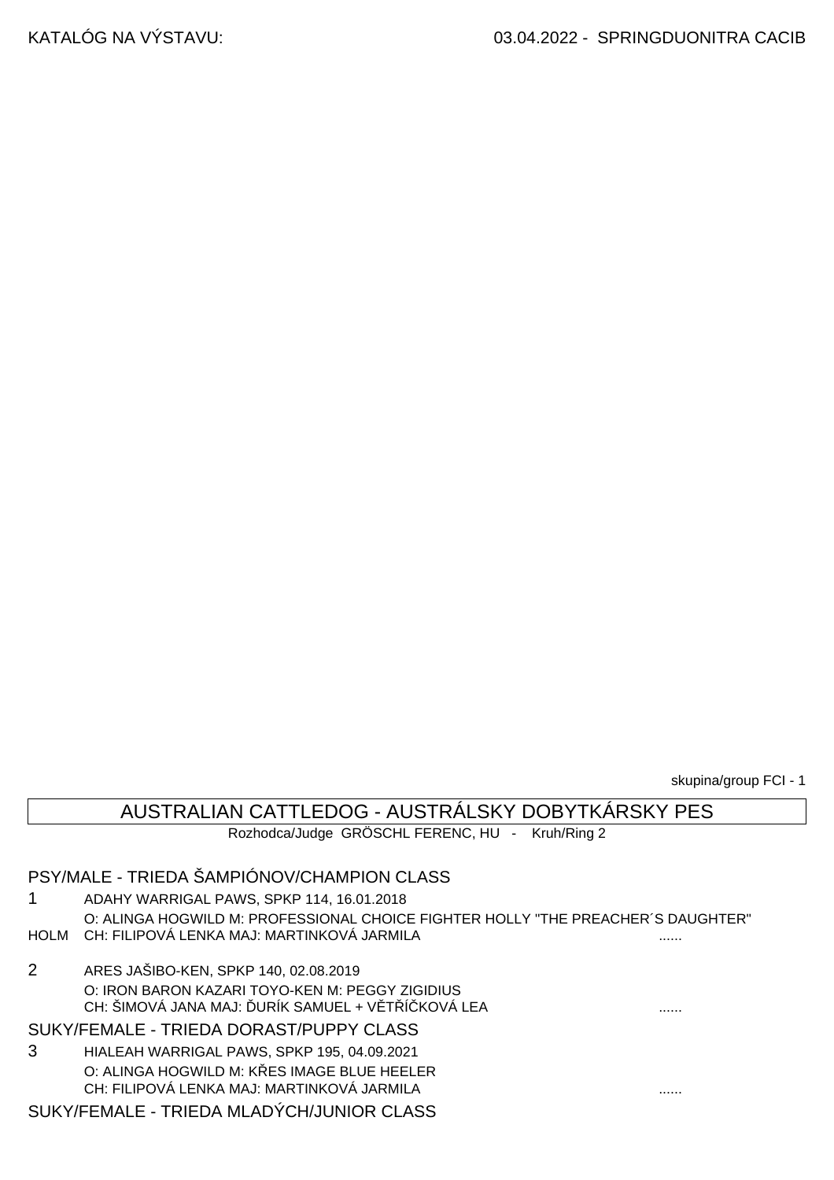skupina/group FCI - 1

## AUSTRALIAN CATTLEDOG - AUSTRÁLSKY DOBYTKÁRSKY PES

Rozhodca/Judge GRÖSCHL FERENC, HU - Kruh/Ring 2

### PSY/MALE - TRIEDA ŠAMPIÓNOV/CHAMPION CLASS

1 ADAHY WARRIGAL PAWS, SPKP 114, 16.01.2018 O: ALINGA HOGWILD M: PROFESSIONAL CHOICE FIGHTER HOLLY "THE PREACHER´S DAUGHTER" HOLM CH: FILIPOVÁ LENKA MAJ: MARTINKOVÁ JARMILA ......

2 ARES JAŠIBO-KEN, SPKP 140, 02.08.2019 O: IRON BARON KAZARI TOYO-KEN M: PEGGY ZIGIDIUS CH: ŠIMOVÁ JANA MAJ: ĎURÍK SAMUEL + VĚTŘÍČKOVÁ LEA ......

SUKY/FEMALE - TRIEDA DORAST/PUPPY CLASS

3 HIALEAH WARRIGAL PAWS, SPKP 195, 04.09.2021 O: ALINGA HOGWILD M: K ES IMAGE BLUE HEELER CH: FILIPOVÁ LENKA MAJ: MARTINKOVÁ JARMILA ......

#### SUKY/FEMALE - TRIEDA MLADÝCH/JUNIOR CLASS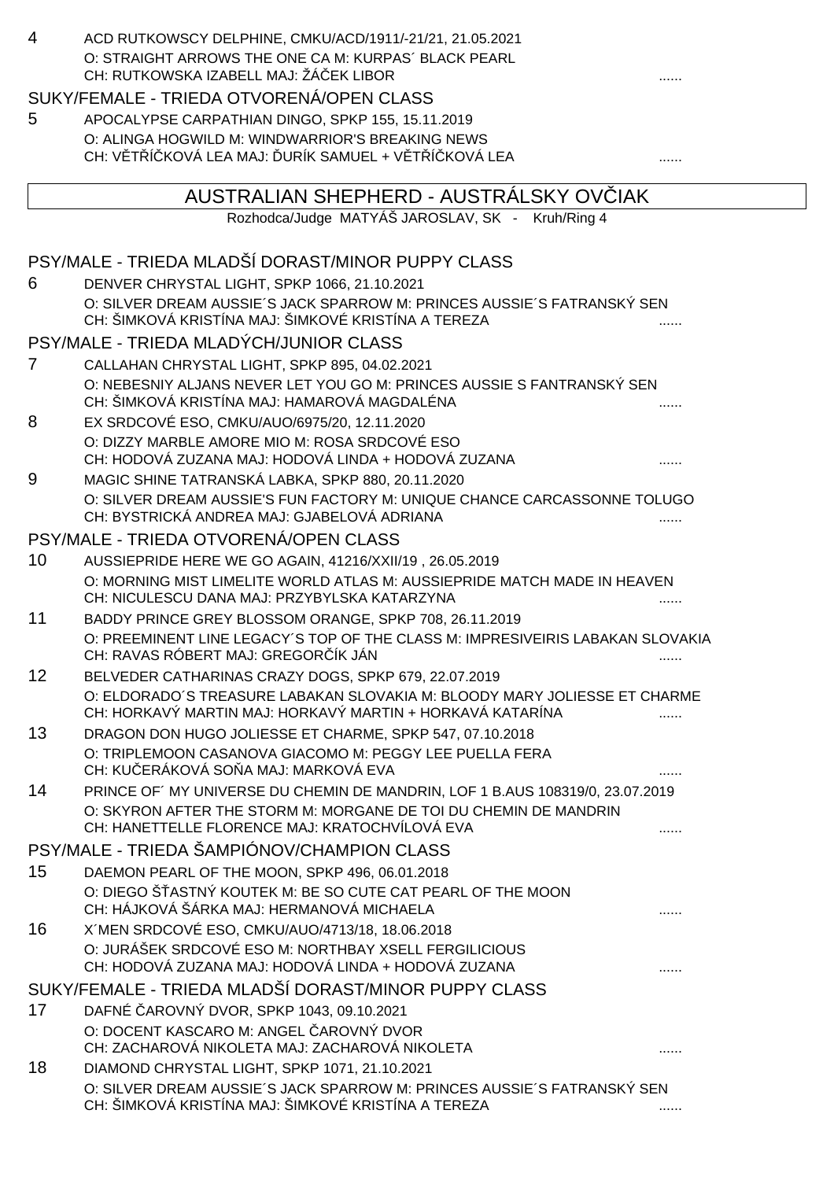| $\overline{4}$ | ACD RUTKOWSCY DELPHINE, CMKU/ACD/1911/-21/21, 21.05.2021                                                                               |   |
|----------------|----------------------------------------------------------------------------------------------------------------------------------------|---|
|                | O: STRAIGHT ARROWS THE ONE CA M: KURPAS' BLACK PEARL<br>CH: RUTKOWSKA IZABELL MAJ: ŽÁ EK LIBOR                                         |   |
|                | SUKY/FEMALE - TRIEDA OTVORENÁ/OPEN CLASS                                                                                               |   |
| 5              | APOCALYPSE CARPATHIAN DINGO, SPKP 155, 15.11.2019                                                                                      |   |
|                | O: ALINGA HOGWILD M: WINDWARRIOR'S BREAKING NEWS<br>CH: V T Í KOVÁ LEA MAJ: URÍK SAMUEL + V T Í KOVÁ LEA                               |   |
|                | AUSTRALIAN SHEPHERD - AUSTRALSKY OV IAK                                                                                                |   |
|                | Rozhodca/Judge MATYÁŠ JAROSLAV, SK - Kruh/Ring 4                                                                                       |   |
|                | PSY/MALE - TRIEDA MLADŠÍ DORAST/MINOR PUPPY CLASS                                                                                      |   |
| 6              | DENVER CHRYSTAL LIGHT, SPKP 1066, 21.10.2021                                                                                           |   |
|                | O: SILVER DREAM AUSSIE'S JACK SPARROW M: PRINCES AUSSIE'S FATRANSKÝ SEN<br>CH: ŠIMKOVÁ KRISTÍNA MAJ: ŠIMKOVÉ KRISTÍNA A TEREZA         |   |
|                | PSY/MALE - TRIEDA MLADÝCH/JUNIOR CLASS                                                                                                 |   |
| 7              | CALLAHAN CHRYSTAL LIGHT, SPKP 895, 04.02.2021                                                                                          |   |
|                | O: NEBESNIY ALJANS NEVER LET YOU GO M: PRINCES AUSSIE S FANTRANSKÝ SEN<br>CH: ŠIMKOVÁ KRISTÍNA MAJ: HAMAROVÁ MAGDALÉNA                 |   |
| 8              | EX SRDCOVÉ ESO, CMKU/AUO/6975/20, 12.11.2020                                                                                           |   |
|                | O: DIZZY MARBLE AMORE MIO M: ROSA SRDCOVÉ ESO<br>CH: HODOVÁ ZUZANA MAJ: HODOVÁ LINDA + HODOVÁ ZUZANA                                   |   |
| 9              | MAGIC SHINE TATRANSKÁ LABKA, SPKP 880, 20.11.2020                                                                                      |   |
|                | O: SILVER DREAM AUSSIE'S FUN FACTORY M: UNIQUE CHANCE CARCASSONNE TOLUGO<br>CH: BYSTRICKÁ ANDREA MAJ: GJABELOVÁ ADRIANA                |   |
|                | PSY/MALE - TRIEDA OTVORENÁ/OPEN CLASS                                                                                                  |   |
| 10             | AUSSIEPRIDE HERE WE GO AGAIN, 41216/XXII/19, 26.05.2019                                                                                |   |
|                | O: MORNING MIST LIMELITE WORLD ATLAS M: AUSSIEPRIDE MATCH MADE IN HEAVEN<br>CH: NICULESCU DANA MAJ: PRZYBYLSKA KATARZYNA               |   |
| 11             | BADDY PRINCE GREY BLOSSOM ORANGE, SPKP 708, 26.11.2019                                                                                 |   |
|                | O: PREEMINENT LINE LEGACY'S TOP OF THE CLASS M: IMPRESIVEIRIS LABAKAN SLOVAKIA<br>CH: RAVAS RÓBERT MAJ: GREGOR ÍK JÁN                  |   |
| 12             | BELVEDER CATHARINAS CRAZY DOGS, SPKP 679, 22.07.2019                                                                                   |   |
|                | O: ELDORADO'S TREASURE LABAKAN SLOVAKIA M: BLOODY MARY JOLIESSE ET CHARME<br>CH: HORKAVÝ MARTIN MAJ: HORKAVÝ MARTIN + HORKAVÁ KATARÍNA |   |
| 13             | DRAGON DON HUGO JOLIESSE ET CHARME, SPKP 547, 07.10.2018                                                                               |   |
|                | O: TRIPLEMOON CASANOVA GIACOMO M: PEGGY LEE PUELLA FERA<br>CH: KU ERÁKOVÁ SO A MAJ: MARKOVÁ EVA                                        |   |
| 14             | PRINCE OF' MY UNIVERSE DU CHEMIN DE MANDRIN, LOF 1 B.AUS 108319/0, 23.07.2019                                                          |   |
|                | O: SKYRON AFTER THE STORM M: MORGANE DE TOI DU CHEMIN DE MANDRIN<br>CH: HANETTELLE FLORENCE MAJ: KRATOCHVÍLOVÁ EVA                     |   |
|                | PSY/MALE - TRIEDA ŠAMPIÓNOV/CHAMPION CLASS                                                                                             |   |
| 15             | DAEMON PEARL OF THE MOON, SPKP 496, 06.01.2018                                                                                         |   |
|                | O: DIEGO ŠASTNÝ KOUTEK M: BE SO CUTE CAT PEARL OF THE MOON<br>CH: HÁJKOVÁ ŠÁRKA MAJ: HERMANOVÁ MICHAELA                                |   |
| 16             | X'MEN SRDCOVÉ ESO, CMKU/AUO/4713/18, 18.06.2018                                                                                        |   |
|                | O: JURÁŠEK SRDCOVÉ ESO M: NORTHBAY XSELL FERGILICIOUS<br>CH: HODOVÁ ZUZANA MAJ: HODOVÁ LINDA + HODOVÁ ZUZANA                           |   |
|                | SUKY/FEMALE - TRIEDA MLADŠÍ DORAST/MINOR PUPPY CLASS                                                                                   |   |
| 17             | DAFNÉ AROVNÝ DVOR, SPKP 1043, 09.10.2021                                                                                               |   |
|                | O: DOCENT KASCARO M: ANGEL AROVNÝ DVOR<br>CH: ZACHAROVÁ NIKOLETA MAJ: ZACHAROVÁ NIKOLETA                                               |   |
| 18             | DIAMOND CHRYSTAL LIGHT, SPKP 1071, 21.10.2021                                                                                          |   |
|                | O: SILVER DREAM AUSSIE'S JACK SPARROW M: PRINCES AUSSIE'S FATRANSKÝ SEN                                                                |   |
|                | CH: ŠIMKOVÁ KRISTÍNA MAJ: ŠIMKOVÉ KRISTÍNA A TEREZA                                                                                    | . |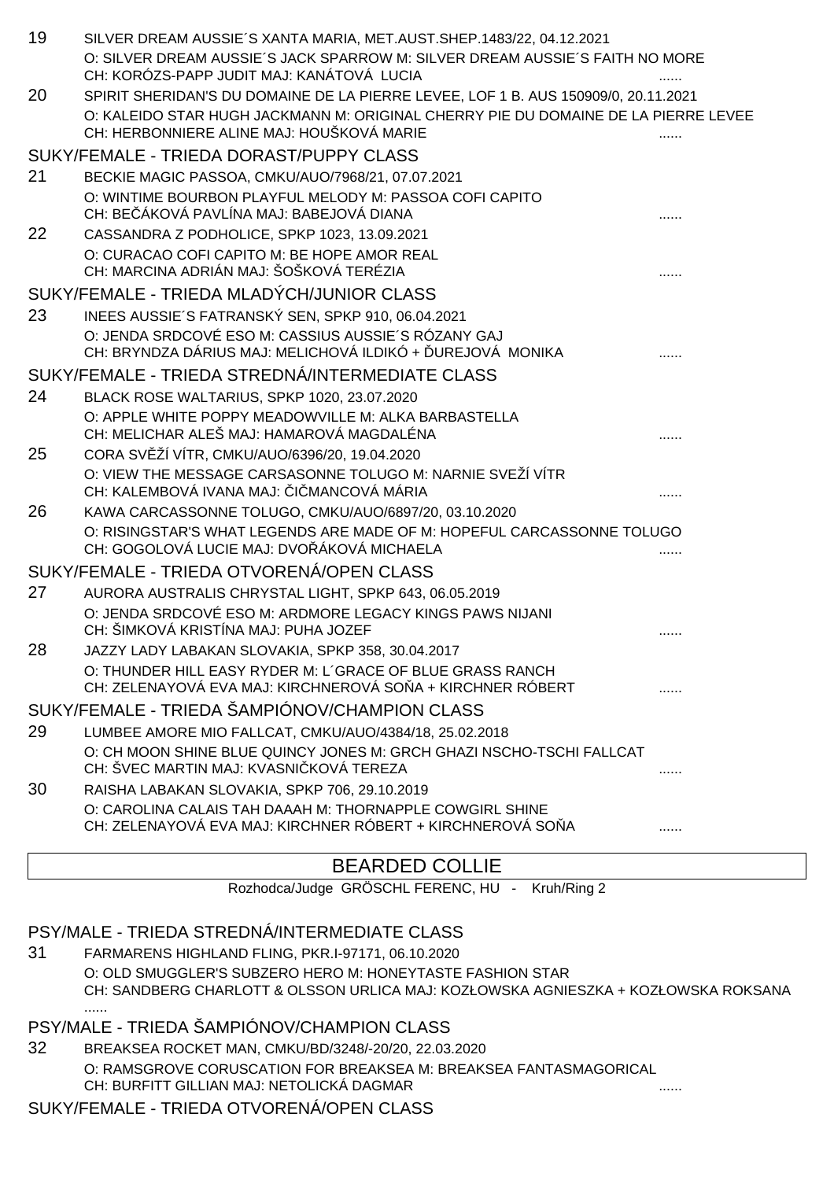| 19 | SILVER DREAM AUSSIE'S XANTA MARIA, MET.AUST.SHEP.1483/22, 04.12.2021<br>O: SILVER DREAM AUSSIE'S JACK SPARROW M: SILVER DREAM AUSSIE'S FAITH NO MORE<br>CH: KORÓZS-PAPP JUDIT MAJ: KANÁTOVÁ LUCIA                     |  |
|----|-----------------------------------------------------------------------------------------------------------------------------------------------------------------------------------------------------------------------|--|
| 20 | SPIRIT SHERIDAN'S DU DOMAINE DE LA PIERRE LEVEE, LOF 1 B. AUS 150909/0, 20.11.2021<br>O: KALEIDO STAR HUGH JACKMANN M: ORIGINAL CHERRY PIE DU DOMAINE DE LA PIERRE LEVEE<br>CH: HERBONNIERE ALINE MAJ: HOUŠKOVÁ MARIE |  |
|    | SUKY/FEMALE - TRIEDA DORAST/PUPPY CLASS                                                                                                                                                                               |  |
| 21 | BECKIE MAGIC PASSOA, CMKU/AUO/7968/21, 07.07.2021                                                                                                                                                                     |  |
|    | O: WINTIME BOURBON PLAYFUL MELODY M: PASSOA COFI CAPITO<br>CH: BE ÁKOVÁ PAVLÍNA MAJ: BABEJOVÁ DIANA                                                                                                                   |  |
| 22 | CASSANDRA Z PODHOLICE, SPKP 1023, 13.09.2021                                                                                                                                                                          |  |
|    | O: CURACAO COFI CAPITO M: BE HOPE AMOR REAL<br>CH: MARCINA ADRIÁN MAJ: ŠOŠKOVÁ TERÉZIA                                                                                                                                |  |
|    | SUKY/FEMALE - TRIEDA MLADÝCH/JUNIOR CLASS                                                                                                                                                                             |  |
| 23 | INEES AUSSIE'S FATRANSKÝ SEN, SPKP 910, 06.04.2021                                                                                                                                                                    |  |
|    | O: JENDA SRDCOVÉ ESO M: CASSIUS AUSSIE'S RÓZANY GAJ<br>CH: BRYNDZA DÁRIUS MAJ: MELICHOVÁ ILDIKÓ + UREJOVÁ MONIKA                                                                                                      |  |
|    | SUKY/FEMALE - TRIEDA STREDNÁ/INTERMEDIATE CLASS                                                                                                                                                                       |  |
| 24 | BLACK ROSE WALTARIUS, SPKP 1020, 23.07.2020                                                                                                                                                                           |  |
|    | O: APPLE WHITE POPPY MEADOWVILLE M: ALKA BARBASTELLA<br>CH: MELICHAR ALEŠ MAJ: HAMAROVÁ MAGDALÉNA                                                                                                                     |  |
| 25 | CORA SV ŽÍ VÍTR, CMKU/AUO/6396/20, 19.04.2020                                                                                                                                                                         |  |
|    | O: VIEW THE MESSAGE CARSASONNE TOLUGO M: NARNIE SVEŽÍ VÍTR<br>CH: KALEMBOVÁ IVANA MAJ: I MANCOVÁ MÁRIA                                                                                                                |  |
| 26 | KAWA CARCASSONNE TOLUGO, CMKU/AUO/6897/20, 03.10.2020                                                                                                                                                                 |  |
|    | O: RISINGSTAR'S WHAT LEGENDS ARE MADE OF M: HOPEFUL CARCASSONNE TOLUGO<br>CH: GOGOLOVÁ LUCIE MAJ: DVO ÁKOVÁ MICHAELA                                                                                                  |  |
|    | SUKY/FEMALE - TRIEDA OTVORENÁ/OPEN CLASS                                                                                                                                                                              |  |
| 27 | AURORA AUSTRALIS CHRYSTAL LIGHT, SPKP 643, 06.05.2019                                                                                                                                                                 |  |
|    | O: JENDA SRDCOVÉ ESO M: ARDMORE LEGACY KINGS PAWS NIJANI<br>CH: ŠIMKOVÁ KRISTÍNA MAJ: PUHA JOZEF                                                                                                                      |  |
| 28 | JAZZY LADY LABAKAN SLOVAKIA, SPKP 358, 30.04.2017                                                                                                                                                                     |  |
|    | O: THUNDER HILL EASY RYDER M: L'GRACE OF BLUE GRASS RANCH<br>CH: ZELENAYOVÁ EVA MAJ: KIRCHNEROVÁ SO A + KIRCHNER RÓBERT                                                                                               |  |
|    | SUKY/FEMALE - TRIEDA ŠAMPIÓNOV/CHAMPION CLASS                                                                                                                                                                         |  |
| 29 | LUMBEE AMORE MIO FALLCAT, CMKU/AUO/4384/18, 25.02.2018                                                                                                                                                                |  |
|    | O: CH MOON SHINE BLUE QUINCY JONES M: GRCH GHAZI NSCHO-TSCHI FALLCAT<br>CH: ŠVEC MARTIN MAJ: KVASNI KOVÁ TEREZA                                                                                                       |  |
| 30 | RAISHA LABAKAN SLOVAKIA, SPKP 706, 29.10.2019                                                                                                                                                                         |  |
|    | O: CAROLINA CALAIS TAH DAAAH M: THORNAPPLE COWGIRL SHINE<br>CH: ZELENAYOVÁ EVA MAJ: KIRCHNER RÓBERT + KIRCHNEROVÁ SO A                                                                                                |  |
|    |                                                                                                                                                                                                                       |  |

# BEARDED COLLIE

Rozhodca/Judge GRÖSCHL FERENC, HU - Kruh/Ring 2

## PSY/MALE - TRIEDA STREDNÁ/INTERMEDIATE CLASS

31 FARMARENS HIGHLAND FLING, PKR.I-97171, 06.10.2020 O: OLD SMUGGLER'S SUBZERO HERO M: HONEYTASTE FASHION STAR CH: SANDBERG CHARLOTT & OLSSON URLICA MAJ: KOZŁOWSKA AGNIESZKA + KOZŁOWSKA ROKSANA ......

## PSY/MALE - TRIEDA ŠAMPIÓNOV/CHAMPION CLASS

32 BREAKSEA ROCKET MAN, CMKU/BD/3248/-20/20, 22.03.2020 O: RAMSGROVE CORUSCATION FOR BREAKSEA M: BREAKSEA FANTASMAGORICAL CH: BURFITT GILLIAN MAJ: NETOLICKÁ DAGMAR ......

## SUKY/FEMALE - TRIEDA OTVORENÁ/OPEN CLASS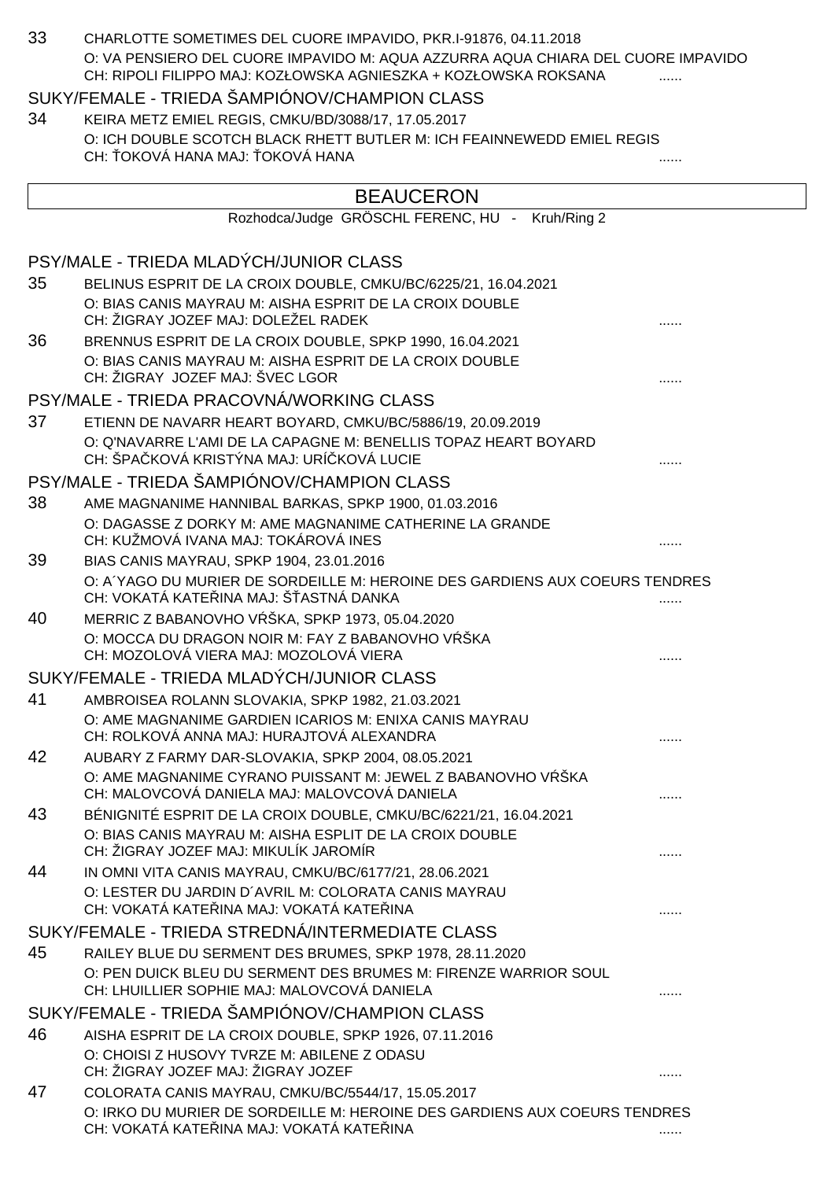| 33 | CHARLOTTE SOMETIMES DEL CUORE IMPAVIDO, PKR.I-91876, 04.11.2018                                                                                     |   |
|----|-----------------------------------------------------------------------------------------------------------------------------------------------------|---|
|    | O: VA PENSIERO DEL CUORE IMPAVIDO M: AQUA AZZURRA AQUA CHIARA DEL CUORE IMPAVIDO<br>CH: RIPOLI FILIPPO MAJ: KOZŁOWSKA AGNIESZKA + KOZŁOWSKA ROKSANA |   |
|    | SUKY/FEMALE - TRIEDA ŠAMPIÓNOV/CHAMPION CLASS                                                                                                       |   |
| 34 | KEIRA METZ EMIEL REGIS, CMKU/BD/3088/17, 17.05.2017                                                                                                 |   |
|    | O: ICH DOUBLE SCOTCH BLACK RHETT BUTLER M: ICH FEAINNEWEDD EMIEL REGIS<br>CH: OKOVÁ HANA MAJ: OKOVÁ HANA                                            |   |
|    | <b>BEAUCERON</b>                                                                                                                                    |   |
|    | Rozhodca/Judge GRÖSCHL FERENC, HU - Kruh/Ring 2                                                                                                     |   |
|    | PSY/MALE - TRIEDA MLADÝCH/JUNIOR CLASS                                                                                                              |   |
| 35 | BELINUS ESPRIT DE LA CROIX DOUBLE, CMKU/BC/6225/21, 16.04.2021                                                                                      |   |
|    | O: BIAS CANIS MAYRAU M: AISHA ESPRIT DE LA CROIX DOUBLE<br>CH: ŽIGRAY JOZEF MAJ: DOLEŽEL RADEK                                                      |   |
| 36 | BRENNUS ESPRIT DE LA CROIX DOUBLE, SPKP 1990, 16.04.2021                                                                                            |   |
|    | O: BIAS CANIS MAYRAU M: AISHA ESPRIT DE LA CROIX DOUBLE<br>CH: ŽIGRAY JOZEF MAJ: ŠVEC LGOR                                                          |   |
|    | PSY/MALE - TRIEDA PRACOVNÁ/WORKING CLASS                                                                                                            |   |
| 37 | ETIENN DE NAVARR HEART BOYARD, CMKU/BC/5886/19, 20.09.2019                                                                                          |   |
|    | O: Q'NAVARRE L'AMI DE LA CAPAGNE M: BENELLIS TOPAZ HEART BOYARD<br>CH: ŠPA KOVÁ KRISTÝNA MAJ: URÍ KOVÁ LUCIE                                        |   |
|    | PSY/MALE - TRIEDA ŠAMPIÓNOV/CHAMPION CLASS                                                                                                          |   |
| 38 | AME MAGNANIME HANNIBAL BARKAS, SPKP 1900, 01.03.2016                                                                                                |   |
|    | O: DAGASSE Z DORKY M: AME MAGNANIME CATHERINE LA GRANDE<br>CH: KUŽMOVÁ IVANA MAJ: TOKÁROVÁ INES                                                     |   |
| 39 | BIAS CANIS MAYRAU, SPKP 1904, 23.01.2016                                                                                                            |   |
|    | O: A YAGO DU MURIER DE SORDEILLE M: HEROINE DES GARDIENS AUX COEURS TENDRES<br>CH: VOKATÁ KATE INA MAJ: Š ASTNÁ DANKA                               | . |
| 40 | MERRIC Z BABANOVHO V ŠKA, SPKP 1973, 05.04.2020                                                                                                     |   |
|    | O: MOCCA DU DRAGON NOIR M: FAY Z BABANOVHO V ŠKA<br>CH: MOZOLOVÁ VIERA MAJ: MOZOLOVÁ VIERA                                                          |   |
|    | SUKY/FEMALE - TRIEDA MLADÝCH/JUNIOR CLASS                                                                                                           |   |
| 41 | AMBROISEA ROLANN SLOVAKIA, SPKP 1982, 21.03.2021                                                                                                    |   |
|    | O: AME MAGNANIME GARDIEN ICARIOS M: ENIXA CANIS MAYRAU<br>CH: ROLKOVÁ ANNA MAJ: HURAJTOVÁ ALEXANDRA                                                 |   |
| 42 | AUBARY Z FARMY DAR-SLOVAKIA, SPKP 2004, 08.05.2021                                                                                                  |   |
|    | O: AME MAGNANIME CYRANO PUISSANT M: JEWEL Z BABANOVHO V ŠKA<br>CH: MALOVCOVÁ DANIELA MAJ: MALOVCOVÁ DANIELA                                         |   |
| 43 | BÉNIGNITÉ ESPRIT DE LA CROIX DOUBLE, CMKU/BC/6221/21, 16.04.2021                                                                                    |   |
|    | O: BIAS CANIS MAYRAU M: AISHA ESPLIT DE LA CROIX DOUBLE<br>CH: ŽIGRAY JOZEF MAJ: MIKULÍK JAROMÍR                                                    |   |
| 44 | IN OMNI VITA CANIS MAYRAU, CMKU/BC/6177/21, 28.06.2021                                                                                              |   |
|    | O: LESTER DU JARDIN D'AVRIL M: COLORATA CANIS MAYRAU<br>CH: VOKATÁ KATE INA MAJ: VOKATÁ KATE INA                                                    |   |
|    | SUKY/FEMALE - TRIEDA STREDNÁ/INTERMEDIATE CLASS                                                                                                     |   |
| 45 | RAILEY BLUE DU SERMENT DES BRUMES, SPKP 1978, 28.11.2020                                                                                            |   |
|    | O: PEN DUICK BLEU DU SERMENT DES BRUMES M: FIRENZE WARRIOR SOUL<br>CH: LHUILLIER SOPHIE MAJ: MALOVCOVÁ DANIELA                                      |   |
|    | SUKY/FEMALE - TRIEDA ŠAMPIÓNOV/CHAMPION CLASS                                                                                                       |   |
| 46 | AISHA ESPRIT DE LA CROIX DOUBLE, SPKP 1926, 07.11.2016<br>O: CHOISI Z HUSOVY TVRZE M: ABILENE Z ODASU<br>CH: ŽIGRAY JOZEF MAJ: ŽIGRAY JOZEF         |   |
| 47 | COLORATA CANIS MAYRAU, CMKU/BC/5544/17, 15.05.2017                                                                                                  |   |
|    | O: IRKO DU MURIER DE SORDEILLE M: HEROINE DES GARDIENS AUX COEURS TENDRES<br>CH: VOKATÁ KATE INA MAJ: VOKATÁ KATE INA                               |   |
|    |                                                                                                                                                     |   |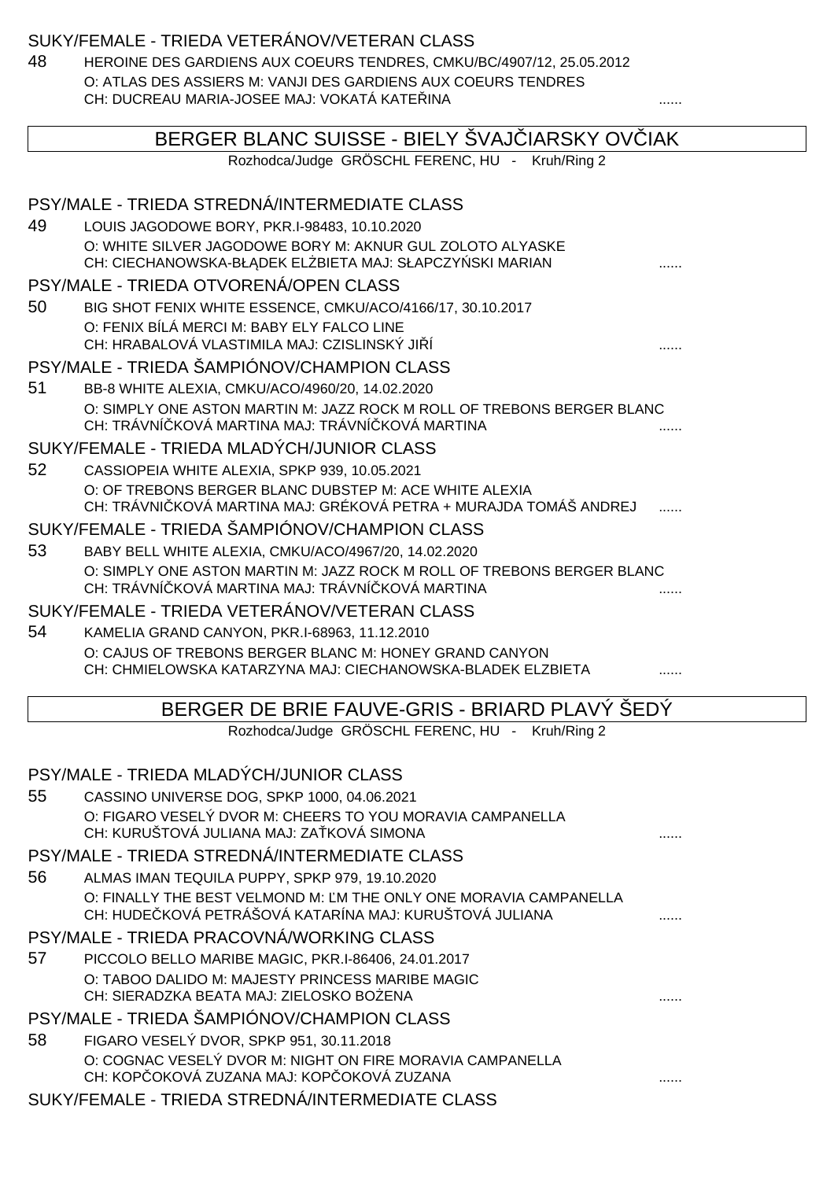## SUKY/FEMALE - TRIEDA VETERÁNOV/VETERAN CLASS

48 HEROINE DES GARDIENS AUX COEURS TENDRES, CMKU/BC/4907/12, 25.05.2012 O: ATLAS DES ASSIERS M: VANJI DES GARDIENS AUX COEURS TENDRES

|    | CH: DUCREAU MARIA-JOSEE MAJ: VOKATA KATE INA                                                                                   |  |
|----|--------------------------------------------------------------------------------------------------------------------------------|--|
|    | BERGER BLANC SUISSE - BIELY SVAJ IARSKY OV IAK                                                                                 |  |
|    | Rozhodca/Judge GRÖSCHL FERENC, HU - Kruh/Ring 2                                                                                |  |
|    | PSY/MALE - TRIEDA STREDNÁ/INTERMEDIATE CLASS                                                                                   |  |
| 49 | LOUIS JAGODOWE BORY, PKR.I-98483, 10.10.2020                                                                                   |  |
|    | O: WHITE SILVER JAGODOWE BORY M: AKNUR GUL ZOLOTO ALYASKE                                                                      |  |
|    | CH: CIECHANOWSKA-BŁ DEK EL BIETA MAJ: SŁAPCZY SKI MARIAN                                                                       |  |
|    | PSY/MALE - TRIEDA OTVORENÁ/OPEN CLASS                                                                                          |  |
| 50 | BIG SHOT FENIX WHITE ESSENCE, CMKU/ACO/4166/17, 30.10.2017                                                                     |  |
|    | O: FENIX BÍLÁ MERCI M: BABY ELY FALCO LINE                                                                                     |  |
|    | CH: HRABALOVÁ VLASTIMILA MAJ: CZISLINSKÝ JI Í<br>PSY/MALE - TRIEDA ŠAMPIÓNOV/CHAMPION CLASS                                    |  |
|    |                                                                                                                                |  |
| 51 | BB-8 WHITE ALEXIA, CMKU/ACO/4960/20, 14.02.2020<br>O: SIMPLY ONE ASTON MARTIN M: JAZZ ROCK M ROLL OF TREBONS BERGER BLANC      |  |
|    | CH: TRÁVNÍ KOVÁ MARTINA MAJ: TRÁVNÍ KOVÁ MARTINA                                                                               |  |
|    | SUKY/FEMALE - TRIEDA MLADÝCH/JUNIOR CLASS                                                                                      |  |
| 52 | CASSIOPEIA WHITE ALEXIA, SPKP 939, 10.05.2021                                                                                  |  |
|    | O: OF TREBONS BERGER BLANC DUBSTEP M: ACE WHITE ALEXIA                                                                         |  |
|    | CH: TRÁVNI KOVÁ MARTINA MAJ: GRÉKOVÁ PETRA + MURAJDA TOMÁŠ ANDREJ                                                              |  |
|    | SUKY/FEMALE - TRIEDA ŠAMPIÓNOV/CHAMPION CLASS                                                                                  |  |
| 53 | BABY BELL WHITE ALEXIA, CMKU/ACO/4967/20, 14.02.2020<br>O: SIMPLY ONE ASTON MARTIN M: JAZZ ROCK M ROLL OF TREBONS BERGER BLANC |  |
|    | CH: TRÁVNÍ KOVÁ MARTINA MAJ: TRÁVNÍ KOVÁ MARTINA                                                                               |  |
|    | SUKY/FEMALE - TRIEDA VETERÁNOV/VETERAN CLASS                                                                                   |  |
| 54 | KAMELIA GRAND CANYON, PKR.I-68963, 11.12.2010                                                                                  |  |
|    | O: CAJUS OF TREBONS BERGER BLANC M: HONEY GRAND CANYON                                                                         |  |
|    | CH: CHMIELOWSKA KATARZYNA MAJ: CIECHANOWSKA-BLADEK ELZBIETA                                                                    |  |
|    | BERGER DE BRIE FAUVE-GRIS - BRIARD PLAVY SEDY                                                                                  |  |
|    | Rozhodca/Judge GRÖSCHL FERENC, HU - Kruh/Ring 2                                                                                |  |
|    | PSY/MALE - TRIEDA MLADÝCH/JUNIOR CLASS                                                                                         |  |
| 55 | CASSINO UNIVERSE DOG, SPKP 1000, 04.06.2021                                                                                    |  |
|    | O: FIGARO VESELÝ DVOR M: CHEERS TO YOU MORAVIA CAMPANELLA                                                                      |  |
|    | CH: KURUŠTOVÁ JULIANA MAJ: ZA KOVÁ SIMONA                                                                                      |  |
|    | PSY/MALE - TRIEDA STREDNÁ/INTERMEDIATE CLASS                                                                                   |  |
| 56 | ALMAS IMAN TEQUILA PUPPY, SPKP 979, 19.10.2020                                                                                 |  |
|    | O: FINALLY THE BEST VELMOND M: M THE ONLY ONE MORAVIA CAMPANELLA                                                               |  |
|    | CH: HUDE KOVÁ PETRÁŠOVÁ KATARÍNA MAJ: KURUŠTOVÁ JULIANA                                                                        |  |
|    | PSY/MALE - TRIEDA PRACOVNÁ/WORKING CLASS                                                                                       |  |
| 57 | PICCOLO BELLO MARIBE MAGIC, PKR.I-86406, 24.01.2017                                                                            |  |
|    | O: TABOO DALIDO M: MAJESTY PRINCESS MARIBE MAGIC<br>CH: SIERADZKA BEATA MAJ: ZIELOSKO BO ENA                                   |  |
|    | PSY/MALE - TRIEDA ŠAMPIÓNOV/CHAMPION CLASS                                                                                     |  |
| 58 | FIGARO VESELÝ DVOR, SPKP 951, 30.11.2018                                                                                       |  |
|    | O: COGNAC VESELÝ DVOR M: NIGHT ON FIRE MORAVIA CAMPANELLA                                                                      |  |
|    | CH: KOP OKOVÁ ZUZANA MAJ: KOP OKOVÁ ZUZANA                                                                                     |  |
|    | SUKY/FEMALE - TRIEDA STREDNÁ/INTERMEDIATE CLASS                                                                                |  |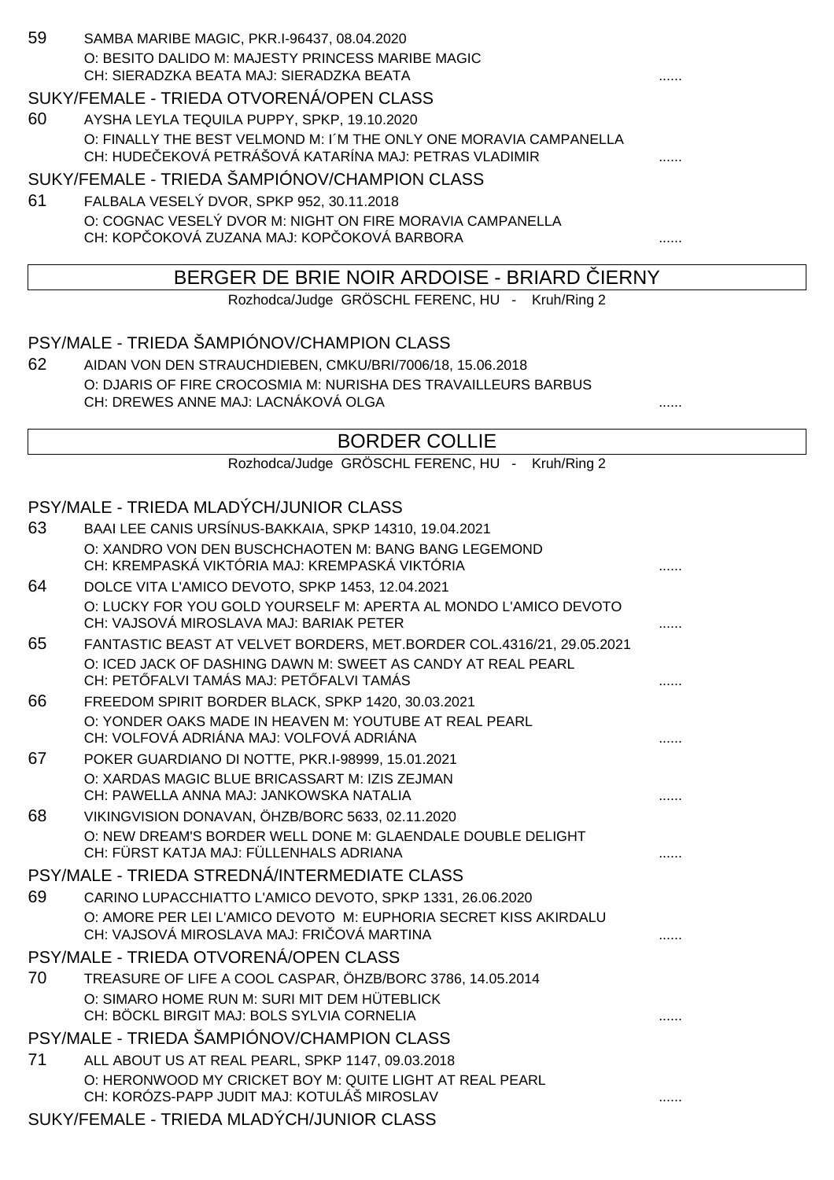| 59 | SAMBA MARIBE MAGIC, PKR I-96437, 08.04.2020       |  |
|----|---------------------------------------------------|--|
|    | O: BESITO DALIDO M: MAJESTY PRINCESS MARIBE MAGIC |  |
|    | CH: SIERADZKA BEATA MAJ: SIERADZKA BEATA          |  |

### SUKY/FEMALE - TRIEDA OTVORENÁ/OPEN CLASS

60 AYSHA LEYLA TEQUILA PUPPY, SPKP, 19.10.2020 O: FINALLY THE BEST VELMOND M: I´M THE ONLY ONE MORAVIA CAMPANELLA CH: HUDE EKOVÁ PETRÁŠOVÁ KATARÍNA MAJ: PETRAS VLADIMIR .......

#### SUKY/FEMALE - TRIEDA ŠAMPIÓNOV/CHAMPION CLASS

61 FALBALA VESELÝ DVOR, SPKP 952, 30.11.2018 O: COGNAC VESELÝ DVOR M: NIGHT ON FIRE MORAVIA CAMPANELLA CH: KOP OKOVÁ ZUZANA MAJ: KOP OKOVÁ BARBORA .......

### BERGER DE BRIE NOIR ARDOISE - BRIARD IERNY

Rozhodca/Judge GRÖSCHL FERENC, HU - Kruh/Ring 2

### PSY/MALE - TRIEDA ŠAMPIÓNOV/CHAMPION CLASS

62 AIDAN VON DEN STRAUCHDIEBEN, CMKU/BRI/7006/18, 15.06.2018 O: DJARIS OF FIRE CROCOSMIA M: NURISHA DES TRAVAILLEURS BARBUS CH: DREWES ANNE MAJ: LACNÁKOVÁ OLGA

## BORDER COLLIE

Rozhodca/Judge GRÖSCHL FERENC, HU - Kruh/Ring 2

## PSY/MALE - TRIEDA MLADÝCH/JUNIOR CLASS

| 63 | BAAI LEE CANIS URSÍNUS-BAKKAIA, SPKP 14310, 19.04.2021                                                      |  |
|----|-------------------------------------------------------------------------------------------------------------|--|
|    | O: XANDRO VON DEN BUSCHCHAOTEN M: BANG BANG LEGEMOND<br>CH: KREMPASKÁ VIKTÓRIA MAJ: KREMPASKÁ VIKTÓRIA      |  |
|    |                                                                                                             |  |
| 64 | DOLCE VITA L'AMICO DEVOTO, SPKP 1453, 12.04.2021                                                            |  |
|    | O: LUCKY FOR YOU GOLD YOURSELF M: APERTA AL MONDO L'AMICO DEVOTO<br>CH: VAJSOVÁ MIROSLAVA MAJ: BARIAK PETER |  |
| 65 | FANTASTIC BEAST AT VELVET BORDERS, MET.BORDER COL.4316/21, 29.05.2021                                       |  |
|    | O: ICED JACK OF DASHING DAWN M: SWEET AS CANDY AT REAL PEARL<br>CH: PET FALVI TAMÁS MAJ: PET FALVI TAMÁS    |  |
| 66 | FREEDOM SPIRIT BORDER BLACK, SPKP 1420, 30.03.2021                                                          |  |
|    | O: YONDER OAKS MADE IN HEAVEN M: YOUTUBE AT REAL PEARL<br>CH: VOLFOVÁ ADRIÁNA MAJ: VOLFOVÁ ADRIÁNA          |  |
| 67 | POKER GUARDIANO DI NOTTE, PKR.I-98999, 15.01.2021                                                           |  |
|    | O: XARDAS MAGIC BLUE BRICASSART M: IZIS ZEJMAN                                                              |  |
|    | CH: PAWELLA ANNA MAJ: JANKOWSKA NATALIA                                                                     |  |
| 68 | VIKINGVISION DONAVAN, ÖHZB/BORC 5633, 02.11.2020                                                            |  |
|    | O: NEW DREAM'S BORDER WELL DONE M: GLAENDALE DOUBLE DELIGHT<br>CH: FÜRST KATJA MAJ: FÜLLENHALS ADRIANA      |  |
|    | PSY/MALE - TRIEDA STREDNÁ/INTERMEDIATE CLASS                                                                |  |
| 69 | CARINO LUPACCHIATTO L'AMICO DEVOTO, SPKP 1331, 26.06.2020                                                   |  |
|    | O: AMORE PER LEI L'AMICO DEVOTO M: EUPHORIA SECRET KISS AKIRDALU                                            |  |
|    | CH: VAJSOVÁ MIROSLAVA MAJ: FRI OVÁ MARTINA                                                                  |  |
|    | PSY/MALE - TRIEDA OTVORENÁ/OPEN CLASS                                                                       |  |
| 70 | TREASURE OF LIFE A COOL CASPAR, ÖHZB/BORC 3786, 14.05.2014                                                  |  |
|    | O: SIMARO HOME RUN M: SURI MIT DEM HÜTEBLICK                                                                |  |
|    | CH: BÖCKL BIRGIT MAJ: BOLS SYLVIA CORNELIA                                                                  |  |
|    | PSY/MALE - TRIEDA ŠAMPIÓNOV/CHAMPION CLASS                                                                  |  |
| 71 | ALL ABOUT US AT REAL PEARL, SPKP 1147, 09.03.2018                                                           |  |
|    | O: HERONWOOD MY CRICKET BOY M: QUITE LIGHT AT REAL PEARL                                                    |  |
|    | CH: KORÓZS-PAPP JUDIT MAJ: KOTULÁŠ MIROSLAV                                                                 |  |
|    | SUKY/FEMALE - TRIEDA MLADÝCH/JUNIOR CLASS                                                                   |  |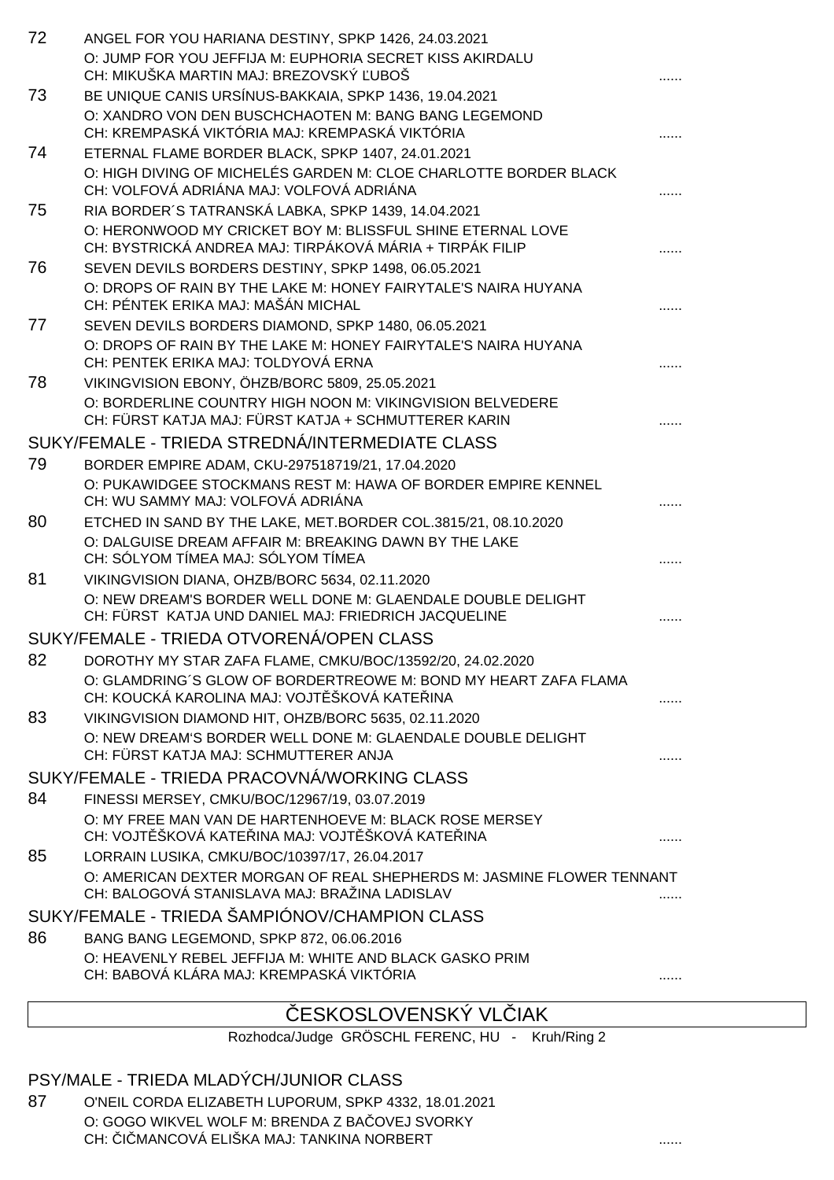| 72 | ANGEL FOR YOU HARIANA DESTINY, SPKP 1426, 24.03.2021                                                                   |  |
|----|------------------------------------------------------------------------------------------------------------------------|--|
|    | O: JUMP FOR YOU JEFFIJA M: EUPHORIA SECRET KISS AKIRDALU                                                               |  |
|    | CH: MIKUŠKA MARTIN MAJ: BREZOVSKÝ UBOŠ                                                                                 |  |
| 73 | BE UNIQUE CANIS URSÍNUS-BAKKAIA, SPKP 1436, 19.04.2021                                                                 |  |
|    | O: XANDRO VON DEN BUSCHCHAOTEN M: BANG BANG LEGEMOND<br>CH: KREMPASKÁ VIKTÓRIA MAJ: KREMPASKÁ VIKTÓRIA                 |  |
| 74 | ETERNAL FLAME BORDER BLACK, SPKP 1407, 24.01.2021                                                                      |  |
|    | O: HIGH DIVING OF MICHELÉS GARDEN M: CLOE CHARLOTTE BORDER BLACK<br>CH: VOLFOVÁ ADRIÁNA MAJ: VOLFOVÁ ADRIÁNA           |  |
| 75 | RIA BORDER'S TATRANSKÁ LABKA, SPKP 1439, 14.04.2021                                                                    |  |
|    | O: HERONWOOD MY CRICKET BOY M: BLISSFUL SHINE ETERNAL LOVE<br>CH: BYSTRICKÁ ANDREA MAJ: TIRPÁKOVÁ MÁRIA + TIRPÁK FILIP |  |
| 76 | SEVEN DEVILS BORDERS DESTINY, SPKP 1498, 06.05.2021                                                                    |  |
|    | O: DROPS OF RAIN BY THE LAKE M: HONEY FAIRYTALE'S NAIRA HUYANA<br>CH: PÉNTEK ERIKA MAJ: MAŠÁN MICHAL                   |  |
| 77 | SEVEN DEVILS BORDERS DIAMOND, SPKP 1480, 06.05.2021                                                                    |  |
|    | O: DROPS OF RAIN BY THE LAKE M: HONEY FAIRYTALE'S NAIRA HUYANA                                                         |  |
|    | CH: PENTEK ERIKA MAJ: TOLDYOVÁ ERNA                                                                                    |  |
| 78 | VIKINGVISION EBONY, ÖHZB/BORC 5809, 25.05.2021<br>O: BORDERLINE COUNTRY HIGH NOON M: VIKINGVISION BELVEDERE            |  |
|    | CH: FÜRST KATJA MAJ: FÜRST KATJA + SCHMUTTERER KARIN                                                                   |  |
|    | SUKY/FEMALE - TRIEDA STREDNÁ/INTERMEDIATE CLASS                                                                        |  |
| 79 | BORDER EMPIRE ADAM, CKU-297518719/21, 17.04.2020                                                                       |  |
|    | O: PUKAWIDGEE STOCKMANS REST M: HAWA OF BORDER EMPIRE KENNEL                                                           |  |
|    | CH: WU SAMMY MAJ: VOLFOVÁ ADRIÁNA                                                                                      |  |
| 80 | ETCHED IN SAND BY THE LAKE, MET.BORDER COL.3815/21, 08.10.2020                                                         |  |
|    | O: DALGUISE DREAM AFFAIR M: BREAKING DAWN BY THE LAKE<br>CH: SÓLYOM TÍMEA MAJ: SÓLYOM TÍMEA                            |  |
| 81 | VIKINGVISION DIANA, OHZB/BORC 5634, 02.11.2020                                                                         |  |
|    | O: NEW DREAM'S BORDER WELL DONE M: GLAENDALE DOUBLE DELIGHT<br>CH: FÜRST KATJA UND DANIEL MAJ: FRIEDRICH JACQUELINE    |  |
|    | SUKY/FEMALE - TRIEDA OTVORENÁ/OPEN CLASS                                                                               |  |
| 82 | DOROTHY MY STAR ZAFA FLAME, CMKU/BOC/13592/20, 24.02.2020                                                              |  |
|    | O: GLAMDRING'S GLOW OF BORDERTREOWE M: BOND MY HEART ZAFA FLAMA<br>CH: KOUCKÁ KAROLINA MAJ: VOJT ŠKOVÁ KATE INA        |  |
| 83 | VIKINGVISION DIAMOND HIT, OHZB/BORC 5635, 02.11.2020                                                                   |  |
|    | O: NEW DREAM'S BORDER WELL DONE M: GLAENDALE DOUBLE DELIGHT<br>CH: FÜRST KATJA MAJ: SCHMUTTERER ANJA                   |  |
|    | SUKY/FEMALE - TRIEDA PRACOVNÁ/WORKING CLASS                                                                            |  |
| 84 | FINESSI MERSEY, CMKU/BOC/12967/19, 03.07.2019                                                                          |  |
|    | O: MY FREE MAN VAN DE HARTENHOEVE M: BLACK ROSE MERSEY<br>CH: VOJT ŠKOVÁ KATE INA MAJ: VOJT ŠKOVÁ KATE INA             |  |
| 85 | LORRAIN LUSIKA, CMKU/BOC/10397/17, 26.04.2017                                                                          |  |
|    | O: AMERICAN DEXTER MORGAN OF REAL SHEPHERDS M: JASMINE FLOWER TENNANT<br>CH: BALOGOVÁ STANISLAVA MAJ: BRAŽINA LADISLAV |  |
|    | SUKY/FEMALE - TRIEDA ŠAMPIÓNOV/CHAMPION CLASS                                                                          |  |
| 86 | BANG BANG LEGEMOND, SPKP 872, 06.06.2016                                                                               |  |
|    | O: HEAVENLY REBEL JEFFIJA M: WHITE AND BLACK GASKO PRIM                                                                |  |
|    | CH: BABOVÁ KLÁRA MAJ: KREMPASKÁ VIKTÓRIA                                                                               |  |

# ESKOSLOVENSKÝ VL IAK

Rozhodca/Judge GRÖSCHL FERENC, HU - Kruh/Ring 2

## PSY/MALE - TRIEDA MLADÝCH/JUNIOR CLASS

87 O'NEIL CORDA ELIZABETH LUPORUM, SPKP 4332, 18.01.2021 O: GOGO WIKVEL WOLF M: BRENDA Z BA OVEJ SVORKY CH: I MANCOVÁ ELIŠKA MAJ: TANKINA NORBERT **And Australian CHICA (1994)** .......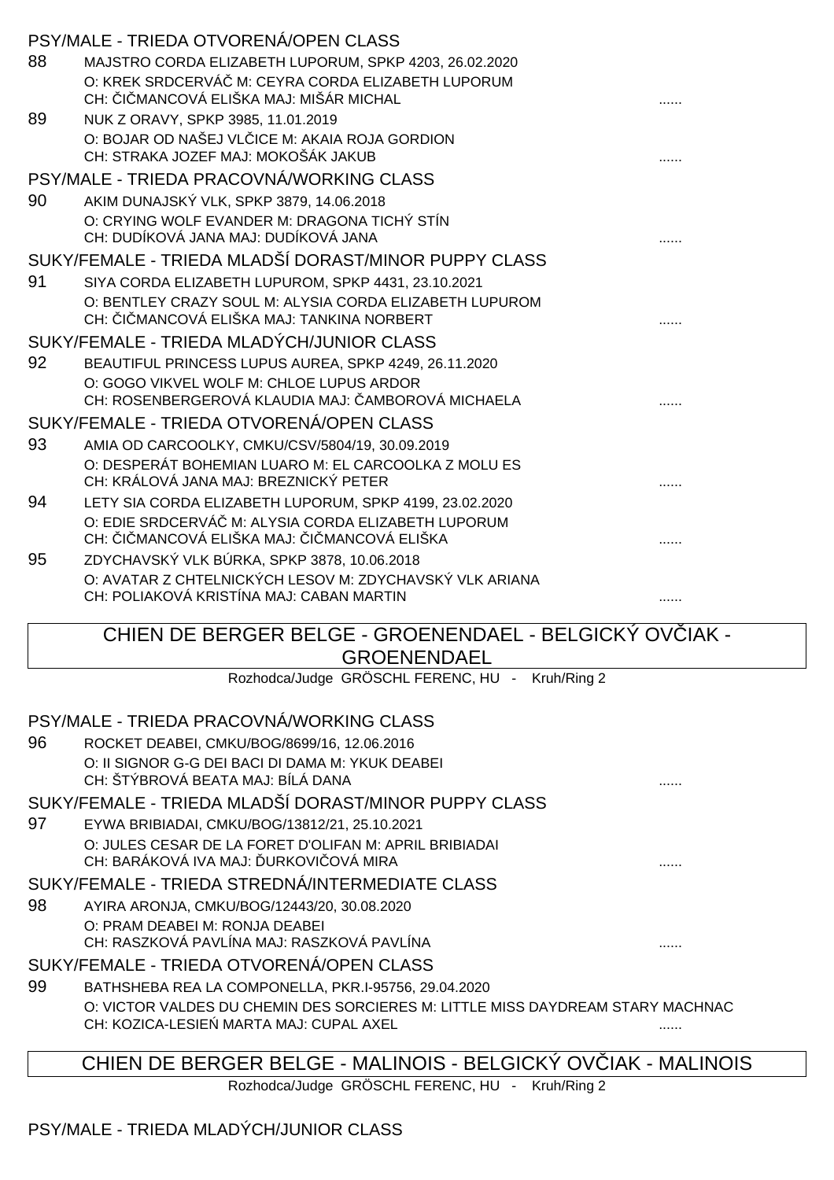|    | PSY/MALE - TRIEDA OTVORENÁ/OPEN CLASS                                                                |  |
|----|------------------------------------------------------------------------------------------------------|--|
| 88 | MAJSTRO CORDA ELIZABETH LUPORUM, SPKP 4203, 26.02.2020                                               |  |
|    | O: KREK SRDCERVÁ M: CEYRA CORDA ELIZABETH LUPORUM                                                    |  |
|    | CH: I MANCOVÁ ELIŠKA MAJ: MIŠÁR MICHAL                                                               |  |
| 89 | NUK Z ORAVY, SPKP 3985, 11.01.2019                                                                   |  |
|    | O: BOJAR OD NAŠEJ VL ICE M: AKAIA ROJA GORDION                                                       |  |
|    | CH: STRAKA JOZEF MAJ: MOKOŠÁK JAKUB                                                                  |  |
|    | PSY/MALE - TRIEDA PRACOVNÁ/WORKING CLASS                                                             |  |
| 90 | AKIM DUNAJSKÝ VLK, SPKP 3879, 14.06.2018                                                             |  |
|    | O: CRYING WOLF EVANDER M: DRAGONA TICHÝ STÍN<br>CH: DUDÍKOVÁ JANA MAJ: DUDÍKOVÁ JANA                 |  |
|    |                                                                                                      |  |
|    | SUKY/FEMALE - TRIEDA MLADŠÍ DORAST/MINOR PUPPY CLASS                                                 |  |
| 91 | SIYA CORDA ELIZABETH LUPUROM, SPKP 4431, 23.10.2021                                                  |  |
|    | O: BENTLEY CRAZY SOUL M: ALYSIA CORDA ELIZABETH LUPUROM<br>CH: I MANCOVÁ ELIŠKA MAJ: TANKINA NORBERT |  |
|    |                                                                                                      |  |
|    | SUKY/FEMALE - TRIEDA MLADÝCH/JUNIOR CLASS                                                            |  |
| 92 | BEAUTIFUL PRINCESS LUPUS AUREA, SPKP 4249, 26.11.2020                                                |  |
|    | O: GOGO VIKVEL WOLF M: CHLOE LUPUS ARDOR<br>CH: ROSENBERGEROVÁ KLAUDIA MAJ: AMBOROVÁ MICHAELA        |  |
|    | SUKY/FEMALE - TRIEDA OTVORENÁ/OPEN CLASS                                                             |  |
| 93 | AMIA OD CARCOOLKY, CMKU/CSV/5804/19, 30.09.2019                                                      |  |
|    | O: DESPERÁT BOHEMIAN LUARO M: EL CARCOOLKA Z MOLU ES                                                 |  |
|    | CH: KRÁLOVÁ JANA MAJ: BREZNICKÝ PETER                                                                |  |
| 94 | LETY SIA CORDA ELIZABETH LUPORUM, SPKP 4199, 23.02.2020                                              |  |
|    | O: EDIE SRDCERVÁ M: ALYSIA CORDA ELIZABETH LUPORUM                                                   |  |
|    | CH: I MANCOVÁ ELIŠKA MAJ: I MANCOVÁ ELIŠKA                                                           |  |
| 95 | ZDYCHAVSKÝ VLK BÚRKA, SPKP 3878, 10.06.2018                                                          |  |
|    | O: AVATAR Z CHTELNICKÝCH LESOV M: ZDYCHAVSKÝ VLK ARIANA                                              |  |
|    | CH: POLIAKOVÁ KRISTÍNA MAJ: CABAN MARTIN                                                             |  |
|    | CHIEN DE BERGER BELGE - GROENENDAEL - BELGICKY OV IAK -                                              |  |
|    | <b>GROENENDAEL</b>                                                                                   |  |
|    | Rozhodca/Judge GRÖSCHL FERENC, HU - Kruh/Ring 2                                                      |  |
|    |                                                                                                      |  |
|    | PSY/MALE - TRIEDA PRACOVNÁ/WORKING CLASS                                                             |  |

96 ROCKET DEABEI, CMKU/BOG/8699/16, 12.06.2016 O: II SIGNOR G-G DEI BACI DI DAMA M: YKUK DEABEI CH: ŠTÝBROVÁ BEATA MAJ: BÍLÁ DANA SUKY/FEMALE - TRIEDA MLADŠÍ DORAST/MINOR PUPPY CLASS 97 EYWA BRIBIADAI, CMKU/BOG/13812/21, 25.10.2021 O: JULES CESAR DE LA FORET D'OLIFAN M: APRIL BRIBIADAI CH: BARÁKOVÁ IVA MAJ: URKOVI OVÁ MIRA SUKY/FEMALE - TRIEDA STREDNÁ/INTERMEDIATE CLASS 98 AYIRA ARONJA, CMKU/BOG/12443/20, 30.08.2020 O: PRAM DEABEI M: RONJA DEABEI CH: RASZKOVÁ PAVLÍNA MAJ: RASZKOVÁ PAVLÍNA ...... SUKY/FEMALE - TRIEDA OTVORENÁ/OPEN CLASS 99 BATHSHEBA REA LA COMPONELLA, PKR.I-95756, 29.04.2020 O: VICTOR VALDES DU CHEMIN DES SORCIERES M: LITTLE MISS DAYDREAM STARY MACHNAC

CH: KOZICA-LESIEŃ MARTA MAJ: CUPAL AXEL ......

CHIEN DE BERGER BELGE - MALINOIS - BELGICKÝ OVČIAK - MALINOIS

Rozhodca/Judge GRÖSCHL FERENC, HU - Kruh/Ring 2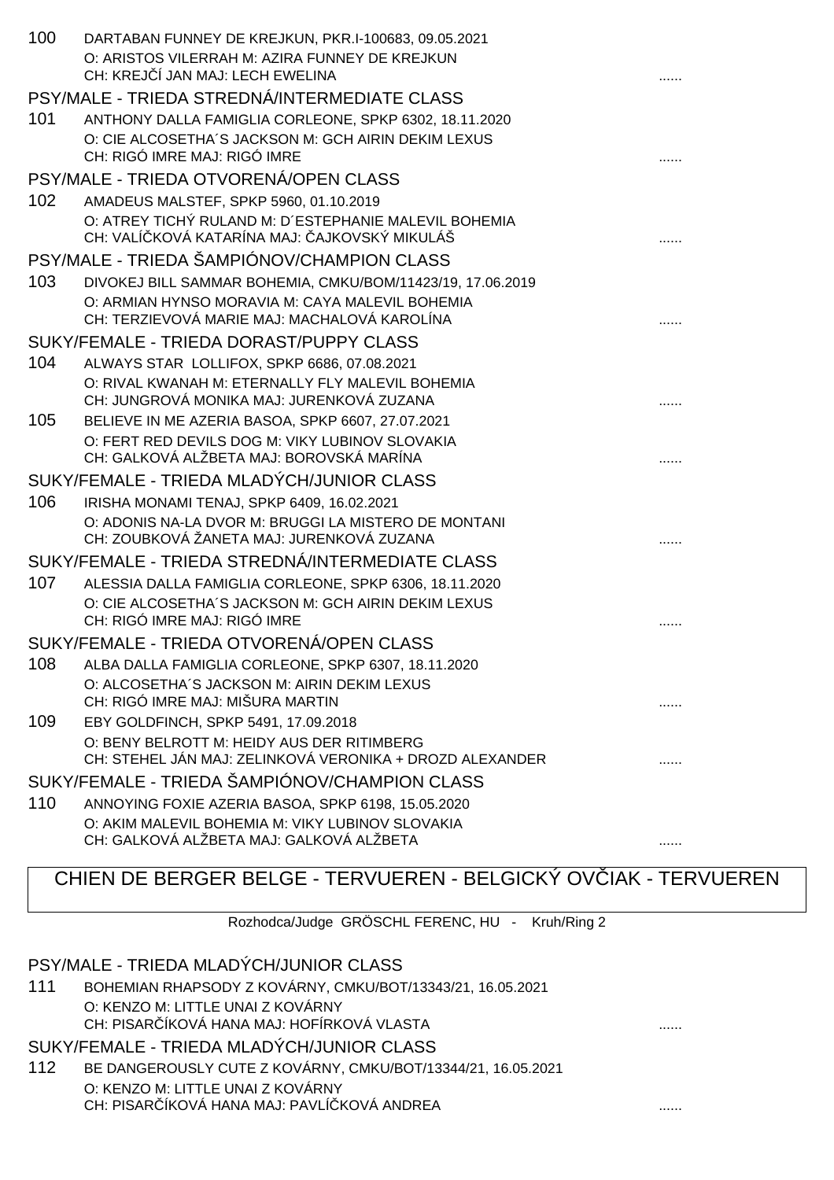| 100 | DARTABAN FUNNEY DE KREJKUN, PKR.I-100683, 09.05.2021<br>O: ARISTOS VILERRAH M: AZIRA FUNNEY DE KREJKUN<br>CH: KREJ Í JAN MAJ: LECH EWELINA |   |
|-----|--------------------------------------------------------------------------------------------------------------------------------------------|---|
|     | PSY/MALE - TRIEDA STREDNÁ/INTERMEDIATE CLASS                                                                                               |   |
| 101 | ANTHONY DALLA FAMIGLIA CORLEONE, SPKP 6302, 18.11.2020                                                                                     |   |
|     | O: CIE ALCOSETHA'S JACKSON M: GCH AIRIN DEKIM LEXUS                                                                                        |   |
|     | CH: RIGÓ IMRE MAJ: RIGÓ IMRE                                                                                                               |   |
|     | PSY/MALE - TRIEDA OTVORENÁ/OPEN CLASS                                                                                                      |   |
| 102 | AMADEUS MALSTEF, SPKP 5960, 01.10.2019                                                                                                     |   |
|     | O: ATREY TICHÝ RULAND M: D'ESTEPHANIE MALEVIL BOHEMIA<br>CH: VALÍ KOVÁ KATARÍNA MAJ: AJKOVSKÝ MIKULÁŠ                                      |   |
|     | PSY/MALE - TRIEDA ŠAMPIÓNOV/CHAMPION CLASS                                                                                                 |   |
| 103 | DIVOKEJ BILL SAMMAR BOHEMIA, CMKU/BOM/11423/19, 17.06.2019                                                                                 |   |
|     | O: ARMIAN HYNSO MORAVIA M: CAYA MALEVIL BOHEMIA                                                                                            |   |
|     | CH: TERZIEVOVÁ MARIE MAJ: MACHALOVÁ KAROLÍNA                                                                                               |   |
|     | SUKY/FEMALE - TRIEDA DORAST/PUPPY CLASS                                                                                                    |   |
| 104 | ALWAYS STAR LOLLIFOX, SPKP 6686, 07.08.2021                                                                                                |   |
|     | O: RIVAL KWANAH M: ETERNALLY FLY MALEVIL BOHEMIA                                                                                           |   |
|     | CH: JUNGROVÁ MONIKA MAJ: JURENKOVÁ ZUZANA                                                                                                  |   |
| 105 | BELIEVE IN ME AZERIA BASOA, SPKP 6607, 27.07.2021<br>O: FERT RED DEVILS DOG M: VIKY LUBINOV SLOVAKIA                                       |   |
|     | CH: GALKOVÁ ALŽBETA MAJ: BOROVSKÁ MARÍNA                                                                                                   |   |
|     | SUKY/FEMALE - TRIEDA MLADÝCH/JUNIOR CLASS                                                                                                  |   |
| 106 | IRISHA MONAMI TENAJ, SPKP 6409, 16.02.2021                                                                                                 |   |
|     | O: ADONIS NA-LA DVOR M: BRUGGI LA MISTERO DE MONTANI                                                                                       |   |
|     | CH: ZOUBKOVÁ ŽANETA MAJ: JURENKOVÁ ZUZANA                                                                                                  |   |
|     | SUKY/FEMALE - TRIEDA STREDNÁ/INTERMEDIATE CLASS                                                                                            |   |
| 107 | ALESSIA DALLA FAMIGLIA CORLEONE, SPKP 6306, 18.11.2020                                                                                     |   |
|     | O: CIE ALCOSETHA'S JACKSON M: GCH AIRIN DEKIM LEXUS                                                                                        |   |
|     | CH: RIGÓ IMRE MAJ: RIGÓ IMRE                                                                                                               | . |
|     | SUKY/FEMALE - TRIEDA OTVORENÁ/OPEN CLASS                                                                                                   |   |
| 108 | ALBA DALLA FAMIGLIA CORLEONE, SPKP 6307, 18.11.2020                                                                                        |   |
|     | O: ALCOSETHA'S JACKSON M: AIRIN DEKIM LEXUS<br>CH: RIGÓ IMRE MAJ: MIŠURA MARTIN                                                            |   |
| 109 | EBY GOLDFINCH, SPKP 5491, 17.09.2018                                                                                                       |   |
|     | O: BENY BELROTT M: HEIDY AUS DER RITIMBERG                                                                                                 |   |
|     | CH: STEHEL JÁN MAJ: ZELINKOVÁ VERONIKA + DROZD ALEXANDER                                                                                   |   |
|     | SUKY/FEMALE - TRIEDA ŠAMPIÓNOV/CHAMPION CLASS                                                                                              |   |
| 110 | ANNOYING FOXIE AZERIA BASOA, SPKP 6198, 15.05.2020                                                                                         |   |
|     | O: AKIM MALEVIL BOHEMIA M: VIKY LUBINOV SLOVAKIA                                                                                           |   |
|     | CH: GALKOVÁ ALŽBETA MAJ: GALKOVÁ ALŽBETA                                                                                                   | . |
|     |                                                                                                                                            |   |

# CHIEN DE BERGER BELGE - TERVUEREN - BELGICKÝ OV IAK - TERVUEREN

Rozhodca/Judge GRÖSCHL FERENC, HU - Kruh/Ring 2

PSY/MALE - TRIEDA MLADÝCH/JUNIOR CLASS

111 BOHEMIAN RHAPSODY Z KOVÁRNY, CMKU/BOT/13343/21, 16.05.2021 O: KENZO M: LITTLE UNAI Z KOVÁRNY CH: PISAR ÍKOVÁ HANA MAJ: HOFÍRKOVÁ VLASTA **Extra administrativa algumentos algumentos** ......

### SUKY/FEMALE - TRIEDA MLADÝCH/JUNIOR CLASS

112 BE DANGEROUSLY CUTE Z KOVÁRNY, CMKU/BOT/13344/21, 16.05.2021 O: KENZO M: LITTLE UNAI Z KOVÁRNY CH: PISAR ÍKOVÁ HANA MAJ: PAVLÍ KOVÁ ANDREA **Information and the contract of the contract of the contract of the**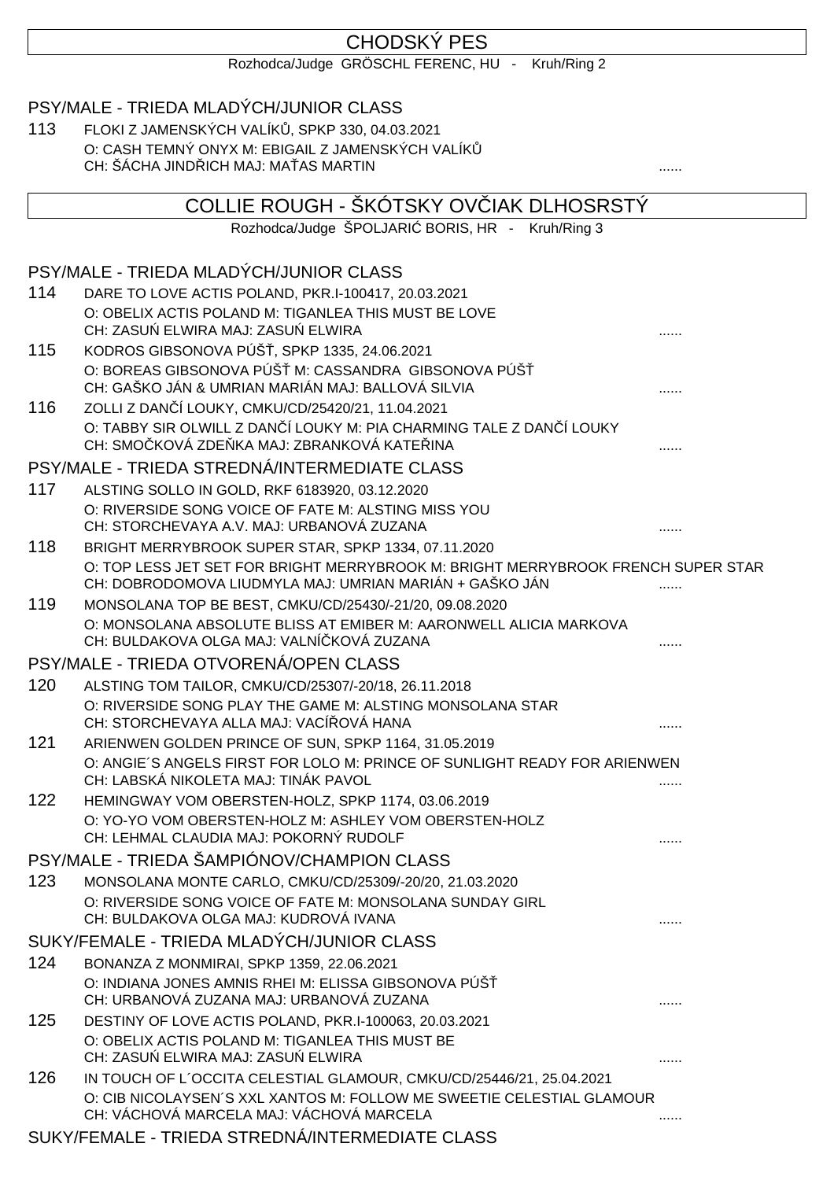# CHODSKÝ PES

Rozhodca/Judge GRÖSCHL FERENC, HU - Kruh/Ring 2

# PSY/MALE - TRIEDA MLADÝCH/JUNIOR CLASS

113 FLOKI Z JAMENSKÝCH VALÍK, SPKP 330, 04.03.2021 O: CASH TEMNÝ ONYX M: EBIGAIL Z JAMENSKÝCH VALÍK CH: ŠÁCHA JINDŘICH MAJ: MAŤAS MARTIN ......

|     | COLLIE ROUGH - ŠKÓTSKY OV IAK DLHOSRSTÝ                                                                                                       |   |
|-----|-----------------------------------------------------------------------------------------------------------------------------------------------|---|
|     | Rozhodca/Judge ŠPOLJARI BORIS, HR - Kruh/Ring 3                                                                                               |   |
|     | PSY/MALE - TRIEDA MLADÝCH/JUNIOR CLASS                                                                                                        |   |
| 114 | DARE TO LOVE ACTIS POLAND, PKR.I-100417, 20.03.2021                                                                                           |   |
|     | O: OBELIX ACTIS POLAND M: TIGANLEA THIS MUST BE LOVE                                                                                          |   |
|     | CH: ZASU ELWIRA MAJ: ZASU ELWIRA                                                                                                              |   |
| 115 | KODROS GIBSONOVA PÚŠ, SPKP 1335, 24.06.2021                                                                                                   |   |
|     | O: BOREAS GIBSONOVA PÚŠ M: CASSANDRA GIBSONOVA PÚŠ<br>CH: GAŠKO JÁN & UMRIAN MARIÁN MAJ: BALLOVÁ SILVIA                                       |   |
| 116 | ZOLLI Z DAN 1 LOUKY, CMKU/CD/25420/21, 11.04.2021                                                                                             |   |
|     | O: TABBY SIR OLWILL Z DAN I LOUKY M: PIA CHARMING TALE Z DAN I LOUKY<br>CH: SMO KOVÁ ZDE KA MAJ: ZBRANKOVÁ KATE INA                           |   |
|     | PSY/MALE - TRIEDA STREDNÁ/INTERMEDIATE CLASS                                                                                                  |   |
| 117 | ALSTING SOLLO IN GOLD, RKF 6183920, 03.12.2020                                                                                                |   |
|     | O: RIVERSIDE SONG VOICE OF FATE M: ALSTING MISS YOU<br>CH: STORCHEVAYA A.V. MAJ: URBANOVÁ ZUZANA                                              |   |
| 118 | BRIGHT MERRYBROOK SUPER STAR, SPKP 1334, 07.11.2020                                                                                           |   |
|     | O: TOP LESS JET SET FOR BRIGHT MERRYBROOK M: BRIGHT MERRYBROOK FRENCH SUPER STAR                                                              |   |
|     | CH: DOBRODOMOVA LIUDMYLA MAJ: UMRIAN MARIÁN + GAŠKO JÁN                                                                                       |   |
| 119 | MONSOLANA TOP BE BEST, CMKU/CD/25430/-21/20, 09.08.2020                                                                                       |   |
|     | O: MONSOLANA ABSOLUTE BLISS AT EMIBER M: AARONWELL ALICIA MARKOVA<br>CH: BULDAKOVA OLGA MAJ: VALNÍ KOVÁ ZUZANA                                |   |
|     | PSY/MALE - TRIEDA OTVORENÁ/OPEN CLASS                                                                                                         |   |
| 120 | ALSTING TOM TAILOR, CMKU/CD/25307/-20/18, 26.11.2018                                                                                          |   |
|     | O: RIVERSIDE SONG PLAY THE GAME M: ALSTING MONSOLANA STAR                                                                                     |   |
|     | CH: STORCHEVAYA ALLA MAJ: VACÍ OVÁ HANA                                                                                                       |   |
| 121 | ARIENWEN GOLDEN PRINCE OF SUN, SPKP 1164, 31.05.2019                                                                                          |   |
|     | O: ANGIE'S ANGELS FIRST FOR LOLO M: PRINCE OF SUNLIGHT READY FOR ARIENWEN<br>CH: LABSKÁ NIKOLETA MAJ: TINÁK PAVOL                             |   |
| 122 | HEMINGWAY VOM OBERSTEN-HOLZ, SPKP 1174, 03.06.2019                                                                                            |   |
|     | O: YO-YO VOM OBERSTEN-HOLZ M: ASHLEY VOM OBERSTEN-HOLZ                                                                                        |   |
|     | CH: LEHMAL CLAUDIA MAJ: POKORNÝ RUDOLF                                                                                                        |   |
|     | PSY/MALE - TRIEDA ŠAMPIÓNOV/CHAMPION CLASS                                                                                                    |   |
| 123 | MONSOLANA MONTE CARLO, CMKU/CD/25309/-20/20, 21.03.2020                                                                                       |   |
|     | O: RIVERSIDE SONG VOICE OF FATE M: MONSOLANA SUNDAY GIRL                                                                                      |   |
|     | CH: BULDAKOVA OLGA MAJ: KUDROVÁ IVANA                                                                                                         | . |
|     | SUKY/FEMALE - TRIEDA MLADÝCH/JUNIOR CLASS                                                                                                     |   |
| 124 | BONANZA Z MONMIRAI, SPKP 1359, 22.06.2021<br>O: INDIANA JONES AMNIS RHEI M: ELISSA GIBSONOVA PÚŠ                                              |   |
|     | CH: URBANOVÁ ZUZANA MAJ: URBANOVÁ ZUZANA                                                                                                      |   |
| 125 | DESTINY OF LOVE ACTIS POLAND, PKR.I-100063, 20.03.2021                                                                                        |   |
|     | O: OBELIX ACTIS POLAND M: TIGANLEA THIS MUST BE                                                                                               |   |
|     | CH: ZASU ELWIRA MAJ: ZASU ELWIRA                                                                                                              |   |
| 126 | IN TOUCH OF L'OCCITA CELESTIAL GLAMOUR, CMKU/CD/25446/21, 25.04.2021<br>O: CIB NICOLAYSEN'S XXL XANTOS M: FOLLOW ME SWEETIE CELESTIAL GLAMOUR |   |
|     | CH: VÁCHOVÁ MARCELA MAJ: VÁCHOVÁ MARCELA                                                                                                      |   |

SUKY/FEMALE - TRIEDA STREDNÁ/INTERMEDIATE CLASS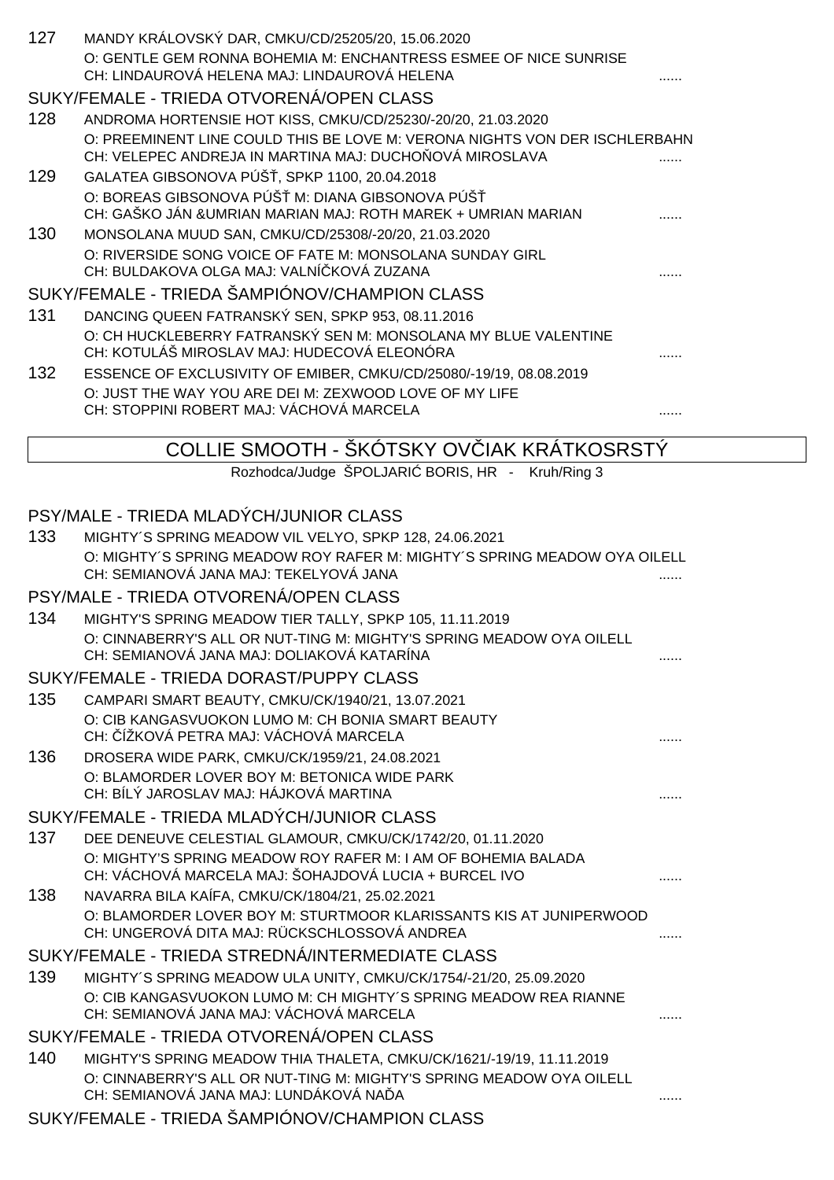| 127 | MANDY KRÁLOVSKÝ DAR, CMKU/CD/25205/20, 15.06.2020                                                                                                                        |  |
|-----|--------------------------------------------------------------------------------------------------------------------------------------------------------------------------|--|
|     | O: GENTLE GEM RONNA BOHEMIA M: ENCHANTRESS ESMEE OF NICE SUNRISE<br>CH: LINDAUROVÁ HELENA MAJ: LINDAUROVÁ HELENA                                                         |  |
|     | SUKY/FEMALE - TRIEDA OTVORENÁ/OPEN CLASS                                                                                                                                 |  |
| 128 | ANDROMA HORTENSIE HOT KISS, CMKU/CD/25230/-20/20, 21.03.2020                                                                                                             |  |
|     | O: PREEMINENT LINE COULD THIS BE LOVE M: VERONA NIGHTS VON DER ISCHLERBAHN<br>CH: VELEPEC ANDREJA IN MARTINA MAJ: DUCHO OVÁ MIROSLAVA                                    |  |
| 129 | GALATEA GIBSONOVA PÚŠ, SPKP 1100, 20.04.2018                                                                                                                             |  |
|     | O: BOREAS GIBSONOVA PÚŠ M: DIANA GIBSONOVA PÚŠ<br>CH: GAŠKO JÁN &UMRIAN MARIAN MAJ: ROTH MAREK + UMRIAN MARIAN                                                           |  |
| 130 | MONSOLANA MUUD SAN, CMKU/CD/25308/-20/20, 21.03.2020                                                                                                                     |  |
|     | O: RIVERSIDE SONG VOICE OF FATE M: MONSOLANA SUNDAY GIRL<br>CH: BULDAKOVA OLGA MAJ: VALNÍ KOVÁ ZUZANA                                                                    |  |
|     | SUKY/FEMALE - TRIEDA ŠAMPIÓNOV/CHAMPION CLASS                                                                                                                            |  |
| 131 | DANCING QUEEN FATRANSKÝ SEN, SPKP 953, 08.11.2016                                                                                                                        |  |
|     | O: CH HUCKLEBERRY FATRANSKÝ SEN M: MONSOLANA MY BLUE VALENTINE<br>CH: KOTULÁŠ MIROSLAV MAJ: HUDECOVÁ ELEONÓRA                                                            |  |
| 132 | ESSENCE OF EXCLUSIVITY OF EMIBER, CMKU/CD/25080/-19/19, 08.08.2019<br>O: JUST THE WAY YOU ARE DEI M: ZEXWOOD LOVE OF MY LIFE<br>CH: STOPPINI ROBERT MAJ: VÁCHOVÁ MARCELA |  |
|     | COLLIE SMOOTH - ŠKÓTSKY OV IAK KRÁTKOSRSTÝ                                                                                                                               |  |
|     | Rozhodca/Judge ŠPOLJARI BORIS, HR - Kruh/Ring 3                                                                                                                          |  |
|     |                                                                                                                                                                          |  |
|     | PSY/MALE - TRIEDA MLADÝCH/JUNIOR CLASS                                                                                                                                   |  |
| 133 | MIGHTY'S SPRING MEADOW VIL VELYO, SPKP 128, 24.06.2021                                                                                                                   |  |
|     | O: MIGHTY'S SPRING MEADOW ROY RAFER M: MIGHTY'S SPRING MEADOW OYA OILELL                                                                                                 |  |
|     | CH: SEMIANOVÁ JANA MAJ: TEKELYOVÁ JANA                                                                                                                                   |  |
|     | PSY/MALE - TRIEDA OTVORENÁ/OPEN CLASS                                                                                                                                    |  |
| 134 | MIGHTY'S SPRING MEADOW TIER TALLY, SPKP 105, 11.11.2019<br>O: CINNABERRY'S ALL OR NUT-TING M: MIGHTY'S SPRING MEADOW OYA OILELL                                          |  |
|     | CH: SEMIANOVÁ JANA MAJ: DOLIAKOVÁ KATARÍNA                                                                                                                               |  |
|     | SUKY/FEMALE - TRIEDA DORAST/PUPPY CLASS                                                                                                                                  |  |
| 135 | CAMPARI SMART BEAUTY, CMKU/CK/1940/21, 13.07.2021                                                                                                                        |  |
|     | O: CIB KANGASVUOKON LUMO M: CH BONIA SMART BEAUTY<br>CH: ÍŽKOVÁ PETRA MAJ: VÁCHOVÁ MARCELA                                                                               |  |
| 136 | DROSERA WIDE PARK, CMKU/CK/1959/21, 24.08.2021                                                                                                                           |  |
|     | O: BLAMORDER LOVER BOY M: BETONICA WIDE PARK<br>CH: BÍLÝ JAROSLAV MAJ: HÁJKOVÁ MARTINA                                                                                   |  |
|     | SUKY/FEMALE - TRIEDA MLADÝCH/JUNIOR CLASS                                                                                                                                |  |
| 137 | DEE DENEUVE CELESTIAL GLAMOUR, CMKU/CK/1742/20, 01.11.2020                                                                                                               |  |
|     | O: MIGHTY'S SPRING MEADOW ROY RAFER M: I AM OF BOHEMIA BALADA<br>CH: VÁCHOVÁ MARCELA MAJ: ŠOHAJDOVÁ LUCIA + BURCEL IVO                                                   |  |
| 138 | NAVARRA BILA KAÍFA, CMKU/CK/1804/21, 25.02.2021                                                                                                                          |  |
|     | O: BLAMORDER LOVER BOY M: STURTMOOR KLARISSANTS KIS AT JUNIPERWOOD<br>CH: UNGEROVÁ DITA MAJ: RÜCKSCHLOSSOVÁ ANDREA                                                       |  |
|     | SUKY/FEMALE - TRIEDA STREDNÁ/INTERMEDIATE CLASS                                                                                                                          |  |
| 139 | MIGHTY'S SPRING MEADOW ULA UNITY, CMKU/CK/1754/-21/20, 25.09.2020                                                                                                        |  |
|     | O: CIB KANGASVUOKON LUMO M: CH MIGHTY'S SPRING MEADOW REA RIANNE<br>CH: SEMIANOVÁ JANA MAJ: VÁCHOVÁ MARCELA                                                              |  |
|     | SUKY/FEMALE - TRIEDA OTVORENÁ/OPEN CLASS                                                                                                                                 |  |
| 140 | MIGHTY'S SPRING MEADOW THIA THALETA, CMKU/CK/1621/-19/19, 11.11.2019                                                                                                     |  |
|     | O: CINNABERRY'S ALL OR NUT-TING M: MIGHTY'S SPRING MEADOW OYA OILELL<br>CH: SEMIANOVÁ JANA MAJ: LUNDÁKOVÁ NA A                                                           |  |
|     | SUKY/FEMALE - TRIEDA ŠAMPIÓNOV/CHAMPION CLASS                                                                                                                            |  |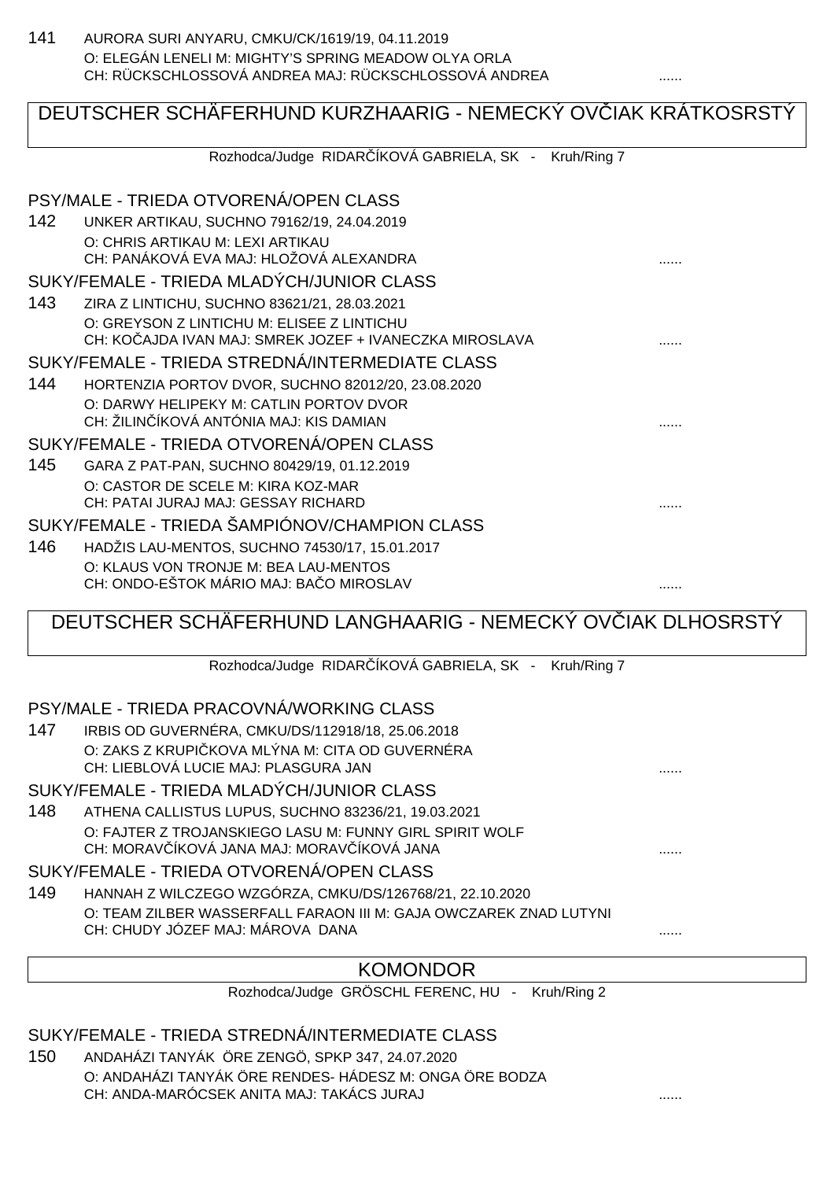141 AURORA SURI ANYARU, CMKU/CK/1619/19, 04.11.2019 O: ELEGÁN LENELI M: MIGHTY'S SPRING MEADOW OLYA ORLA CH: RÜCKSCHLOSSOVÁ ANDREA MAJ: RÜCKSCHLOSSOVÁ ANDREA

# DEUTSCHER SCHÄFERHUND KURZHAARIG - NEMECKÝ OV<sub>LIAK KRÁTKOSRSTÝ</sub>

Rozhodca/Judge RIDAR ÍKOVÁ GABRIELA, SK - Kruh/Ring 7

|     | PSY/MALE - TRIEDA OTVORENÁ/OPEN CLASS                     |   |
|-----|-----------------------------------------------------------|---|
| 142 | UNKER ARTIKAU, SUCHNO 79162/19, 24.04.2019                |   |
|     | O: CHRIS ARTIKAU M: LEXI ARTIKAU                          |   |
|     | CH: PANÁKOVÁ EVA MAJ: HLOŽOVÁ ALEXANDRA                   |   |
|     | SUKY/FEMALE - TRIEDA MLADÝCH/JUNIOR CLASS                 |   |
| 143 | ZIRA Z LINTICHU, SUCHNO 83621/21, 28.03.2021              |   |
|     | O: GREYSON Z LINTICHU M: ELISEE Z LINTICHU                |   |
|     | CH: KO AJDA IVAN MAJ: SMREK JOZEF + IVANECZKA MIROSLAVA   |   |
|     | SUKY/FEMALE - TRIEDA STREDNÁ/INTERMEDIATE CLASS           |   |
| 144 | HORTENZIA PORTOV DVOR, SUCHNO 82012/20, 23.08.2020        |   |
|     | O: DARWY HELIPEKY M: CATLIN PORTOV DVOR                   |   |
|     | CH: ŽILIN ÍKOVÁ ANTÓNIA MAJ: KIS DAMIAN                   |   |
|     | SUKY/FEMALE - TRIEDA OTVORENÁ/OPEN CLASS                  |   |
| 145 | GARA Z PAT-PAN, SUCHNO 80429/19, 01.12.2019               |   |
|     | O: CASTOR DE SCELE M: KIRA KOZ-MAR                        |   |
|     | CH: PATAI JURAJ MAJ: GESSAY RICHARD                       |   |
|     | SUKY/FEMALE - TRIEDA ŠAMPIÓNOV/CHAMPION CLASS             |   |
| 146 | HADŽIS LAU-MENTOS, SUCHNO 74530/17, 15.01.2017            |   |
|     | O: KLAUS VON TRONJE M: BEA LAU-MENTOS                     |   |
|     | CH: ONDO-EŠTOK MÁRIO MAJ: BA O MIROSLAV                   | . |
|     | DEUTSCHER SCHAFERHUND LANGHAARIG - NEMECKY OV IAK DLHOSRS |   |
|     |                                                           |   |

Rozhodca/Judge RIDAR ÍKOVÁ GABRIELA, SK - Kruh/Ring 7

PSY/MALE - TRIEDA PRACOVNÁ/WORKING CLASS

147 IRBIS OD GUVERNÉRA, CMKU/DS/112918/18, 25.06.2018 O: ZAKS Z KRUPI KOVA MLÝNA M: CITA OD GUVERNÉRA CH: LIEBLOVÁ LUCIE MAJ: PLASGURA JAN

SUKY/FEMALE - TRIEDA MLADÝCH/JUNIOR CLASS

148 ATHENA CALLISTUS LUPUS, SUCHNO 83236/21, 19.03.2021 O: FAJTER Z TROJANSKIEGO LASU M: FUNNY GIRL SPIRIT WOLF CH: MORAV ÍKOVÁ JANA MAJ: MORAV ÍKOVÁ JANA  $\ldots$ 

SUKY/FEMALE - TRIEDA OTVORENÁ/OPEN CLASS

149 HANNAH Z WILCZEGO WZGÓRZA, CMKU/DS/126768/21, 22.10.2020 O: TEAM ZILBER WASSERFALL FARAON III M: GAJA OWCZAREK ZNAD LUTYNI CH: CHUDY JÓZEF MAJ: MÁROVA DANA

## KOMONDOR

Rozhodca/Judge GRÖSCHL FERENC, HU - Kruh/Ring 2

SUKY/FEMALE - TRIEDA STREDNÁ/INTERMEDIATE CLASS

150 ANDAHÁZI TANYÁK ÖRE ZENGÖ, SPKP 347, 24.07.2020 O: ANDAHÁZI TANYÁK ÖRE RENDES- HÁDESZ M: ONGA ÖRE BODZA CH: ANDA-MARÓCSEK ANITA MAJ: TAKÁCS JURAJ ......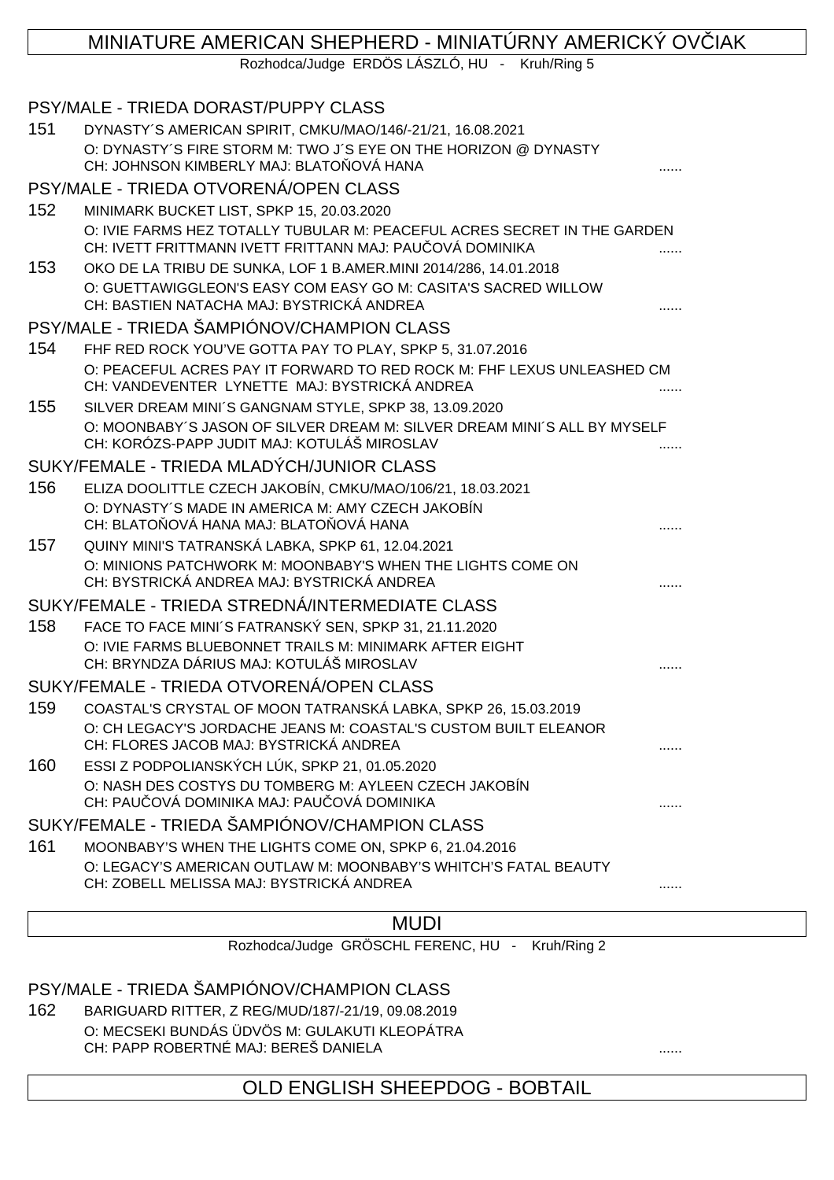# MINIATURE AMERICAN SHEPHERD - MINIATÚRNY AMERICKÝ OVLIAK

Rozhodca/Judge ERDÖS LÁSZLÓ, HU - Kruh/Ring 5

|     | PSY/MALE - TRIEDA DORAST/PUPPY CLASS                                                                                                 |  |
|-----|--------------------------------------------------------------------------------------------------------------------------------------|--|
| 151 | DYNASTY'S AMERICAN SPIRIT, CMKU/MAO/146/-21/21, 16.08.2021                                                                           |  |
|     | O: DYNASTY'S FIRE STORM M: TWO J'S EYE ON THE HORIZON @ DYNASTY<br>CH: JOHNSON KIMBERLY MAJ: BLATO OVÁ HANA                          |  |
|     | PSY/MALE - TRIEDA OTVORENÁ/OPEN CLASS                                                                                                |  |
| 152 | MINIMARK BUCKET LIST, SPKP 15, 20.03.2020                                                                                            |  |
|     | O: IVIE FARMS HEZ TOTALLY TUBULAR M: PEACEFUL ACRES SECRET IN THE GARDEN<br>CH: IVETT FRITTMANN IVETT FRITTANN MAJ: PAU OVÁ DOMINIKA |  |
| 153 | OKO DE LA TRIBU DE SUNKA, LOF 1 B.AMER.MINI 2014/286, 14.01.2018                                                                     |  |
|     | O: GUETTAWIGGLEON'S EASY COM EASY GO M: CASITA'S SACRED WILLOW<br>CH: BASTIEN NATACHA MAJ: BYSTRICKÁ ANDREA                          |  |
|     | PSY/MALE - TRIEDA ŠAMPIÓNOV/CHAMPION CLASS                                                                                           |  |
| 154 | FHF RED ROCK YOU'VE GOTTA PAY TO PLAY, SPKP 5, 31.07.2016                                                                            |  |
|     | O: PEACEFUL ACRES PAY IT FORWARD TO RED ROCK M: FHF LEXUS UNLEASHED CM<br>CH: VANDEVENTER LYNETTE MAJ: BYSTRICKÁ ANDREA              |  |
| 155 | SILVER DREAM MINI'S GANGNAM STYLE, SPKP 38, 13.09.2020                                                                               |  |
|     | O: MOONBABY'S JASON OF SILVER DREAM M: SILVER DREAM MINI'S ALL BY MYSELF<br>CH: KORÓZS-PAPP JUDIT MAJ: KOTULÁŠ MIROSLAV              |  |
|     | SUKY/FEMALE - TRIEDA MLADÝCH/JUNIOR CLASS                                                                                            |  |
| 156 | ELIZA DOOLITTLE CZECH JAKOBÍN, CMKU/MAO/106/21, 18.03.2021                                                                           |  |
|     | O: DYNASTY'S MADE IN AMERICA M: AMY CZECH JAKOBÍN<br>CH: BLATO OVÁ HANA MAJ: BLATO OVÁ HANA                                          |  |
| 157 | QUINY MINI'S TATRANSKÁ LABKA, SPKP 61, 12.04.2021                                                                                    |  |
|     | O: MINIONS PATCHWORK M: MOONBABY'S WHEN THE LIGHTS COME ON<br>CH: BYSTRICKÁ ANDREA MAJ: BYSTRICKÁ ANDREA                             |  |
|     | SUKY/FEMALE - TRIEDA STREDNÁ/INTERMEDIATE CLASS                                                                                      |  |
| 158 | FACE TO FACE MINI'S FATRANSKÝ SEN, SPKP 31, 21.11.2020                                                                               |  |
|     | O: IVIE FARMS BLUEBONNET TRAILS M: MINIMARK AFTER EIGHT                                                                              |  |
|     | CH: BRYNDZA DÁRIUS MAJ: KOTULÁŠ MIROSLAV                                                                                             |  |
|     | SUKY/FEMALE - TRIEDA OTVORENÁ/OPEN CLASS                                                                                             |  |
| 159 | COASTAL'S CRYSTAL OF MOON TATRANSKÁ LABKA, SPKP 26, 15.03.2019                                                                       |  |
|     | O: CH LEGACY'S JORDACHE JEANS M: COASTAL'S CUSTOM BUILT ELEANOR<br>CH: FLORES JACOB MAJ: BYSTRICKÁ ANDREA                            |  |
| 160 | ESSI Z PODPOLIANSKÝCH LÚK, SPKP 21, 01.05.2020                                                                                       |  |
|     | O: NASH DES COSTYS DU TOMBERG M: AYLEEN CZECH JAKOBÍN                                                                                |  |
|     | CH: PAU OVÁ DOMINIKA MAJ: PAU OVÁ DOMINIKA                                                                                           |  |
|     | SUKY/FEMALE - TRIEDA ŠAMPIÓNOV/CHAMPION CLASS                                                                                        |  |
| 161 | MOONBABY'S WHEN THE LIGHTS COME ON, SPKP 6, 21.04.2016                                                                               |  |
|     | O: LEGACY'S AMERICAN OUTLAW M: MOONBABY'S WHITCH'S FATAL BEAUTY                                                                      |  |
|     | CH: ZOBELL MELISSA MAJ: BYSTRICKÁ ANDREA                                                                                             |  |

## **MUDI**

Rozhodca/Judge GRÖSCHL FERENC, HU - Kruh/Ring 2

## PSY/MALE - TRIEDA ŠAMPIÓNOV/CHAMPION CLASS

162 BARIGUARD RITTER, Z REG/MUD/187/-21/19, 09.08.2019 O: MECSEKI BUNDÁS ÜDVÖS M: GULAKUTI KLEOPÁTRA CH: PAPP ROBERTNÉ MAJ: BEREŠ DANIELA ......

OLD ENGLISH SHEEPDOG - BOBTAIL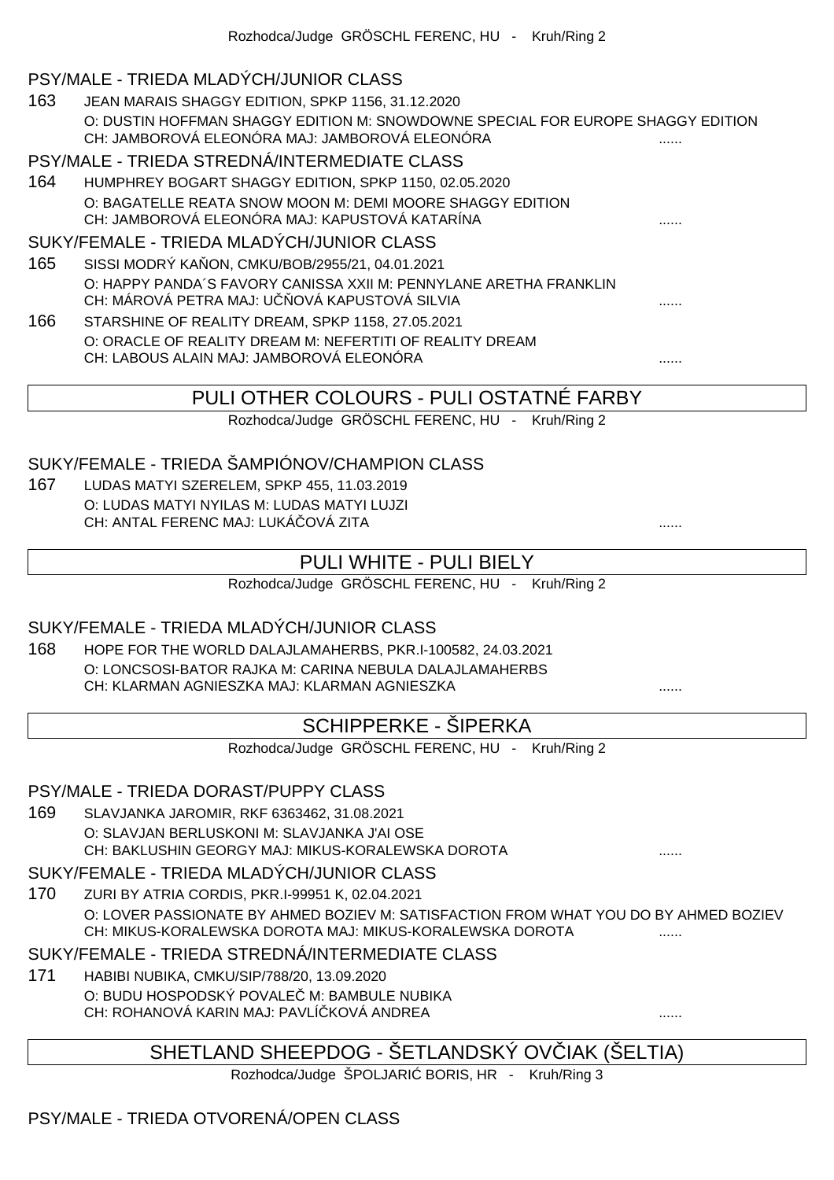### PSY/MALE - TRIEDA MLADÝCH/JUNIOR CLASS

163 JEAN MARAIS SHAGGY EDITION, SPKP 1156, 31.12.2020 O: DUSTIN HOFFMAN SHAGGY EDITION M: SNOWDOWNE SPECIAL FOR EUROPE SHAGGY EDITION CH: JAMBOROVÁ ELEONÓRA MAJ: JAMBOROVÁ ELEONÓRA

#### PSY/MALE - TRIEDA STREDNÁ/INTERMEDIATE CLASS

164 HUMPHREY BOGART SHAGGY EDITION, SPKP 1150, 02.05.2020 O: BAGATELLE REATA SNOW MOON M: DEMI MOORE SHAGGY EDITION CH: JAMBOROVÁ ELEONÓRA MAJ: KAPUSTOVÁ KATARÍNA

#### SUKY/FEMALE - TRIEDA MLADÝCH/JUNIOR CLASS

- 165 SISSI MODRÝ KAŇON, CMKU/BOB/2955/21, 04.01.2021 O: HAPPY PANDA´S FAVORY CANISSA XXII M: PENNYLANE ARETHA FRANKLIN CH: MÁROVÁ PETRA MAJ: UČŇOVÁ KAPUSTOVÁ SILVIA ......
- 166 STARSHINE OF REALITY DREAM, SPKP 1158, 27.05.2021 O: ORACLE OF REALITY DREAM M: NEFERTITI OF REALITY DREAM CH: LABOUS ALAIN MAJ: JAMBOROVÁ ELEONÓRA

## PULI OTHER COLOURS - PULI OSTATNÉ FARBY

Rozhodca/Judge GRÖSCHL FERENC, HU - Kruh/Ring 2

## SUKY/FEMALE - TRIEDA ŠAMPIÓNOV/CHAMPION CLASS

167 LUDAS MATYI SZERELEM, SPKP 455, 11.03.2019 O: LUDAS MATYI NYILAS M: LUDAS MATYI LUJZI CH: ANTAL FERENC MAJ: LUKÁ OVÁ ZITA

## PULI WHITE - PULI BIELY

Rozhodca/Judge GRÖSCHL FERENC, HU - Kruh/Ring 2

#### SUKY/FEMALE - TRIEDA MLADÝCH/JUNIOR CLASS

168 HOPE FOR THE WORLD DALAJLAMAHERBS, PKR.I-100582, 24.03.2021 O: LONCSOSI-BATOR RAJKA M: CARINA NEBULA DALAJLAMAHERBS CH: KLARMAN AGNIESZKA MAJ: KLARMAN AGNIESZKA

## SCHIPPERKE - ŠIPERKA

Rozhodca/Judge GRÖSCHL FERENC, HU - Kruh/Ring 2

#### PSY/MALE - TRIEDA DORAST/PUPPY CLASS

169 SLAVJANKA JAROMIR, RKF 6363462, 31.08.2021 O: SLAVJAN BERLUSKONI M: SLAVJANKA J'AI OSE CH: BAKLUSHIN GEORGY MAJ: MIKUS-KORALEWSKA DOROTA ......

#### SUKY/FEMALE - TRIEDA MLADÝCH/JUNIOR CLASS

170 ZURI BY ATRIA CORDIS, PKR.I-99951 K, 02.04.2021 O: LOVER PASSIONATE BY AHMED BOZIEV M: SATISFACTION FROM WHAT YOU DO BY AHMED BOZIEV CH: MIKUS-KORALEWSKA DOROTA MAJ: MIKUS-KORALEWSKA DOROTA ......

#### SUKY/FEMALE - TRIEDA STREDNÁ/INTERMEDIATE CLASS

171 HABIBI NUBIKA, CMKU/SIP/788/20, 13.09.2020 O: BUDU HOSPODSKÝ POVALE M: BAMBULE NUBIKA CH: ROHANOVÁ KARIN MAJ: PAVLÍČKOVÁ ANDREA ......

# SHETLAND SHEEPDOG - ŠETLANDSKÝ OV IAK (ŠELTIA)

Rozhodca/Judge ŠPOLJARI BORIS, HR - Kruh/Ring 3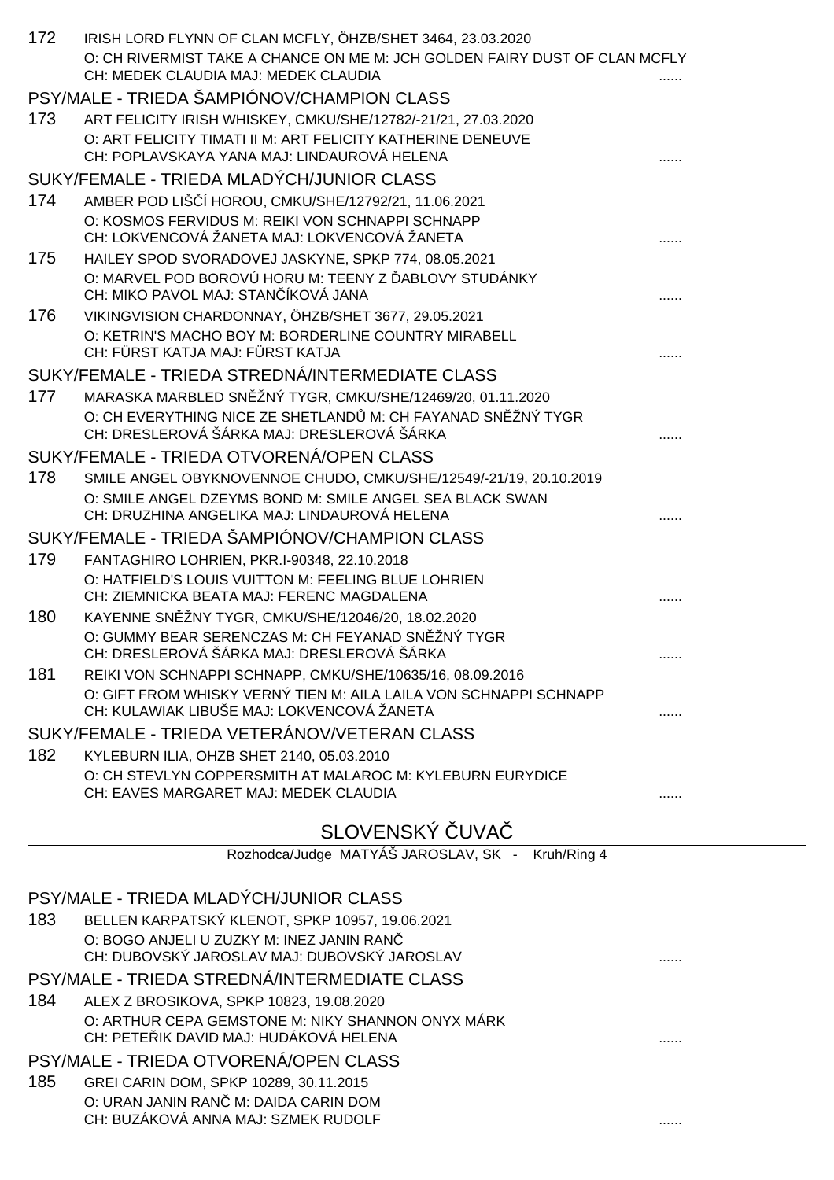| 172 | IRISH LORD FLYNN OF CLAN MCFLY, ÖHZB/SHET 3464, 23.03.2020<br>O: CH RIVERMIST TAKE A CHANCE ON ME M: JCH GOLDEN FAIRY DUST OF CLAN MCFLY |  |
|-----|------------------------------------------------------------------------------------------------------------------------------------------|--|
|     | CH: MEDEK CLAUDIA MAJ: MEDEK CLAUDIA                                                                                                     |  |
|     | PSY/MALE - TRIEDA ŠAMPIÓNOV/CHAMPION CLASS                                                                                               |  |
| 173 | ART FELICITY IRISH WHISKEY, CMKU/SHE/12782/-21/21, 27.03.2020                                                                            |  |
|     | O: ART FELICITY TIMATI II M: ART FELICITY KATHERINE DENEUVE                                                                              |  |
|     | CH: POPLAVSKAYA YANA MAJ: LINDAUROVÁ HELENA                                                                                              |  |
|     | SUKY/FEMALE - TRIEDA MLADÝCH/JUNIOR CLASS                                                                                                |  |
| 174 | AMBER POD LIŠ Í HOROU, CMKU/SHE/12792/21, 11.06.2021                                                                                     |  |
|     | O: KOSMOS FERVIDUS M: REIKI VON SCHNAPPI SCHNAPP<br>CH: LOKVENCOVÁ ŽANETA MAJ: LOKVENCOVÁ ŽANETA                                         |  |
| 175 | HAILEY SPOD SVORADOVEJ JASKYNE, SPKP 774, 08.05.2021                                                                                     |  |
|     | O: MARVEL POD BOROVÚ HORU M: TEENY Z ABLOVY STUDÁNKY                                                                                     |  |
|     | CH: MIKO PAVOL MAJ: STAN ÍKOVÁ JANA                                                                                                      |  |
| 176 | VIKINGVISION CHARDONNAY, ÖHZB/SHET 3677, 29.05.2021                                                                                      |  |
|     | O: KETRIN'S MACHO BOY M: BORDERLINE COUNTRY MIRABELL                                                                                     |  |
|     | CH: FÜRST KATJA MAJ: FÜRST KATJA                                                                                                         |  |
|     | SUKY/FEMALE - TRIEDA STREDNÁ/INTERMEDIATE CLASS                                                                                          |  |
| 177 | MARASKA MARBLED SN ŽNÝ TYGR, CMKU/SHE/12469/20, 01.11.2020                                                                               |  |
|     | O: CH EVERYTHING NICE ZE SHETLAND M: CH FAYANAD SN ŽNÝ TYGR<br>CH: DRESLEROVÁ ŠÁRKA MAJ: DRESLEROVÁ ŠÁRKA                                |  |
|     | SUKY/FEMALE - TRIEDA OTVORENÁ/OPEN CLASS                                                                                                 |  |
| 178 | SMILE ANGEL OBYKNOVENNOE CHUDO, CMKU/SHE/12549/-21/19, 20.10.2019                                                                        |  |
|     | O: SMILE ANGEL DZEYMS BOND M: SMILE ANGEL SEA BLACK SWAN                                                                                 |  |
|     | CH: DRUZHINA ANGELIKA MAJ: LINDAUROVÁ HELENA                                                                                             |  |
|     | SUKY/FEMALE - TRIEDA ŠAMPIÓNOV/CHAMPION CLASS                                                                                            |  |
| 179 | FANTAGHIRO LOHRIEN, PKR.I-90348, 22.10.2018                                                                                              |  |
|     | O: HATFIELD'S LOUIS VUITTON M: FEELING BLUE LOHRIEN                                                                                      |  |
|     | CH: ZIEMNICKA BEATA MAJ: FERENC MAGDALENA                                                                                                |  |
| 180 | KAYENNE SN ŽNY TYGR, CMKU/SHE/12046/20, 18.02.2020<br>O: GUMMY BEAR SERENCZAS M: CH FEYANAD SN ŽNÝ TYGR                                  |  |
|     | CH: DRESLEROVÁ ŠÁRKA MAJ: DRESLEROVÁ ŠÁRKA                                                                                               |  |
| 181 | REIKI VON SCHNAPPI SCHNAPP, CMKU/SHE/10635/16, 08.09.2016                                                                                |  |
|     | O: GIFT FROM WHISKY VERNÝ TIEN M: AILA LAILA VON SCHNAPPI SCHNAPP                                                                        |  |
|     | CH: KULAWIAK LIBUŠE MAJ: LOKVENCOVÁ ŽANETA                                                                                               |  |
|     | SUKY/FEMALE - TRIEDA VETERÁNOV/VETERAN CLASS                                                                                             |  |
| 182 | KYLEBURN ILIA, OHZB SHET 2140, 05.03.2010                                                                                                |  |
|     | O: CH STEVLYN COPPERSMITH AT MALAROC M: KYLEBURN EURYDICE                                                                                |  |
|     | CH: EAVES MARGARET MAJ: MEDEK CLAUDIA                                                                                                    |  |
|     |                                                                                                                                          |  |

### SLOVENSKÝ UVA

Rozhodca/Judge MATYÁŠ JAROSLAV, SK - Kruh/Ring 4

| . |
|---|
|   |
|   |
|   |
|   |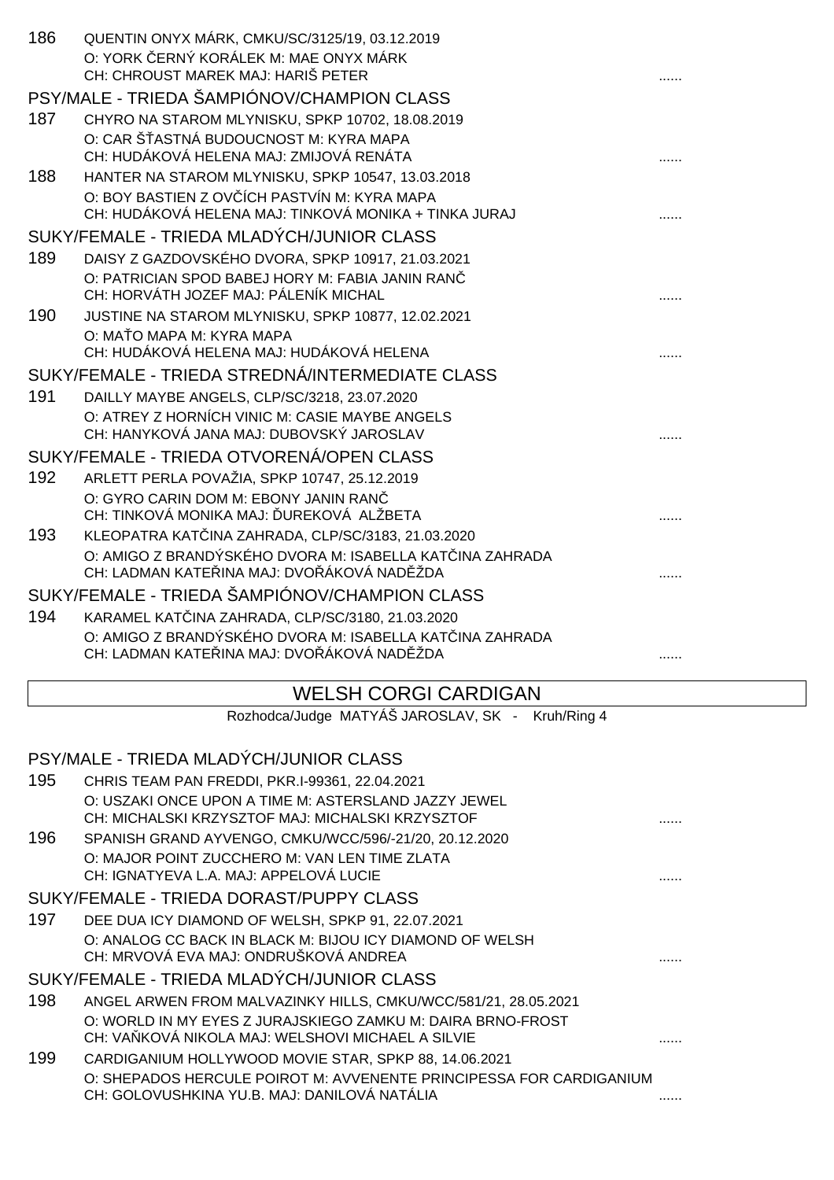| CH: CHROUST MAREK MAJ: HARIŠ PETER<br>PSY/MALE - TRIEDA ŠAMPIÓNOV/CHAMPION CLASS                                      |  |
|-----------------------------------------------------------------------------------------------------------------------|--|
|                                                                                                                       |  |
| 187<br>CHYRO NA STAROM MLYNISKU, SPKP 10702, 18.08.2019                                                               |  |
| O: CAR Š ASTNÁ BUDOUCNOST M: KYRA MAPA                                                                                |  |
| CH: HUDÁKOVÁ HELENA MAJ: ZMIJOVÁ RENÁTA                                                                               |  |
| 188<br>HANTER NA STAROM MLYNISKU, SPKP 10547, 13.03.2018                                                              |  |
| O: BOY BASTIEN Z OV ÍCH PASTVÍN M: KYRA MAPA                                                                          |  |
| CH: HUDÁKOVÁ HELENA MAJ: TINKOVÁ MONIKA + TINKA JURAJ                                                                 |  |
| SUKY/FEMALE - TRIEDA MLADÝCH/JUNIOR CLASS                                                                             |  |
| 189<br>DAISY Z GAZDOVSKÉHO DVORA, SPKP 10917, 21.03.2021                                                              |  |
| O: PATRICIAN SPOD BABEJ HORY M: FABIA JANIN RAN<br>CH: HORVÁTH JOZEF MAJ: PÁLENÍK MICHAL                              |  |
| 190<br>JUSTINE NA STAROM MLYNISKU, SPKP 10877, 12.02.2021                                                             |  |
| O: MA O MAPA M: KYRA MAPA                                                                                             |  |
| CH: HUDÁKOVÁ HELENA MAJ: HUDÁKOVÁ HELENA                                                                              |  |
| SUKY/FEMALE - TRIEDA STREDNÁ/INTERMEDIATE CLASS                                                                       |  |
| 191<br>DAILLY MAYBE ANGELS, CLP/SC/3218, 23.07.2020                                                                   |  |
| O: ATREY Z HORNÍCH VINIC M: CASIE MAYBE ANGELS                                                                        |  |
| CH: HANYKOVÁ JANA MAJ: DUBOVSKÝ JAROSLAV                                                                              |  |
| SUKY/FEMALE - TRIEDA OTVORENÁ/OPEN CLASS                                                                              |  |
| 192<br>ARLETT PERLA POVAŽIA, SPKP 10747, 25.12.2019                                                                   |  |
| O: GYRO CARIN DOM M: EBONY JANIN RAN<br>CH: TINKOVÁ MONIKA MAJ: UREKOVÁ ALŽBETA                                       |  |
|                                                                                                                       |  |
| 193<br>KLEOPATRA KAT INA ZAHRADA, CLP/SC/3183, 21.03.2020<br>O: AMIGO Z BRANDÝSKÉHO DVORA M: ISABELLA KAT INA ZAHRADA |  |
| CH: LADMAN KATE INA MAJ: DVO ÁKOVÁ NAD ŽDA                                                                            |  |
| SUKY/FEMALE - TRIEDA ŠAMPIÓNOV/CHAMPION CLASS                                                                         |  |
| 194<br>KARAMEL KAT INA ZAHRADA, CLP/SC/3180, 21.03.2020                                                               |  |
| O: AMIGO Z BRANDÝSKÉHO DVORA M: ISABELLA KAT INA ZAHRADA                                                              |  |
| CH: LADMAN KATE INA MAJ: DVO ÁKOVÁ NAD ŽDA<br>.                                                                       |  |
| <b>WELSH CORGI CARDIGAN</b>                                                                                           |  |
|                                                                                                                       |  |
| Rozhodca/Judge MATYÁŠ JAROSLAV, SK - Kruh/Ring 4                                                                      |  |
|                                                                                                                       |  |
| PSY/MALE - TRIEDA MLADÝCH/JUNIOR CLASS                                                                                |  |
| 195<br>CHRIS TEAM PAN FREDDI, PKR.I-99361, 22.04.2021                                                                 |  |
| O: USZAKI ONCE UPON A TIME M: ASTERSLAND JAZZY JEWEL                                                                  |  |
| CH: MICHALSKI KRZYSZTOF MAJ: MICHALSKI KRZYSZTOF<br>.                                                                 |  |
| 196<br>SPANISH GRAND AYVENGO, CMKU/WCC/596/-21/20, 20.12.2020                                                         |  |
| O: MAJOR POINT ZUCCHERO M: VAN LEN TIME ZLATA<br>CH: IGNATYEVA L.A. MAJ: APPELOVÁ LUCIE                               |  |
| SUKY/FEMALE - TRIEDA DORAST/PUPPY CLASS                                                                               |  |
| 197<br>DEE DUA ICY DIAMOND OF WELSH, SPKP 91, 22.07.2021                                                              |  |
| O: ANALOG CC BACK IN BLACK M: BIJOU ICY DIAMOND OF WELSH                                                              |  |
| CH: MRVOVÁ EVA MAJ: ONDRUŠKOVÁ ANDREA                                                                                 |  |
| SUKY/FEMALE - TRIEDA MLADÝCH/JUNIOR CLASS                                                                             |  |
| 198<br>ANGEL ARWEN FROM MALVAZINKY HILLS, CMKU/WCC/581/21, 28.05.2021                                                 |  |
| O: WORLD IN MY EYES Z JURAJSKIEGO ZAMKU M: DAIRA BRNO-FROST                                                           |  |
| CH: VA KOVÁ NIKOLA MAJ: WELSHOVI MICHAEL A SILVIE<br>.                                                                |  |
| 199<br>CARDIGANIUM HOLLYWOOD MOVIE STAR, SPKP 88, 14.06.2021                                                          |  |
| O: SHEPADOS HERCULE POIROT M: AVVENENTE PRINCIPESSA FOR CARDIGANIUM<br>CH: GOLOVUSHKINA YU.B. MAJ: DANILOVÁ NATÁLIA   |  |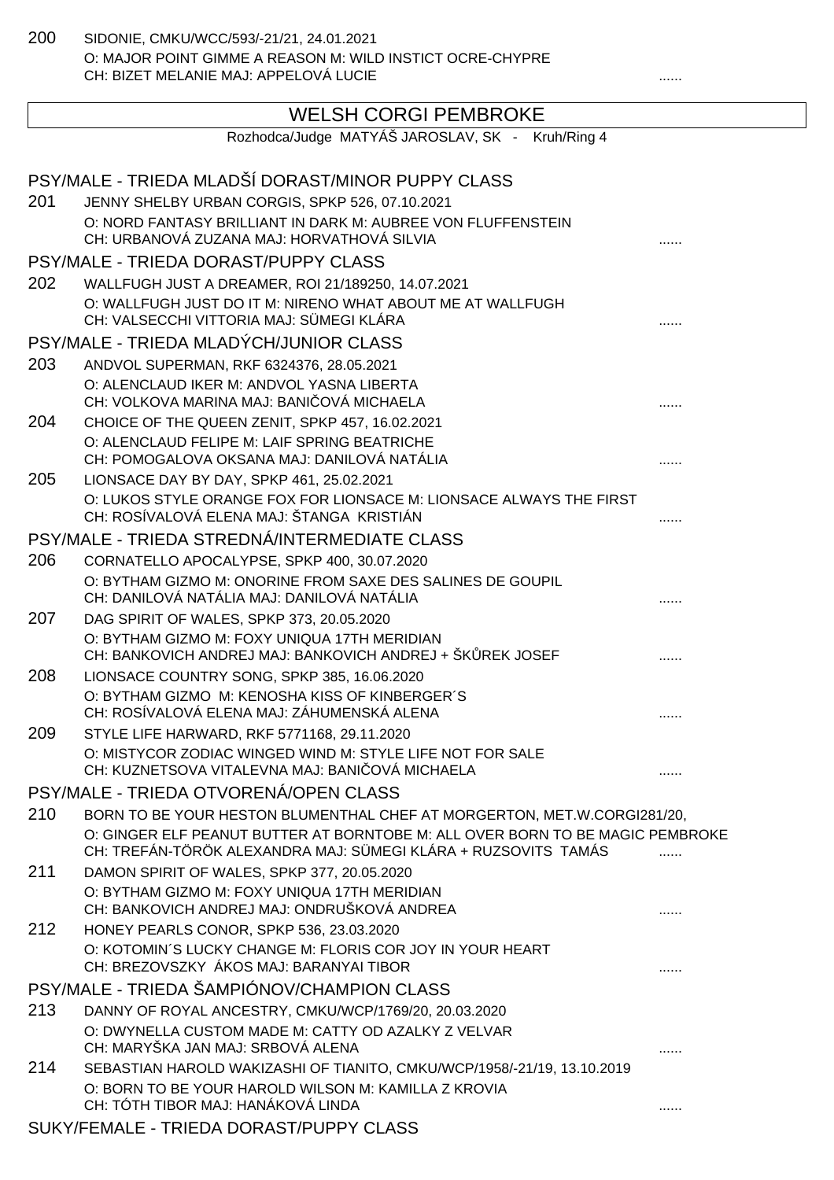200 SIDONIE, CMKU/WCC/593/-21/21, 24.01.2021 O: MAJOR POINT GIMME A REASON M: WILD INSTICT OCRE-CHYPRE CH: BIZET MELANIE MAJ: APPELOVÁ LUCIE ......

# WELSH CORGI PEMBROKE

|     | Rozhodca/Judge MATYÁŠ JAROSLAV, SK - Kruh/Ring 4                                                                                                |   |
|-----|-------------------------------------------------------------------------------------------------------------------------------------------------|---|
|     | PSY/MALE - TRIEDA MLADŠÍ DORAST/MINOR PUPPY CLASS                                                                                               |   |
| 201 | JENNY SHELBY URBAN CORGIS, SPKP 526, 07.10.2021                                                                                                 |   |
|     | O: NORD FANTASY BRILLIANT IN DARK M: AUBREE VON FLUFFENSTEIN<br>CH: URBANOVÁ ZUZANA MAJ: HORVATHOVÁ SILVIA                                      |   |
|     | PSY/MALE - TRIEDA DORAST/PUPPY CLASS                                                                                                            |   |
| 202 | WALLFUGH JUST A DREAMER, ROI 21/189250, 14.07.2021                                                                                              |   |
|     | O: WALLFUGH JUST DO IT M: NIRENO WHAT ABOUT ME AT WALLFUGH<br>CH: VALSECCHI VITTORIA MAJ: SÜMEGI KLÁRA                                          |   |
|     | PSY/MALE - TRIEDA MLADÝCH/JUNIOR CLASS                                                                                                          |   |
| 203 | ANDVOL SUPERMAN, RKF 6324376, 28.05.2021                                                                                                        |   |
|     | O: ALENCLAUD IKER M: ANDVOL YASNA LIBERTA<br>CH: VOLKOVA MARINA MAJ: BANI OVÁ MICHAELA                                                          |   |
| 204 | CHOICE OF THE QUEEN ZENIT, SPKP 457, 16.02.2021                                                                                                 |   |
|     | O: ALENCLAUD FELIPE M: LAIF SPRING BEATRICHE<br>CH: POMOGALOVA OKSANA MAJ: DANILOVÁ NATÁLIA                                                     |   |
| 205 | LIONSACE DAY BY DAY, SPKP 461, 25.02.2021                                                                                                       |   |
|     | O: LUKOS STYLE ORANGE FOX FOR LIONSACE M: LIONSACE ALWAYS THE FIRST<br>CH: ROSÍVALOVÁ ELENA MAJ: ŠTANGA KRISTIÁN                                |   |
|     | PSY/MALE - TRIEDA STREDNÁ/INTERMEDIATE CLASS                                                                                                    |   |
| 206 | CORNATELLO APOCALYPSE, SPKP 400, 30.07.2020                                                                                                     |   |
|     | O: BYTHAM GIZMO M: ONORINE FROM SAXE DES SALINES DE GOUPIL<br>CH: DANILOVÁ NATÁLIA MAJ: DANILOVÁ NATÁLIA                                        |   |
| 207 | DAG SPIRIT OF WALES, SPKP 373, 20.05.2020                                                                                                       |   |
|     | O: BYTHAM GIZMO M: FOXY UNIQUA 17TH MERIDIAN<br>CH: BANKOVICH ANDREJ MAJ: BANKOVICH ANDREJ + ŠK REK JOSEF                                       |   |
| 208 | LIONSACE COUNTRY SONG, SPKP 385, 16.06.2020                                                                                                     |   |
|     | O: BYTHAM GIZMO M: KENOSHA KISS OF KINBERGER'S<br>CH: ROSÍVALOVÁ ELENA MAJ: ZÁHUMENSKÁ ALENA                                                    |   |
| 209 | STYLE LIFE HARWARD, RKF 5771168, 29.11.2020                                                                                                     |   |
|     | O: MISTYCOR ZODIAC WINGED WIND M: STYLE LIFE NOT FOR SALE<br>CH: KUZNETSOVA VITALEVNA MAJ: BANI OVÁ MICHAELA                                    |   |
|     | PSY/MALE - TRIEDA OTVORENÁ/OPEN CLASS                                                                                                           |   |
| 210 | BORN TO BE YOUR HESTON BLUMENTHAL CHEF AT MORGERTON, MET.W.CORGI281/20,                                                                         |   |
|     | O: GINGER ELF PEANUT BUTTER AT BORNTOBE M: ALL OVER BORN TO BE MAGIC PEMBROKE<br>CH: TREFÁN-TÖRÖK ALEXANDRA MAJ: SÜMEGI KLÁRA + RUZSOVITS TAMÁS |   |
| 211 | DAMON SPIRIT OF WALES, SPKP 377, 20.05.2020                                                                                                     |   |
|     | O: BYTHAM GIZMO M: FOXY UNIQUA 17TH MERIDIAN<br>CH: BANKOVICH ANDREJ MAJ: ONDRUŠKOVÁ ANDREA                                                     |   |
| 212 | HONEY PEARLS CONOR, SPKP 536, 23.03.2020                                                                                                        |   |
|     | O: KOTOMIN'S LUCKY CHANGE M: FLORIS COR JOY IN YOUR HEART<br>CH: BREZOVSZKY ÁKOS MAJ: BARANYAI TIBOR                                            |   |
|     | PSY/MALE - TRIEDA ŠAMPIÓNOV/CHAMPION CLASS                                                                                                      |   |
| 213 | DANNY OF ROYAL ANCESTRY, CMKU/WCP/1769/20, 20.03.2020                                                                                           |   |
|     | O: DWYNELLA CUSTOM MADE M: CATTY OD AZALKY Z VELVAR<br>CH: MARYŠKA JAN MAJ: SRBOVÁ ALENA                                                        |   |
| 214 | SEBASTIAN HAROLD WAKIZASHI OF TIANITO, CMKU/WCP/1958/-21/19, 13.10.2019                                                                         |   |
|     | O: BORN TO BE YOUR HAROLD WILSON M: KAMILLA Z KROVIA<br>CH: TÓTH TIBOR MAJ: HANÁKOVÁ LINDA                                                      | . |
|     | SUKY/FEMALE - TRIEDA DORAST/PUPPY CLASS                                                                                                         |   |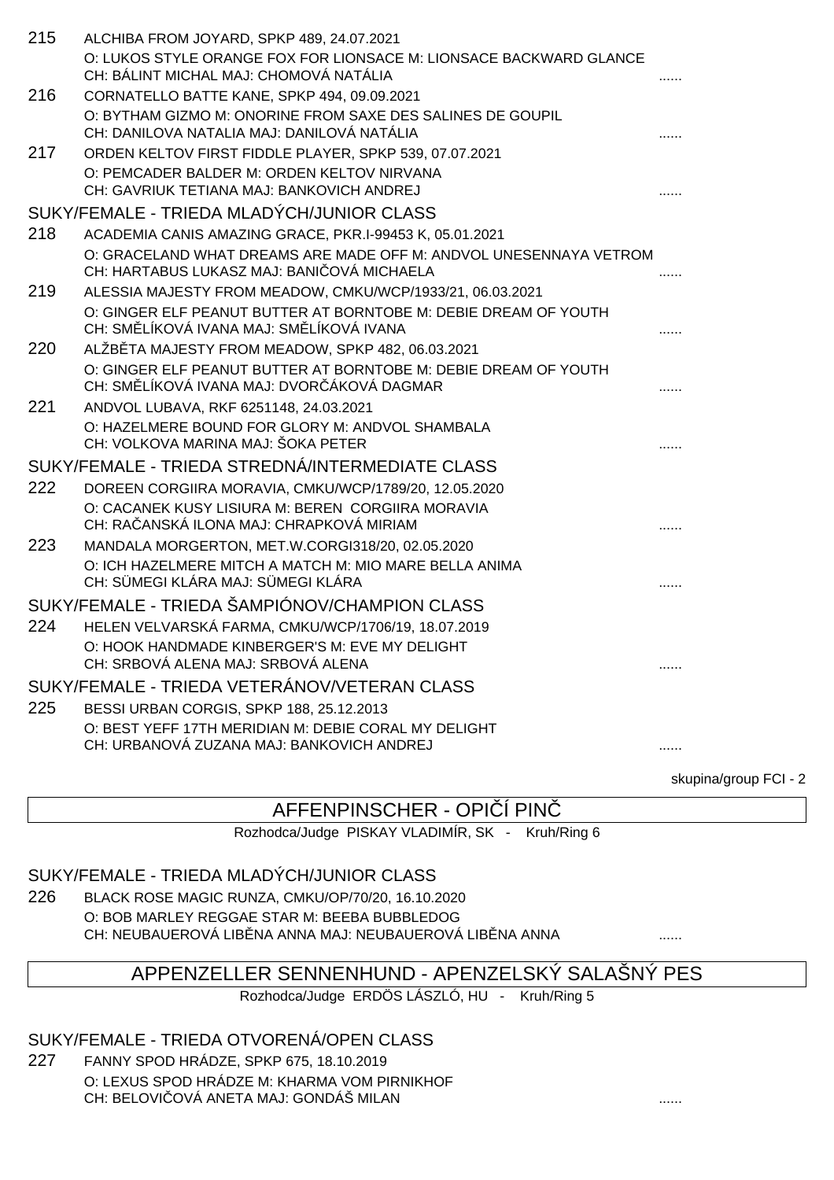| 215 | ALCHIBA FROM JOYARD, SPKP 489, 24.07.2021                                                                       |   |
|-----|-----------------------------------------------------------------------------------------------------------------|---|
|     | O: LUKOS STYLE ORANGE FOX FOR LIONSACE M: LIONSACE BACKWARD GLANCE                                              |   |
|     | CH: BÁLINT MICHAL MAJ: CHOMOVÁ NATÁLIA                                                                          |   |
| 216 | CORNATELLO BATTE KANE, SPKP 494, 09.09.2021                                                                     |   |
|     | O: BYTHAM GIZMO M: ONORINE FROM SAXE DES SALINES DE GOUPIL                                                      |   |
|     | CH: DANILOVA NATALIA MAJ: DANILOVÁ NATÁLIA                                                                      |   |
| 217 | ORDEN KELTOV FIRST FIDDLE PLAYER, SPKP 539, 07.07.2021                                                          |   |
|     | O: PEMCADER BALDER M: ORDEN KELTOV NIRVANA                                                                      |   |
|     | CH: GAVRIUK TETIANA MAJ: BANKOVICH ANDREJ                                                                       |   |
|     | SUKY/FEMALE - TRIEDA MLADÝCH/JUNIOR CLASS                                                                       |   |
| 218 | ACADEMIA CANIS AMAZING GRACE, PKR.I-99453 K, 05.01.2021                                                         |   |
|     | O: GRACELAND WHAT DREAMS ARE MADE OFF M: ANDVOL UNESENNAYA VETROM<br>CH: HARTABUS LUKASZ MAJ: BANI OVÁ MICHAELA |   |
| 219 | ALESSIA MAJESTY FROM MEADOW, CMKU/WCP/1933/21, 06.03.2021                                                       |   |
|     | O: GINGER ELF PEANUT BUTTER AT BORNTOBE M: DEBIE DREAM OF YOUTH<br>CH: SM LÍKOVÁ IVANA MAJ: SM LÍKOVÁ IVANA     |   |
| 220 | ALŽB TA MAJESTY FROM MEADOW, SPKP 482, 06.03.2021                                                               |   |
|     | O: GINGER ELF PEANUT BUTTER AT BORNTOBE M: DEBIE DREAM OF YOUTH                                                 |   |
|     | CH: SM LÍKOVÁ IVANA MAJ: DVOR ÁKOVÁ DAGMAR                                                                      |   |
| 221 | ANDVOL LUBAVA, RKF 6251148, 24.03.2021                                                                          |   |
|     | O: HAZELMERE BOUND FOR GLORY M: ANDVOL SHAMBALA                                                                 |   |
|     | CH: VOLKOVA MARINA MAJ: ŠOKA PETER                                                                              |   |
|     | SUKY/FEMALE - TRIEDA STREDNÁ/INTERMEDIATE CLASS                                                                 |   |
| 222 | DOREEN CORGIIRA MORAVIA, CMKU/WCP/1789/20, 12.05.2020                                                           |   |
|     | O: CACANEK KUSY LISIURA M: BEREN CORGIIRA MORAVIA                                                               |   |
|     | CH: RA ANSKÁ ILONA MAJ: CHRAPKOVÁ MIRIAM                                                                        |   |
| 223 | MANDALA MORGERTON, MET.W.CORGI318/20, 02.05.2020                                                                |   |
|     | O: ICH HAZELMERE MITCH A MATCH M: MIO MARE BELLA ANIMA<br>CH: SÜMEGI KLÁRA MAJ: SÜMEGI KLÁRA                    |   |
|     | SUKY/FEMALE - TRIEDA ŠAMPIÓNOV/CHAMPION CLASS                                                                   |   |
|     |                                                                                                                 |   |
| 224 | HELEN VELVARSKÁ FARMA, CMKU/WCP/1706/19, 18.07.2019                                                             |   |
|     | O: HOOK HANDMADE KINBERGER'S M: EVE MY DELIGHT<br>CH: SRBOVÁ ALENA MAJ: SRBOVÁ ALENA                            |   |
|     |                                                                                                                 |   |
|     | SUKY/FEMALE - TRIEDA VETERÁNOV/VETERAN CLASS                                                                    |   |
| 225 | BESSI URBAN CORGIS, SPKP 188, 25.12.2013                                                                        |   |
|     | O: BEST YEFF 17TH MERIDIAN M: DEBIE CORAL MY DELIGHT<br>CH: URBANOVÁ ZUZANA MAJ: BANKOVICH ANDREJ               |   |
|     |                                                                                                                 | . |

skupina/group FCI - 2

## AFFENPINSCHER - OPI Í PIN

Rozhodca/Judge PISKAY VLADIMÍR, SK - Kruh/Ring 6

### SUKY/FEMALE - TRIEDA MLADÝCH/JUNIOR CLASS

226 BLACK ROSE MAGIC RUNZA, CMKU/OP/70/20, 16.10.2020 O: BOB MARLEY REGGAE STAR M: BEEBA BUBBLEDOG CH: NEUBAUEROVÁ LIB NA ANNA MAJ: NEUBAUEROVÁ LIB NA ANNA .......

## APPENZELLER SENNENHUND - APENZELSKÝ SALAŠNÝ PES

Rozhodca/Judge ERDÖS LÁSZLÓ, HU - Kruh/Ring 5

SUKY/FEMALE - TRIEDA OTVORENÁ/OPEN CLASS

227 FANNY SPOD HRÁDZE, SPKP 675, 18.10.2019 O: LEXUS SPOD HRÁDZE M: KHARMA VOM PIRNIKHOF CH: BELOVIČOVÁ ANETA MAJ: GONDÁŠ MILAN ......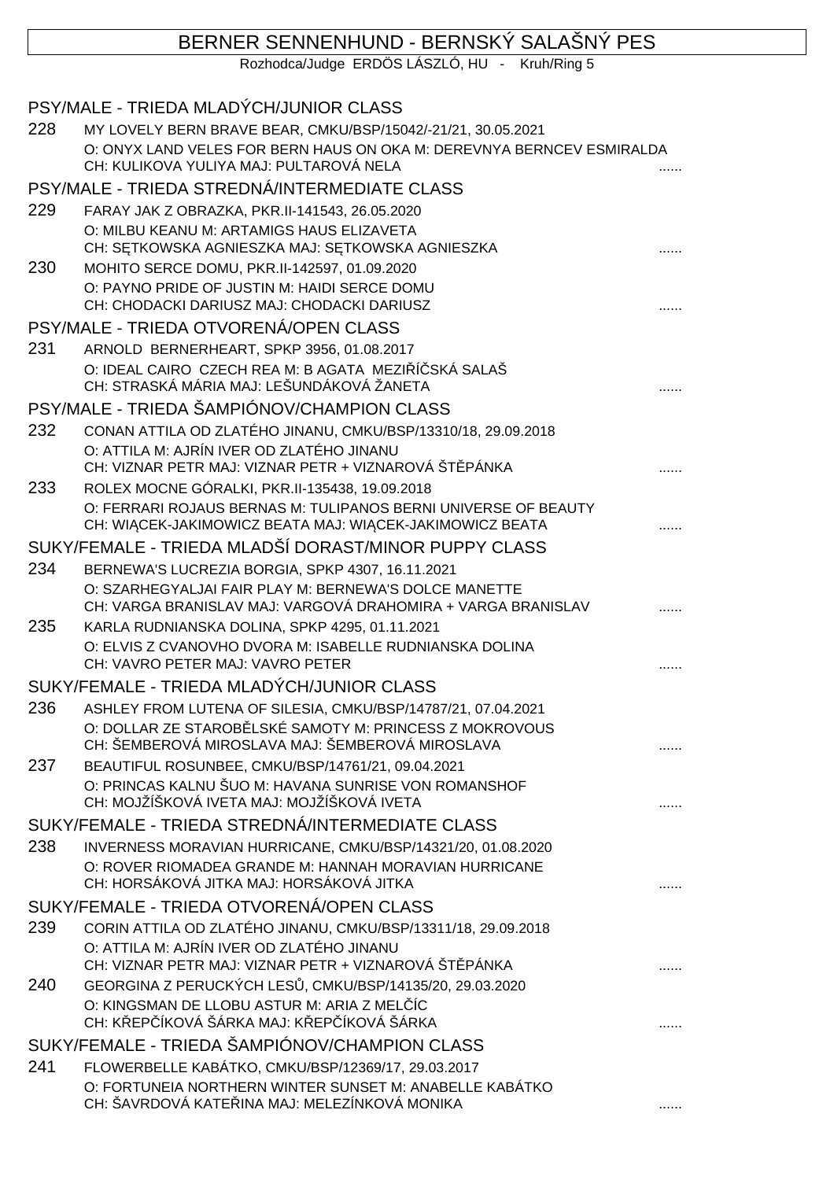# BERNER SENNENHUND - BERNSKÝ SALAŠNÝ PES

Rozhodca/Judge ERDÖS LÁSZLÓ, HU - Kruh/Ring 5

|     | PSY/MALE - TRIEDA MLADÝCH/JUNIOR CLASS                                                                                |  |
|-----|-----------------------------------------------------------------------------------------------------------------------|--|
| 228 | MY LOVELY BERN BRAVE BEAR, CMKU/BSP/15042/-21/21, 30.05.2021                                                          |  |
|     | O: ONYX LAND VELES FOR BERN HAUS ON OKA M: DEREVNYA BERNCEV ESMIRALDA<br>CH: KULIKOVA YULIYA MAJ: PULTAROVÁ NELA      |  |
|     | PSY/MALE - TRIEDA STREDNÁ/INTERMEDIATE CLASS                                                                          |  |
| 229 | FARAY JAK Z OBRAZKA, PKR.II-141543, 26.05.2020                                                                        |  |
|     | O: MILBU KEANU M: ARTAMIGS HAUS ELIZAVETA<br>CH: S TKOWSKA AGNIESZKA MAJ: S TKOWSKA AGNIESZKA                         |  |
| 230 | MOHITO SERCE DOMU, PKR.II-142597, 01.09.2020                                                                          |  |
|     | O: PAYNO PRIDE OF JUSTIN M: HAIDI SERCE DOMU<br>CH: CHODACKI DARIUSZ MAJ: CHODACKI DARIUSZ                            |  |
|     | PSY/MALE - TRIEDA OTVORENÁ/OPEN CLASS                                                                                 |  |
| 231 | ARNOLD BERNERHEART, SPKP 3956, 01.08.2017                                                                             |  |
|     | O: IDEAL CAIRO CZECH REA M: B AGATA MEZI Í SKÁ SALAŠ<br>CH: STRASKÁ MÁRIA MAJ: LEŠUNDÁKOVÁ ŽANETA                     |  |
|     | PSY/MALE - TRIEDA ŠAMPIÓNOV/CHAMPION CLASS                                                                            |  |
| 232 | CONAN ATTILA OD ZLATÉHO JINANU, CMKU/BSP/13310/18, 29.09.2018                                                         |  |
|     | O: ATTILA M: AJRÍN IVER OD ZLATÉHO JINANU<br>CH: VIZNAR PETR MAJ: VIZNAR PETR + VIZNAROVÁ ŠT PÁNKA                    |  |
| 233 | ROLEX MOCNE GÓRALKI, PKR.II-135438, 19.09.2018                                                                        |  |
|     | O: FERRARI ROJAUS BERNAS M: TULIPANOS BERNI UNIVERSE OF BEAUTY                                                        |  |
|     | CH: WI CEK-JAKIMOWICZ BEATA MAJ: WI CEK-JAKIMOWICZ BEATA                                                              |  |
|     | SUKY/FEMALE - TRIEDA MLADŠÍ DORAST/MINOR PUPPY CLASS                                                                  |  |
| 234 | BERNEWA'S LUCREZIA BORGIA, SPKP 4307, 16.11.2021                                                                      |  |
|     | O: SZARHEGYALJAI FAIR PLAY M: BERNEWA'S DOLCE MANETTE<br>CH: VARGA BRANISLAV MAJ: VARGOVÁ DRAHOMIRA + VARGA BRANISLAV |  |
| 235 | KARLA RUDNIANSKA DOLINA, SPKP 4295, 01.11.2021                                                                        |  |
|     | O: ELVIS Z CVANOVHO DVORA M: ISABELLE RUDNIANSKA DOLINA<br>CH: VAVRO PETER MAJ: VAVRO PETER                           |  |
|     | SUKY/FEMALE - TRIEDA MLADÝCH/JUNIOR CLASS                                                                             |  |
| 236 | ASHLEY FROM LUTENA OF SILESIA, CMKU/BSP/14787/21, 07.04.2021                                                          |  |
|     | O: DOLLAR ZE STAROB LSKÉ SAMOTY M: PRINCESS Z MOKROVOUS<br>CH: ŠEMBEROVÁ MIROSLAVA MAJ: ŠEMBEROVÁ MIROSLAVA           |  |
| 237 | BEAUTIFUL ROSUNBEE, CMKU/BSP/14761/21, 09.04.2021                                                                     |  |
|     | O: PRINCAS KALNU ŠUO M: HAVANA SUNRISE VON ROMANSHOF<br>CH: MOJŽÍŠKOVÁ IVETA MAJ: MOJŽÍŠKOVÁ IVETA                    |  |
|     | SUKY/FEMALE - TRIEDA STREDNÁ/INTERMEDIATE CLASS                                                                       |  |
| 238 | INVERNESS MORAVIAN HURRICANE, CMKU/BSP/14321/20, 01.08.2020                                                           |  |
|     | O: ROVER RIOMADEA GRANDE M: HANNAH MORAVIAN HURRICANE<br>CH: HORSÁKOVÁ JITKA MAJ: HORSÁKOVÁ JITKA                     |  |
|     | SUKY/FEMALE - TRIEDA OTVORENÁ/OPEN CLASS                                                                              |  |
| 239 | CORIN ATTILA OD ZLATÉHO JINANU, CMKU/BSP/13311/18, 29.09.2018                                                         |  |
|     | O: ATTILA M: AJRÍN IVER OD ZLATÉHO JINANU<br>CH: VIZNAR PETR MAJ: VIZNAR PETR + VIZNAROVÁ ŠT PÁNKA                    |  |
| 240 | GEORGINA Z PERUCKÝCH LES , CMKU/BSP/14135/20, 29.03.2020                                                              |  |
|     | O: KINGSMAN DE LLOBU ASTUR M: ARIA Z MEL ÍC<br>CH: K EP ÍKOVÁ ŠÁRKA MAJ: K EP ÍKOVÁ ŠÁRKA                             |  |
|     | SUKY/FEMALE - TRIEDA ŠAMPIÓNOV/CHAMPION CLASS                                                                         |  |
| 241 | FLOWERBELLE KABÁTKO, CMKU/BSP/12369/17, 29.03.2017                                                                    |  |
|     | O: FORTUNEIA NORTHERN WINTER SUNSET M: ANABELLE KABÁTKO<br>CH: ŠAVRDOVÁ KATE INA MAJ: MELEZÍNKOVÁ MONIKA              |  |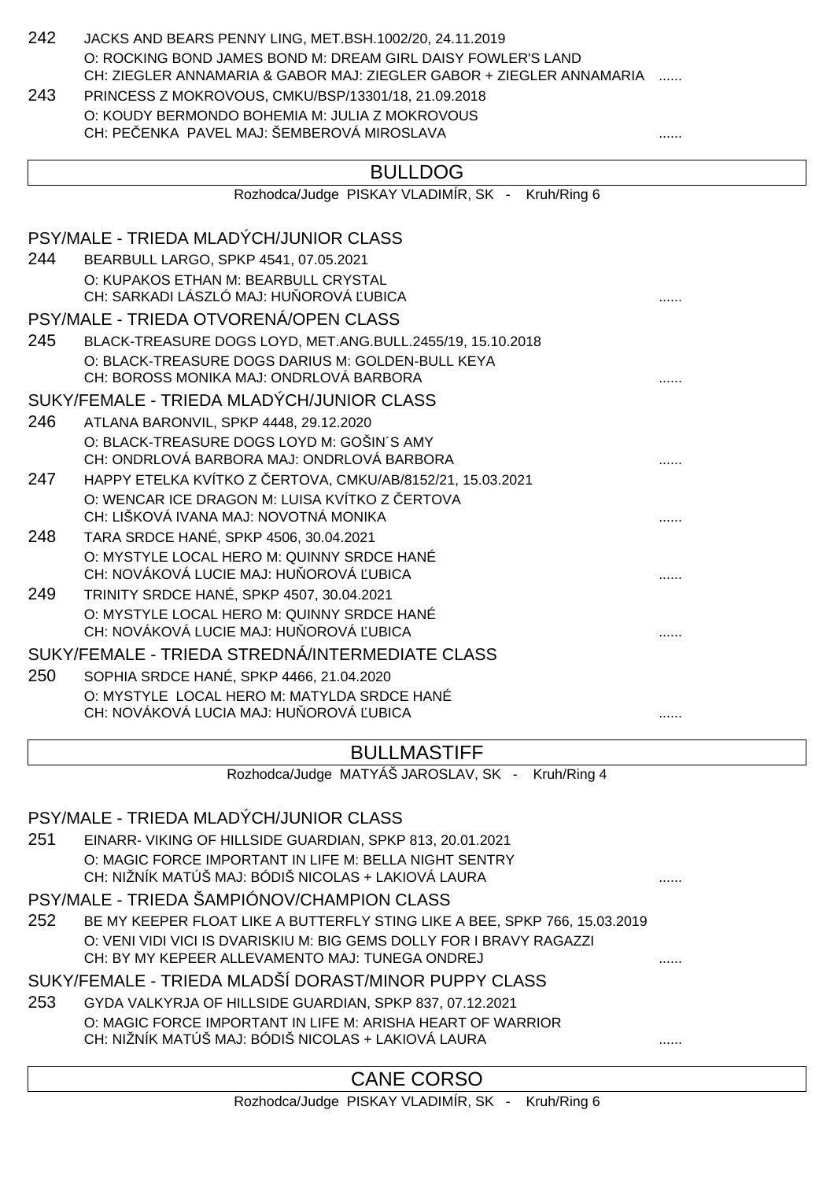| 242 | JACKS AND BEARS PENNY LING, MET.BSH.1002/20, 24.11.2019<br>O: ROCKING BOND JAMES BOND M: DREAM GIRL DAISY FOWLER'S LAND<br>CH: ZIEGLER ANNAMARIA & GABOR MAJ: ZIEGLER GABOR + ZIEGLER ANNAMARIA |   |
|-----|-------------------------------------------------------------------------------------------------------------------------------------------------------------------------------------------------|---|
| 243 | PRINCESS Z MOKROVOUS, CMKU/BSP/13301/18, 21.09.2018                                                                                                                                             |   |
|     | O: KOUDY BERMONDO BOHEMIA M: JULIA Z MOKROVOUS                                                                                                                                                  |   |
|     | CH: PE ENKA PAVEL MAJ: ŠEMBEROVÁ MIROSLAVA                                                                                                                                                      |   |
|     | <b>BULLDOG</b>                                                                                                                                                                                  |   |
|     | Rozhodca/Judge PISKAY VLADIMÍR, SK - Kruh/Ring 6                                                                                                                                                |   |
|     |                                                                                                                                                                                                 |   |
|     | PSY/MALE - TRIEDA MLADÝCH/JUNIOR CLASS                                                                                                                                                          |   |
| 244 | BEARBULL LARGO, SPKP 4541, 07.05.2021                                                                                                                                                           |   |
|     | O: KUPAKOS ETHAN M: BEARBULL CRYSTAL<br>CH: SARKADI LÁSZLÓ MAJ: HU OROVÁ UBICA                                                                                                                  |   |
|     | PSY/MALE - TRIEDA OTVORENÁ/OPEN CLASS                                                                                                                                                           |   |
| 245 | BLACK-TREASURE DOGS LOYD, MET.ANG.BULL.2455/19, 15.10.2018                                                                                                                                      |   |
|     | O: BLACK-TREASURE DOGS DARIUS M: GOLDEN-BULL KEYA                                                                                                                                               |   |
|     | CH: BOROSS MONIKA MAJ: ONDRLOVÁ BARBORA                                                                                                                                                         |   |
|     | SUKY/FEMALE - TRIEDA MLADÝCH/JUNIOR CLASS                                                                                                                                                       |   |
| 246 | ATLANA BARONVIL, SPKP 4448, 29.12.2020                                                                                                                                                          |   |
|     | O: BLACK-TREASURE DOGS LOYD M: GOŠIN'S AMY<br>CH: ONDRLOVÁ BARBORA MAJ: ONDRLOVÁ BARBORA                                                                                                        |   |
| 247 | HAPPY ETELKA KVÍTKO Z ERTOVA, CMKU/AB/8152/21, 15.03.2021                                                                                                                                       |   |
|     | O: WENCAR ICE DRAGON M: LUISA KVÍTKO Z ERTOVA                                                                                                                                                   |   |
|     | CH: LIŠKOVÁ IVANA MAJ: NOVOTNÁ MONIKA                                                                                                                                                           |   |
| 248 | TARA SRDCE HANÉ, SPKP 4506, 30.04.2021                                                                                                                                                          |   |
|     | O: MYSTYLE LOCAL HERO M: QUINNY SRDCE HANÉ<br>CH: NOVÁKOVÁ LUCIE MAJ: HU OROVÁ UBICA                                                                                                            |   |
| 249 | TRINITY SRDCE HANÉ, SPKP 4507, 30.04.2021                                                                                                                                                       |   |
|     | O: MYSTYLE LOCAL HERO M: QUINNY SRDCE HANÉ                                                                                                                                                      |   |
|     | CH: NOVÁKOVÁ LUCIE MAJ: HU OROVÁ UBICA                                                                                                                                                          |   |
|     | SUKY/FEMALE - TRIEDA STREDNÁ/INTERMEDIATE CLASS                                                                                                                                                 |   |
| 250 | SOPHIA SRDCE HANÉ, SPKP 4466, 21.04.2020                                                                                                                                                        |   |
|     | O: MYSTYLE LOCAL HERO M: MATYLDA SRDCE HANÉ<br>CH: NOVÁKOVÁ LUCIA MAJ: HU OROVÁ UBICA                                                                                                           |   |
|     |                                                                                                                                                                                                 | . |
|     | <b>BULLMASTIFF</b>                                                                                                                                                                              |   |
|     | Rozhodca/Judge MATYÁŠ JAROSLAV, SK -<br>Kruh/Ring 4                                                                                                                                             |   |
|     |                                                                                                                                                                                                 |   |
|     | PSY/MALE - TRIEDA MLADÝCH/JUNIOR CLASS                                                                                                                                                          |   |
| 251 | EINARR- VIKING OF HILLSIDE GUARDIAN, SPKP 813, 20.01.2021                                                                                                                                       |   |
|     | O: MAGIC FORCE IMPORTANT IN LIFE M: BELLA NIGHT SENTRY<br>CH: NIŽNÍK MATÚŠ MAJ: BÓDIŠ NICOLAS + LAKIOVÁ LAURA                                                                                   |   |
|     | PSY/MALE - TRIEDA ŠAMPIÓNOV/CHAMPION CLASS                                                                                                                                                      |   |
| 252 | BE MY KEEPER FLOAT LIKE A BUTTERFLY STING LIKE A BEE, SPKP 766, 15.03.2019                                                                                                                      |   |
|     | O: VENI VIDI VICI IS DVARISKIU M: BIG GEMS DOLLY FOR I BRAVY RAGAZZI                                                                                                                            |   |
|     | CH: BY MY KEPEER ALLEVAMENTO MAJ: TUNEGA ONDREJ                                                                                                                                                 |   |
|     | SUKY/FEMALE - TRIEDA MLADŠÍ DORAST/MINOR PUPPY CLASS                                                                                                                                            |   |
| 253 | GYDA VALKYRJA OF HILLSIDE GUARDIAN, SPKP 837, 07.12.2021                                                                                                                                        |   |
|     | O: MAGIC FORCE IMPORTANT IN LIFE M: ARISHA HEART OF WARRIOR<br>CH: NIŽNÍK MATÚŠ MAJ: BÓDIŠ NICOLAS + LAKIOVÁ LAURA                                                                              |   |
|     |                                                                                                                                                                                                 |   |
|     | <b>CANE CORSO</b>                                                                                                                                                                               |   |
|     | Rozhodca/Judge PISKAY VLADIMÍR, SK -<br>Kruh/Ring 6                                                                                                                                             |   |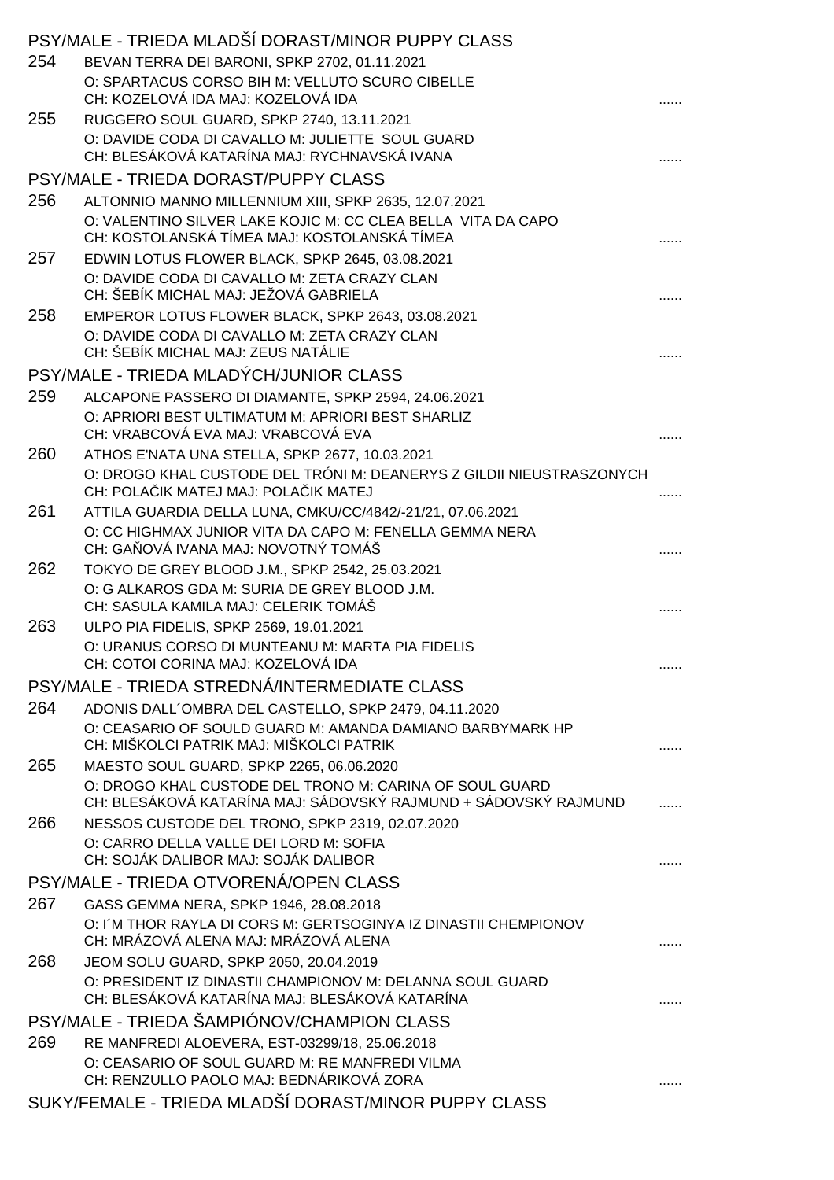|     | PSY/MALE - TRIEDA MLADSI DORAST/MINOR PUPPY CLASS                                                                          |  |
|-----|----------------------------------------------------------------------------------------------------------------------------|--|
| 254 | BEVAN TERRA DEI BARONI, SPKP 2702, 01.11.2021                                                                              |  |
|     | O: SPARTACUS CORSO BIH M: VELLUTO SCURO CIBELLE<br>CH: KOZELOVÁ IDA MAJ: KOZELOVÁ IDA                                      |  |
| 255 | RUGGERO SOUL GUARD, SPKP 2740, 13.11.2021                                                                                  |  |
|     | O: DAVIDE CODA DI CAVALLO M: JULIETTE SOUL GUARD<br>CH: BLESÁKOVÁ KATARÍNA MAJ: RYCHNAVSKÁ IVANA                           |  |
|     | PSY/MALE - TRIEDA DORAST/PUPPY CLASS                                                                                       |  |
| 256 | ALTONNIO MANNO MILLENNIUM XIII, SPKP 2635, 12.07.2021                                                                      |  |
|     | O: VALENTINO SILVER LAKE KOJIC M: CC CLEA BELLA VITA DA CAPO<br>CH: KOSTOLANSKÁ TÍMEA MAJ: KOSTOLANSKÁ TÍMEA               |  |
| 257 | EDWIN LOTUS FLOWER BLACK, SPKP 2645, 03.08.2021                                                                            |  |
|     | O: DAVIDE CODA DI CAVALLO M: ZETA CRAZY CLAN<br>CH: ŠEBÍK MICHAL MAJ: JEŽOVÁ GABRIELA                                      |  |
| 258 | EMPEROR LOTUS FLOWER BLACK, SPKP 2643, 03.08.2021                                                                          |  |
|     | O: DAVIDE CODA DI CAVALLO M: ZETA CRAZY CLAN<br>CH: ŠEBÍK MICHAL MAJ: ZEUS NATÁLIE                                         |  |
|     | PSY/MALE - TRIEDA MLADÝCH/JUNIOR CLASS                                                                                     |  |
| 259 | ALCAPONE PASSERO DI DIAMANTE, SPKP 2594, 24.06.2021                                                                        |  |
|     | O: APRIORI BEST ULTIMATUM M: APRIORI BEST SHARLIZ<br>CH: VRABCOVÁ EVA MAJ: VRABCOVÁ EVA                                    |  |
| 260 | ATHOS E'NATA UNA STELLA, SPKP 2677, 10.03.2021                                                                             |  |
|     | O: DROGO KHAL CUSTODE DEL TRÓNI M: DEANERYS Z GILDII NIEUSTRASZONYCH<br>CH: POLA IK MATEJ MAJ: POLA IK MATEJ               |  |
| 261 | ATTILA GUARDIA DELLA LUNA, CMKU/CC/4842/-21/21, 07.06.2021                                                                 |  |
|     | O: CC HIGHMAX JUNIOR VITA DA CAPO M: FENELLA GEMMA NERA<br>CH: GA OVÁ IVANA MAJ: NOVOTNÝ TOMÁŠ                             |  |
| 262 | TOKYO DE GREY BLOOD J.M., SPKP 2542, 25.03.2021                                                                            |  |
|     | O: G ALKAROS GDA M: SURIA DE GREY BLOOD J.M.<br>CH: SASULA KAMILA MAJ: CELERIK TOMÁŠ                                       |  |
| 263 | ULPO PIA FIDELIS, SPKP 2569, 19.01.2021                                                                                    |  |
|     | O: URANUS CORSO DI MUNTEANU M: MARTA PIA FIDELIS<br>CH: COTOI CORINA MAJ: KOZELOVÁ IDA                                     |  |
|     | PSY/MALE - TRIEDA STREDNÁ/INTERMEDIATE CLASS                                                                               |  |
| 264 | ADONIS DALL'OMBRA DEL CASTELLO, SPKP 2479, 04.11.2020                                                                      |  |
|     | O: CEASARIO OF SOULD GUARD M: AMANDA DAMIANO BARBYMARK HP<br>CH: MIŠKOLCI PATRIK MAJ: MIŠKOLCI PATRIK                      |  |
| 265 | MAESTO SOUL GUARD, SPKP 2265, 06.06.2020                                                                                   |  |
|     | O: DROGO KHAL CUSTODE DEL TRONO M: CARINA OF SOUL GUARD<br>CH: BLESÁKOVÁ KATARÍNA MAJ: SÁDOVSKÝ RAJMUND + SÁDOVSKÝ RAJMUND |  |
| 266 | NESSOS CUSTODE DEL TRONO, SPKP 2319, 02.07.2020                                                                            |  |
|     | O: CARRO DELLA VALLE DEI LORD M: SOFIA<br>CH: SOJÁK DALIBOR MAJ: SOJÁK DALIBOR                                             |  |
|     | PSY/MALE - TRIEDA OTVORENÁ/OPEN CLASS                                                                                      |  |
| 267 | GASS GEMMA NERA, SPKP 1946, 28.08.2018                                                                                     |  |
|     | O: I'M THOR RAYLA DI CORS M: GERTSOGINYA IZ DINASTII CHEMPIONOV                                                            |  |
|     | CH: MRÁZOVÁ ALENA MAJ: MRÁZOVÁ ALENA                                                                                       |  |
| 268 | JEOM SOLU GUARD, SPKP 2050, 20.04.2019                                                                                     |  |
|     | O: PRESIDENT IZ DINASTII CHAMPIONOV M: DELANNA SOUL GUARD<br>CH: BLESÁKOVÁ KATARÍNA MAJ: BLESÁKOVÁ KATARÍNA                |  |
|     | PSY/MALE - TRIEDA ŠAMPIÓNOV/CHAMPION CLASS                                                                                 |  |
| 269 | RE MANFREDI ALOEVERA, EST-03299/18, 25.06.2018                                                                             |  |
|     | O: CEASARIO OF SOUL GUARD M: RE MANFREDI VILMA                                                                             |  |
|     | CH: RENZULLO PAOLO MAJ: BEDNÁRIKOVÁ ZORA                                                                                   |  |
|     | SUKY/FEMALE - TRIEDA MLADŠÍ DORAST/MINOR PUPPY CLASS                                                                       |  |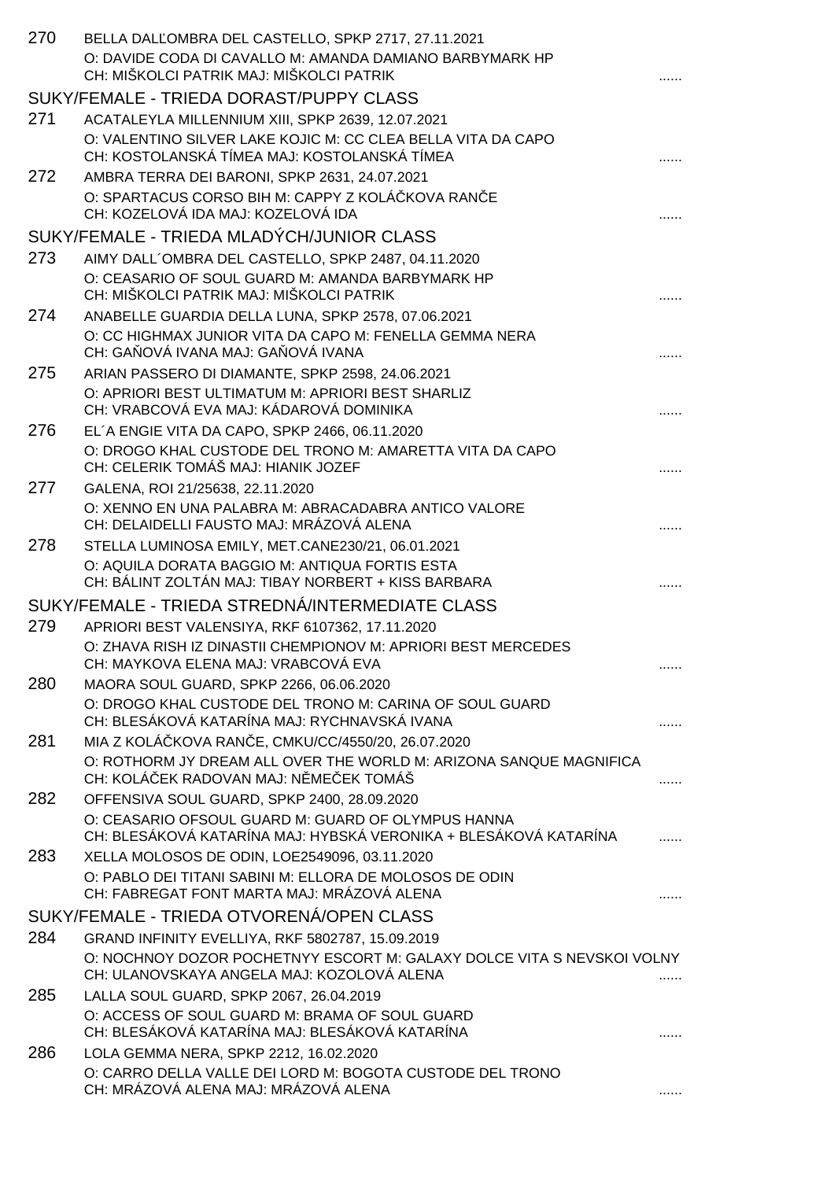| 270 | BELLA DAL OMBRA DEL CASTELLO, SPKP 2717, 27.11.2021                                                                    |   |
|-----|------------------------------------------------------------------------------------------------------------------------|---|
|     | O: DAVIDE CODA DI CAVALLO M: AMANDA DAMIANO BARBYMARK HP<br>CH: MIŠKOLCI PATRIK MAJ: MIŠKOLCI PATRIK                   |   |
|     | SUKY/FEMALE - TRIEDA DORAST/PUPPY CLASS                                                                                |   |
| 271 | ACATALEYLA MILLENNIUM XIII, SPKP 2639, 12.07.2021                                                                      |   |
|     | O: VALENTINO SILVER LAKE KOJIC M: CC CLEA BELLA VITA DA CAPO<br>CH: KOSTOLANSKÁ TÍMEA MAJ: KOSTOLANSKÁ TÍMEA           |   |
| 272 | AMBRA TERRA DEI BARONI, SPKP 2631, 24.07.2021                                                                          |   |
|     | O: SPARTACUS CORSO BIH M: CAPPY Z KOLÁ KOVA RAN E<br>CH: KOZELOVÁ IDA MAJ: KOZELOVÁ IDA                                |   |
|     | SUKY/FEMALE - TRIEDA MLADÝCH/JUNIOR CLASS                                                                              |   |
| 273 | AIMY DALL'OMBRA DEL CASTELLO, SPKP 2487, 04.11.2020                                                                    |   |
|     | O: CEASARIO OF SOUL GUARD M: AMANDA BARBYMARK HP<br>CH: MIŠKOLCI PATRIK MAJ: MIŠKOLCI PATRIK                           |   |
| 274 | ANABELLE GUARDIA DELLA LUNA, SPKP 2578, 07.06.2021                                                                     |   |
|     | O: CC HIGHMAX JUNIOR VITA DA CAPO M: FENELLA GEMMA NERA<br>CH: GA OVÁ IVANA MAJ: GA OVÁ IVANA                          |   |
| 275 | ARIAN PASSERO DI DIAMANTE, SPKP 2598, 24.06.2021                                                                       |   |
|     | O: APRIORI BEST ULTIMATUM M: APRIORI BEST SHARLIZ<br>CH: VRABCOVÁ EVA MAJ: KÁDAROVÁ DOMINIKA                           |   |
| 276 | EL'A ENGIE VITA DA CAPO, SPKP 2466, 06.11.2020                                                                         |   |
|     | O: DROGO KHAL CUSTODE DEL TRONO M: AMARETTA VITA DA CAPO<br>CH: CELERIK TOMÁŠ MAJ: HIANIK JOZEF                        |   |
| 277 | GALENA, ROI 21/25638, 22.11.2020                                                                                       |   |
|     | O: XENNO EN UNA PALABRA M: ABRACADABRA ANTICO VALORE<br>CH: DELAIDELLI FAUSTO MAJ: MRÁZOVÁ ALENA                       |   |
| 278 | STELLA LUMINOSA EMILY, MET.CANE230/21, 06.01.2021                                                                      |   |
|     | O: AQUILA DORATA BAGGIO M: ANTIQUA FORTIS ESTA<br>CH: BÁLINT ZOLTÁN MAJ: TIBAY NORBERT + KISS BARBARA                  |   |
|     | SUKY/FEMALE - TRIEDA STREDNÁ/INTERMEDIATE CLASS                                                                        |   |
| 279 | APRIORI BEST VALENSIYA, RKF 6107362, 17.11.2020                                                                        |   |
|     | O: ZHAVA RISH IZ DINASTII CHEMPIONOV M: APRIORI BEST MERCEDES<br>CH: MAYKOVA ELENA MAJ: VRABCOVA EVA                   |   |
| 280 | MAORA SOUL GUARD, SPKP 2266, 06.06.2020                                                                                |   |
|     | O: DROGO KHAL CUSTODE DEL TRONO M: CARINA OF SOUL GUARD<br>CH: BLESÁKOVÁ KATARÍNA MAJ: RYCHNAVSKÁ IVANA                |   |
| 281 | MIA Z KOLÁ KOVA RAN E, CMKU/CC/4550/20, 26.07.2020                                                                     |   |
|     | O: ROTHORM JY DREAM ALL OVER THE WORLD M: ARIZONA SANQUE MAGNIFICA<br>CH: KOLÁ EK RADOVAN MAJ: N ME EK TOMÁŠ           |   |
| 282 | OFFENSIVA SOUL GUARD, SPKP 2400, 28.09.2020                                                                            |   |
|     | O: CEASARIO OFSOUL GUARD M: GUARD OF OLYMPUS HANNA<br>CH: BLESÁKOVÁ KATARÍNA MAJ: HYBSKÁ VERONIKA + BLESÁKOVÁ KATARÍNA |   |
| 283 | XELLA MOLOSOS DE ODIN, LOE2549096, 03.11.2020                                                                          |   |
|     | O: PABLO DEI TITANI SABINI M: ELLORA DE MOLOSOS DE ODIN<br>CH: FABREGAT FONT MARTA MAJ: MRÁZOVÁ ALENA                  |   |
|     | SUKY/FEMALE - TRIEDA OTVORENÁ/OPEN CLASS                                                                               |   |
| 284 | GRAND INFINITY EVELLIYA, RKF 5802787, 15.09.2019                                                                       |   |
|     | O: NOCHNOY DOZOR POCHETNYY ESCORT M: GALAXY DOLCE VITA S NEVSKOI VOLNY<br>CH: ULANOVSKAYA ANGELA MAJ: KOZOLOVÁ ALENA   |   |
| 285 | LALLA SOUL GUARD, SPKP 2067, 26.04.2019                                                                                |   |
|     | O: ACCESS OF SOUL GUARD M: BRAMA OF SOUL GUARD<br>CH: BLESÁKOVÁ KATARÍNA MAJ: BLESÁKOVÁ KATARÍNA                       |   |
| 286 | LOLA GEMMA NERA, SPKP 2212, 16.02.2020                                                                                 |   |
|     | O: CARRO DELLA VALLE DEI LORD M: BOGOTA CUSTODE DEL TRONO<br>CH: MRÁZOVÁ ALENA MAJ: MRÁZOVÁ ALENA                      | . |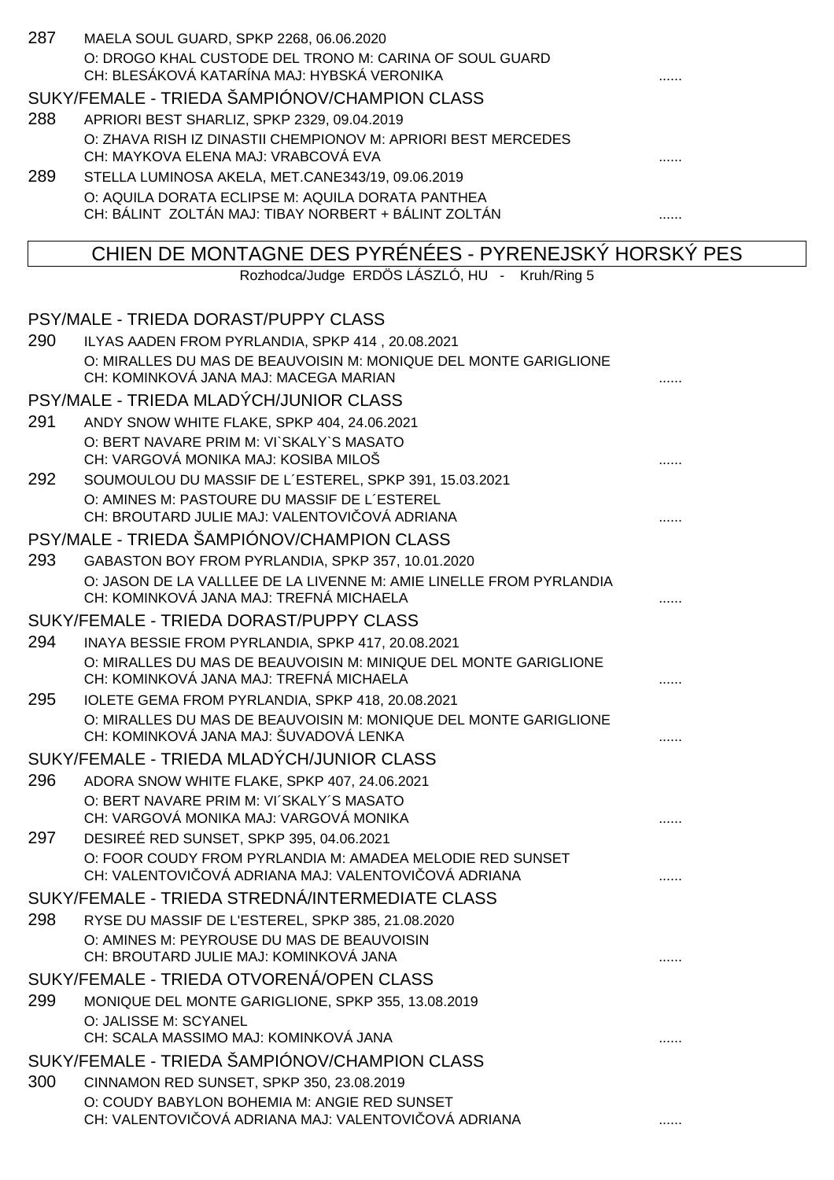| 287 | MAELA SOUL GUARD, SPKP 2268, 06.06.2020<br>O: DROGO KHAL CUSTODE DEL TRONO M: CARINA OF SOUL GUARD<br>CH: BLESÁKOVÁ KATARÍNA MAJ: HYBSKÁ VERONIKA |   |
|-----|---------------------------------------------------------------------------------------------------------------------------------------------------|---|
|     | SUKY/FEMALE - TRIEDA ŠAMPIÓNOV/CHAMPION CLASS                                                                                                     |   |
| 288 | APRIORI BEST SHARLIZ, SPKP 2329, 09.04.2019                                                                                                       |   |
|     | O: ZHAVA RISH IZ DINASTII CHEMPIONOV M: APRIORI BEST MERCEDES<br>CH: MAYKOVA ELENA MAJ: VRABCOVÁ EVA                                              |   |
| 289 | STELLA LUMINOSA AKELA, MET.CANE343/19, 09.06.2019                                                                                                 |   |
|     | O: AQUILA DORATA ECLIPSE M: AQUILA DORATA PANTHEA                                                                                                 |   |
|     | CH: BÁLINT ZOLTÁN MAJ: TIBAY NORBERT + BÁLINT ZOLTÁN                                                                                              |   |
|     | CHIEN DE MONTAGNE DES PYRÉNÉES - PYRENEJSKÝ HORSKÝ PES                                                                                            |   |
|     | Rozhodca/Judge ERDÖS LÁSZLÓ, HU - Kruh/Ring 5                                                                                                     |   |
|     | PSY/MALE - TRIEDA DORAST/PUPPY CLASS                                                                                                              |   |
| 290 | ILYAS AADEN FROM PYRLANDIA, SPKP 414, 20.08.2021                                                                                                  |   |
|     | O: MIRALLES DU MAS DE BEAUVOISIN M: MONIQUE DEL MONTE GARIGLIONE                                                                                  |   |
|     | CH: KOMINKOVÁ JANA MAJ: MACEGA MARIAN                                                                                                             |   |
|     | PSY/MALE - TRIEDA MLADÝCH/JUNIOR CLASS                                                                                                            |   |
| 291 | ANDY SNOW WHITE FLAKE, SPKP 404, 24.06.2021                                                                                                       |   |
|     | O: BERT NAVARE PRIM M: VI`SKALY`S MASATO                                                                                                          |   |
|     | CH: VARGOVÁ MONIKA MAJ: KOSIBA MILOŠ                                                                                                              |   |
| 292 | SOUMOULOU DU MASSIF DE L'ESTEREL, SPKP 391, 15.03.2021                                                                                            |   |
|     | O: AMINES M: PASTOURE DU MASSIF DE L'ESTEREL<br>CH: BROUTARD JULIE MAJ: VALENTOVI OVÁ ADRIANA                                                     |   |
|     | PSY/MALE - TRIEDA ŠAMPIÓNOV/CHAMPION CLASS                                                                                                        |   |
| 293 | GABASTON BOY FROM PYRLANDIA, SPKP 357, 10.01.2020                                                                                                 |   |
|     | O: JASON DE LA VALLLEE DE LA LIVENNE M: AMIE LINELLE FROM PYRLANDIA<br>CH: KOMINKOVÁ JANA MAJ: TREFNÁ MICHAELA                                    |   |
|     | SUKY/FEMALE - TRIEDA DORAST/PUPPY CLASS                                                                                                           |   |
| 294 | INAYA BESSIE FROM PYRLANDIA, SPKP 417, 20.08.2021                                                                                                 |   |
|     | O: MIRALLES DU MAS DE BEAUVOISIN M: MINIQUE DEL MONTE GARIGLIONE<br>CH: KOMINKOVÁ JANA MAJ: TREFNÁ MICHAELA                                       |   |
| 295 | IOLETE GEMA FROM PYRLANDIA, SPKP 418, 20.08.2021                                                                                                  |   |
|     | O: MIRALLES DU MAS DE BEAUVOISIN M: MONIQUE DEL MONTE GARIGLIONE<br>CH: KOMINKOVÁ JANA MAJ: ŠUVADOVÁ LENKA                                        | . |
|     | SUKY/FEMALE - TRIEDA MLADÝCH/JUNIOR CLASS                                                                                                         |   |
| 296 | ADORA SNOW WHITE FLAKE, SPKP 407, 24.06.2021                                                                                                      |   |
|     | O: BERT NAVARE PRIM M: VI'SKALY'S MASATO                                                                                                          |   |
|     | CH: VARGOVÁ MONIKA MAJ: VARGOVÁ MONIKA                                                                                                            | . |
| 297 | DESIREÉ RED SUNSET, SPKP 395, 04.06.2021                                                                                                          |   |
|     | O: FOOR COUDY FROM PYRLANDIA M: AMADEA MELODIE RED SUNSET<br>CH: VALENTOVI OVÁ ADRIANA MAJ: VALENTOVI OVÁ ADRIANA                                 | . |
|     | SUKY/FEMALE - TRIEDA STREDNÁ/INTERMEDIATE CLASS                                                                                                   |   |
| 298 | RYSE DU MASSIF DE L'ESTEREL, SPKP 385, 21.08.2020                                                                                                 |   |
|     | O: AMINES M: PEYROUSE DU MAS DE BEAUVOISIN<br>CH: BROUTARD JULIE MAJ: KOMINKOVÁ JANA                                                              | . |
|     | SUKY/FEMALE - TRIEDA OTVORENÁ/OPEN CLASS                                                                                                          |   |
| 299 | MONIQUE DEL MONTE GARIGLIONE, SPKP 355, 13.08.2019                                                                                                |   |
|     | O: JALISSE M: SCYANEL                                                                                                                             |   |
|     | CH: SCALA MASSIMO MAJ: KOMINKOVÁ JANA                                                                                                             |   |
|     | SUKY/FEMALE - TRIEDA ŠAMPIÓNOV/CHAMPION CLASS                                                                                                     |   |
| 300 | CINNAMON RED SUNSET, SPKP 350, 23.08.2019                                                                                                         |   |
|     | O: COUDY BABYLON BOHEMIA M: ANGIE RED SUNSET<br>CH: VALENTOVI OVÁ ADRIANA MAJ: VALENTOVI OVÁ ADRIANA                                              | . |
|     |                                                                                                                                                   |   |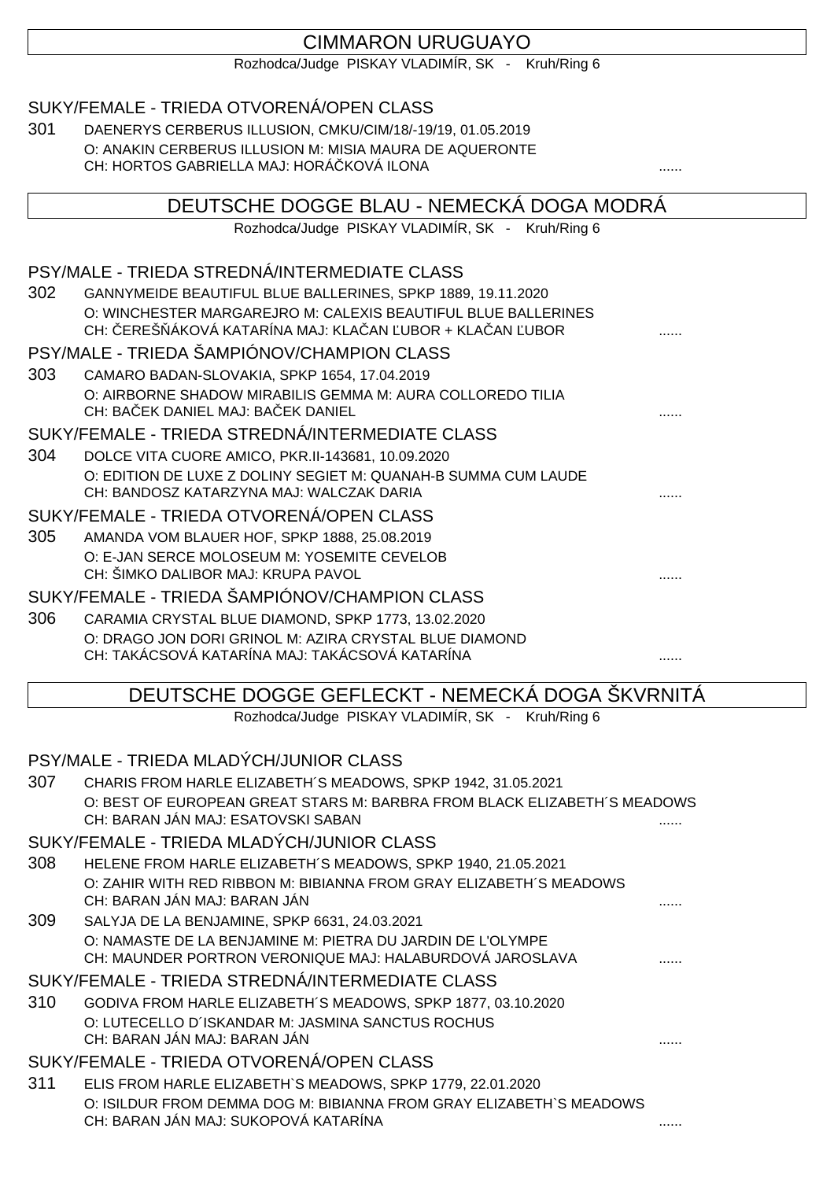# CIMMARON URUGUAYO

Rozhodca/Judge PISKAY VLADIMÍR, SK - Kruh/Ring 6

### SUKY/FEMALE - TRIEDA OTVORENÁ/OPEN CLASS

301 DAENERYS CERBERUS ILLUSION, CMKU/CIM/18/-19/19, 01.05.2019 O: ANAKIN CERBERUS ILLUSION M: MISIA MAURA DE AQUERONTE CH: HORTOS GABRIELLA MAJ: HORÁ KOVÁ ILONA

# DEUTSCHE DOGGE BLAU - NEMECKÁ DOGA MODRÁ Rozhodca/Judge PISKAY VLADIMÍR, SK - Kruh/Ring 6 PSY/MALE - TRIEDA STREDNÁ/INTERMEDIATE CLASS 302 GANNYMEIDE BEAUTIFUL BLUE BALLERINES, SPKP 1889, 19.11.2020 O: WINCHESTER MARGAREJRO M: CALEXIS BEAUTIFUL BLUE BALLERINES CH: EREŠ ÁKOVÁ KATARÍNA MAJ: KLA AN UBOR + KLA AN UBOR PSY/MALE - TRIEDA ŠAMPIÓNOV/CHAMPION CLASS 303 CAMARO BADAN-SLOVAKIA, SPKP 1654, 17.04.2019 O: AIRBORNE SHADOW MIRABILIS GEMMA M: AURA COLLOREDO TILIA CH: BAEK DANIEL MAJ: BAEK DANIEL SUKY/FEMALE - TRIEDA STREDNÁ/INTERMEDIATE CLASS 304 DOLCE VITA CUORE AMICO, PKR.II-143681, 10.09.2020 O: EDITION DE LUXE Z DOLINY SEGIET M: QUANAH-B SUMMA CUM LAUDE CH: BANDOSZ KATARZYNA MAJ: WALCZAK DARIA SUKY/FEMALE - TRIEDA OTVORENÁ/OPEN CLASS 305 AMANDA VOM BLAUER HOF, SPKP 1888, 25.08.2019 O: E-JAN SERCE MOLOSEUM M: YOSEMITE CEVELOB CH: ŠIMKO DALIBOR MAJ: KRUPA PAVOL ...... SUKY/FEMALE - TRIEDA ŠAMPIÓNOV/CHAMPION CLASS 306 CARAMIA CRYSTAL BLUE DIAMOND, SPKP 1773, 13.02.2020 O: DRAGO JON DORI GRINOL M: AZIRA CRYSTAL BLUE DIAMOND CH: TAKÁCSOVÁ KATARÍNA MAJ: TAKÁCSOVÁ KATARÍNA ...... DEUTSCHE DOGGE GEFLECKT - NEMECKÁ DOGA ŠKVRNITÁ Rozhodca/Judge PISKAY VLADIMÍR, SK - Kruh/Ring 6 PSY/MALE - TRIEDA MLADÝCH/JUNIOR CLASS

307 CHARIS FROM HARLE ELIZABETH´S MEADOWS, SPKP 1942, 31.05.2021 O: BEST OF EUROPEAN GREAT STARS M: BARBRA FROM BLACK ELIZABETH´S MEADOWS CH: BARAN JÁN MAJ: ESATOVSKI SABAN

### SUKY/FEMALE - TRIEDA MLADÝCH/JUNIOR CLASS

- 308 HELENE FROM HARLE ELIZABETH´S MEADOWS, SPKP 1940, 21.05.2021 O: ZAHIR WITH RED RIBBON M: BIBIANNA FROM GRAY ELIZABETH´S MEADOWS CH: BARAN JÁN MAJ: BARAN JÁN
- 309 SALYJA DE LA BENJAMINE, SPKP 6631, 24.03.2021 O: NAMASTE DE LA BENJAMINE M: PIETRA DU JARDIN DE L'OLYMPE CH: MAUNDER PORTRON VERONIQUE MAJ: HALABURDOVÁ JAROSLAVA ........

## SUKY/FEMALE - TRIEDA STREDNÁ/INTERMEDIATE CLASS

310 GODIVA FROM HARLE ELIZABETH´S MEADOWS, SPKP 1877, 03.10.2020 O: LUTECELLO D´ISKANDAR M: JASMINA SANCTUS ROCHUS CH: BARAN JÁN MAJ: BARAN JÁN

## SUKY/FEMALE - TRIEDA OTVORENÁ/OPEN CLASS

311 ELIS FROM HARLE ELIZABETH`S MEADOWS, SPKP 1779, 22.01.2020 O: ISILDUR FROM DEMMA DOG M: BIBIANNA FROM GRAY ELIZABETH`S MEADOWS CH: BARAN JÁN MAJ: SUKOPOVÁ KATARÍNA ......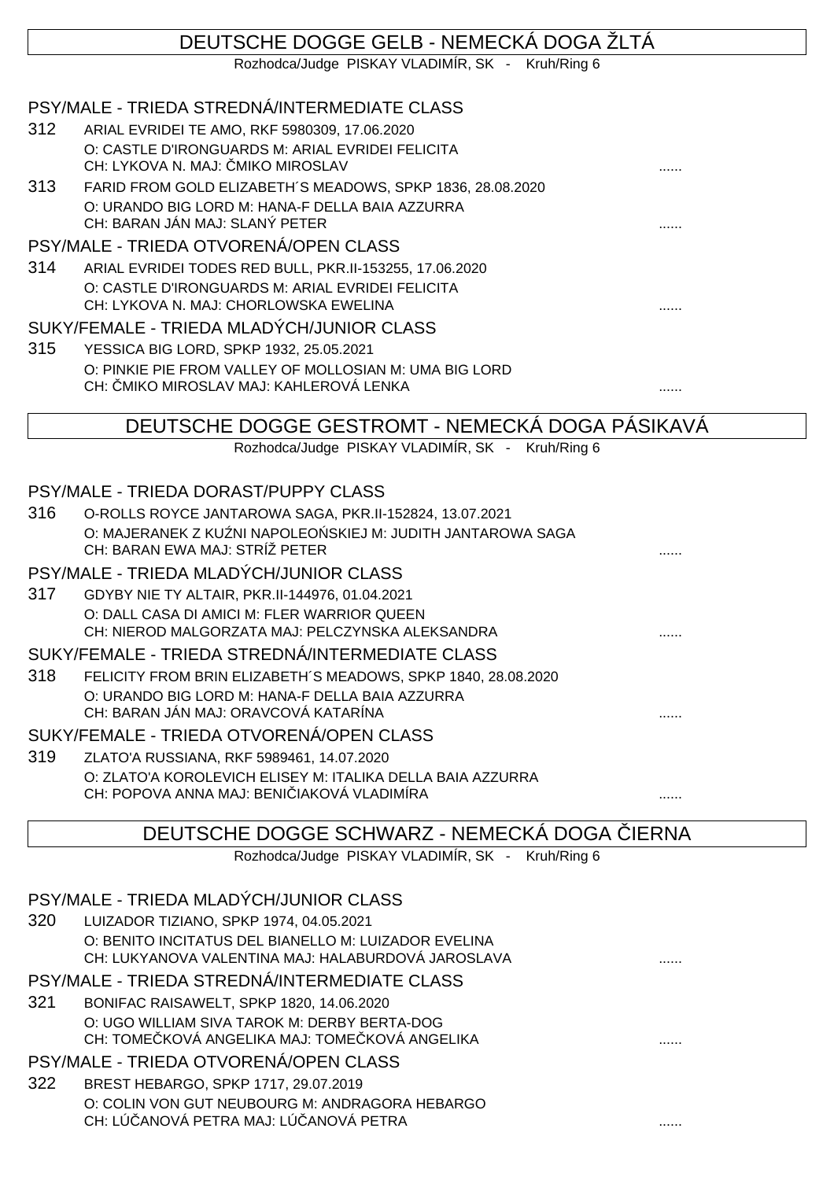# DEUTSCHE DOGGE GELB - NEMECKÁ DOGA ŽLTÁ

Rozhodca/Judge PISKAY VLADIMÍR, SK - Kruh/Ring 6

### PSY/MALE - TRIEDA STREDNÁ/INTERMEDIATE CLASS

- 312 ARIAL EVRIDEI TE AMO, RKF 5980309, 17.06.2020 O: CASTLE D'IRONGUARDS M: ARIAL EVRIDEI FELICITA CH: LYKOVA N. MAJ: MIKO MIROSLAV
- 313 FARID FROM GOLD ELIZABETH´S MEADOWS, SPKP 1836, 28.08.2020 O: URANDO BIG LORD M: HANA-F DELLA BAIA AZZURRA CH: BARAN JÁN MAJ: SLANÝ PETER ......

### PSY/MALE - TRIEDA OTVORENÁ/OPEN CLASS

314 ARIAL EVRIDEI TODES RED BULL, PKR.II-153255, 17.06.2020 O: CASTLE D'IRONGUARDS M: ARIAL EVRIDEI FELICITA CH: LYKOVA N. MAJ: CHORLOWSKA EWELINA ......

#### SUKY/FEMALE - TRIEDA MLADÝCH/JUNIOR CLASS

315 YESSICA BIG LORD, SPKP 1932, 25.05.2021 O: PINKIE PIE FROM VALLEY OF MOLLOSIAN M: UMA BIG LORD CH: ČMIKO MIROSLAV MAJ: KAHLEROVÁ LENKA ......

## DEUTSCHE DOGGE GESTROMT - NEMECKÁ DOGA PÁSIKAVÁ

Rozhodca/Judge PISKAY VLADIMÍR, SK - Kruh/Ring 6

#### PSY/MALE - TRIEDA DORAST/PUPPY CLASS

316 O-ROLLS ROYCE JANTAROWA SAGA, PKR.II-152824, 13.07.2021 O: MAJERANEK Z KU NI NAPOLEO SKIEJ M: JUDITH JANTAROWA SAGA CH: BARAN EWA MAJ: STRÍŽ PETER ......

### PSY/MALE - TRIEDA MLADÝCH/JUNIOR CLASS

317 GDYBY NIE TY ALTAIR, PKR.II-144976, 01.04.2021 O: DALL CASA DI AMICI M: FLER WARRIOR QUEEN CH: NIEROD MALGORZATA MAJ: PELCZYNSKA ALEKSANDRA ......

### SUKY/FEMALE - TRIEDA STREDNÁ/INTERMEDIATE CLASS

318 FELICITY FROM BRIN ELIZABETH´S MEADOWS, SPKP 1840, 28.08.2020 O: URANDO BIG LORD M: HANA-F DELLA BAIA AZZURRA CH: BARAN JÁN MAJ: ORAVCOVÁ KATARÍNA ......

### SUKY/FEMALE - TRIEDA OTVORENÁ/OPEN CLASS

319 ZLATO'A RUSSIANA, RKF 5989461, 14.07.2020 O: ZLATO'A KOROLEVICH ELISEY M: ITALIKA DELLA BAIA AZZURRA CH: POPOVA ANNA MAJ: BENIČIAKOVÁ VLADIMÍRA ......

## DEUTSCHE DOGGE SCHWARZ - NEMECKÁ DOGA IERNA

Rozhodca/Judge PISKAY VLADIMÍR, SK - Kruh/Ring 6

|     | PSY/MALE - TRIEDA MLADÝCH/JUNIOR CLASS                                                                     |  |  |  |
|-----|------------------------------------------------------------------------------------------------------------|--|--|--|
| 320 | LUIZADOR TIZIANO, SPKP 1974, 04.05.2021                                                                    |  |  |  |
|     | O: BENITO INCITATUS DEL BIANELLO M: LUIZADOR EVELINA<br>CH: LUKYANOVA VALENTINA MAJ: HALABURDOVÁ JAROSLAVA |  |  |  |
|     | PSY/MALE - TRIEDA STREDNÁ/INTERMEDIATE CLASS                                                               |  |  |  |
| 321 | BONIFAC RAISAWELT, SPKP 1820, 14.06.2020                                                                   |  |  |  |
|     | O: UGO WILLIAM SIVA TAROK M: DERBY BERTA-DOG<br>CH: TOME KOVÁ ANGELIKA MAJ: TOME KOVÁ ANGELIKA             |  |  |  |
|     | PSY/MALE - TRIEDA OTVORENÁ/OPEN CLASS                                                                      |  |  |  |
| 322 | BREST HEBARGO, SPKP 1717, 29.07.2019                                                                       |  |  |  |
|     | O: COLIN VON GUT NEUBOURG M: ANDRAGORA HEBARGO<br>CH: LÚ ANOVÁ PETRA MAJ: LÚ ANOVÁ PETRA                   |  |  |  |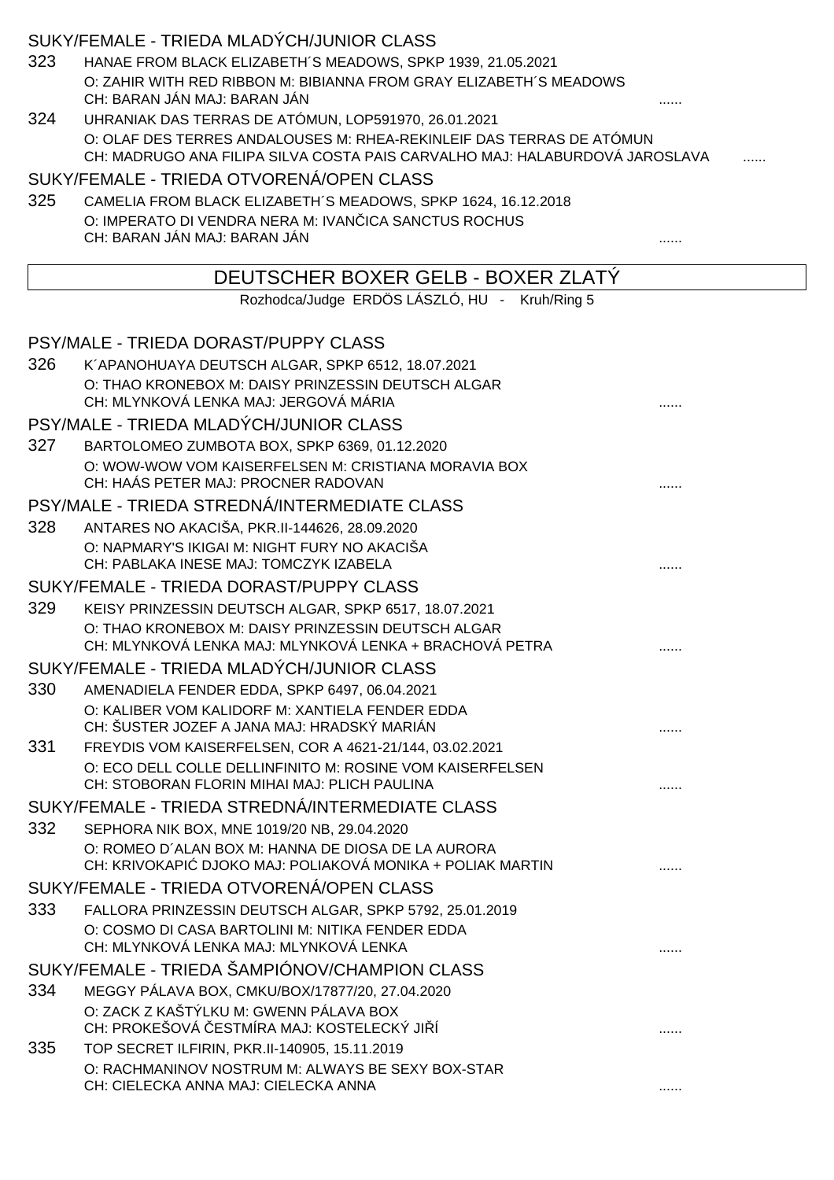# SUKY/FEMALE - TRIEDA MLADÝCH/JUNIOR CLASS

- 323 HANAE FROM BLACK ELIZABETH´S MEADOWS, SPKP 1939, 21.05.2021 O: ZAHIR WITH RED RIBBON M: BIBIANNA FROM GRAY ELIZABETH´S MEADOWS CH: BARAN JÁN MAJ: BARAN JÁN ......
- 324 UHRANIAK DAS TERRAS DE ATÓMUN, LOP591970, 26.01.2021 O: OLAF DES TERRES ANDALOUSES M: RHEA-REKINLEIF DAS TERRAS DE ATÓMUN CH: MADRUGO ANA FILIPA SILVA COSTA PAIS CARVALHO MAJ: HALABURDOVÁ JAROSLAVA

SUKY/FEMALE - TRIEDA OTVORENÁ/OPEN CLASS

325 CAMELIA FROM BLACK ELIZABETH´S MEADOWS, SPKP 1624, 16.12.2018 O: IMPERATO DI VENDRA NERA M: IVAN ICA SANCTUS ROCHUS CH: BARAN JÁN MAJ: BARAN JÁN ......

## DEUTSCHER BOXER GELB - BOXER ZLATÝ

Rozhodca/Judge ERDÖS LÁSZLÓ, HU - Kruh/Ring 5

|     | <b>PSY/MALE - TRIEDA DORAST/PUPPY CLASS</b>                                                    |  |
|-----|------------------------------------------------------------------------------------------------|--|
| 326 | K'APANOHUAYA DEUTSCH ALGAR, SPKP 6512, 18.07.2021                                              |  |
|     | O: THAO KRONEBOX M: DAISY PRINZESSIN DEUTSCH ALGAR                                             |  |
|     | CH: MLYNKOVÁ LENKA MAJ: JERGOVÁ MÁRIA                                                          |  |
|     | PSY/MALE - TRIEDA MLADÝCH/JUNIOR CLASS                                                         |  |
| 327 | BARTOLOMEO ZUMBOTA BOX, SPKP 6369, 01.12.2020                                                  |  |
|     | O: WOW-WOW VOM KAISERFELSEN M: CRISTIANA MORAVIA BOX<br>CH: HAÁS PETER MAJ: PROCNER RADOVAN    |  |
|     | PSY/MALE - TRIEDA STREDNÁ/INTERMEDIATE CLASS                                                   |  |
| 328 | ANTARES NO AKACIŠA, PKR.II-144626, 28.09.2020                                                  |  |
|     | O: NAPMARY'S IKIGAI M: NIGHT FURY NO AKACIŠA                                                   |  |
|     | CH: PABLAKA INESE MAJ: TOMCZYK IZABELA                                                         |  |
|     | SUKY/FEMALE - TRIEDA DORAST/PUPPY CLASS                                                        |  |
| 329 | KEISY PRINZESSIN DEUTSCH ALGAR, SPKP 6517, 18.07.2021                                          |  |
|     | O: THAO KRONEBOX M: DAISY PRINZESSIN DEUTSCH ALGAR                                             |  |
|     | CH: MLYNKOVÁ LENKA MAJ: MLYNKOVÁ LENKA + BRACHOVÁ PETRA                                        |  |
|     | SUKY/FEMALE - TRIEDA MLADÝCH/JUNIOR CLASS                                                      |  |
| 330 | AMENADIELA FENDER EDDA, SPKP 6497, 06.04.2021                                                  |  |
|     | O: KALIBER VOM KALIDORF M: XANTIELA FENDER EDDA<br>CH: ŠUSTER JOZEF A JANA MAJ: HRADSKÝ MARIÁN |  |
| 331 | FREYDIS VOM KAISERFELSEN, COR A 4621-21/144, 03.02.2021                                        |  |
|     | O: ECO DELL COLLE DELLINFINITO M: ROSINE VOM KAISERFELSEN                                      |  |
|     | CH: STOBORAN FLORIN MIHAI MAJ: PLICH PAULINA                                                   |  |
|     | SUKY/FEMALE - TRIEDA STREDNÁ/INTERMEDIATE CLASS                                                |  |
| 332 | SEPHORA NIK BOX, MNE 1019/20 NB, 29.04.2020                                                    |  |
|     | O: ROMEO D'ALAN BOX M: HANNA DE DIOSA DE LA AURORA                                             |  |
|     | CH: KRIVOKAPI DJOKO MAJ: POLIAKOVÁ MONIKA + POLIAK MARTIN                                      |  |
|     | SUKY/FEMALE - TRIEDA OTVORENÁ/OPEN CLASS                                                       |  |
| 333 | FALLORA PRINZESSIN DEUTSCH ALGAR, SPKP 5792, 25.01.2019                                        |  |
|     | O: COSMO DI CASA BARTOLINI M: NITIKA FENDER EDDA                                               |  |
|     | CH: MLYNKOVÁ LENKA MAJ: MLYNKOVÁ LENKA                                                         |  |
|     | SUKY/FEMALE - TRIEDA ŠAMPIÓNOV/CHAMPION CLASS                                                  |  |
| 334 | MEGGY PÁLAVA BOX, CMKU/BOX/17877/20, 27.04.2020                                                |  |
|     | O: ZACK Z KAŠTÝLKU M: GWENN PÁLAVA BOX<br>CH: PROKEŠOVÁ ESTMÍRA MAJ: KOSTELECKÝ JI Í           |  |
| 335 | TOP SECRET ILFIRIN, PKR.II-140905, 15.11.2019                                                  |  |
|     | O: RACHMANINOV NOSTRUM M: ALWAYS BE SEXY BOX-STAR                                              |  |
|     | CH: CIELECKA ANNA MAJ: CIELECKA ANNA                                                           |  |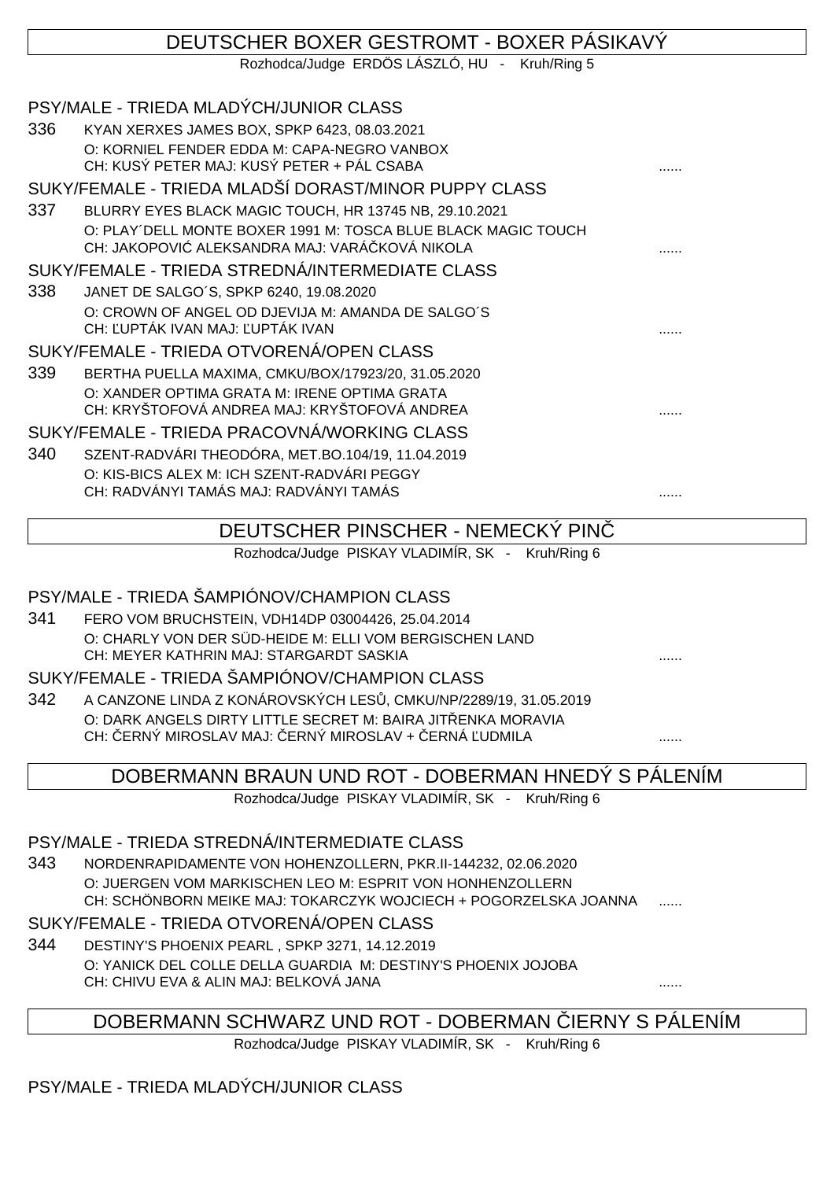## DEUTSCHER BOXER GESTROMT - BOXER PÁSIKAVÝ Rozhodca/Judge ERDÖS LÁSZLÓ, HU - Kruh/Ring 5 PSY/MALE - TRIEDA MLADÝCH/JUNIOR CLASS 336 KYAN XERXES JAMES BOX, SPKP 6423, 08.03.2021 O: KORNIEL FENDER EDDA M: CAPA-NEGRO VANBOX CH: KUSÝ PETER MAJ: KUSÝ PETER + PÁL CSABA SUKY/FEMALE - TRIEDA MLADŠÍ DORAST/MINOR PUPPY CLASS 337 BLURRY EYES BLACK MAGIC TOUCH, HR 13745 NB, 29.10.2021 O: PLAY´DELL MONTE BOXER 1991 M: TOSCA BLUE BLACK MAGIC TOUCH CH: JAKOPOVI ALEKSANDRA MAJ: VARÁ KOVÁ NIKOLA SUKY/FEMALE - TRIEDA STREDNÁ/INTERMEDIATE CLASS 338 JANET DE SALGO´S, SPKP 6240, 19.08.2020 O: CROWN OF ANGEL OD DJEVIJA M: AMANDA DE SALGO´S CH: ĽUPTÁK IVAN MAJ: ĽUPTÁK IVAN ...... SUKY/FEMALE - TRIEDA OTVORENÁ/OPEN CLASS 339 BERTHA PUELLA MAXIMA, CMKU/BOX/17923/20, 31.05.2020 O: XANDER OPTIMA GRATA M: IRENE OPTIMA GRATA CH: KRYŠTOFOVÁ ANDREA MAJ: KRYŠTOFOVÁ ANDREA SUKY/FEMALE - TRIEDA PRACOVNÁ/WORKING CLASS 340 SZENT-RADVÁRI THEODÓRA, MET.BO.104/19, 11.04.2019 O: KIS-BICS ALEX M: ICH SZENT-RADVÁRI PEGGY CH: RADVÁNYI TAMÁS MAJ: RADVÁNYI TAMÁS

# DEUTSCHER PINSCHER - NEMECKÝ PINČ

Rozhodca/Judge PISKAY VLADIMÍR, SK - Kruh/Ring 6

## PSY/MALE - TRIEDA ŠAMPIÓNOV/CHAMPION CLASS

341 FERO VOM BRUCHSTEIN, VDH14DP 03004426, 25.04.2014 O: CHARLY VON DER SÜD-HEIDE M: ELLI VOM BERGISCHEN LAND CH: MEYER KATHRIN MAJ: STARGARDT SASKIA

### SUKY/FEMALE - TRIEDA ŠAMPIÓNOV/CHAMPION CLASS

342 A CANZONE LINDA Z KONÁROVSKÝCH LES, CMKU/NP/2289/19, 31.05.2019 O: DARK ANGELS DIRTY LITTLE SECRET M: BAIRA JIT ENKA MORAVIA CH: ERNÝ MIROSLAV MAJ: ERNÝ MIROSLAV + ERNÁ UDMILA

### DOBERMANN BRAUN UND ROT - DOBERMAN HNEDÝ S PÁLENÍM

Rozhodca/Judge PISKAY VLADIMÍR, SK - Kruh/Ring 6

### PSY/MALE - TRIEDA STREDNÁ/INTERMEDIATE CLASS

343 NORDENRAPIDAMENTE VON HOHENZOLLERN, PKR.II-144232, 02.06.2020 O: JUERGEN VOM MARKISCHEN LEO M: ESPRIT VON HONHENZOLLERN CH: SCHÖNBORN MEIKE MAJ: TOKARCZYK WOJCIECH + POGORZELSKA JOANNA

### SUKY/FEMALE - TRIEDA OTVORENÁ/OPEN CLASS

344 DESTINY'S PHOENIX PEARL , SPKP 3271, 14.12.2019 O: YANICK DEL COLLE DELLA GUARDIA M: DESTINY'S PHOENIX JOJOBA CH: CHIVU EVA & ALIN MAJ: BELKOVÁ JANA ......

## DOBERMANN SCHWARZ UND ROT - DOBERMAN IERNY S PÁLENÍM

Rozhodca/Judge PISKAY VLADIMÍR, SK - Kruh/Ring 6

# PSY/MALE - TRIEDA MLADÝCH/JUNIOR CLASS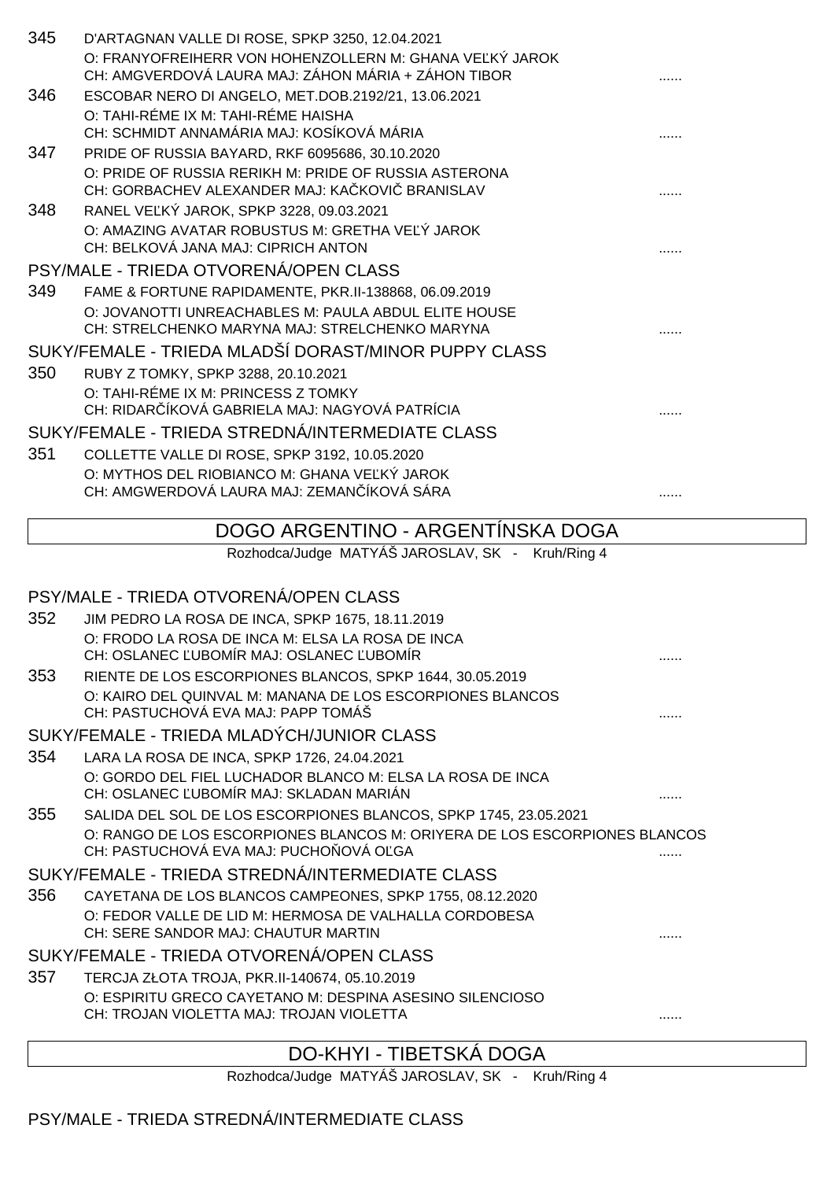| 345 | D'ARTAGNAN VALLE DI ROSE, SPKP 3250, 12.04.2021                                                                |   |
|-----|----------------------------------------------------------------------------------------------------------------|---|
|     | O: FRANYOFREIHERR VON HOHENZOLLERN M: GHANA VE KÝ JAROK<br>CH: AMGVERDOVÁ LAURA MAJ: ZÁHON MÁRIA + ZÁHON TIBOR |   |
| 346 | ESCOBAR NERO DI ANGELO, MET.DOB.2192/21, 13.06.2021                                                            |   |
|     | O: TAHI-RÉME IX M: TAHI-RÉME HAISHA<br>CH: SCHMIDT ANNAMÁRIA MAJ: KOSÍKOVÁ MÁRIA                               |   |
| 347 | PRIDE OF RUSSIA BAYARD, RKF 6095686, 30.10.2020                                                                |   |
|     | O: PRIDE OF RUSSIA RERIKH M: PRIDE OF RUSSIA ASTERONA<br>CH: GORBACHEV ALEXANDER MAJ: KA KOVI BRANISLAV        |   |
| 348 | RANEL VE KÝ JAROK, SPKP 3228, 09.03.2021                                                                       |   |
|     | O: AMAZING AVATAR ROBUSTUS M: GRETHA VE Ý JAROK<br>CH: BELKOVÁ JANA MAJ: CIPRICH ANTON                         |   |
|     | PSY/MALE - TRIEDA OTVORENÁ/OPEN CLASS                                                                          |   |
| 349 | FAME & FORTUNE RAPIDAMENTE, PKR.II-138868, 06.09.2019                                                          |   |
|     | O: JOVANOTTI UNREACHABLES M: PAULA ABDUL ELITE HOUSE<br>CH: STRELCHENKO MARYNA MAJ: STRELCHENKO MARYNA         |   |
|     | SUKY/FEMALE - TRIEDA MLADŠÍ DORAST/MINOR PUPPY CLASS                                                           |   |
| 350 | RUBY Z TOMKY, SPKP 3288, 20.10.2021                                                                            |   |
|     | O: TAHI-RÉME IX M: PRINCESS Z TOMKY<br>CH: RIDAR ÍKOVÁ GABRIELA MAJ: NAGYOVÁ PATRÍCIA                          |   |
|     | SUKY/FEMALE - TRIEDA STREDNÁ/INTERMEDIATE CLASS                                                                |   |
| 351 | COLLETTE VALLE DI ROSE, SPKP 3192, 10.05.2020                                                                  |   |
|     | O: MYTHOS DEL RIOBIANCO M: GHANA VE KÝ JAROK                                                                   |   |
|     | CH: AMGWERDOVÁ LAURA MAJ: ZEMAN ÍKOVÁ SÁRA                                                                     | . |

## DOGO ARGENTINO - ARGENTÍNSKA DOGA

Rozhodca/Judge MATYÁŠ JAROSLAV, SK - Kruh/Ring 4

# PSY/MALE - TRIEDA OTVORENÁ/OPEN CLASS

| 352 | JIM PEDRO LA ROSA DE INCA, SPKP 1675, 18.11.2019                                                                    |  |
|-----|---------------------------------------------------------------------------------------------------------------------|--|
|     | O: FRODO LA ROSA DE INCA M: ELSA LA ROSA DE INCA<br>CH: OSLANEC UBOMÍR MAJ: OSLANEC UBOMÍR                          |  |
| 353 | RIENTE DE LOS ESCORPIONES BLANCOS, SPKP 1644, 30.05.2019                                                            |  |
|     | O: KAIRO DEL QUINVAL M: MANANA DE LOS ESCORPIONES BLANCOS<br>CH: PASTUCHOVÁ EVA MAJ: PAPP TOMÁŠ                     |  |
|     | SUKY/FEMALE - TRIEDA MLADÝCH/JUNIOR CLASS                                                                           |  |
| 354 | LARA LA ROSA DE INCA, SPKP 1726, 24.04.2021                                                                         |  |
|     | O: GORDO DEL FIEL LUCHADOR BLANCO M: ELSA LA ROSA DE INCA<br>CH: OSLANEC UBOMÍR MAJ: SKLADAN MARIÁN                 |  |
| 355 | SALIDA DEL SOL DE LOS ESCORPIONES BLANCOS, SPKP 1745, 23.05.2021                                                    |  |
|     | O: RANGO DE LOS ESCORPIONES BLANCOS M: ORIYERA DE LOS ESCORPIONES BLANCOS<br>CH: PASTUCHOVÁ EVA MAJ: PUCHO OVÁ O GA |  |
|     | SUKY/FEMALE - TRIEDA STREDNÁ/INTERMEDIATE CLASS                                                                     |  |
| 356 | CAYETANA DE LOS BLANCOS CAMPEONES, SPKP 1755, 08.12.2020                                                            |  |
|     | O: FEDOR VALLE DE LID M: HERMOSA DE VALHALLA CORDOBESA<br>CH: SERE SANDOR MAJ: CHAUTUR MARTIN                       |  |
|     | SUKY/FEMALE - TRIEDA OTVORENÁ/OPEN CLASS                                                                            |  |
| 357 | TERCJA ZŁOTA TROJA, PKR.II-140674, 05.10.2019                                                                       |  |
|     | O: ESPIRITU GRECO CAYETANO M: DESPINA ASESINO SILENCIOSO                                                            |  |
|     | CH: TROJAN VIOLETTA MAJ: TROJAN VIOLETTA                                                                            |  |
|     |                                                                                                                     |  |

# DO-KHYI - TIBETSKÁ DOGA

Rozhodca/Judge MATYÁŠ JAROSLAV, SK - Kruh/Ring 4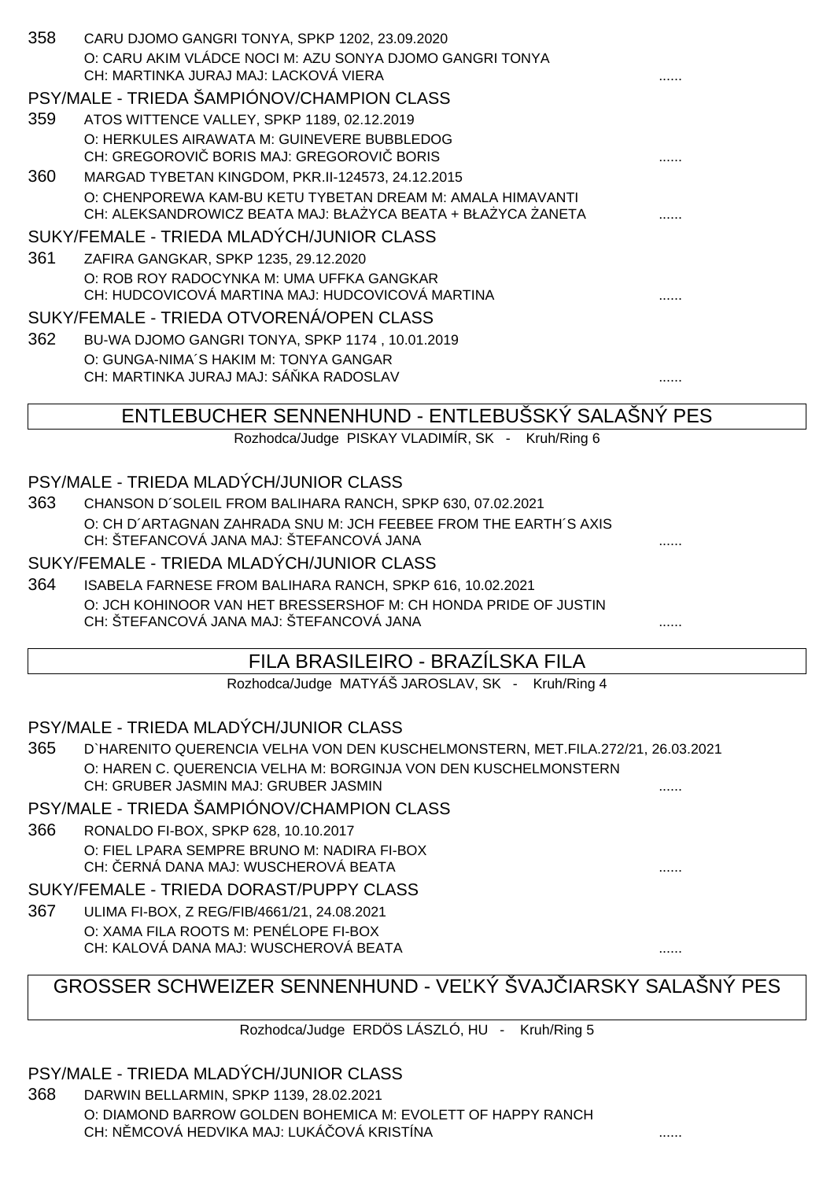| 358 | CARU DJOMO GANGRI TONYA, SPKP 1202, 23.09.2020<br>O: CARU AKIM VLÁDCE NOCI M: AZU SONYA DJOMO GANGRI TONYA                |  |
|-----|---------------------------------------------------------------------------------------------------------------------------|--|
|     | CH: MARTINKA JURAJ MAJ: LACKOVÁ VIERA                                                                                     |  |
|     | PSY/MALE - TRIEDA ŠAMPIÓNOV/CHAMPION CLASS                                                                                |  |
| 359 | ATOS WITTENCE VALLEY, SPKP 1189, 02.12.2019                                                                               |  |
|     | O: HERKULES AIRAWATA M: GUINEVERE BUBBLEDOG<br>CH: GREGOROVI BORIS MAJ: GREGOROVI BORIS                                   |  |
| 360 | MARGAD TYBETAN KINGDOM, PKR.II-124573, 24.12.2015                                                                         |  |
|     | O: CHENPOREWA KAM-BU KETU TYBETAN DREAM M: AMALA HIMAVANTI<br>CH: ALEKSANDROWICZ BEATA MAJ: BŁA YCA BEATA + BŁA YCA ANETA |  |
|     | SUKY/FEMALE - TRIEDA MLADÝCH/JUNIOR CLASS                                                                                 |  |
| 361 | ZAFIRA GANGKAR, SPKP 1235, 29.12.2020                                                                                     |  |
|     | O: ROB ROY RADOCYNKA M: UMA UFFKA GANGKAR<br>CH: HUDCOVICOVÁ MARTINA MAJ: HUDCOVICOVÁ MARTINA                             |  |
|     | SUKY/FEMALE - TRIEDA OTVORENÁ/OPEN CLASS                                                                                  |  |
| 362 | BU-WA DJOMO GANGRI TONYA, SPKP 1174, 10.01.2019                                                                           |  |
|     | O: GUNGA-NIMA'S HAKIM M: TONYA GANGAR<br>CH: MARTINKA JURAJ MAJ: SÁ KA RADOSLAV                                           |  |
|     |                                                                                                                           |  |
|     | ENTLEBUCHER SENNENHUND - ENTLEBUSSKÝ SALAŠNÝ PES                                                                          |  |
|     | Rozhodca/Judge PISKAY VLADIMÍR, SK - Kruh/Ring 6                                                                          |  |
|     |                                                                                                                           |  |
|     | PSY/MALE - TRIEDA MLADÝCH/JUNIOR CLASS                                                                                    |  |
| 363 | CHANSON D'SOLEIL FROM BALIHARA RANCH, SPKP 630, 07.02.2021                                                                |  |
|     | O: CH D'ARTAGNAN ZAHRADA SNU M: JCH FEEBEE FROM THE EARTH'S AXIS<br>CH: ŠTEFANCOVÁ JANA MAJ: ŠTEFANCOVÁ JANA              |  |
|     | SUKY/FEMALE - TRIEDA MLADÝCH/JUNIOR CLASS                                                                                 |  |
| 364 | ISABELA FARNESE FROM BALIHARA RANCH, SPKP 616, 10.02.2021                                                                 |  |
|     | O: JCH KOHINOOR VAN HET BRESSERSHOF M: CH HONDA PRIDE OF JUSTIN                                                           |  |
|     | CH: ŠTEFANCOVÁ JANA MAJ: ŠTEFANCOVÁ JANA                                                                                  |  |
|     | FILA BRASILEIRO - BRAZÍLSKA FILA                                                                                          |  |
|     | Rozhodca/Judge MATYÁŠ JAROSLAV, SK - Kruh/Ring 4                                                                          |  |
|     |                                                                                                                           |  |
|     | PSY/MALE - TRIEDA MLADÝCH/JUNIOR CLASS                                                                                    |  |
| 365 | D'HARENITO QUERENCIA VELHA VON DEN KUSCHELMONSTERN, MET.FILA.272/21, 26.03.2021                                           |  |
|     | O: HAREN C. QUERENCIA VELHA M: BORGINJA VON DEN KUSCHELMONSTERN<br>CH: GRUBER JASMIN MAJ: GRUBER JASMIN                   |  |
|     | PSY/MALE - TRIEDA ŠAMPIÓNOV/CHAMPION CLASS                                                                                |  |
| 366 | RONALDO FI-BOX, SPKP 628, 10.10.2017                                                                                      |  |
|     | O: FIEL LPARA SEMPRE BRUNO M: NADIRA FI-BOX                                                                               |  |
|     | CH: ERNÁ DANA MAJ: WUSCHEROVÁ BEATA                                                                                       |  |
|     | SUKY/FEMALE - TRIEDA DORAST/PUPPY CLASS                                                                                   |  |
| 367 | ULIMA FI-BOX, Z REG/FIB/4661/21, 24.08.2021<br>O: XAMA FILA ROOTS M: PENÉLOPE FI-BOX                                      |  |
|     | CH: KALOVÁ DANA MAJ: WUSCHEROVÁ BEATA                                                                                     |  |
|     | GROSSER SCHWEIZER SENNENHUND - VE KÝ ŠVAJ IARSKY SALAŠNÝ PES                                                              |  |
|     | Rozhodca/Judge ERDÖS LÁSZLÓ, HU - Kruh/Ring 5                                                                             |  |
|     |                                                                                                                           |  |
|     | PSY/MALE - TRIEDA MLADÝCH/JUNIOR CLASS                                                                                    |  |
|     |                                                                                                                           |  |

1

368 DARWIN BELLARMIN, SPKP 1139, 28.02.2021 O: DIAMOND BARROW GOLDEN BOHEMICA M: EVOLETT OF HAPPY RANCH CH: N MCOVÁ HEDVIKA MAJ: LUKÁ OVÁ KRISTÍNA .......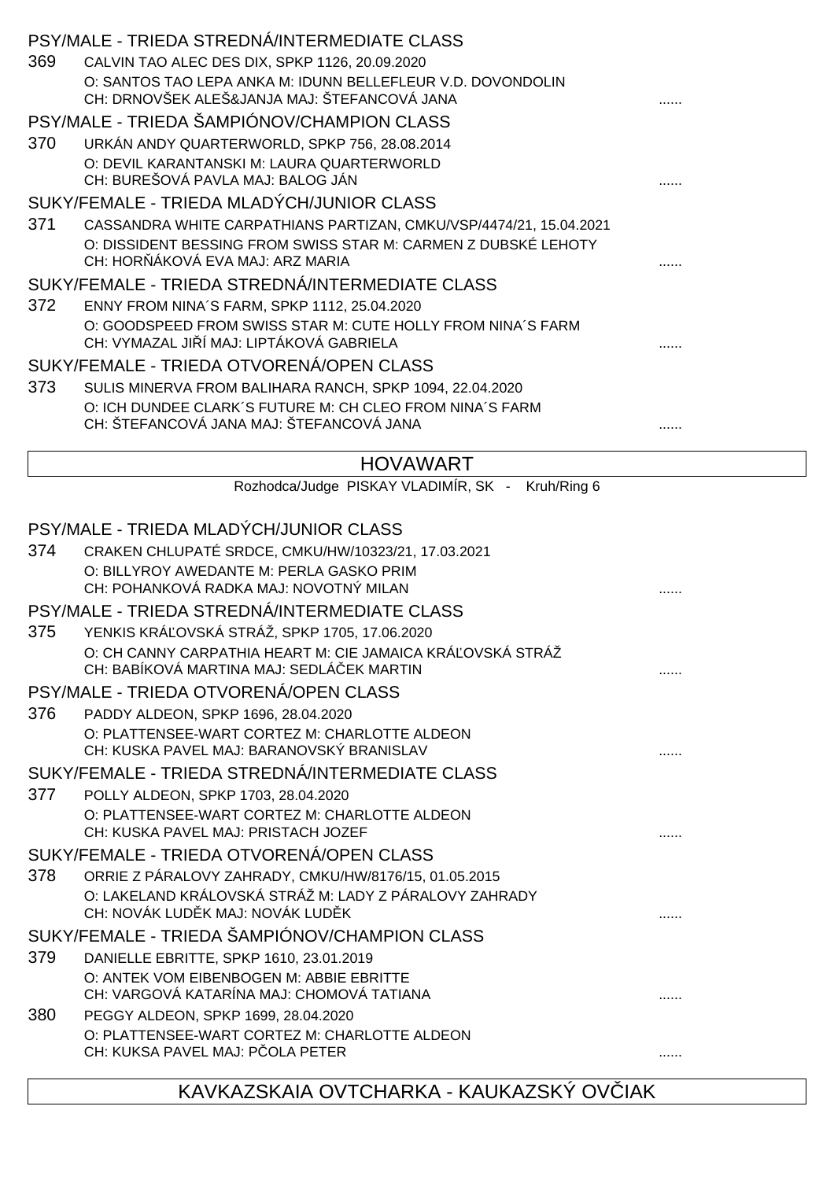|     | PSY/MALE - TRIEDA STREDNÁ/INTERMEDIATE CLASS                                                                |  |
|-----|-------------------------------------------------------------------------------------------------------------|--|
| 369 | CALVIN TAO ALEC DES DIX, SPKP 1126, 20.09.2020                                                              |  |
|     | O: SANTOS TAO LEPA ANKA M: IDUNN BELLEFLEUR V.D. DOVONDOLIN<br>CH: DRNOVŠEK ALEŠ&JANJA MAJ: ŠTEFANCOVÁ JANA |  |
|     | PSY/MALE - TRIEDA ŠAMPIÓNOV/CHAMPION CLASS                                                                  |  |
| 370 | URKÁN ANDY QUARTERWORLD, SPKP 756, 28.08.2014                                                               |  |
|     | O: DEVIL KARANTANSKI M: LAURA QUARTERWORLD<br>CH: BUREŠOVÁ PAVLA MAJ: BALOG JÁN                             |  |
|     | SUKY/FEMALE - TRIEDA MLADÝCH/JUNIOR CLASS                                                                   |  |
| 371 | CASSANDRA WHITE CARPATHIANS PARTIZAN, CMKU/VSP/4474/21, 15.04.2021                                          |  |
|     | O: DISSIDENT BESSING FROM SWISS STAR M: CARMEN Z DUBSKÉ LEHOTY<br>CH: HOR ÁKOVÁ EVA MAJ: ARZ MARIA          |  |
|     | SUKY/FEMALE - TRIEDA STREDNÁ/INTERMEDIATE CLASS                                                             |  |
| 372 | ENNY FROM NINA'S FARM, SPKP 1112, 25.04.2020                                                                |  |
|     | O: GOODSPEED FROM SWISS STAR M: CUTE HOLLY FROM NINA'S FARM<br>CH: VYMAZAL JI Í MAJ: LIPTÁKOVÁ GABRIELA     |  |
|     | SUKY/FEMALE - TRIEDA OTVORENÁ/OPEN CLASS                                                                    |  |
| 373 | SULIS MINERVA FROM BALIHARA RANCH, SPKP 1094, 22.04.2020                                                    |  |
|     | O: ICH DUNDEE CLARK'S FUTURE M: CH CLEO FROM NINA'S FARM                                                    |  |
|     | CH: ŠTEFANCOVÁ JANA MAJ: ŠTEFANCOVÁ JANA                                                                    |  |
|     |                                                                                                             |  |
|     | <b>HOVAWART</b>                                                                                             |  |
|     | Rozhodca/Judge PISKAY VLADIMÍR, SK - Kruh/Ring 6                                                            |  |
|     | PSY/MALE - TRIEDA MLADÝCH/JUNIOR CLASS                                                                      |  |
| 374 | CRAKEN CHLUPATÉ SRDCE, CMKU/HW/10323/21, 17.03.2021                                                         |  |
|     | O: BILLYROY AWEDANTE M: PERLA GASKO PRIM<br>CH: POHANKOVÁ RADKA MAJ: NOVOTNÝ MILAN                          |  |
|     | PSY/MALE - TRIEDA STREDNÁ/INTERMEDIATE CLASS                                                                |  |
|     |                                                                                                             |  |
| 375 | YENKIS KRÁ OVSKÁ STRÁŽ, SPKP 1705, 17.06.2020<br>O: CH CANNY CARPATHIA HEART M: CIE JAMAICA KRÁ OVSKÁ STRÁŽ |  |
|     | CH: BABÍKOVÁ MARTINA MAJ: SEDLÁ EK MARTIN                                                                   |  |
|     | PSY/MALE - TRIEDA OTVORENÁ/OPEN CLASS                                                                       |  |
| 376 | PADDY ALDEON, SPKP 1696, 28.04.2020                                                                         |  |
|     | O: PLATTENSEE-WART CORTEZ M: CHARLOTTE ALDEON                                                               |  |
|     | CH: KUSKA PAVEL MAJ: BARANOVSKÝ BRANISLAV                                                                   |  |
|     | SUKY/FEMALE - TRIEDA STREDNÁ/INTERMEDIATE CLASS                                                             |  |
| 377 | POLLY ALDEON, SPKP 1703, 28.04.2020                                                                         |  |
|     | O: PLATTENSEE-WART CORTEZ M: CHARLOTTE ALDEON<br>CH: KUSKA PAVEL MAJ: PRISTACH JOZEF                        |  |
|     | SUKY/FEMALE - TRIEDA OTVORENÁ/OPEN CLASS                                                                    |  |
| 378 | ORRIE Z PÁRALOVY ZAHRADY, CMKU/HW/8176/15, 01.05.2015                                                       |  |
|     | O: LAKELAND KRÁLOVSKÁ STRÁŽ M: LADY Z PÁRALOVY ZAHRADY<br>CH: NOVÁK LUD K MAJ: NOVÁK LUD K                  |  |
|     | SUKY/FEMALE - TRIEDA ŠAMPIÓNOV/CHAMPION CLASS                                                               |  |
| 379 | DANIELLE EBRITTE, SPKP 1610, 23.01.2019                                                                     |  |
|     | O: ANTEK VOM EIBENBOGEN M: ABBIE EBRITTE<br>CH: VARGOVÁ KATARÍNA MAJ: CHOMOVÁ TATIANA                       |  |
| 380 |                                                                                                             |  |
|     | PEGGY ALDEON, SPKP 1699, 28.04.2020<br>O: PLATTENSEE-WART CORTEZ M: CHARLOTTE ALDEON                        |  |
|     | CH: KUKSA PAVEL MAJ: P OLA PETER                                                                            |  |
|     |                                                                                                             |  |
|     |                                                                                                             |  |

# KAVKAZSKAIA OVTCHARKA - KAUKAZSKÝ OV IAK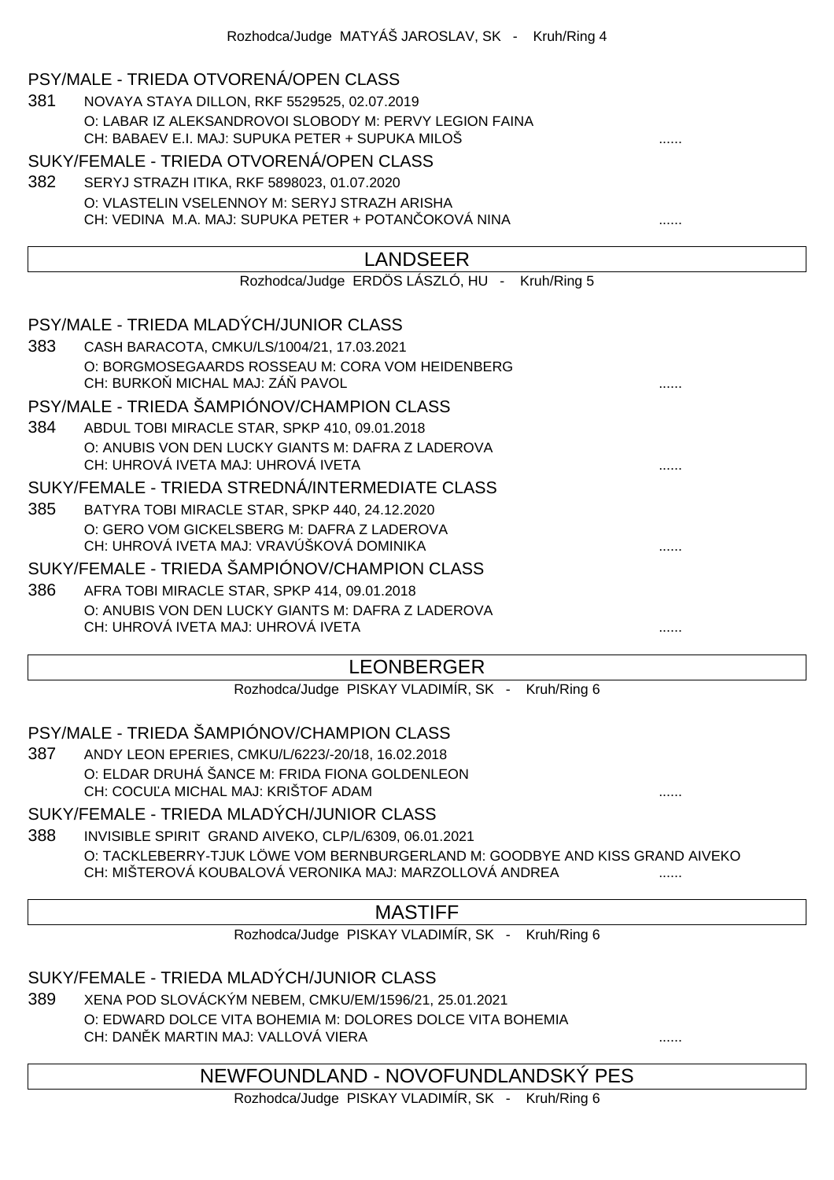#### PSY/MALE - TRIEDA OTVORENÁ/OPEN CLASS

381 NOVAYA STAYA DILLON, RKF 5529525, 02.07.2019 O: LABAR IZ ALEKSANDROVOI SLOBODY M: PERVY LEGION FAINA CH: BABAEV E.I. MAJ: SUPUKA PETER + SUPUKA MILOŠ

#### SUKY/FEMALE - TRIEDA OTVORENÁ/OPEN CLASS

382 SERYJ STRAZH ITIKA, RKF 5898023, 01.07.2020 O: VLASTELIN VSELENNOY M: SERYJ STRAZH ARISHA CH: VEDINA M.A. MAJ: SUPUKA PETER + POTAN OKOVÁ NINA ............................

|     | <b>LANDSEER</b>                                                                          |  |
|-----|------------------------------------------------------------------------------------------|--|
|     | Rozhodca/Judge ERDÖS LÁSZLÓ, HU - Kruh/Ring 5                                            |  |
|     |                                                                                          |  |
|     | PSY/MALE - TRIEDA MLADÝCH/JUNIOR CLASS                                                   |  |
| 383 | CASH BARACOTA, CMKU/LS/1004/21, 17.03.2021                                               |  |
|     | O: BORGMOSEGAARDS ROSSEAU M: CORA VOM HEIDENBERG<br>CH: BURKO MICHAL MAJ: ZÁ PAVOL       |  |
|     | PSY/MALE - TRIEDA ŠAMPIÓNOV/CHAMPION CLASS                                               |  |
| 384 | ABDUL TOBI MIRACLE STAR, SPKP 410, 09.01.2018                                            |  |
|     | O: ANUBIS VON DEN LUCKY GIANTS M: DAFRA Z LADEROVA<br>CH: UHROVÁ IVETA MAJ: UHROVÁ IVETA |  |
|     | SUKY/FEMALE - TRIEDA STREDNÁ/INTERMEDIATE CLASS                                          |  |
| 385 | BATYRA TOBI MIRACLE STAR, SPKP 440, 24.12.2020                                           |  |
|     | O: GERO VOM GICKELSBERG M: DAFRA Z LADEROVA<br>CH: UHROVÁ IVETA MAJ: VRAVÚŠKOVÁ DOMINIKA |  |
|     | SUKY/FEMALE - TRIEDA ŠAMPIÓNOV/CHAMPION CLASS                                            |  |

386 AFRA TOBI MIRACLE STAR, SPKP 414, 09.01.2018 O: ANUBIS VON DEN LUCKY GIANTS M: DAFRA Z LADEROVA CH: UHROVÁ IVETA MAJ: UHROVÁ IVETA ......

## LEONBERGER

Rozhodca/Judge PISKAY VLADIMÍR, SK - Kruh/Ring 6

## PSY/MALE - TRIEDA ŠAMPIÓNOV/CHAMPION CLASS

387 ANDY LEON EPERIES, CMKU/L/6223/-20/18, 16.02.2018 O: ELDAR DRUHÁ ŠANCE M: FRIDA FIONA GOLDENLEON CH: COCU A MICHAL MAJ: KRIŠTOF ADAM

#### SUKY/FEMALE - TRIEDA MLADÝCH/JUNIOR CLASS

388 INVISIBLE SPIRIT GRAND AIVEKO, CLP/L/6309, 06.01.2021 O: TACKLEBERRY-TJUK LÖWE VOM BERNBURGERLAND M: GOODBYE AND KISS GRAND AIVEKO CH: MIŠTEROVÁ KOUBALOVÁ VERONIKA MAJ: MARZOLLOVÁ ANDREA

## MASTIFF

Rozhodca/Judge PISKAY VLADIMÍR, SK - Kruh/Ring 6

## SUKY/FEMALE - TRIEDA MLADÝCH/JUNIOR CLASS

389 XENA POD SLOVÁCKÝM NEBEM, CMKU/EM/1596/21, 25.01.2021 O: EDWARD DOLCE VITA BOHEMIA M: DOLORES DOLCE VITA BOHEMIA CH: DAN K MARTIN MAJ: VALLOVÁ VIERA

## NEWFOUNDLAND - NOVOFUNDLANDSKÝ PES

Rozhodca/Judge PISKAY VLADIMÍR, SK - Kruh/Ring 6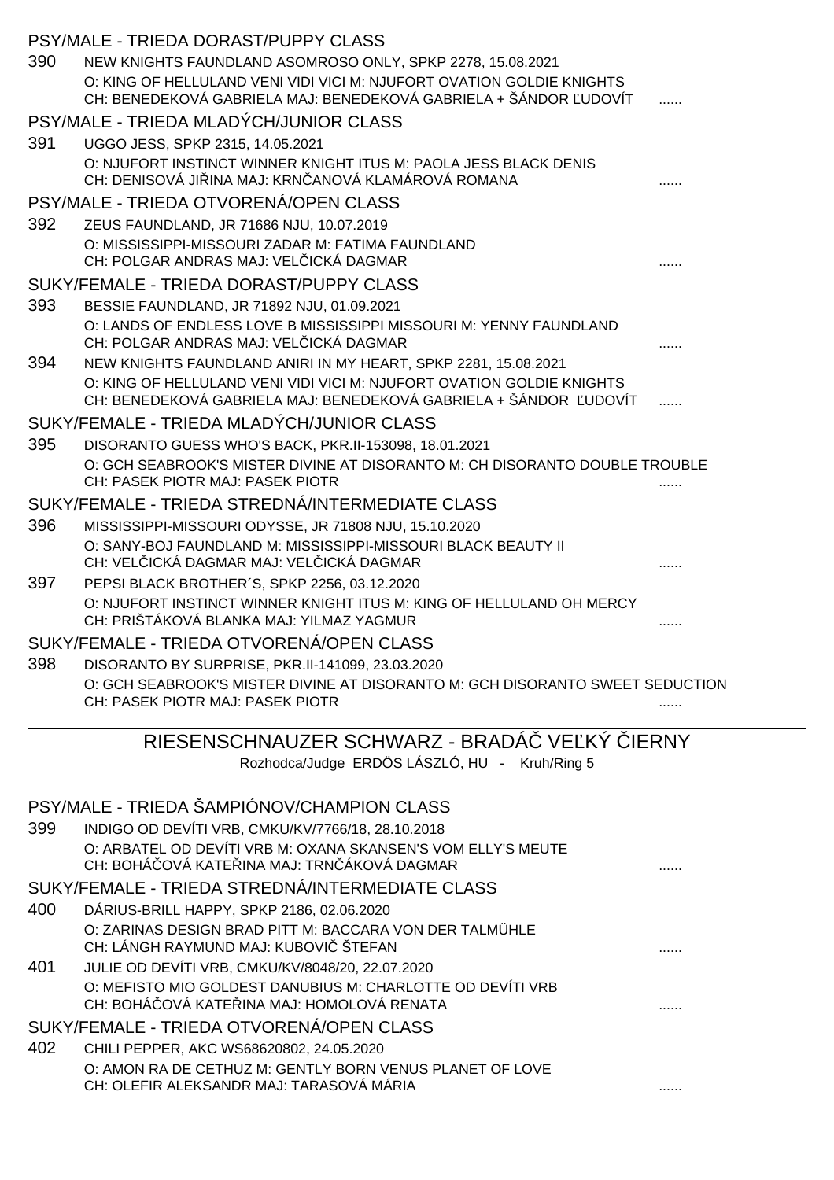|     | PSY/MALE - TRIEDA DORAST/PUPPY CLASS                                                                                    |              |
|-----|-------------------------------------------------------------------------------------------------------------------------|--------------|
| 390 | NEW KNIGHTS FAUNDLAND ASOMROSO ONLY, SPKP 2278, 15.08.2021                                                              |              |
|     | O: KING OF HELLULAND VENI VIDI VICI M: NJUFORT OVATION GOLDIE KNIGHTS                                                   |              |
|     | CH: BENEDEKOVÁ GABRIELA MAJ: BENEDEKOVÁ GABRIELA + ŠÁNDOR UDOVÍT                                                        |              |
|     | PSY/MALE - TRIEDA MLADÝCH/JUNIOR CLASS                                                                                  |              |
| 391 | UGGO JESS, SPKP 2315, 14.05.2021                                                                                        |              |
|     | O: NJUFORT INSTINCT WINNER KNIGHT ITUS M: PAOLA JESS BLACK DENIS<br>CH: DENISOVÁ JI INA MAJ: KRN ANOVÁ KLAMÁROVÁ ROMANA |              |
|     | PSY/MALE - TRIEDA OTVORENÁ/OPEN CLASS                                                                                   |              |
| 392 | ZEUS FAUNDLAND, JR 71686 NJU, 10.07.2019                                                                                |              |
|     | O: MISSISSIPPI-MISSOURI ZADAR M: FATIMA FAUNDLAND                                                                       |              |
|     | CH: POLGAR ANDRAS MAJ: VEL ICKÁ DAGMAR                                                                                  |              |
|     | SUKY/FEMALE - TRIEDA DORAST/PUPPY CLASS                                                                                 |              |
| 393 | BESSIE FAUNDLAND, JR 71892 NJU, 01.09.2021                                                                              |              |
|     | O: LANDS OF ENDLESS LOVE B MISSISSIPPI MISSOURI M: YENNY FAUNDLAND<br>CH: POLGAR ANDRAS MAJ: VEL ICKÁ DAGMAR            |              |
| 394 | NEW KNIGHTS FAUNDLAND ANIRI IN MY HEART, SPKP 2281, 15.08.2021                                                          |              |
|     | O: KING OF HELLULAND VENI VIDI VICI M: NJUFORT OVATION GOLDIE KNIGHTS                                                   |              |
|     | CH: BENEDEKOVÁ GABRIELA MAJ: BENEDEKOVÁ GABRIELA + ŠÁNDOR UDOVÍT                                                        |              |
|     | SUKY/FEMALE - TRIEDA MLADÝCH/JUNIOR CLASS                                                                               |              |
| 395 | DISORANTO GUESS WHO'S BACK, PKR.II-153098, 18.01.2021                                                                   |              |
|     | O: GCH SEABROOK'S MISTER DIVINE AT DISORANTO M: CH DISORANTO DOUBLE TROUBLE                                             |              |
|     | CH: PASEK PIOTR MAJ: PASEK PIOTR                                                                                        |              |
|     | SUKY/FEMALE - TRIEDA STREDNÁ/INTERMEDIATE CLASS                                                                         |              |
| 396 | MISSISSIPPI-MISSOURI ODYSSE, JR 71808 NJU, 15.10.2020                                                                   |              |
|     | O: SANY-BOJ FAUNDLAND M: MISSISSIPPI-MISSOURI BLACK BEAUTY II                                                           |              |
|     | CH: VEL ICKÁ DAGMAR MAJ: VEL ICKÁ DAGMAR                                                                                |              |
| 397 | PEPSI BLACK BROTHER'S, SPKP 2256, 03.12.2020<br>O: NJUFORT INSTINCT WINNER KNIGHT ITUS M: KING OF HELLULAND OH MERCY    |              |
|     | CH: PRIŠTÁKOVÁ BLANKA MAJ: YILMAZ YAGMUR                                                                                |              |
|     | SUKY/FEMALE - TRIEDA OTVORENÁ/OPEN CLASS                                                                                |              |
| 398 | DISORANTO BY SURPRISE, PKR.II-141099, 23.03.2020                                                                        |              |
|     | O: GCH SEABROOK'S MISTER DIVINE AT DISORANTO M: GCH DISORANTO SWEET SEDUCTION                                           |              |
|     | CH: PASEK PIOTR MAJ: PASEK PIOTR                                                                                        |              |
|     |                                                                                                                         |              |
|     | RIESENSCHNAUZER SCHWARZ - BRADA VE KÝ                                                                                   | <b>IERNY</b> |

Rozhodca/Judge ERDÖS LÁSZLÓ, HU - Kruh/Ring 5

# PSY/MALE - TRIEDA ŠAMPIÓNOV/CHAMPION CLASS

| 399 | INDIGO OD DEVÍTI VRB, CMKU/KV/7766/18, 28.10.2018<br>O: ARBATEL OD DEVÍTI VRB M: OXANA SKANSEN'S VOM ELLY'S MEUTE                                            |  |
|-----|--------------------------------------------------------------------------------------------------------------------------------------------------------------|--|
|     | CH: BOHÁ OVÁ KATE INA MAJ: TRN ÁKOVÁ DAGMAR<br>SUKY/FEMALE - TRIEDA STREDNÁ/INTERMEDIATE CLASS                                                               |  |
| 400 | DÁRIUS-BRILL HAPPY, SPKP 2186, 02.06.2020                                                                                                                    |  |
|     | O: ZARINAS DESIGN BRAD PITT M: BACCARA VON DER TALMÜHLE<br>CH: LÁNGH RAYMUND MAJ: KUBOVI ŠTEFAN                                                              |  |
| 401 | JULIE OD DEVÍTI VRB, CMKU/KV/8048/20, 22.07.2020<br>O: MEFISTO MIO GOLDEST DANUBIUS M: CHARLOTTE OD DEVÍTI VRB<br>CH: BOHÁ OVÁ KATE INA MAJ: HOMOLOVÁ RENATA |  |
|     | SUKY/FEMALE - TRIEDA OTVORENÁ/OPEN CLASS                                                                                                                     |  |
| 402 | CHILI PEPPER, AKC WS68620802, 24.05.2020<br>O: AMON RA DE CETHUZ M: GENTLY BORN VENUS PLANET OF LOVE<br>CH: OLEFIR ALEKSANDR MAJ: TARASOVÁ MÁRIA             |  |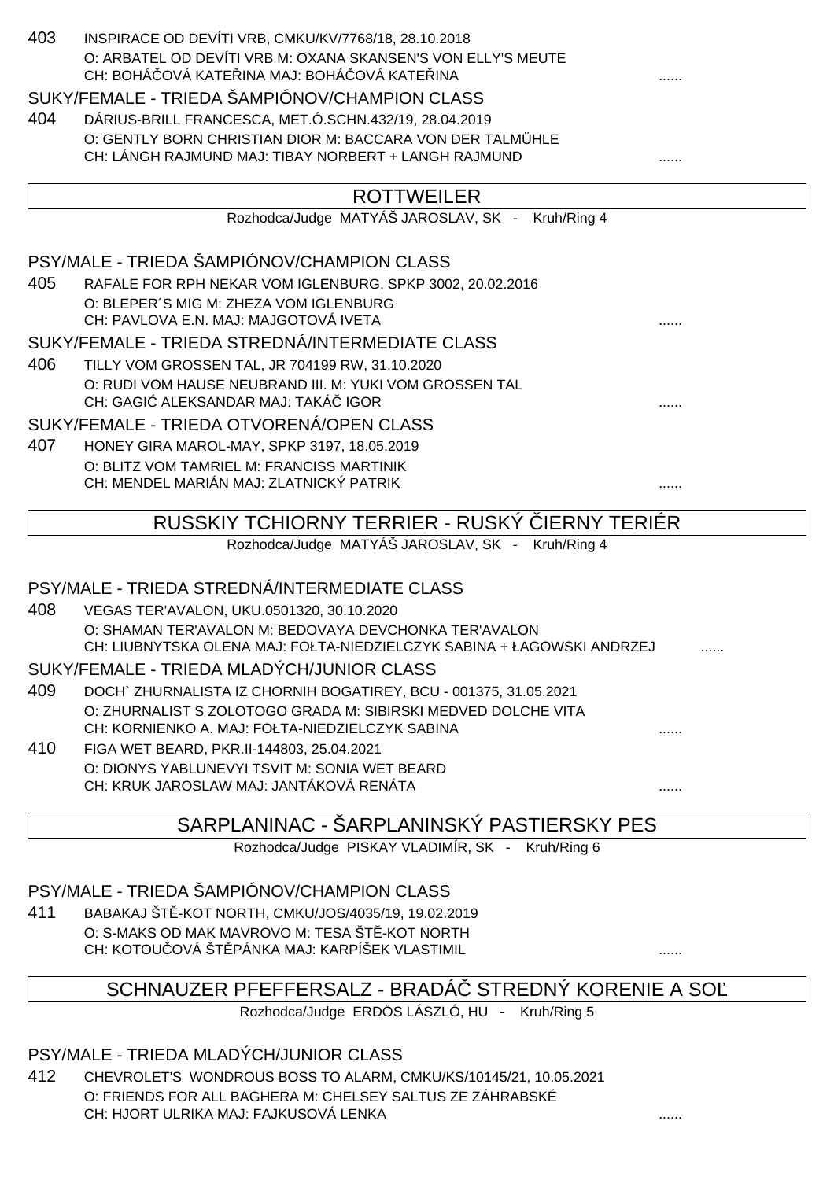| 403 | INSPIRACE OD DEVÍTI VRB, CMKU/KV/7768/18, 28.10.2018<br>O: ARBATEL OD DEVÍTI VRB M: OXANA SKANSEN'S VON ELLY'S MEUTE<br>CH: BOHÁ OVÁ KATE INA MAJ: BOHÁ OVÁ KATE INA |  |
|-----|----------------------------------------------------------------------------------------------------------------------------------------------------------------------|--|
|     | SUKY/FEMALE - TRIEDA ŠAMPIÓNOV/CHAMPION CLASS                                                                                                                        |  |
| 404 | DÁRIUS-BRILL FRANCESCA, MET.Ó.SCHN.432/19, 28.04.2019                                                                                                                |  |
|     | O: GENTLY BORN CHRISTIAN DIOR M: BACCARA VON DER TALMÜHLE                                                                                                            |  |
|     | CH: LÁNGH RAJMUND MAJ: TIBAY NORBERT + LANGH RAJMUND                                                                                                                 |  |
|     | <b>ROTTWEILER</b>                                                                                                                                                    |  |
|     | Rozhodca/Judge MATYÁŠ JAROSLAV, SK - Kruh/Ring 4                                                                                                                     |  |
|     | PSY/MALE - TRIEDA ŠAMPIÓNOV/CHAMPION CLASS                                                                                                                           |  |
| 405 | RAFALE FOR RPH NEKAR VOM IGLENBURG, SPKP 3002, 20.02.2016                                                                                                            |  |
|     | O: BLEPER'S MIG M: ZHEZA VOM IGLENBURG                                                                                                                               |  |
|     | CH: PAVLOVA E.N. MAJ: MAJGOTOVÁ IVETA                                                                                                                                |  |
|     | SUKY/FEMALE - TRIEDA STREDNÁ/INTERMEDIATE CLASS                                                                                                                      |  |
| 406 | TILLY VOM GROSSEN TAL, JR 704199 RW, 31.10.2020                                                                                                                      |  |
|     | O: RUDI VOM HAUSE NEUBRAND III. M: YUKI VOM GROSSEN TAL<br>CH: GAGI ALEKSANDAR MAJ: TAKÁ IGOR                                                                        |  |
|     | SUKY/FEMALE - TRIEDA OTVORENÁ/OPEN CLASS                                                                                                                             |  |
| 407 | HONEY GIRA MAROL-MAY, SPKP 3197, 18.05.2019                                                                                                                          |  |
|     | O: BLITZ VOM TAMRIEL M: FRANCISS MARTINIK                                                                                                                            |  |
|     | CH: MENDEL MARIÁN MAJ: ZLATNICKÝ PATRIK                                                                                                                              |  |
|     | <b>IERNY TERIÉR</b><br>RUSSKIY TCHIORNY TERRIER - RUSKÝ                                                                                                              |  |
|     | Rozhodca/Judge MATYÁŠ JAROSLAV, SK -<br>Kruh/Ring 4                                                                                                                  |  |
|     |                                                                                                                                                                      |  |
|     | PSY/MALE - TRIEDA STREDNÁ/INTERMEDIATE CLASS                                                                                                                         |  |
| 408 | VEGAS TER'AVALON, UKU.0501320, 30.10.2020                                                                                                                            |  |
|     | O: SHAMAN TER'AVALON M: BEDOVAYA DEVCHONKA TER'AVALON                                                                                                                |  |
|     | CH: LIUBNYTSKA OLENA MAJ: FOŁTA-NIEDZIELCZYK SABINA + ŁAGOWSKI ANDRZEJ                                                                                               |  |
|     | SUKY/FEMALE - TRIEDA MLADÝCH/JUNIOR CLASS                                                                                                                            |  |
| 409 | DOCH` ZHURNALISTA IZ CHORNIH BOGATIREY, BCU - 001375, 31.05.2021                                                                                                     |  |
|     | O: ZHURNALIST S ZOLOTOGO GRADA M: SIBIRSKI MEDVED DOLCHE VITA<br>CH: KORNIENKO A, MAJ: FOŁTA-NIEDZIELCZYK SABINA                                                     |  |
| 410 | FIGA WET BEARD, PKR.II-144803, 25.04.2021                                                                                                                            |  |
|     |                                                                                                                                                                      |  |

O: DIONYS YABLUNEVYI TSVIT M: SONIA WET BEARD CH: KRUK JAROSLAW MAJ: JANTÁKOVÁ RENÁTA ......

## SARPLANINAC - ŠARPLANINSKÝ PASTIERSKY PES

Rozhodca/Judge PISKAY VLADIMÍR, SK - Kruh/Ring 6

## PSY/MALE - TRIEDA ŠAMPIÓNOV/CHAMPION CLASS

411 BABAKAJ ŠTĚ-KOT NORTH, CMKU/JOS/4035/19, 19.02.2019 O: S-MAKS OD MAK MAVROVO M: TESA ŠT - KOT NORTH CH: KOTOU OVÁ ŠT PÁNKA MAJ: KARPÍŠEK VLASTIMIL **STAVILAS EXAMPLE ADDET** ......

# SCHNAUZER PFEFFERSALZ - BRADÁ STREDNÝ KORENIE A SO

Rozhodca/Judge ERDÖS LÁSZLÓ, HU - Kruh/Ring 5

## PSY/MALE - TRIEDA MLADÝCH/JUNIOR CLASS

412 CHEVROLET'S WONDROUS BOSS TO ALARM, CMKU/KS/10145/21, 10.05.2021 O: FRIENDS FOR ALL BAGHERA M: CHELSEY SALTUS ZE ZÁHRABSKÉ CH: HJORT ULRIKA MAJ: FAJKUSOVÁ LENKA ......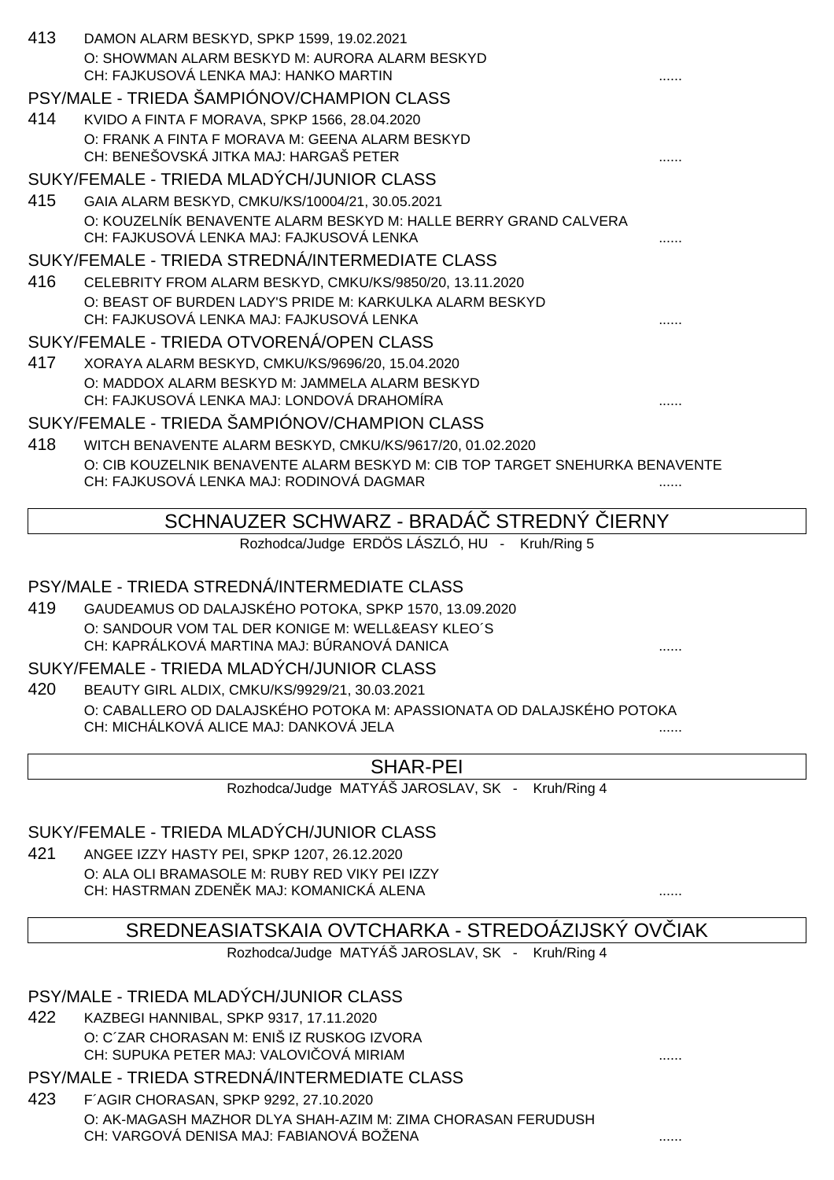| 413 | DAMON ALARM BESKYD, SPKP 1599, 19.02.2021<br>O: SHOWMAN ALARM BESKYD M: AURORA ALARM BESKYD                              |   |
|-----|--------------------------------------------------------------------------------------------------------------------------|---|
|     | CH: FAJKUSOVÁ LENKA MAJ: HANKO MARTIN                                                                                    |   |
|     | PSY/MALE - TRIEDA ŠAMPIÓNOV/CHAMPION CLASS                                                                               |   |
| 414 | KVIDO A FINTA F MORAVA, SPKP 1566, 28.04.2020                                                                            |   |
|     | O: FRANK A FINTA F MORAVA M: GEENA ALARM BESKYD                                                                          |   |
|     | CH: BENEŠOVSKÁ JITKA MAJ: HARGAŠ PETER                                                                                   |   |
|     | SUKY/FEMALE - TRIEDA MLADÝCH/JUNIOR CLASS                                                                                |   |
| 415 | GAIA ALARM BESKYD, CMKU/KS/10004/21, 30.05.2021                                                                          |   |
|     | O: KOUZELNÍK BENAVENTE ALARM BESKYD M: HALLE BERRY GRAND CALVERA<br>CH: FAJKUSOVÁ LENKA MAJ: FAJKUSOVÁ LENKA             |   |
|     | SUKY/FEMALE - TRIEDA STREDNÁ/INTERMEDIATE CLASS                                                                          |   |
| 416 | CELEBRITY FROM ALARM BESKYD, CMKU/KS/9850/20, 13.11.2020                                                                 |   |
|     | O: BEAST OF BURDEN LADY'S PRIDE M: KARKULKA ALARM BESKYD<br>CH: FAJKUSOVÁ LENKA MAJ: FAJKUSOVÁ LENKA                     |   |
|     | SUKY/FEMALE - TRIEDA OTVORENÁ/OPEN CLASS                                                                                 |   |
| 417 | XORAYA ALARM BESKYD, CMKU/KS/9696/20, 15.04.2020                                                                         |   |
|     | O: MADDOX ALARM BESKYD M: JAMMELA ALARM BESKYD                                                                           |   |
|     | CH: FAJKUSOVÁ LENKA MAJ: LONDOVÁ DRAHOMÍRA                                                                               |   |
|     | SUKY/FEMALE - TRIEDA ŠAMPIÓNOV/CHAMPION CLASS                                                                            |   |
| 418 | WITCH BENAVENTE ALARM BESKYD, CMKU/KS/9617/20, 01.02.2020                                                                |   |
|     | O: CIB KOUZELNIK BENAVENTE ALARM BESKYD M: CIB TOP TARGET SNEHURKA BENAVENTE<br>CH: FAJKUSOVÁ LENKA MAJ: RODINOVÁ DAGMAR |   |
|     | <b>STREDNY</b><br>SCHNAUZER SCHWARZ - BRADA<br><b>IERNY</b>                                                              |   |
|     | Rozhodca/Judge ERDÖS LÁSZLÓ, HU - Kruh/Ring 5                                                                            |   |
|     |                                                                                                                          |   |
|     | PSY/MALE - TRIEDA STREDNÁ/INTERMEDIATE CLASS                                                                             |   |
| 419 | GAUDEAMUS OD DALAJSKÉHO POTOKA, SPKP 1570, 13.09.2020                                                                    |   |
|     | O: SANDOUR VOM TAL DER KONIGE M: WELL&EASY KLEO'S<br>CH: KAPRÁLKOVÁ MARTINA MAJ: BÚRANOVÁ DANICA                         |   |
|     | SUKY/FEMALE - TRIEDA MLADÝCH/JUNIOR CLASS                                                                                |   |
| 420 |                                                                                                                          |   |
|     | BEAUTY GIRL ALDIX, CMKU/KS/9929/21, 30.03.2021<br>O: CABALLERO OD DALAJSKÉHO POTOKA M: APASSIONATA OD DALAJSKÉHO POTOKA  |   |
|     | CH: MICHÁLKOVÁ ALICE MAJ: DANKOVÁ JELA                                                                                   | . |
|     |                                                                                                                          |   |
|     | <b>SHAR-PEI</b>                                                                                                          |   |
|     | Rozhodca/Judge MATYÁŠ JAROSLAV, SK - Kruh/Ring 4                                                                         |   |
|     |                                                                                                                          |   |
|     | SUKY/FEMALE - TRIEDA MLADÝCH/JUNIOR CLASS                                                                                |   |
| 421 | ANGEE IZZY HASTY PEI, SPKP 1207, 26.12.2020                                                                              |   |
|     | O: ALA OLI BRAMASOLE M: RUBY RED VIKY PEI IZZY<br>CH: HASTRMAN ZDEN K MAJ: KOMANICKÁ ALENA                               |   |
|     |                                                                                                                          |   |
|     | SREDNEASIATSKAIA OVTCHARKA - STREDOÁZIJSKÝ OV IAK                                                                        |   |
|     | Rozhodca/Judge MATYÁŠ JAROSLAV, SK - Kruh/Ring 4                                                                         |   |
|     |                                                                                                                          |   |
|     | PSY/MALE - TRIEDA MLADÝCH/JUNIOR CLASS                                                                                   |   |
| 422 | KAZBEGI HANNIBAL, SPKP 9317, 17.11.2020                                                                                  |   |
|     | O: C'ZAR CHORASAN M: ENIŠ IZ RUSKOG IZVORA                                                                               |   |
|     | CH: SUPUKA PETER MAJ: VALOVI OVÁ MIRIAM                                                                                  |   |
|     | PSY/MALE - TRIEDA STREDNÁ/INTERMEDIATE CLASS                                                                             |   |
| 423 | F'AGIR CHORASAN, SPKP 9292, 27.10.2020                                                                                   |   |
|     | O: AK-MAGASH MAZHOR DLYA SHAH-AZIM M: ZIMA CHORASAN FERUDUSH<br>CH: VARGOVÁ DENISA MAJ: FABIANOVÁ BOŽENA                 |   |
|     |                                                                                                                          |   |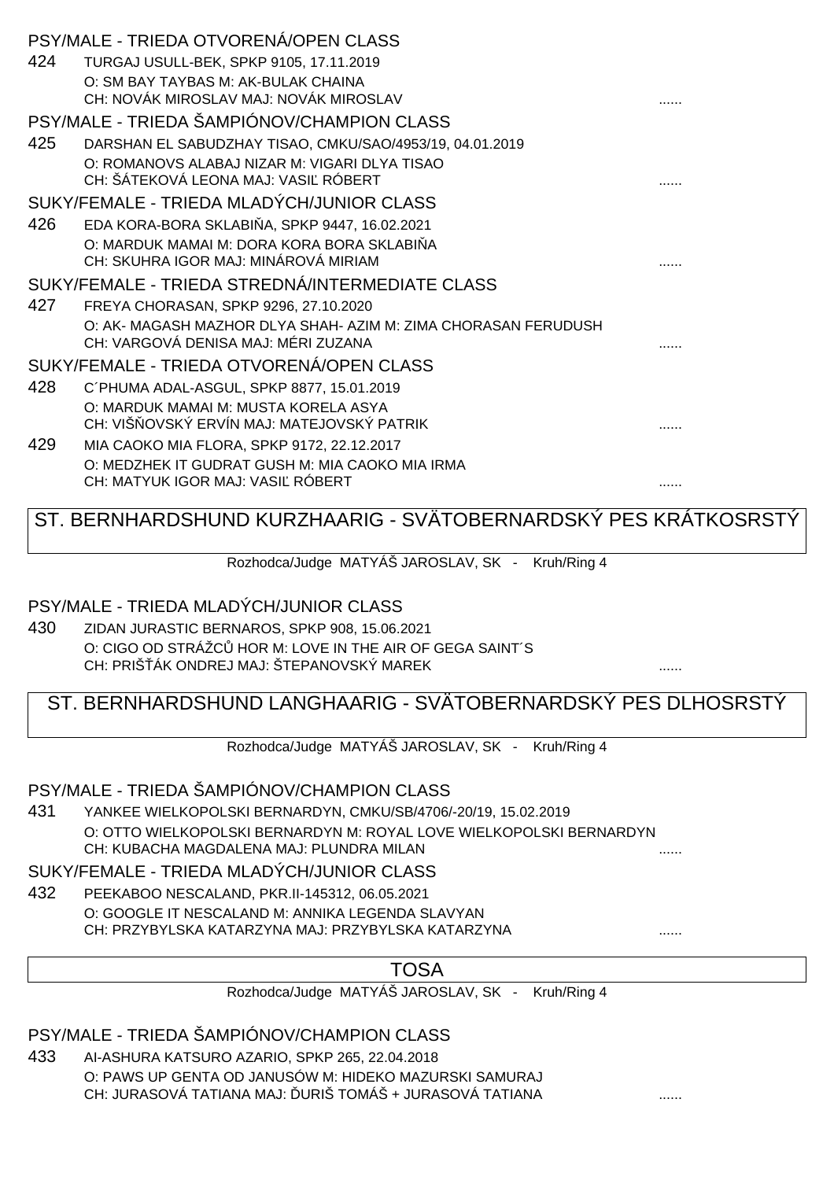| 424 | TURGAJ USULL-BEK, SPKP 9105, 17.11.2019                        |  |
|-----|----------------------------------------------------------------|--|
|     | O: SM BAY TAYBAS M: AK-BULAK CHAINA                            |  |
|     | CH: NOVÁK MIROSLAV MAJ: NOVÁK MIROSLAV                         |  |
|     | PSY/MALE - TRIEDA ŠAMPIÓNOV/CHAMPION CLASS                     |  |
| 425 | DARSHAN EL SABUDZHAY TISAO, CMKU/SAO/4953/19, 04.01.2019       |  |
|     | O: ROMANOVS ALABAJ NIZAR M: VIGARI DLYA TISAO                  |  |
|     | CH: ŠÁTEKOVÁ LEONA MAJ: VASI RÓBERT                            |  |
|     | SUKY/FEMALE - TRIEDA MLADÝCH/JUNIOR CLASS                      |  |
| 426 | EDA KORA-BORA SKLABI A, SPKP 9447, 16.02.2021                  |  |
|     | O: MARDUK MAMAI M: DORA KORA BORA SKLABI A                     |  |
|     | CH: SKUHRA IGOR MAJ: MINÁROVÁ MIRIAM                           |  |
|     | SUKY/FEMALE - TRIEDA STREDNÁ/INTERMEDIATE CLASS                |  |
| 427 | FREYA CHORASAN, SPKP 9296, 27.10.2020                          |  |
|     | O: AK- MAGASH MAZHOR DLYA SHAH- AZIM M: ZIMA CHORASAN FERUDUSH |  |
|     | CH: VARGOVÁ DENISA MAJ: MÉRI ZUZANA                            |  |
|     | SUKY/FEMALE - TRIEDA OTVORENÁ/OPEN CLASS                       |  |
| 428 | C'PHUMA ADAL-ASGUL, SPKP 8877, 15.01.2019                      |  |
|     | O: MARDUK MAMAI M: MUSTA KORELA ASYA                           |  |
|     | CH: VIŠ OVSKÝ ERVÍN MAJ: MATEJOVSKÝ PATRIK                     |  |
| 429 | MIA CAOKO MIA FLORA, SPKP 9172, 22.12.2017                     |  |
|     | O: MEDZHEK IT GUDRAT GUSH M: MIA CAOKO MIA IRMA                |  |
|     | CH: MATYUK IGOR MAJ: VASI RÓBERT                               |  |
|     | ST. BERNHARDSHUND KURZHAARIG - SVÄTOBERNARDSKÝ PES KRÁTKOSRSTÝ |  |
|     |                                                                |  |
|     | Rozhodca/Judge MATYÁŠ JAROSLAV, SK - Kruh/Ring 4               |  |

### PSY/MALE - TRIEDA MLADÝCH/JUNIOR CLASS

PSY/MALE - TRIEDA OTVORENÁ/OPEN CLASS

430 ZIDAN JURASTIC BERNAROS, SPKP 908, 15.06.2021 O: CIGO OD STRÁŽC HOR M: LOVE IN THE AIR OF GEGA SAINT´S CH: PRIŠŤÁK ONDREJ MAJ: ŠTEPANOVSKÝ MAREK ......

# ST. BERNHARDSHUND LANGHAARIG - SVÄTOBERNARDSKÝ PES DLHOSRSTÝ

Rozhodca/Judge MATYÁŠ JAROSLAV, SK - Kruh/Ring 4

# PSY/MALE - TRIEDA ŠAMPIÓNOV/CHAMPION CLASS

431 YANKEE WIELKOPOLSKI BERNARDYN, CMKU/SB/4706/-20/19, 15.02.2019 O: OTTO WIELKOPOLSKI BERNARDYN M: ROYAL LOVE WIELKOPOLSKI BERNARDYN CH: KUBACHA MAGDALENA MAJ: PLUNDRA MILAN ......

SUKY/FEMALE - TRIEDA MLADÝCH/JUNIOR CLASS

432 PEEKABOO NESCALAND, PKR.II-145312, 06.05.2021 O: GOOGLE IT NESCALAND M: ANNIKA LEGENDA SLAVYAN CH: PRZYBYLSKA KATARZYNA MAJ: PRZYBYLSKA KATARZYNA ......

TOSA

Rozhodca/Judge MATYÁŠ JAROSLAV, SK - Kruh/Ring 4

PSY/MALE - TRIEDA ŠAMPIÓNOV/CHAMPION CLASS

433 AI-ASHURA KATSURO AZARIO, SPKP 265, 22.04.2018 O: PAWS UP GENTA OD JANUSÓW M: HIDEKO MAZURSKI SAMURAJ CH: JURASOVÁ TATIANA MAJ: ĎURIŠ TOMÁŠ + JURASOVÁ TATIANA ......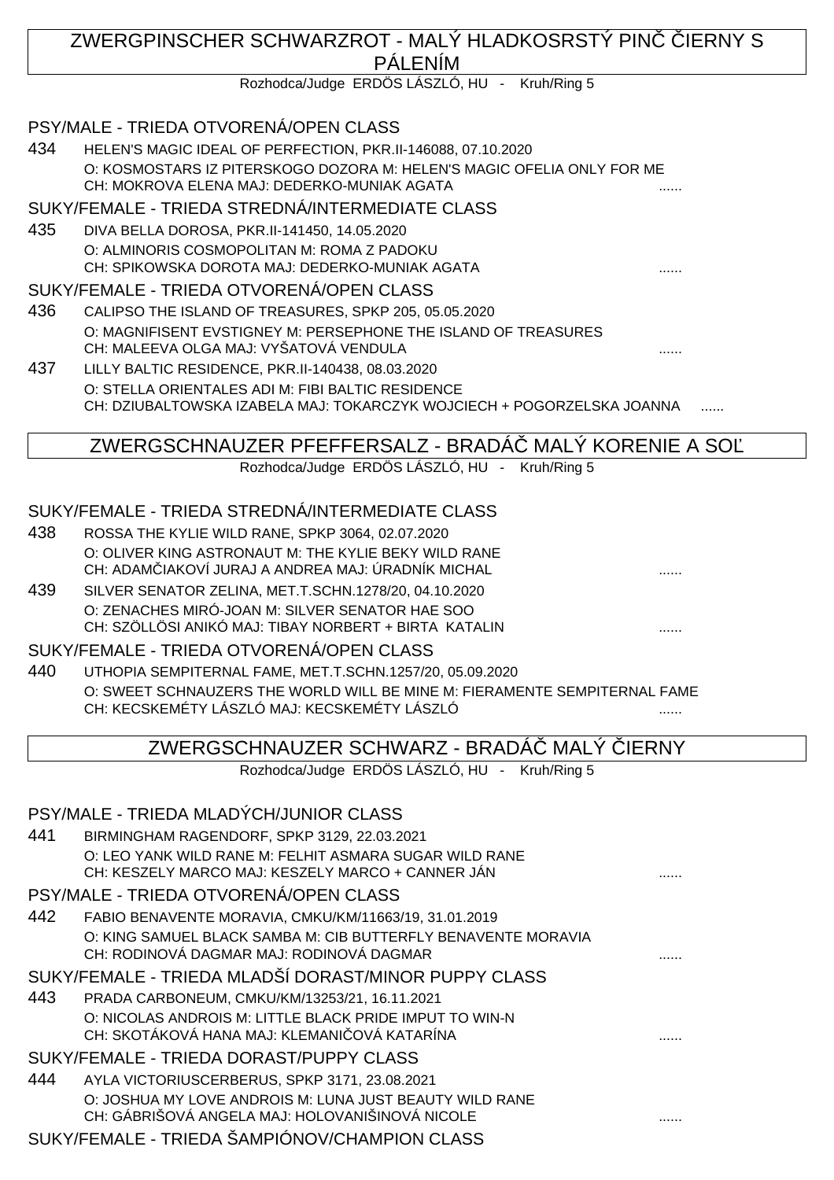## ZWERGPINSCHER SCHWARZROT - MALÝ HLADKOSRSTÝ PINVIERNY S PÁLENÍM Rozhodca/Judge ERDÖS LÁSZLÓ, HU - Kruh/Ring 5 PSY/MALE - TRIEDA OTVORENÁ/OPEN CLASS 434 HELEN'S MAGIC IDEAL OF PERFECTION, PKR.II-146088, 07.10.2020 O: KOSMOSTARS IZ PITERSKOGO DOZORA M: HELEN'S MAGIC OFELIA ONLY FOR ME CH: MOKROVA ELENA MAJ: DEDERKO-MUNIAK AGATA SUKY/FEMALE - TRIEDA STREDNÁ/INTERMEDIATE CLASS 435 DIVA BELLA DOROSA, PKR.II-141450, 14.05.2020 O: ALMINORIS COSMOPOLITAN M: ROMA Z PADOKU CH: SPIKOWSKA DOROTA MAJ: DEDERKO-MUNIAK AGATA ...... SUKY/FEMALE - TRIEDA OTVORENÁ/OPEN CLASS 436 CALIPSO THE ISLAND OF TREASURES, SPKP 205, 05.05.2020 O: MAGNIFISENT EVSTIGNEY M: PERSEPHONE THE ISLAND OF TREASURES CH: MALEEVA OLGA MAJ: VYŠATOVÁ VENDULA 437 LILLY BALTIC RESIDENCE, PKR.II-140438, 08.03.2020 O: STELLA ORIENTALES ADI M: FIBI BALTIC RESIDENCE CH: DZIUBALTOWSKA IZABELA MAJ: TOKARCZYK WOJCIECH + POGORZELSKA JOANNA ZWERGSCHNAUZER PFEFFERSALZ - BRADÁČ MALÝ KORENIE A SOĽ Rozhodca/Judge ERDÖS LÁSZLÓ, HU - Kruh/Ring 5 SUKY/FEMALE - TRIEDA STREDNÁ/INTERMEDIATE CLASS 438 ROSSA THE KYLIE WILD RANE, SPKP 3064, 02.07.2020 O: OLIVER KING ASTRONAUT M: THE KYLIE BEKY WILD RANE CH: ADAM IAKOVÍ JURAJ A ANDREA MAJ: ÚRADNÍK MICHAL 439 SILVER SENATOR ZELINA, MET.T.SCHN.1278/20, 04.10.2020 O: ZENACHES MIRÓ-JOAN M: SILVER SENATOR HAE SOO CH: SZÖLLÖSI ANIKÓ MAJ: TIBAY NORBERT + BIRTA KATALIN ...... SUKY/FEMALE - TRIEDA OTVORENÁ/OPEN CLASS 440 UTHOPIA SEMPITERNAL FAME, MET.T.SCHN.1257/20, 05.09.2020 O: SWEET SCHNAUZERS THE WORLD WILL BE MINE M: FIERAMENTE SEMPITERNAL FAME CH: KECSKEMÉTY LÁSZLÓ MAJ: KECSKEMÉTY LÁSZLÓ ZWERGSCHNAUZER SCHWARZ - BRADÁČ MALÝ ČIERNY Rozhodca/Judge ERDÖS LÁSZLÓ, HU - Kruh/Ring 5 PSY/MALE - TRIEDA MLADÝCH/JUNIOR CLASS 441 BIRMINGHAM RAGENDORF, SPKP 3129, 22.03.2021 O: LEO YANK WILD RANE M: FELHIT ASMARA SUGAR WILD RANE CH: KESZELY MARCO MAJ: KESZELY MARCO + CANNER JÁN PSY/MALE - TRIEDA OTVORENÁ/OPEN CLASS 442 FABIO BENAVENTE MORAVIA, CMKU/KM/11663/19, 31.01.2019 O: KING SAMUEL BLACK SAMBA M: CIB BUTTERFLY BENAVENTE MORAVIA CH: RODINOVÁ DAGMAR MAJ: RODINOVÁ DAGMAR SUKY/FEMALE - TRIEDA MLADŠÍ DORAST/MINOR PUPPY CLASS 443 PRADA CARBONEUM, CMKU/KM/13253/21, 16.11.2021 O: NICOLAS ANDROIS M: LITTLE BLACK PRIDE IMPUT TO WIN-N CH: SKOTÁKOVÁ HANA MAJ: KLEMANI OVÁ KATARÍNA SUKY/FEMALE - TRIEDA DORAST/PUPPY CLASS 444 AYLA VICTORIUSCERBERUS, SPKP 3171, 23.08.2021 O: JOSHUA MY LOVE ANDROIS M: LUNA JUST BEAUTY WILD RANE CH: GÁBRIŠOVÁ ANGELA MAJ: HOLOVANIŠINOVÁ NICOLE **WebBarnet March 1998**

SUKY/FEMALE - TRIEDA ŠAMPIÓNOV/CHAMPION CLASS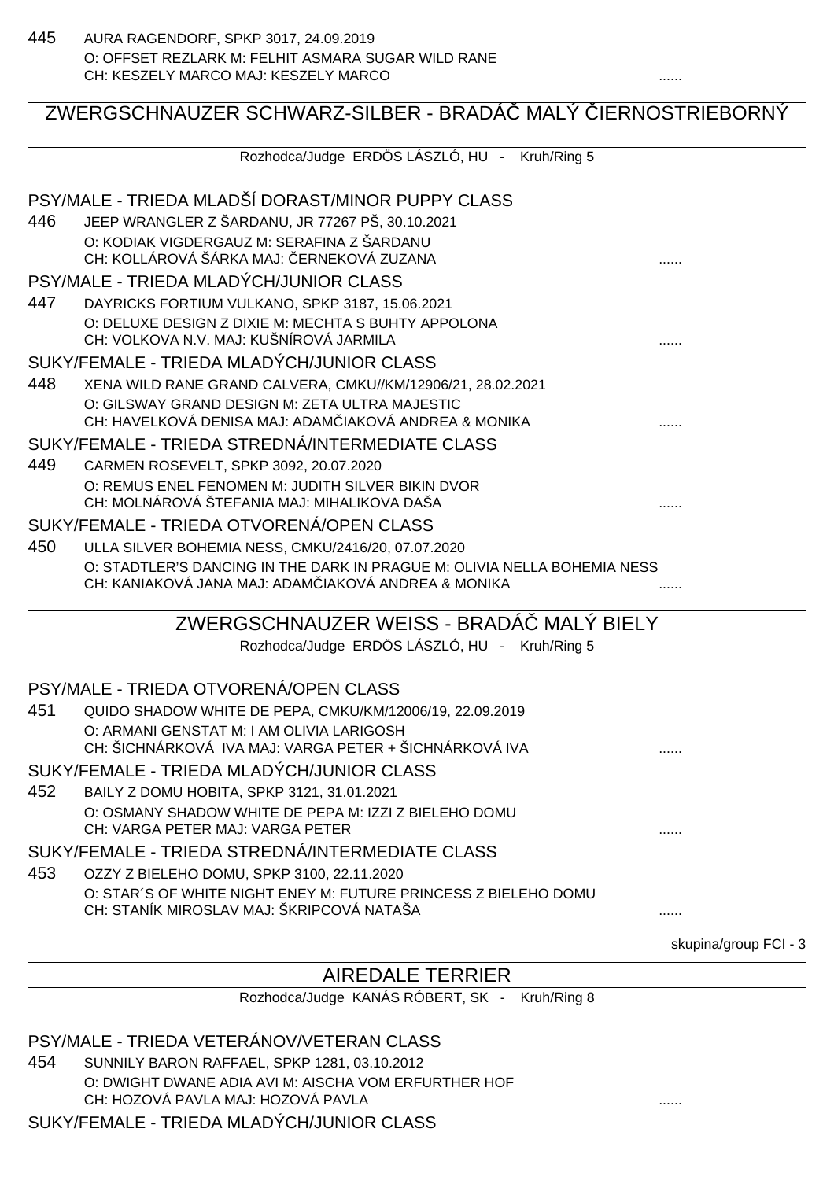# ZWERGSCHNAUZER SCHWARZ-SILBER - BRADÁ MALÝ JERNOSTRIEBORNÝ Rozhodca/Judge ERDÖS LÁSZLÓ, HU - Kruh/Ring 5 PSY/MALE - TRIEDA MLADŠÍ DORAST/MINOR PUPPY CLASS 446 JEEP WRANGLER Z ŠARDANU, JR 77267 PŠ, 30.10.2021 O: KODIAK VIGDERGAUZ M: SERAFINA Z ŠARDANU CH: KOLLÁROVÁ ŠÁRKA MAJ: ČERNEKOVÁ ZUZANA ...... PSY/MALE - TRIEDA MLADÝCH/JUNIOR CLASS 447 DAYRICKS FORTIUM VULKANO, SPKP 3187, 15.06.2021 O: DELUXE DESIGN Z DIXIE M: MECHTA S BUHTY APPOLONA CH: VOLKOVA N.V. MAJ: KUŠNÍROVÁ JARMILA SUKY/FEMALE - TRIEDA MLADÝCH/JUNIOR CLASS 448 XENA WILD RANE GRAND CALVERA, CMKU//KM/12906/21, 28.02.2021 O: GILSWAY GRAND DESIGN M: ZETA ULTRA MAJESTIC CH: HAVELKOVÁ DENISA MAJ: ADAM IAKOVÁ ANDREA & MONIKA ........................... SUKY/FEMALE - TRIEDA STREDNÁ/INTERMEDIATE CLASS 449 CARMEN ROSEVELT, SPKP 3092, 20.07.2020 O: REMUS ENEL FENOMEN M: JUDITH SILVER BIKIN DVOR CH: MOLNÁROVÁ ŠTEFANIA MAJ: MIHALIKOVA DAŠA ...... SUKY/FEMALE - TRIEDA OTVORENÁ/OPEN CLASS 450 ULLA SILVER BOHEMIA NESS, CMKU/2416/20, 07.07.2020 O: STADTLER'S DANCING IN THE DARK IN PRAGUE M: OLIVIA NELLA BOHEMIA NESS CH: KANIAKOVÁ JANA MAJ: ADAM IAKOVÁ ANDREA & MONIKA ZWERGSCHNAUZER WEISS - BRADÁČ MALÝ BIELY Rozhodca/Judge ERDÖS LÁSZLÓ, HU - Kruh/Ring 5 PSY/MALE - TRIEDA OTVORENÁ/OPEN CLASS 451 QUIDO SHADOW WHITE DE PEPA, CMKU/KM/12006/19, 22.09.2019 O: ARMANI GENSTAT M: I AM OLIVIA LARIGOSH CH: ŠICHNÁRKOVÁ IVA MAJ: VARGA PETER + ŠICHNÁRKOVÁ IVA SUKY/FEMALE - TRIEDA MLADÝCH/JUNIOR CLASS

452 BAILY Z DOMU HOBITA, SPKP 3121, 31.01.2021 O: OSMANY SHADOW WHITE DE PEPA M: IZZI Z BIELEHO DOMU CH: VARGA PETER MAJ: VARGA PETER ......

SUKY/FEMALE - TRIEDA STREDNÁ/INTERMEDIATE CLASS 453 OZZY Z BIELEHO DOMU, SPKP 3100, 22.11.2020

- O: STAR´S OF WHITE NIGHT ENEY M: FUTURE PRINCESS Z BIELEHO DOMU CH: STANÍK MIROSLAV MAJ: ŠKRIPCOVÁ NATAŠA ......
	- skupina/group FCI 3

# AIREDALE TERRIER

Rozhodca/Judge KANÁS RÓBERT, SK - Kruh/Ring 8

PSY/MALE - TRIEDA VETERÁNOV/VETERAN CLASS

454 SUNNILY BARON RAFFAEL, SPKP 1281, 03.10.2012 O: DWIGHT DWANE ADIA AVI M: AISCHA VOM ERFURTHER HOF CH: HOZOVÁ PAVLA MAJ: HOZOVÁ PAVLA ......

SUKY/FEMALE - TRIEDA MLADÝCH/JUNIOR CLASS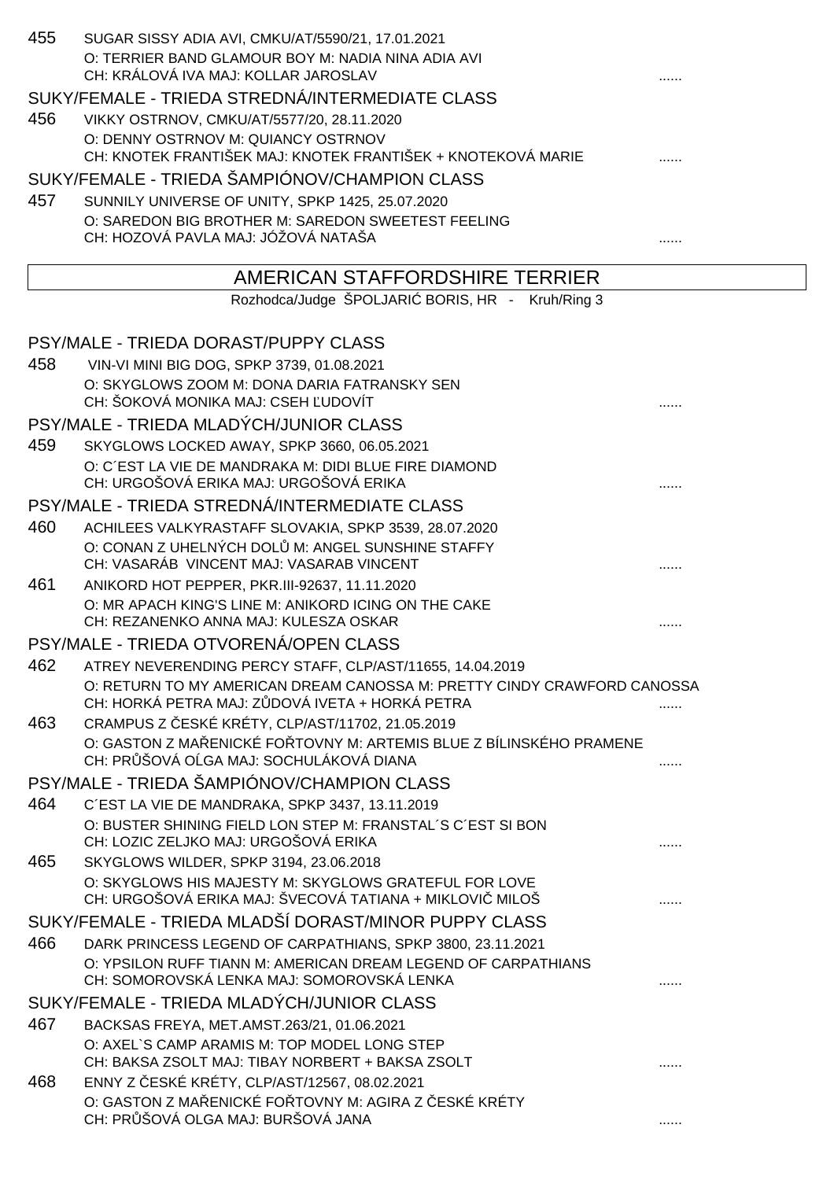| 455 | SUGAR SISSY ADIA AVI, CMKU/AT/5590/21, 17.01.2021<br>O: TERRIER BAND GLAMOUR BOY M: NADIA NINA ADIA AVI<br>CH: KRÁLOVÁ IVA MAJ: KOLLAR JAROSLAV<br>SUKY/FEMALE - TRIEDA STREDNÁ/INTERMEDIATE CLASS | . |
|-----|----------------------------------------------------------------------------------------------------------------------------------------------------------------------------------------------------|---|
|     |                                                                                                                                                                                                    |   |
| 456 | VIKKY OSTRNOV, CMKU/AT/5577/20, 28.11.2020                                                                                                                                                         |   |
|     | O: DENNY OSTRNOV M: QUIANCY OSTRNOV<br>CH: KNOTEK FRANTIŠEK MAJ: KNOTEK FRANTIŠEK + KNOTEKOVÁ MARIE                                                                                                |   |
|     | SUKY/FEMALE - TRIEDA ŠAMPIÓNOV/CHAMPION CLASS                                                                                                                                                      |   |
| 457 | SUNNILY UNIVERSE OF UNITY, SPKP 1425, 25.07.2020                                                                                                                                                   |   |
|     | O: SAREDON BIG BROTHER M: SAREDON SWEETEST FEELING                                                                                                                                                 |   |
|     | CH: HOZOVÁ PAVLA MAJ: JÓŽOVÁ NATAŠA                                                                                                                                                                |   |
|     | AMERICAN STAFFORDSHIRE TERRIER                                                                                                                                                                     |   |
|     | Rozhodca/Judge ŠPOLJARI BORIS, HR - Kruh/Ring 3                                                                                                                                                    |   |
|     | PSY/MALE - TRIEDA DORAST/PUPPY CLASS                                                                                                                                                               |   |
|     |                                                                                                                                                                                                    |   |
| 458 | VIN-VI MINI BIG DOG, SPKP 3739, 01.08.2021<br>O: SKYGLOWS ZOOM M: DONA DARIA FATRANSKY SEN                                                                                                         |   |
|     | CH: ŠOKOVÁ MONIKA MAJ: CSEH UDOVÍT                                                                                                                                                                 |   |
|     | PSY/MALE - TRIEDA MLADÝCH/JUNIOR CLASS                                                                                                                                                             |   |
| 459 | SKYGLOWS LOCKED AWAY, SPKP 3660, 06.05.2021                                                                                                                                                        |   |
|     | O: C'EST LA VIE DE MANDRAKA M: DIDI BLUE FIRE DIAMOND                                                                                                                                              |   |
|     | CH: URGOŠOVÁ ERIKA MAJ: URGOŠOVÁ ERIKA                                                                                                                                                             |   |
|     | PSY/MALE - TRIEDA STREDNÁ/INTERMEDIATE CLASS                                                                                                                                                       |   |
| 460 | ACHILEES VALKYRASTAFF SLOVAKIA, SPKP 3539, 28.07.2020                                                                                                                                              |   |
|     | O: CONAN Z UHELNÝCH DOL M: ANGEL SUNSHINE STAFFY<br>CH: VASARÁB VINCENT MAJ: VASARAB VINCENT                                                                                                       |   |
| 461 | ANIKORD HOT PEPPER, PKR.III-92637, 11.11.2020                                                                                                                                                      |   |
|     | O: MR APACH KING'S LINE M: ANIKORD ICING ON THE CAKE<br>CH: REZANENKO ANNA MAJ: KULESZA OSKAR                                                                                                      |   |
|     | PSY/MALE - TRIEDA OTVORENÁ/OPEN CLASS                                                                                                                                                              |   |
| 462 | ATREY NEVERENDING PERCY STAFF, CLP/AST/11655, 14.04.2019                                                                                                                                           |   |
|     | O: RETURN TO MY AMERICAN DREAM CANOSSA M: PRETTY CINDY CRAWFORD CANOSSA<br>CH: HORKÁ PETRA MAJ: Z DOVÁ IVETA + HORKÁ PETRA                                                                         | . |
| 463 | CRAMPUS Z ESKÉ KRÉTY, CLP/AST/11702, 21.05.2019                                                                                                                                                    |   |
|     | O: GASTON Z MA ENICKÉ FO TOVNY M: ARTEMIS BLUE Z BÍLINSKÉHO PRAMENE<br>CH: PR ŠOVÁ O GA MAJ: SOCHULÁKOVÁ DIANA                                                                                     |   |
|     | PSY/MALE - TRIEDA ŠAMPIÓNOV/CHAMPION CLASS                                                                                                                                                         |   |
| 464 | C'EST LA VIE DE MANDRAKA, SPKP 3437, 13.11.2019                                                                                                                                                    |   |
|     | O: BUSTER SHINING FIELD LON STEP M: FRANSTAL'S C'EST SI BON                                                                                                                                        |   |
|     | CH: LOZIC ZELJKO MAJ: URGOŠOVÁ ERIKA                                                                                                                                                               |   |
| 465 | SKYGLOWS WILDER, SPKP 3194, 23.06.2018<br>O: SKYGLOWS HIS MAJESTY M: SKYGLOWS GRATEFUL FOR LOVE                                                                                                    |   |
|     | CH: URGOŠOVÁ ERIKA MAJ: ŠVECOVÁ TATIANA + MIKLOVI MILOŠ                                                                                                                                            |   |
|     | SUKY/FEMALE - TRIEDA MLADŠÍ DORAST/MINOR PUPPY CLASS                                                                                                                                               |   |
| 466 | DARK PRINCESS LEGEND OF CARPATHIANS, SPKP 3800, 23.11.2021                                                                                                                                         |   |
|     | O: YPSILON RUFF TIANN M: AMERICAN DREAM LEGEND OF CARPATHIANS<br>CH: SOMOROVSKÁ LENKA MAJ: SOMOROVSKÁ LENKA                                                                                        |   |
|     | SUKY/FEMALE - TRIEDA MLADÝCH/JUNIOR CLASS                                                                                                                                                          |   |
| 467 | BACKSAS FREYA, MET.AMST.263/21, 01.06.2021                                                                                                                                                         |   |
|     | O: AXEL`S CAMP ARAMIS M: TOP MODEL LONG STEP                                                                                                                                                       |   |
|     | CH: BAKSA ZSOLT MAJ: TIBAY NORBERT + BAKSA ZSOLT                                                                                                                                                   |   |
| 468 | ENNY Z ESKÉ KRÉTY, CLP/AST/12567, 08.02.2021                                                                                                                                                       |   |
|     | O: GASTON Z MA ENICKÉ FO TOVNY M: AGIRA Z ESKÉ KRÉTY<br>CH: PR ŠOVÁ OLGA MAJ: BURŠOVÁ JANA                                                                                                         |   |
|     |                                                                                                                                                                                                    |   |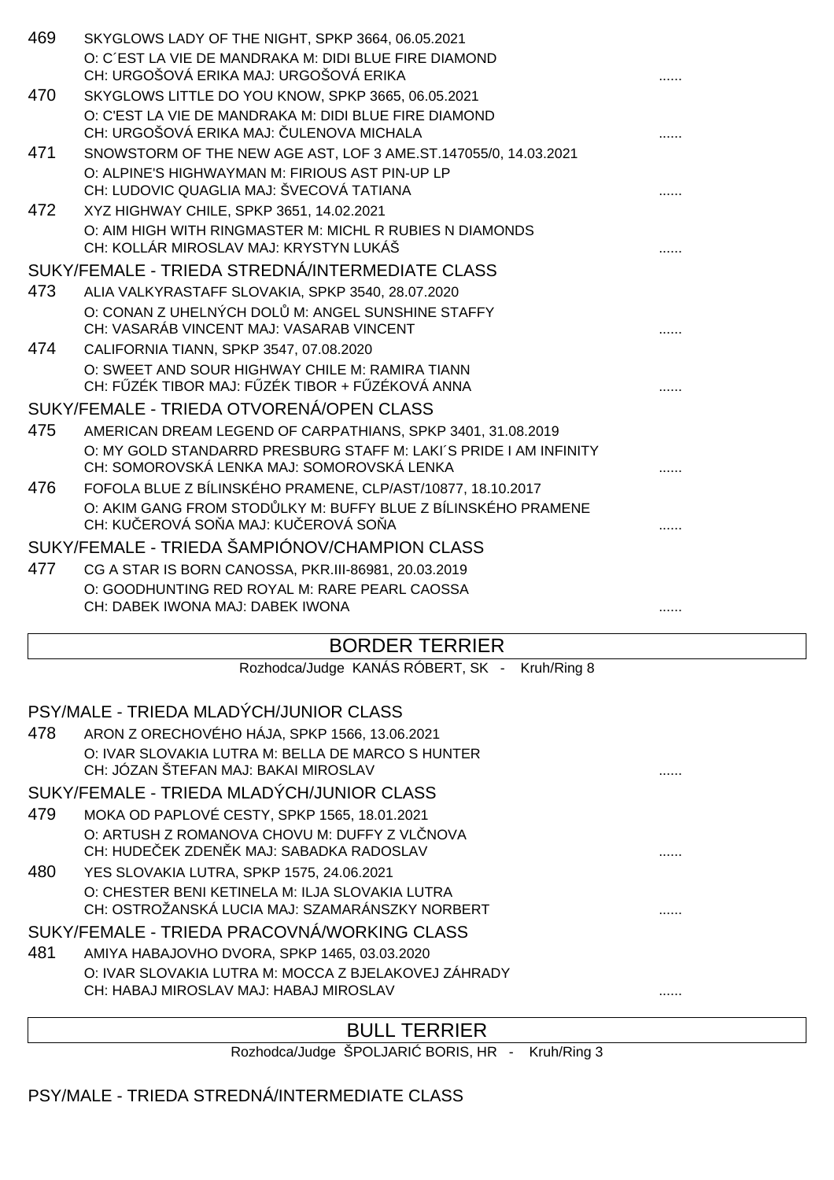| SKYGLOWS LADY OF THE NIGHT, SPKP 3664, 06.05.2021                                                               |                                                               |
|-----------------------------------------------------------------------------------------------------------------|---------------------------------------------------------------|
| O: C'EST LA VIE DE MANDRAKA M: DIDI BLUE FIRE DIAMOND<br>CH: URGOŠOVÁ ERIKA MAJ: URGOŠOVÁ ERIKA                 |                                                               |
| SKYGLOWS LITTLE DO YOU KNOW, SPKP 3665, 06.05.2021                                                              |                                                               |
| O: C'EST LA VIE DE MANDRAKA M: DIDI BLUE FIRE DIAMOND<br>CH: URGOŠOVÁ ERIKA MAJ: ULENOVA MICHALA                |                                                               |
| SNOWSTORM OF THE NEW AGE AST, LOF 3 AME.ST.147055/0, 14.03.2021                                                 |                                                               |
| O: ALPINE'S HIGHWAYMAN M: FIRIOUS AST PIN-UP LP<br>CH: LUDOVIC QUAGLIA MAJ: ŠVECOVÁ TATIANA                     |                                                               |
| XYZ HIGHWAY CHILE, SPKP 3651, 14.02.2021                                                                        |                                                               |
| O: AIM HIGH WITH RINGMASTER M: MICHL R RUBIES N DIAMONDS<br>CH: KOLLÁR MIROSLAV MAJ: KRYSTYN LUKÁŠ              |                                                               |
| SUKY/FEMALE - TRIEDA STREDNÁ/INTERMEDIATE CLASS                                                                 |                                                               |
| ALIA VALKYRASTAFF SLOVAKIA, SPKP 3540, 28.07.2020                                                               |                                                               |
| O: CONAN Z UHELNÝCH DOL M: ANGEL SUNSHINE STAFFY<br>CH: VASARÁB VINCENT MAJ: VASARAB VINCENT                    |                                                               |
| CALIFORNIA TIANN, SPKP 3547, 07.08.2020                                                                         |                                                               |
| O: SWEET AND SOUR HIGHWAY CHILE M: RAMIRA TIANN<br>CH: F ZÉK TIBOR MAJ: F ZÉK TIBOR + F ZÉKOVÁ ANNA             |                                                               |
| SUKY/FEMALE - TRIEDA OTVORENÁ/OPEN CLASS                                                                        |                                                               |
| AMERICAN DREAM LEGEND OF CARPATHIANS, SPKP 3401, 31.08.2019                                                     |                                                               |
| O: MY GOLD STANDARRD PRESBURG STAFF M: LAKI'S PRIDE I AM INFINITY<br>CH: SOMOROVSKÁ LENKA MAJ: SOMOROVSKÁ LENKA |                                                               |
| FOFOLA BLUE Z BÍLINSKÉHO PRAMENE, CLP/AST/10877, 18.10.2017                                                     |                                                               |
| CH: KU EROVÁ SO A MAJ: KU EROVÁ SO A                                                                            |                                                               |
| SUKY/FEMALE - TRIEDA ŠAMPIÓNOV/CHAMPION CLASS                                                                   |                                                               |
| CG A STAR IS BORN CANOSSA, PKR.III-86981, 20.03.2019                                                            |                                                               |
| O: GOODHUNTING RED ROYAL M: RARE PEARL CAOSSA<br>CH: DABEK IWONA MAJ: DABEK IWONA                               | .                                                             |
|                                                                                                                 | O: AKIM GANG FROM STOD LKY M: BUFFY BLUE Z BÍLINSKÉHO PRAMENE |

# BORDER TERRIER

|     | Rozhodca/Judge KANÁS RÓBERT, SK - Kruh/Ring 8                                             |   |  |
|-----|-------------------------------------------------------------------------------------------|---|--|
|     | PSY/MALE - TRIEDA MLADÝCH/JUNIOR CLASS                                                    |   |  |
| 478 | ARON Z ORECHOVÉHO HÁJA, SPKP 1566, 13.06.2021                                             |   |  |
|     | O: IVAR SLOVAKIA LUTRA M: BELLA DE MARCO S HUNTER<br>CH: JÓZAN ŠTEFAN MAJ: BAKAI MIROSLAV |   |  |
|     | SUKY/FEMALE - TRIEDA MLADÝCH/JUNIOR CLASS                                                 |   |  |
| 479 | MOKA OD PAPLOVÉ CESTY, SPKP 1565, 18.01.2021                                              |   |  |
|     | O: ARTUSH Z ROMANOVA CHOVU M: DUFFY Z VL NOVA                                             |   |  |
|     | CH: HUDE EK ZDEN K MAJ: SABADKA RADOSLAV                                                  | . |  |
| 480 | YES SLOVAKIA LUTRA, SPKP 1575, 24.06.2021                                                 |   |  |
|     | O: CHESTER BENI KETINELA M: ILJA SLOVAKIA LUTRA                                           |   |  |
|     | CH: OSTROŽANSKÁ LUCIA MAJ: SZAMARÁNSZKY NORBERT                                           |   |  |
|     | SUKY/FEMALE - TRIEDA PRACOVNÁ/WORKING CLASS                                               |   |  |
| 481 | AMIYA HABAJOVHO DVORA, SPKP 1465, 03.03.2020                                              |   |  |
|     | O: IVAR SLOVAKIA LUTRA M: MOCCA Z BJELAKOVEJ ZÁHRADY                                      |   |  |
|     | CH: HABAJ MIROSLAV MAJ: HABAJ MIROSLAV                                                    |   |  |
|     |                                                                                           |   |  |

# BULL TERRIER

Rozhodca/Judge ŠPOLJARI BORIS, HR - Kruh/Ring 3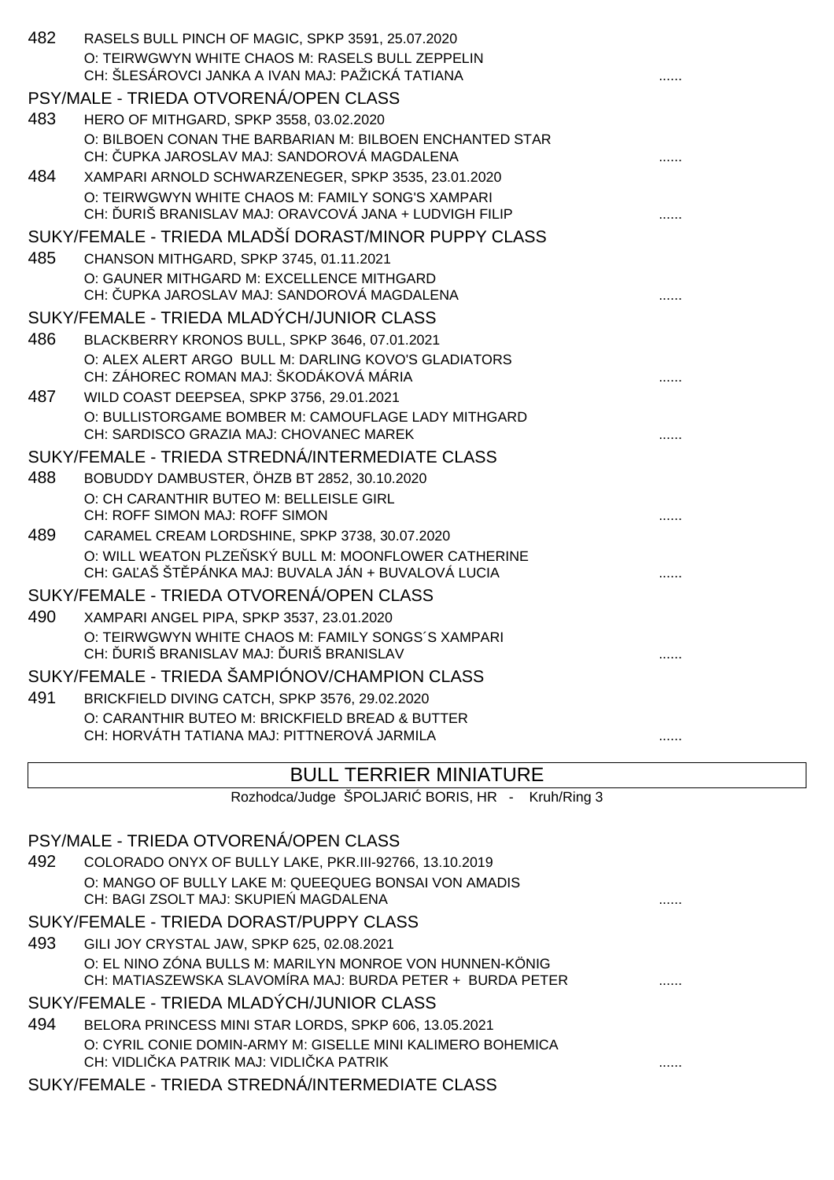|     | PSY/MALE - TRIEDA OTVORENÁ/OPEN CLASS                                                                                                             |  |
|-----|---------------------------------------------------------------------------------------------------------------------------------------------------|--|
|     | Rozhodca/Judge ŠPOLJARI BORIS, HR - Kruh/Ring 3                                                                                                   |  |
|     | <b>BULL TERRIER MINIATURE</b>                                                                                                                     |  |
|     | O: CARANTHIR BUTEO M: BRICKFIELD BREAD & BUTTER<br>CH: HORVÁTH TATIANA MAJ: PITTNEROVÁ JARMILA                                                    |  |
| 491 | BRICKFIELD DIVING CATCH, SPKP 3576, 29.02.2020                                                                                                    |  |
|     | SUKY/FEMALE - TRIEDA ŠAMPIÓNOV/CHAMPION CLASS                                                                                                     |  |
| 490 | XAMPARI ANGEL PIPA, SPKP 3537, 23.01.2020<br>O: TEIRWGWYN WHITE CHAOS M: FAMILY SONGS'S XAMPARI<br>CH: URIŠ BRANISLAV MAJ: URIŠ BRANISLAV         |  |
|     | SUKY/FEMALE - TRIEDA OTVORENÁ/OPEN CLASS                                                                                                          |  |
|     | O: WILL WEATON PLZE SKÝ BULL M: MOONFLOWER CATHERINE<br>CH: GA AŠ ŠT PÁNKA MAJ: BUVALA JÁN + BUVALOVÁ LUCIA                                       |  |
| 489 | O: CH CARANTHIR BUTEO M: BELLEISLE GIRL<br>CH: ROFF SIMON MAJ: ROFF SIMON<br>CARAMEL CREAM LORDSHINE, SPKP 3738, 30.07.2020                       |  |
| 488 | BOBUDDY DAMBUSTER, ÖHZB BT 2852, 30.10.2020                                                                                                       |  |
|     | CH: SARDISCO GRAZIA MAJ: CHOVANEC MAREK<br>SUKY/FEMALE - TRIEDA STREDNÁ/INTERMEDIATE CLASS                                                        |  |
|     | O: BULLISTORGAME BOMBER M: CAMOUFLAGE LADY MITHGARD                                                                                               |  |
| 487 | O: ALEX ALERT ARGO BULL M: DARLING KOVO'S GLADIATORS<br>CH: ZÁHOREC ROMAN MAJ: ŠKODÁKOVÁ MÁRIA<br>WILD COAST DEEPSEA, SPKP 3756, 29.01.2021       |  |
| 486 | BLACKBERRY KRONOS BULL, SPKP 3646, 07.01.2021                                                                                                     |  |
|     | SUKY/FEMALE - TRIEDA MLADÝCH/JUNIOR CLASS                                                                                                         |  |
|     | O: GAUNER MITHGARD M: EXCELLENCE MITHGARD<br>CH: UPKA JAROSLAV MAJ: SANDOROVÁ MAGDALENA                                                           |  |
| 485 | CHANSON MITHGARD, SPKP 3745, 01.11.2021                                                                                                           |  |
|     | CH: URIŠ BRANISLAV MAJ: ORAVCOVÁ JANA + LUDVIGH FILIP<br>SUKY/FEMALE - TRIEDA MLADŠÍ DORAST/MINOR PUPPY CLASS                                     |  |
| 484 | XAMPARI ARNOLD SCHWARZENEGER, SPKP 3535, 23.01.2020<br>O: TEIRWGWYN WHITE CHAOS M: FAMILY SONG'S XAMPARI                                          |  |
|     | HERO OF MITHGARD, SPKP 3558, 03.02.2020<br>O: BILBOEN CONAN THE BARBARIAN M: BILBOEN ENCHANTED STAR<br>CH: UPKA JAROSLAV MAJ: SANDOROVÁ MAGDALENA |  |
| 483 | PSY/MALE - TRIEDA OTVORENÁ/OPEN CLASS                                                                                                             |  |
|     | O: TEIRWGWYN WHITE CHAOS M: RASELS BULL ZEPPELIN<br>CH: ŠLESÁROVCI JANKA A IVAN MAJ: PAŽICKÁ TATIANA                                              |  |
| 482 | RASELS BULL PINCH OF MAGIC, SPKP 3591, 25.07.2020                                                                                                 |  |

| 492 | COLORADO ONYX OF BULLY LAKE, PKR.III-92766, 13.10.2019      |  |
|-----|-------------------------------------------------------------|--|
|     | O: MANGO OF BULLY LAKE M: QUEEQUEG BONSAI VON AMADIS        |  |
|     | CH: BAGI ZSOLT MAJ: SKUPIE MAGDALENA                        |  |
|     | SUKY/FEMALE - TRIEDA DORAST/PUPPY CLASS                     |  |
| 493 | GILI JOY CRYSTAL JAW, SPKP 625, 02.08.2021                  |  |
|     | O: EL NINO ZÓNA BULLS M: MARILYN MONROE VON HUNNEN-KÖNIG    |  |
|     | CH: MATIASZEWSKA SLAVOMÍRA MAJ: BURDA PETER + BURDA PETER   |  |
|     | SUKY/FEMALE - TRIEDA MLADÝCH/JUNIOR CLASS                   |  |
| 494 | BELORA PRINCESS MINI STAR LORDS, SPKP 606, 13.05.2021       |  |
|     | O: CYRIL CONIE DOMIN-ARMY M: GISELLE MINI KALIMERO BOHEMICA |  |
|     | CH: VIDLI KA PATRIK MAJ: VIDLI KA PATRIK                    |  |
|     |                                                             |  |

SUKY/FEMALE - TRIEDA STREDNÁ/INTERMEDIATE CLASS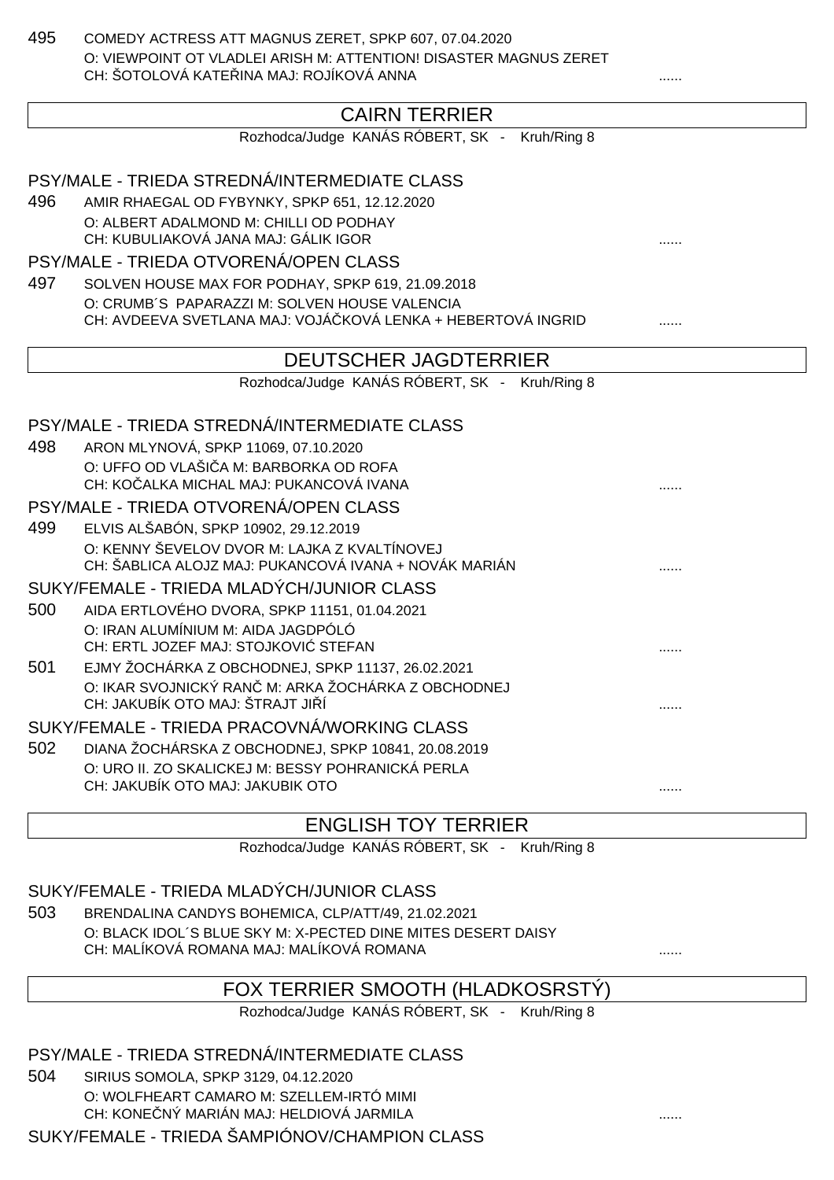495 COMEDY ACTRESS ATT MAGNUS ZERET, SPKP 607, 07.04.2020 O: VIEWPOINT OT VLADLEI ARISH M: ATTENTION! DISASTER MAGNUS ZERET CH: ŠOTOLOVÁ KATELINA MAJ: ROJÍKOVÁ ANNA

# CAIRN TERRIER

Rozhodca/Judge KANÁS RÓBERT, SK - Kruh/Ring 8

PSY/MALE - TRIEDA STREDNÁ/INTERMEDIATE CLASS 496 AMIR RHAEGAL OD FYBYNKY, SPKP 651, 12.12.2020 O: ALBERT ADALMOND M: CHILLI OD PODHAY CH: KUBULIAKOVÁ JANA MAJ: GÁLIK IGOR ...... PSY/MALE - TRIEDA OTVORENÁ/OPEN CLASS 497 SOLVEN HOUSE MAX FOR PODHAY, SPKP 619, 21.09.2018 O: CRUMB´S PAPARAZZI M: SOLVEN HOUSE VALENCIA CH: AVDEEVA SVETLANA MAJ: VOJÁ KOVÁ LENKA + HEBERTOVÁ INGRID ....... DEUTSCHER JAGDTERRIER Rozhodca/Judge KANÁS RÓBERT, SK - Kruh/Ring 8 PSY/MALE - TRIEDA STREDNÁ/INTERMEDIATE CLASS 498 ARON MLYNOVÁ, SPKP 11069, 07.10.2020 O: UFFO OD VLAŠI A M: BARBORKA OD ROFA CH: KO ALKA MICHAL MAJ: PUKANCOVÁ IVANA PSY/MALE - TRIEDA OTVORENÁ/OPEN CLASS 499 ELVIS ALŠABÓN, SPKP 10902, 29.12.2019 O: KENNY ŠEVELOV DVOR M: LAJKA Z KVALTÍNOVEJ CH: ŠABLICA ALOJZ MAJ: PUKANCOVÁ IVANA + NOVÁK MARIÁN ...... SUKY/FEMALE - TRIEDA MLADÝCH/JUNIOR CLASS 500 AIDA ERTLOVÉHO DVORA, SPKP 11151, 01.04.2021 O: IRAN ALUMÍNIUM M: AIDA JAGDPÓLÓ CH: ERTL JOZEF MAJ: STOJKOVIĆ STEFAN ...... 501 EJMY ŽOCHÁRKA Z OBCHODNEJ, SPKP 11137, 26.02.2021 O: IKAR SVOJNICKÝ RAN M: ARKA ŽOCHÁRKA Z OBCHODNEJ CH: JAKUBÍK OTO MAJ: ŠTRAJT JI Í SUKY/FEMALE - TRIEDA PRACOVNÁ/WORKING CLASS 502 DIANA ŽOCHÁRSKA Z OBCHODNEJ, SPKP 10841, 20.08.2019 O: URO II. ZO SKALICKEJ M: BESSY POHRANICKÁ PERLA CH: JAKUBÍK OTO MAJ: JAKUBIK OTO ......

#### ENGLISH TOY TERRIER

Rozhodca/Judge KANÁS RÓBERT, SK - Kruh/Ring 8

SUKY/FEMALE - TRIEDA MLADÝCH/JUNIOR CLASS

503 BRENDALINA CANDYS BOHEMICA, CLP/ATT/49, 21.02.2021 O: BLACK IDOL´S BLUE SKY M: X-PECTED DINE MITES DESERT DAISY CH: MALÍKOVÁ ROMANA MAJ: MALÍKOVÁ ROMANA ......

# FOX TERRIER SMOOTH (HLADKOSRSTÝ)

Rozhodca/Judge KANÁS RÓBERT, SK - Kruh/Ring 8

#### PSY/MALE - TRIEDA STREDNÁ/INTERMEDIATE CLASS

504 SIRIUS SOMOLA, SPKP 3129, 04.12.2020 O: WOLFHEART CAMARO M: SZELLEM-IRTÓ MIMI

CH: KONE NÝ MARIÁN MAJ: HELDIOVÁ JARMILA

SUKY/FEMALE - TRIEDA ŠAMPIÓNOV/CHAMPION CLASS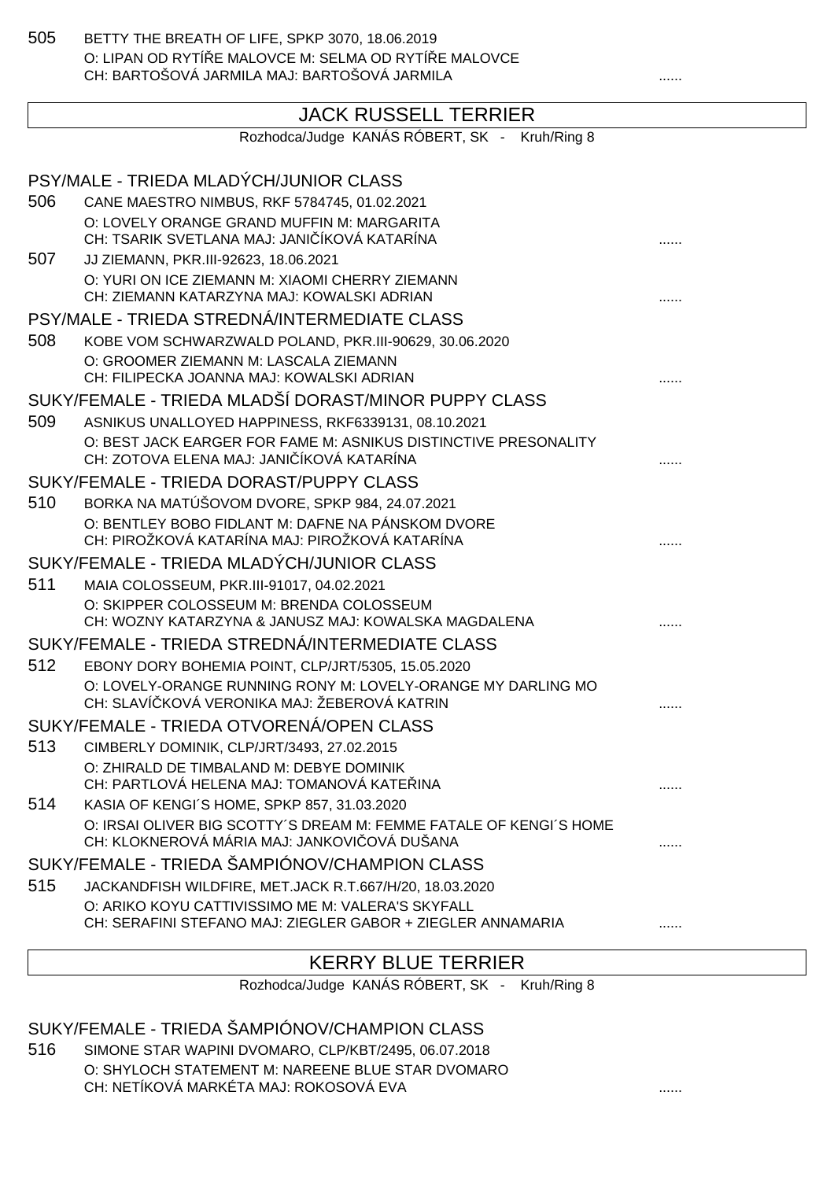505 BETTY THE BREATH OF LIFE, SPKP 3070, 18.06.2019 O: LIPAN OD RYTÍ E MALOVCE M: SELMA OD RYTÍ E MALOVCE CH: BARTOŠOVÁ JARMILA MAJ: BARTOŠOVÁ JARMILA ......

# JACK RUSSELL TERRIER

Rozhodca/Judge KANÁS RÓBERT, SK - Kruh/Ring 8

|     | PSY/MALE - TRIEDA MLADÝCH/JUNIOR CLASS                                                                            |  |
|-----|-------------------------------------------------------------------------------------------------------------------|--|
| 506 | CANE MAESTRO NIMBUS, RKF 5784745, 01.02.2021                                                                      |  |
|     | O: LOVELY ORANGE GRAND MUFFIN M: MARGARITA                                                                        |  |
|     | CH: TSARIK SVETLANA MAJ: JANI ÍKOVÁ KATARÍNA                                                                      |  |
| 507 | JJ ZIEMANN, PKR.III-92623, 18.06.2021<br>O: YURI ON ICE ZIEMANN M: XIAOMI CHERRY ZIEMANN                          |  |
|     | CH: ZIEMANN KATARZYNA MAJ: KOWALSKI ADRIAN                                                                        |  |
|     | PSY/MALE - TRIEDA STREDNÁ/INTERMEDIATE CLASS                                                                      |  |
| 508 | KOBE VOM SCHWARZWALD POLAND, PKR.III-90629, 30.06.2020                                                            |  |
|     | O: GROOMER ZIEMANN M: LASCALA ZIEMANN                                                                             |  |
|     | CH: FILIPECKA JOANNA MAJ: KOWALSKI ADRIAN                                                                         |  |
|     | SUKY/FEMALE - TRIEDA MLADŠÍ DORAST/MINOR PUPPY CLASS                                                              |  |
| 509 | ASNIKUS UNALLOYED HAPPINESS, RKF6339131, 08.10.2021                                                               |  |
|     | O: BEST JACK EARGER FOR FAME M: ASNIKUS DISTINCTIVE PRESONALITY<br>CH: ZOTOVA ELENA MAJ: JANI ÍKOVÁ KATARÍNA      |  |
|     | SUKY/FEMALE - TRIEDA DORAST/PUPPY CLASS                                                                           |  |
| 510 | BORKA NA MATÚŠOVOM DVORE, SPKP 984, 24.07.2021                                                                    |  |
|     | O: BENTLEY BOBO FIDLANT M: DAFNE NA PÁNSKOM DVORE<br>CH: PIROŽKOVÁ KATARÍNA MAJ: PIROŽKOVÁ KATARÍNA               |  |
|     | SUKY/FEMALE - TRIEDA MLADÝCH/JUNIOR CLASS                                                                         |  |
| 511 | MAIA COLOSSEUM, PKR.III-91017, 04.02.2021                                                                         |  |
|     | O: SKIPPER COLOSSEUM M: BRENDA COLOSSEUM                                                                          |  |
|     | CH: WOZNY KATARZYNA & JANUSZ MAJ: KOWALSKA MAGDALENA                                                              |  |
|     | SUKY/FEMALE - TRIEDA STREDNÁ/INTERMEDIATE CLASS                                                                   |  |
| 512 | EBONY DORY BOHEMIA POINT, CLP/JRT/5305, 15.05.2020                                                                |  |
|     | O: LOVELY-ORANGE RUNNING RONY M: LOVELY-ORANGE MY DARLING MO<br>CH: SLAVÍ KOVÁ VERONIKA MAJ: ŽEBEROVÁ KATRIN      |  |
|     | SUKY/FEMALE - TRIEDA OTVORENÁ/OPEN CLASS                                                                          |  |
| 513 | CIMBERLY DOMINIK, CLP/JRT/3493, 27.02.2015                                                                        |  |
|     | O: ZHIRALD DE TIMBALAND M: DEBYE DOMINIK                                                                          |  |
|     | CH: PARTLOVÁ HELENA MAJ: TOMANOVÁ KATE INA                                                                        |  |
| 514 | KASIA OF KENGI'S HOME, SPKP 857, 31.03.2020<br>O: IRSAI OLIVER BIG SCOTTY'S DREAM M: FEMME FATALE OF KENGI'S HOME |  |
|     | CH: KLOKNEROVÁ MÁRIA MAJ: JANKOVI OVÁ DUŠANA                                                                      |  |
|     | SUKY/FEMALE - TRIEDA ŠAMPIÓNOV/CHAMPION CLASS                                                                     |  |
| 515 | JACKANDFISH WILDFIRE, MET.JACK R.T.667/H/20, 18.03.2020                                                           |  |
|     | O: ARIKO KOYU CATTIVISSIMO ME M: VALERA'S SKYFALL                                                                 |  |
|     | CH: SERAFINI STEFANO MAJ: ZIEGLER GABOR + ZIEGLER ANNAMARIA                                                       |  |

### KERRY BLUE TERRIER

Rozhodca/Judge KANÁS RÓBERT, SK - Kruh/Ring 8

#### SUKY/FEMALE - TRIEDA ŠAMPIÓNOV/CHAMPION CLASS

516 SIMONE STAR WAPINI DVOMARO, CLP/KBT/2495, 06.07.2018 O: SHYLOCH STATEMENT M: NAREENE BLUE STAR DVOMARO CH: NETÍKOVÁ MARKÉTA MAJ: ROKOSOVÁ EVA ......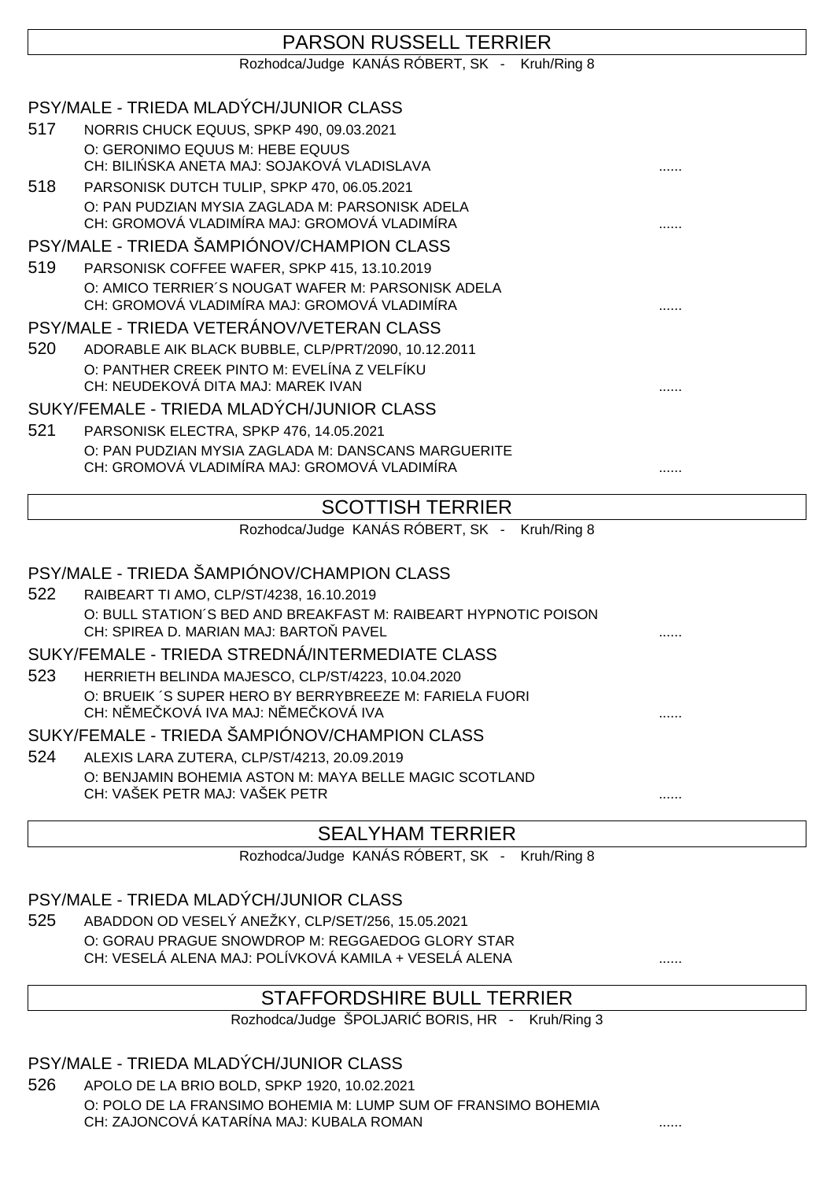|     | <b>PARSON RUSSELL TERRIER</b>                                                                            |   |
|-----|----------------------------------------------------------------------------------------------------------|---|
|     | Rozhodca/Judge KANÁS RÓBERT, SK - Kruh/Ring 8                                                            |   |
|     |                                                                                                          |   |
|     | PSY/MALE - TRIEDA MLADÝCH/JUNIOR CLASS                                                                   |   |
| 517 | NORRIS CHUCK EQUUS, SPKP 490, 09.03.2021                                                                 |   |
|     | O: GERONIMO EQUUS M: HEBE EQUUS                                                                          |   |
|     | CH: BILI SKA ANETA MAJ: SOJAKOVÁ VLADISLAVA                                                              |   |
| 518 | PARSONISK DUTCH TULIP, SPKP 470, 06.05.2021                                                              |   |
|     | O: PAN PUDZIAN MYSIA ZAGLADA M: PARSONISK ADELA<br>CH: GROMOVÁ VLADIMÍRA MAJ: GROMOVÁ VLADIMÍRA          |   |
|     | PSY/MALE - TRIEDA ŠAMPIÓNOV/CHAMPION CLASS                                                               |   |
| 519 | PARSONISK COFFEE WAFER, SPKP 415, 13.10.2019                                                             |   |
|     | O: AMICO TERRIER'S NOUGAT WAFER M: PARSONISK ADELA<br>CH: GROMOVÁ VLADIMÍRA MAJ: GROMOVÁ VLADIMÍRA       |   |
|     | PSY/MALE - TRIEDA VETERÁNOV/VETERAN CLASS                                                                |   |
| 520 | ADORABLE AIK BLACK BUBBLE, CLP/PRT/2090, 10.12.2011                                                      |   |
|     | O: PANTHER CREEK PINTO M: EVELÍNA Z VELFÍKU                                                              |   |
|     | CH: NEUDEKOVÁ DITA MAJ: MAREK IVAN                                                                       |   |
|     | SUKY/FEMALE - TRIEDA MLADÝCH/JUNIOR CLASS                                                                |   |
| 521 | PARSONISK ELECTRA, SPKP 476, 14.05.2021                                                                  |   |
|     | O: PAN PUDZIAN MYSIA ZAGLADA M: DANSCANS MARGUERITE                                                      |   |
|     | CH: GROMOVÁ VLADIMÍRA MAJ: GROMOVÁ VLADIMÍRA                                                             | . |
|     | <b>SCOTTISH TERRIER</b>                                                                                  |   |
|     | Rozhodca/Judge KANÁS RÓBERT, SK - Kruh/Ring 8                                                            |   |
|     |                                                                                                          |   |
|     | PSY/MALE - TRIEDA ŠAMPIÓNOV/CHAMPION CLASS                                                               |   |
| 522 | RAIBEART TI AMO, CLP/ST/4238, 16.10.2019                                                                 |   |
|     | O: BULL STATION'S BED AND BREAKFAST M: RAIBEART HYPNOTIC POISON<br>CH: SPIREA D. MARIAN MAJ: BARTO PAVEL |   |
|     | SUKY/FEMALE - TRIEDA STREDNÁ/INTERMEDIATE CLASS                                                          |   |
| 523 | HERRIETH BELINDA MAJESCO, CLP/ST/4223, 10.04.2020                                                        |   |
|     | O: BRUEIK 'S SUPER HERO BY BERRYBREEZE M: FARIELA FUORI<br>CH: N ME KOVÁ IVA MAJ: N ME KOVÁ IVA          | . |
|     | SUKY/FEMALE - TRIEDA ŠAMPIÓNOV/CHAMPION CLASS                                                            |   |
| 524 | ALEXIS LARA ZUTERA, CLP/ST/4213, 20.09.2019                                                              |   |
|     | O: BENJAMIN BOHEMIA ASTON M: MAYA BELLE MAGIC SCOTLAND                                                   |   |
|     | CH: VAŠEK PETR MAJ: VAŠEK PETR                                                                           | . |
|     | <b>CEALVHAM TEDDIED</b>                                                                                  |   |

#### SEALYHAM I ERRIER

Rozhodca/Judge KANÁS RÓBERT, SK - Kruh/Ring 8

#### PSY/MALE - TRIEDA MLADÝCH/JUNIOR CLASS

525 ABADDON OD VESELÝ ANEŽKY, CLP/SET/256, 15.05.2021 O: GORAU PRAGUE SNOWDROP M: REGGAEDOG GLORY STAR CH: VESELÁ ALENA MAJ: POLÍVKOVÁ KAMILA + VESELÁ ALENA ......

### STAFFORDSHIRE BULL TERRIER

Rozhodca/Judge ŠPOLJARI BORIS, HR - Kruh/Ring 3

PSY/MALE - TRIEDA MLADÝCH/JUNIOR CLASS

526 APOLO DE LA BRIO BOLD, SPKP 1920, 10.02.2021 O: POLO DE LA FRANSIMO BOHEMIA M: LUMP SUM OF FRANSIMO BOHEMIA CH: ZAJONCOVÁ KATARÍNA MAJ: KUBALA ROMAN ......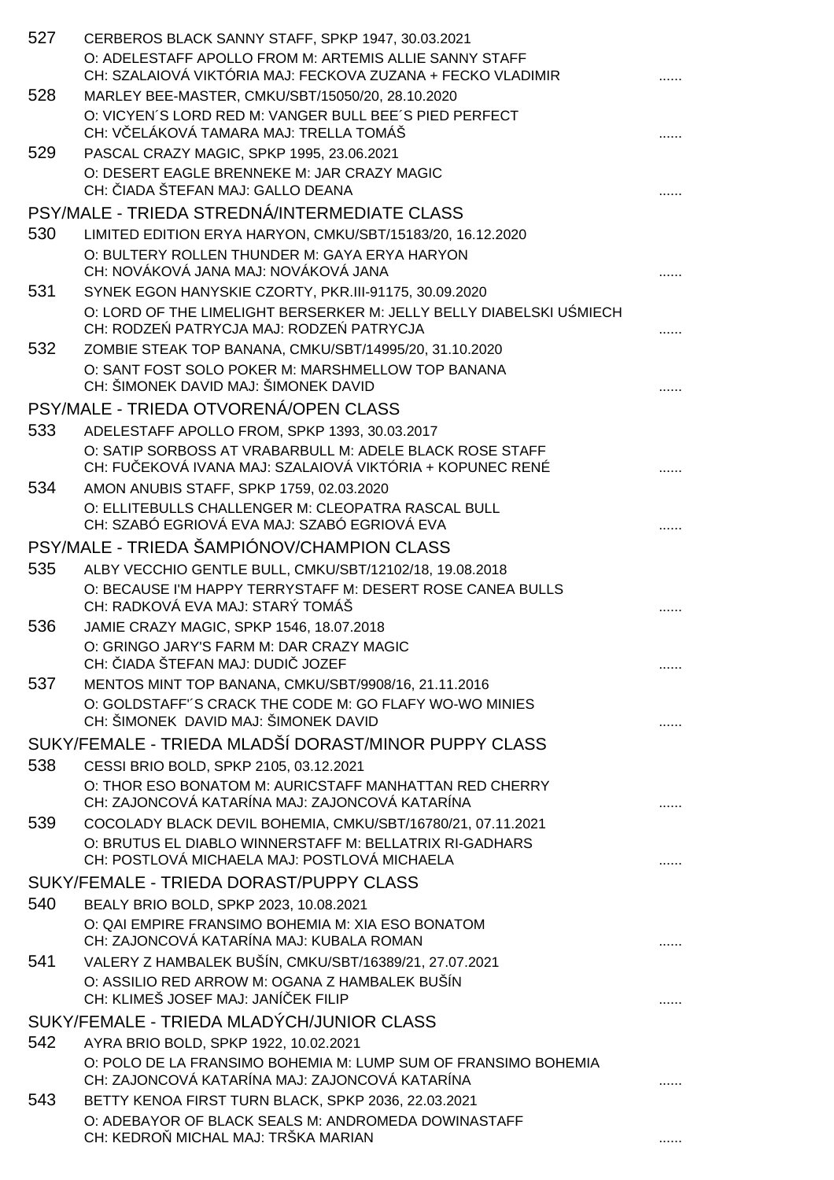| 527 | CERBEROS BLACK SANNY STAFF, SPKP 1947, 30.03.2021<br>O: ADELESTAFF APOLLO FROM M: ARTEMIS ALLIE SANNY STAFF<br>CH: SZALAIOVÁ VIKTÓRIA MAJ: FECKOVA ZUZANA + FECKO VLADIMIR |  |
|-----|----------------------------------------------------------------------------------------------------------------------------------------------------------------------------|--|
| 528 | MARLEY BEE-MASTER, CMKU/SBT/15050/20, 28.10.2020<br>O: VICYEN'S LORD RED M: VANGER BULL BEE'S PIED PERFECT<br>CH: V ELÁKOVÁ TAMARA MAJ: TRELLA TOMÁŠ                       |  |
| 529 | PASCAL CRAZY MAGIC, SPKP 1995, 23.06.2021<br>O: DESERT EAGLE BRENNEKE M: JAR CRAZY MAGIC<br>CH: IADA ŠTEFAN MAJ: GALLO DEANA                                               |  |
|     | PSY/MALE - TRIEDA STREDNÁ/INTERMEDIATE CLASS                                                                                                                               |  |
| 530 | LIMITED EDITION ERYA HARYON, CMKU/SBT/15183/20, 16.12.2020<br>O: BULTERY ROLLEN THUNDER M: GAYA ERYA HARYON<br>CH: NOVÁKOVÁ JANA MAJ: NOVÁKOVÁ JANA                        |  |
| 531 | SYNEK EGON HANYSKIE CZORTY, PKR.III-91175, 30.09.2020<br>O: LORD OF THE LIMELIGHT BERSERKER M: JELLY BELLY DIABELSKI U MIECH<br>CH: RODZE PATRYCJA MAJ: RODZE PATRYCJA     |  |
| 532 | ZOMBIE STEAK TOP BANANA, CMKU/SBT/14995/20, 31.10.2020                                                                                                                     |  |
|     | O: SANT FOST SOLO POKER M: MARSHMELLOW TOP BANANA<br>CH: ŠIMONEK DAVID MAJ: ŠIMONEK DAVID                                                                                  |  |
|     | PSY/MALE - TRIEDA OTVORENÁ/OPEN CLASS                                                                                                                                      |  |
| 533 | ADELESTAFF APOLLO FROM, SPKP 1393, 30.03.2017<br>O: SATIP SORBOSS AT VRABARBULL M: ADELE BLACK ROSE STAFF<br>CH: FU EKOVÁ IVANA MAJ: SZALAIOVÁ VIKTÓRIA + KOPUNEC RENÉ     |  |
| 534 | AMON ANUBIS STAFF, SPKP 1759, 02.03.2020                                                                                                                                   |  |
|     | O: ELLITEBULLS CHALLENGER M: CLEOPATRA RASCAL BULL<br>CH: SZABÓ EGRIOVÁ EVA MAJ: SZABÓ EGRIOVÁ EVA                                                                         |  |
|     | PSY/MALE - TRIEDA ŠAMPIÓNOV/CHAMPION CLASS                                                                                                                                 |  |
| 535 | ALBY VECCHIO GENTLE BULL, CMKU/SBT/12102/18, 19.08.2018<br>O: BECAUSE I'M HAPPY TERRYSTAFF M: DESERT ROSE CANEA BULLS<br>CH: RADKOVÁ EVA MAJ: STARÝ TOMÁŠ                  |  |
| 536 | JAMIE CRAZY MAGIC, SPKP 1546, 18.07.2018                                                                                                                                   |  |
|     | O: GRINGO JARY'S FARM M: DAR CRAZY MAGIC<br>CH: IADA ŠTEFAN MAJ: DUDI JOZEF                                                                                                |  |
| 537 | MENTOS MINT TOP BANANA, CMKU/SBT/9908/16, 21.11.2016<br>O: GOLDSTAFF'S CRACK THE CODE M: GO FLAFY WO-WO MINIES<br>CH: ŠIMONEK DAVID MAJ: ŠIMONEK DAVID                     |  |
|     | SUKY/FEMALE - TRIEDA MLADŠÍ DORAST/MINOR PUPPY CLASS                                                                                                                       |  |
| 538 | CESSI BRIO BOLD, SPKP 2105, 03.12.2021<br>O: THOR ESO BONATOM M: AURICSTAFF MANHATTAN RED CHERRY                                                                           |  |
| 539 | CH: ZAJONCOVÁ KATARÍNA MAJ: ZAJONCOVÁ KATARÍNA                                                                                                                             |  |
|     | COCOLADY BLACK DEVIL BOHEMIA, CMKU/SBT/16780/21, 07.11.2021<br>O: BRUTUS EL DIABLO WINNERSTAFF M: BELLATRIX RI-GADHARS<br>CH: POSTLOVÁ MICHAELA MAJ: POSTLOVÁ MICHAELA     |  |
|     | SUKY/FEMALE - TRIEDA DORAST/PUPPY CLASS                                                                                                                                    |  |
| 540 | BEALY BRIO BOLD, SPKP 2023, 10.08.2021                                                                                                                                     |  |
|     | O: QAI EMPIRE FRANSIMO BOHEMIA M: XIA ESO BONATOM<br>CH: ZAJONCOVÁ KATARÍNA MAJ: KUBALA ROMAN                                                                              |  |
| 541 | VALERY Z HAMBALEK BUŠÍN, CMKU/SBT/16389/21, 27.07.2021<br>O: ASSILIO RED ARROW M: OGANA Z HAMBALEK BUŠÍN<br>CH: KLIMEŠ JOSEF MAJ: JANÍ EK FILIP                            |  |
|     | SUKY/FEMALE - TRIEDA MLADÝCH/JUNIOR CLASS                                                                                                                                  |  |
| 542 | AYRA BRIO BOLD, SPKP 1922, 10.02.2021<br>O: POLO DE LA FRANSIMO BOHEMIA M: LUMP SUM OF FRANSIMO BOHEMIA<br>CH: ZAJONCOVÁ KATARÍNA MAJ: ZAJONCOVÁ KATARÍNA                  |  |
| 543 | BETTY KENOA FIRST TURN BLACK, SPKP 2036, 22.03.2021<br>O: ADEBAYOR OF BLACK SEALS M: ANDROMEDA DOWINASTAFF<br>CH: KEDRO MICHAL MAJ: TRŠKA MARIAN                           |  |
|     |                                                                                                                                                                            |  |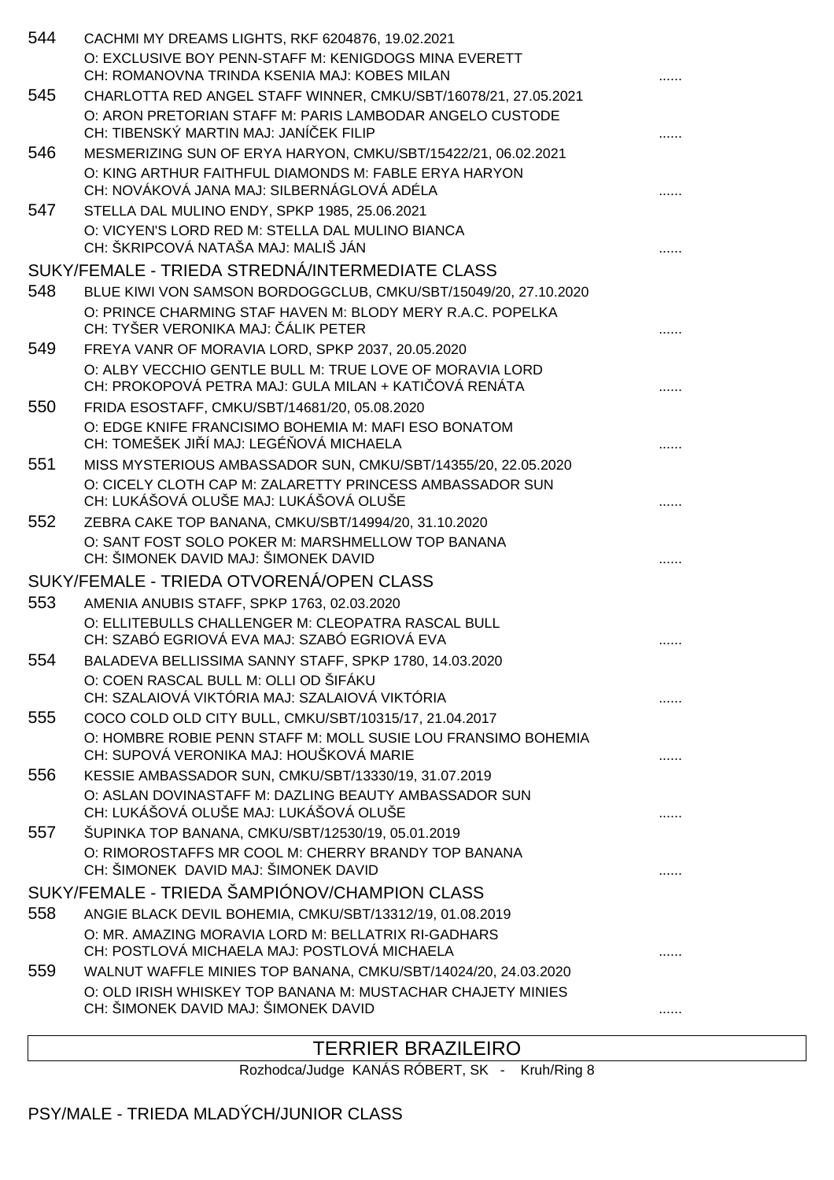| 544 | CACHMI MY DREAMS LIGHTS, RKF 6204876, 19.02.2021<br>O: EXCLUSIVE BOY PENN-STAFF M: KENIGDOGS MINA EVERETT<br>CH: ROMANOVNA TRINDA KSENIA MAJ: KOBES MILAN             |  |
|-----|-----------------------------------------------------------------------------------------------------------------------------------------------------------------------|--|
| 545 | CHARLOTTA RED ANGEL STAFF WINNER, CMKU/SBT/16078/21, 27.05.2021<br>O: ARON PRETORIAN STAFF M: PARIS LAMBODAR ANGELO CUSTODE<br>CH: TIBENSKÝ MARTIN MAJ: JANÍ EK FILIP |  |
| 546 | MESMERIZING SUN OF ERYA HARYON, CMKU/SBT/15422/21, 06.02.2021                                                                                                         |  |
|     | O: KING ARTHUR FAITHFUL DIAMONDS M: FABLE ERYA HARYON<br>CH: NOVÁKOVÁ JANA MAJ: SILBERNÁGLOVÁ ADÉLA                                                                   |  |
| 547 | STELLA DAL MULINO ENDY, SPKP 1985, 25.06.2021<br>O: VICYEN'S LORD RED M: STELLA DAL MULINO BIANCA<br>CH: ŠKRIPCOVÁ NATAŠA MAJ: MALIŠ JÁN                              |  |
|     | SUKY/FEMALE - TRIEDA STREDNÁ/INTERMEDIATE CLASS                                                                                                                       |  |
| 548 | BLUE KIWI VON SAMSON BORDOGGCLUB, CMKU/SBT/15049/20, 27.10.2020                                                                                                       |  |
|     | O: PRINCE CHARMING STAF HAVEN M: BLODY MERY R.A.C. POPELKA<br>CH: TYŠER VERONIKA MAJ: ÁLIK PETER                                                                      |  |
| 549 | FREYA VANR OF MORAVIA LORD, SPKP 2037, 20.05.2020                                                                                                                     |  |
|     | O: ALBY VECCHIO GENTLE BULL M: TRUE LOVE OF MORAVIA LORD<br>CH: PROKOPOVÁ PETRA MAJ: GULA MILAN + KATI OVÁ RENÁTA                                                     |  |
| 550 | FRIDA ESOSTAFF, CMKU/SBT/14681/20, 05.08.2020<br>O: EDGE KNIFE FRANCISIMO BOHEMIA M: MAFI ESO BONATOM                                                                 |  |
|     | CH: TOMEŠEK JI Í MAJ: LEGÉ OVÁ MICHAELA                                                                                                                               |  |
| 551 | MISS MYSTERIOUS AMBASSADOR SUN, CMKU/SBT/14355/20, 22.05.2020                                                                                                         |  |
|     | O: CICELY CLOTH CAP M: ZALARETTY PRINCESS AMBASSADOR SUN<br>CH: LUKÁŠOVÁ OLUŠE MAJ: LUKÁŠOVÁ OLUŠE                                                                    |  |
| 552 | ZEBRA CAKE TOP BANANA, CMKU/SBT/14994/20, 31.10.2020                                                                                                                  |  |
|     | O: SANT FOST SOLO POKER M: MARSHMELLOW TOP BANANA<br>CH: ŠIMONEK DAVID MAJ: ŠIMONEK DAVID                                                                             |  |
|     | SUKY/FEMALE - TRIEDA OTVORENÁ/OPEN CLASS                                                                                                                              |  |
| 553 | AMENIA ANUBIS STAFF, SPKP 1763, 02.03.2020                                                                                                                            |  |
|     | O: ELLITEBULLS CHALLENGER M: CLEOPATRA RASCAL BULL<br>CH: SZABÓ EGRIOVÁ EVA MAJ: SZABÓ EGRIOVÁ EVA                                                                    |  |
| 554 | BALADEVA BELLISSIMA SANNY STAFF, SPKP 1780, 14.03.2020                                                                                                                |  |
|     | O: COEN RASCAL BULL M: OLLI OD ŠIFÁKU<br>CH: SZALAJOVÁ VIKTÓRIA MAJ: SZALAJOVÁ VIKTÓRIA                                                                               |  |
| 555 | COCO COLD OLD CITY BULL, CMKU/SBT/10315/17, 21.04.2017                                                                                                                |  |
|     | O: HOMBRE ROBIE PENN STAFF M: MOLL SUSIE LOU FRANSIMO BOHEMIA<br>CH: SUPOVÁ VERONIKA MAJ: HOUŠKOVÁ MARIE                                                              |  |
| 556 | KESSIE AMBASSADOR SUN, CMKU/SBT/13330/19, 31.07.2019                                                                                                                  |  |
|     | O: ASLAN DOVINASTAFF M: DAZLING BEAUTY AMBASSADOR SUN<br>CH: LUKÁŠOVÁ OLUŠE MAJ: LUKÁŠOVÁ OLUŠE                                                                       |  |
| 557 | ŠUPINKA TOP BANANA, CMKU/SBT/12530/19, 05.01.2019                                                                                                                     |  |
|     | O: RIMOROSTAFFS MR COOL M: CHERRY BRANDY TOP BANANA<br>CH: ŠIMONEK DAVID MAJ: ŠIMONEK DAVID                                                                           |  |
|     | SUKY/FEMALE - TRIEDA ŠAMPIÓNOV/CHAMPION CLASS                                                                                                                         |  |
| 558 | ANGIE BLACK DEVIL BOHEMIA, CMKU/SBT/13312/19, 01.08.2019                                                                                                              |  |
|     | O: MR. AMAZING MORAVIA LORD M: BELLATRIX RI-GADHARS<br>CH: POSTLOVÁ MICHAELA MAJ: POSTLOVÁ MICHAELA                                                                   |  |
| 559 | WALNUT WAFFLE MINIES TOP BANANA, CMKU/SBT/14024/20, 24.03.2020                                                                                                        |  |
|     | O: OLD IRISH WHISKEY TOP BANANA M: MUSTACHAR CHAJETY MINIES<br>CH: ŠIMONEK DAVID MAJ: ŠIMONEK DAVID                                                                   |  |

### TERRIER BRAZILEIRO

Rozhodca/Judge KANÁS RÓBERT, SK - Kruh/Ring 8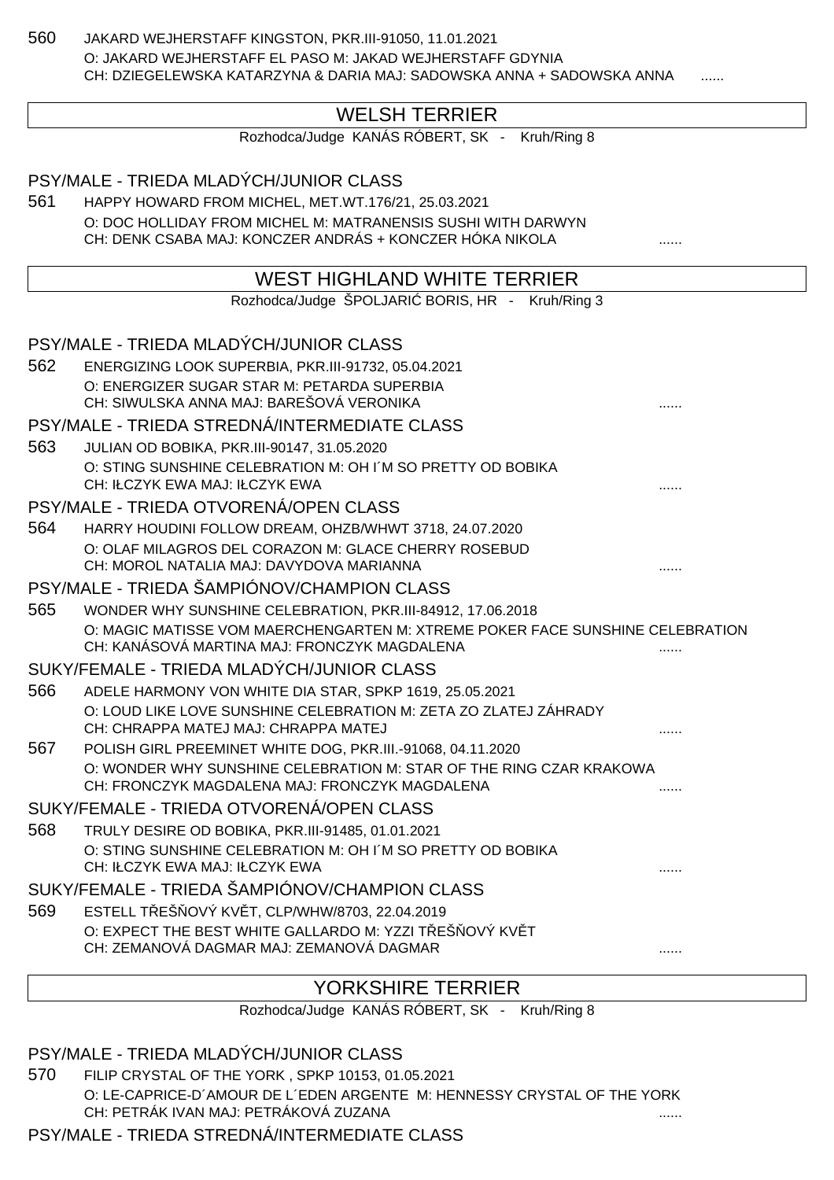560 JAKARD WEJHERSTAFF KINGSTON, PKR.III-91050, 11.01.2021 O: JAKARD WEJHERSTAFF EL PASO M: JAKAD WEJHERSTAFF GDYNIA CH: DZIEGELEWSKA KATARZYNA & DARIA MAJ: SADOWSKA ANNA + SADOWSKA ANNA

# WELSH TERRIER

Rozhodca/Judge KANÁS RÓBERT, SK - Kruh/Ring 8

PSY/MALE - TRIEDA MLADÝCH/JUNIOR CLASS 561 HAPPY HOWARD FROM MICHEL, MET.WT.176/21, 25.03.2021 O: DOC HOLLIDAY FROM MICHEL M: MATRANENSIS SUSHI WITH DARWYN CH: DENK CSABA MAJ: KONCZER ANDRÁS + KONCZER HÓKA NIKOLA ...... WEST HIGHLAND WHITE TERRIER Rozhodca/Judge ŠPOLJARI BORIS, HR - Kruh/Ring 3 PSY/MALE - TRIEDA MLADÝCH/JUNIOR CLASS 562 ENERGIZING LOOK SUPERBIA, PKR.III-91732, 05.04.2021 O: ENERGIZER SUGAR STAR M: PETARDA SUPERBIA CH: SIWULSKA ANNA MAJ: BAREŠOVÁ VERONIKA PSY/MALE - TRIEDA STREDNÁ/INTERMEDIATE CLASS 563 JULIAN OD BOBIKA, PKR.III-90147, 31.05.2020 O: STING SUNSHINE CELEBRATION M: OH I´M SO PRETTY OD BOBIKA CH: IŁCZYK EWA MAJ: IŁCZYK EWA PSY/MALE - TRIEDA OTVORENÁ/OPEN CLASS 564 HARRY HOUDINI FOLLOW DREAM, OHZB/WHWT 3718, 24.07.2020 O: OLAF MILAGROS DEL CORAZON M: GLACE CHERRY ROSEBUD CH: MOROL NATALIA MAJ: DAVYDOVA MARIANNA PSY/MALE - TRIEDA ŠAMPIÓNOV/CHAMPION CLASS 565 WONDER WHY SUNSHINE CELEBRATION, PKR.III-84912, 17.06.2018 O: MAGIC MATISSE VOM MAERCHENGARTEN M: XTREME POKER FACE SUNSHINE CELEBRATION CH: KANÁSOVÁ MARTINA MAJ: FRONCZYK MAGDALENA SUKY/FEMALE - TRIEDA MLADÝCH/JUNIOR CLASS 566 ADELE HARMONY VON WHITE DIA STAR, SPKP 1619, 25.05.2021 O: LOUD LIKE LOVE SUNSHINE CELEBRATION M: ZETA ZO ZLATEJ ZÁHRADY CH: CHRAPPA MATEJ MAJ: CHRAPPA MATEJ 567 POLISH GIRL PREEMINET WHITE DOG, PKR.III.-91068, 04.11.2020 O: WONDER WHY SUNSHINE CELEBRATION M: STAR OF THE RING CZAR KRAKOWA CH: FRONCZYK MAGDALENA MAJ: FRONCZYK MAGDALENA ...... SUKY/FEMALE - TRIEDA OTVORENÁ/OPEN CLASS 568 TRULY DESIRE OD BOBIKA, PKR.III-91485, 01.01.2021 O: STING SUNSHINE CELEBRATION M: OH I´M SO PRETTY OD BOBIKA CH: IŁCZYK EWA MAJ: IŁCZYK EWA SUKY/FEMALE - TRIEDA ŠAMPIÓNOV/CHAMPION CLASS 569 ESTELL T EŠ OVÝ KV T, CLP/WHW/8703, 22.04.2019 O: EXPECT THE BEST WHITE GALLARDO M: YZZI TEŠOVÝ KVÍT CH: ZEMANOVÁ DAGMAR MAJ: ZEMANOVÁ DAGMAR

# YORKSHIRE TERRIER

Rozhodca/Judge KANÁS RÓBERT, SK - Kruh/Ring 8

PSY/MALE - TRIEDA MLADÝCH/JUNIOR CLASS

570 FILIP CRYSTAL OF THE YORK , SPKP 10153, 01.05.2021 O: LE-CAPRICE-D´AMOUR DE L´EDEN ARGENTE M: HENNESSY CRYSTAL OF THE YORK CH: PETRÁK IVAN MAJ: PETRÁKOVÁ ZUZANA

PSY/MALE - TRIEDA STREDNÁ/INTERMEDIATE CLASS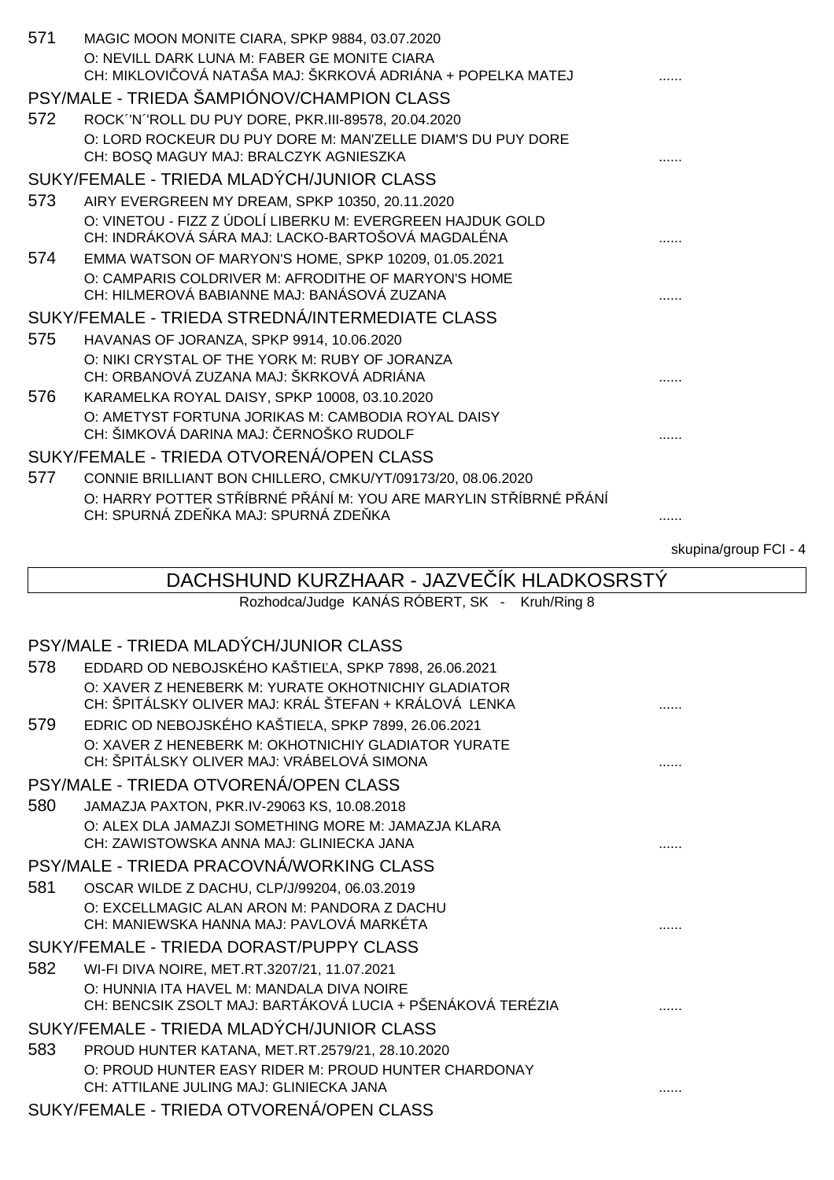| 571 | MAGIC MOON MONITE CIARA, SPKP 9884, 03.07.2020                                                     |                       |
|-----|----------------------------------------------------------------------------------------------------|-----------------------|
|     | O: NEVILL DARK LUNA M: FABER GE MONITE CIARA                                                       |                       |
|     | CH: MIKLOVI OVÁ NATAŠA MAJ: ŠKRKOVÁ ADRIÁNA + POPELKA MATEJ                                        |                       |
|     | PSY/MALE - TRIEDA ŠAMPIÓNOV/CHAMPION CLASS                                                         |                       |
| 572 | ROCK "N "ROLL DU PUY DORE, PKR.III-89578, 20.04.2020                                               |                       |
|     | O: LORD ROCKEUR DU PUY DORE M: MAN'ZELLE DIAM'S DU PUY DORE                                        |                       |
|     | CH: BOSQ MAGUY MAJ: BRALCZYK AGNIESZKA                                                             |                       |
|     | SUKY/FEMALE - TRIEDA MLADÝCH/JUNIOR CLASS                                                          |                       |
| 573 | AIRY EVERGREEN MY DREAM, SPKP 10350, 20.11.2020                                                    |                       |
|     | O: VINETOU - FIZZ Z ÚDOLÍ LIBERKU M: EVERGREEN HAJDUK GOLD                                         |                       |
|     | CH: INDRÁKOVÁ SÁRA MAJ: LACKO-BARTOŠOVÁ MAGDALÉNA                                                  |                       |
| 574 | EMMA WATSON OF MARYON'S HOME, SPKP 10209, 01.05.2021                                               |                       |
|     | O: CAMPARIS COLDRIVER M: AFRODITHE OF MARYON'S HOME<br>CH: HILMEROVÁ BABIANNE MAJ: BANÁSOVÁ ZUZANA |                       |
|     | SUKY/FEMALE - TRIEDA STREDNÁ/INTERMEDIATE CLASS                                                    |                       |
| 575 | HAVANAS OF JORANZA, SPKP 9914, 10.06.2020                                                          |                       |
|     | O: NIKI CRYSTAL OF THE YORK M: RUBY OF JORANZA                                                     |                       |
|     | CH: ORBANOVÁ ZUZANA MAJ: ŠKRKOVÁ ADRIÁNA                                                           |                       |
| 576 | KARAMELKA ROYAL DAISY, SPKP 10008, 03.10.2020                                                      |                       |
|     | O: AMETYST FORTUNA JORIKAS M: CAMBODIA ROYAL DAISY                                                 |                       |
|     | CH: ŠIMKOVÁ DARINA MAJ: ERNOŠKO RUDOLF                                                             |                       |
|     | SUKY/FEMALE - TRIEDA OTVORENÁ/OPEN CLASS                                                           |                       |
| 577 | CONNIE BRILLIANT BON CHILLERO, CMKU/YT/09173/20, 08.06.2020                                        |                       |
|     | O: HARRY POTTER ST ÍBRNÉ PÁNÍM: YOU ARE MARYLIN ST ÍBRNÉ PÁNÍ                                      |                       |
|     | CH: SPURNÁ ZDE KA MAJ: SPURNÁ ZDE KA                                                               |                       |
|     |                                                                                                    | skupina/group FCI - 4 |
|     | DACHSHUND KURZHAAR - JAZVE IK HLADKOSRSTY                                                          |                       |
|     | Rozhodca/Judge KANÁS RÓBERT, SK - Kruh/Ring 8                                                      |                       |
|     |                                                                                                    |                       |
|     | PSY/MALE - TRIEDA MLADÝCH/JUNIOR CLASS                                                             |                       |
| 578 | EDDARD OD NEBOJSKÉHO KAŠTIE A, SPKP 7898, 26.06.2021                                               |                       |

| O: XAVER Z HENEBERK M: YURATE OKHOTNICHIY GLADIATOR<br>CH: ŠPITÁLSKY OLIVER MAJ: KRÁL ŠTEFAN + KRÁLOVÁ LENKA |  |
|--------------------------------------------------------------------------------------------------------------|--|
| EDRIC OD NEBOJSKÉHO KAŠTIE A, SPKP 7899, 26.06.2021                                                          |  |
| O: XAVER Z HENEBERK M: OKHOTNICHIY GLADIATOR YURATE<br>CH: ŠPITÁLSKY OLIVER MAJ: VRÁBELOVÁ SIMONA            |  |
| PSY/MALE - TRIEDA OTVORENÁ/OPEN CLASS                                                                        |  |
| JAMAZJA PAXTON, PKR.IV-29063 KS, 10.08.2018                                                                  |  |
| O: ALEX DLA JAMAZJI SOMETHING MORE M: JAMAZJA KLARA<br>CH: ZAWISTOWSKA ANNA MAJ: GLINIECKA JANA              |  |
| PSY/MALE - TRIEDA PRACOVNÁ/WORKING CLASS                                                                     |  |
| OSCAR WILDE Z DACHU, CLP/J/99204, 06.03.2019                                                                 |  |
| O: EXCELLMAGIC ALAN ARON M: PANDORA Z DACHU<br>CH: MANIEWSKA HANNA MAJ: PAVLOVÁ MARKÉTA                      |  |
| SUKY/FEMALE - TRIEDA DORAST/PUPPY CLASS                                                                      |  |
| WI-FI DIVA NOIRE, MET.RT.3207/21, 11.07.2021                                                                 |  |
| O: HUNNIA ITA HAVEL M: MANDALA DIVA NOIRE<br>CH: BENCSIK ZSOLT MAJ: BARTÁKOVÁ LUCIA + PŠENÁKOVÁ TERÉZIA      |  |
| SUKY/FEMALE - TRIEDA MLADÝCH/JUNIOR CLASS                                                                    |  |
| PROUD HUNTER KATANA, MET.RT.2579/21, 28.10.2020                                                              |  |
| O: PROUD HUNTER EASY RIDER M: PROUD HUNTER CHARDONAY<br>CH: ATTILANE JULING MAJ: GLINIECKA JANA              |  |
|                                                                                                              |  |

### SUKY/FEMALE - TRIEDA OTVORENÁ/OPEN CLASS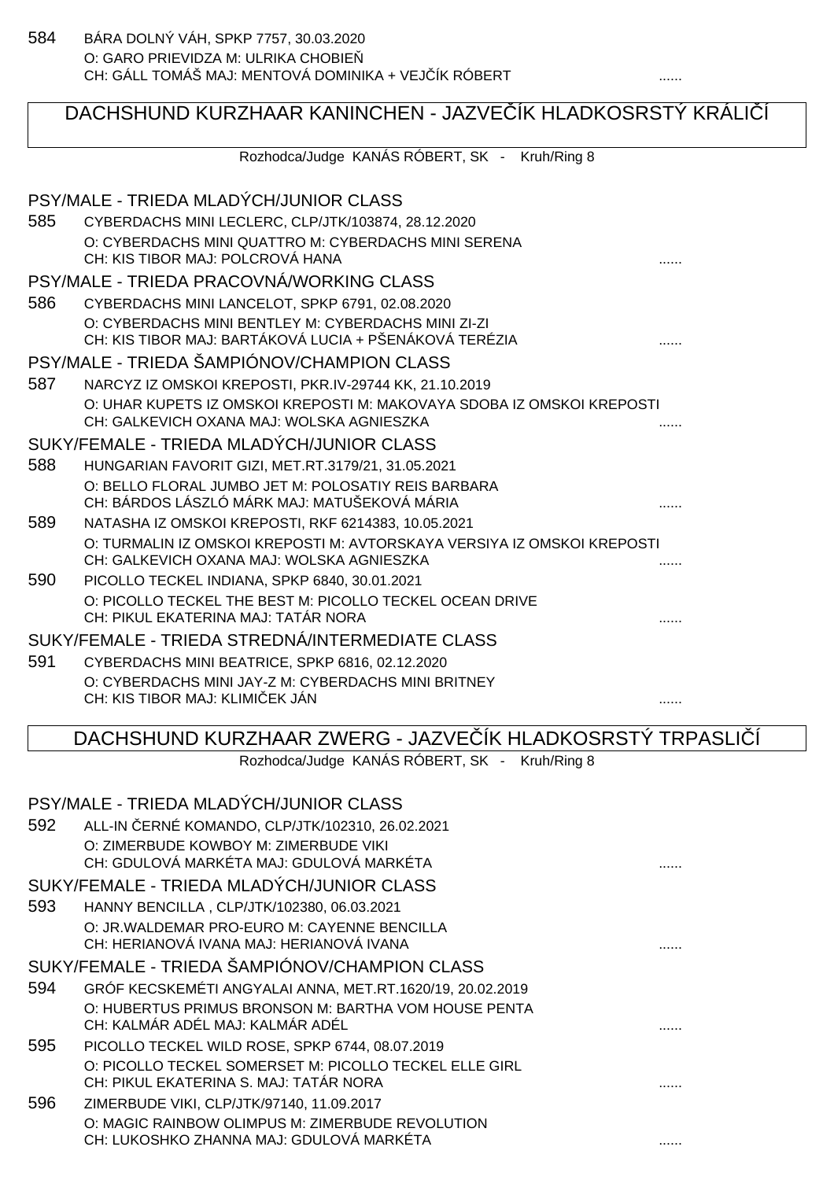# DACHSHUND KURZHAAR KANINCHEN - JAZVE ÍK HLADKOSRSTÝ KRÁLIÍ

Rozhodca/Judge KANÁS RÓBERT, SK - Kruh/Ring 8 PSY/MALE - TRIEDA MLADÝCH/JUNIOR CLASS 585 CYBERDACHS MINI LECLERC, CLP/JTK/103874, 28.12.2020 O: CYBERDACHS MINI QUATTRO M: CYBERDACHS MINI SERENA CH: KIS TIBOR MAJ: POLCROVÁ HANA ...... PSY/MALE - TRIEDA PRACOVNÁ/WORKING CLASS 586 CYBERDACHS MINI LANCELOT, SPKP 6791, 02.08.2020 O: CYBERDACHS MINI BENTLEY M: CYBERDACHS MINI ZI-ZI CH: KIS TIBOR MAJ: BARTÁKOVÁ LUCIA + PŠENÁKOVÁ TERÉZIA ...... PSY/MALE - TRIEDA ŠAMPIÓNOV/CHAMPION CLASS 587 NARCYZ IZ OMSKOI KREPOSTI, PKR.IV-29744 KK, 21.10.2019 O: UHAR KUPETS IZ OMSKOI KREPOSTI M: MAKOVAYA SDOBA IZ OMSKOI KREPOSTI CH: GALKEVICH OXANA MAJ: WOLSKA AGNIESZKA SUKY/FEMALE - TRIEDA MLADÝCH/JUNIOR CLASS 588 HUNGARIAN FAVORIT GIZI, MET.RT.3179/21, 31.05.2021 O: BELLO FLORAL JUMBO JET M: POLOSATIY REIS BARBARA CH: BÁRDOS LÁSZLÓ MÁRK MAJ: MATUŠEKOVÁ MÁRIA ...... 589 NATASHA IZ OMSKOI KREPOSTI, RKF 6214383, 10.05.2021 O: TURMALIN IZ OMSKOI KREPOSTI M: AVTORSKAYA VERSIYA IZ OMSKOI KREPOSTI CH: GALKEVICH OXANA MAJ: WOLSKA AGNIESZKA 590 PICOLLO TECKEL INDIANA, SPKP 6840, 30.01.2021 O: PICOLLO TECKEL THE BEST M: PICOLLO TECKEL OCEAN DRIVE CH: PIKUL EKATERINA MAJ: TATÁR NORA ......

# SUKY/FEMALE - TRIEDA STREDNÁ/INTERMEDIATE CLASS

591 CYBERDACHS MINI BEATRICE, SPKP 6816, 02.12.2020 O: CYBERDACHS MINI JAY-Z M: CYBERDACHS MINI BRITNEY CH: KIS TIBOR MAJ: KLIMIČEK JÁN ......

### DACHSHUND KURZHAAR ZWERG - JAZVE ÍK HLADKOSRSTÝ TRPASLI Í

Rozhodca/Judge KANÁS RÓBERT, SK - Kruh/Ring 8

|     | PSY/MALE - TRIEDA MLADÝCH/JUNIOR CLASS                    |  |
|-----|-----------------------------------------------------------|--|
| 592 | ALL-IN ERNÉ KOMANDO, CLP/JTK/102310, 26.02.2021           |  |
|     | O: ZIMERBUDE KOWBOY M: ZIMERBUDE VIKI                     |  |
|     | CH: GDULOVÁ MARKÉTA MAJ: GDULOVÁ MARKÉTA                  |  |
|     | SUKY/FEMALE - TRIEDA MLADÝCH/JUNIOR CLASS                 |  |
| 593 | HANNY BENCILLA, CLP/JTK/102380, 06.03.2021                |  |
|     | O: JR. WALDEMAR PRO-EURO M: CAYENNE BENCILLA              |  |
|     | CH: HERIANOVÁ IVANA MAJ: HERIANOVÁ IVANA                  |  |
|     | SUKY/FEMALE - TRIEDA ŠAMPIÓNOV/CHAMPION CLASS             |  |
| 594 | GRÓF KECSKEMÉTI ANGYALAI ANNA, MET.RT.1620/19, 20.02.2019 |  |
|     | O: HUBERTUS PRIMUS BRONSON M: BARTHA VOM HOUSE PENTA      |  |
|     | CH: KALMÁR ADÉL MAJ: KALMÁR ADÉL                          |  |
| 595 | PICOLLO TECKEL WILD ROSE, SPKP 6744, 08.07.2019           |  |
|     | O: PICOLLO TECKEL SOMERSET M: PICOLLO TECKEL ELLE GIRL    |  |
|     | CH: PIKUL EKATERINA S. MAJ: TATÁR NORA                    |  |
| 596 | ZIMERBUDE VIKI, CLP/JTK/97140, 11.09.2017                 |  |
|     | O: MAGIC RAINBOW OLIMPUS M: ZIMERBUDE REVOLUTION          |  |
|     | CH: LUKOSHKO ZHANNA MAJ: GDULOVÁ MARKÉTA                  |  |
|     |                                                           |  |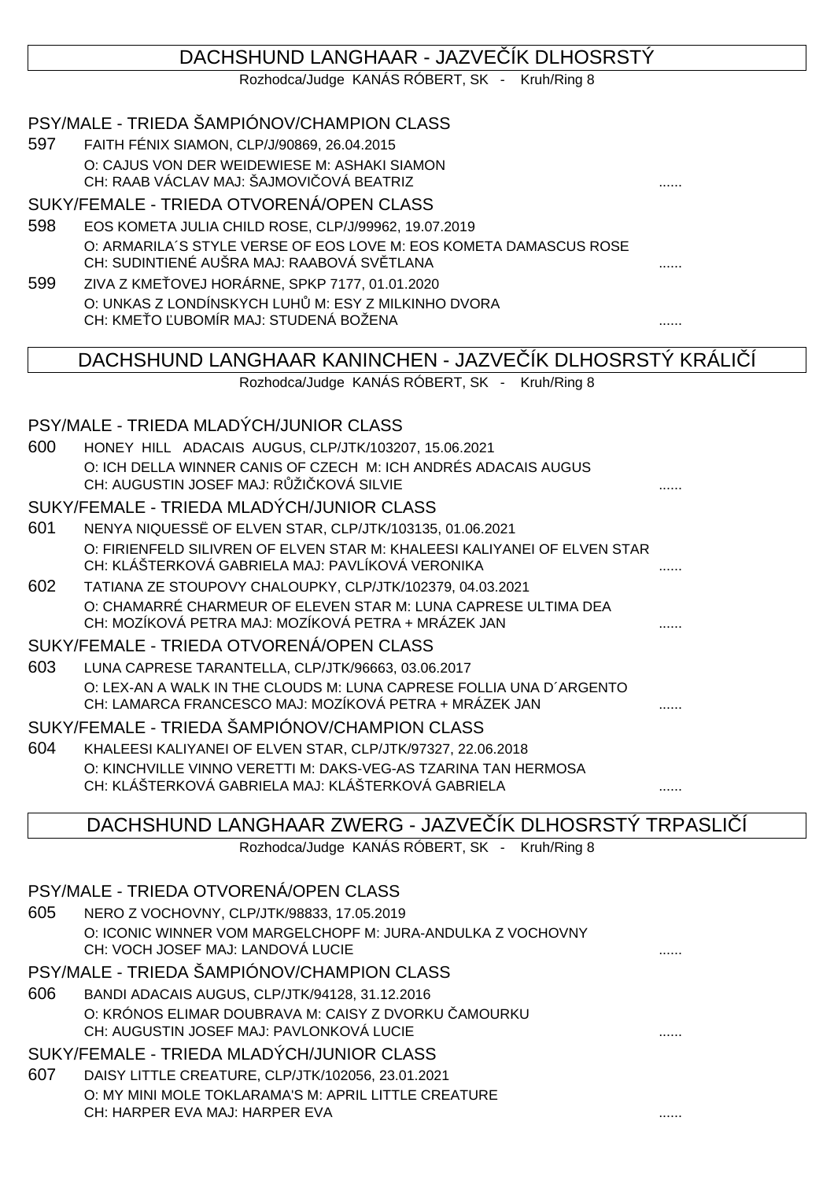# DACHSHUND LANGHAAR - JAZVE ÍK DLHOSRSTÝ Rozhodca/Judge KANÁS RÓBERT, SK - Kruh/Ring 8 PSY/MALE - TRIEDA ŠAMPIÓNOV/CHAMPION CLASS 597 FAITH FÉNIX SIAMON, CLP/J/90869, 26.04.2015 O: CAJUS VON DER WEIDEWIESE M: ASHAKI SIAMON CH: RAAB VÁCLAV MAJ: ŠAJMOVI OVÁ BEATRIZ SUKY/FEMALE - TRIEDA OTVORENÁ/OPEN CLASS 598 EOS KOMETA JULIA CHILD ROSE, CLP/J/99962, 19.07.2019 O: ARMARILA´S STYLE VERSE OF EOS LOVE M: EOS KOMETA DAMASCUS ROSE CH: SUDINTIENÉ AUŠRA MAJ: RAABOVÁ SVĚTLANA ...... 599 ZIVA Z KME OVEJ HORÁRNE, SPKP 7177, 01.01.2020 O: UNKAS Z LONDÍNSKYCH LUH M: ESY Z MILKINHO DVORA CH: KMEŤO ĽUBOMÍR MAJ: STUDENÁ BOŽENA ...... DACHSHUND LANGHAAR KANINCHEN - JAZVE ÍK DLHOSRSTÝ KRÁLIÍ Rozhodca/Judge KANÁS RÓBERT, SK - Kruh/Ring 8 PSY/MALE - TRIEDA MLADÝCH/JUNIOR CLASS 600 HONEY HILL ADACAIS AUGUS, CLP/JTK/103207, 15.06.2021 O: ICH DELLA WINNER CANIS OF CZECH M: ICH ANDRÉS ADACAIS AUGUS CH: AUGUSTIN JOSEF MAJ: R ŽI KOVÁ SILVIE SUKY/FEMALE - TRIEDA MLADÝCH/JUNIOR CLASS 601 NENYA NIQUESSË OF ELVEN STAR, CLP/JTK/103135, 01.06.2021 O: FIRIENFELD SILIVREN OF ELVEN STAR M: KHALEESI KALIYANEI OF ELVEN STAR CH: KLÁŠTERKOVÁ GABRIELA MAJ: PAVLÍKOVÁ VERONIKA ...... 602 TATIANA ZE STOUPOVY CHALOUPKY, CLP/JTK/102379, 04.03.2021 O: CHAMARRÉ CHARMEUR OF ELEVEN STAR M: LUNA CAPRESE ULTIMA DEA CH: MOZÍKOVÁ PETRA MAJ: MOZÍKOVÁ PETRA + MRÁZEK JAN ...... SUKY/FEMALE - TRIEDA OTVORENÁ/OPEN CLASS 603 LUNA CAPRESE TARANTELLA, CLP/JTK/96663, 03.06.2017 O: LEX-AN A WALK IN THE CLOUDS M: LUNA CAPRESE FOLLIA UNA D´ARGENTO CH: LAMARCA FRANCESCO MAJ: MOZÍKOVÁ PETRA + MRÁZEK JAN SUKY/FEMALE - TRIEDA ŠAMPIÓNOV/CHAMPION CLASS 604 KHALEESI KALIYANEI OF ELVEN STAR, CLP/JTK/97327, 22.06.2018

O: KINCHVILLE VINNO VERETTI M: DAKS-VEG-AS TZARINA TAN HERMOSA CH: KLÁŠTERKOVÁ GABRIELA MAJ: KLÁŠTERKOVÁ GABRIELA ......

DACHSHUND LANGHAAR ZWERG - JAZVE ÍK DLHOSRSTÝ TRPASLI

Rozhodca/Judge KANÁS RÓBERT, SK - Kruh/Ring 8

#### PSY/MALE - TRIEDA OTVORENÁ/OPEN CLASS 605 NERO Z VOCHOVNY, CLP/JTK/98833, 17.05.2019 O: ICONIC WINNER VOM MARGELCHOPF M: JURA-ANDULKA Z VOCHOVNY CH: VOCH JOSEF MAJ: LANDOVÁ LUCIE ...... PSY/MALE - TRIEDA ŠAMPIÓNOV/CHAMPION CLASS 606 BANDI ADACAIS AUGUS, CLP/JTK/94128, 31.12.2016 O: KRÓNOS ELIMAR DOUBRAVA M: CAISY Z DVORKU AMOURKU CH: AUGUSTIN JOSEF MAJ: PAVLONKOVÁ LUCIE ...... SUKY/FEMALE - TRIEDA MLADÝCH/JUNIOR CLASS 607 DAISY LITTLE CREATURE, CLP/JTK/102056, 23.01.2021 O: MY MINI MOLE TOKLARAMA'S M: APRIL LITTLE CREATURE CH: HARPER EVA MAJ: HARPER EVA ......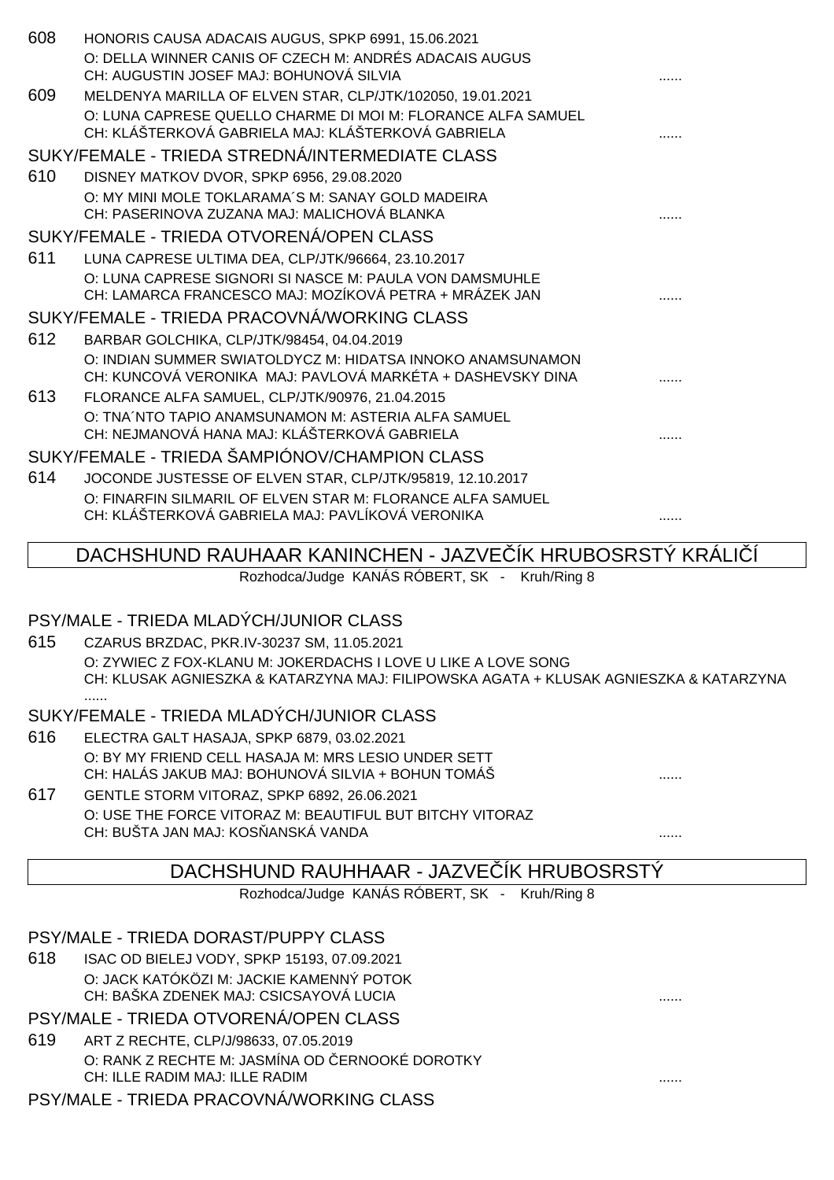| 608 | HONORIS CAUSA ADACAIS AUGUS, SPKP 6991, 15.06.2021                |   |
|-----|-------------------------------------------------------------------|---|
|     | O: DELLA WINNER CANIS OF CZECH M: ANDRÉS ADACAIS AUGUS            |   |
|     | CH: AUGUSTIN JOSEF MAJ: BOHUNOVÁ SILVIA                           |   |
| 609 | MELDENYA MARILLA OF ELVEN STAR, CLP/JTK/102050, 19.01.2021        |   |
|     | O: LUNA CAPRESE QUELLO CHARME DI MOI M: FLORANCE ALFA SAMUEL      |   |
|     | CH: KLÁŠTERKOVÁ GABRIELA MAJ: KLÁŠTERKOVÁ GABRIELA                |   |
|     | SUKY/FEMALE - TRIEDA STREDNÁ/INTERMEDIATE CLASS                   |   |
| 610 | DISNEY MATKOV DVOR, SPKP 6956, 29.08.2020                         |   |
|     | O: MY MINI MOLE TOKLARAMA'S M: SANAY GOLD MADEIRA                 |   |
|     | CH: PASERINOVA ZUZANA MAJ: MALICHOVÁ BLANKA                       |   |
|     | SUKY/FEMALE - TRIEDA OTVORENÁ/OPEN CLASS                          |   |
| 611 | LUNA CAPRESE ULTIMA DEA, CLP/JTK/96664, 23.10.2017                |   |
|     | O: LUNA CAPRESE SIGNORI SI NASCE M: PAULA VON DAMSMUHLE           |   |
|     | CH: LAMARCA FRANCESCO MAJ: MOZÍKOVÁ PETRA + MRÁZEK JAN            |   |
|     | SUKY/FEMALE - TRIEDA PRACOVNÁ/WORKING CLASS                       |   |
| 612 | BARBAR GOLCHIKA, CLP/JTK/98454, 04.04.2019                        |   |
|     | O: INDIAN SUMMER SWIATOLDYCZ M: HIDATSA INNOKO ANAMSUNAMON        |   |
|     | CH: KUNCOVÁ VERONIKA MAJ: PAVLOVÁ MARKÉTA + DASHEVSKY DINA        |   |
| 613 | FLORANCE ALFA SAMUEL, CLP/JTK/90976, 21.04.2015                   |   |
|     | O: TNA NTO TAPIO ANAMSUNAMON M: ASTERIA ALFA SAMUEL               |   |
|     | CH: NEJMANOVÁ HANA MAJ: KLÁŠTERKOVÁ GABRIELA                      |   |
|     | SUKY/FEMALE - TRIEDA ŠAMPIÓNOV/CHAMPION CLASS                     |   |
| 614 | JOCONDE JUSTESSE OF ELVEN STAR, CLP/JTK/95819, 12.10.2017         |   |
|     | O: FINARFIN SILMARIL OF ELVEN STAR M: FLORANCE ALFA SAMUEL        |   |
|     | CH: KLÁŠTERKOVÁ GABRIELA MAJ: PAVLÍKOVÁ VERONIKA                  | . |
|     |                                                                   |   |
|     | <b>IK HRUBOSRSTY KRALI</b><br>DACHSHUND RAUHAAR KANINCHEN - JAZVE |   |
|     | Rozhodca/Judge KANÁS RÓBERT, SK - Kruh/Ring 8                     |   |

#### PSY/MALE - TRIEDA MLADÝCH/JUNIOR CLASS

......

615 CZARUS BRZDAC, PKR.IV-30237 SM, 11.05.2021 O: ZYWIEC Z FOX-KLANU M: JOKERDACHS I LOVE U LIKE A LOVE SONG CH: KLUSAK AGNIESZKA & KATARZYNA MAJ: FILIPOWSKA AGATA + KLUSAK AGNIESZKA & KATARZYNA

#### SUKY/FEMALE - TRIEDA MLADÝCH/JUNIOR CLASS

- 616 ELECTRA GALT HASAJA, SPKP 6879, 03.02.2021 O: BY MY FRIEND CELL HASAJA M: MRS LESIO UNDER SETT CH: HALÁS JAKUB MAJ: BOHUNOVÁ SILVIA + BOHUN TOMÁŠ ......
- 617 GENTLE STORM VITORAZ, SPKP 6892, 26.06.2021 O: USE THE FORCE VITORAZ M: BEAUTIFUL BUT BITCHY VITORAZ CH: BUŠTA JAN MAJ: KOSŇANSKÁ VANDA ......

#### DACHSHUND RAUHHAAR - JAZVE ÍK HRUBOSRSTÝ

Rozhodca/Judge KANÁS RÓBERT, SK - Kruh/Ring 8

#### PSY/MALE - TRIEDA DORAST/PUPPY CLASS 618 ISAC OD BIELEJ VODY, SPKP 15193, 07.09.2021 O: JACK KATÓKÖZI M: JACKIE KAMENNÝ POTOK CH: BAŠKA ZDENEK MAJ: CSICSAYOVÁ LUCIA ......

PSY/MALE - TRIEDA OTVORENÁ/OPEN CLASS

619 ART Z RECHTE, CLP/J/98633, 07.05.2019 O: RANK Z RECHTE M: JASMÍNA OD ČERNOOKÉ DOROTKY CH: ILLE RADIM MAJ: ILLE RADIM ......

PSY/MALE - TRIEDA PRACOVNÁ/WORKING CLASS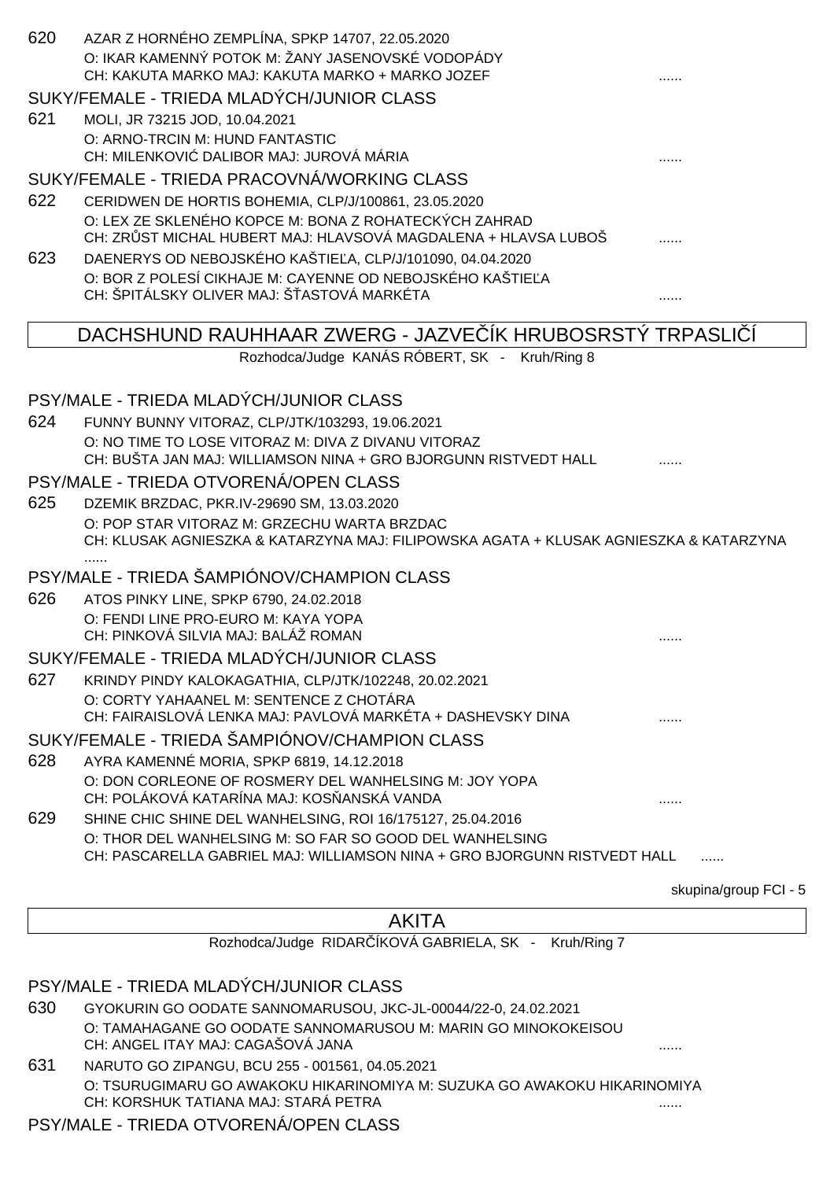| 620 | AZAR Z HORNÉHO ZEMPLÍNA, SPKP 14707, 22.05.2020<br>O: IKAR KAMENNÝ POTOK M: ŽANY JASENOVSKÉ VODOPÁDY<br>CH: KAKUTA MARKO MAJ: KAKUTA MARKO + MARKO JOZEF |                       |
|-----|----------------------------------------------------------------------------------------------------------------------------------------------------------|-----------------------|
|     | SUKY/FEMALE - TRIEDA MLADÝCH/JUNIOR CLASS                                                                                                                |                       |
| 621 | MOLI, JR 73215 JOD, 10.04.2021                                                                                                                           |                       |
|     | O: ARNO-TRCIN M: HUND FANTASTIC                                                                                                                          |                       |
|     | CH: MILENKOVI DALIBOR MAJ: JUROVÁ MÁRIA                                                                                                                  |                       |
|     | SUKY/FEMALE - TRIEDA PRACOVNÁ/WORKING CLASS                                                                                                              |                       |
| 622 | CERIDWEN DE HORTIS BOHEMIA, CLP/J/100861, 23.05.2020                                                                                                     |                       |
|     | O: LEX ZE SKLENÉHO KOPCE M: BONA Z ROHATECKÝCH ZAHRAD                                                                                                    |                       |
|     | CH: ZR ST MICHAL HUBERT MAJ: HLAVSOVÁ MAGDALENA + HLAVSA LUBOŠ                                                                                           |                       |
| 623 | DAENERYS OD NEBOJSKÉHO KAŠTIE A, CLP/J/101090, 04.04.2020                                                                                                |                       |
|     | O: BOR Z POLESÍ CIKHAJE M: CAYENNE OD NEBOJSKÉHO KAŠTIE A<br>CH: ŠPITÁLSKY OLIVER MAJ: Š ASTOVÁ MARKÉTA                                                  |                       |
|     |                                                                                                                                                          |                       |
|     | DACHSHUND RAUHHAAR ZWERG - JAZVE IK HRUBOSRSTY TRPASLI                                                                                                   |                       |
|     | Rozhodca/Judge KANÁS RÓBERT, SK - Kruh/Ring 8                                                                                                            |                       |
|     |                                                                                                                                                          |                       |
|     | PSY/MALE - TRIEDA MLADÝCH/JUNIOR CLASS                                                                                                                   |                       |
| 624 | FUNNY BUNNY VITORAZ, CLP/JTK/103293, 19.06.2021                                                                                                          |                       |
|     | O: NO TIME TO LOSE VITORAZ M: DIVA Z DIVANU VITORAZ<br>CH: BUŠTA JAN MAJ: WILLIAMSON NINA + GRO BJORGUNN RISTVEDT HALL                                   |                       |
|     | PSY/MALE - TRIEDA OTVORENÁ/OPEN CLASS                                                                                                                    |                       |
| 625 | DZEMIK BRZDAC, PKR.IV-29690 SM, 13.03.2020                                                                                                               |                       |
|     | O: POP STAR VITORAZ M: GRZECHU WARTA BRZDAC<br>CH: KLUSAK AGNIESZKA & KATARZYNA MAJ: FILIPOWSKA AGATA + KLUSAK AGNIESZKA & KATARZYNA                     |                       |
|     | <br>PSY/MALE - TRIEDA ŠAMPIÓNOV/CHAMPION CLASS                                                                                                           |                       |
| 626 | ATOS PINKY LINE, SPKP 6790, 24.02.2018                                                                                                                   |                       |
|     | O: FENDI LINE PRO-EURO M: KAYA YOPA                                                                                                                      |                       |
|     | CH: PINKOVÁ SILVIA MAJ: BALÁŽ ROMAN                                                                                                                      | .                     |
|     | SUKY/FEMALE - TRIEDA MLADÝCH/JUNIOR CLASS                                                                                                                |                       |
| 627 | KRINDY PINDY KALOKAGATHIA, CLP/JTK/102248, 20.02.2021                                                                                                    |                       |
|     | O: CORTY YAHAANEL M: SENTENCE Z CHOTÁRA                                                                                                                  |                       |
|     | CH: FAIRAISLOVÁ LENKA MAJ: PAVLOVÁ MARKÉTA + DASHEVSKY DINA                                                                                              |                       |
|     | SUKY/FEMALE - TRIEDA ŠAMPIÓNOV/CHAMPION CLASS                                                                                                            |                       |
| 628 | AYRA KAMENNÉ MORIA, SPKP 6819, 14.12.2018                                                                                                                |                       |
|     | O: DON CORLEONE OF ROSMERY DEL WANHELSING M: JOY YOPA<br>CH: POLÁKOVÁ KATARÍNA MAJ: KOS ANSKÁ VANDA                                                      |                       |
| 629 | SHINE CHIC SHINE DEL WANHELSING, ROI 16/175127, 25.04.2016                                                                                               |                       |
|     | O: THOR DEL WANHELSING M: SO FAR SO GOOD DEL WANHELSING<br>CH: PASCARELLA GABRIEL MAJ: WILLIAMSON NINA + GRO BJORGUNN RISTVEDT HALL                      |                       |
|     |                                                                                                                                                          | skupina/group FCI - 5 |
|     | <b>AKITA</b>                                                                                                                                             |                       |
|     | Rozhodca/Judge RIDAR ÍKOVÁ GABRIELA, SK - Kruh/Ring 7                                                                                                    |                       |
|     |                                                                                                                                                          |                       |

PSY/MALE - TRIEDA MLADÝCH/JUNIOR CLASS

630 GYOKURIN GO OODATE SANNOMARUSOU, JKC-JL-00044/22-0, 24.02.2021 O: TAMAHAGANE GO OODATE SANNOMARUSOU M: MARIN GO MINOKOKEISOU CH: ANGEL ITAY MAJ: CAGAŠOVÁ JANA ......

631 NARUTO GO ZIPANGU, BCU 255 - 001561, 04.05.2021 O: TSURUGIMARU GO AWAKOKU HIKARINOMIYA M: SUZUKA GO AWAKOKU HIKARINOMIYA CH: KORSHUK TATIANA MAJ: STARÁ PETRA ......

#### PSY/MALE - TRIEDA OTVORENÁ/OPEN CLASS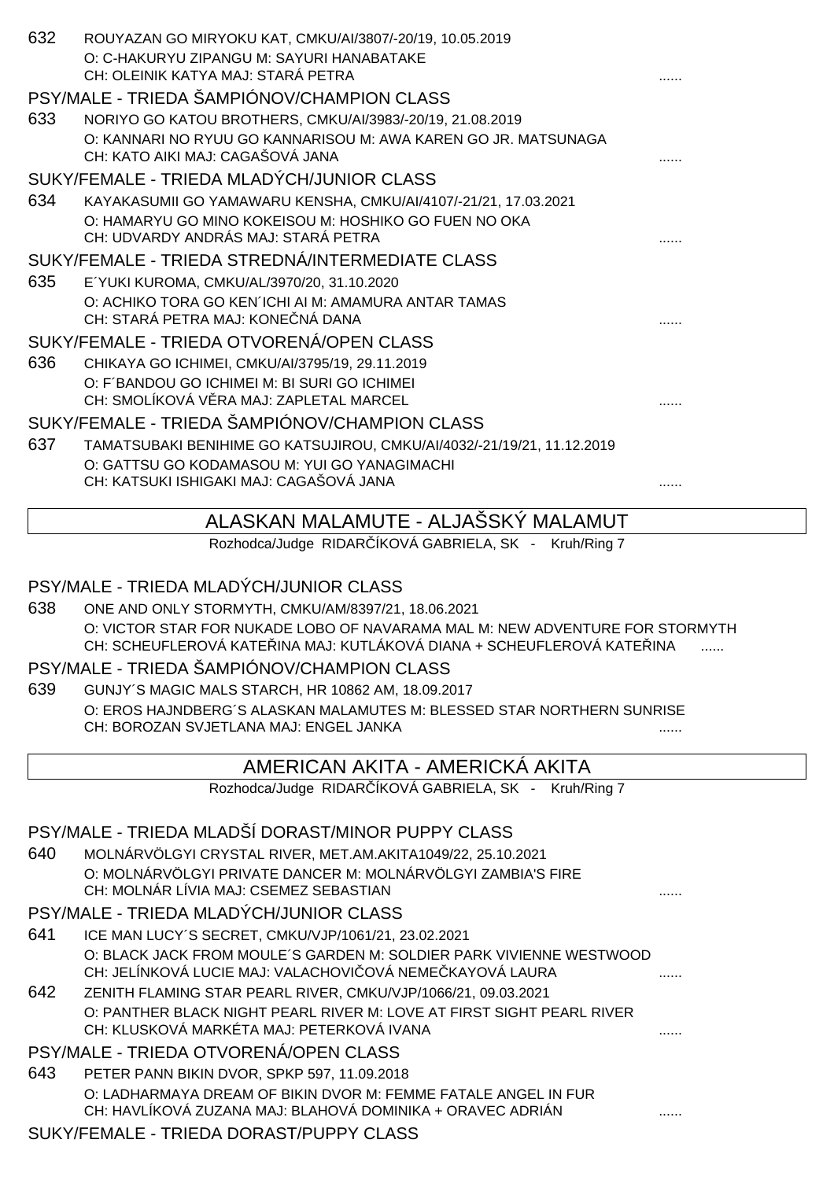| 632 | ROUYAZAN GO MIRYOKU KAT, CMKU/AI/3807/-20/19, 10.05.2019<br>O: C-HAKURYU ZIPANGU M: SAYURI HANABATAKE<br>CH: OLEINIK KATYA MAJ: STARÁ PETRA                     |   |
|-----|-----------------------------------------------------------------------------------------------------------------------------------------------------------------|---|
|     | PSY/MALE - TRIEDA ŠAMPIÓNOV/CHAMPION CLASS                                                                                                                      |   |
| 633 | NORIYO GO KATOU BROTHERS, CMKU/AI/3983/-20/19, 21.08.2019<br>O: KANNARI NO RYUU GO KANNARISOU M: AWA KAREN GO JR. MATSUNAGA<br>CH: KATO AIKI MAJ: CAGAŠOVÁ JANA |   |
|     | SUKY/FEMALE - TRIEDA MLADÝCH/JUNIOR CLASS                                                                                                                       |   |
| 634 | KAYAKASUMII GO YAMAWARU KENSHA, CMKU/AI/4107/-21/21, 17.03.2021                                                                                                 |   |
|     | O: HAMARYU GO MINO KOKEISOU M: HOSHIKO GO FUEN NO OKA<br>CH: UDVARDY ANDRÁS MAJ: STARÁ PETRA                                                                    |   |
|     | SUKY/FEMALE - TRIEDA STREDNÁ/INTERMEDIATE CLASS                                                                                                                 |   |
| 635 | E'YUKI KUROMA, CMKU/AL/3970/20, 31.10.2020<br>O: ACHIKO TORA GO KEN'ICHI AI M: AMAMURA ANTAR TAMAS<br>CH: STARÁ PETRA MAJ: KONE NÁ DANA                         |   |
|     | SUKY/FEMALE - TRIEDA OTVORENÁ/OPEN CLASS                                                                                                                        |   |
| 636 | CHIKAYA GO ICHIMEI, CMKU/AI/3795/19, 29.11.2019                                                                                                                 |   |
|     | O: F'BANDOU GO ICHIMEI M: BI SURI GO ICHIMEI<br>CH: SMOLÍKOVÁ V RA MAJ: ZAPLETAL MARCEL                                                                         |   |
|     | SUKY/FEMALE - TRIEDA ŠAMPIÓNOV/CHAMPION CLASS                                                                                                                   |   |
| 637 | TAMATSUBAKI BENIHIME GO KATSUJIROU, CMKU/AI/4032/-21/19/21, 11.12.2019                                                                                          |   |
|     | O: GATTSU GO KODAMASOU M: YUI GO YANAGIMACHI                                                                                                                    |   |
|     | CH: KATSUKI ISHIGAKI MAJ: CAGAŠOVÁ JANA                                                                                                                         |   |
|     | ALASKAN MALAMUTE - ALJASSKY MALAMUT                                                                                                                             |   |
|     | Rozhodca/Judge RIDAR ÍKOVÁ GABRIELA, SK - Kruh/Ring 7                                                                                                           |   |
|     |                                                                                                                                                                 |   |
|     | PSY/MALE - TRIEDA MLADÝCH/JUNIOR CLASS                                                                                                                          |   |
| 638 | ONE AND ONLY STORMYTH, CMKU/AM/8397/21, 18.06.2021                                                                                                              |   |
|     | O: VICTOR STAR FOR NUKADE LOBO OF NAVARAMA MAL M: NEW ADVENTURE FOR STORMYTH<br>CH: SCHEUFLEROVÁ KATE INA MAJ: KUTLÁKOVÁ DIANA + SCHEUFLEROVÁ KATE INA          |   |
|     | PSY/MALE - TRIEDA ŠAMPIÓNOV/CHAMPION CLASS                                                                                                                      |   |
| 639 | GUNJY'S MAGIC MALS STARCH, HR 10862 AM, 18.09.2017                                                                                                              |   |
|     | O: EROS HAJNDBERG'S ALASKAN MALAMUTES M: BLESSED STAR NORTHERN SUNRISE                                                                                          |   |
|     | CH: BOROZAN SVJETLANA MAJ: ENGEL JANKA                                                                                                                          |   |
|     | AMERICAN AKITA - AMERICKA AKITA                                                                                                                                 |   |
|     | Rozhodca/Judge RIDAR ÍKOVÁ GABRIELA, SK - Kruh/Ring 7                                                                                                           |   |
|     |                                                                                                                                                                 |   |
|     | PSY/MALE - TRIEDA MLADŠÍ DORAST/MINOR PUPPY CLASS                                                                                                               |   |
| 640 | MOLNÁRVÖLGYI CRYSTAL RIVER, MET.AM.AKITA1049/22, 25.10.2021                                                                                                     |   |
|     | O: MOLNÁRVÖLGYI PRIVATE DANCER M: MOLNÁRVÖLGYI ZAMBIA'S FIRE<br>CH: MOLNÁR LÍVIA MAJ: CSEMEZ SEBASTIAN                                                          |   |
|     | PSY/MALE - TRIEDA MLADÝCH/JUNIOR CLASS                                                                                                                          |   |
| 641 | ICE MAN LUCY'S SECRET, CMKU/VJP/1061/21, 23.02.2021                                                                                                             |   |
|     | O: BLACK JACK FROM MOULE'S GARDEN M: SOLDIER PARK VIVIENNE WESTWOOD<br>CH: JELÍNKOVÁ LUCIE MAJ: VALACHOVI OVÁ NEME KAYOVÁ LAURA                                 | . |
| 642 | ZENITH FLAMING STAR PEARL RIVER, CMKU/VJP/1066/21, 09.03.2021                                                                                                   |   |
|     | O: PANTHER BLACK NIGHT PEARL RIVER M: LOVE AT FIRST SIGHT PEARL RIVER<br>CH: KLUSKOVÁ MARKÉTA MAJ: PETERKOVÁ IVANA                                              |   |
|     | PSY/MALE - TRIEDA OTVORENÁ/OPEN CLASS                                                                                                                           |   |
| 643 | PETER PANN BIKIN DVOR, SPKP 597, 11.09.2018                                                                                                                     |   |
|     | O: LADHARMAYA DREAM OF BIKIN DVOR M: FEMME FATALE ANGEL IN FUR<br>CH: HAVLÍKOVÁ ZUZANA MAJ: BLAHOVÁ DOMINIKA + ORAVEC ADRIÁN                                    |   |
|     |                                                                                                                                                                 |   |

SUKY/FEMALE - TRIEDA DORAST/PUPPY CLASS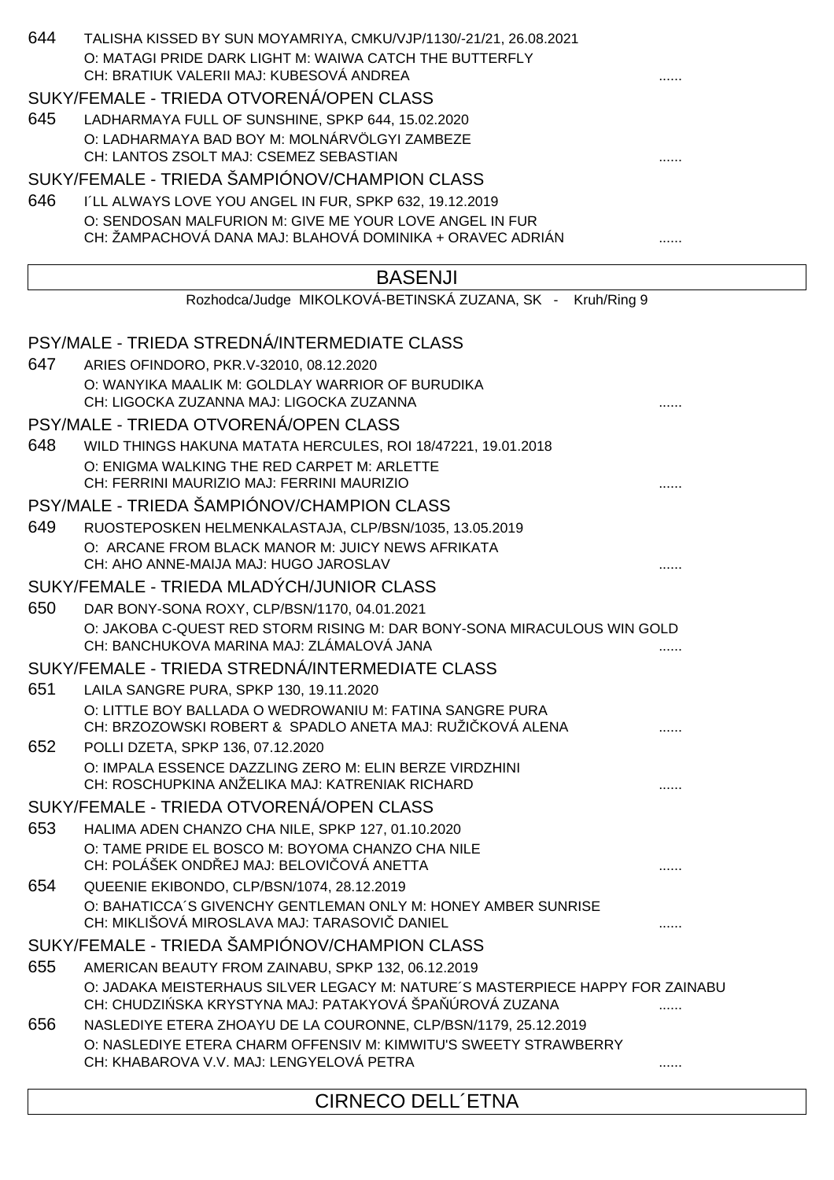| 644 | TALISHA KISSED BY SUN MOYAMRIYA, CMKU/VJP/1130/-21/21, 26.08.2021<br>O: MATAGI PRIDE DARK LIGHT M: WAIWA CATCH THE BUTTERFLY<br>CH: BRATIUK VALERII MAJ: KUBESOVÁ ANDREA |   |
|-----|--------------------------------------------------------------------------------------------------------------------------------------------------------------------------|---|
|     | SUKY/FEMALE - TRIEDA OTVORENÁ/OPEN CLASS                                                                                                                                 |   |
| 645 | LADHARMAYA FULL OF SUNSHINE, SPKP 644, 15.02.2020                                                                                                                        |   |
|     | O: LADHARMAYA BAD BOY M: MOLNÁRVÖLGYI ZAMBEZE                                                                                                                            |   |
|     | CH: LANTOS ZSOLT MAJ: CSEMEZ SEBASTIAN                                                                                                                                   |   |
|     | SUKY/FEMALE - TRIEDA ŠAMPIÓNOV/CHAMPION CLASS                                                                                                                            |   |
| 646 | I'LL ALWAYS LOVE YOU ANGEL IN FUR, SPKP 632, 19.12.2019                                                                                                                  |   |
|     | O: SENDOSAN MALFURION M: GIVE ME YOUR LOVE ANGEL IN FUR<br>CH: ŽAMPACHOVÁ DANA MAJ: BLAHOVÁ DOMINIKA + ORAVEC ADRIÁN                                                     |   |
|     | <b>BASENJI</b><br>Rozhodca/Judge MIKOLKOVÁ-BETINSKÁ ZUZANA, SK - Kruh/Ring 9                                                                                             |   |
|     |                                                                                                                                                                          |   |
|     | PSY/MALE - TRIEDA STREDNÁ/INTERMEDIATE CLASS                                                                                                                             |   |
| 647 | ARIES OFINDORO, PKR.V-32010, 08.12.2020                                                                                                                                  |   |
|     | O: WANYIKA MAALIK M: GOLDLAY WARRIOR OF BURUDIKA                                                                                                                         |   |
|     | CH: LIGOCKA ZUZANNA MAJ: LIGOCKA ZUZANNA                                                                                                                                 |   |
|     | PSY/MALE - TRIEDA OTVORENÁ/OPEN CLASS                                                                                                                                    |   |
| 648 | WILD THINGS HAKUNA MATATA HERCULES, ROI 18/47221, 19.01.2018                                                                                                             |   |
|     | O: ENIGMA WALKING THE RED CARPET M: ARLETTE<br>CH: FERRINI MAURIZIO MAJ: FERRINI MAURIZIO                                                                                |   |
|     |                                                                                                                                                                          |   |
|     | PSY/MALE - TRIEDA ŠAMPIÓNOV/CHAMPION CLASS                                                                                                                               |   |
| 649 | RUOSTEPOSKEN HELMENKALASTAJA, CLP/BSN/1035, 13.05.2019<br>O: ARCANE FROM BLACK MANOR M: JUICY NEWS AFRIKATA                                                              |   |
|     | CH: AHO ANNE-MAIJA MAJ: HUGO JAROSLAV                                                                                                                                    |   |
|     | SUKY/FEMALE - TRIEDA MLADÝCH/JUNIOR CLASS                                                                                                                                |   |
| 650 | DAR BONY-SONA ROXY, CLP/BSN/1170, 04.01.2021                                                                                                                             |   |
|     | O: JAKOBA C-QUEST RED STORM RISING M: DAR BONY-SONA MIRACULOUS WIN GOLD<br>CH: BANCHUKOVA MARINA MAJ: ZLÁMALOVÁ JANA                                                     |   |
|     | SUKY/FEMALE - TRIEDA STREDNÁ/INTERMEDIATE CLASS                                                                                                                          |   |
| 651 | LAILA SANGRE PURA, SPKP 130, 19.11.2020                                                                                                                                  |   |
|     | O: LITTLE BOY BALLADA O WEDROWANIU M: FATINA SANGRE PURA<br>CH: BRZOZOWSKI ROBERT & SPADLO ANETA MAJ: RUŽI KOVÁ ALENA                                                    |   |
| 652 | POLLI DZETA, SPKP 136, 07.12.2020                                                                                                                                        |   |
|     | O: IMPALA ESSENCE DAZZLING ZERO M: ELIN BERZE VIRDZHINI<br>CH: ROSCHUPKINA ANŽELIKA MAJ: KATRENIAK RICHARD                                                               |   |
|     | SUKY/FEMALE - TRIEDA OTVORENÁ/OPEN CLASS                                                                                                                                 |   |
| 653 | HALIMA ADEN CHANZO CHA NILE, SPKP 127, 01.10.2020                                                                                                                        |   |
|     | O: TAME PRIDE EL BOSCO M: BOYOMA CHANZO CHA NILE<br>CH: POLÁŠEK OND EJ MAJ: BELOVI OVÁ ANETTA                                                                            |   |
| 654 | QUEENIE EKIBONDO, CLP/BSN/1074, 28.12.2019                                                                                                                               |   |
|     | O: BAHATICCA'S GIVENCHY GENTLEMAN ONLY M: HONEY AMBER SUNRISE<br>CH: MIKLIŠOVÁ MIROSLAVA MAJ: TARASOVI DANIEL                                                            |   |
|     | SUKY/FEMALE - TRIEDA ŠAMPIÓNOV/CHAMPION CLASS                                                                                                                            |   |
| 655 | AMERICAN BEAUTY FROM ZAINABU, SPKP 132, 06.12.2019                                                                                                                       |   |
|     | O: JADAKA MEISTERHAUS SILVER LEGACY M: NATURE'S MASTERPIECE HAPPY FOR ZAINABU<br>CH: CHUDZI SKA KRYSTYNA MAJ: PATAKYOVÁ ŠPA ÚROVÁ ZUZANA                                 |   |
| 656 | NASLEDIYE ETERA ZHOAYU DE LA COURONNE, CLP/BSN/1179, 25.12.2019                                                                                                          |   |
|     | O: NASLEDIYE ETERA CHARM OFFENSIV M: KIMWITU'S SWEETY STRAWBERRY                                                                                                         |   |
|     | CH: KHABAROVA V.V. MAJ: LENGYELOVÁ PETRA                                                                                                                                 | . |

CIRNECO DELL´ETNA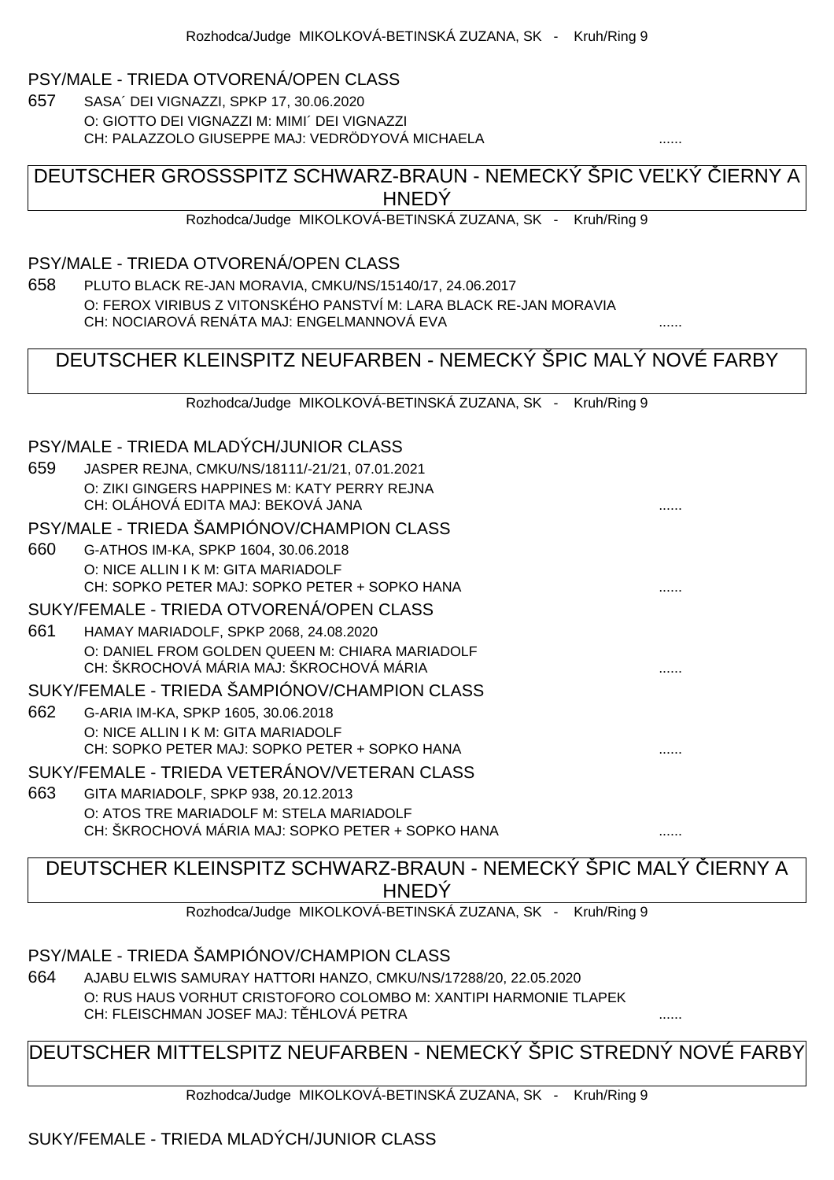#### PSY/MALE - TRIEDA OTVORENÁ/OPEN CLASS

657 SASA´ DEI VIGNAZZI, SPKP 17, 30.06.2020 O: GIOTTO DEI VIGNAZZI M: MIMI´ DEI VIGNAZZI CH: PALAZZOLO GIUSEPPE MAJ: VEDRÖDYOVÁ MICHAELA

#### DEUTSCHER GROSSSPITZ SCHWARZ-BRAUN - NEMECKÝ ŠPIC VEĽKÝ LIERNY A **HNEDY**

Rozhodca/Judge MIKOLKOVÁ-BETINSKÁ ZUZANA, SK - Kruh/Ring 9

#### PSY/MALE - TRIEDA OTVORENÁ/OPEN CLASS

658 PLUTO BLACK RE-JAN MORAVIA, CMKU/NS/15140/17, 24.06.2017 O: FEROX VIRIBUS Z VITONSKÉHO PANSTVÍ M: LARA BLACK RE-JAN MORAVIA CH: NOCIAROVÁ RENÁTA MAJ: ENGELMANNOVÁ EVA ......

### DEUTSCHER KLEINSPITZ NEUFARBEN - NEMECKÝ ŠPIC MALÝ NOVÉ FARBY

Rozhodca/Judge MIKOLKOVÁ-BETINSKÁ ZUZANA, SK - Kruh/Ring 9

#### PSY/MALE - TRIEDA MLADÝCH/JUNIOR CLASS

| 659 | JASPER REJNA, CMKU/NS/18111/-21/21, 07.01.2021    |  |
|-----|---------------------------------------------------|--|
|     | O: ZIKI GINGERS HAPPINES M: KATY PERRY REJNA      |  |
|     | CH: OLÁHOVÁ EDITA MAJ: BEKOVÁ JANA                |  |
|     |                                                   |  |
|     | PSY/MALE - TRIEDA ŠAMPIÓNOV/CHAMPION CLASS        |  |
| 660 | G-ATHOS IM-KA, SPKP 1604, 30.06.2018              |  |
|     | O: NICE ALLIN I K M: GITA MARIADOLF               |  |
|     | CH: SOPKO PETER MAJ: SOPKO PETER + SOPKO HANA     |  |
|     | SUKY/FEMALE - TRIEDA OTVORENÁ/OPEN CLASS          |  |
| 661 | HAMAY MARIADOLF, SPKP 2068, 24.08.2020            |  |
|     | O: DANIEL FROM GOLDEN QUEEN M: CHIARA MARIADOLF   |  |
|     | CH: ŠKROCHOVÁ MÁRIA MAJ: ŠKROCHOVÁ MÁRIA          |  |
|     | SUKY/FEMALE - TRIEDA ŠAMPIÓNOV/CHAMPION CLASS     |  |
| 662 | G-ARIA IM-KA, SPKP 1605, 30.06.2018               |  |
|     | O: NICE ALLIN I K M: GITA MARIADOLF               |  |
|     | CH: SOPKO PETER MAJ: SOPKO PETER + SOPKO HANA     |  |
|     | SUKY/FEMALE - TRIEDA VETERÁNOV/VETERAN CLASS      |  |
| 663 | GITA MARIADOLF, SPKP 938, 20.12.2013              |  |
|     | O: ATOS TRE MARIADOLF M: STELA MARIADOLF          |  |
|     | CH: ŠKROCHOVÁ MÁRIA MAJ: SOPKO PETER + SOPKO HANA |  |

# DEUTSCHER KLEINSPITZ SCHWARZ-BRAUN - NEMECKÝ ŠPIC MALÝ IERNY A **HNEDÝ**

Rozhodca/Judge MIKOLKOVÁ-BETINSKÁ ZUZANA, SK - Kruh/Ring 9

#### PSY/MALE - TRIEDA ŠAMPIÓNOV/CHAMPION CLASS

664 AJABU ELWIS SAMURAY HATTORI HANZO, CMKU/NS/17288/20, 22.05.2020 O: RUS HAUS VORHUT CRISTOFORO COLOMBO M: XANTIPI HARMONIE TLAPEK CH: FLEISCHMAN JOSEF MAJ: TĚHLOVÁ PETRA ......

### DEUTSCHER MITTELSPITZ NEUFARBEN - NEMECKÝ ŠPIC STREDNÝ NOVÉ FARBY

Rozhodca/Judge MIKOLKOVÁ-BETINSKÁ ZUZANA, SK - Kruh/Ring 9

#### SUKY/FEMALE - TRIEDA MLADÝCH/JUNIOR CLASS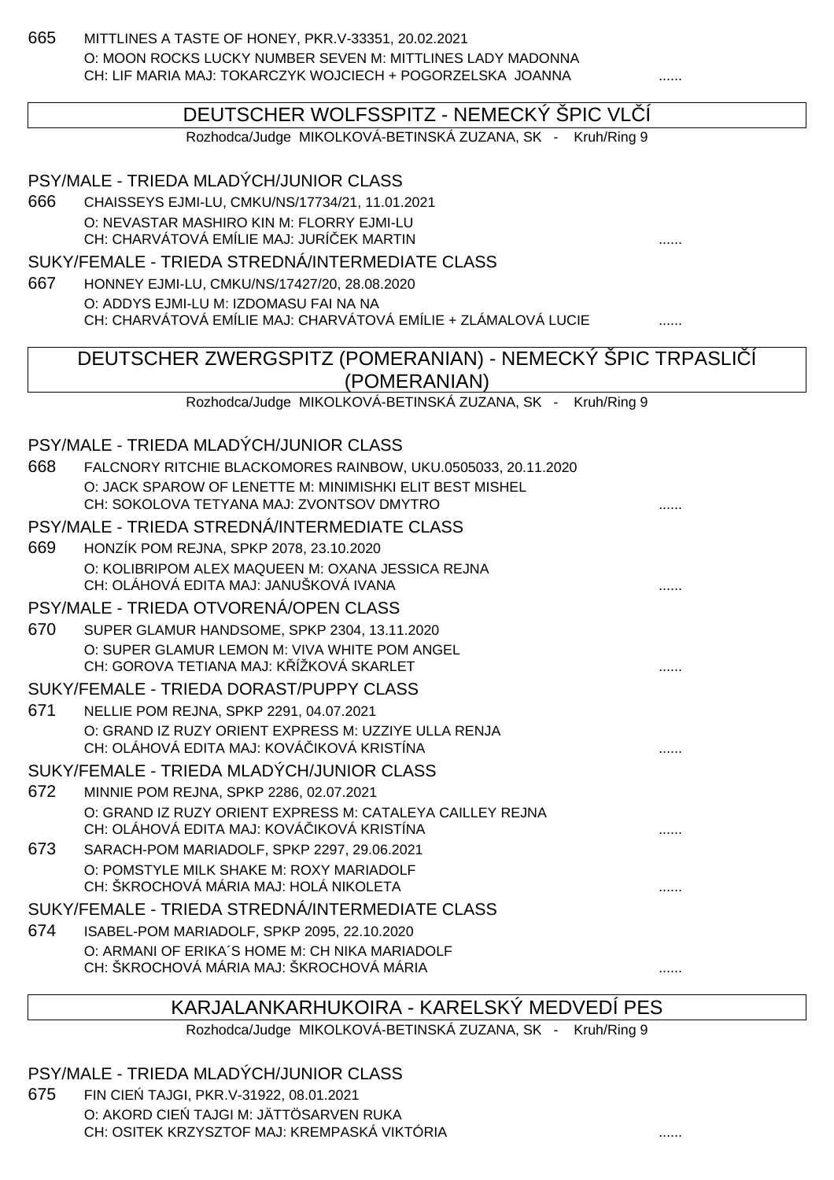665 MITTLINES A TASTE OF HONEY, PKR.V-33351, 20.02.2021 O: MOON ROCKS LUCKY NUMBER SEVEN M: MITTLINES LADY MADONNA CH: LIF MARIA MAJ: TOKARCZYK WOJCIECH + POGORZELSKA JOANNA ......

#### DEUTSCHER WOLFSSPITZ - NEMECKÝ ŠPIC VL Í

Rozhodca/Judge MIKOLKOVÁ-BETINSKÁ ZUZANA, SK - Kruh/Ring 9

| 666<br>667 | PSY/MALE - TRIEDA MLADÝCH/JUNIOR CLASS<br>CHAISSEYS EJMI-LU, CMKU/NS/17734/21, 11.01.2021<br>O: NEVASTAR MASHIRO KIN M: FLORRY EJMI-LU<br>CH: CHARVÁTOVÁ EMÍLIE MAJ: JURÍ EK MARTIN<br>SUKY/FEMALE - TRIEDA STREDNÁ/INTERMEDIATE CLASS<br>HONNEY EJMI-LU, CMKU/NS/17427/20, 28.08.2020 |   |
|------------|----------------------------------------------------------------------------------------------------------------------------------------------------------------------------------------------------------------------------------------------------------------------------------------|---|
|            | O: ADDYS EJMI-LU M: IZDOMASU FAI NA NA<br>CH: CHARVÁTOVÁ EMÍLIE MAJ: CHARVÁTOVÁ EMÍLIE + ZLÁMALOVÁ LUCIE                                                                                                                                                                               |   |
|            | DEUTSCHER ZWERGSPITZ (POMERANIAN) - NEMECKÝ SPIC TRPASLI Í                                                                                                                                                                                                                             |   |
|            | (POMERANIAN)                                                                                                                                                                                                                                                                           |   |
|            | Rozhodca/Judge MIKOLKOVÁ-BETINSKÁ ZUZANA, SK - Kruh/Ring 9                                                                                                                                                                                                                             |   |
|            | PSY/MALE - TRIEDA MLADÝCH/JUNIOR CLASS                                                                                                                                                                                                                                                 |   |
| 668        | FALCNORY RITCHIE BLACKOMORES RAINBOW, UKU.0505033, 20.11.2020                                                                                                                                                                                                                          |   |
|            | O: JACK SPAROW OF LENETTE M: MINIMISHKI ELIT BEST MISHEL                                                                                                                                                                                                                               |   |
|            | CH: SOKOLOVA TETYANA MAJ: ZVONTSOV DMYTRO                                                                                                                                                                                                                                              |   |
|            | PSY/MALE - TRIEDA STREDNÁ/INTERMEDIATE CLASS                                                                                                                                                                                                                                           |   |
| 669        | HONZÍK POM REJNA, SPKP 2078, 23.10.2020                                                                                                                                                                                                                                                |   |
|            | O: KOLIBRIPOM ALEX MAQUEEN M: OXANA JESSICA REJNA<br>CH: OLÁHOVÁ EDITA MAJ: JANUŠKOVÁ IVANA                                                                                                                                                                                            |   |
|            | PSY/MALE - TRIEDA OTVORENÁ/OPEN CLASS                                                                                                                                                                                                                                                  |   |
| 670        | SUPER GLAMUR HANDSOME, SPKP 2304, 13.11.2020                                                                                                                                                                                                                                           |   |
|            | O: SUPER GLAMUR LEMON M: VIVA WHITE POM ANGEL<br>CH: GOROVA TETIANA MAJ: K ÍŽKOVÁ SKARLET                                                                                                                                                                                              |   |
|            | SUKY/FEMALE - TRIEDA DORAST/PUPPY CLASS                                                                                                                                                                                                                                                |   |
| 671        | NELLIE POM REJNA, SPKP 2291, 04.07.2021                                                                                                                                                                                                                                                |   |
|            | O: GRAND IZ RUZY ORIENT EXPRESS M: UZZIYE ULLA RENJA<br>CH: OLÁHOVÁ EDITA MAJ: KOVÁ IKOVÁ KRISTÍNA                                                                                                                                                                                     |   |
|            | SUKY/FEMALE - TRIEDA MLADÝCH/JUNIOR CLASS                                                                                                                                                                                                                                              |   |
| 672        | MINNIE POM REJNA, SPKP 2286, 02.07.2021                                                                                                                                                                                                                                                |   |
|            | O: GRAND IZ RUZY ORIENT EXPRESS M: CATALEYA CAILLEY REJNA<br>CH: OLÁHOVÁ EDITA MAJ: KOVÁ IKOVÁ KRISTÍNA                                                                                                                                                                                |   |
| 673        | SARACH-POM MARIADOLF, SPKP 2297, 29.06.2021                                                                                                                                                                                                                                            |   |
|            | O: POMSTYLE MILK SHAKE M: ROXY MARIADOLF<br>CH: ŠKROCHOVÁ MÁRIA MAJ: HOLÁ NIKOLETA                                                                                                                                                                                                     |   |
|            | SUKY/FEMALE - TRIEDA STREDNÁ/INTERMEDIATE CLASS                                                                                                                                                                                                                                        |   |
| 674        | ISABEL-POM MARIADOLF, SPKP 2095, 22.10.2020                                                                                                                                                                                                                                            |   |
|            | O: ARMANI OF ERIKA'S HOME M: CH NIKA MARIADOLF<br>CH: ŠKROCHOVÁ MÁRIA MAJ: ŠKROCHOVÁ MÁRIA                                                                                                                                                                                             | . |

#### KARJALANKARHUKOIRA - KARELSKÝ MEDVEDÍ PES

Rozhodca/Judge MIKOLKOVÁ-BETINSKÁ ZUZANA, SK - Kruh/Ring 9

#### PSY/MALE - TRIEDA MLADÝCH/JUNIOR CLASS

675 FIN CIE TAJGI, PKR.V-31922, 08.01.2021 O: AKORD CIE TAJGI M: JÄTTÖSARVEN RUKA CH: OSITEK KRZYSZTOF MAJ: KREMPASKÁ VIKTÓRIA ......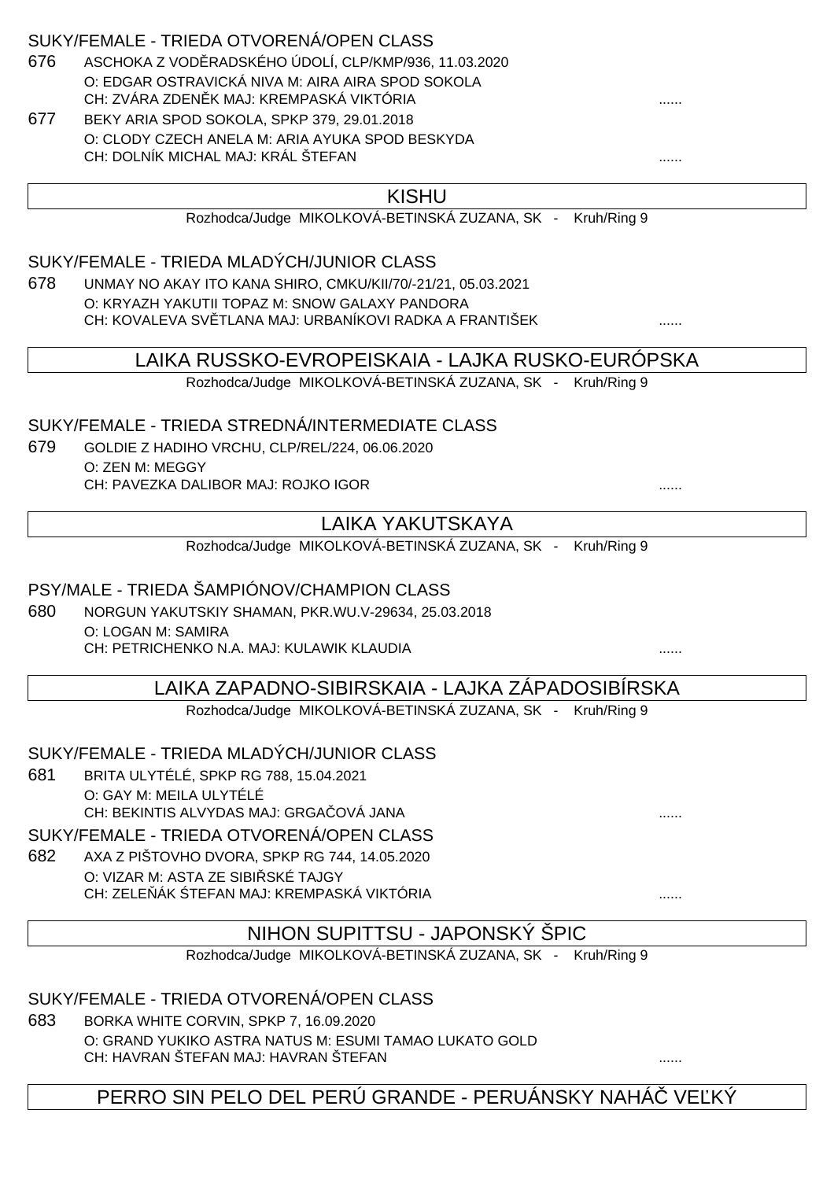#### SUKY/FEMALE - TRIEDA OTVORENÁ/OPEN CLASS

- 676 ASCHOKA Z VOD RADSKÉHO ÚDOLÍ, CLP/KMP/936, 11.03.2020 O: EDGAR OSTRAVICKÁ NIVA M: AIRA AIRA SPOD SOKOLA CH: ZVÁRA ZDEN K MAJ: KREMPASKÁ VIKTÓRIA
- 677 BEKY ARIA SPOD SOKOLA, SPKP 379, 29.01.2018 O: CLODY CZECH ANELA M: ARIA AYUKA SPOD BESKYDA CH: DOLNÍK MICHAL MAJ: KRÁL ŠTEFAN ......

#### KISHU

Rozhodca/Judge MIKOLKOVÁ-BETINSKÁ ZUZANA, SK - Kruh/Ring 9

SUKY/FEMALE - TRIEDA MLADÝCH/JUNIOR CLASS

678 UNMAY NO AKAY ITO KANA SHIRO, CMKU/KII/70/-21/21, 05.03.2021 O: KRYAZH YAKUTII TOPAZ M: SNOW GALAXY PANDORA CH: KOVALEVA SV TLANA MAJ: URBANÍKOVI RADKA A FRANTIŠEK .........................

LAIKA RUSSKO-EVROPEISKAIA - LAJKA RUSKO-EURÓPSKA

Rozhodca/Judge MIKOLKOVÁ-BETINSKÁ ZUZANA, SK - Kruh/Ring 9

#### SUKY/FEMALE - TRIEDA STREDNÁ/INTERMEDIATE CLASS

679 GOLDIE Z HADIHO VRCHU, CLP/REL/224, 06.06.2020 O: ZEN M: MEGGY CH: PAVEZKA DALIBOR MAJ: ROJKO IGOR

# LAIKA YAKUTSKAYA

Rozhodca/Judge MIKOLKOVÁ-BETINSKÁ ZUZANA, SK - Kruh/Ring 9

#### PSY/MALE - TRIEDA ŠAMPIÓNOV/CHAMPION CLASS

680 NORGUN YAKUTSKIY SHAMAN, PKR.WU.V-29634, 25.03.2018 O: LOGAN M: SAMIRA CH: PETRICHENKO N.A. MAJ: KULAWIK KLAUDIA ......

### LAIKA ZAPADNO-SIBIRSKAIA - LAJKA ZÁPADOSIBÍRSKA

Rozhodca/Judge MIKOLKOVÁ-BETINSKÁ ZUZANA, SK - Kruh/Ring 9

#### SUKY/FEMALE - TRIEDA MLADÝCH/JUNIOR CLASS

681 BRITA ULYTÉLÉ, SPKP RG 788, 15.04.2021 O: GAY M: MEILA ULYTÉLÉ CH: BEKINTIS ALVYDAS MAJ: GRGAČOVÁ JANA ......

SUKY/FEMALE - TRIEDA OTVORENÁ/OPEN CLASS

682 AXA Z PIŠTOVHO DVORA, SPKP RG 744, 14.05.2020 O: VIZAR M: ASTA ZE SIBI SKÉ TAJGY CH: ZELE ÁK TEFAN MAJ: KREMPASKÁ VIKTÓRIA

#### NIHON SUPITTSU - JAPONSKÝ ŠPIC

Rozhodca/Judge MIKOLKOVÁ-BETINSKÁ ZUZANA, SK - Kruh/Ring 9

#### SUKY/FEMALE - TRIEDA OTVORENÁ/OPEN CLASS

683 BORKA WHITE CORVIN, SPKP 7, 16.09.2020 O: GRAND YUKIKO ASTRA NATUS M: ESUMI TAMAO LUKATO GOLD CH: HAVRAN ŠTEFAN MAJ: HAVRAN ŠTEFAN ......

PERRO SIN PELO DEL PERÚ GRANDE - PERUÁNSKY NAHÁ VE KÝ

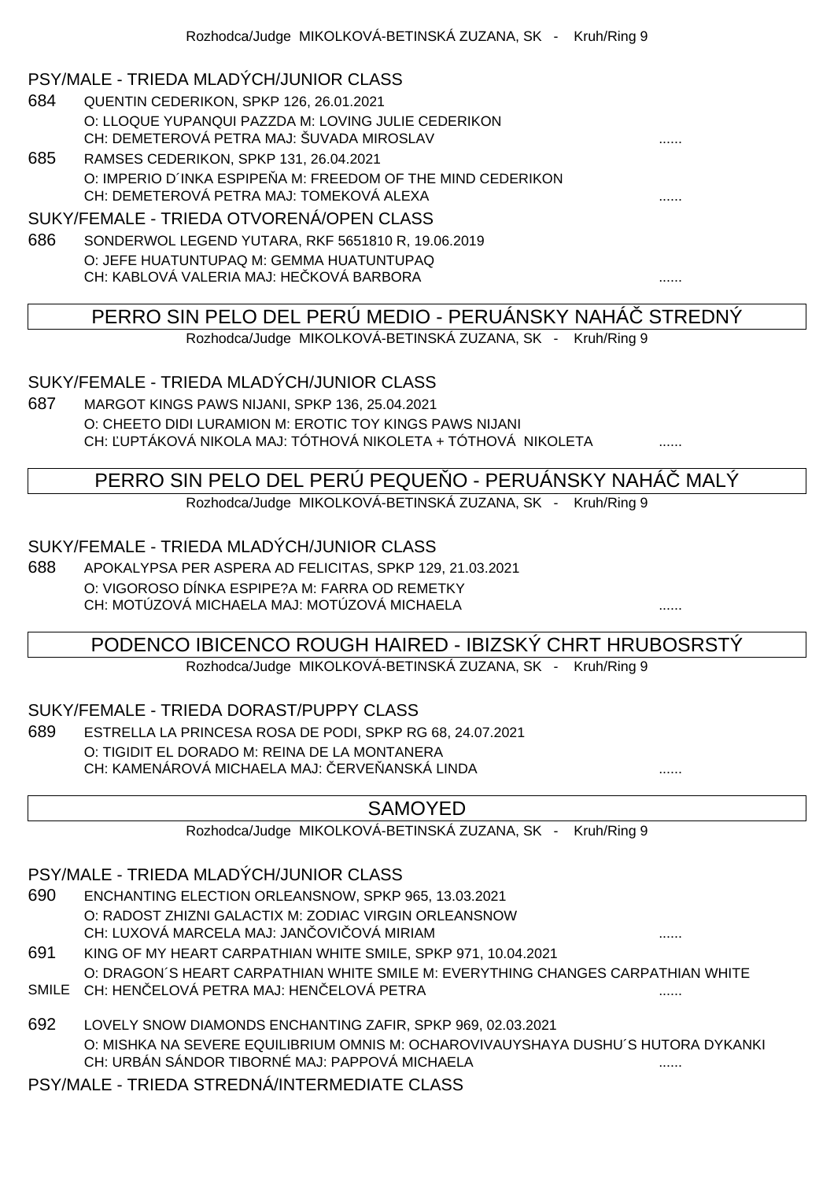#### PSY/MALE - TRIEDA MLADÝCH/JUNIOR CLASS

- 684 QUENTIN CEDERIKON, SPKP 126, 26.01.2021 O: LLOQUE YUPANQUI PAZZDA M: LOVING JULIE CEDERIKON CH: DEMETEROVÁ PETRA MAJ: ŠUVADA MIROSLAV
- 685 RAMSES CEDERIKON, SPKP 131, 26.04.2021 O: IMPERIO D'INKA ESPIPE A M: FREEDOM OF THE MIND CEDERIKON CH: DEMETEROVÁ PETRA MAJ: TOMEKOVÁ ALEXA ......

#### SUKY/FEMALE - TRIEDA OTVORENÁ/OPEN CLASS

686 SONDERWOL LEGEND YUTARA, RKF 5651810 R, 19.06.2019 O: JEFE HUATUNTUPAQ M: GEMMA HUATUNTUPAQ CH: KABLOVÁ VALERIA MAJ: HEČKOVÁ BARBORA ......

# PERRO SIN PELO DEL PERÚ MEDIO - PERUÁNSKY NAHÁČ STREDNÝ

Rozhodca/Judge MIKOLKOVÁ-BETINSKÁ ZUZANA, SK - Kruh/Ring 9

### SUKY/FEMALE - TRIEDA MLADÝCH/JUNIOR CLASS

687 MARGOT KINGS PAWS NIJANI, SPKP 136, 25.04.2021 O: CHEETO DIDI LURAMION M: EROTIC TOY KINGS PAWS NIJANI CH: LUPTÁKOVÁ NIKOLA MAJ: TÓTHOVÁ NIKOLETA + TÓTHOVÁ NIKOLETA  $\ldots$ 

# PERRO SIN PELO DEL PERÚ PEQUE O - PERUÁNSKY NAHÁ MALÝ

Rozhodca/Judge MIKOLKOVÁ-BETINSKÁ ZUZANA, SK - Kruh/Ring 9

### SUKY/FEMALE - TRIEDA MLADÝCH/JUNIOR CLASS

688 APOKALYPSA PER ASPERA AD FELICITAS, SPKP 129, 21.03.2021 O: VIGOROSO DÍNKA ESPIPE?A M: FARRA OD REMETKY CH: MOTÚZOVÁ MICHAELA MAJ: MOTÚZOVÁ MICHAELA ......

# PODENCO IBICENCO ROUGH HAIRED - IBIZSKÝ CHRT HRUBOSRSTÝ

Rozhodca/Judge MIKOLKOVÁ-BETINSKÁ ZUZANA, SK - Kruh/Ring 9

### SUKY/FEMALE - TRIEDA DORAST/PUPPY CLASS

689 ESTRELLA LA PRINCESA ROSA DE PODI, SPKP RG 68, 24.07.2021 O: TIGIDIT EL DORADO M: REINA DE LA MONTANERA CH: KAMENÁROVÁ MICHAELA MAJ: ERVE ANSKÁ LINDA  $\ldots$ ...

### SAMOYED

Rozhodca/Judge MIKOLKOVÁ-BETINSKÁ ZUZANA, SK - Kruh/Ring 9

### PSY/MALE - TRIEDA MLADÝCH/JUNIOR CLASS

- 690 ENCHANTING ELECTION ORLEANSNOW, SPKP 965, 13.03.2021 O: RADOST ZHIZNI GALACTIX M: ZODIAC VIRGIN ORLEANSNOW CH: LUXOVÁ MARCELA MAJ: JANČOVIČOVÁ MIRIAM ......
- 691 KING OF MY HEART CARPATHIAN WHITE SMILE, SPKP 971, 10.04.2021 O: DRAGON´S HEART CARPATHIAN WHITE SMILE M: EVERYTHING CHANGES CARPATHIAN WHITE
- SMILE CH: HENČELOVÁ PETRA MAJ: HENČELOVÁ PETRA ......
- 692 LOVELY SNOW DIAMONDS ENCHANTING ZAFIR, SPKP 969, 02.03.2021 O: MISHKA NA SEVERE EQUILIBRIUM OMNIS M: OCHAROVIVAUYSHAYA DUSHU´S HUTORA DYKANKI CH: URBÁN SÁNDOR TIBORNÉ MAJ: PAPPOVÁ MICHAELA ......

PSY/MALE - TRIEDA STREDNÁ/INTERMEDIATE CLASS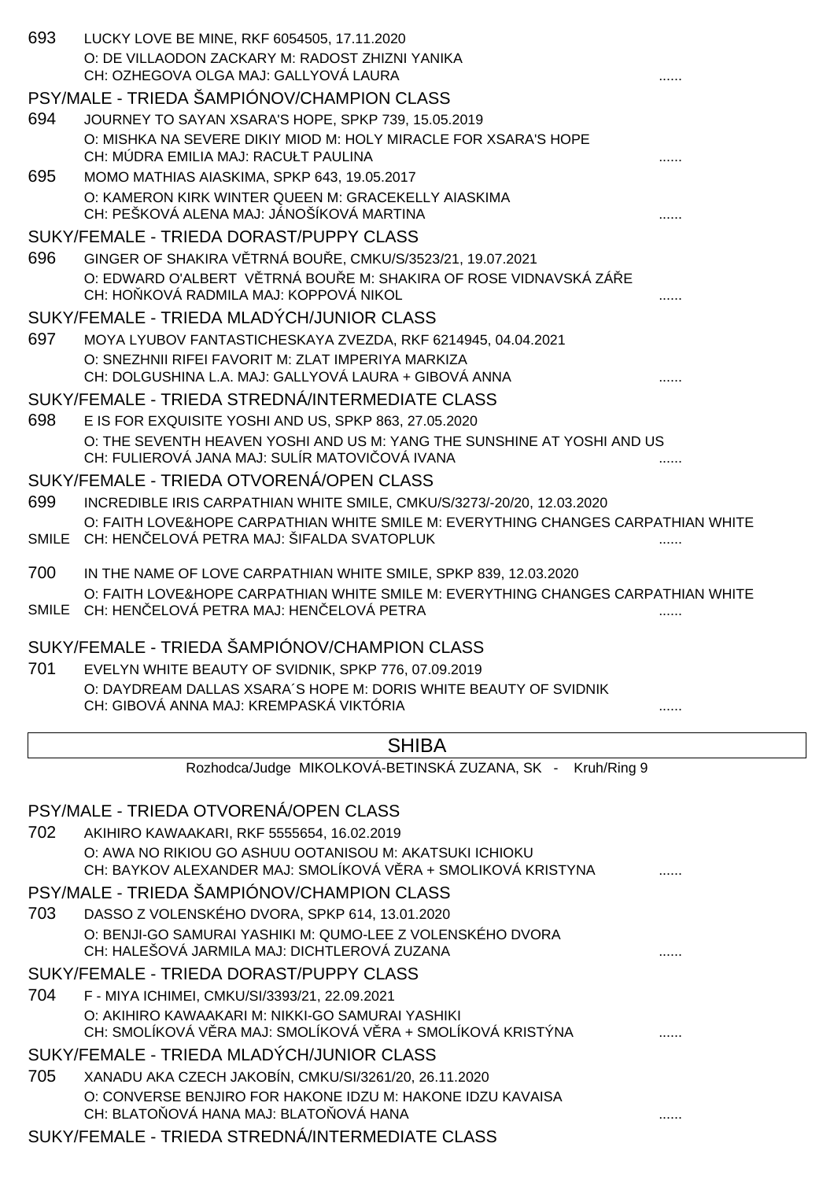| 693 | LUCKY LOVE BE MINE, RKF 6054505, 17.11.2020                                                                                                                |   |
|-----|------------------------------------------------------------------------------------------------------------------------------------------------------------|---|
|     | O: DE VILLAODON ZACKARY M: RADOST ZHIZNI YANIKA                                                                                                            |   |
|     | CH: OZHEGOVA OLGA MAJ: GALLYOVÁ LAURA                                                                                                                      |   |
|     | PSY/MALE - TRIEDA ŠAMPIÓNOV/CHAMPION CLASS                                                                                                                 |   |
| 694 | JOURNEY TO SAYAN XSARA'S HOPE, SPKP 739, 15.05.2019<br>O: MISHKA NA SEVERE DIKIY MIOD M: HOLY MIRACLE FOR XSARA'S HOPE                                     |   |
|     | CH: MÚDRA EMILIA MAJ: RACUŁT PAULINA                                                                                                                       |   |
| 695 | MOMO MATHIAS AIASKIMA, SPKP 643, 19.05.2017                                                                                                                |   |
|     | O: KAMERON KIRK WINTER QUEEN M: GRACEKELLY AIASKIMA                                                                                                        |   |
|     | CH: PEŠKOVÁ ALENA MAJ: JÁNOŠÍKOVÁ MARTINA                                                                                                                  |   |
|     | SUKY/FEMALE - TRIEDA DORAST/PUPPY CLASS                                                                                                                    |   |
| 696 | GINGER OF SHAKIRA V TRNÁ BOU E, CMKU/S/3523/21, 19.07.2021                                                                                                 |   |
|     | O: EDWARD O'ALBERT V TRNÁ BOU E M: SHAKIRA OF ROSE VIDNAVSKÁ ZÁ E<br>CH: HO KOVÁ RADMILA MAJ: KOPPOVÁ NIKOL                                                |   |
|     | SUKY/FEMALE - TRIEDA MLADÝCH/JUNIOR CLASS                                                                                                                  |   |
| 697 | MOYA LYUBOV FANTASTICHESKAYA ZVEZDA, RKF 6214945, 04.04.2021                                                                                               |   |
|     | O: SNEZHNII RIFEI FAVORIT M: ZLAT IMPERIYA MARKIZA                                                                                                         |   |
|     | CH: DOLGUSHINA L.A. MAJ: GALLYOVÁ LAURA + GIBOVÁ ANNA                                                                                                      |   |
|     | SUKY/FEMALE - TRIEDA STREDNÁ/INTERMEDIATE CLASS                                                                                                            |   |
| 698 | E IS FOR EXQUISITE YOSHI AND US, SPKP 863, 27.05.2020                                                                                                      |   |
|     | O: THE SEVENTH HEAVEN YOSHI AND US M: YANG THE SUNSHINE AT YOSHI AND US                                                                                    |   |
|     | CH: FULIEROVÁ JANA MAJ: SULÍR MATOVI OVÁ IVANA<br>SUKY/FEMALE - TRIEDA OTVORENÁ/OPEN CLASS                                                                 |   |
| 699 |                                                                                                                                                            |   |
|     | INCREDIBLE IRIS CARPATHIAN WHITE SMILE, CMKU/S/3273/-20/20, 12.03.2020<br>O: FAITH LOVE&HOPE CARPATHIAN WHITE SMILE M: EVERYTHING CHANGES CARPATHIAN WHITE |   |
|     | SMILE CH: HEN ELOVÁ PETRA MAJ: ŠIFALDA SVATOPLUK                                                                                                           |   |
| 700 | IN THE NAME OF LOVE CARPATHIAN WHITE SMILE, SPKP 839, 12.03.2020                                                                                           |   |
|     | O: FAITH LOVE&HOPE CARPATHIAN WHITE SMILE M: EVERYTHING CHANGES CARPATHIAN WHITE                                                                           |   |
|     | SMILE CH: HEN ELOVÁ PETRA MAJ: HEN ELOVÁ PETRA                                                                                                             | . |
|     | SUKY/FEMALE - TRIEDA ŠAMPIÓNOV/CHAMPION CLASS                                                                                                              |   |
| 701 | EVELYN WHITE BEAUTY OF SVIDNIK, SPKP 776, 07.09.2019                                                                                                       |   |
|     | O: DAYDREAM DALLAS XSARA'S HOPE M: DORIS WHITE BEAUTY OF SVIDNIK                                                                                           |   |
|     | CH: GIBOVÁ ANNA MAJ: KREMPASKÁ VIKTÓRIA                                                                                                                    |   |
|     | <b>SHIBA</b>                                                                                                                                               |   |
|     | Rozhodca/Judge MIKOLKOVÁ-BETINSKÁ ZUZANA, SK -<br>Kruh/Ring 9                                                                                              |   |
|     | PSY/MALE - TRIEDA OTVORENÁ/OPEN CLASS                                                                                                                      |   |
| 702 | AKIHIRO KAWAAKARI, RKF 5555654, 16.02.2019                                                                                                                 |   |
|     | O: AWA NO RIKIOU GO ASHUU OOTANISOU M: AKATSUKI ICHIOKU                                                                                                    |   |
|     | CH: BAYKOV ALEXANDER MAJ: SMOLÍKOVÁ V RA + SMOLIKOVÁ KRISTYNA                                                                                              |   |
|     | PSY/MALE - TRIEDA ŠAMPIÓNOV/CHAMPION CLASS                                                                                                                 |   |
| 703 | DASSO Z VOLENSKÉHO DVORA, SPKP 614, 13.01.2020                                                                                                             |   |
|     | O: BENJI-GO SAMURAI YASHIKI M: QUMO-LEE Z VOLENSKÉHO DVORA<br>CH: HALEŠOVÁ JARMILA MAJ: DICHTLEROVÁ ZUZANA                                                 |   |
|     | SUKY/FEMALE - TRIEDA DORAST/PUPPY CLASS                                                                                                                    |   |
| 704 | F - MIYA ICHIMEI, CMKU/SI/3393/21, 22.09.2021                                                                                                              |   |
|     | O: AKIHIRO KAWAAKARI M: NIKKI-GO SAMURAI YASHIKI                                                                                                           |   |
|     | CH: SMOLÍKOVÁ V RA MAJ: SMOLÍKOVÁ V RA + SMOLÍKOVÁ KRISTÝNA                                                                                                |   |
|     | SUKY/FEMALE - TRIEDA MLADÝCH/JUNIOR CLASS                                                                                                                  |   |
| 705 | XANADU AKA CZECH JAKOBÍN, CMKU/SI/3261/20, 26.11.2020                                                                                                      |   |
|     | O: CONVERSE BENJIRO FOR HAKONE IDZU M: HAKONE IDZU KAVAISA<br>CH: BLATO OVÁ HANA MAJ: BLATO OVÁ HANA                                                       |   |
|     | SUKY/FEMALE - TRIEDA STREDNÁ/INTERMEDIATE CLASS                                                                                                            |   |
|     |                                                                                                                                                            |   |
|     |                                                                                                                                                            |   |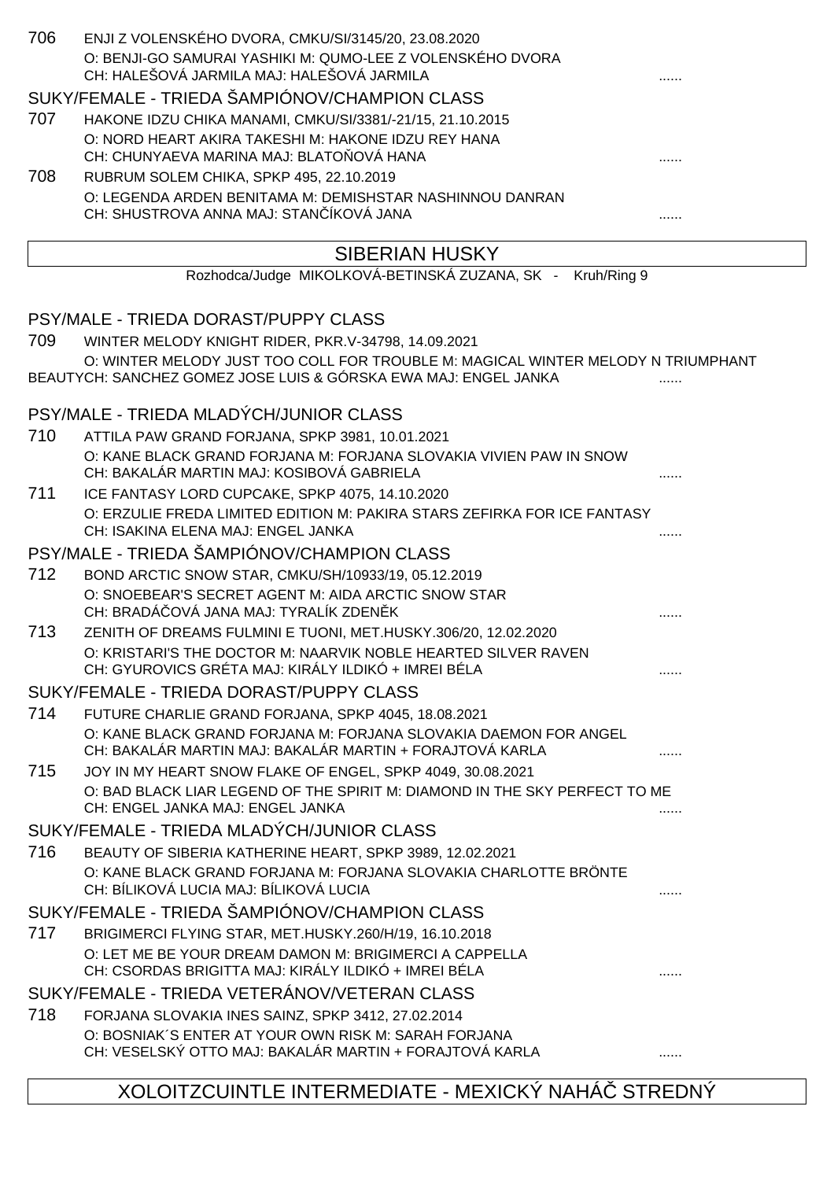| 707 | SUKY/FEMALE - TRIEDA ŠAMPIÓNOV/CHAMPION CLASS<br>HAKONE IDZU CHIKA MANAMI, CMKU/SI/3381/-21/15, 21.10.2015<br>O: NORD HEART AKIRA TAKESHI M: HAKONE IDZU REY HANA |   |
|-----|-------------------------------------------------------------------------------------------------------------------------------------------------------------------|---|
|     |                                                                                                                                                                   |   |
|     |                                                                                                                                                                   |   |
|     |                                                                                                                                                                   |   |
|     | CH: CHUNYAEVA MARINA MAJ: BLATO OVÁ HANA                                                                                                                          |   |
| 708 | RUBRUM SOLEM CHIKA, SPKP 495, 22.10.2019                                                                                                                          |   |
|     | O: LEGENDA ARDEN BENITAMA M: DEMISHSTAR NASHINNOU DANRAN<br>CH: SHUSTROVA ANNA MAJ: STAN ÍKOVÁ JANA                                                               |   |
|     | <b>SIBERIAN HUSKY</b>                                                                                                                                             |   |
|     | Rozhodca/Judge MIKOLKOVÁ-BETINSKÁ ZUZANA, SK - Kruh/Ring 9                                                                                                        |   |
|     | PSY/MALE - TRIEDA DORAST/PUPPY CLASS                                                                                                                              |   |
| 709 | WINTER MELODY KNIGHT RIDER, PKR.V-34798, 14.09.2021                                                                                                               |   |
|     | O: WINTER MELODY JUST TOO COLL FOR TROUBLE M: MAGICAL WINTER MELODY N TRIUMPHANT                                                                                  |   |
|     | BEAUTYCH: SANCHEZ GOMEZ JOSE LUIS & GÓRSKA EWA MAJ: ENGEL JANKA                                                                                                   |   |
|     | PSY/MALE - TRIEDA MLADÝCH/JUNIOR CLASS                                                                                                                            |   |
| 710 | ATTILA PAW GRAND FORJANA, SPKP 3981, 10.01.2021                                                                                                                   |   |
|     | O: KANE BLACK GRAND FORJANA M: FORJANA SLOVAKIA VIVIEN PAW IN SNOW<br>CH: BAKALÁR MARTIN MAJ: KOSIBOVÁ GABRIELA                                                   |   |
| 711 | ICE FANTASY LORD CUPCAKE, SPKP 4075, 14.10.2020                                                                                                                   |   |
|     | O: ERZULIE FREDA LIMITED EDITION M: PAKIRA STARS ZEFIRKA FOR ICE FANTASY<br>CH: ISAKINA ELENA MAJ: ENGEL JANKA                                                    |   |
|     | PSY/MALE - TRIEDA ŠAMPIÓNOV/CHAMPION CLASS                                                                                                                        |   |
| 712 | BOND ARCTIC SNOW STAR, CMKU/SH/10933/19, 05.12.2019                                                                                                               |   |
|     | O: SNOEBEAR'S SECRET AGENT M: AIDA ARCTIC SNOW STAR<br>CH: BRADÁ OVÁ JANA MAJ: TYRALÍK ZDEN K                                                                     |   |
| 713 | ZENITH OF DREAMS FULMINI E TUONI, MET.HUSKY.306/20, 12.02.2020                                                                                                    |   |
|     | O: KRISTARI'S THE DOCTOR M: NAARVIK NOBLE HEARTED SILVER RAVEN<br>CH: GYUROVICS GRÉTA MAJ: KIRÁLY ILDIKÓ + IMREI BÉLA                                             |   |
|     | SUKY/FEMALE - TRIEDA DORAST/PUPPY CLASS                                                                                                                           |   |
| 714 | FUTURE CHARLIE GRAND FORJANA, SPKP 4045, 18.08.2021                                                                                                               |   |
|     | O: KANE BLACK GRAND FORJANA M: FORJANA SLOVAKIA DAEMON FOR ANGEL<br>CH: BAKALÁR MARTIN MAJ: BAKALÁR MARTIN + FORAJTOVÁ KARLA                                      |   |
| 715 | JOY IN MY HEART SNOW FLAKE OF ENGEL, SPKP 4049, 30.08.2021                                                                                                        |   |
|     | O: BAD BLACK LIAR LEGEND OF THE SPIRIT M: DIAMOND IN THE SKY PERFECT TO ME<br>CH: ENGEL JANKA MAJ: ENGEL JANKA                                                    |   |
|     | SUKY/FEMALE - TRIEDA MLADÝCH/JUNIOR CLASS                                                                                                                         |   |
| 716 | BEAUTY OF SIBERIA KATHERINE HEART, SPKP 3989, 12.02.2021                                                                                                          |   |
|     | O: KANE BLACK GRAND FORJANA M: FORJANA SLOVAKIA CHARLOTTE BRÖNTE<br>CH: BÍLIKOVÁ LUCIA MAJ: BÍLIKOVÁ LUCIA                                                        |   |
|     | SUKY/FEMALE - TRIEDA ŠAMPIÓNOV/CHAMPION CLASS                                                                                                                     |   |
| 717 | BRIGIMERCI FLYING STAR, MET.HUSKY.260/H/19, 16.10.2018                                                                                                            |   |
|     | O: LET ME BE YOUR DREAM DAMON M: BRIGIMERCI A CAPPELLA<br>CH: CSORDAS BRIGITTA MAJ: KIRÁLY ILDIKÓ + IMREI BÉLA                                                    |   |
|     | SUKY/FEMALE - TRIEDA VETERÁNOV/VETERAN CLASS                                                                                                                      |   |
| 718 | FORJANA SLOVAKIA INES SAINZ, SPKP 3412, 27.02.2014<br>O: BOSNIAK'S ENTER AT YOUR OWN RISK M: SARAH FORJANA                                                        |   |
|     | CH: VESELSKÝ OTTO MAJ: BAKALÁR MARTIN + FORAJTOVÁ KARLA                                                                                                           | . |

# XOLOITZCUINTLE INTERMEDIATE - MEXICKÝ NAHÁ STREDNÝ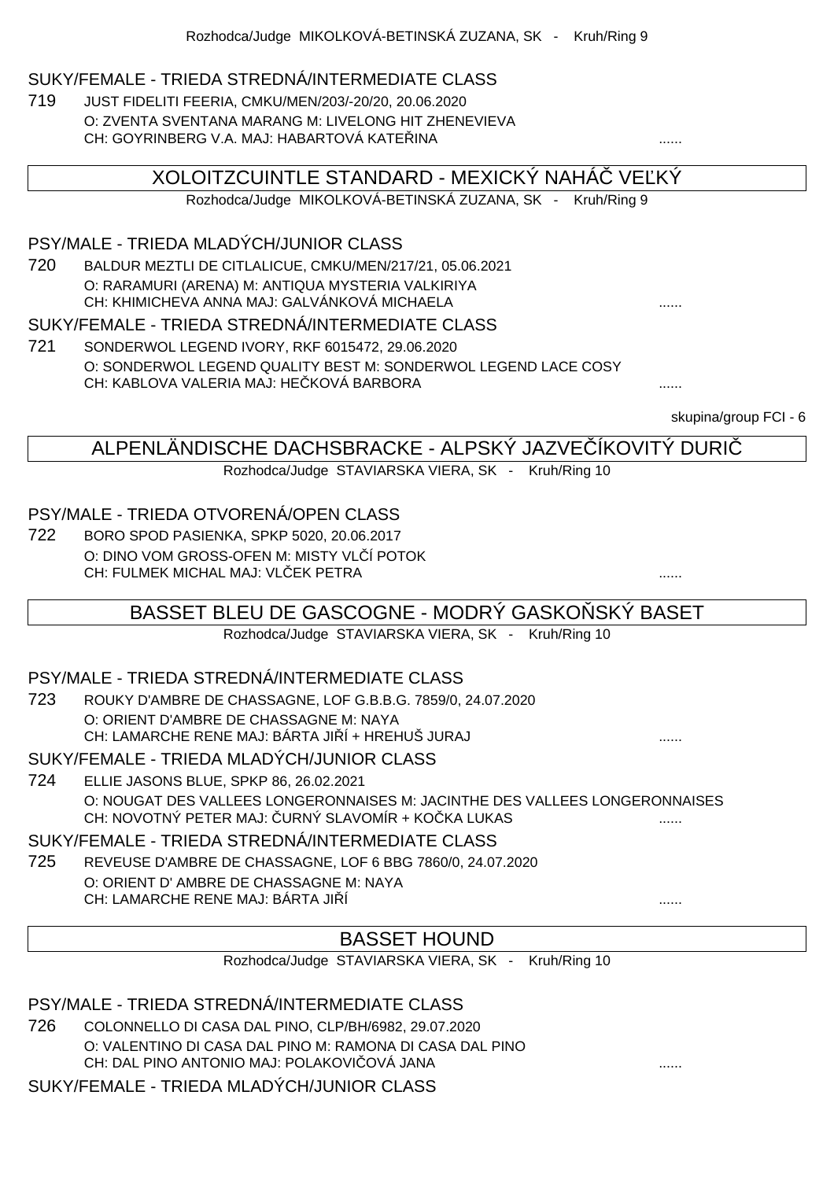#### SUKY/FEMALE - TRIEDA STREDNÁ/INTERMEDIATE CLASS

719 JUST FIDELITI FEERIA, CMKU/MEN/203/-20/20, 20.06.2020 O: ZVENTA SVENTANA MARANG M: LIVELONG HIT ZHENEVIEVA CH: GOYRINBERG V.A. MAJ: HABARTOVÁ KATEŘINA ......

XOLOITZCUINTLE STANDARD - MEXICKÝ NAHÁ $\;$  ve KÝ

Rozhodca/Judge MIKOLKOVÁ-BETINSKÁ ZUZANA, SK - Kruh/Ring 9

#### PSY/MALE - TRIEDA MLADÝCH/JUNIOR CLASS

720 BALDUR MEZTLI DE CITLALICUE, CMKU/MEN/217/21, 05.06.2021 O: RARAMURI (ARENA) M: ANTIQUA MYSTERIA VALKIRIYA CH: KHIMICHEVA ANNA MAJ: GALVÁNKOVÁ MICHAELA ......

#### SUKY/FEMALE - TRIEDA STREDNÁ/INTERMEDIATE CLASS

721 SONDERWOL LEGEND IVORY, RKF 6015472, 29.06.2020 O: SONDERWOL LEGEND QUALITY BEST M: SONDERWOL LEGEND LACE COSY CH: KABLOVA VALERIA MAJ: HE KOVÁ BARBORA **.......** .......

skupina/group FCI - 6

#### ALPENLÄNDISCHE DACHSBRACKE - ALPSKÝ JAZVEČÍKOVITÝ DURIČ

Rozhodca/Judge STAVIARSKA VIERA, SK - Kruh/Ring 10

#### PSY/MALE - TRIEDA OTVORENÁ/OPEN CLASS

722 BORO SPOD PASIENKA, SPKP 5020, 20.06.2017 O: DINO VOM GROSS-OFEN M: MISTY VL Í POTOK CH: FULMEK MICHAL MAJ: VLČEK PETRA ......

#### BASSET BLEU DE GASCOGNE - MODRÝ GASKO SKÝ BASET

Rozhodca/Judge STAVIARSKA VIERA, SK - Kruh/Ring 10

#### PSY/MALE - TRIEDA STREDNÁ/INTERMEDIATE CLASS

723 ROUKY D'AMBRE DE CHASSAGNE, LOF G.B.B.G. 7859/0, 24.07.2020 O: ORIENT D'AMBRE DE CHASSAGNE M: NAYA CH: LAMARCHE RENE MAJ: BÁRTA JI Í + HREHUŠ JURAJ ................................

#### SUKY/FEMALE - TRIEDA MLADÝCH/JUNIOR CLASS

724 ELLIE JASONS BLUE, SPKP 86, 26.02.2021 O: NOUGAT DES VALLEES LONGERONNAISES M: JACINTHE DES VALLEES LONGERONNAISES CH: NOVOTNÝ PETER MAJ: URNÝ SLAVOMÍR + KOČKA LUKAS .......

#### SUKY/FEMALE - TRIEDA STREDNÁ/INTERMEDIATE CLASS

725 REVEUSE D'AMBRE DE CHASSAGNE, LOF 6 BBG 7860/0, 24.07.2020 O: ORIENT D' AMBRE DE CHASSAGNE M: NAYA CH: LAMARCHE RENE MAJ: BÁRTA JIŘÍ ......

### BASSET HOUND

Rozhodca/Judge STAVIARSKA VIERA, SK - Kruh/Ring 10

#### PSY/MALE - TRIEDA STREDNÁ/INTERMEDIATE CLASS

726 COLONNELLO DI CASA DAL PINO, CLP/BH/6982, 29.07.2020 O: VALENTINO DI CASA DAL PINO M: RAMONA DI CASA DAL PINO CH: DAL PINO ANTONIO MAJ: POLAKOVIČOVÁ JANA ......

SUKY/FEMALE - TRIEDA MLADÝCH/JUNIOR CLASS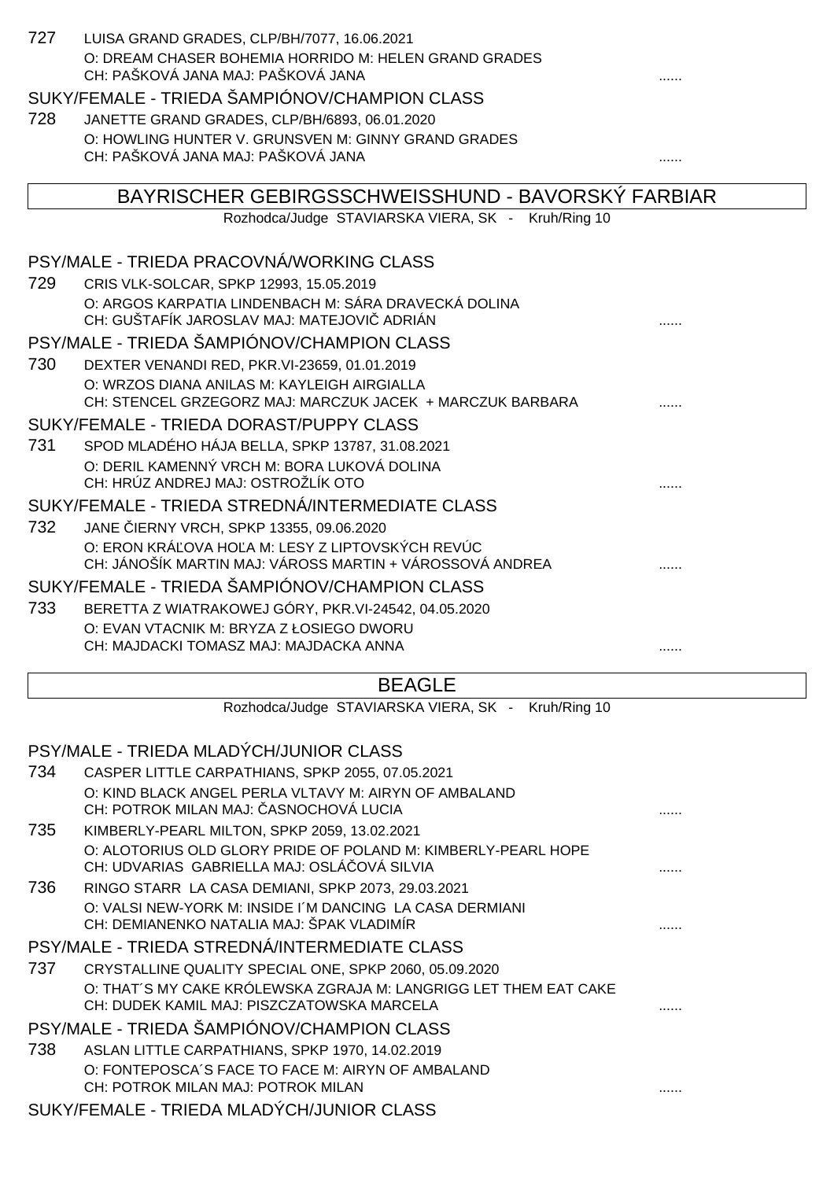| 727 | LUISA GRAND GRADES, CLP/BH/7077, 16.06.2021                                                                                |   |
|-----|----------------------------------------------------------------------------------------------------------------------------|---|
|     | O: DREAM CHASER BOHEMIA HORRIDO M: HELEN GRAND GRADES<br>CH: PAŠKOVÁ JANA MAJ: PAŠKOVÁ JANA                                |   |
|     | SUKY/FEMALE - TRIEDA ŠAMPIÓNOV/CHAMPION CLASS                                                                              |   |
| 728 | JANETTE GRAND GRADES, CLP/BH/6893, 06.01.2020                                                                              |   |
|     | O: HOWLING HUNTER V. GRUNSVEN M: GINNY GRAND GRADES                                                                        |   |
|     | CH: PAŠKOVÁ JANA MAJ: PAŠKOVÁ JANA                                                                                         |   |
|     |                                                                                                                            |   |
|     | BAYRISCHER GEBIRGSSCHWEISSHUND - BAVORSKÝ FARBIAR                                                                          |   |
|     | Rozhodca/Judge STAVIARSKA VIERA, SK - Kruh/Ring 10                                                                         |   |
|     | PSY/MALE - TRIEDA PRACOVNÁ/WORKING CLASS                                                                                   |   |
| 729 | CRIS VLK-SOLCAR, SPKP 12993, 15.05.2019                                                                                    |   |
|     | O: ARGOS KARPATIA LINDENBACH M: SÁRA DRAVECKÁ DOLINA<br>CH: GUŠTAFÍK JAROSLAV MAJ: MATEJOVI ADRIÁN                         |   |
|     | PSY/MALE - TRIEDA ŠAMPIÓNOV/CHAMPION CLASS                                                                                 |   |
| 730 | DEXTER VENANDI RED, PKR. VI-23659, 01.01.2019                                                                              |   |
|     | O: WRZOS DIANA ANILAS M: KAYLEIGH AIRGIALLA                                                                                |   |
|     | CH: STENCEL GRZEGORZ MAJ: MARCZUK JACEK + MARCZUK BARBARA                                                                  |   |
|     | SUKY/FEMALE - TRIEDA DORAST/PUPPY CLASS                                                                                    |   |
| 731 | SPOD MLADÉHO HÁJA BELLA, SPKP 13787, 31.08.2021                                                                            |   |
|     | O: DERIL KAMENNÝ VRCH M: BORA LUKOVÁ DOLINA                                                                                |   |
|     | CH: HRÚZ ANDREJ MAJ: OSTROŽLÍK OTO                                                                                         |   |
|     | SUKY/FEMALE - TRIEDA STREDNÁ/INTERMEDIATE CLASS                                                                            |   |
| 732 | JANE IERNY VRCH, SPKP 13355, 09.06.2020                                                                                    |   |
|     | O: ERON KRÁ OVA HO A M: LESY Z LIPTOVSKÝCH REVÚC<br>CH: JÁNOŠÍK MARTIN MAJ: VÁROSS MARTIN + VÁROSSOVÁ ANDREA               |   |
|     | SUKY/FEMALE - TRIEDA ŠAMPIÓNOV/CHAMPION CLASS                                                                              |   |
| 733 | BERETTA Z WIATRAKOWEJ GÓRY, PKR.VI-24542, 04.05.2020                                                                       |   |
|     | O: EVAN VTACNIK M: BRYZA Z ŁOSIEGO DWORU                                                                                   |   |
|     | CH: MAJDACKI TOMASZ MAJ: MAJDACKA ANNA                                                                                     |   |
|     | <b>BEAGLE</b>                                                                                                              |   |
|     | Rozhodca/Judge STAVIARSKA VIERA, SK - Kruh/Ring 10                                                                         |   |
|     |                                                                                                                            |   |
|     | PSY/MALE - TRIEDA MLADÝCH/JUNIOR CLASS                                                                                     |   |
| 734 | CASPER LITTLE CARPATHIANS, SPKP 2055, 07.05.2021<br>O: KIND BLACK ANGEL PERLA VLTAVY M: AIRYN OF AMBALAND                  |   |
|     | CH: POTROK MILAN MAJ: ASNOCHOVÁ LUCIA                                                                                      | . |
| 735 | KIMBERLY-PEARL MILTON, SPKP 2059, 13.02.2021                                                                               |   |
|     | O: ALOTORIUS OLD GLORY PRIDE OF POLAND M: KIMBERLY-PEARL HOPE                                                              |   |
|     | CH: UDVARIAS GABRIELLA MAJ: OSLÁ OVÁ SILVIA                                                                                |   |
| 736 | RINGO STARR LA CASA DEMIANI, SPKP 2073, 29.03.2021                                                                         |   |
|     | O: VALSI NEW-YORK M: INSIDE I'M DANCING LA CASA DERMIANI<br>CH: DEMIANENKO NATALIA MAJ: ŠPAK VLADIMÍR                      |   |
|     | PSY/MALE - TRIEDA STREDNÁ/INTERMEDIATE CLASS                                                                               |   |
| 737 |                                                                                                                            |   |
|     | CRYSTALLINE QUALITY SPECIAL ONE, SPKP 2060, 05.09.2020<br>O: THAT'S MY CAKE KRÓLEWSKA ZGRAJA M: LANGRIGG LET THEM EAT CAKE |   |
|     | CH: DUDEK KAMIL MAJ: PISZCZATOWSKA MARCELA                                                                                 |   |
|     | PSY/MALE - TRIEDA ŠAMPIÓNOV/CHAMPION CLASS                                                                                 |   |
| 738 | ASLAN LITTLE CARPATHIANS, SPKP 1970, 14.02.2019                                                                            |   |
|     | O: FONTEPOSCA'S FACE TO FACE M: AIRYN OF AMBALAND                                                                          |   |

CH: POTROK MILAN MAJ: POTROK MILAN ......

SUKY/FEMALE - TRIEDA MLADÝCH/JUNIOR CLASS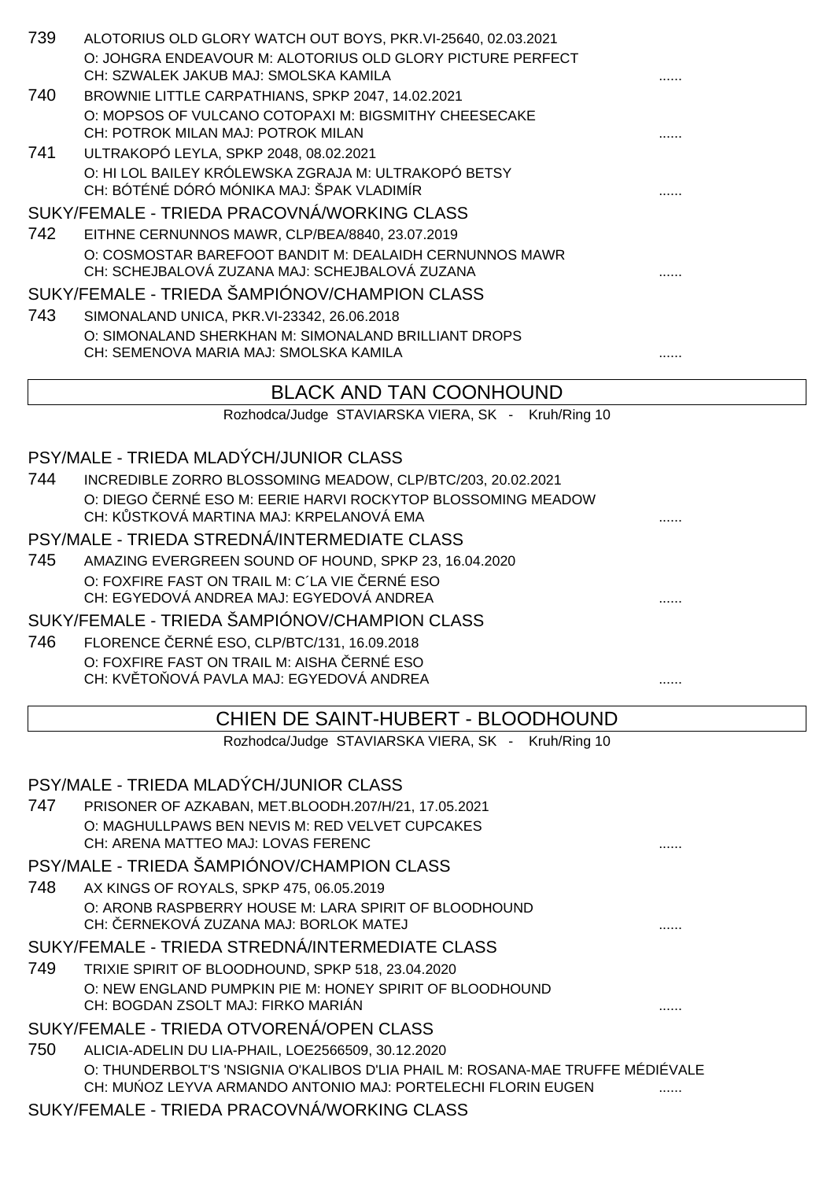| 739 | ALOTORIUS OLD GLORY WATCH OUT BOYS, PKR.VI-25640, 02.03.2021                                   |   |
|-----|------------------------------------------------------------------------------------------------|---|
|     | O: JOHGRA ENDEAVOUR M: ALOTORIUS OLD GLORY PICTURE PERFECT                                     |   |
|     | CH: SZWALEK JAKUB MAJ: SMOLSKA KAMILA                                                          |   |
| 740 | BROWNIE LITTLE CARPATHIANS, SPKP 2047, 14.02.2021                                              |   |
|     | O: MOPSOS OF VULCANO COTOPAXI M: BIGSMITHY CHEESECAKE<br>CH: POTROK MILAN MAJ: POTROK MILAN    |   |
| 741 | ULTRAKOPÓ LEYLA, SPKP 2048, 08.02.2021                                                         |   |
|     | O: HI LOL BAILEY KRÓLEWSKA ZGRAJA M: ULTRAKOPÓ BETSY                                           |   |
|     | CH: BÓTÉNÉ DÓRÓ MÓNIKA MAJ: ŠPAK VLADIMÍR                                                      |   |
|     | SUKY/FEMALE - TRIEDA PRACOVNÁ/WORKING CLASS                                                    |   |
| 742 | EITHNE CERNUNNOS MAWR, CLP/BEA/8840, 23.07.2019                                                |   |
|     | O: COSMOSTAR BAREFOOT BANDIT M: DEALAIDH CERNUNNOS MAWR                                        |   |
|     | CH: SCHEJBALOVÁ ZUZANA MAJ: SCHEJBALOVÁ ZUZANA                                                 |   |
|     | SUKY/FEMALE - TRIEDA ŠAMPIÓNOV/CHAMPION CLASS                                                  |   |
| 743 | SIMONALAND UNICA, PKR.VI-23342, 26.06.2018                                                     |   |
|     | O: SIMONALAND SHERKHAN M: SIMONALAND BRILLIANT DROPS<br>CH: SEMENOVA MARIA MAJ: SMOLSKA KAMILA |   |
|     |                                                                                                |   |
|     | <b>BLACK AND TAN COONHOUND</b>                                                                 |   |
|     | Rozhodca/Judge STAVIARSKA VIERA, SK - Kruh/Ring 10                                             |   |
|     |                                                                                                |   |
|     | PSY/MALE - TRIEDA MLADÝCH/JUNIOR CLASS                                                         |   |
| 744 | INCREDIBLE ZORRO BLOSSOMING MEADOW, CLP/BTC/203, 20.02.2021                                    |   |
|     | O: DIEGO ERNÉ ESO M: EERIE HARVI ROCKYTOP BLOSSOMING MEADOW                                    |   |
|     | CH: K STKOVÁ MARTINA MAJ: KRPELANOVÁ EMA                                                       |   |
|     | PSY/MALE - TRIEDA STREDNÁ/INTERMEDIATE CLASS                                                   |   |
| 745 | AMAZING EVERGREEN SOUND OF HOUND, SPKP 23, 16.04.2020                                          |   |
|     | O: FOXFIRE FAST ON TRAIL M: C'LA VIE ERNÉ ESO                                                  |   |
|     | CH: EGYEDOVÁ ANDREA MAJ: EGYEDOVÁ ANDREA                                                       |   |
|     | SUKY/FEMALE - TRIEDA ŠAMPIÓNOV/CHAMPION CLASS                                                  |   |
| 746 | FLORENCE ERNÉ ESO, CLP/BTC/131, 16.09.2018                                                     |   |
|     | O: FOXFIRE FAST ON TRAIL M: AISHA ERNÉ ESO<br>CH: KV TO OVÁ PAVLA MAJ: EGYEDOVÁ ANDREA         |   |
|     |                                                                                                |   |
|     | CHIEN DE SAINT-HUBERT - BLOODHOUND                                                             |   |
|     | Rozhodca/Judge STAVIARSKA VIERA, SK - Kruh/Ring 10                                             |   |
|     |                                                                                                |   |
|     | PSY/MALE - TRIEDA MLADÝCH/JUNIOR CLASS                                                         |   |
| 747 | PRISONER OF AZKABAN, MET.BLOODH.207/H/21, 17.05.2021                                           |   |
|     | O: MAGHULLPAWS BEN NEVIS M: RED VELVET CUPCAKES                                                |   |
|     | CH: ARENA MATTEO MAJ: LOVAS FERENC                                                             | . |
|     | PSY/MALE - TRIEDA ŠAMPIÓNOV/CHAMPION CLASS                                                     |   |
| 748 | AX KINGS OF ROYALS, SPKP 475, 06.05.2019                                                       |   |
|     | O: ARONB RASPBERRY HOUSE M: LARA SPIRIT OF BLOODHOUND<br>CH: ERNEKOVÁ ZUZANA MAJ: BORLOK MATEJ |   |
|     |                                                                                                | . |

SUKY/FEMALE - TRIEDA STREDNÁ/INTERMEDIATE CLASS

749 TRIXIE SPIRIT OF BLOODHOUND, SPKP 518, 23.04.2020 O: NEW ENGLAND PUMPKIN PIE M: HONEY SPIRIT OF BLOODHOUND CH: BOGDAN ZSOLT MAJ: FIRKO MARIÁN ......

SUKY/FEMALE - TRIEDA OTVORENÁ/OPEN CLASS

750 ALICIA-ADELIN DU LIA-PHAIL, LOE2566509, 30.12.2020 O: THUNDERBOLT'S 'NSIGNIA O'KALIBOS D'LIA PHAIL M: ROSANA-MAE TRUFFE MÉDIÉVALE CH: MU OZ LEYVA ARMANDO ANTONIO MAJ: PORTELECHI FLORIN EUGEN .......

SUKY/FEMALE - TRIEDA PRACOVNÁ/WORKING CLASS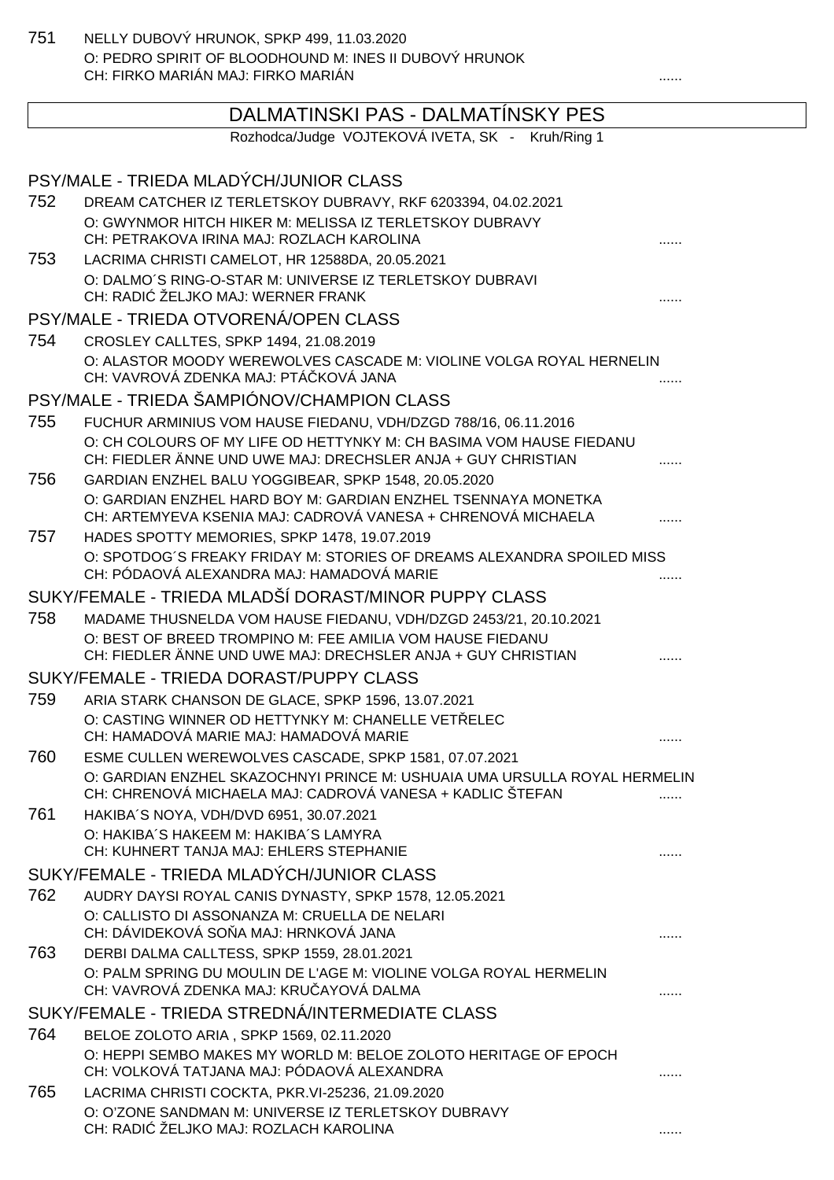751 NELLY DUBOVÝ HRUNOK, SPKP 499, 11.03.2020 O: PEDRO SPIRIT OF BLOODHOUND M: INES II DUBOVÝ HRUNOK CH: FIRKO MARIÁN MAJ: FIRKO MARIÁN ......

# DALMATINSKI PAS - DALMATÍNSKY PES

Rozhodca/Judge VOJTEKOVÁ IVETA, SK - Kruh/Ring 1

|     | PSY/MALE - TRIEDA MLADÝCH/JUNIOR CLASS                                                                                              |   |
|-----|-------------------------------------------------------------------------------------------------------------------------------------|---|
| 752 | DREAM CATCHER IZ TERLETSKOY DUBRAVY, RKF 6203394, 04.02.2021                                                                        |   |
|     | O: GWYNMOR HITCH HIKER M: MELISSA IZ TERLETSKOY DUBRAVY                                                                             |   |
|     | CH: PETRAKOVA IRINA MAJ: ROZLACH KAROLINA                                                                                           |   |
| 753 | LACRIMA CHRISTI CAMELOT, HR 12588DA, 20.05.2021                                                                                     |   |
|     | O: DALMO'S RING-O-STAR M: UNIVERSE IZ TERLETSKOY DUBRAVI                                                                            |   |
|     | CH: RADI ŽELJKO MAJ: WERNER FRANK                                                                                                   |   |
|     | PSY/MALE - TRIEDA OTVORENÁ/OPEN CLASS                                                                                               |   |
| 754 | CROSLEY CALLTES, SPKP 1494, 21.08.2019                                                                                              |   |
|     | O: ALASTOR MOODY WEREWOLVES CASCADE M: VIOLINE VOLGA ROYAL HERNELIN                                                                 |   |
|     | CH: VAVROVÁ ZDENKA MAJ: PTÁ KOVÁ JANA                                                                                               |   |
|     | PSY/MALE - TRIEDA ŠAMPIÓNOV/CHAMPION CLASS                                                                                          |   |
| 755 | FUCHUR ARMINIUS VOM HAUSE FIEDANU, VDH/DZGD 788/16, 06.11.2016                                                                      |   |
|     | O: CH COLOURS OF MY LIFE OD HETTYNKY M: CH BASIMA VOM HAUSE FIEDANU<br>CH: FIEDLER ÄNNE UND UWE MAJ: DRECHSLER ANJA + GUY CHRISTIAN |   |
| 756 | GARDIAN ENZHEL BALU YOGGIBEAR, SPKP 1548, 20.05.2020                                                                                |   |
|     | O: GARDIAN ENZHEL HARD BOY M: GARDIAN ENZHEL TSENNAYA MONETKA                                                                       |   |
|     | CH: ARTEMYEVA KSENIA MAJ: CADROVÁ VANESA + CHRENOVÁ MICHAELA                                                                        |   |
| 757 | HADES SPOTTY MEMORIES, SPKP 1478, 19.07.2019                                                                                        |   |
|     | O: SPOTDOG'S FREAKY FRIDAY M: STORIES OF DREAMS ALEXANDRA SPOILED MISS<br>CH: PÓDAOVÁ ALEXANDRA MAJ: HAMADOVÁ MARIE                 |   |
|     | SUKY/FEMALE - TRIEDA MLADŠÍ DORAST/MINOR PUPPY CLASS                                                                                |   |
| 758 | MADAME THUSNELDA VOM HAUSE FIEDANU, VDH/DZGD 2453/21, 20.10.2021                                                                    |   |
|     | O: BEST OF BREED TROMPINO M: FEE AMILIA VOM HAUSE FIEDANU                                                                           |   |
|     | CH: FIEDLER ÄNNE UND UWE MAJ: DRECHSLER ANJA + GUY CHRISTIAN                                                                        |   |
|     | SUKY/FEMALE - TRIEDA DORAST/PUPPY CLASS                                                                                             |   |
| 759 | ARIA STARK CHANSON DE GLACE, SPKP 1596, 13.07.2021                                                                                  |   |
|     | O: CASTING WINNER OD HETTYNKY M: CHANELLE VET ELEC                                                                                  |   |
|     | CH: HAMADOVÁ MARIE MAJ: HAMADOVÁ MARIE                                                                                              |   |
| 760 | ESME CULLEN WEREWOLVES CASCADE, SPKP 1581, 07.07.2021                                                                               |   |
|     | O: GARDIAN ENZHEL SKAZOCHNYI PRINCE M: USHUAIA UMA URSULLA ROYAL HERMELIN                                                           |   |
|     | CH: CHRENOVÁ MICHAELA MAJ: CADROVÁ VANESA + KADLIC ŠTEFAN                                                                           | . |
| 761 | HAKIBA'S NOYA, VDH/DVD 6951, 30.07.2021                                                                                             |   |
|     | O: HAKIBA'S HAKEEM M: HAKIBA'S LAMYRA<br>CH: KUHNERT TANJA MAJ: EHLERS STEPHANIE                                                    |   |
|     | SUKY/FEMALE - TRIEDA MLADÝCH/JUNIOR CLASS                                                                                           | . |
| 762 | AUDRY DAYSI ROYAL CANIS DYNASTY, SPKP 1578, 12.05.2021                                                                              |   |
|     | O: CALLISTO DI ASSONANZA M: CRUELLA DE NELARI                                                                                       |   |
|     | CH: DÁVIDEKOVÁ SO A MAJ: HRNKOVÁ JANA                                                                                               |   |
| 763 | DERBI DALMA CALLTESS, SPKP 1559, 28.01.2021                                                                                         |   |
|     | O: PALM SPRING DU MOULIN DE L'AGE M: VIOLINE VOLGA ROYAL HERMELIN                                                                   |   |
|     | CH: VAVROVÁ ZDENKA MAJ: KRU AYOVÁ DALMA                                                                                             |   |
|     | SUKY/FEMALE - TRIEDA STREDNÁ/INTERMEDIATE CLASS                                                                                     |   |
| 764 | BELOE ZOLOTO ARIA, SPKP 1569, 02.11.2020                                                                                            |   |
|     | O: HEPPI SEMBO MAKES MY WORLD M: BELOE ZOLOTO HERITAGE OF EPOCH                                                                     |   |
|     | CH: VOLKOVÁ TATJANA MAJ: PÓDAOVÁ ALEXANDRA                                                                                          |   |
| 765 | LACRIMA CHRISTI COCKTA, PKR.VI-25236, 21.09.2020                                                                                    |   |
|     | O: O'ZONE SANDMAN M: UNIVERSE IZ TERLETSKOY DUBRAVY<br>CH: RADI ŽELJKO MAJ: ROZLACH KAROLINA                                        |   |
|     |                                                                                                                                     |   |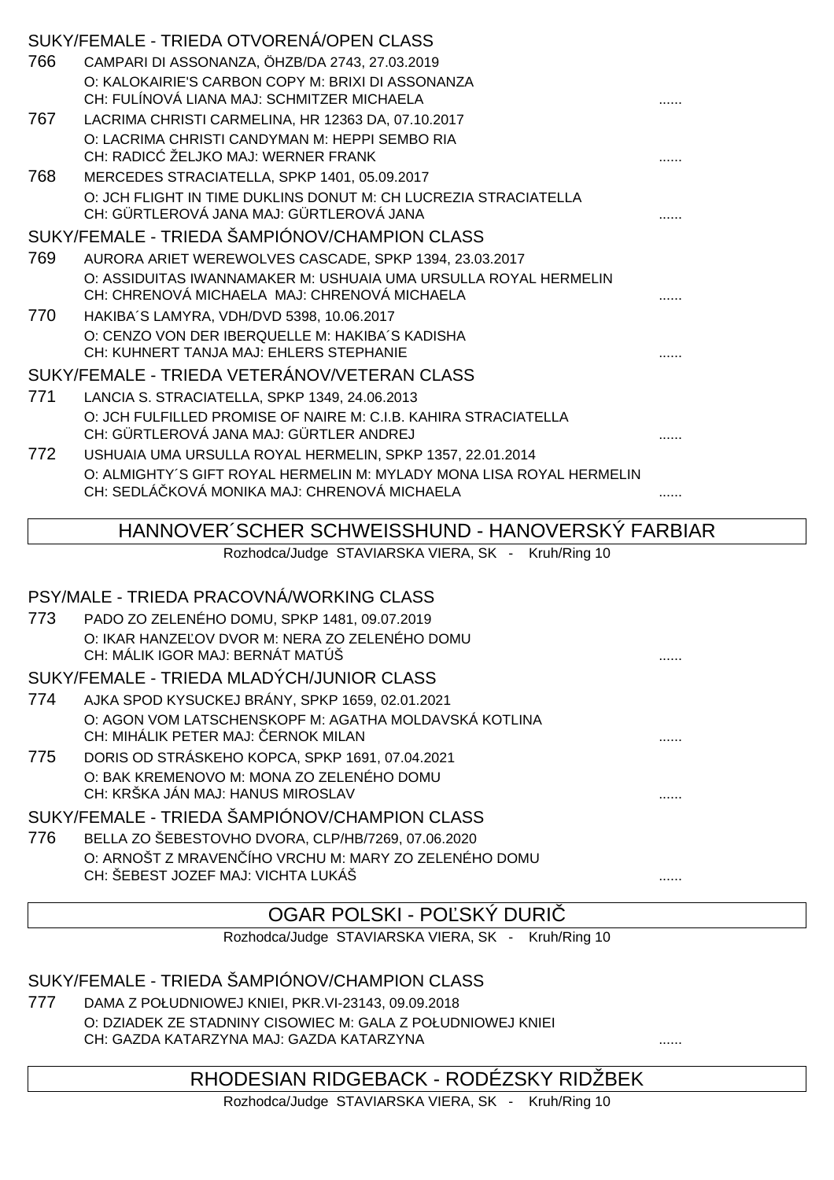|      | SUKY/FEMALE - TRIEDA OTVORENA/OPEN CLASS                             |  |
|------|----------------------------------------------------------------------|--|
| 766  | CAMPARI DI ASSONANZA, ÖHZB/DA 2743, 27.03.2019                       |  |
|      | O: KALOKAIRIE'S CARBON COPY M: BRIXI DI ASSONANZA                    |  |
|      | CH: FULÍNOVÁ LIANA MAJ: SCHMITZER MICHAELA                           |  |
| 767  | LACRIMA CHRISTI CARMELINA, HR 12363 DA, 07.10.2017                   |  |
|      | O: LACRIMA CHRISTI CANDYMAN M: HEPPI SEMBO RIA                       |  |
|      | CH: RADIC ŽELJKO MAJ: WERNER FRANK                                   |  |
| 768  | MERCEDES STRACIATELLA, SPKP 1401, 05.09.2017                         |  |
|      | O: JCH FLIGHT IN TIME DUKLINS DONUT M: CH LUCREZIA STRACIATELLA      |  |
|      | CH: GÜRTLEROVÁ JANA MAJ: GÜRTLEROVÁ JANA                             |  |
|      | SUKY/FEMALE - TRIEDA ŠAMPIÓNOV/CHAMPION CLASS                        |  |
| 769  | AURORA ARIET WEREWOLVES CASCADE, SPKP 1394, 23.03.2017               |  |
|      | O: ASSIDUITAS IWANNAMAKER M: USHUAIA UMA URSULLA ROYAL HERMELIN      |  |
|      | CH: CHRENOVÁ MICHAELA MAJ: CHRENOVÁ MICHAELA                         |  |
| 770. | HAKIBA'S LAMYRA, VDH/DVD 5398, 10.06.2017                            |  |
|      | O: CENZO VON DER IBERQUELLE M: HAKIBA'S KADISHA                      |  |
|      | CH: KUHNERT TANJA MAJ: EHLERS STEPHANIE                              |  |
|      | SUKY/FEMALE - TRIEDA VETERÁNOV/VETERAN CLASS                         |  |
| 771  | LANCIA S. STRACIATELLA, SPKP 1349, 24.06.2013                        |  |
|      | O: JCH FULFILLED PROMISE OF NAIRE M: C.I.B. KAHIRA STRACIATELLA      |  |
|      | CH: GÜRTLEROVÁ JANA MAJ: GÜRTLER ANDREJ                              |  |
| 772  | USHUAIA UMA URSULLA ROYAL HERMELIN, SPKP 1357, 22.01.2014            |  |
|      | O: ALMIGHTY'S GIFT ROYAL HERMELIN M: MYLADY MONA LISA ROYAL HERMELIN |  |
|      | CH: SEDLÁ KOVÁ MONIKA MAJ: CHRENOVÁ MICHAELA                         |  |
|      |                                                                      |  |

#### HANNOVER´SCHER SCHWEISSHUND - HANOVERSKÝ FARBIAR

Rozhodca/Judge STAVIARSKA VIERA, SK - Kruh/Ring 10

#### PSY/MALE - TRIEDA PRACOVNÁ/WORKING CLASS

773 PADO ZO ZELENÉHO DOMU, SPKP 1481, 09.07.2019 O: IKAR HANZE OV DVOR M: NERA ZO ZELENÉHO DOMU CH: MÁLIK IGOR MAJ: BERNÁT MATÚŠ ......

SUKY/FEMALE - TRIEDA MLADÝCH/JUNIOR CLASS

- 774 AJKA SPOD KYSUCKEJ BRÁNY, SPKP 1659, 02.01.2021 O: AGON VOM LATSCHENSKOPF M: AGATHA MOLDAVSKÁ KOTLINA CH: MIHÁLIK PETER MAJ: ČERNOK MILAN ......
- 775 DORIS OD STRÁSKEHO KOPCA, SPKP 1691, 07.04.2021 O: BAK KREMENOVO M: MONA ZO ZELENÉHO DOMU CH: KRŠKA JÁN MAJ: HANUS MIROSLAV ......

SUKY/FEMALE - TRIEDA ŠAMPIÓNOV/CHAMPION CLASS

776 BELLA ZO ŠEBESTOVHO DVORA, CLP/HB/7269, 07.06.2020 O: ARNOŠT Z MRAVENČÍHO VRCHU M: MARY ZO ZELENÉHO DOMU CH: ŠEBEST JOZEF MAJ: VICHTA LUKÁŠ

# OGAR POLSKI - POĽSKÝ DURI

Rozhodca/Judge STAVIARSKA VIERA, SK - Kruh/Ring 10

SUKY/FEMALE - TRIEDA ŠAMPIÓNOV/CHAMPION CLASS

777 DAMA Z POŁUDNIOWEJ KNIEI, PKR.VI-23143, 09.09.2018 O: DZIADEK ZE STADNINY CISOWIEC M: GALA Z POŁUDNIOWEJ KNIEI CH: GAZDA KATARZYNA MAJ: GAZDA KATARZYNA

#### RHODESIAN RIDGEBACK - RODÉZSKY RIDŽBEK

Rozhodca/Judge STAVIARSKA VIERA, SK - Kruh/Ring 10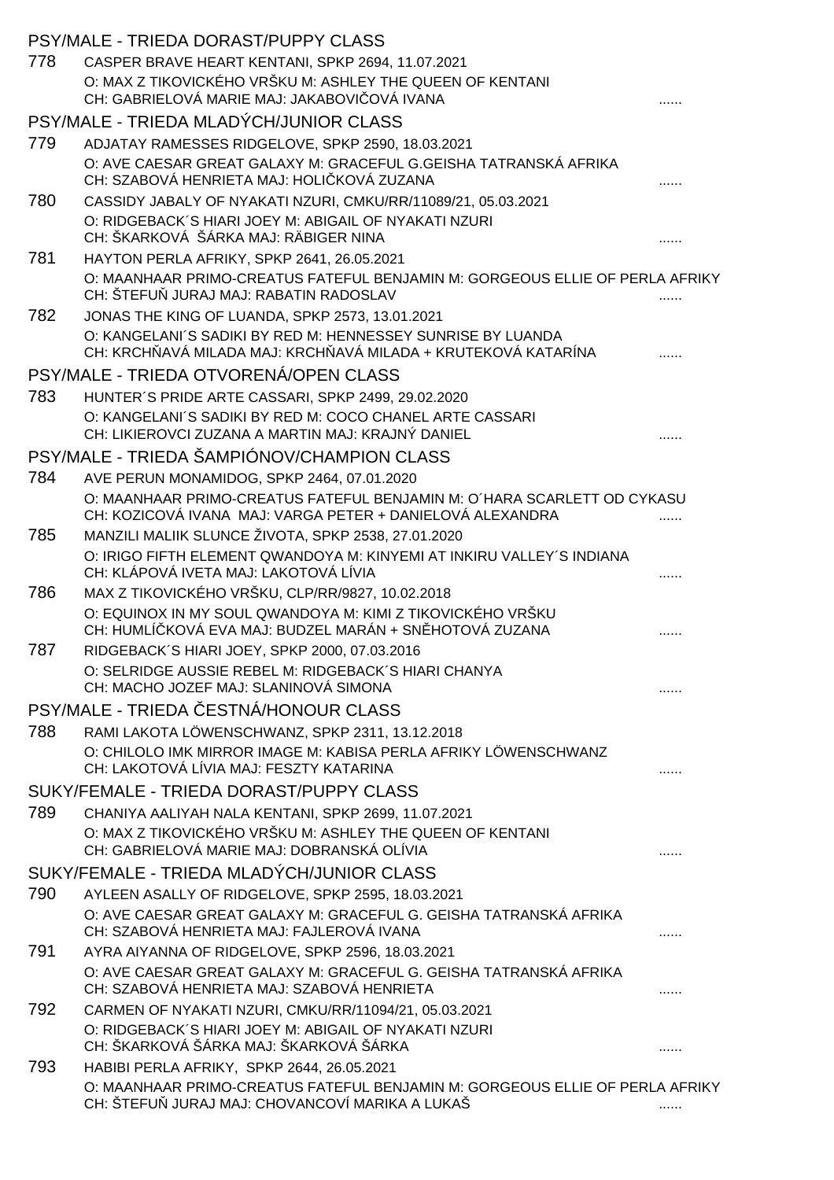|     | PSY/MALE - TRIEDA DORAST/PUPPY CLASS                                                                                                 |  |
|-----|--------------------------------------------------------------------------------------------------------------------------------------|--|
| 778 | CASPER BRAVE HEART KENTANI, SPKP 2694, 11.07.2021                                                                                    |  |
|     | O: MAX Z TIKOVICKÉHO VRŠKU M: ASHLEY THE QUEEN OF KENTANI                                                                            |  |
|     | CH: GABRIELOVÁ MARIE MAJ: JAKABOVI OVÁ IVANA                                                                                         |  |
|     | PSY/MALE - TRIEDA MLADÝCH/JUNIOR CLASS                                                                                               |  |
| 779 | ADJATAY RAMESSES RIDGELOVE, SPKP 2590, 18.03.2021                                                                                    |  |
|     | O: AVE CAESAR GREAT GALAXY M: GRACEFUL G.GEISHA TATRANSKÁ AFRIKA<br>CH: SZABOVÁ HENRIETA MAJ: HOLI KOVÁ ZUZANA                       |  |
| 780 | CASSIDY JABALY OF NYAKATI NZURI, CMKU/RR/11089/21, 05.03.2021                                                                        |  |
|     | O: RIDGEBACK'S HIARI JOEY M: ABIGAIL OF NYAKATI NZURI<br>CH: ŠKARKOVÁ ŠÁRKA MAJ: RÄBIGER NINA                                        |  |
| 781 | HAYTON PERLA AFRIKY, SPKP 2641, 26.05.2021                                                                                           |  |
|     | O: MAANHAAR PRIMO-CREATUS FATEFUL BENJAMIN M: GORGEOUS ELLIE OF PERLA AFRIKY<br>CH: ŠTEFU JURAJ MAJ: RABATIN RADOSLAV                |  |
| 782 | JONAS THE KING OF LUANDA, SPKP 2573, 13.01.2021                                                                                      |  |
|     | O: KANGELANI'S SADIKI BY RED M: HENNESSEY SUNRISE BY LUANDA<br>CH: KRCH AVÁ MILADA MAJ: KRCH AVÁ MILADA + KRUTEKOVÁ KATARÍNA         |  |
|     | PSY/MALE - TRIEDA OTVORENÁ/OPEN CLASS                                                                                                |  |
| 783 | HUNTER'S PRIDE ARTE CASSARI, SPKP 2499, 29.02.2020                                                                                   |  |
|     | O: KANGELANI'S SADIKI BY RED M: COCO CHANEL ARTE CASSARI<br>CH: LIKIEROVCI ZUZANA A MARTIN MAJ: KRAJNÝ DANIEL                        |  |
|     | PSY/MALE - TRIEDA ŠAMPIÓNOV/CHAMPION CLASS                                                                                           |  |
| 784 | AVE PERUN MONAMIDOG, SPKP 2464, 07.01.2020                                                                                           |  |
|     | O: MAANHAAR PRIMO-CREATUS FATEFUL BENJAMIN M: O HARA SCARLETT OD CYKASU<br>CH: KOZICOVÁ IVANA MAJ: VARGA PETER + DANIELOVÁ ALEXANDRA |  |
| 785 | MANZILI MALIIK SLUNCE ŽIVOTA, SPKP 2538, 27.01.2020                                                                                  |  |
|     | O: IRIGO FIFTH ELEMENT QWANDOYA M: KINYEMI AT INKIRU VALLEY'S INDIANA                                                                |  |
|     | CH: KLÁPOVÁ IVETA MAJ: LAKOTOVÁ LÍVIA                                                                                                |  |
| 786 | MAX Z TIKOVICKÉHO VRŠKU, CLP/RR/9827, 10.02.2018                                                                                     |  |
|     | O: EQUINOX IN MY SOUL QWANDOYA M: KIMI Z TIKOVICKÉHO VRŠKU<br>CH: HUMLÍ KOVÁ EVA MAJ: BUDZEL MARÁN + SN HOTOVÁ ZUZANA                |  |
| 787 | RIDGEBACK'S HIARI JOEY, SPKP 2000, 07.03.2016                                                                                        |  |
|     | O: SELRIDGE AUSSIE REBEL M: RIDGEBACK'S HIARI CHANYA<br>CH: MACHO JOZEF MAJ: SLANINOVÁ SIMONA                                        |  |
|     | PSY/MALE - TRIEDA ESTNÁ/HONOUR CLASS                                                                                                 |  |
| 788 | RAMI LAKOTA LÖWENSCHWANZ, SPKP 2311, 13.12.2018                                                                                      |  |
|     | O: CHILOLO IMK MIRROR IMAGE M: KABISA PERLA AFRIKY LÖWENSCHWANZ<br>CH: LAKOTOVÁ LÍVIA MAJ: FESZTY KATARINA                           |  |
|     | SUKY/FEMALE - TRIEDA DORAST/PUPPY CLASS                                                                                              |  |
| 789 | CHANIYA AALIYAH NALA KENTANI, SPKP 2699, 11.07.2021                                                                                  |  |
|     | O: MAX Z TIKOVICKÉHO VRŠKU M: ASHLEY THE QUEEN OF KENTANI<br>CH: GABRIELOVÁ MARIE MAJ: DOBRANSKÁ OLÍVIA                              |  |
|     | SUKY/FEMALE - TRIEDA MLADÝCH/JUNIOR CLASS                                                                                            |  |
| 790 | AYLEEN ASALLY OF RIDGELOVE, SPKP 2595, 18.03.2021                                                                                    |  |
|     | O: AVE CAESAR GREAT GALAXY M: GRACEFUL G. GEISHA TATRANSKÁ AFRIKA<br>CH: SZABOVÁ HENRIETA MAJ: FAJLEROVÁ IVANA                       |  |
| 791 | AYRA AIYANNA OF RIDGELOVE, SPKP 2596, 18.03.2021                                                                                     |  |
|     | O: AVE CAESAR GREAT GALAXY M: GRACEFUL G. GEISHA TATRANSKÁ AFRIKA<br>CH: SZABOVÁ HENRIETA MAJ: SZABOVÁ HENRIETA                      |  |
| 792 | CARMEN OF NYAKATI NZURI, CMKU/RR/11094/21, 05.03.2021                                                                                |  |
|     | O: RIDGEBACK'S HIARI JOEY M: ABIGAIL OF NYAKATI NZURI<br>CH: ŠKARKOVÁ ŠÁRKA MAJ: ŠKARKOVÁ ŠÁRKA                                      |  |
| 793 | HABIBI PERLA AFRIKY, SPKP 2644, 26.05.2021                                                                                           |  |
|     | O: MAANHAAR PRIMO-CREATUS FATEFUL BENJAMIN M: GORGEOUS ELLIE OF PERLA AFRIKY<br>CH: ŠTEFU JURAJ MAJ: CHOVANCOVÍ MARIKA A LUKAŠ       |  |
|     |                                                                                                                                      |  |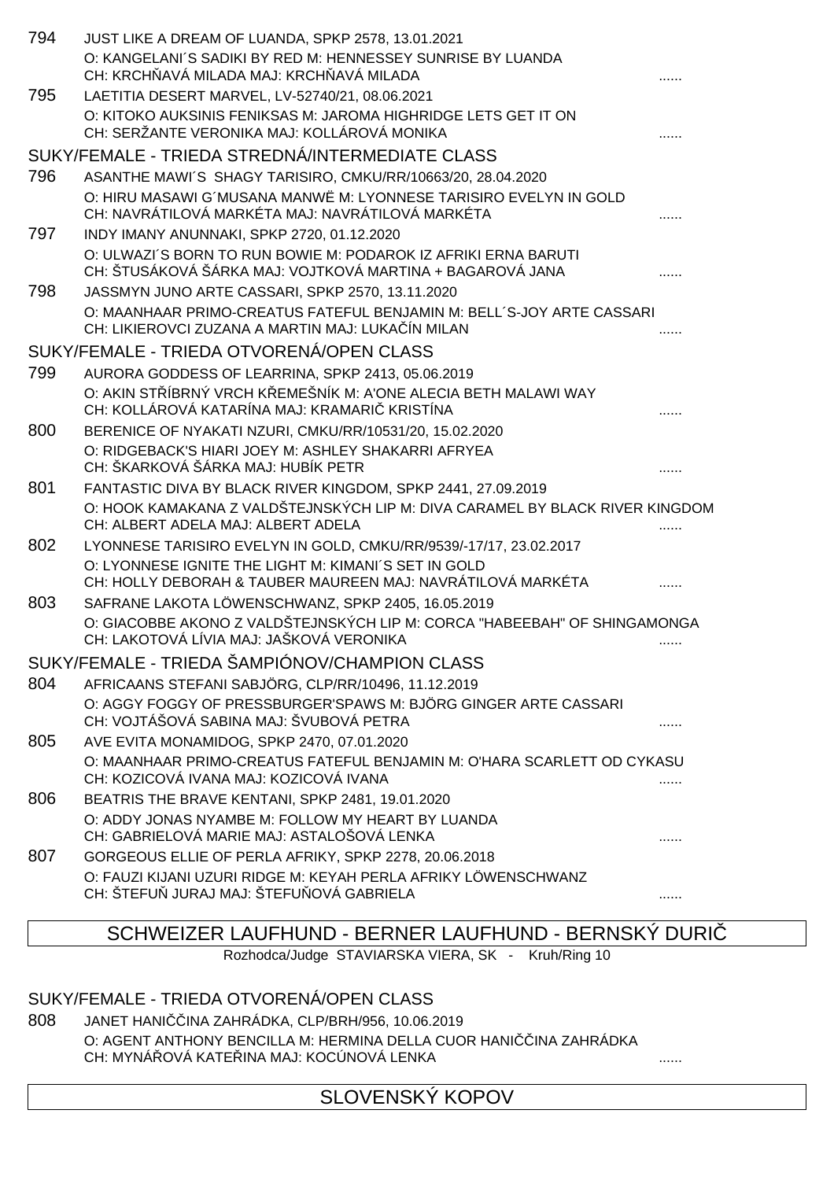| 794 | JUST LIKE A DREAM OF LUANDA, SPKP 2578, 13.01.2021                                                                          |   |
|-----|-----------------------------------------------------------------------------------------------------------------------------|---|
|     | O: KANGELANI'S SADIKI BY RED M: HENNESSEY SUNRISE BY LUANDA<br>CH: KRCH AVÁ MILADA MAJ: KRCH AVÁ MILADA                     |   |
| 795 | LAETITIA DESERT MARVEL, LV-52740/21, 08.06.2021                                                                             |   |
|     | O: KITOKO AUKSINIS FENIKSAS M: JAROMA HIGHRIDGE LETS GET IT ON<br>CH: SERŽANTE VERONIKA MAJ: KOLLÁROVÁ MONIKA               |   |
|     | SUKY/FEMALE - TRIEDA STREDNÁ/INTERMEDIATE CLASS                                                                             |   |
| 796 | ASANTHE MAWI'S SHAGY TARISIRO, CMKU/RR/10663/20, 28.04.2020                                                                 |   |
|     | O: HIRU MASAWI G'MUSANA MANWË M: LYONNESE TARISIRO EVELYN IN GOLD<br>CH: NAVRÁTILOVÁ MARKÉTA MAJ: NAVRÁTILOVÁ MARKÉTA       |   |
| 797 | INDY IMANY ANUNNAKI, SPKP 2720, 01.12.2020                                                                                  |   |
|     | O: ULWAZI'S BORN TO RUN BOWIE M: PODAROK IZ AFRIKI ERNA BARUTI<br>CH: ŠTUSÁKOVÁ ŠÁRKA MAJ: VOJTKOVÁ MARTINA + BAGAROVÁ JANA |   |
| 798 | JASSMYN JUNO ARTE CASSARI, SPKP 2570, 13.11.2020                                                                            |   |
|     | O: MAANHAAR PRIMO-CREATUS FATEFUL BENJAMIN M: BELL'S-JOY ARTE CASSARI<br>CH: LIKIEROVCI ZUZANA A MARTIN MAJ: LUKA ÍN MILAN  |   |
|     | SUKY/FEMALE - TRIEDA OTVORENÁ/OPEN CLASS                                                                                    |   |
| 799 | AURORA GODDESS OF LEARRINA, SPKP 2413, 05.06.2019                                                                           |   |
|     | O: AKIN ST ÍBRNÝ VRCH K EMEŠNÍK M: A'ONE ALECIA BETH MALAWI WAY<br>CH: KOLLÁROVÁ KATARÍNA MAJ: KRAMARI KRISTÍNA             |   |
| 800 | BERENICE OF NYAKATI NZURI, CMKU/RR/10531/20, 15.02.2020                                                                     |   |
|     | O: RIDGEBACK'S HIARI JOEY M: ASHLEY SHAKARRI AFRYEA<br>CH: ŠKARKOVÁ ŠÁRKA MAJ: HUBÍK PETR                                   |   |
| 801 | FANTASTIC DIVA BY BLACK RIVER KINGDOM, SPKP 2441, 27.09.2019                                                                |   |
|     | O: HOOK KAMAKANA Z VALDŠTEJNSKÝCH LIP M: DIVA CARAMEL BY BLACK RIVER KINGDOM<br>CH: ALBERT ADELA MAJ: ALBERT ADELA          |   |
| 802 | LYONNESE TARISIRO EVELYN IN GOLD, CMKU/RR/9539/-17/17, 23.02.2017                                                           |   |
|     | O: LYONNESE IGNITE THE LIGHT M: KIMANI'S SET IN GOLD<br>CH: HOLLY DEBORAH & TAUBER MAUREEN MAJ: NAVRÁTILOVÁ MARKÉTA         |   |
| 803 | SAFRANE LAKOTA LÖWENSCHWANZ, SPKP 2405, 16.05.2019                                                                          |   |
|     | O: GIACOBBE AKONO Z VALDŠTEJNSKÝCH LIP M: CORCA "HABEEBAH" OF SHINGAMONGA<br>CH: LAKOTOVÁ LÍVIA MAJ: JAŠKOVÁ VERONIKA       |   |
|     | SUKY/FEMALE - TRIEDA ŠAMPIÓNOV/CHAMPION CLASS                                                                               |   |
| 804 | AFRICAANS STEFANI SABJÖRG, CLP/RR/10496, 11.12.2019                                                                         |   |
|     | O: AGGY FOGGY OF PRESSBURGER'SPAWS M: BJÖRG GINGER ARTE CASSARI<br>CH: VOJTÁŠOVÁ SABINA MAJ: ŠVUBOVÁ PETRA                  |   |
| 805 | AVE EVITA MONAMIDOG, SPKP 2470, 07.01.2020                                                                                  |   |
|     | O: MAANHAAR PRIMO-CREATUS FATEFUL BENJAMIN M: O'HARA SCARLETT OD CYKASU<br>CH: KOZICOVÁ IVANA MAJ: KOZICOVÁ IVANA           |   |
| 806 | BEATRIS THE BRAVE KENTANI, SPKP 2481, 19.01.2020                                                                            |   |
|     | O: ADDY JONAS NYAMBE M: FOLLOW MY HEART BY LUANDA<br>CH: GABRIELOVÁ MARIE MAJ: ASTALOŠOVÁ LENKA                             |   |
| 807 | GORGEOUS ELLIE OF PERLA AFRIKY, SPKP 2278, 20.06.2018                                                                       |   |
|     | O: FAUZI KIJANI UZURI RIDGE M: KEYAH PERLA AFRIKY LÖWENSCHWANZ<br>CH: ŠTEFU JURAJ MAJ: ŠTEFU OVÁ GABRIELA                   | . |

## SCHWEIZER LAUFHUND - BERNER LAUFHUND - BERNSKÝ DURIČ

Rozhodca/Judge STAVIARSKA VIERA, SK - Kruh/Ring 10

# SUKY/FEMALE - TRIEDA OTVORENÁ/OPEN CLASS

808 JANET HANI INA ZAHRÁDKA, CLP/BRH/956, 10.06.2019 O: AGENT ANTHONY BENCILLA M: HERMINA DELLA CUOR HANI INA ZAHRÁDKA CH: MYNÁŘOVÁ KATEŘINA MAJ: KOCÚNOVÁ LENKA ......

SLOVENSKÝ KOPOV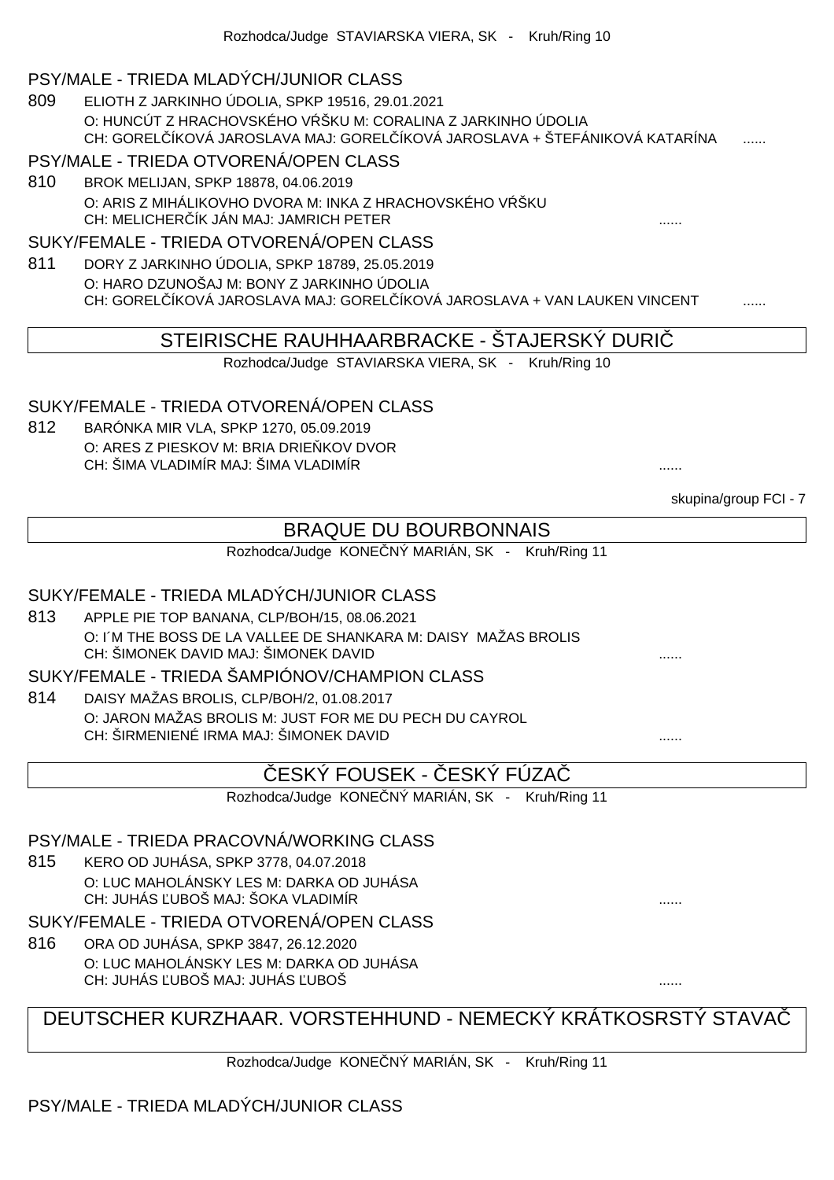#### PSY/MALE - TRIEDA MLADÝCH/JUNIOR CLASS

809 ELIOTH Z JARKINHO ÚDOLIA, SPKP 19516, 29.01.2021 O: HUNCÚT Z HRACHOVSKÉHO V ŠKU M: CORALINA Z JARKINHO ÚDOLIA CH: GORELÓKOVÁ JAROSLAVA MAJ: GORELÓKOVÁ JAROSLAVA + ŠTEFÁNIKOVÁ KATARÍNA

#### PSY/MALE - TRIEDA OTVORENÁ/OPEN CLASS

810 BROK MELIJAN, SPKP 18878, 04.06.2019 O: ARIS Z MIHÁLIKOVHO DVORA M: INKA Z HRACHOVSKÉHO V ŠKU CH: MELICHERČÍK JÁN MAJ: JAMRICH PETER ......

#### SUKY/FEMALE - TRIEDA OTVORENÁ/OPEN CLASS

811 DORY Z JARKINHO ÚDOLIA, SPKP 18789, 25.05.2019 O: HARO DZUNOŠAJ M: BONY Z JARKINHO ÚDOLIA CH: GOREL ÍKOVÁ JAROSLAVA MAJ: GOREL ÍKOVÁ JAROSLAVA + VAN LAUKEN VINCENT

#### STEIRISCHE RAUHHAARBRACKE - ŠTAJERSKÝ DURIČ

Rozhodca/Judge STAVIARSKA VIERA, SK - Kruh/Ring 10

#### SUKY/FEMALE - TRIEDA OTVORENÁ/OPEN CLASS

812 BARÓNKA MIR VLA, SPKP 1270, 05.09.2019 O: ARES Z PIESKOV M: BRIA DRIE KOV DVOR CH: ŠIMA VLADIMÍR MAJ: ŠIMA VLADIMÍR ......

skupina/group FCI - 7 BRAQUE DU BOURBONNAIS Rozhodca/Judge KONE NÝ MARIÁN, SK - Kruh/Ring 11 SUKY/FEMALE - TRIEDA MLADÝCH/JUNIOR CLASS 813 APPLE PIE TOP BANANA, CLP/BOH/15, 08.06.2021 O: I´M THE BOSS DE LA VALLEE DE SHANKARA M: DAISY MAŽAS BROLIS CH: ŠIMONEK DAVID MAJ: ŠIMONEK DAVID SUKY/FEMALE - TRIEDA ŠAMPIÓNOV/CHAMPION CLASS 814 DAISY MAŽAS BROLIS, CLP/BOH/2, 01.08.2017 O: JARON MAŽAS BROLIS M: JUST FOR ME DU PECH DU CAYROL CH: ŠIRMENIENÉ IRMA MAJ: ŠIMONEK DAVID ESKÝ FOUSEK - ESKY FUZA Rozhodca/Judge KONE NÝ MARIÁN, SK - Kruh/Ring 11 PSY/MALE - TRIEDA PRACOVNÁ/WORKING CLASS 815 KERO OD JUHÁSA, SPKP 3778, 04.07.2018 O: LUC MAHOLÁNSKY LES M: DARKA OD JUHÁSA CH: JUHÁS ĽUBOŠ MAJ: ŠOKA VLADIMÍR ...... SUKY/FEMALE - TRIEDA OTVORENÁ/OPEN CLASS 816 ORA OD JUHÁSA, SPKP 3847, 26.12.2020 O: LUC MAHOLÁNSKY LES M: DARKA OD JUHÁSA CH: JUHÁS UBOŠ MAJ: JUHÁS UBOŠ DEUTSCHER KURZHAAR. VORSTEHHUND - NEMECKÝ KRÁTKOSRSTÝ STAVAČ

Rozhodca/Judge KONE NÝ MARIÁN, SK - Kruh/Ring 11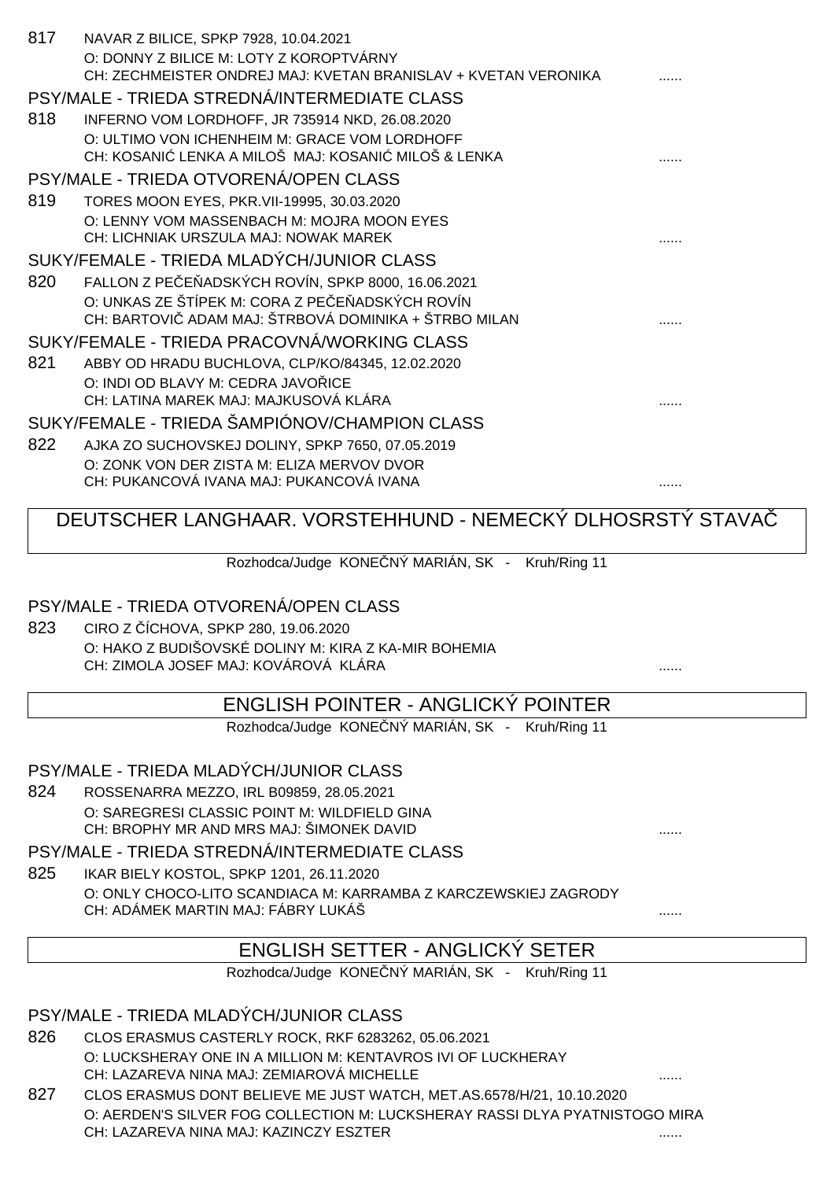| 817 | NAVAR Z BILICE, SPKP 7928, 10.04.2021<br>O: DONNY Z BILICE M: LOTY Z KOROPTVÁRNY<br>CH: ZECHMEISTER ONDREJ MAJ: KVETAN BRANISLAV + KVETAN VERONIKA |  |
|-----|----------------------------------------------------------------------------------------------------------------------------------------------------|--|
|     |                                                                                                                                                    |  |
|     | PSY/MALE - TRIEDA STREDNÁ/INTERMEDIATE CLASS                                                                                                       |  |
| 818 | INFERNO VOM LORDHOFF, JR 735914 NKD, 26.08.2020                                                                                                    |  |
|     | O: ULTIMO VON ICHENHEIM M: GRACE VOM LORDHOFF<br>CH: KOSANI LENKA A MILOŠ MAJ: KOSANI MILOŠ & LENKA                                                |  |
|     | PSY/MALE - TRIEDA OTVORENÁ/OPEN CLASS                                                                                                              |  |
| 819 | TORES MOON EYES, PKR.VII-19995, 30.03.2020                                                                                                         |  |
|     | O: LENNY VOM MASSENBACH M: MOJRA MOON EYES                                                                                                         |  |
|     | CH: LICHNIAK URSZULA MAJ: NOWAK MAREK                                                                                                              |  |
|     | SUKY/FEMALE - TRIEDA MLADÝCH/JUNIOR CLASS                                                                                                          |  |
| 820 | FALLON Z PE E ADSKÝCH ROVÍN, SPKP 8000, 16.06.2021                                                                                                 |  |
|     | O: UNKAS ZE ŠTÍPEK M: CORA Z PE E ADSKÝCH ROVÍN                                                                                                    |  |
|     | CH: BARTOVI ADAM MAJ: ŠTRBOVÁ DOMINIKA + ŠTRBO MILAN                                                                                               |  |
|     | SUKY/FEMALE - TRIEDA PRACOVNÁ/WORKING CLASS                                                                                                        |  |
| 821 | ABBY OD HRADU BUCHLOVA, CLP/KO/84345, 12.02.2020                                                                                                   |  |
|     | O: INDI OD BLAVY M: CEDRA JAVO ICE                                                                                                                 |  |
|     | CH: LATINA MAREK MAJ: MAJKUSOVÁ KLÁRA                                                                                                              |  |
|     | SUKY/FEMALE - TRIEDA ŠAMPIÓNOV/CHAMPION CLASS                                                                                                      |  |
| 822 | AJKA ZO SUCHOVSKEJ DOLINY, SPKP 7650, 07.05.2019                                                                                                   |  |
|     | O: ZONK VON DER ZISTA M: ELIZA MERVOV DVOR                                                                                                         |  |
|     | CH: PUKANCOVÁ IVANA MAJ: PUKANCOVÁ IVANA                                                                                                           |  |
|     |                                                                                                                                                    |  |
|     |                                                                                                                                                    |  |
|     | DEUTSCHER LANGHAAR. VORSTEHHUND - NEMECKÝ DLHOSRSTÝ STAVA                                                                                          |  |
|     | Rozhodca/Judge KONE NÝ MARIÁN, SK -<br>Kruh/Ring 11                                                                                                |  |
|     | PSY/MALE - TRIEDA OTVORENÁ/OPEN CLASS                                                                                                              |  |
| 823 |                                                                                                                                                    |  |
|     | CIRO Z ÍCHOVA, SPKP 280, 19.06.2020<br>O: HAKO Z BUDIŠOVSKÉ DOLINY M: KIRA Z KA-MIR BOHEMIA                                                        |  |
|     | CH: ZIMOLA JOSEF MAJ: KOVÁROVÁ KLÁRA                                                                                                               |  |
|     |                                                                                                                                                    |  |
|     | <b>ENGLISH POINTER - ANGLICKÝ POINTER</b>                                                                                                          |  |
|     | Rozhodca/Judge KONE NÝ MARIÁN, SK - Kruh/Ring 11                                                                                                   |  |
|     |                                                                                                                                                    |  |
|     | PSY/MALE - TRIEDA MLADÝCH/JUNIOR CLASS                                                                                                             |  |
| 824 | ROSSENARRA MEZZO, IRL B09859, 28.05.2021                                                                                                           |  |
|     | O: SAREGRESI CLASSIC POINT M: WILDFIELD GINA<br>CH: BROPHY MR AND MRS MAJ: ŠIMONEK DAVID                                                           |  |
|     | PSY/MALE - TRIEDA STREDNÁ/INTERMEDIATE CLASS                                                                                                       |  |
| 825 | IKAR BIELY KOSTOL, SPKP 1201, 26.11.2020                                                                                                           |  |
|     | O: ONLY CHOCO-LITO SCANDIACA M: KARRAMBA Z KARCZEWSKIEJ ZAGRODY                                                                                    |  |
|     | CH: ADÁMEK MARTIN MAJ: FÁBRY LUKÁŠ                                                                                                                 |  |
|     | <b>ENGLISH SETTER - ANGLICKÝ SETER</b>                                                                                                             |  |

Rozhodca/Judge KONE NÝ MARIÁN, SK - Kruh/Ring 11

#### PSY/MALE - TRIEDA MLADÝCH/JUNIOR CLASS

- 826 CLOS ERASMUS CASTERLY ROCK, RKF 6283262, 05.06.2021 O: LUCKSHERAY ONE IN A MILLION M: KENTAVROS IVI OF LUCKHERAY CH: LAZAREVA NINA MAJ: ZEMIAROVÁ MICHELLE **and a contract a contract of the contract of the contract of the contra**
- 827 CLOS ERASMUS DONT BELIEVE ME JUST WATCH, MET.AS.6578/H/21, 10.10.2020 O: AERDEN'S SILVER FOG COLLECTION M: LUCKSHERAY RASSI DLYA PYATNISTOGO MIRA CH: LAZAREVA NINA MAJ: KAZINCZY ESZTER ......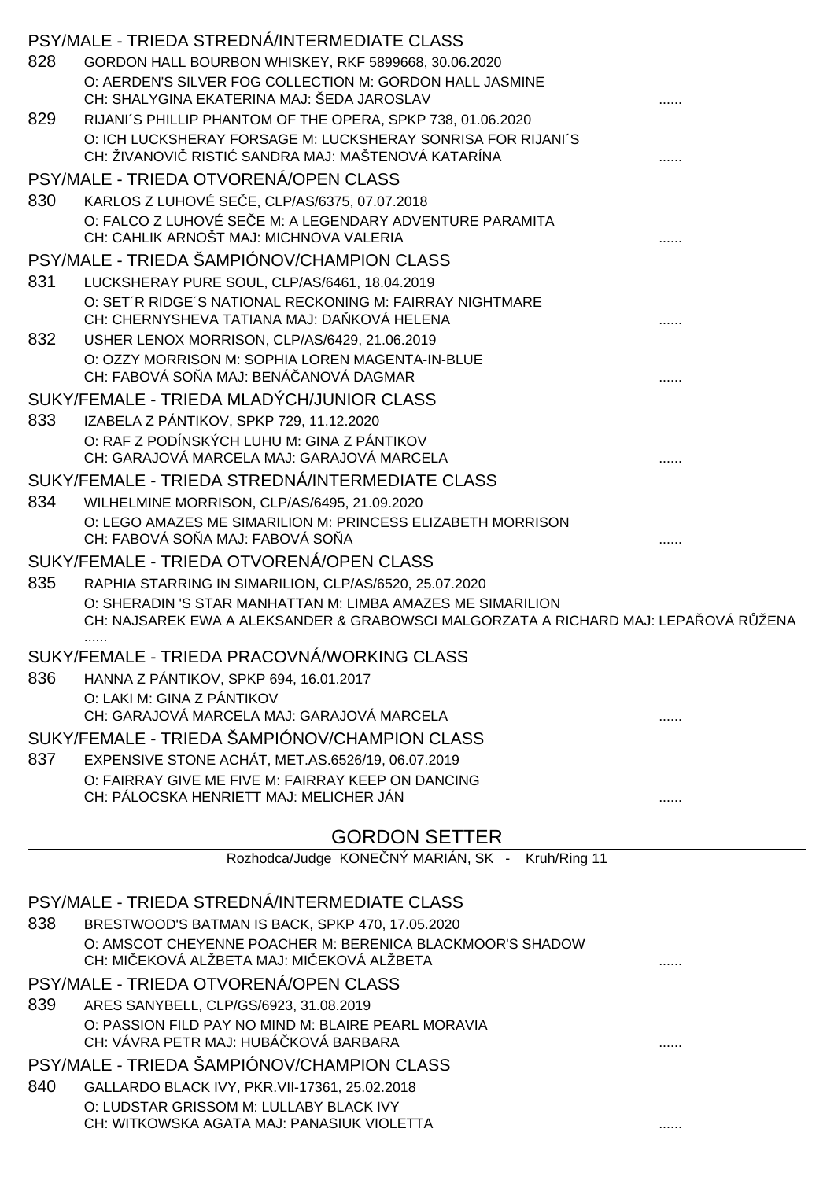|     | PSY/MALE - TRIEDA STREDNÁ/INTERMEDIATE CLASS                                                                      |   |  |
|-----|-------------------------------------------------------------------------------------------------------------------|---|--|
| 828 | GORDON HALL BOURBON WHISKEY, RKF 5899668, 30.06.2020                                                              |   |  |
|     | O: AERDEN'S SILVER FOG COLLECTION M: GORDON HALL JASMINE                                                          |   |  |
|     | CH: SHALYGINA EKATERINA MAJ: ŠEDA JAROSLAV                                                                        |   |  |
| 829 | RIJANI'S PHILLIP PHANTOM OF THE OPERA, SPKP 738, 01.06.2020                                                       |   |  |
|     | O: ICH LUCKSHERAY FORSAGE M: LUCKSHERAY SONRISA FOR RIJANI'S<br>CH: ŽIVANOVI RISTI SANDRA MAJ: MAŠTENOVÁ KATARÍNA |   |  |
|     | PSY/MALE - TRIEDA OTVORENÁ/OPEN CLASS                                                                             |   |  |
| 830 | KARLOS Z LUHOVÉ SE E, CLP/AS/6375, 07.07.2018                                                                     |   |  |
|     | O: FALCO Z LUHOVÉ SE E M: A LEGENDARY ADVENTURE PARAMITA<br>CH: CAHLIK ARNOŠT MAJ: MICHNOVA VALERIA               |   |  |
|     | PSY/MALE - TRIEDA ŠAMPIÓNOV/CHAMPION CLASS                                                                        |   |  |
| 831 | LUCKSHERAY PURE SOUL, CLP/AS/6461, 18.04.2019                                                                     |   |  |
|     | O: SET'R RIDGE'S NATIONAL RECKONING M: FAIRRAY NIGHTMARE<br>CH: CHERNYSHEVA TATIANA MAJ: DA KOVÁ HELENA           |   |  |
| 832 | USHER LENOX MORRISON, CLP/AS/6429, 21.06.2019                                                                     |   |  |
|     | O: OZZY MORRISON M: SOPHIA LOREN MAGENTA-IN-BLUE<br>CH: FABOVÁ SO A MAJ: BENÁ ANOVÁ DAGMAR                        |   |  |
|     | SUKY/FEMALE - TRIEDA MLADÝCH/JUNIOR CLASS                                                                         |   |  |
| 833 | IZABELA Z PÁNTIKOV, SPKP 729, 11.12.2020                                                                          |   |  |
|     | O: RAF Z PODÍNSKÝCH LUHU M: GINA Z PÁNTIKOV                                                                       |   |  |
|     | CH: GARAJOVÁ MARCELA MAJ: GARAJOVÁ MARCELA                                                                        |   |  |
|     | SUKY/FEMALE - TRIEDA STREDNÁ/INTERMEDIATE CLASS                                                                   |   |  |
| 834 | WILHELMINE MORRISON, CLP/AS/6495, 21.09.2020<br>O: LEGO AMAZES ME SIMARILION M: PRINCESS ELIZABETH MORRISON       |   |  |
|     | CH: FABOVÁ SO A MAJ: FABOVÁ SO A                                                                                  |   |  |
|     | SUKY/FEMALE - TRIEDA OTVORENÁ/OPEN CLASS                                                                          |   |  |
| 835 | RAPHIA STARRING IN SIMARILION, CLP/AS/6520, 25.07.2020                                                            |   |  |
|     | O: SHERADIN 'S STAR MANHATTAN M: LIMBA AMAZES ME SIMARILION                                                       |   |  |
|     | CH: NAJSAREK EWA A ALEKSANDER & GRABOWSCI MALGORZATA A RICHARD MAJ: LEPA OVÁ R ŽENA                               |   |  |
|     | <br>SUKY/FEMALE - TRIEDA PRACOVNÁ/WORKING CLASS                                                                   |   |  |
| 836 | HANNA Z PÁNTIKOV, SPKP 694, 16.01.2017                                                                            |   |  |
|     | O: LAKI M: GINA Z PÁNTIKOV                                                                                        |   |  |
|     | CH: GARAJOVÁ MARCELA MAJ: GARAJOVÁ MARCELA                                                                        |   |  |
|     | SUKY/FEMALE - TRIEDA ŠAMPIÓNOV/CHAMPION CLASS                                                                     |   |  |
| 837 | EXPENSIVE STONE ACHÁT, MET.AS.6526/19, 06.07.2019<br>O: FAIRRAY GIVE ME FIVE M: FAIRRAY KEEP ON DANCING           |   |  |
|     | CH: PÁLOCSKA HENRIETT MAJ: MELICHER JÁN                                                                           | . |  |
|     |                                                                                                                   |   |  |
|     | <b>GORDON SETTER</b>                                                                                              |   |  |
|     | Rozhodca/Judge KONE NÝ MARIÁN, SK - Kruh/Ring 11                                                                  |   |  |
|     | PSY/MALE - TRIEDA STREDNÁ/INTERMEDIATE CLASS                                                                      |   |  |
| 838 | BRESTWOOD'S BATMAN IS BACK, SPKP 470, 17.05.2020                                                                  |   |  |
|     | O: AMSCOT CHEYENNE POACHER M: BERENICA BLACKMOOR'S SHADOW                                                         |   |  |
|     | CH: MI EKOVÁ ALŽBETA MAJ: MI EKOVÁ ALŽBETA                                                                        |   |  |
|     | PSY/MALE - TRIEDA OTVORENÁ/OPEN CLASS                                                                             |   |  |
| 839 | ARES SANYBELL, CLP/GS/6923, 31.08.2019<br>O: PASSION FILD PAY NO MIND M: BLAIRE PEARL MORAVIA                     |   |  |
|     | CH: VÁVRA PETR MAJ: HUBÁ KOVÁ BARBARA                                                                             |   |  |
|     |                                                                                                                   |   |  |

PSY/MALE - TRIEDA ŠAMPIÓNOV/CHAMPION CLASS

840 GALLARDO BLACK IVY, PKR.VII-17361, 25.02.2018 O: LUDSTAR GRISSOM M: LULLABY BLACK IVY CH: WITKOWSKA AGATA MAJ: PANASIUK VIOLETTA ......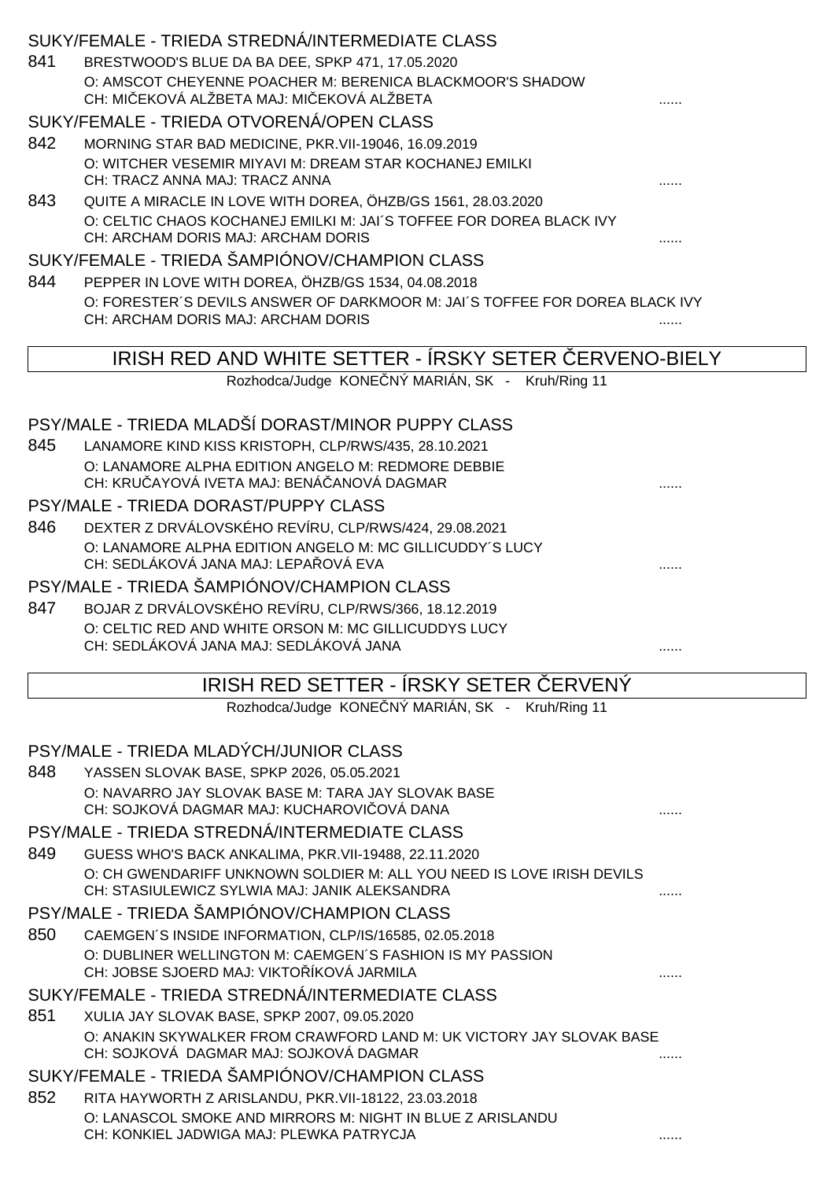|     | SUKY/FEMALE - TRIEDA STREDNÁ/INTERMEDIATE CLASS                                                                   |   |
|-----|-------------------------------------------------------------------------------------------------------------------|---|
| 841 | BRESTWOOD'S BLUE DA BA DEE, SPKP 471, 17.05.2020                                                                  |   |
|     | O: AMSCOT CHEYENNE POACHER M: BERENICA BLACKMOOR'S SHADOW                                                         |   |
|     | CH: MI EKOVÁ ALŽBETA MAJ: MI EKOVÁ ALŽBETA                                                                        |   |
|     | SUKY/FEMALE - TRIEDA OTVORENÁ/OPEN CLASS                                                                          |   |
| 842 | MORNING STAR BAD MEDICINE, PKR. VII-19046, 16.09.2019                                                             |   |
|     | O: WITCHER VESEMIR MIYAVI M: DREAM STAR KOCHANEJ EMILKI<br>CH: TRACZ ANNA MAJ: TRACZ ANNA                         |   |
| 843 | QUITE A MIRACLE IN LOVE WITH DOREA, ÖHZB/GS 1561, 28.03.2020                                                      |   |
|     | O: CELTIC CHAOS KOCHANEJ EMILKI M: JAI'S TOFFEE FOR DOREA BLACK IVY                                               |   |
|     | CH: ARCHAM DORIS MAJ: ARCHAM DORIS                                                                                |   |
|     | SUKY/FEMALE - TRIEDA ŠAMPIÓNOV/CHAMPION CLASS                                                                     |   |
| 844 | PEPPER IN LOVE WITH DOREA, ÖHZB/GS 1534, 04.08.2018                                                               |   |
|     | O: FORESTER'S DEVILS ANSWER OF DARKMOOR M: JAI'S TOFFEE FOR DOREA BLACK IVY<br>CH: ARCHAM DORIS MAJ: ARCHAM DORIS |   |
|     |                                                                                                                   |   |
|     | IRISH RED AND WHITE SETTER - IRSKY SETER ERVENO-BIELY                                                             |   |
|     | Rozhodca/Judge KONE NÝ MARIÁN, SK - Kruh/Ring 11                                                                  |   |
|     |                                                                                                                   |   |
|     | PSY/MALE - TRIEDA MLADŠÍ DORAST/MINOR PUPPY CLASS                                                                 |   |
| 845 | LANAMORE KIND KISS KRISTOPH, CLP/RWS/435, 28.10.2021                                                              |   |
|     | O: LANAMORE ALPHA EDITION ANGELO M: REDMORE DEBBIE<br>CH: KRU AYOVÁ IVETA MAJ: BENÁ ANOVÁ DAGMAR                  |   |
|     | PSY/MALE - TRIEDA DORAST/PUPPY CLASS                                                                              |   |
| 846 | DEXTER Z DRVÁLOVSKÉHO REVÍRU, CLP/RWS/424, 29.08.2021                                                             |   |
|     | O: LANAMORE ALPHA EDITION ANGELO M: MC GILLICUDDY'S LUCY                                                          |   |
|     | CH: SEDLÁKOVÁ JANA MAJ: LEPA OVÁ EVA                                                                              |   |
|     | PSY/MALE - TRIEDA ŠAMPIÓNOV/CHAMPION CLASS                                                                        |   |
| 847 | BOJAR Z DRVÁLOVSKÉHO REVÍRU, CLP/RWS/366, 18.12.2019                                                              |   |
|     | O: CELTIC RED AND WHITE ORSON M: MC GILLICUDDYS LUCY<br>CH: SEDLÁKOVÁ JANA MAJ: SEDLÁKOVÁ JANA                    |   |
|     |                                                                                                                   |   |
|     | IRISH RED SETTER - ÍRSKY SETER ERVENÝ                                                                             |   |
|     | Rozhodca/Judge KONE NÝ MARIÁN, SK - Kruh/Ring 11                                                                  |   |
|     |                                                                                                                   |   |
|     | PSY/MALE - TRIEDA MLADÝCH/JUNIOR CLASS                                                                            |   |
| 848 | YASSEN SLOVAK BASE, SPKP 2026, 05.05.2021                                                                         |   |
|     | O: NAVARRO JAY SLOVAK BASE M: TARA JAY SLOVAK BASE<br>CH: SOJKOVÁ DAGMAR MAJ: KUCHAROVI OVÁ DANA                  |   |
|     | PSY/MALE - TRIEDA STREDNÁ/INTERMEDIATE CLASS                                                                      |   |
| 849 | GUESS WHO'S BACK ANKALIMA, PKR. VII-19488, 22.11.2020                                                             |   |
|     | O: CH GWENDARIFF UNKNOWN SOLDIER M: ALL YOU NEED IS LOVE IRISH DEVILS                                             |   |
|     | CH: STASIULEWICZ SYLWIA MAJ: JANIK ALEKSANDRA                                                                     | . |
|     | PSY/MALE - TRIEDA ŠAMPIÓNOV/CHAMPION CLASS                                                                        |   |
| 850 | CAEMGEN'S INSIDE INFORMATION, CLP/IS/16585, 02.05.2018                                                            |   |
|     | O: DUBLINER WELLINGTON M: CAEMGEN'S FASHION IS MY PASSION                                                         |   |
|     | CH: JOBSE SJOERD MAJ: VIKTO ÍKOVÁ JARMILA<br>SUKY/FEMALE - TRIEDA STREDNÁ/INTERMEDIATE CLASS                      |   |
| 851 | XULIA JAY SLOVAK BASE, SPKP 2007, 09.05.2020                                                                      |   |
|     | O: ANAKIN SKYWALKER FROM CRAWFORD LAND M: UK VICTORY JAY SLOVAK BASE                                              |   |
|     | CH: SOJKOVÁ DAGMAR MAJ: SOJKOVÁ DAGMAR                                                                            | . |
|     | SUKY/FEMALE - TRIEDA ŠAMPIÓNOV/CHAMPION CLASS                                                                     |   |
| 852 | RITA HAYWORTH Z ARISLANDU, PKR. VII-18122, 23.03.2018                                                             |   |
|     | O: LANASCOL SMOKE AND MIRRORS M: NIGHT IN BLUE Z ARISLANDU                                                        |   |
|     | CH: KONKIEL JADWIGA MAJ: PLEWKA PATRYCJA                                                                          | . |
|     |                                                                                                                   |   |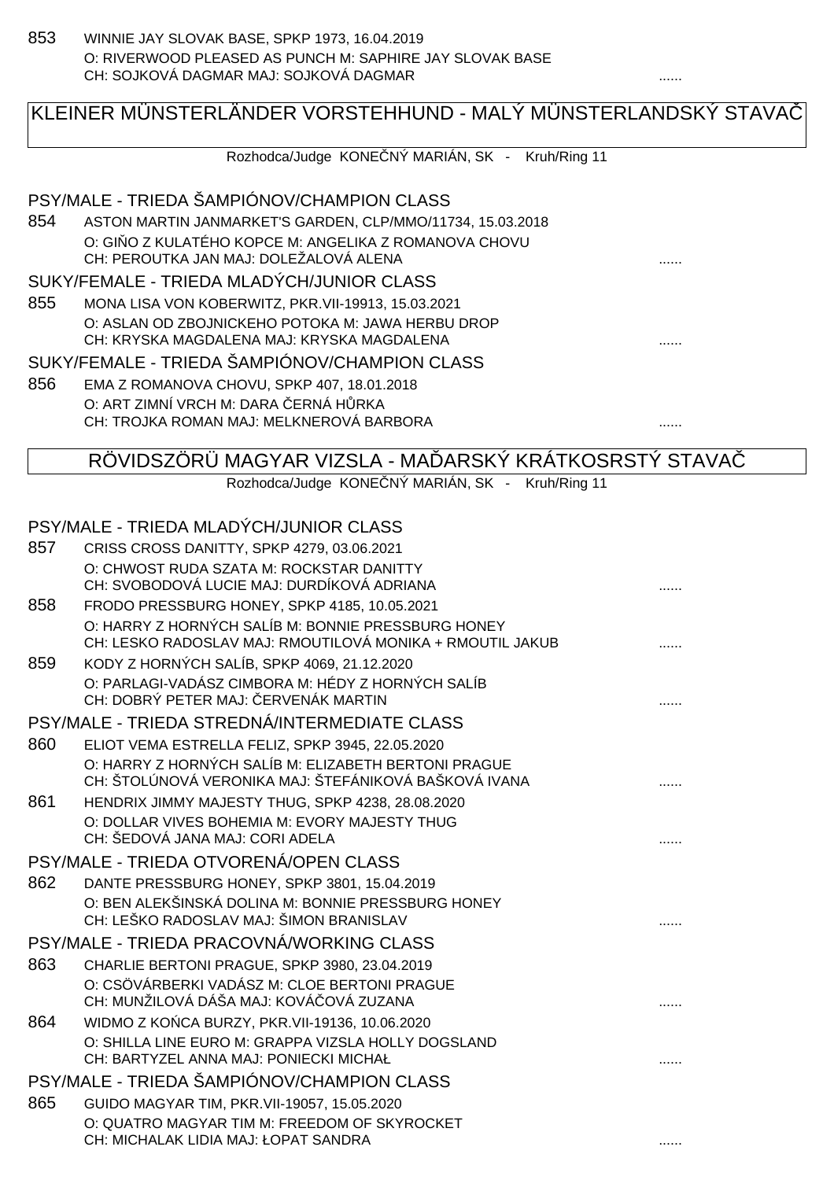# KLEINER MÜNSTERLÄNDER VORSTEHHUND - MALÝ MÜNSTERLANDSKÝ STAVAČ

Rozhodca/Judge KONE NÝ MARIÁN, SK - Kruh/Ring 11

#### PSY/MALE - TRIEDA ŠAMPIÓNOV/CHAMPION CLASS

854 ASTON MARTIN JANMARKET'S GARDEN, CLP/MMO/11734, 15.03.2018 O: GI O Z KULATÉHO KOPCE M: ANGELIKA Z ROMANOVA CHOVU CH: PEROUTKA JAN MAJ: DOLEŽALOVÁ ALENA ......

#### SUKY/FEMALE - TRIEDA MLADYCH/JUNIOR CLASS

855 MONA LISA VON KOBERWITZ, PKR.VII-19913, 15.03.2021 O: ASLAN OD ZBOJNICKEHO POTOKA M: JAWA HERBU DROP CH: KRYSKA MAGDALENA MAJ: KRYSKA MAGDALENA ......

### SUKY/FEMALE - TRIEDA ŠAMPIÓNOV/CHAMPION CLASS

856 EMA Z ROMANOVA CHOVU, SPKP 407, 18.01.2018 O: ART ZIMNÍ VRCH M: DARA ERNÁ H RKA CH: TROJKA ROMAN MAJ: MELKNEROVÁ BARBORA ......

#### RÖVIDSZÖRÜ MAGYAR VIZSLA - MA ÞARSKÝ KRÁTKOSRSTÝ STAVA

Rozhodca/Judge KONE NÝ MARIÁN, SK - Kruh/Ring 11

#### PSY/MALE - TRIEDA MLADÝCH/JUNIOR CLASS

| 857 | CRISS CROSS DANITTY, SPKP 4279, 03.06.2021                                                    |  |
|-----|-----------------------------------------------------------------------------------------------|--|
|     | O: CHWOST RUDA SZATA M: ROCKSTAR DANITTY                                                      |  |
|     | CH: SVOBODOVÁ LUCIE MAJ: DURDÍKOVÁ ADRIANA                                                    |  |
| 858 | FRODO PRESSBURG HONEY, SPKP 4185, 10.05.2021                                                  |  |
|     | O: HARRY Z HORNÝCH SALÍB M: BONNIE PRESSBURG HONEY                                            |  |
|     | CH: LESKO RADOSLAV MAJ: RMOUTILOVÁ MONIKA + RMOUTIL JAKUB                                     |  |
| 859 | KODY Z HORNÝCH SALÍB, SPKP 4069, 21.12.2020                                                   |  |
|     | O: PARLAGI-VADÁSZ CIMBORA M: HÉDY Z HORNÝCH SALÍB<br>CH: DOBRÝ PETER MAJ: ERVENÁK MARTIN      |  |
|     | PSY/MALE - TRIEDA STREDNÁ/INTERMEDIATE CLASS                                                  |  |
| 860 | ELIOT VEMA ESTRELLA FELIZ, SPKP 3945, 22.05.2020                                              |  |
|     | O: HARRY Z HORNÝCH SALÍB M: ELIZABETH BERTONI PRAGUE                                          |  |
|     | CH: ŠTOLÚNOVÁ VERONIKA MAJ: ŠTEFÁNIKOVÁ BAŠKOVÁ IVANA                                         |  |
| 861 | HENDRIX JIMMY MAJESTY THUG, SPKP 4238, 28.08.2020                                             |  |
|     | O: DOLLAR VIVES BOHEMIA M: EVORY MAJESTY THUG                                                 |  |
|     | CH: ŠEDOVÁ JANA MAJ: CORI ADELA                                                               |  |
|     | PSY/MALE - TRIEDA OTVORENÁ/OPEN CLASS                                                         |  |
| 862 | DANTE PRESSBURG HONEY, SPKP 3801, 15.04.2019                                                  |  |
|     | O: BEN ALEKŠINSKÁ DOLINA M: BONNIE PRESSBURG HONEY                                            |  |
|     | CH: LEŠKO RADOSLAV MAJ: ŠIMON BRANISLAV                                                       |  |
|     | PSY/MALE - TRIEDA PRACOVNÁ/WORKING CLASS                                                      |  |
| 863 | CHARLIE BERTONI PRAGUE, SPKP 3980, 23.04.2019                                                 |  |
|     | O: CSÖVÁRBERKI VADÁSZ M: CLOE BERTONI PRAGUE                                                  |  |
|     | CH: MUNŽILOVÁ DÁŠA MAJ: KOVÁ OVÁ ZUZANA                                                       |  |
| 864 | WIDMO Z KO CA BURZY, PKR. VII-19136, 10.06.2020                                               |  |
|     | O: SHILLA LINE EURO M: GRAPPA VIZSLA HOLLY DOGSLAND<br>CH: BARTYZEL ANNA MAJ: PONIECKI MICHAŁ |  |
|     |                                                                                               |  |
|     | PSY/MALE - TRIEDA ŠAMPIÓNOV/CHAMPION CLASS                                                    |  |
| 865 | GUIDO MAGYAR TIM, PKR.VII-19057, 15.05.2020                                                   |  |
|     | O: QUATRO MAGYAR TIM M: FREEDOM OF SKYROCKET<br>CH: MICHALAK LIDIA MAJ: ŁOPAT SANDRA          |  |
|     |                                                                                               |  |
|     |                                                                                               |  |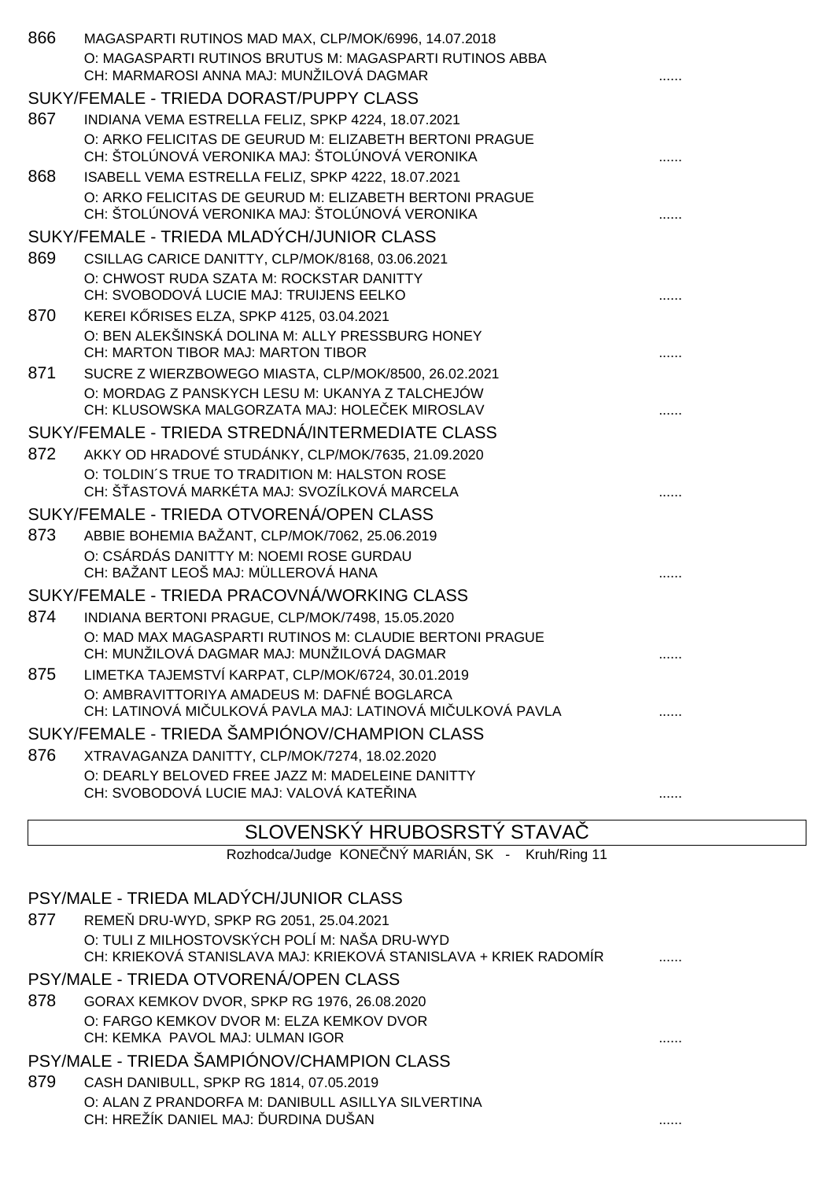| 866                                         | MAGASPARTI RUTINOS MAD MAX, CLP/MOK/6996, 14.07.2018<br>O: MAGASPARTI RUTINOS BRUTUS M: MAGASPARTI RUTINOS ABBA |  |
|---------------------------------------------|-----------------------------------------------------------------------------------------------------------------|--|
|                                             | CH: MARMAROSI ANNA MAJ: MUNŽILOVÁ DAGMAR                                                                        |  |
|                                             | SUKY/FEMALE - TRIEDA DORAST/PUPPY CLASS                                                                         |  |
| 867                                         | INDIANA VEMA ESTRELLA FELIZ, SPKP 4224, 18.07.2021                                                              |  |
|                                             | O: ARKO FELICITAS DE GEURUD M: ELIZABETH BERTONI PRAGUE                                                         |  |
|                                             | CH: ŠTOLÚNOVÁ VERONIKA MAJ: ŠTOLÚNOVÁ VERONIKA                                                                  |  |
| 868                                         | ISABELL VEMA ESTRELLA FELIZ, SPKP 4222, 18.07.2021                                                              |  |
|                                             | O: ARKO FELICITAS DE GEURUD M: ELIZABETH BERTONI PRAGUE<br>CH: ŠTOLÚNOVÁ VERONIKA MAJ: ŠTOLÚNOVÁ VERONIKA       |  |
|                                             | SUKY/FEMALE - TRIEDA MLADÝCH/JUNIOR CLASS                                                                       |  |
| 869                                         | CSILLAG CARICE DANITTY, CLP/MOK/8168, 03.06.2021                                                                |  |
|                                             | O: CHWOST RUDA SZATA M: ROCKSTAR DANITTY                                                                        |  |
|                                             | CH: SVOBODOVÁ LUCIE MAJ: TRUIJENS EELKO                                                                         |  |
| 870                                         | KEREI K RISES ELZA, SPKP 4125, 03.04.2021                                                                       |  |
|                                             | O: BEN ALEKŠINSKÁ DOLINA M: ALLY PRESSBURG HONEY<br>CH: MARTON TIBOR MAJ: MARTON TIBOR                          |  |
| 871                                         | SUCRE Z WIERZBOWEGO MIASTA, CLP/MOK/8500, 26.02.2021                                                            |  |
|                                             | O: MORDAG Z PANSKYCH LESU M: UKANYA Z TALCHEJÓW                                                                 |  |
|                                             | CH: KLUSOWSKA MALGORZATA MAJ: HOLE EK MIROSLAV                                                                  |  |
|                                             | SUKY/FEMALE - TRIEDA STREDNÁ/INTERMEDIATE CLASS                                                                 |  |
| 872                                         | AKKY OD HRADOVÉ STUDÁNKY, CLP/MOK/7635, 21.09.2020                                                              |  |
|                                             | O: TOLDIN'S TRUE TO TRADITION M: HALSTON ROSE                                                                   |  |
|                                             | CH: Š ASTOVÁ MARKÉTA MAJ: SVOZÍLKOVÁ MARCELA                                                                    |  |
|                                             | SUKY/FEMALE - TRIEDA OTVORENÁ/OPEN CLASS                                                                        |  |
| 873                                         | ABBIE BOHEMIA BAŽANT, CLP/MOK/7062, 25.06.2019                                                                  |  |
|                                             | O: CSÁRDÁS DANITTY M: NOEMI ROSE GURDAU                                                                         |  |
|                                             | CH: BAŽANT LEOŠ MAJ: MÜLLEROVÁ HANA                                                                             |  |
| SUKY/FEMALE - TRIEDA PRACOVNÁ/WORKING CLASS |                                                                                                                 |  |
| 874                                         | INDIANA BERTONI PRAGUE, CLP/MOK/7498, 15.05.2020                                                                |  |
|                                             | O: MAD MAX MAGASPARTI RUTINOS M: CLAUDIE BERTONI PRAGUE                                                         |  |
|                                             | CH: MUNŽILOVÁ DAGMAR MAJ: MUNŽILOVÁ DAGMAR                                                                      |  |
| 875                                         | LIMETKA TAJEMSTVÍ KARPAT, CLP/MOK/6724, 30.01.2019                                                              |  |
|                                             | O: AMBRAVITTORIYA AMADEUS M: DAFNÉ BOGLARCA<br>CH: LATINOVÁ MI ULKOVÁ PAVLA MAJ: LATINOVÁ MI ULKOVÁ PAVLA       |  |
|                                             | SUKY/FEMALE - TRIEDA ŠAMPIÓNOV/CHAMPION CLASS                                                                   |  |
| 876                                         |                                                                                                                 |  |
|                                             | XTRAVAGANZA DANITTY, CLP/MOK/7274, 18.02.2020<br>O: DEARLY BELOVED FREE JAZZ M: MADELEINE DANITTY               |  |
|                                             | CH: SVOBODOVÁ LUCIE MAJ: VALOVÁ KATE INA                                                                        |  |
|                                             |                                                                                                                 |  |

#### SLOVENSKÝ HRUBOSRSTÝ STAVAČ

Rozhodca/Judge KONE NÝ MARIÁN, SK - Kruh/Ring 11

|                                            | PSY/MALE - TRIEDA MLADÝCH/JUNIOR CLASS                                                                            |   |  |
|--------------------------------------------|-------------------------------------------------------------------------------------------------------------------|---|--|
| 877                                        | REME DRU-WYD, SPKP RG 2051, 25.04.2021                                                                            |   |  |
|                                            | O: TULI Z MILHOSTOVSKÝCH POLÍ M: NAŠA DRU-WYD<br>CH: KRIEKOVÁ STANISLAVA MAJ: KRIEKOVÁ STANISLAVA + KRIEK RADOMÍR |   |  |
|                                            | PSY/MALE - TRIEDA OTVORENÁ/OPEN CLASS                                                                             |   |  |
| 878                                        | GORAX KEMKOV DVOR, SPKP RG 1976, 26.08.2020                                                                       |   |  |
|                                            | O: FARGO KEMKOV DVOR M: ELZA KEMKOV DVOR                                                                          |   |  |
|                                            | CH: KEMKA PAVOL MAJ: ULMAN IGOR                                                                                   | . |  |
| PSY/MALE - TRIEDA ŠAMPIÓNOV/CHAMPION CLASS |                                                                                                                   |   |  |
| 879                                        | CASH DANIBULL, SPKP RG 1814, 07.05.2019                                                                           |   |  |
|                                            | O: ALAN Z PRANDORFA M: DANIBULL ASILLYA SILVERTINA                                                                |   |  |
|                                            | CH: HREŽÍK DANIEL MAJ: URDINA DUŠAN                                                                               | . |  |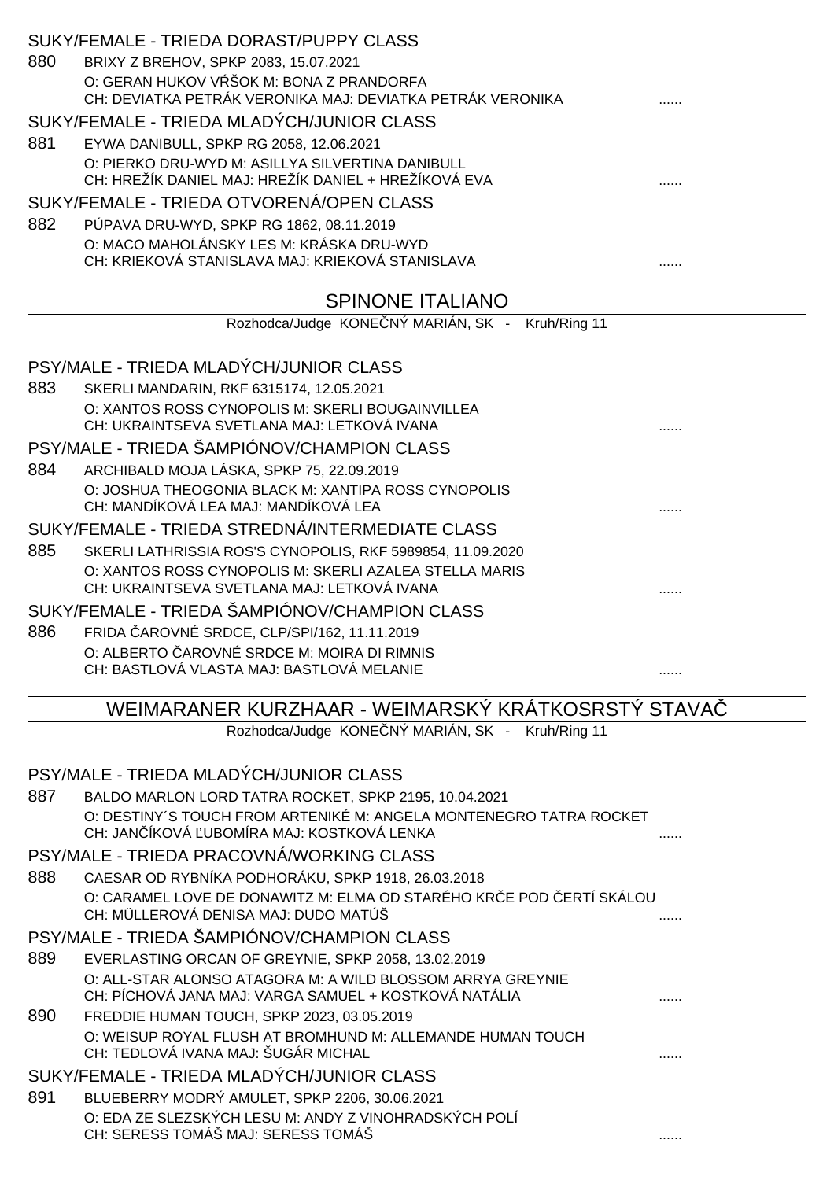| 880<br>881<br>882 | SUKY/FEMALE - TRIEDA DORAST/PUPPY CLASS<br>BRIXY Z BREHOV, SPKP 2083, 15.07.2021<br>O: GERAN HUKOV V ŠOK M: BONA Z PRANDORFA<br>CH: DEVIATKA PETRÁK VERONIKA MAJ: DEVIATKA PETRÁK VERONIKA<br>SUKY/FEMALE - TRIEDA MLADÝCH/JUNIOR CLASS<br>EYWA DANIBULL, SPKP RG 2058, 12.06.2021<br>O: PIERKO DRU-WYD M: ASILLYA SILVERTINA DANIBULL<br>CH: HREŽÍK DANIEL MAJ: HREŽÍK DANIEL + HREŽÍKOVÁ EVA<br>SUKY/FEMALE - TRIEDA OTVORENÁ/OPEN CLASS<br>PÚPAVA DRU-WYD, SPKP RG 1862, 08.11.2019 |  |
|-------------------|----------------------------------------------------------------------------------------------------------------------------------------------------------------------------------------------------------------------------------------------------------------------------------------------------------------------------------------------------------------------------------------------------------------------------------------------------------------------------------------|--|
|                   | O: MACO MAHOLÁNSKY LES M: KRÁSKA DRU-WYD<br>CH: KRIEKOVÁ STANISLAVA MAJ: KRIEKOVÁ STANISLAVA                                                                                                                                                                                                                                                                                                                                                                                           |  |
|                   | <b>SPINONE ITALIANO</b>                                                                                                                                                                                                                                                                                                                                                                                                                                                                |  |
|                   | Rozhodca/Judge KONE NÝ MARIÁN, SK -<br>Kruh/Ring 11                                                                                                                                                                                                                                                                                                                                                                                                                                    |  |
| 883               | PSY/MALE - TRIEDA MLADÝCH/JUNIOR CLASS<br>SKERLI MANDARIN, RKF 6315174, 12.05.2021<br>O: XANTOS ROSS CYNOPOLIS M: SKERLI BOUGAINVILLEA                                                                                                                                                                                                                                                                                                                                                 |  |
| 884               | CH: UKRAINTSEVA SVETLANA MAJ: LETKOVÁ IVANA<br>PSY/MALE - TRIEDA ŠAMPIÓNOV/CHAMPION CLASS<br>ARCHIBALD MOJA LÁSKA, SPKP 75, 22.09.2019                                                                                                                                                                                                                                                                                                                                                 |  |
|                   | O: JOSHUA THEOGONIA BLACK M: XANTIPA ROSS CYNOPOLIS<br>CH: MANDÍKOVÁ LEA MAJ: MANDÍKOVÁ LEA<br>SUKY/FEMALE - TRIEDA STREDNÁ/INTERMEDIATE CLASS                                                                                                                                                                                                                                                                                                                                         |  |
| 885               | SKERLI LATHRISSIA ROS'S CYNOPOLIS, RKF 5989854, 11.09.2020<br>O: XANTOS ROSS CYNOPOLIS M: SKERLI AZALEA STELLA MARIS<br>CH: UKRAINTSEVA SVETLANA MAJ: LETKOVÁ IVANA                                                                                                                                                                                                                                                                                                                    |  |
|                   | SUKY/FEMALE - TRIEDA ŠAMPIÓNOV/CHAMPION CLASS                                                                                                                                                                                                                                                                                                                                                                                                                                          |  |
| 886               | FRIDA AROVNÉ SRDCE, CLP/SPI/162, 11.11.2019<br>O: ALBERTO AROVNÉ SRDCE M: MOIRA DI RIMNIS<br>CH: BASTLOVÁ VLASTA MAJ: BASTLOVÁ MELANIE                                                                                                                                                                                                                                                                                                                                                 |  |
|                   | WEIMARANER KURZHAAR - WEIMARSKÝ KRÁTKOSRSTÝ STAVA                                                                                                                                                                                                                                                                                                                                                                                                                                      |  |
|                   | Rozhodca/Judge KONE NÝ MARIÁN, SK - Kruh/Ring 11                                                                                                                                                                                                                                                                                                                                                                                                                                       |  |
|                   | PSY/MALE - TRIEDA MLADÝCH/JUNIOR CLASS                                                                                                                                                                                                                                                                                                                                                                                                                                                 |  |
| 887               | BALDO MARLON LORD TATRA ROCKET, SPKP 2195, 10.04.2021                                                                                                                                                                                                                                                                                                                                                                                                                                  |  |
|                   | O: DESTINY'S TOUCH FROM ARTENIKÉ M: ANGELA MONTENEGRO TATRA ROCKET<br>CH: JAN ÍKOVÁ UBOMÍRA MAJ: KOSTKOVÁ LENKA                                                                                                                                                                                                                                                                                                                                                                        |  |
|                   | PSY/MALE - TRIEDA PRACOVNÁ/WORKING CLASS                                                                                                                                                                                                                                                                                                                                                                                                                                               |  |
| 888               | CAESAR OD RYBNÍKA PODHORÁKU, SPKP 1918, 26.03.2018<br>O: CARAMEL LOVE DE DONAWITZ M: ELMA OD STARÉHO KR E POD ERTÍ SKÁLOU<br>CH: MÜLLEROVÁ DENISA MAJ: DUDO MATÚŠ                                                                                                                                                                                                                                                                                                                      |  |
|                   | PSY/MALE - TRIEDA ŠAMPIÓNOV/CHAMPION CLASS                                                                                                                                                                                                                                                                                                                                                                                                                                             |  |
| 889               | EVERLASTING ORCAN OF GREYNIE, SPKP 2058, 13.02.2019                                                                                                                                                                                                                                                                                                                                                                                                                                    |  |
|                   | O: ALL-STAR ALONSO ATAGORA M: A WILD BLOSSOM ARRYA GREYNIE<br>CH: PÍCHOVÁ JANA MAJ: VARGA SAMUEL + KOSTKOVÁ NATÁLIA                                                                                                                                                                                                                                                                                                                                                                    |  |
| 890               | FREDDIE HUMAN TOUCH, SPKP 2023, 03.05.2019<br>O: WEISUP ROYAL FLUSH AT BROMHUND M: ALLEMANDE HUMAN TOUCH<br>CH: TEDLOVÁ IVANA MAJ: ŠUGÁR MICHAL                                                                                                                                                                                                                                                                                                                                        |  |
|                   | SUKY/FEMALE - TRIEDA MLADÝCH/JUNIOR CLASS                                                                                                                                                                                                                                                                                                                                                                                                                                              |  |
| 891               | BLUEBERRY MODRÝ AMULET, SPKP 2206, 30.06.2021                                                                                                                                                                                                                                                                                                                                                                                                                                          |  |
|                   | O: EDA ZE SLEZSKÝCH LESU M: ANDY Z VINOHRADSKÝCH POLÍ<br>CH: SERESS TOMÁŠ MAJ: SERESS TOMÁŠ                                                                                                                                                                                                                                                                                                                                                                                            |  |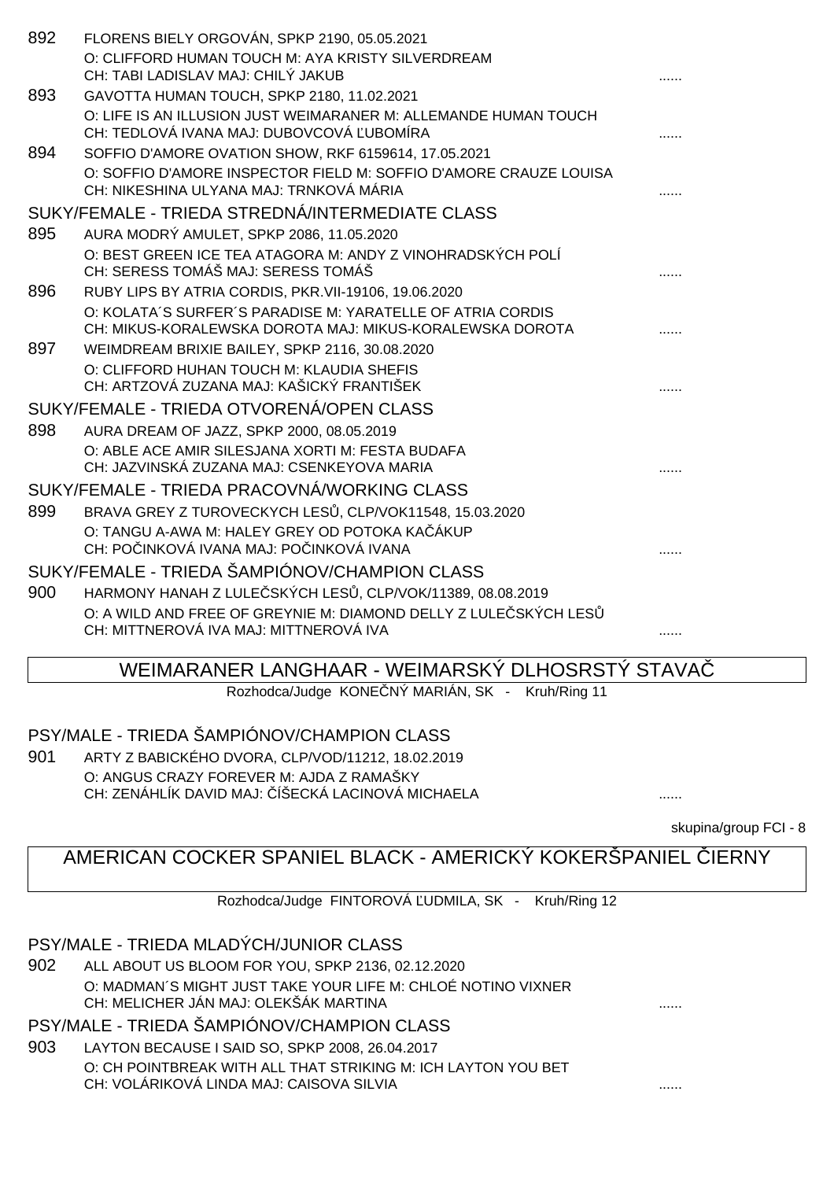| 892 | FLORENS BIELY ORGOVÁN, SPKP 2190, 05.05.2021                                                                 |  |
|-----|--------------------------------------------------------------------------------------------------------------|--|
|     | O: CLIFFORD HUMAN TOUCH M: AYA KRISTY SILVERDREAM                                                            |  |
|     | CH: TABI LADISLAV MAJ: CHILÝ JAKUB                                                                           |  |
| 893 | GAVOTTA HUMAN TOUCH, SPKP 2180, 11.02.2021                                                                   |  |
|     | O: LIFE IS AN ILLUSION JUST WEIMARANER M: ALLEMANDE HUMAN TOUCH                                              |  |
|     | CH: TEDLOVÁ IVANA MAJ: DUBOVCOVÁ UBOMÍRA                                                                     |  |
| 894 | SOFFIO D'AMORE OVATION SHOW, RKF 6159614, 17.05.2021                                                         |  |
|     | O: SOFFIO D'AMORE INSPECTOR FIELD M: SOFFIO D'AMORE CRAUZE LOUISA<br>CH: NIKESHINA ULYANA MAJ: TRNKOVÁ MÁRIA |  |
|     | SUKY/FEMALE - TRIEDA STREDNÁ/INTERMEDIATE CLASS                                                              |  |
| 895 | AURA MODRÝ AMULET, SPKP 2086, 11.05.2020                                                                     |  |
|     | O: BEST GREEN ICE TEA ATAGORA M: ANDY Z VINOHRADSKÝCH POLÍ<br>CH: SERESS TOMÁŠ MAJ: SERESS TOMÁŠ             |  |
| 896 | RUBY LIPS BY ATRIA CORDIS, PKR. VII-19106, 19.06.2020                                                        |  |
|     | O: KOLATA'S SURFER'S PARADISE M: YARATELLE OF ATRIA CORDIS                                                   |  |
|     | CH: MIKUS-KORALEWSKA DOROTA MAJ: MIKUS-KORALEWSKA DOROTA                                                     |  |
| 897 | WEIMDREAM BRIXIE BAILEY, SPKP 2116, 30.08.2020                                                               |  |
|     | O: CLIFFORD HUHAN TOUCH M: KLAUDIA SHEFIS                                                                    |  |
|     | CH: ARTZOVÁ ZUZANA MAJ: KAŠICKÝ FRANTIŠEK                                                                    |  |
|     | SUKY/FEMALE - TRIEDA OTVORENÁ/OPEN CLASS                                                                     |  |
| 898 | AURA DREAM OF JAZZ, SPKP 2000, 08.05.2019                                                                    |  |
|     | O: ABLE ACE AMIR SILESJANA XORTI M: FESTA BUDAFA                                                             |  |
|     | CH: JAZVINSKÁ ZUZANA MAJ: CSENKEYOVA MARIA                                                                   |  |
|     | SUKY/FEMALE - TRIEDA PRACOVNÁ/WORKING CLASS                                                                  |  |
| 899 | BRAVA GREY Z TUROVECKYCH LES , CLP/VOK11548, 15.03.2020                                                      |  |
|     | O: TANGU A-AWA M: HALEY GREY OD POTOKA KA ÁKUP                                                               |  |
|     | CH: PO INKOVÁ IVANA MAJ: PO INKOVÁ IVANA                                                                     |  |
|     | SUKY/FEMALE - TRIEDA ŠAMPIÓNOV/CHAMPION CLASS                                                                |  |
| 900 | HARMONY HANAH Z LULE SKÝCH LES, CLP/VOK/11389, 08.08.2019                                                    |  |
|     | O: A WILD AND FREE OF GREYNIE M: DIAMOND DELLY Z LULE SKÝCH LES                                              |  |
|     | CH: MITTNEROVÁ IVA MAJ: MITTNEROVÁ IVA                                                                       |  |

### WEIMARANER LANGHAAR - WEIMARSKÝ DLHOSRSTÝ STAVAČ

Rozhodca/Judge KONE NÝ MARIÁN, SK - Kruh/Ring 11

PSY/MALE - TRIEDA ŠAMPIÓNOV/CHAMPION CLASS

901 ARTY Z BABICKÉHO DVORA, CLP/VOD/11212, 18.02.2019 O: ANGUS CRAZY FOREVER M: AJDA Z RAMAŠKY CH: ZENÁHLÍK DAVID MAJ: ČÍŠECKÁ LACINOVÁ MICHAELA ......

skupina/group FCI - 8

# AMERICAN COCKER SPANIEL BLACK - AMERICKÝ KOKERŠPANIEL IERNY

Rozhodca/Judge FINTOROVÁ UDMILA, SK - Kruh/Ring 12

#### PSY/MALE - TRIEDA MLADÝCH/JUNIOR CLASS

902 ALL ABOUT US BLOOM FOR YOU, SPKP 2136, 02.12.2020 O: MADMAN´S MIGHT JUST TAKE YOUR LIFE M: CHLOÉ NOTINO VIXNER CH: MELICHER JÁN MAJ: OLEKŠÁK MARTINA ......

PSY/MALE - TRIEDA ŠAMPIÓNOV/CHAMPION CLASS

903 LAYTON BECAUSE I SAID SO, SPKP 2008, 26.04.2017 O: CH POINTBREAK WITH ALL THAT STRIKING M: ICH LAYTON YOU BET CH: VOLÁRIKOVÁ LINDA MAJ: CAISOVA SILVIA ......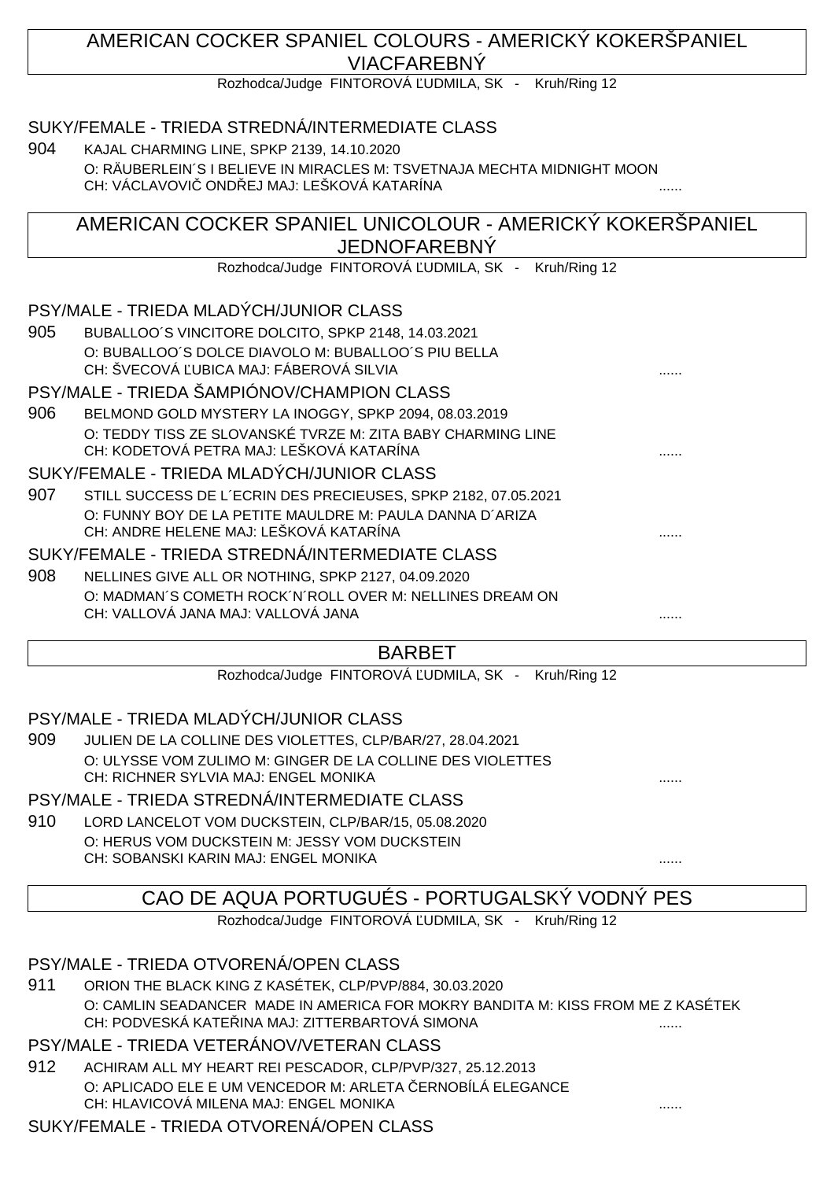### AMERICAN COCKER SPANIEL COLOURS - AMERICKÝ KOKERŠPANIEL VIACFAREBNÝ

Rozhodca/Judge FINTOROVÁ UDMILA, SK - Kruh/Ring 12

### SUKY/FEMALE - TRIEDA STREDNÁ/INTERMEDIATE CLASS

904 KAJAL CHARMING LINE, SPKP 2139, 14.10.2020 O: RÄUBERLEIN´S I BELIEVE IN MIRACLES M: TSVETNAJA MECHTA MIDNIGHT MOON CH: VÁCLAVOVIC ONDŘEJ MAJ: LEŠKOVÁ KATARÍNA

### AMERICAN COCKER SPANIEL UNICOLOUR - AMERICKÝ KOKERŠPANIEL JEDNOFAREBNÝ

Rozhodca/Judge FINTOROVÁ UDMILA, SK - Kruh/Ring 12

### PSY/MALE - TRIEDA MLADÝCH/JUNIOR CLASS

905 BUBALLOO´S VINCITORE DOLCITO, SPKP 2148, 14.03.2021 O: BUBALLOO´S DOLCE DIAVOLO M: BUBALLOO´S PIU BELLA CH: ŠVECOVÁ UBICA MAJ: FÁBEROVÁ SILVIA

#### PSY/MALE - TRIEDA ŠAMPIÓNOV/CHAMPION CLASS

906 BELMOND GOLD MYSTERY LA INOGGY, SPKP 2094, 08.03.2019 O: TEDDY TISS ZE SLOVANSKÉ TVRZE M: ZITA BABY CHARMING LINE CH: KODETOVÁ PETRA MAJ: LEŠKOVÁ KATARÍNA ......

#### SUKY/FEMALE - TRIEDA MLADÝCH/JUNIOR CLASS

907 STILL SUCCESS DE L´ECRIN DES PRECIEUSES, SPKP 2182, 07.05.2021 O: FUNNY BOY DE LA PETITE MAULDRE M: PAULA DANNA D´ARIZA CH: ANDRE HELENE MAJ: LEŠKOVÁ KATARÍNA

#### SUKY/FEMALE - TRIEDA STREDNÁ/INTERMEDIATE CLASS

908 NELLINES GIVE ALL OR NOTHING, SPKP 2127, 04.09.2020 O: MADMAN´S COMETH ROCK´N´ROLL OVER M: NELLINES DREAM ON CH: VALLOVÁ JANA MAJ: VALLOVÁ JANA

### BARBET

Rozhodca/Judge FINTOROVÁ UDMILA, SK - Kruh/Ring 12

#### PSY/MALE - TRIEDA MLADÝCH/JUNIOR CLASS

909 JULIEN DE LA COLLINE DES VIOLETTES, CLP/BAR/27, 28.04.2021 O: ULYSSE VOM ZULIMO M: GINGER DE LA COLLINE DES VIOLETTES CH: RICHNER SYLVIA MAJ: ENGEL MONIKA

#### PSY/MALE - TRIEDA STREDNÁ/INTERMEDIATE CLASS

910 LORD LANCELOT VOM DUCKSTEIN, CLP/BAR/15, 05.08.2020 O: HERUS VOM DUCKSTEIN M: JESSY VOM DUCKSTEIN CH: SOBANSKI KARIN MAJ: ENGEL MONIKA

## CAO DE AQUA PORTUGUÉS - PORTUGALSKÝ VODNÝ PES

Rozhodca/Judge FINTOROVÁ UDMILA, SK - Kruh/Ring 12

PSY/MALE - TRIEDA OTVORENÁ/OPEN CLASS

911 ORION THE BLACK KING Z KASÉTEK, CLP/PVP/884, 30.03.2020 O: CAMLIN SEADANCER MADE IN AMERICA FOR MOKRY BANDITA M: KISS FROM ME Z KASÉTEK CH: PODVESKÁ KATEŘINA MAJ: ZITTERBARTOVÁ SIMONA ......

### PSY/MALE - TRIEDA VETERÁNOV/VETERAN CLASS

912 ACHIRAM ALL MY HEART REI PESCADOR, CLP/PVP/327, 25.12.2013 O: APLICADO ELE E UM VENCEDOR M: ARLETA ERNOBÍLÁ ELEGANCE CH: HLAVICOVÁ MILENA MAJ: ENGEL MONIKA ......

### SUKY/FEMALE - TRIEDA OTVORENÁ/OPEN CLASS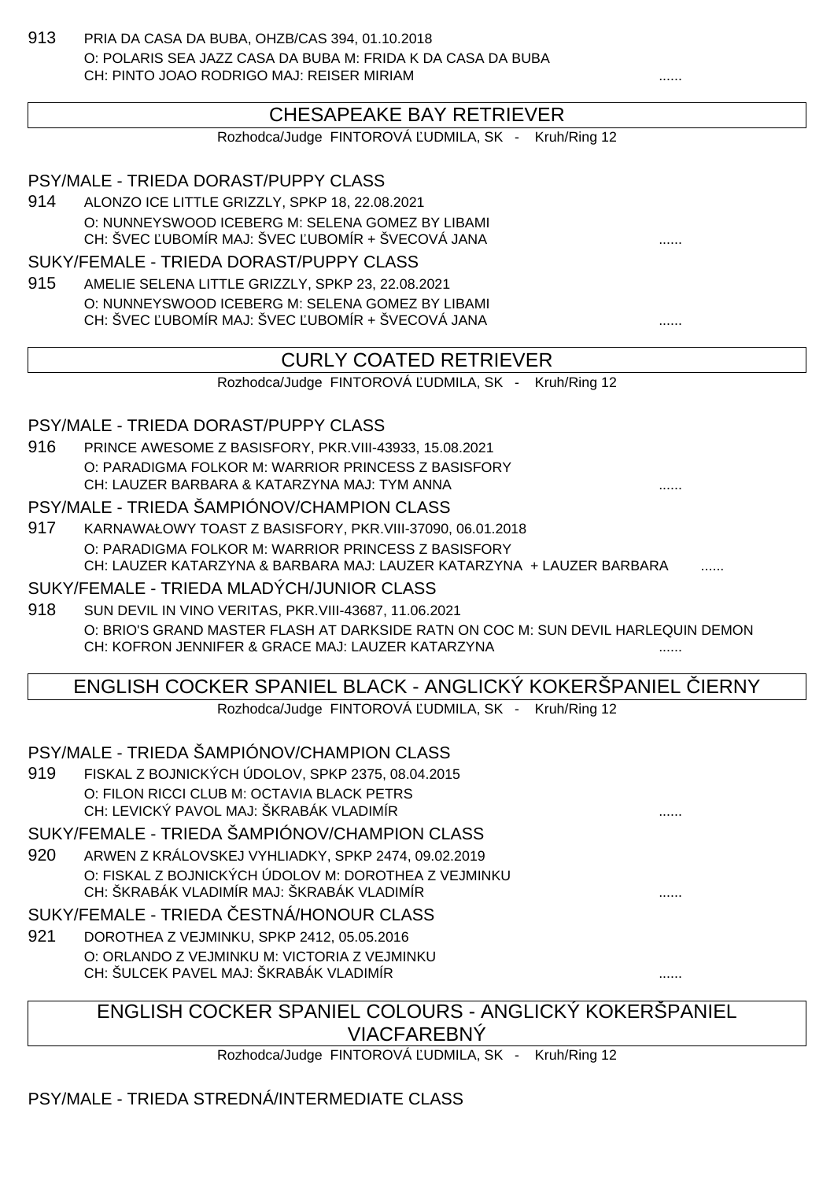913 PRIA DA CASA DA BUBA, OHZB/CAS 394, 01.10.2018 O: POLARIS SEA JAZZ CASA DA BUBA M: FRIDA K DA CASA DA BUBA CH: PINTO JOAO RODRIGO MAJ: REISER MIRIAM

### CHESAPEAKE BAY RETRIEVER

Rozhodca/Judge FINTOROVÁ UDMILA, SK - Kruh/Ring 12

PSY/MALE - TRIEDA DORAST/PUPPY CLASS 914 ALONZO ICE LITTLE GRIZZLY, SPKP 18, 22.08.2021 O: NUNNEYSWOOD ICEBERG M: SELENA GOMEZ BY LIBAMI CH: ŠVEC UBOMÍR MAJ: ŠVEC UBOMÍR + ŠVECOVÁ JANA ................................. SUKY/FEMALE - TRIEDA DORAST/PUPPY CLASS 915 AMELIE SELENA LITTLE GRIZZLY, SPKP 23, 22.08.2021 O: NUNNEYSWOOD ICEBERG M: SELENA GOMEZ BY LIBAMI CH: ŠVEC UBOMÍR MAJ: ŠVEC UBOMÍR + ŠVECOVÁ JANA ................................. CURLY COATED RETRIEVER Rozhodca/Judge FINTOROVÁ UDMILA, SK - Kruh/Ring 12 PSY/MALE - TRIEDA DORAST/PUPPY CLASS 916 PRINCE AWESOME Z BASISFORY, PKR.VIII-43933, 15.08.2021 O: PARADIGMA FOLKOR M: WARRIOR PRINCESS Z BASISFORY CH: LAUZER BARBARA & KATARZYNA MAJ: TYM ANNA PSY/MALE - TRIEDA ŠAMPIÓNOV/CHAMPION CLASS 917 KARNAWAŁOWY TOAST Z BASISFORY, PKR.VIII-37090, 06.01.2018 O: PARADIGMA FOLKOR M: WARRIOR PRINCESS Z BASISFORY CH: LAUZER KATARZYNA & BARBARA MAJ: LAUZER KATARZYNA + LAUZER BARBARA SUKY/FEMALE - TRIEDA MLADYCH/JUNIOR CLASS 918 SUN DEVIL IN VINO VERITAS, PKR.VIII-43687, 11.06.2021 O: BRIO'S GRAND MASTER FLASH AT DARKSIDE RATN ON COC M: SUN DEVIL HARLEQUIN DEMON CH: KOFRON JENNIFER & GRACE MAJ: LAUZER KATARZYNA ENGLISH COCKER SPANIEL BLACK - ANGLICKÝ KOKERŠPANIEL ČIERNY Rozhodca/Judge FINTOROVÁ UDMILA, SK - Kruh/Ring 12 PSY/MALE - TRIEDA ŠAMPIÓNOV/CHAMPION CLASS 919 FISKAL Z BOJNICKÝCH ÚDOLOV, SPKP 2375, 08.04.2015 O: FILON RICCI CLUB M: OCTAVIA BLACK PETRS CH: LEVICKÝ PAVOL MAJ: ŠKRABÁK VLADIMÍR SUKY/FEMALE - TRIEDA ŠAMPIÓNOV/CHAMPION CLASS 920 ARWEN Z KRÁLOVSKEJ VYHLIADKY, SPKP 2474, 09.02.2019 O: FISKAL Z BOJNICKÝCH ÚDOLOV M: DOROTHEA Z VEJMINKU CH: ŠKRABÁK VLADIMÍR MAJ: ŠKRABÁK VLADIMÍR ...... SUKY/FEMALE - TRIEDA ESTNÁ/HONOUR CLASS 921 DOROTHEA Z VEJMINKU, SPKP 2412, 05.05.2016 O: ORLANDO Z VEJMINKU M: VICTORIA Z VEJMINKU CH: ŠULCEK PAVEL MAJ: ŠKRABÁK VLADIMÍR ...... ENGLISH COCKER SPANIEL COLOURS - ANGLICKÝ KOKERŠPANIEL VIACFAREBNÝ Rozhodca/Judge FINTOROVÁ UDMILA, SK - Kruh/Ring 12

PSY/MALE - TRIEDA STREDNÁ/INTERMEDIATE CLASS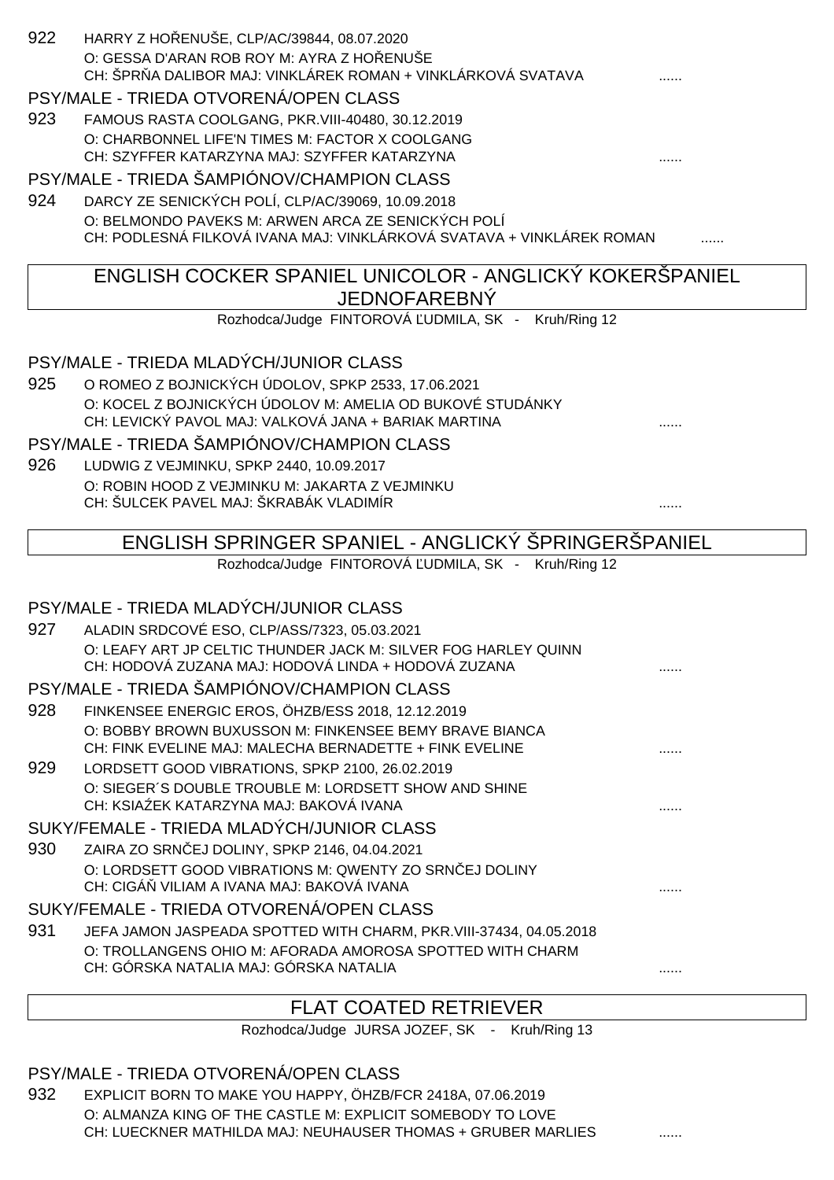| 922 | HARRY Z HO ENUŠE, CLP/AC/39844, 08.07.2020                                                                        |   |
|-----|-------------------------------------------------------------------------------------------------------------------|---|
|     | O: GESSA D'ARAN ROB ROY M: AYRA Z HO ENUSE                                                                        |   |
|     | CH: ŠPR A DALIBOR MAJ: VINKLÁREK ROMAN + VINKLÁRKOVÁ SVATAVA                                                      |   |
|     | PSY/MALE - TRIEDA OTVORENÁ/OPEN CLASS                                                                             |   |
| 923 | FAMOUS RASTA COOLGANG, PKR.VIII-40480, 30.12.2019                                                                 |   |
|     | O: CHARBONNEL LIFE'N TIMES M: FACTOR X COOLGANG<br>CH: SZYFFER KATARZYNA MAJ: SZYFFER KATARZYNA                   |   |
|     | PSY/MALE - TRIEDA ŠAMPIÓNOV/CHAMPION CLASS                                                                        |   |
| 924 | DARCY ZE SENICKÝCH POLÍ, CLP/AC/39069, 10.09.2018                                                                 |   |
|     | O: BELMONDO PAVEKS M: ARWEN ARCA ZE SENICKÝCH POLÍ                                                                |   |
|     | CH: PODLESNÁ FILKOVÁ IVANA MAJ: VINKLÁRKOVÁ SVATAVA + VINKLÁREK ROMAN                                             |   |
|     | ENGLISH COCKER SPANIEL UNICOLOR - ANGLICKÝ KOKERŠPANIEL                                                           |   |
|     | <b>JEDNOFAREBNÝ</b>                                                                                               |   |
|     | Rozhodca/Judge FINTOROVÁ UDMILA, SK - Kruh/Ring 12                                                                |   |
|     | PSY/MALE - TRIEDA MLADÝCH/JUNIOR CLASS                                                                            |   |
| 925 | O ROMEO Z BOJNICKÝCH ÚDOLOV, SPKP 2533, 17.06.2021                                                                |   |
|     | O: KOCEL Z BOJNICKÝCH ÚDOLOV M: AMELIA OD BUKOVÉ STUDÁNKY                                                         |   |
|     | CH: LEVICKÝ PAVOL MAJ: VALKOVÁ JANA + BARIAK MARTINA                                                              |   |
|     | PSY/MALE - TRIEDA ŠAMPIÓNOV/CHAMPION CLASS                                                                        |   |
| 926 | LUDWIG Z VEJMINKU, SPKP 2440, 10.09.2017                                                                          |   |
|     | O: ROBIN HOOD Z VEJMINKU M: JAKARTA Z VEJMINKU<br>CH: ŠULCEK PAVEL MAJ: ŠKRABÁK VLADIMÍR                          |   |
|     |                                                                                                                   |   |
|     | ENGLISH SPRINGER SPANIEL - ANGLICKÝ ŠPRINGERŠPANIEL                                                               |   |
|     | Rozhodca/Judge FINTOROVÁ UDMILA, SK - Kruh/Ring 12                                                                |   |
|     | PSY/MALE - TRIEDA MLADÝCH/JUNIOR CLASS                                                                            |   |
| 927 | ALADIN SRDCOVÉ ESO, CLP/ASS/7323, 05.03.2021                                                                      |   |
|     | O: LEAFY ART JP CELTIC THUNDER JACK M: SILVER FOG HARLEY QUINN                                                    |   |
|     | CH: HODOVÁ ZUZANA MAJ: HODOVÁ LINDA + HODOVÁ ZUZANA                                                               | . |
|     | PSY/MALE - TRIEDA ŠAMPIÓNOV/CHAMPION CLASS                                                                        |   |
| 928 | FINKENSEE ENERGIC EROS, ÖHZB/ESS 2018, 12.12.2019                                                                 |   |
|     | O: BOBBY BROWN BUXUSSON M: FINKENSEE BEMY BRAVE BIANCA<br>CH: FINK EVELINE MAJ: MALECHA BERNADETTE + FINK EVELINE |   |
| 929 | LORDSETT GOOD VIBRATIONS, SPKP 2100, 26.02.2019                                                                   |   |
|     | O: SIEGER'S DOUBLE TROUBLE M: LORDSETT SHOW AND SHINE                                                             |   |
|     | CH: KSIA EK KATARZYNA MAJ: BAKOVÁ IVANA                                                                           |   |
|     | SUKY/FEMALE - TRIEDA MLADÝCH/JUNIOR CLASS                                                                         |   |
| 930 | ZAIRA ZO SRN EJ DOLINY, SPKP 2146, 04.04.2021                                                                     |   |
|     | O: LORDSETT GOOD VIBRATIONS M: QWENTY ZO SRN EJ DOLINY<br>CH: CIGÁ VILIAM A IVANA MAJ: BAKOVÁ IVANA               |   |
|     | SUKY/FEMALE - TRIEDA OTVORENÁ/OPEN CLASS                                                                          |   |
| 931 | JEFA JAMON JASPEADA SPOTTED WITH CHARM, PKR.VIII-37434, 04.05.2018                                                |   |
|     | O: TROLLANGENS OHIO M: AFORADA AMOROSA SPOTTED WITH CHARM                                                         |   |
|     | CH: GÓRSKA NATALIA MAJ: GÓRSKA NATALIA                                                                            | . |
|     | <b>FLAT COATED RETRIEVER</b>                                                                                      |   |
|     |                                                                                                                   |   |

#### PSY/MALE - TRIEDA OTVORENÁ/OPEN CLASS

932 EXPLICIT BORN TO MAKE YOU HAPPY, ÖHZB/FCR 2418A, 07.06.2019 O: ALMANZA KING OF THE CASTLE M: EXPLICIT SOMEBODY TO LOVE CH: LUECKNER MATHILDA MAJ: NEUHAUSER THOMAS + GRUBER MARLIES .......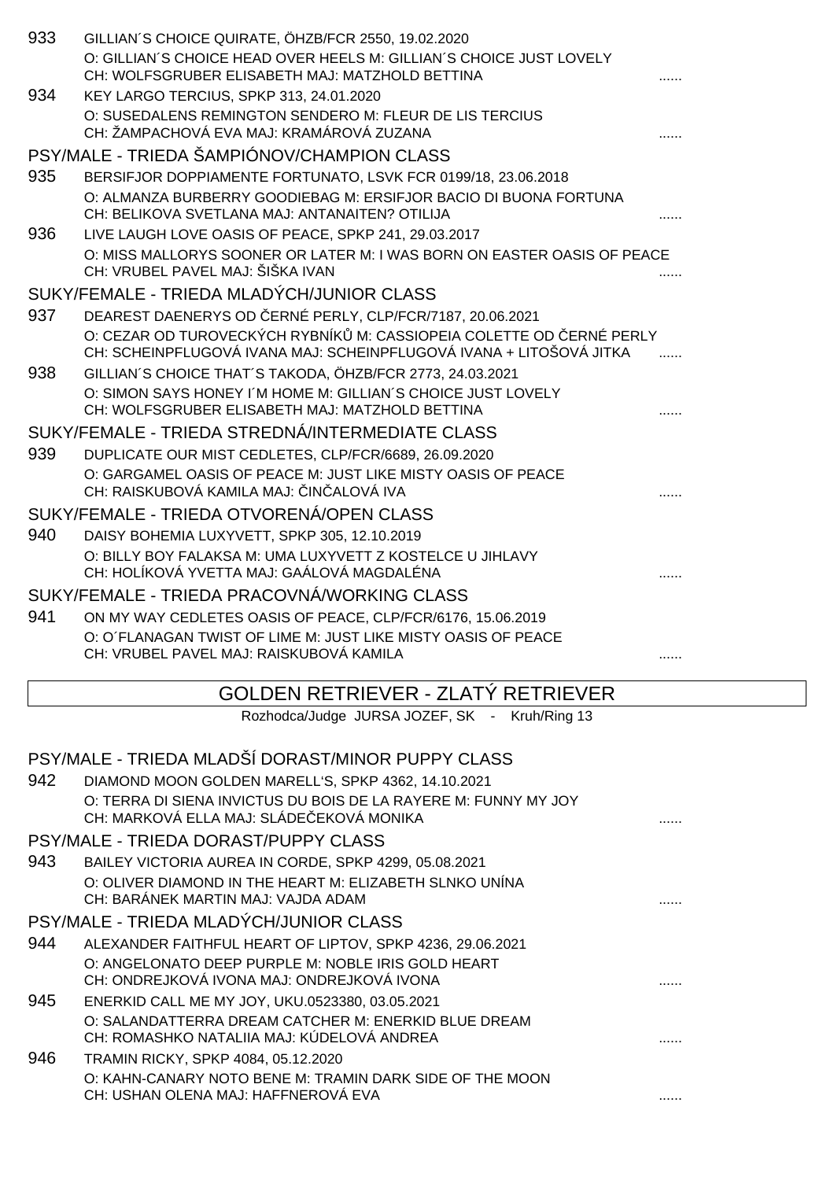| 933 | GILLIAN'S CHOICE QUIRATE, ÖHZB/FCR 2550, 19.02.2020<br>O: GILLIAN'S CHOICE HEAD OVER HEELS M: GILLIAN'S CHOICE JUST LOVELY<br>CH: WOLFSGRUBER ELISABETH MAJ: MATZHOLD BETTINA |   |
|-----|-------------------------------------------------------------------------------------------------------------------------------------------------------------------------------|---|
| 934 | KEY LARGO TERCIUS, SPKP 313, 24.01.2020<br>O: SUSEDALENS REMINGTON SENDERO M: FLEUR DE LIS TERCIUS<br>CH: ŽAMPACHOVÁ EVA MAJ: KRAMÁROVÁ ZUZANA                                |   |
|     | PSY/MALE - TRIEDA ŠAMPIÓNOV/CHAMPION CLASS                                                                                                                                    |   |
| 935 | BERSIFJOR DOPPIAMENTE FORTUNATO, LSVK FCR 0199/18, 23.06.2018                                                                                                                 |   |
|     | O: ALMANZA BURBERRY GOODIEBAG M: ERSIFJOR BACIO DI BUONA FORTUNA<br>CH: BELIKOVA SVETLANA MAJ: ANTANAITEN? OTILIJA                                                            |   |
| 936 | LIVE LAUGH LOVE OASIS OF PEACE, SPKP 241, 29.03.2017<br>O: MISS MALLORYS SOONER OR LATER M: I WAS BORN ON EASTER OASIS OF PEACE<br>CH: VRUBEL PAVEL MAJ: ŠIŠKA IVAN           |   |
|     | SUKY/FEMALE - TRIEDA MLADÝCH/JUNIOR CLASS                                                                                                                                     |   |
| 937 | DEAREST DAENERYS OD ERNÉ PERLY, CLP/FCR/7187, 20.06.2021                                                                                                                      |   |
|     | O: CEZAR OD TUROVECKÝCH RYBNÍK M: CASSIOPEIA COLETTE OD ERNÉ PERLY<br>CH: SCHEINPFLUGOVÁ IVANA MAJ: SCHEINPFLUGOVÁ IVANA + LITOŠOVÁ JITKA                                     |   |
| 938 | GILLIAN'S CHOICE THAT'S TAKODA, ÖHZB/FCR 2773, 24.03.2021                                                                                                                     |   |
|     | O: SIMON SAYS HONEY I'M HOME M: GILLIAN'S CHOICE JUST LOVELY<br>CH: WOLFSGRUBER ELISABETH MAJ: MATZHOLD BETTINA                                                               |   |
|     | SUKY/FEMALE - TRIEDA STREDNÁ/INTERMEDIATE CLASS                                                                                                                               |   |
| 939 | DUPLICATE OUR MIST CEDLETES, CLP/FCR/6689, 26.09.2020                                                                                                                         |   |
|     | O: GARGAMEL OASIS OF PEACE M: JUST LIKE MISTY OASIS OF PEACE<br>CH: RAISKUBOVÁ KAMILA MAJ: IN ALOVÁ IVA                                                                       |   |
|     | SUKY/FEMALE - TRIEDA OTVORENÁ/OPEN CLASS                                                                                                                                      |   |
| 940 | DAISY BOHEMIA LUXYVETT, SPKP 305, 12.10.2019                                                                                                                                  |   |
|     | O: BILLY BOY FALAKSA M: UMA LUXYVETT Z KOSTELCE U JIHLAVY<br>CH: HOLÍKOVÁ YVETTA MAJ: GAÁLOVÁ MAGDALÉNA                                                                       |   |
|     | SUKY/FEMALE - TRIEDA PRACOVNÁ/WORKING CLASS                                                                                                                                   |   |
| 941 | ON MY WAY CEDLETES OASIS OF PEACE, CLP/FCR/6176, 15.06.2019                                                                                                                   |   |
|     | O: O'FLANAGAN TWIST OF LIME M: JUST LIKE MISTY OASIS OF PEACE<br>CH: VRUBEL PAVEL MAJ: RAISKUBOVÁ KAMILA                                                                      | . |
|     | GOLDEN RETRIEVER - ZLATÝ RETRIEVER                                                                                                                                            |   |
|     | Rozhodca/Judge JURSA JOZEF, SK - Kruh/Ring 13                                                                                                                                 |   |
|     | PSY/MALE - TRIEDA MLADŠÍ DORAST/MINOR PUPPY CLASS                                                                                                                             |   |
| 942 | DIAMOND MOON GOLDEN MARELL'S, SPKP 4362, 14.10.2021                                                                                                                           |   |
|     | O: TERRA DI SIENA INVICTUS DU BOIS DE LA RAYERE M: FUNNY MY JOY<br>CH: MARKOVÁ ELLA MAJ: SLÁDE EKOVÁ MONIKA                                                                   |   |
|     | PSY/MALE - TRIEDA DORAST/PUPPY CLASS                                                                                                                                          |   |
| 943 | BAILEY VICTORIA AUREA IN CORDE, SPKP 4299, 05.08.2021<br>O: OLIVER DIAMOND IN THE HEART M: ELIZABETH SLNKO UNINA                                                              |   |
|     | CH: BARÁNEK MARTIN MAJ: VAJDA ADAM                                                                                                                                            |   |
|     | PSY/MALE - TRIEDA MLADÝCH/JUNIOR CLASS                                                                                                                                        |   |
| 944 | ALEXANDER FAITHFUL HEART OF LIPTOV, SPKP 4236, 29.06.2021                                                                                                                     |   |
|     | O: ANGELONATO DEEP PURPLE M: NOBLE IRIS GOLD HEART<br>CH: ONDREJKOVÁ IVONA MAJ: ONDREJKOVÁ IVONA                                                                              |   |
| 945 | ENERKID CALL ME MY JOY, UKU.0523380, 03.05.2021<br>O: SALANDATTERRA DREAM CATCHER M: ENERKID BLUE DREAM<br>CH: ROMASHKO NATALIIA MAJ: KÚDELOVÁ ANDREA                         |   |
| 946 | TRAMIN RICKY, SPKP 4084, 05.12.2020                                                                                                                                           |   |
|     | O: KAHN-CANARY NOTO BENE M: TRAMIN DARK SIDE OF THE MOON<br>CH: USHAN OLENA MAJ: HAFFNEROVÁ EVA                                                                               |   |
|     |                                                                                                                                                                               |   |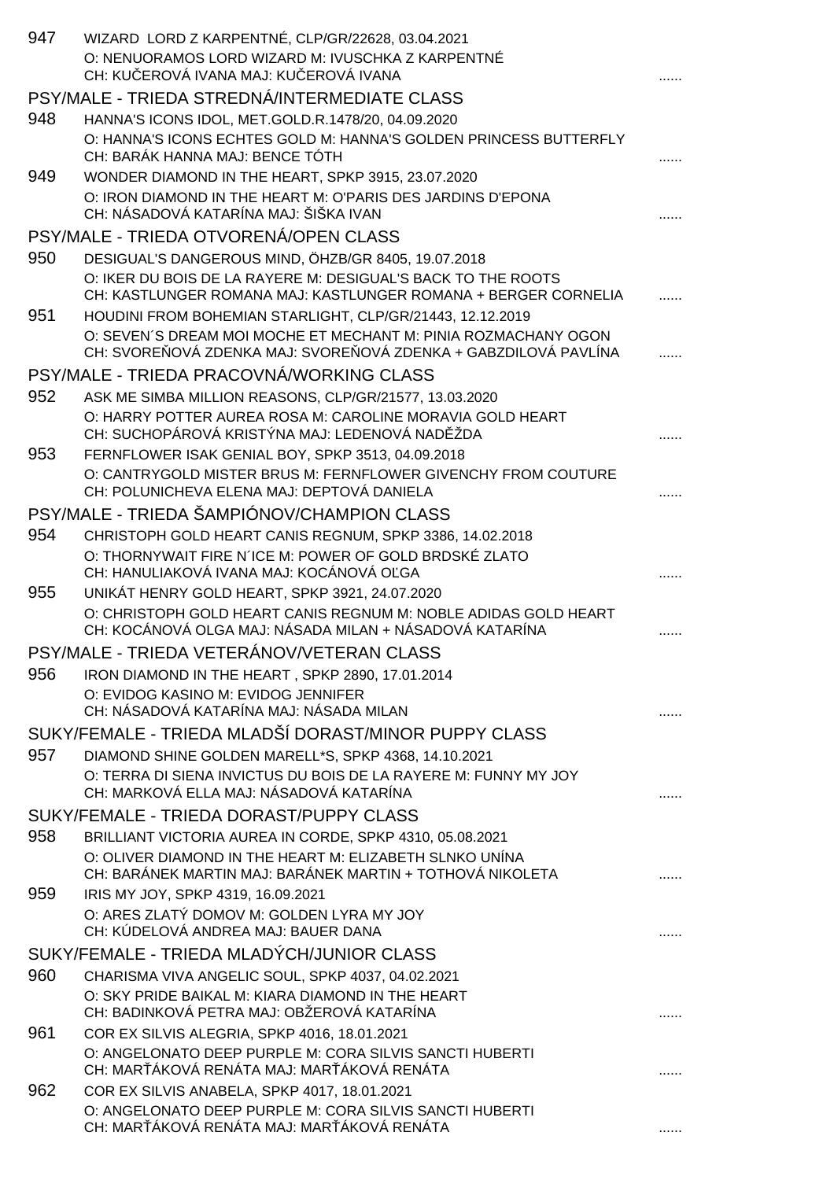| 947 | WIZARD LORD Z KARPENTNÉ, CLP/GR/22628, 03.04.2021                                                                                 |   |
|-----|-----------------------------------------------------------------------------------------------------------------------------------|---|
|     | O: NENUORAMOS LORD WIZARD M: IVUSCHKA Z KARPENTNÉ<br>CH: KU EROVÁ IVANA MAJ: KU EROVÁ IVANA                                       |   |
|     | PSY/MALE - TRIEDA STREDNÁ/INTERMEDIATE CLASS                                                                                      |   |
| 948 | HANNA'S ICONS IDOL, MET.GOLD.R.1478/20, 04.09.2020                                                                                |   |
|     | O: HANNA'S ICONS ECHTES GOLD M: HANNA'S GOLDEN PRINCESS BUTTERFLY<br>CH: BARÁK HANNA MAJ: BENCE TÓTH                              |   |
| 949 | WONDER DIAMOND IN THE HEART, SPKP 3915, 23.07.2020                                                                                |   |
|     | O: IRON DIAMOND IN THE HEART M: O'PARIS DES JARDINS D'EPONA<br>CH: NÁSADOVÁ KATARÍNA MAJ: ŠIŠKA IVAN                              |   |
|     | PSY/MALE - TRIEDA OTVORENÁ/OPEN CLASS                                                                                             |   |
| 950 | DESIGUAL'S DANGEROUS MIND, ÖHZB/GR 8405, 19.07.2018                                                                               |   |
|     | O: IKER DU BOIS DE LA RAYERE M: DESIGUAL'S BACK TO THE ROOTS<br>CH: KASTLUNGER ROMANA MAJ: KASTLUNGER ROMANA + BERGER CORNELIA    |   |
| 951 | HOUDINI FROM BOHEMIAN STARLIGHT, CLP/GR/21443, 12.12.2019                                                                         |   |
|     | O: SEVEN'S DREAM MOI MOCHE ET MECHANT M: PINIA ROZMACHANY OGON<br>CH: SVORE OVÁ ZDENKA MAJ: SVORE OVÁ ZDENKA + GABZDILOVÁ PAVLÍNA |   |
|     | PSY/MALE - TRIEDA PRACOVNÁ/WORKING CLASS                                                                                          |   |
| 952 | ASK ME SIMBA MILLION REASONS, CLP/GR/21577, 13.03.2020                                                                            |   |
|     | O: HARRY POTTER AUREA ROSA M: CAROLINE MORAVIA GOLD HEART<br>CH: SUCHOPÁROVÁ KRISTÝNA MAJ: LEDENOVÁ NAD ŽDA                       |   |
| 953 | FERNFLOWER ISAK GENIAL BOY, SPKP 3513, 04.09.2018                                                                                 |   |
|     | O: CANTRYGOLD MISTER BRUS M: FERNFLOWER GIVENCHY FROM COUTURE<br>CH: POLUNICHEVA ELENA MAJ: DEPTOVÁ DANIELA                       |   |
|     | PSY/MALE - TRIEDA ŠAMPIÓNOV/CHAMPION CLASS                                                                                        |   |
| 954 | CHRISTOPH GOLD HEART CANIS REGNUM, SPKP 3386, 14.02.2018                                                                          |   |
|     | O: THORNYWAIT FIRE N'ICE M: POWER OF GOLD BRDSKÉ ZLATO<br>CH: HANULIAKOVÁ IVANA MAJ: KOCÁNOVÁ O GA                                |   |
| 955 | UNIKÁT HENRY GOLD HEART, SPKP 3921, 24.07.2020                                                                                    |   |
|     | O: CHRISTOPH GOLD HEART CANIS REGNUM M: NOBLE ADIDAS GOLD HEART<br>CH: KOCÁNOVÁ OLGA MAJ: NÁSADA MILAN + NÁSADOVÁ KATARÍNA        |   |
|     | PSY/MALE - TRIEDA VETERÁNOV/VETERAN CLASS                                                                                         |   |
| 956 | IRON DIAMOND IN THE HEART, SPKP 2890, 17.01.2014                                                                                  |   |
|     | O: EVIDOG KASINO M: EVIDOG JENNIFER<br>CH: NÁSADOVÁ KATARÍNA MAJ: NÁSADA MILAN                                                    |   |
|     | SUKY/FEMALE - TRIEDA MLADŠÍ DORAST/MINOR PUPPY CLASS                                                                              |   |
| 957 | DIAMOND SHINE GOLDEN MARELL*S, SPKP 4368, 14.10.2021                                                                              |   |
|     | O: TERRA DI SIENA INVICTUS DU BOIS DE LA RAYERE M: FUNNY MY JOY<br>CH: MARKOVÁ ELLA MAJ: NÁSADOVÁ KATARÍNA                        |   |
|     | SUKY/FEMALE - TRIEDA DORAST/PUPPY CLASS                                                                                           |   |
| 958 | BRILLIANT VICTORIA AUREA IN CORDE, SPKP 4310, 05.08.2021                                                                          |   |
|     | O: OLIVER DIAMOND IN THE HEART M: ELIZABETH SLNKO UNINA<br>CH: BARÁNEK MARTIN MAJ: BARÁNEK MARTIN + TOTHOVÁ NIKOLETA              |   |
| 959 | IRIS MY JOY, SPKP 4319, 16.09.2021                                                                                                |   |
|     | O: ARES ZLATÝ DOMOV M: GOLDEN LYRA MY JOY<br>CH: KÚDELOVÁ ANDREA MAJ: BAUER DANA                                                  |   |
|     | SUKY/FEMALE - TRIEDA MLADÝCH/JUNIOR CLASS                                                                                         |   |
| 960 | CHARISMA VIVA ANGELIC SOUL, SPKP 4037, 04.02.2021                                                                                 |   |
|     | O: SKY PRIDE BAIKAL M: KIARA DIAMOND IN THE HEART<br>CH: BADINKOVÁ PETRA MAJ: OBŽEROVÁ KATARÍNA                                   | . |
| 961 | COR EX SILVIS ALEGRIA, SPKP 4016, 18.01.2021                                                                                      |   |
|     | O: ANGELONATO DEEP PURPLE M: CORA SILVIS SANCTI HUBERTI<br>CH: MAR ÁKOVÁ RENÁTA MAJ: MAR ÁKOVÁ RENÁTA                             |   |
| 962 | COR EX SILVIS ANABELA, SPKP 4017, 18.01.2021                                                                                      |   |
|     | O: ANGELONATO DEEP PURPLE M: CORA SILVIS SANCTI HUBERTI                                                                           |   |
|     | CH: MAR ÁKOVÁ RENÁTA MAJ: MAR ÁKOVÁ RENÁTA                                                                                        |   |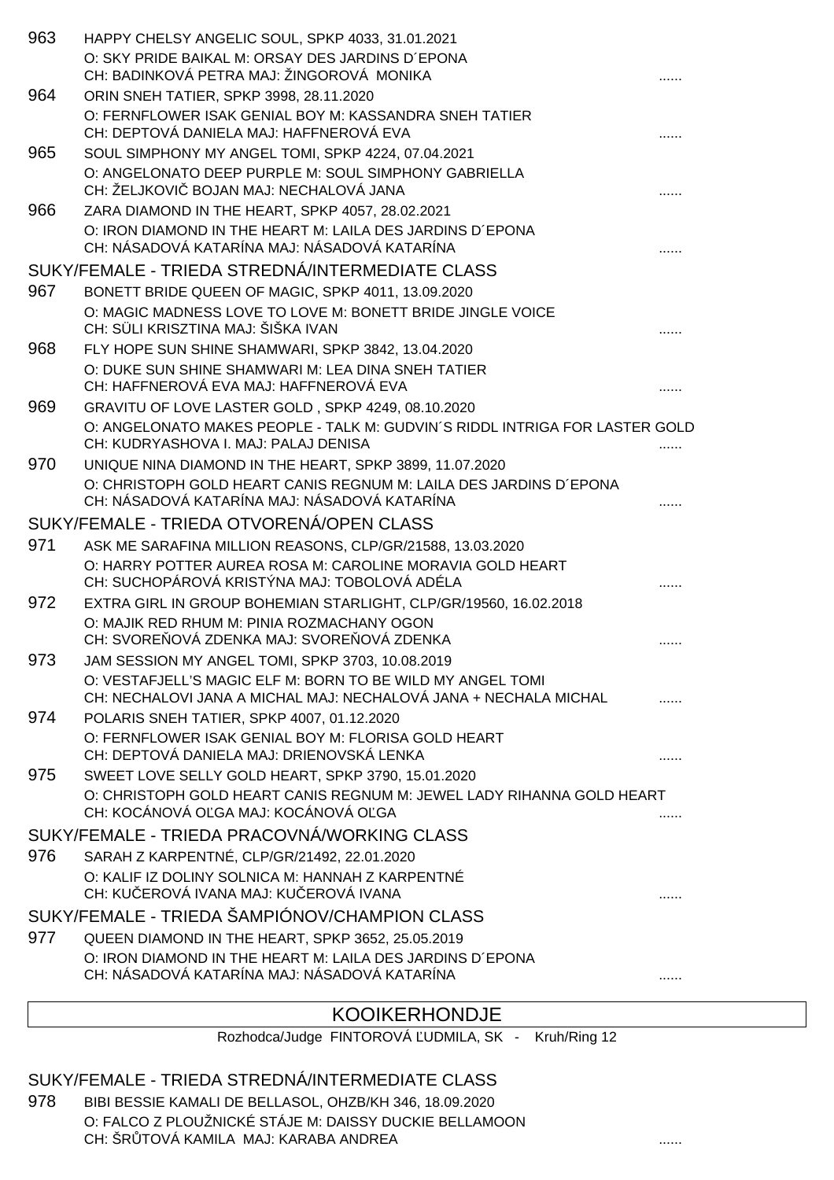| 963 | HAPPY CHELSY ANGELIC SOUL, SPKP 4033, 31.01.2021                                                                    |  |
|-----|---------------------------------------------------------------------------------------------------------------------|--|
|     | O: SKY PRIDE BAIKAL M: ORSAY DES JARDINS D'EPONA                                                                    |  |
|     | CH: BADINKOVÁ PETRA MAJ: ŽINGOROVÁ MONIKA                                                                           |  |
| 964 | ORIN SNEH TATIER, SPKP 3998, 28.11.2020                                                                             |  |
|     | O: FERNFLOWER ISAK GENIAL BOY M: KASSANDRA SNEH TATIER<br>CH: DEPTOVÁ DANIELA MAJ: HAFFNEROVÁ EVA                   |  |
| 965 | SOUL SIMPHONY MY ANGEL TOMI, SPKP 4224, 07.04.2021                                                                  |  |
|     | O: ANGELONATO DEEP PURPLE M: SOUL SIMPHONY GABRIELLA                                                                |  |
|     | CH: ŽELJKOVI BOJAN MAJ: NECHALOVÁ JANA                                                                              |  |
| 966 | ZARA DIAMOND IN THE HEART, SPKP 4057, 28.02.2021                                                                    |  |
|     | O: IRON DIAMOND IN THE HEART M: LAILA DES JARDINS D'EPONA                                                           |  |
|     | CH: NÁSADOVÁ KATARÍNA MAJ: NÁSADOVÁ KATARÍNA                                                                        |  |
|     | SUKY/FEMALE - TRIEDA STREDNÁ/INTERMEDIATE CLASS                                                                     |  |
| 967 | BONETT BRIDE QUEEN OF MAGIC, SPKP 4011, 13.09.2020                                                                  |  |
|     | O: MAGIC MADNESS LOVE TO LOVE M: BONETT BRIDE JINGLE VOICE<br>CH: SÜLI KRISZTINA MAJ: ŠIŠKA IVAN                    |  |
| 968 | FLY HOPE SUN SHINE SHAMWARI, SPKP 3842, 13.04.2020                                                                  |  |
|     | O: DUKE SUN SHINE SHAMWARI M: LEA DINA SNEH TATIER                                                                  |  |
|     | CH: HAFFNEROVÁ EVA MAJ: HAFFNEROVÁ EVA                                                                              |  |
| 969 | GRAVITU OF LOVE LASTER GOLD, SPKP 4249, 08.10.2020                                                                  |  |
|     | O: ANGELONATO MAKES PEOPLE - TALK M: GUDVIN'S RIDDL INTRIGA FOR LASTER GOLD<br>CH: KUDRYASHOVA I. MAJ: PALAJ DENISA |  |
| 970 | UNIQUE NINA DIAMOND IN THE HEART, SPKP 3899, 11.07.2020                                                             |  |
|     | O: CHRISTOPH GOLD HEART CANIS REGNUM M: LAILA DES JARDINS D'EPONA                                                   |  |
|     | CH: NÁSADOVÁ KATARÍNA MAJ: NÁSADOVÁ KATARÍNA                                                                        |  |
|     | SUKY/FEMALE - TRIEDA OTVORENÁ/OPEN CLASS                                                                            |  |
| 971 | ASK ME SARAFINA MILLION REASONS, CLP/GR/21588, 13.03.2020                                                           |  |
|     | O: HARRY POTTER AUREA ROSA M: CAROLINE MORAVIA GOLD HEART                                                           |  |
|     | CH: SUCHOPÁROVÁ KRISTÝNA MAJ: TOBOLOVÁ ADÉLA                                                                        |  |
| 972 | EXTRA GIRL IN GROUP BOHEMIAN STARLIGHT, CLP/GR/19560, 16.02.2018                                                    |  |
|     | O: MAJIK RED RHUM M: PINIA ROZMACHANY OGON<br>CH: SVORE OVÁ ZDENKA MAJ: SVORE OVÁ ZDENKA                            |  |
| 973 | JAM SESSION MY ANGEL TOMI, SPKP 3703, 10.08.2019                                                                    |  |
|     | O: VESTAFJELL'S MAGIC ELF M: BORN TO BE WILD MY ANGEL TOMI                                                          |  |
|     | CH: NECHALOVI JANA A MICHAL MAJ: NECHALOVÁ JANA + NECHALA MICHAL                                                    |  |
| 974 | POLARIS SNEH TATIER, SPKP 4007, 01.12.2020                                                                          |  |
|     | O: FERNFLOWER ISAK GENIAL BOY M: FLORISA GOLD HEART                                                                 |  |
|     | CH: DEPTOVÁ DANIELA MAJ: DRIENOVSKÁ LENKA                                                                           |  |
| 975 | SWEET LOVE SELLY GOLD HEART, SPKP 3790, 15.01.2020                                                                  |  |
|     | O: CHRISTOPH GOLD HEART CANIS REGNUM M: JEWEL LADY RIHANNA GOLD HEART<br>CH: KOCÁNOVÁ O GA MAJ: KOCÁNOVÁ O GA       |  |
|     | SUKY/FEMALE - TRIEDA PRACOVNÁ/WORKING CLASS                                                                         |  |
| 976 | SARAH Z KARPENTNÉ, CLP/GR/21492, 22.01.2020                                                                         |  |
|     | O: KALIF IZ DOLINY SOLNICA M: HANNAH Z KARPENTNÉ                                                                    |  |
|     | CH: KU EROVÁ IVANA MAJ: KU EROVÁ IVANA                                                                              |  |
|     | SUKY/FEMALE - TRIEDA ŠAMPIÓNOV/CHAMPION CLASS                                                                       |  |
| 977 | QUEEN DIAMOND IN THE HEART, SPKP 3652, 25.05.2019                                                                   |  |
|     | O: IRON DIAMOND IN THE HEART M: LAILA DES JARDINS D'EPONA                                                           |  |
|     | CH: NÁSADOVÁ KATARÍNA MAJ: NÁSADOVÁ KATARÍNA                                                                        |  |

### KOOIKERHONDJE

Rozhodca/Judge FINTOROVÁ UDMILA, SK - Kruh/Ring 12

### SUKY/FEMALE - TRIEDA STREDNÁ/INTERMEDIATE CLASS

978 BIBI BESSIE KAMALI DE BELLASOL, OHZB/KH 346, 18.09.2020 O: FALCO Z PLOUŽNICKÉ STÁJE M: DAISSY DUCKIE BELLAMOON CH: ŠR TOVÁ KAMILA MAJ: KARABA ANDREA **.......** .......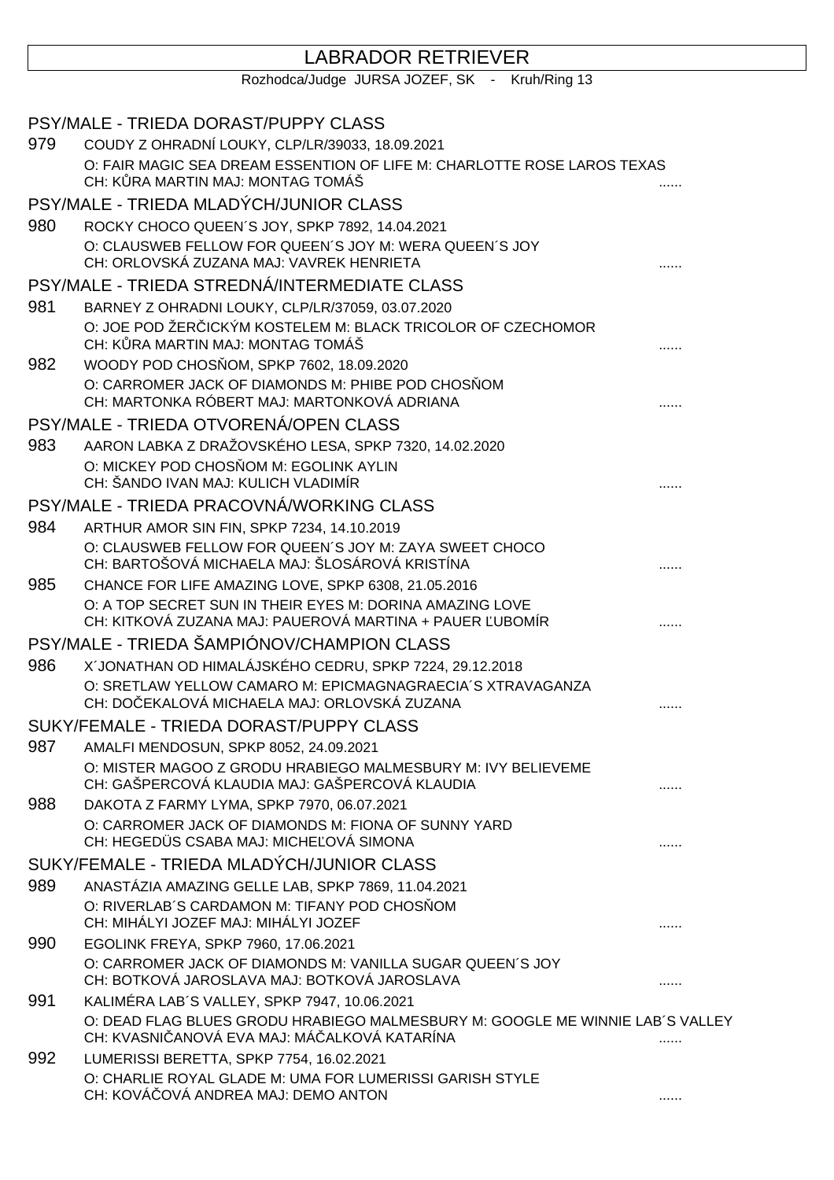# LABRADOR RETRIEVER

Rozhodca/Judge JURSA JOZEF, SK - Kruh/Ring 13

|     | PSY/MALE - TRIEDA DORAST/PUPPY CLASS                                                                                                         |   |
|-----|----------------------------------------------------------------------------------------------------------------------------------------------|---|
| 979 | COUDY Z OHRADNÍ LOUKY, CLP/LR/39033, 18.09.2021                                                                                              |   |
|     | O: FAIR MAGIC SEA DREAM ESSENTION OF LIFE M: CHARLOTTE ROSE LAROS TEXAS<br>CH: K RA MARTIN MAJ: MONTAG TOMÁŠ                                 |   |
|     | PSY/MALE - TRIEDA MLADÝCH/JUNIOR CLASS                                                                                                       |   |
| 980 | ROCKY CHOCO QUEEN'S JOY, SPKP 7892, 14.04.2021                                                                                               |   |
|     | O: CLAUSWEB FELLOW FOR QUEEN'S JOY M: WERA QUEEN'S JOY<br>CH: ORLOVSKÁ ZUZANA MAJ: VAVREK HENRIETA                                           |   |
|     | PSY/MALE - TRIEDA STREDNÁ/INTERMEDIATE CLASS                                                                                                 |   |
| 981 | BARNEY Z OHRADNI LOUKY, CLP/LR/37059, 03.07.2020                                                                                             |   |
|     | O: JOE POD ŽER ICKÝM KOSTELEM M: BLACK TRICOLOR OF CZECHOMOR<br>CH: K RA MARTIN MAJ: MONTAG TOMÁŠ                                            |   |
| 982 | WOODY POD CHOS OM, SPKP 7602, 18.09.2020<br>O: CARROMER JACK OF DIAMONDS M: PHIBE POD CHOS OM<br>CH: MARTONKA RÓBERT MAJ: MARTONKOVÁ ADRIANA |   |
|     | PSY/MALE - TRIEDA OTVORENÁ/OPEN CLASS                                                                                                        |   |
| 983 | AARON LABKA Z DRAŽOVSKÉHO LESA, SPKP 7320, 14.02.2020<br>O: MICKEY POD CHOS OM M: EGOLINK AYLIN<br>CH: ŠANDO IVAN MAJ: KULICH VLADIMÍR       |   |
|     | PSY/MALE - TRIEDA PRACOVNÁ/WORKING CLASS                                                                                                     |   |
| 984 | ARTHUR AMOR SIN FIN, SPKP 7234, 14.10.2019                                                                                                   |   |
|     | O: CLAUSWEB FELLOW FOR QUEEN'S JOY M: ZAYA SWEET CHOCO<br>CH: BARTOŠOVÁ MICHAELA MAJ: ŠLOSÁROVÁ KRISTÍNA                                     |   |
| 985 | CHANCE FOR LIFE AMAZING LOVE, SPKP 6308, 21.05.2016                                                                                          |   |
|     | O: A TOP SECRET SUN IN THEIR EYES M: DORINA AMAZING LOVE<br>CH: KITKOVÁ ZUZANA MAJ: PAUEROVÁ MARTINA + PAUER UBOMÍR                          |   |
|     | PSY/MALE - TRIEDA ŠAMPIÓNOV/CHAMPION CLASS                                                                                                   |   |
| 986 | X'JONATHAN OD HIMALÁJSKÉHO CEDRU, SPKP 7224, 29.12.2018                                                                                      |   |
|     | O: SRETLAW YELLOW CAMARO M: EPICMAGNAGRAECIA'S XTRAVAGANZA<br>CH: DO EKALOVÁ MICHAELA MAJ: ORLOVSKÁ ZUZANA                                   |   |
|     | SUKY/FEMALE - TRIEDA DORAST/PUPPY CLASS                                                                                                      |   |
| 987 | AMALFI MENDOSUN, SPKP 8052, 24.09.2021                                                                                                       |   |
|     | O: MISTER MAGOO Z GRODU HRABIEGO MALMESBURY M: IVY BELIEVEME<br>CH: GAŠPERCOVÁ KLAUDIA MAJ: GAŠPERCOVÁ KLAUDIA                               |   |
| 988 | DAKOTA Z FARMY LYMA, SPKP 7970, 06.07.2021                                                                                                   |   |
|     | O: CARROMER JACK OF DIAMONDS M: FIONA OF SUNNY YARD<br>CH: HEGEDÜS CSABA MAJ: MICHE OVÁ SIMONA                                               |   |
|     | SUKY/FEMALE - TRIEDA MLADÝCH/JUNIOR CLASS                                                                                                    |   |
| 989 | ANASTÁZIA AMAZING GELLE LAB, SPKP 7869, 11.04.2021                                                                                           |   |
|     | O: RIVERLAB'S CARDAMON M: TIFANY POD CHOS OM<br>CH: MIHÁLYI JOZEF MAJ: MIHÁLYI JOZEF                                                         |   |
| 990 | EGOLINK FREYA, SPKP 7960, 17.06.2021                                                                                                         |   |
|     | O: CARROMER JACK OF DIAMONDS M: VANILLA SUGAR QUEEN'S JOY<br>CH: BOTKOVÁ JAROSLAVA MAJ: BOTKOVÁ JAROSLAVA                                    | . |
| 991 | KALIMÉRA LAB'S VALLEY, SPKP 7947, 10.06.2021                                                                                                 |   |
|     | O: DEAD FLAG BLUES GRODU HRABIEGO MALMESBURY M: GOOGLE ME WINNIE LAB'S VALLEY<br>CH: KVASNI ANOVÁ EVA MAJ: MÁ ALKOVÁ KATARÍNA                | . |
| 992 | LUMERISSI BERETTA, SPKP 7754, 16.02.2021                                                                                                     |   |
|     | O: CHARLIE ROYAL GLADE M: UMA FOR LUMERISSI GARISH STYLE<br>CH: KOVÁ OVÁ ANDREA MAJ: DEMO ANTON                                              | . |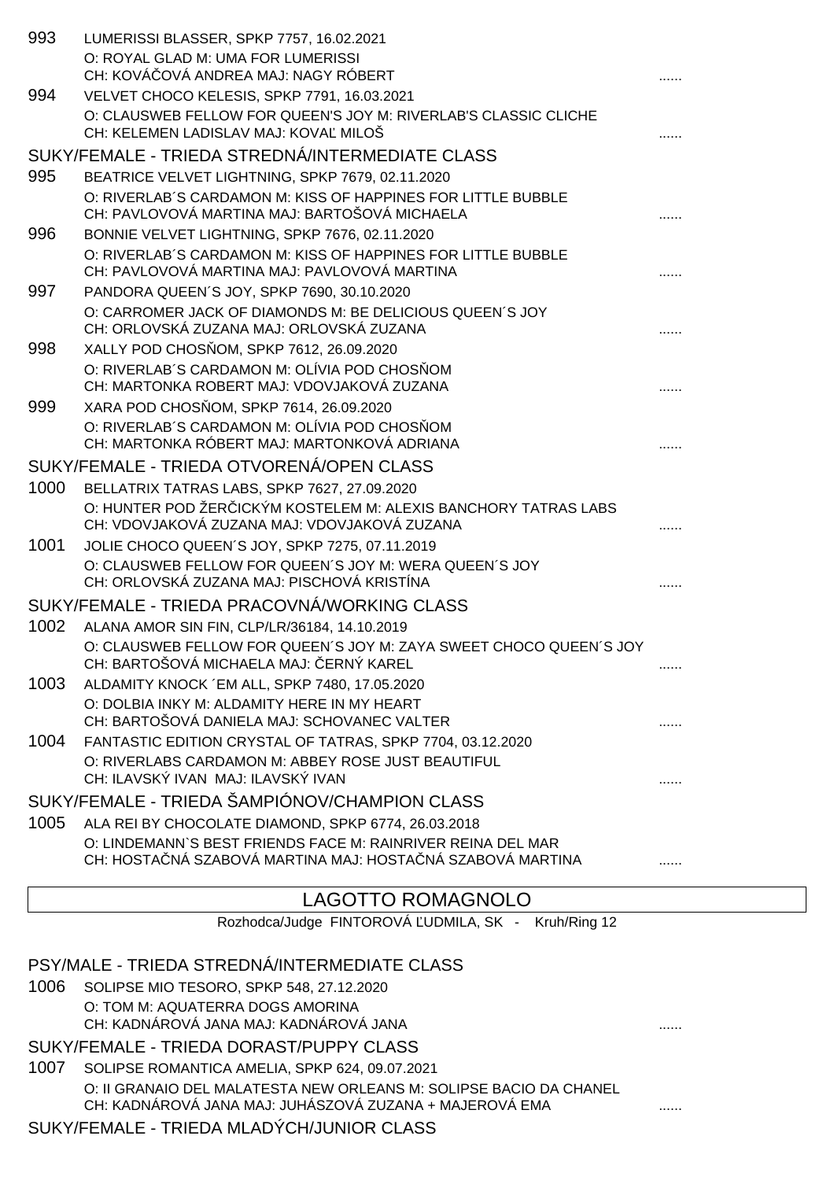| 993  | LUMERISSI BLASSER, SPKP 7757, 16.02.2021                                                                                  |  |
|------|---------------------------------------------------------------------------------------------------------------------------|--|
|      | O: ROYAL GLAD M: UMA FOR LUMERISSI                                                                                        |  |
|      | CH: KOVÁ OVÁ ANDREA MAJ: NAGY RÓBERT                                                                                      |  |
| 994  | VELVET CHOCO KELESIS, SPKP 7791, 16.03.2021                                                                               |  |
|      | O: CLAUSWEB FELLOW FOR QUEEN'S JOY M: RIVERLAB'S CLASSIC CLICHE<br>CH: KELEMEN LADISLAV MAJ: KOVA MILOŠ                   |  |
|      | SUKY/FEMALE - TRIEDA STREDNÁ/INTERMEDIATE CLASS                                                                           |  |
| 995  | BEATRICE VELVET LIGHTNING, SPKP 7679, 02.11.2020                                                                          |  |
|      | O: RIVERLAB'S CARDAMON M: KISS OF HAPPINES FOR LITTLE BUBBLE<br>CH: PAVLOVOVÁ MARTINA MAJ: BARTOŠOVÁ MICHAELA             |  |
| 996  | BONNIE VELVET LIGHTNING, SPKP 7676, 02.11.2020                                                                            |  |
|      | O: RIVERLAB'S CARDAMON M: KISS OF HAPPINES FOR LITTLE BUBBLE<br>CH: PAVLOVOVÁ MARTINA MAJ: PAVLOVOVÁ MARTINA              |  |
| 997  | PANDORA QUEEN'S JOY, SPKP 7690, 30.10.2020                                                                                |  |
|      | O: CARROMER JACK OF DIAMONDS M: BE DELICIOUS QUEEN'S JOY<br>CH: ORLOVSKÁ ZUZANA MAJ: ORLOVSKÁ ZUZANA                      |  |
| 998  | XALLY POD CHOS OM, SPKP 7612, 26.09.2020                                                                                  |  |
|      | O: RIVERLAB'S CARDAMON M: OLÍVIA POD CHOS OM<br>CH: MARTONKA ROBERT MAJ: VDOVJAKOVÁ ZUZANA                                |  |
| 999  | XARA POD CHOS OM, SPKP 7614, 26.09.2020                                                                                   |  |
|      | O: RIVERLAB'S CARDAMON M: OLÍVIA POD CHOS OM<br>CH: MARTONKA RÓBERT MAJ: MARTONKOVÁ ADRIANA                               |  |
|      | SUKY/FEMALE - TRIEDA OTVORENÁ/OPEN CLASS                                                                                  |  |
| 1000 | BELLATRIX TATRAS LABS, SPKP 7627, 27.09.2020                                                                              |  |
|      | O: HUNTER POD ŽER ICKÝM KOSTELEM M: ALEXIS BANCHORY TATRAS LABS<br>CH: VDOVJAKOVÁ ZUZANA MAJ: VDOVJAKOVÁ ZUZANA           |  |
| 1001 | JOLIE CHOCO QUEEN'S JOY, SPKP 7275, 07.11.2019                                                                            |  |
|      | O: CLAUSWEB FELLOW FOR QUEEN'S JOY M: WERA QUEEN'S JOY<br>CH: ORLOVSKÁ ZUZANA MAJ: PISCHOVÁ KRISTÍNA                      |  |
|      | SUKY/FEMALE - TRIEDA PRACOVNÁ/WORKING CLASS                                                                               |  |
| 1002 | ALANA AMOR SIN FIN, CLP/LR/36184, 14.10.2019                                                                              |  |
|      | O: CLAUSWEB FELLOW FOR QUEEN'S JOY M: ZAYA SWEET CHOCO QUEEN'S JOY<br>CH: BARTOŠOVÁ MICHAELA MAJ: ERNÝ KAREL              |  |
| 1003 | ALDAMITY KNOCK 'EM ALL, SPKP 7480, 17.05.2020                                                                             |  |
|      | O: DOLBIA INKY M: ALDAMITY HERE IN MY HEART<br>CH: BARTOŠOVÁ DANIELA MAJ: SCHOVANEC VALTER                                |  |
| 1004 | FANTASTIC EDITION CRYSTAL OF TATRAS, SPKP 7704, 03.12.2020                                                                |  |
|      | O: RIVERLABS CARDAMON M: ABBEY ROSE JUST BEAUTIFUL<br>CH: ILAVSKÝ IVAN MAJ: ILAVSKÝ IVAN                                  |  |
|      | SUKY/FEMALE - TRIEDA ŠAMPIÓNOV/CHAMPION CLASS                                                                             |  |
| 1005 | ALA REI BY CHOCOLATE DIAMOND, SPKP 6774, 26.03.2018                                                                       |  |
|      | O: LINDEMANN'S BEST FRIENDS FACE M: RAINRIVER REINA DEL MAR<br>CH: HOSTA NÁ SZABOVÁ MARTINA MAJ: HOSTA NÁ SZABOVÁ MARTINA |  |
|      | <b>LAGOTTO ROMAGNOLO</b>                                                                                                  |  |
|      | Rozhodca/Judge FINTOROVÁ UDMILA, SK - Kruh/Ring 12                                                                        |  |
|      |                                                                                                                           |  |

PSY/MALE - TRIEDA STREDNÁ/INTERMEDIATE CLASS

1006 SOLIPSE MIO TESORO, SPKP 548, 27.12.2020 O: TOM M: AQUATERRA DOGS AMORINA CH: KADNÁROVÁ JANA MAJ: KADNÁROVÁ JANA ......

SUKY/FEMALE - TRIEDA DORAST/PUPPY CLASS

1007 SOLIPSE ROMANTICA AMELIA, SPKP 624, 09.07.2021 O: II GRANAIO DEL MALATESTA NEW ORLEANS M: SOLIPSE BACIO DA CHANEL CH: KADNÁROVÁ JANA MAJ: JUHÁSZOVÁ ZUZANA + MAJEROVÁ EMA ......

SUKY/FEMALE - TRIEDA MLADÝCH/JUNIOR CLASS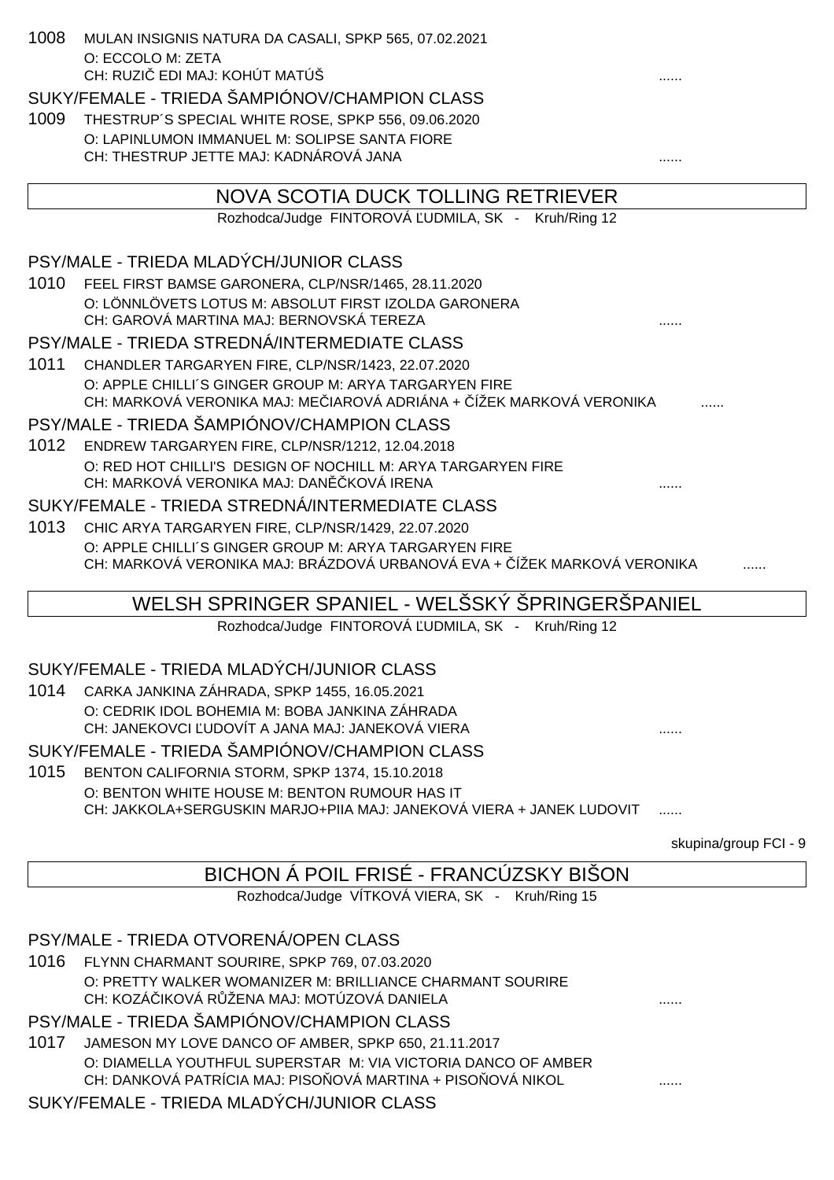| 1008 | MULAN INSIGNIS NATURA DA CASALI, SPKP 565, 07.02.2021<br>O: ECCOLO M: ZETA                                                   |                       |
|------|------------------------------------------------------------------------------------------------------------------------------|-----------------------|
|      | CH: RUZI EDI MAJ: KOHÚT MATÚŠ                                                                                                |                       |
|      | SUKY/FEMALE - TRIEDA ŠAMPIÓNOV/CHAMPION CLASS                                                                                |                       |
| 1009 | THESTRUP'S SPECIAL WHITE ROSE, SPKP 556, 09.06.2020                                                                          |                       |
|      | O: LAPINLUMON IMMANUEL M: SOLIPSE SANTA FIORE<br>CH: THESTRUP JETTE MAJ: KADNÁROVÁ JANA                                      |                       |
|      |                                                                                                                              |                       |
|      | NOVA SCOTIA DUCK TOLLING RETRIEVER                                                                                           |                       |
|      | Rozhodca/Judge FINTOROVÁ UDMILA, SK - Kruh/Ring 12                                                                           |                       |
|      |                                                                                                                              |                       |
|      | PSY/MALE - TRIEDA MLADÝCH/JUNIOR CLASS                                                                                       |                       |
| 1010 | FEEL FIRST BAMSE GARONERA, CLP/NSR/1465, 28.11.2020                                                                          |                       |
|      | O: LÖNNLÖVETS LOTUS M: ABSOLUT FIRST IZOLDA GARONERA<br>CH: GAROVÁ MARTINA MAJ: BERNOVSKÁ TEREZA                             |                       |
|      | PSY/MALE - TRIEDA STREDNÁ/INTERMEDIATE CLASS                                                                                 |                       |
|      |                                                                                                                              |                       |
| 1011 | CHANDLER TARGARYEN FIRE, CLP/NSR/1423, 22.07.2020<br>O: APPLE CHILLI'S GINGER GROUP M: ARYA TARGARYEN FIRE                   |                       |
|      | CH: MARKOVÁ VERONIKA MAJ: ME IAROVÁ ADRIÁNA + ÍŽEK MARKOVÁ VERONIKA                                                          |                       |
|      | PSY/MALE - TRIEDA ŠAMPIÓNOV/CHAMPION CLASS                                                                                   |                       |
| 1012 | ENDREW TARGARYEN FIRE, CLP/NSR/1212, 12.04.2018                                                                              |                       |
|      | O: RED HOT CHILLI'S DESIGN OF NOCHILL M: ARYA TARGARYEN FIRE                                                                 |                       |
|      | CH: MARKOVÁ VERONIKA MAJ: DAN KOVÁ IRENA                                                                                     |                       |
|      | SUKY/FEMALE - TRIEDA STREDNÁ/INTERMEDIATE CLASS                                                                              |                       |
| 1013 | CHIC ARYA TARGARYEN FIRE, CLP/NSR/1429, 22.07.2020                                                                           |                       |
|      | O: APPLE CHILLI'S GINGER GROUP M: ARYA TARGARYEN FIRE                                                                        |                       |
|      | CH: MARKOVÁ VERONIKA MAJ: BRÁZDOVÁ URBANOVÁ EVA + ÍŽEK MARKOVÁ VERONIKA                                                      |                       |
|      | WELSH SPRINGER SPANIEL - WELSSKÝ SPRINGERSPANIEL                                                                             |                       |
|      | Rozhodca/Judge FINTOROVÁ UDMILA, SK - Kruh/Ring 12                                                                           |                       |
|      |                                                                                                                              |                       |
|      | SUKY/FEMALE - TRIEDA MLADÝCH/JUNIOR CLASS                                                                                    |                       |
|      | 1014 CARKA JANKINA ZÁHRADA, SPKP 1455, 16.05.2021                                                                            |                       |
|      | O: CEDRIK IDOL BOHEMIA M: BOBA JANKINA ZÁHRADA<br>CH: JANEKOVCI UDOVÍT A JANA MAJ: JANEKOVÁ VIERA                            |                       |
|      | SUKY/FEMALE - TRIEDA ŠAMPIÓNOV/CHAMPION CLASS                                                                                |                       |
|      |                                                                                                                              |                       |
| 1015 | BENTON CALIFORNIA STORM, SPKP 1374, 15.10.2018<br>O: BENTON WHITE HOUSE M: BENTON RUMOUR HAS IT                              |                       |
|      | CH: JAKKOLA+SERGUSKIN MARJO+PIIA MAJ: JANEKOVÁ VIERA + JANEK LUDOVIT                                                         |                       |
|      |                                                                                                                              |                       |
|      |                                                                                                                              | skupina/group FCI - 9 |
|      | BICHON Á POIL FRISÉ - FRANCÚZSKY BIŠON                                                                                       |                       |
|      | Rozhodca/Judge VÍTKOVÁ VIERA, SK - Kruh/Ring 15                                                                              |                       |
|      |                                                                                                                              |                       |
|      | PSY/MALE - TRIEDA OTVORENÁ/OPEN CLASS                                                                                        |                       |
| 1016 | FLYNN CHARMANT SOURIRE, SPKP 769, 07.03.2020                                                                                 |                       |
|      | O: PRETTY WALKER WOMANIZER M: BRILLIANCE CHARMANT SOURIRE<br>CH: KOZÁ IKOVÁ R ŽENA MAJ: MOTÚZOVÁ DANIELA                     |                       |
|      |                                                                                                                              |                       |
|      | PSY/MALE - TRIEDA ŠAMPIÓNOV/CHAMPION CLASS                                                                                   |                       |
| 1017 | JAMESON MY LOVE DANCO OF AMBER, SPKP 650, 21.11.2017                                                                         |                       |
|      | O: DIAMELLA YOUTHFUL SUPERSTAR M: VIA VICTORIA DANCO OF AMBER<br>CH: DANKOVÁ PATRÍCIA MAJ: PISO OVÁ MARTINA + PISO OVÁ NIKOL |                       |
|      | SUKY/FEMALE - TRIEDA MLADÝCH/JUNIOR CLASS                                                                                    |                       |
|      |                                                                                                                              |                       |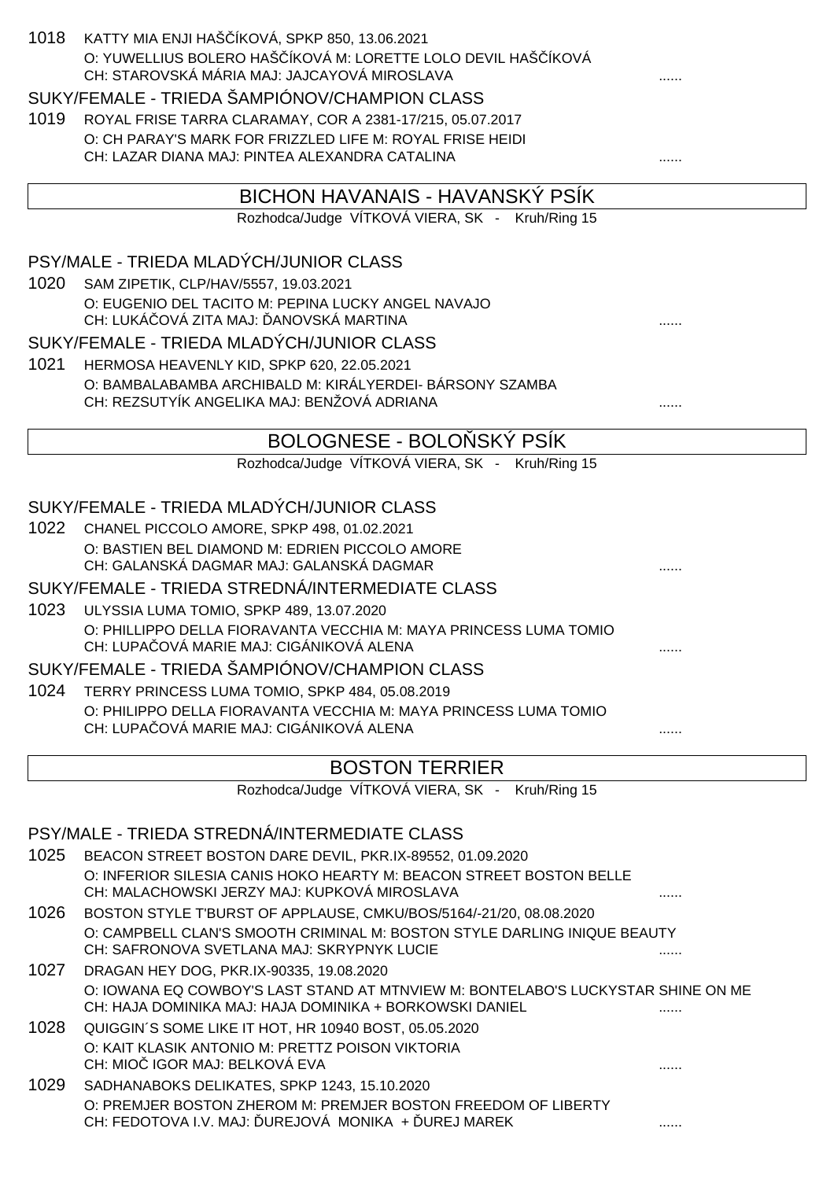| 1018 | KATTY MIA ENJI HAŠ ÍKOVÁ, SPKP 850, 13.06.2021<br>O: YUWELLIUS BOLERO HAŠ ÍKOVÁ M: LORETTE LOLO DEVIL HAŠ ÍKOVÁ<br>CH: STAROVSKÁ MÁRIA MAJ: JAJCAYOVÁ MIROSLAVA<br>SUKY/FEMALE - TRIEDA ŠAMPIÓNOV/CHAMPION CLASS |  |
|------|------------------------------------------------------------------------------------------------------------------------------------------------------------------------------------------------------------------|--|
| 1019 | ROYAL FRISE TARRA CLARAMAY, COR A 2381-17/215, 05.07.2017                                                                                                                                                        |  |
|      | O: CH PARAY'S MARK FOR FRIZZLED LIFE M: ROYAL FRISE HEIDI                                                                                                                                                        |  |
|      | CH: LAZAR DIANA MAJ: PINTEA ALEXANDRA CATALINA                                                                                                                                                                   |  |
|      | BICHON HAVANAIS - HAVANSKÝ PSÍK                                                                                                                                                                                  |  |
|      | Rozhodca/Judge VÍTKOVÁ VIERA, SK - Kruh/Ring 15                                                                                                                                                                  |  |
|      | PSY/MALE - TRIEDA MLADÝCH/JUNIOR CLASS                                                                                                                                                                           |  |
| 1020 | SAM ZIPETIK, CLP/HAV/5557, 19.03.2021                                                                                                                                                                            |  |
|      | O: EUGENIO DEL TACITO M: PEPINA LUCKY ANGEL NAVAJO<br>CH: LUKÁ OVÁ ZITA MAJ: ANOVSKÁ MARTINA                                                                                                                     |  |
|      | SUKY/FEMALE - TRIEDA MLADÝCH/JUNIOR CLASS                                                                                                                                                                        |  |
| 1021 | HERMOSA HEAVENLY KID, SPKP 620, 22.05.2021                                                                                                                                                                       |  |
|      | O: BAMBALABAMBA ARCHIBALD M: KIRÁLYERDEI- BÁRSONY SZAMBA                                                                                                                                                         |  |
|      | CH: REZSUTYÍK ANGELIKA MAJ: BENŽOVÁ ADRIANA                                                                                                                                                                      |  |
|      | BOLOGNESE - BOLO SKÝ PSÍK                                                                                                                                                                                        |  |
|      | Rozhodca/Judge VÍTKOVÁ VIERA, SK - Kruh/Ring 15                                                                                                                                                                  |  |
|      |                                                                                                                                                                                                                  |  |
|      | SUKY/FEMALE - TRIEDA MLADÝCH/JUNIOR CLASS                                                                                                                                                                        |  |
| 1022 | CHANEL PICCOLO AMORE, SPKP 498, 01.02.2021<br>O: BASTIEN BEL DIAMOND M: EDRIEN PICCOLO AMORE<br>CH: GALANSKÁ DAGMAR MAJ: GALANSKÁ DAGMAR                                                                         |  |
|      | SUKY/FEMALE - TRIEDA STREDNÁ/INTERMEDIATE CLASS                                                                                                                                                                  |  |
| 1023 | ULYSSIA LUMA TOMIO, SPKP 489, 13.07.2020                                                                                                                                                                         |  |
|      | O: PHILLIPPO DELLA FIORAVANTA VECCHIA M: MAYA PRINCESS LUMA TOMIO<br>CH: LUPA OVÁ MARIE MAJ: CIGÁNIKOVÁ ALENA                                                                                                    |  |
|      | SUKY/FEMALE - TRIEDA ŠAMPIÓNOV/CHAMPION CLASS                                                                                                                                                                    |  |
|      | 1024 TERRY PRINCESS LUMA TOMIO, SPKP 484, 05.08.2019                                                                                                                                                             |  |
|      | O: PHILIPPO DELLA FIORAVANTA VECCHIA M: MAYA PRINCESS LUMA TOMIO<br>CH: LUPA OVÁ MARIE MAJ: CIGÁNIKOVÁ ALENA                                                                                                     |  |
|      | <b>BOSTON TERRIER</b>                                                                                                                                                                                            |  |
|      | Rozhodca/Judge VÍTKOVÁ VIERA, SK - Kruh/Ring 15                                                                                                                                                                  |  |
|      |                                                                                                                                                                                                                  |  |
|      | PSY/MALE - TRIEDA STREDNÁ/INTERMEDIATE CLASS                                                                                                                                                                     |  |
| 1025 | BEACON STREET BOSTON DARE DEVIL, PKR.IX-89552, 01.09.2020                                                                                                                                                        |  |
|      | O: INFERIOR SILESIA CANIS HOKO HEARTY M: BEACON STREET BOSTON BELLE<br>CH: MALACHOWSKI JERZY MAJ: KUPKOVÁ MIROSLAVA                                                                                              |  |
| 1026 | BOSTON STYLE T'BURST OF APPLAUSE, CMKU/BOS/5164/-21/20, 08.08.2020                                                                                                                                               |  |
|      | O: CAMPBELL CLAN'S SMOOTH CRIMINAL M: BOSTON STYLE DARLING INIQUE BEAUTY<br>CH: SAFRONOVA SVETLANA MAJ: SKRYPNYK LUCIE                                                                                           |  |
| 1027 | DRAGAN HEY DOG, PKR.IX-90335, 19.08.2020                                                                                                                                                                         |  |
|      | O: IOWANA EQ COWBOY'S LAST STAND AT MTNVIEW M: BONTELABO'S LUCKYSTAR SHINE ON ME<br>CH: HAJA DOMINIKA MAJ: HAJA DOMINIKA + BORKOWSKI DANIEL                                                                      |  |
| 1028 | QUIGGIN'S SOME LIKE IT HOT, HR 10940 BOST, 05.05.2020                                                                                                                                                            |  |
|      | O: KAIT KLASIK ANTONIO M: PRETTZ POISON VIKTORIA<br>CH: MIO IGOR MAJ: BELKOVÁ EVA                                                                                                                                |  |
| 1029 | SADHANABOKS DELIKATES, SPKP 1243, 15.10.2020                                                                                                                                                                     |  |
|      | O: PREMJER BOSTON ZHEROM M: PREMJER BOSTON FREEDOM OF LIBERTY                                                                                                                                                    |  |
|      | CH: FEDOTOVA I.V. MAJ: UREJOVÁ MONIKA + UREJ MAREK                                                                                                                                                               |  |
|      |                                                                                                                                                                                                                  |  |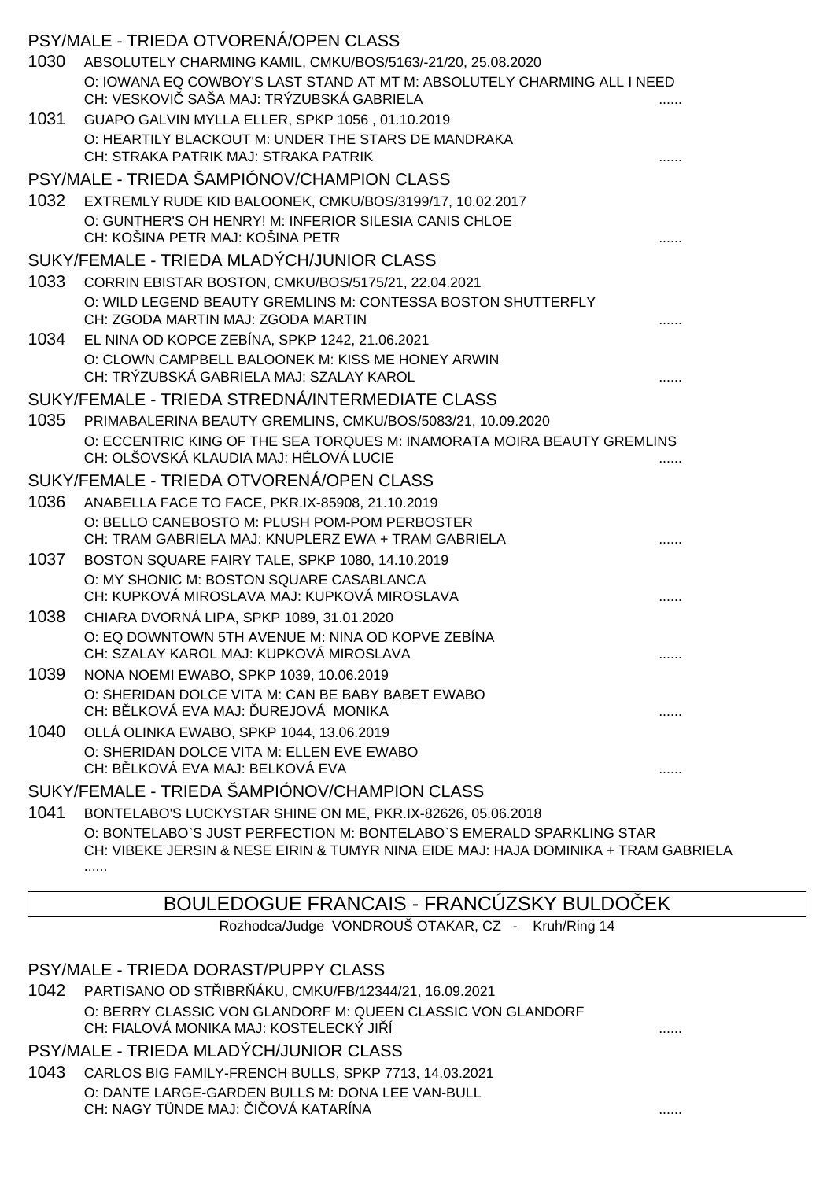|      | PSY/MALE - TRIEDA OTVORENÁ/OPEN CLASS                                                                                |  |
|------|----------------------------------------------------------------------------------------------------------------------|--|
| 1030 | ABSOLUTELY CHARMING KAMIL, CMKU/BOS/5163/-21/20, 25.08.2020                                                          |  |
|      | O: IOWANA EQ COWBOY'S LAST STAND AT MT M: ABSOLUTELY CHARMING ALL I NEED<br>CH: VESKOVI SAŠA MAJ: TRÝZUBSKÁ GABRIELA |  |
| 1031 | GUAPO GALVIN MYLLA ELLER, SPKP 1056, 01.10.2019                                                                      |  |
|      | O: HEARTILY BLACKOUT M: UNDER THE STARS DE MANDRAKA                                                                  |  |
|      | CH: STRAKA PATRIK MAJ: STRAKA PATRIK                                                                                 |  |
|      | PSY/MALE - TRIEDA ŠAMPIÓNOV/CHAMPION CLASS                                                                           |  |
| 1032 | EXTREMLY RUDE KID BALOONEK, CMKU/BOS/3199/17, 10.02.2017                                                             |  |
|      | O: GUNTHER'S OH HENRY! M: INFERIOR SILESIA CANIS CHLOE<br>CH: KOŠINA PETR MAJ: KOŠINA PETR                           |  |
|      | SUKY/FEMALE - TRIEDA MLADÝCH/JUNIOR CLASS                                                                            |  |
| 1033 | CORRIN EBISTAR BOSTON, CMKU/BOS/5175/21, 22.04.2021                                                                  |  |
|      | O: WILD LEGEND BEAUTY GREMLINS M: CONTESSA BOSTON SHUTTERFLY                                                         |  |
|      | CH: ZGODA MARTIN MAJ: ZGODA MARTIN                                                                                   |  |
| 1034 | EL NINA OD KOPCE ZEBÍNA, SPKP 1242, 21.06.2021                                                                       |  |
|      | O: CLOWN CAMPBELL BALOONEK M: KISS ME HONEY ARWIN                                                                    |  |
|      | CH: TRÝZUBSKÁ GABRIELA MAJ: SZALAY KAROL                                                                             |  |
|      | SUKY/FEMALE - TRIEDA STREDNÁ/INTERMEDIATE CLASS                                                                      |  |
| 1035 | PRIMABALERINA BEAUTY GREMLINS, CMKU/BOS/5083/21, 10.09.2020                                                          |  |
|      | O: ECCENTRIC KING OF THE SEA TORQUES M: INAMORATA MOIRA BEAUTY GREMLINS<br>CH: OLŠOVSKÁ KLAUDIA MAJ: HÉLOVÁ LUCIE    |  |
|      | SUKY/FEMALE - TRIEDA OTVORENÁ/OPEN CLASS                                                                             |  |
| 1036 | ANABELLA FACE TO FACE, PKR.IX-85908, 21.10.2019                                                                      |  |
|      | O: BELLO CANEBOSTO M: PLUSH POM-POM PERBOSTER                                                                        |  |
|      | CH: TRAM GABRIELA MAJ: KNUPLERZ EWA + TRAM GABRIELA                                                                  |  |
| 1037 | BOSTON SQUARE FAIRY TALE, SPKP 1080, 14.10.2019                                                                      |  |
|      | O: MY SHONIC M: BOSTON SQUARE CASABLANCA<br>CH: KUPKOVÁ MIROSLAVA MAJ: KUPKOVÁ MIROSLAVA                             |  |
| 1038 | CHIARA DVORNÁ LIPA, SPKP 1089, 31.01.2020                                                                            |  |
|      | O: EQ DOWNTOWN 5TH AVENUE M: NINA OD KOPVE ZEBÍNA<br>CH: SZALAY KAROL MAJ: KUPKOVÁ MIROSLAVA                         |  |
| 1039 | NONA NOEMI EWABO, SPKP 1039, 10.06.2019                                                                              |  |
|      | O: SHERIDAN DOLCE VITA M: CAN BE BABY BABET EWABO<br>CH: B LKOVÁ EVA MAJ: UREJOVÁ MONIKA                             |  |
| 1040 | OLLÁ OLINKA EWABO, SPKP 1044, 13.06.2019                                                                             |  |
|      | O: SHERIDAN DOLCE VITA M: ELLEN EVE EWABO<br>CH: B LKOVÁ EVA MAJ: BELKOVÁ EVA                                        |  |
|      | SUKY/FEMALE - TRIEDA ŠAMPIÓNOV/CHAMPION CLASS                                                                        |  |
| 1041 | BONTELABO'S LUCKYSTAR SHINE ON ME, PKR.IX-82626, 05.06.2018                                                          |  |
|      | O: BONTELABO'S JUST PERFECTION M: BONTELABO'S EMERALD SPARKLING STAR                                                 |  |

CH: VIBEKE JERSIN & NESE EIRIN & TUMYR NINA EIDE MAJ: HAJA DOMINIKA + TRAM GABRIELA ......

# BOULEDOGUE FRANCAIS - FRANCÚZSKY BULDO EK

Rozhodca/Judge VONDROUŠ OTAKAR, CZ - Kruh/Ring 14

### PSY/MALE - TRIEDA DORAST/PUPPY CLASS

1042 PARTISANO OD STŘIBRŇÁKU, CMKU/FB/12344/21, 16.09.2021 O: BERRY CLASSIC VON GLANDORF M: QUEEN CLASSIC VON GLANDORF CH: FIALOVÁ MONIKA MAJ: KOSTELECKÝ JIŘÍ ......

### PSY/MALE - TRIEDA MLADÝCH/JUNIOR CLASS

1043 CARLOS BIG FAMILY-FRENCH BULLS, SPKP 7713, 14.03.2021 O: DANTE LARGE-GARDEN BULLS M: DONA LEE VAN-BULL CH: NAGY TÜNDE MAJ: ČIČOVÁ KATARÍNA ......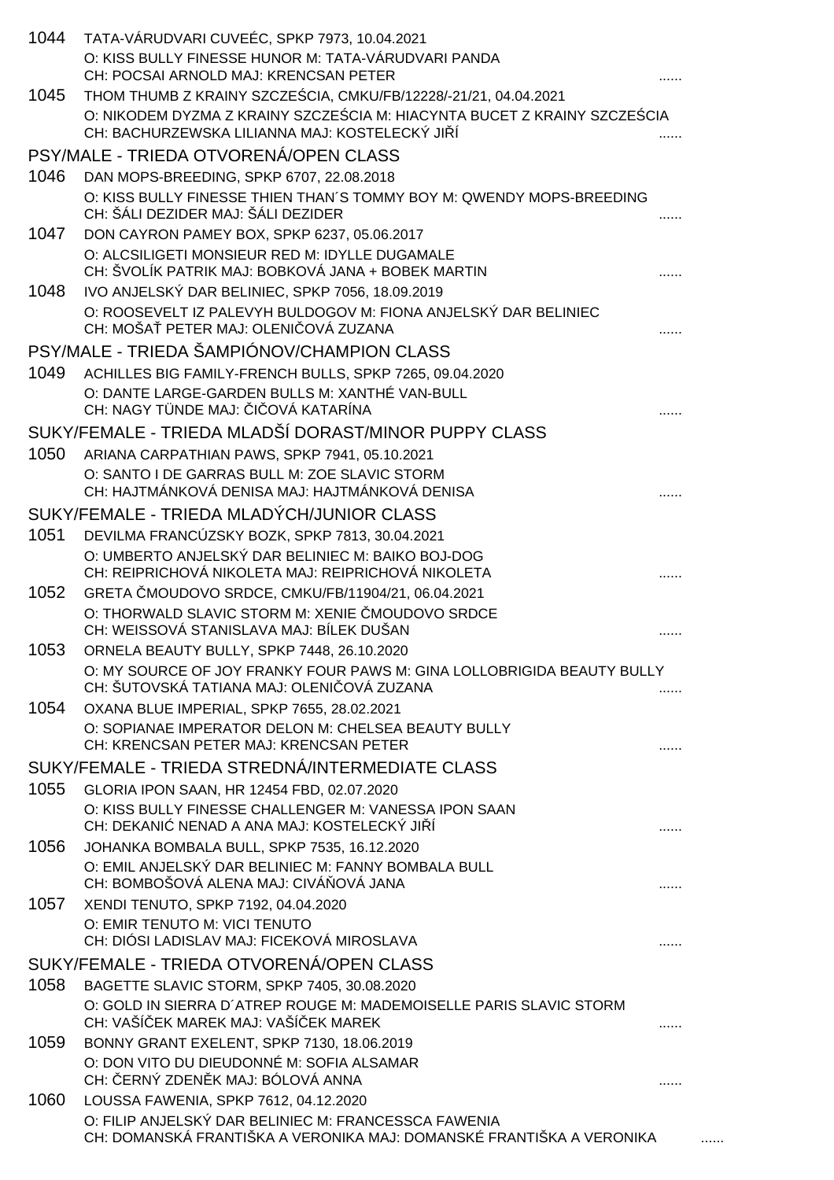| 1044 | TATA-VÁRUDVARI CUVEÉC, SPKP 7973, 10.04.2021<br>O: KISS BULLY FINESSE HUNOR M: TATA-VÁRUDVARI PANDA<br>CH: POCSAI ARNOLD MAJ: KRENCSAN PETER    |  |
|------|-------------------------------------------------------------------------------------------------------------------------------------------------|--|
| 1045 | THOM THUMB Z KRAINY SZCZE CIA, CMKU/FB/12228/-21/21, 04.04.2021                                                                                 |  |
|      | O: NIKODEM DYZMA Z KRAINY SZCZE CIA M: HIACYNTA BUCET Z KRAINY SZCZE CIA<br>CH: BACHURZEWSKA LILIANNA MAJ: KOSTELECKÝ JI Í                      |  |
|      | PSY/MALE - TRIEDA OTVORENÁ/OPEN CLASS                                                                                                           |  |
| 1046 | DAN MOPS-BREEDING, SPKP 6707, 22.08.2018                                                                                                        |  |
|      | O: KISS BULLY FINESSE THIEN THAN'S TOMMY BOY M: QWENDY MOPS-BREEDING<br>CH: ŠÁLI DEZIDER MAJ: ŠÁLI DEZIDER                                      |  |
| 1047 | DON CAYRON PAMEY BOX, SPKP 6237, 05.06.2017                                                                                                     |  |
|      | O: ALCSILIGETI MONSIEUR RED M: IDYLLE DUGAMALE<br>CH: ŠVOLÍK PATRIK MAJ: BOBKOVÁ JANA + BOBEK MARTIN                                            |  |
| 1048 | IVO ANJELSKÝ DAR BELINIEC, SPKP 7056, 18.09.2019                                                                                                |  |
|      | O: ROOSEVELT IZ PALEVYH BULDOGOV M: FIONA ANJELSKÝ DAR BELINIEC<br>CH: MOŠA PETER MAJ: OLENI OVÁ ZUZANA                                         |  |
|      | PSY/MALE - TRIEDA ŠAMPIÓNOV/CHAMPION CLASS                                                                                                      |  |
| 1049 | ACHILLES BIG FAMILY-FRENCH BULLS, SPKP 7265, 09.04.2020<br>O: DANTE LARGE-GARDEN BULLS M: XANTHÉ VAN-BULL<br>CH: NAGY TÜNDE MAJ: I OVÁ KATARÍNA |  |
|      | SUKY/FEMALE - TRIEDA MLADŠÍ DORAST/MINOR PUPPY CLASS                                                                                            |  |
| 1050 |                                                                                                                                                 |  |
|      | ARIANA CARPATHIAN PAWS, SPKP 7941, 05.10.2021<br>O: SANTO I DE GARRAS BULL M: ZOE SLAVIC STORM                                                  |  |
|      | CH: HAJTMÁNKOVÁ DENISA MAJ: HAJTMÁNKOVÁ DENISA                                                                                                  |  |
|      | SUKY/FEMALE - TRIEDA MLADÝCH/JUNIOR CLASS                                                                                                       |  |
| 1051 | DEVILMA FRANCÚZSKY BOZK, SPKP 7813, 30.04.2021                                                                                                  |  |
|      | O: UMBERTO ANJELSKÝ DAR BELINIEC M: BAIKO BOJ-DOG<br>CH: REIPRICHOVÁ NIKOLETA MAJ: REIPRICHOVÁ NIKOLETA                                         |  |
| 1052 | GRETA MOUDOVO SRDCE, CMKU/FB/11904/21, 06.04.2021                                                                                               |  |
|      | O: THORWALD SLAVIC STORM M: XENIE MOUDOVO SRDCE<br>CH: WEISSOVÁ STANISLAVA MAJ: BÍLEK DUŠAN                                                     |  |
| 1053 | ORNELA BEAUTY BULLY, SPKP 7448, 26.10.2020                                                                                                      |  |
|      | O: MY SOURCE OF JOY FRANKY FOUR PAWS M: GINA LOLLOBRIGIDA BEAUTY BULLY<br>CH: ŠUTOVSKÁ TATIANA MAJ: OLENI OVÁ ZUZANA                            |  |
| 1054 | OXANA BLUE IMPERIAL, SPKP 7655, 28.02.2021                                                                                                      |  |
|      | O: SOPIANAE IMPERATOR DELON M: CHELSEA BEAUTY BULLY<br>CH: KRENCSAN PETER MAJ: KRENCSAN PETER                                                   |  |
|      | SUKY/FEMALE - TRIEDA STREDNÁ/INTERMEDIATE CLASS                                                                                                 |  |
| 1055 | GLORIA IPON SAAN, HR 12454 FBD, 02.07.2020                                                                                                      |  |
|      | O: KISS BULLY FINESSE CHALLENGER M: VANESSA IPON SAAN                                                                                           |  |
|      | CH: DEKANI NENAD A ANA MAJ: KOSTELECKÝ JI Í                                                                                                     |  |
| 1056 | JOHANKA BOMBALA BULL, SPKP 7535, 16.12.2020                                                                                                     |  |
|      | O: EMIL ANJELSKÝ DAR BELINIEC M: FANNY BOMBALA BULL<br>CH: BOMBOŠOVÁ ALENA MAJ: CIVÁ OVÁ JANA                                                   |  |
| 1057 | XENDI TENUTO, SPKP 7192, 04.04.2020                                                                                                             |  |
|      | O: EMIR TENUTO M: VICI TENUTO<br>CH: DIÓSI LADISLAV MAJ: FICEKOVÁ MIROSLAVA                                                                     |  |
|      | SUKY/FEMALE - TRIEDA OTVORENÁ/OPEN CLASS                                                                                                        |  |
| 1058 | BAGETTE SLAVIC STORM, SPKP 7405, 30.08.2020                                                                                                     |  |
|      | O: GOLD IN SIERRA D'ATREP ROUGE M: MADEMOISELLE PARIS SLAVIC STORM<br>CH: VAŠÍ EK MAREK MAJ: VAŠÍ EK MAREK                                      |  |
| 1059 | BONNY GRANT EXELENT, SPKP 7130, 18.06.2019                                                                                                      |  |
|      | O: DON VITO DU DIEUDONNÉ M: SOFIA ALSAMAR<br>CH: ERNÝ ZDEN K MAJ: BÓLOVÁ ANNA                                                                   |  |
| 1060 | LOUSSA FAWENIA, SPKP 7612, 04.12.2020                                                                                                           |  |
|      | O: FILIP ANJELSKÝ DAR BELINIEC M: FRANCESSCA FAWENIA<br>CH: DOMANSKÁ FRANTIŠKA A VERONIKA MAJ: DOMANSKÉ FRANTIŠKA A VERONIKA                    |  |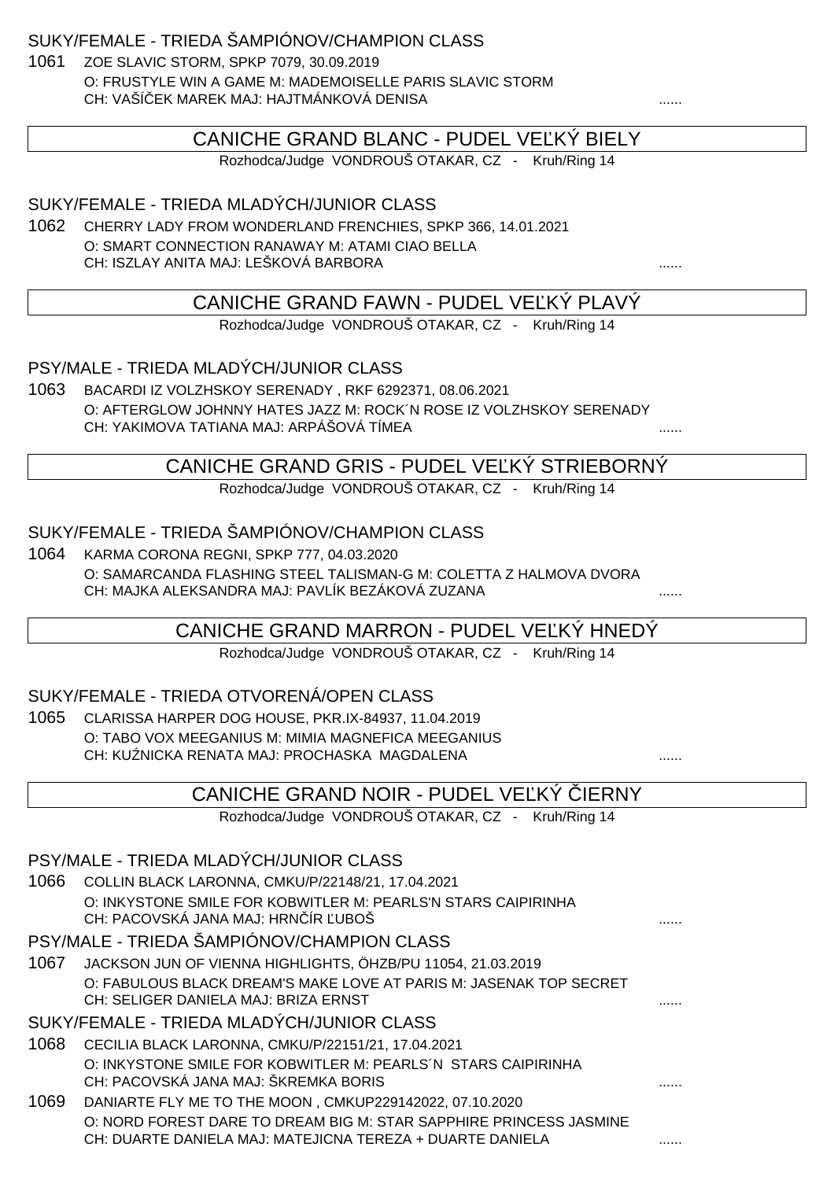SUKY/FEMALE - TRIEDA ŠAMPIÓNOV/CHAMPION CLASS

1061 ZOE SLAVIC STORM, SPKP 7079, 30.09.2019 O: FRUSTYLE WIN A GAME M: MADEMOISELLE PARIS SLAVIC STORM CH: VAŠÍČEK MAREK MAJ: HAJTMÁNKOVÁ DENISA ......

### CANICHE GRAND BLANC - PUDEL VE KÝ BIELY

Rozhodca/Judge VONDROUŠ OTAKAR, CZ - Kruh/Ring 14

SUKY/FEMALE - TRIEDA MLADÝCH/JUNIOR CLASS

1062 CHERRY LADY FROM WONDERLAND FRENCHIES, SPKP 366, 14.01.2021 O: SMART CONNECTION RANAWAY M: ATAMI CIAO BELLA CH: ISZLAY ANITA MAJ: LEŠKOVÁ BARBORA ......

### CANICHE GRAND FAWN - PUDEL VE KÝ PLAVÝ

Rozhodca/Judge VONDROUŠ OTAKAR, CZ - Kruh/Ring 14

PSY/MALE - TRIEDA MLADÝCH/JUNIOR CLASS

1063 BACARDI IZ VOLZHSKOY SERENADY , RKF 6292371, 08.06.2021 O: AFTERGLOW JOHNNY HATES JAZZ M: ROCK´N ROSE IZ VOLZHSKOY SERENADY CH: YAKIMOVA TATIANA MAJ: ARPÁŠOVÁ TÍMEA ......

### CANICHE GRAND GRIS - PUDEL VE KY STRIEBORNY

Rozhodca/Judge VONDROUŠ OTAKAR, CZ - Kruh/Ring 14

### SUKY/FEMALE - TRIEDA ŠAMPIÓNOV/CHAMPION CLASS

1064 KARMA CORONA REGNI, SPKP 777, 04.03.2020 O: SAMARCANDA FLASHING STEEL TALISMAN-G M: COLETTA Z HALMOVA DVORA CH: MAJKA ALEKSANDRA MAJ: PAVLÍK BEZÁKOVÁ ZUZANA ......

CANICHE GRAND MARRON - PUDEL VE KÝ HNEDÝ

Rozhodca/Judge VONDROUŠ OTAKAR, CZ - Kruh/Ring 14

#### SUKY/FEMALE - TRIEDA OTVORENÁ/OPEN CLASS

1065 CLARISSA HARPER DOG HOUSE, PKR.IX-84937, 11.04.2019 O: TABO VOX MEEGANIUS M: MIMIA MAGNEFICA MEEGANIUS CH: KUŹNICKA RENATA MAJ: PROCHASKA MAGDALENA ......

|      | CANICHE GRAND NOIR - PUDEL VE KY IERNY                             |  |
|------|--------------------------------------------------------------------|--|
|      | Rozhodca/Judge VONDROUŠ OTAKAR, CZ - Kruh/Ring 14                  |  |
|      |                                                                    |  |
|      | PSY/MALE - TRIEDA MLADÝCH/JUNIOR CLASS                             |  |
| 1066 | COLLIN BLACK LARONNA, CMKU/P/22148/21, 17.04.2021                  |  |
|      | O: INKYSTONE SMILE FOR KOBWITLER M: PEARLS'N STARS CAIPIRINHA      |  |
|      | CH: PACOVSKÁ JANA MAJ: HRN ÍR UBOŠ                                 |  |
|      | PSY/MALE - TRIEDA ŠAMPIÓNOV/CHAMPION CLASS                         |  |
| 1067 | JACKSON JUN OF VIENNA HIGHLIGHTS, ÖHZB/PU 11054, 21.03.2019        |  |
|      | O: FABULOUS BLACK DREAM'S MAKE LOVE AT PARIS M: JASENAK TOP SECRET |  |
|      | CH: SELIGER DANIELA MAJ: BRIZA ERNST                               |  |
|      | SUKY/FEMALE - TRIEDA MLADÝCH/JUNIOR CLASS                          |  |
| 1068 | CECILIA BLACK LARONNA, CMKU/P/22151/21, 17.04.2021                 |  |
|      | O: INKYSTONE SMILE FOR KOBWITLER M: PEARLS N STARS CAIPIRINHA      |  |
|      | CH: PACOVSKÁ JANA MAJ: ŠKREMKA BORIS                               |  |
| 1069 | DANIARTE FLY ME TO THE MOON, CMKUP229142022, 07.10.2020            |  |
|      | O: NORD FOREST DARE TO DREAM BIG M: STAR SAPPHIRE PRINCESS JASMINE |  |
|      | CH: DUARTE DANIELA MAJ: MATEJICNA TEREZA + DUARTE DANIELA          |  |
|      |                                                                    |  |
|      |                                                                    |  |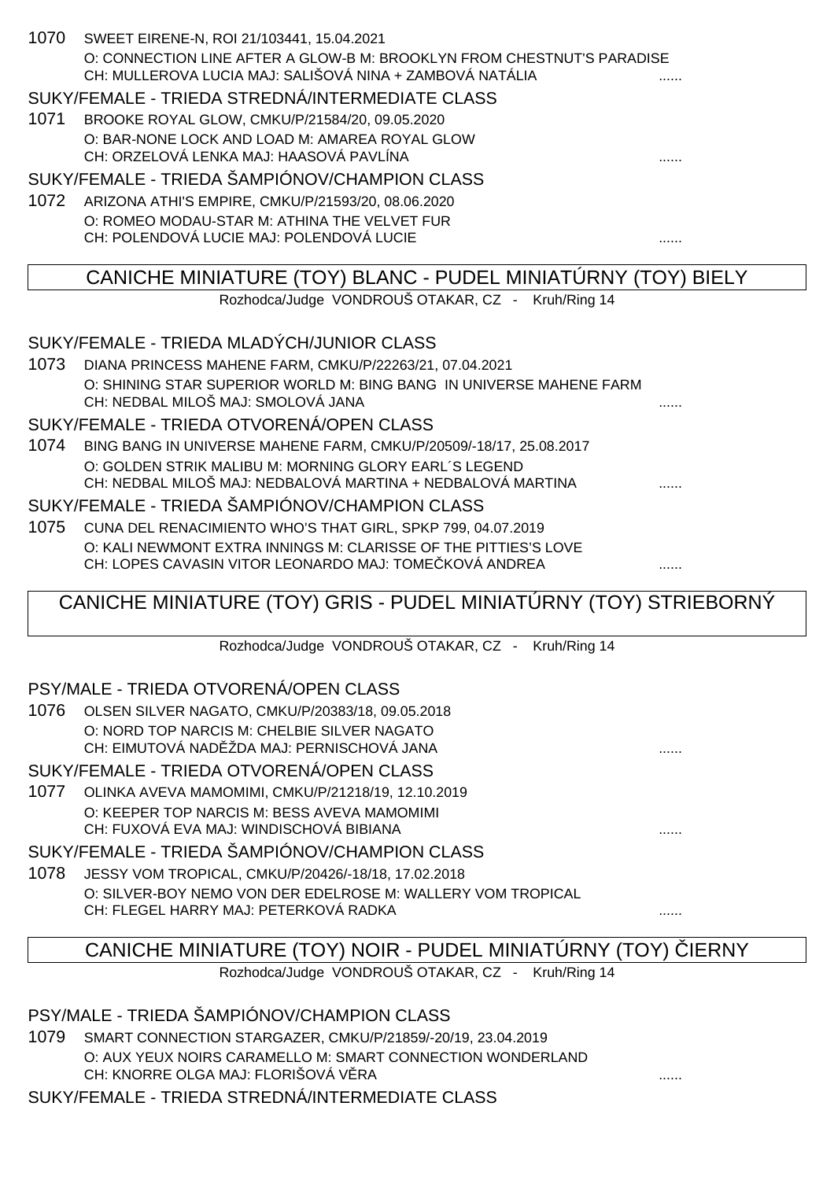| 1070<br>SWEET EIRENE-N, ROI 21/103441, 15.04.2021<br>O: CONNECTION LINE AFTER A GLOW-B M: BROOKLYN FROM CHESTNUT'S PARADISE<br>CH: MULLEROVA LUCIA MAJ: SALIŠOVÁ NINA + ZAMBOVÁ NATÁLIA |   |
|-----------------------------------------------------------------------------------------------------------------------------------------------------------------------------------------|---|
| SUKY/FEMALE - TRIEDA STREDNÁ/INTERMEDIATE CLASS                                                                                                                                         |   |
| 1071<br>BROOKE ROYAL GLOW, CMKU/P/21584/20, 09.05.2020                                                                                                                                  |   |
| O: BAR-NONE LOCK AND LOAD M: AMAREA ROYAL GLOW                                                                                                                                          |   |
| CH: ORZELOVÁ LENKA MAJ: HAASOVÁ PAVLÍNA                                                                                                                                                 |   |
| SUKY/FEMALE - TRIEDA ŠAMPIÓNOV/CHAMPION CLASS                                                                                                                                           |   |
| 1072 ARIZONA ATHI'S EMPIRE, CMKU/P/21593/20, 08.06.2020                                                                                                                                 |   |
| O: ROMEO MODAU-STAR M: ATHINA THE VELVET FUR                                                                                                                                            |   |
| CH: POLENDOVÁ LUCIE MAJ: POLENDOVÁ LUCIE                                                                                                                                                | . |
| CANICHE MINIATURE (TOY) BLANC - PUDEL MINIATURNY (TOY) BIELY                                                                                                                            |   |
| Rozhodca/Judge VONDROUŠ OTAKAR, CZ - Kruh/Ring 14                                                                                                                                       |   |
|                                                                                                                                                                                         |   |
| SUKY/FEMALE - TRIEDA MLADÝCH/JUNIOR CLASS                                                                                                                                               |   |
| 1073<br>DIANA PRINCESS MAHENE FARM, CMKU/P/22263/21, 07.04.2021                                                                                                                         |   |
| O: SHINING STAR SUPERIOR WORLD M: BING BANG IN UNIVERSE MAHENE FARM                                                                                                                     |   |
| CH: NEDBAL MILOŠ MAJ: SMOLOVÁ JANA                                                                                                                                                      |   |
| SUKY/FEMALE - TRIEDA OTVORENÁ/OPEN CLASS                                                                                                                                                |   |
| 1074<br>BING BANG IN UNIVERSE MAHENE FARM, CMKU/P/20509/-18/17, 25.08.2017                                                                                                              |   |
| O: GOLDEN STRIK MALIBU M: MORNING GLORY EARL'S LEGEND                                                                                                                                   |   |
| CH: NEDBAL MILOŠ MAJ: NEDBALOVÁ MARTINA + NEDBALOVÁ MARTINA                                                                                                                             |   |
| SUKY/FEMALE - TRIEDA ŠAMPIÓNOV/CHAMPION CLASS                                                                                                                                           |   |
| 1075<br>CUNA DEL RENACIMIENTO WHO'S THAT GIRL, SPKP 799, 04.07.2019                                                                                                                     |   |
| O: KALI NEWMONT EXTRA INNINGS M: CLARISSE OF THE PITTIES'S LOVE                                                                                                                         |   |
| CH: LOPES CAVASIN VITOR LEONARDO MAJ: TOME KOVÁ ANDREA                                                                                                                                  |   |
| CANICHE MINIATURE (TOY) GRIS - PUDEL MINIATÚRNY (TOY) STRIEBORNÝ                                                                                                                        |   |
| Rozhodca/Judge VONDROUŠ OTAKAR, CZ - Kruh/Ring 14                                                                                                                                       |   |
|                                                                                                                                                                                         |   |

### PSY/MALE - TRIEDA OTVORENÁ/OPEN CLASS

|  | 1076 OLSEN SILVER NAGATO, CMKU/P/20383/18, 09.05.2018 |  |
|--|-------------------------------------------------------|--|
|  | O: NORD TOP NARCIS M: CHELBIE SILVER NAGATO           |  |
|  | CH: EIMUTOVÁ NAD ŽDA MAJ: PERNISCHOVÁ JANA            |  |
|  |                                                       |  |

#### SUKY/FEMALE - TRIEDA OTVORENÁ/OPEN CLASS

1077 OLINKA AVEVA MAMOMIMI, CMKU/P/21218/19, 12.10.2019 O: KEEPER TOP NARCIS M: BESS AVEVA MAMOMIMI CH: FUXOVÁ EVA MAJ: WINDISCHOVÁ BIBIANA

SUKY/FEMALE - TRIEDA ŠAMPIÓNOV/CHAMPION CLASS

1078 JESSY VOM TROPICAL, CMKU/P/20426/-18/18, 17.02.2018 O: SILVER-BOY NEMO VON DER EDELROSE M: WALLERY VOM TROPICAL CH: FLEGEL HARRY MAJ: PETERKOVÁ RADKA ......

# CANICHE MINIATURE (TOY) NOIR - PUDEL MINIATÚRNY (TOY) LERNY

Rozhodca/Judge VONDROUŠ OTAKAR, CZ - Kruh/Ring 14

PSY/MALE - TRIEDA ŠAMPIÓNOV/CHAMPION CLASS

1079 SMART CONNECTION STARGAZER, CMKU/P/21859/-20/19, 23.04.2019 O: AUX YEUX NOIRS CARAMELLO M: SMART CONNECTION WONDERLAND CH: KNORRE OLGA MAJ: FLORIŠOVÁ V RA

SUKY/FEMALE - TRIEDA STREDNÁ/INTERMEDIATE CLASS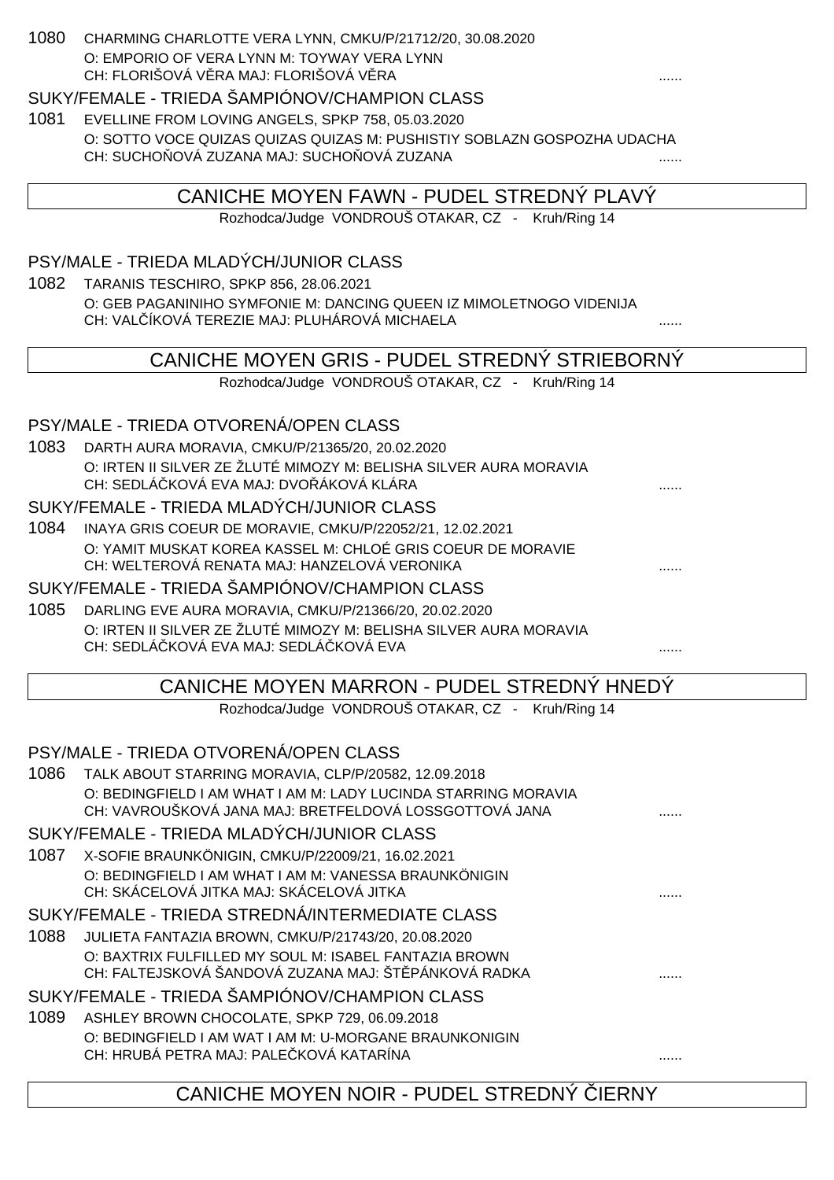| 1080 | CHARMING CHARLOTTE VERA LYNN, CMKU/P/21712/20, 30.08.2020<br>O: EMPORIO OF VERA LYNN M: TOYWAY VERA LYNN<br>CH: FLORIŠOVÁ V RA MAJ: FLORIŠOVÁ V RA |   |
|------|----------------------------------------------------------------------------------------------------------------------------------------------------|---|
|      | SUKY/FEMALE - TRIEDA ŠAMPIÓNOV/CHAMPION CLASS                                                                                                      |   |
| 1081 | EVELLINE FROM LOVING ANGELS, SPKP 758, 05.03.2020                                                                                                  |   |
|      | O: SOTTO VOCE QUIZAS QUIZAS QUIZAS M: PUSHISTIY SOBLAZN GOSPOZHA UDACHA                                                                            |   |
|      | CH: SUCHO OVÁ ZUZANA MAJ: SUCHO OVÁ ZUZANA                                                                                                         |   |
|      | CANICHE MOYEN FAWN - PUDEL STREDNÝ PLAVÝ                                                                                                           |   |
|      | Rozhodca/Judge VONDROUŠ OTAKAR, CZ - Kruh/Ring 14                                                                                                  |   |
|      |                                                                                                                                                    |   |
|      | PSY/MALE - TRIEDA MLADÝCH/JUNIOR CLASS                                                                                                             |   |
| 1082 | TARANIS TESCHIRO, SPKP 856, 28.06.2021                                                                                                             |   |
|      | O: GEB PAGANINIHO SYMFONIE M: DANCING QUEEN IZ MIMOLETNOGO VIDENIJA                                                                                |   |
|      | CH: VAL ÍKOVÁ TEREZIE MAJ: PLUHÁROVÁ MICHAELA                                                                                                      | . |
|      | CANICHE MOYEN GRIS - PUDEL STREDNÝ STRIEBORNÝ                                                                                                      |   |
|      | Rozhodca/Judge VONDROUŠ OTAKAR, CZ - Kruh/Ring 14                                                                                                  |   |
|      |                                                                                                                                                    |   |
|      | PSY/MALE - TRIEDA OTVORENÁ/OPEN CLASS                                                                                                              |   |
| 1083 | DARTH AURA MORAVIA, CMKU/P/21365/20, 20.02.2020                                                                                                    |   |
|      | O: IRTEN II SILVER ZE ŽLUTÉ MIMOZY M: BELISHA SILVER AURA MORAVIA                                                                                  |   |
|      | CH: SEDLÁ KOVÁ EVA MAJ: DVO ÁKOVÁ KLÁRA                                                                                                            |   |
|      | SUKY/FEMALE - TRIEDA MLADÝCH/JUNIOR CLASS                                                                                                          |   |
| 1084 | INAYA GRIS COEUR DE MORAVIE, CMKU/P/22052/21, 12.02.2021                                                                                           |   |
|      | O: YAMIT MUSKAT KOREA KASSEL M: CHLOÉ GRIS COEUR DE MORAVIE<br>CH: WELTEROVÁ RENATA MAJ: HANZELOVÁ VERONIKA                                        |   |
|      | SUKY/FEMALE - TRIEDA ŠAMPIÓNOV/CHAMPION CLASS                                                                                                      |   |
| 1085 |                                                                                                                                                    |   |
|      | DARLING EVE AURA MORAVIA, CMKU/P/21366/20, 20.02.2020<br>O: IRTEN II SILVER ZE ŽLUTÉ MIMOZY M: BELISHA SILVER AURA MORAVIA                         |   |
|      | CH: SEDLÁ KOVÁ EVA MAJ: SEDLÁ KOVÁ EVA                                                                                                             |   |
|      |                                                                                                                                                    |   |
|      | CANICHE MOYEN MARRON - PUDEL STREDNÝ HNEDÝ                                                                                                         |   |
|      | Rozhodca/Judge VONDROUŠ OTAKAR, CZ - Kruh/Ring 14                                                                                                  |   |
|      | PSY/MALE - TRIEDA OTVORENÁ/OPEN CLASS                                                                                                              |   |
| 1086 | TALK ABOUT STARRING MORAVIA, CLP/P/20582, 12.09.2018                                                                                               |   |
|      | O: BEDINGFIELD I AM WHAT I AM M: LADY LUCINDA STARRING MORAVIA                                                                                     |   |
|      | CH: VAVROUŠKOVÁ JANA MAJ: BRETFELDOVÁ LOSSGOTTOVÁ JANA                                                                                             |   |
|      | SUKY/FEMALE - TRIEDA MLADÝCH/JUNIOR CLASS                                                                                                          |   |
| 1087 | X-SOFIE BRAUNKÖNIGIN, CMKU/P/22009/21, 16.02.2021                                                                                                  |   |
|      | O: BEDINGFIELD I AM WHAT I AM M: VANESSA BRAUNKÖNIGIN                                                                                              |   |
|      | CH: SKÁCELOVÁ JITKA MAJ: SKÁCELOVÁ JITKA                                                                                                           |   |
|      | SUKY/FEMALE - TRIEDA STREDNÁ/INTERMEDIATE CLASS                                                                                                    |   |
| 1088 | JULIETA FANTAZIA BROWN, CMKU/P/21743/20, 20.08.2020                                                                                                |   |
|      | O: BAXTRIX FULFILLED MY SOUL M: ISABEL FANTAZIA BROWN<br>CH: FALTEJSKOVÁ ŠANDOVÁ ZUZANA MAJ: ŠT PÁNKOVÁ RADKA                                      |   |
|      | SUKY/FEMALE - TRIEDA ŠAMPIÓNOV/CHAMPION CLASS                                                                                                      |   |
| 1089 |                                                                                                                                                    |   |
|      | ASHLEY BROWN CHOCOLATE, SPKP 729, 06.09.2018<br>O: BEDINGFIELD I AM WAT I AM M: U-MORGANE BRAUNKONIGIN                                             |   |
|      | CH: HRUBÁ PETRA MAJ: PALE KOVÁ KATARÍNA                                                                                                            |   |
|      |                                                                                                                                                    |   |
|      | CANICHE MOYEN NOIR - PUDEL STREDNY<br><b>IERNY</b>                                                                                                 |   |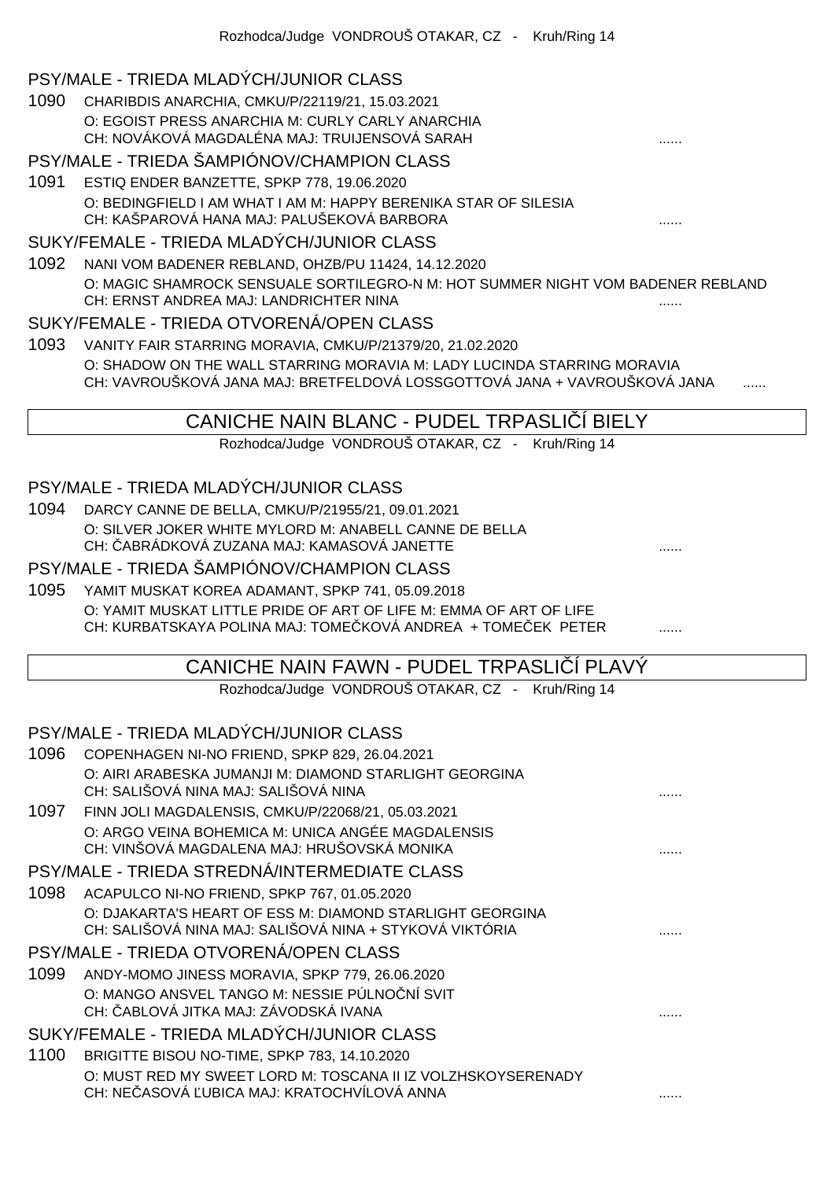#### PSY/MALE - TRIEDA MLADÝCH/JUNIOR CLASS

1090 CHARIBDIS ANARCHIA, CMKU/P/22119/21, 15.03.2021 O: EGOIST PRESS ANARCHIA M: CURLY CARLY ANARCHIA CH: NOVÁKOVÁ MAGDALÉNA MAJ: TRUIJENSOVÁ SARAH

#### PSY/MALE - TRIEDA ŠAMPIÓNOV/CHAMPION CLASS

1091 ESTIQ ENDER BANZETTE, SPKP 778, 19.06.2020 O: BEDINGFIELD I AM WHAT I AM M: HAPPY BERENIKA STAR OF SILESIA CH: KAŠPAROVÁ HANA MAJ: PALUŠEKOVÁ BARBORA ......

#### SUKY/FEMALE - TRIEDA MLADÝCH/JUNIOR CLASS

1092 NANI VOM BADENER REBLAND, OHZB/PU 11424, 14.12.2020 O: MAGIC SHAMROCK SENSUALE SORTILEGRO-N M: HOT SUMMER NIGHT VOM BADENER REBLAND CH: ERNST ANDREA MAJ: LANDRICHTER NINA

#### SUKY/FEMALE - TRIEDA OTVORENÁ/OPEN CLASS

1093 VANITY FAIR STARRING MORAVIA, CMKU/P/21379/20, 21.02.2020 O: SHADOW ON THE WALL STARRING MORAVIA M: LADY LUCINDA STARRING MORAVIA CH: VAVROUŠKOVÁ JANA MAJ: BRETFELDOVÁ LOSSGOTTOVÁ JANA + VAVROUŠKOVÁ JANA

### CANICHE NAIN BLANC - PUDEL TRPASLI Í BIELY

Rozhodca/Judge VONDROUŠ OTAKAR, CZ - Kruh/Ring 14

#### PSY/MALE - TRIEDA MLADÝCH/JUNIOR CLASS

- 1094 DARCY CANNE DE BELLA, CMKU/P/21955/21, 09.01.2021 O: SILVER JOKER WHITE MYLORD M: ANABELL CANNE DE BELLA CH: ČABRÁDKOVÁ ZUZANA MAJ: KAMASOVÁ JANETTE ......
- 

### PSY/MALE - TRIEDA ŠAMPIÓNOV/CHAMPION CLASS

1095 YAMIT MUSKAT KOREA ADAMANT, SPKP 741, 05.09.2018 O: YAMIT MUSKAT LITTLE PRIDE OF ART OF LIFE M: EMMA OF ART OF LIFE CH: KURBATSKAYA POLINA MAJ: TOME KOVÁ ANDREA + TOME EK PETER .......

### CANICHE NAIN FAWN - PUDEL TRPASLIČÍ PLAVÝ

Rozhodca/Judge VONDROUŠ OTAKAR, CZ - Kruh/Ring 14

### PSY/MALE - TRIEDA MLADÝCH/JUNIOR CLASS

| 1096 | COPENHAGEN NI-NO FRIEND, SPKP 829, 26.04.2021                                                                       |  |
|------|---------------------------------------------------------------------------------------------------------------------|--|
|      | O: AIRI ARABESKA JUMANJI M: DIAMOND STARLIGHT GEORGINA                                                              |  |
|      | CH: SALIŠOVÁ NINA MAJ: SALIŠOVÁ NINA                                                                                |  |
| 1097 | FINN JOLI MAGDALENSIS, CMKU/P/22068/21, 05.03.2021                                                                  |  |
|      | O: ARGO VEINA BOHEMICA M: UNICA ANGÉE MAGDALENSIS<br>CH: VINŠOVÁ MAGDALENA MAJ: HRUŠOVSKÁ MONIKA                    |  |
|      | PSY/MALE - TRIEDA STREDNÁ/INTERMEDIATE CLASS                                                                        |  |
| 1098 | ACAPULCO NI-NO FRIEND, SPKP 767, 01.05.2020                                                                         |  |
|      | O: DJAKARTA'S HEART OF ESS M: DIAMOND STARLIGHT GEORGINA<br>CH: SALIŠOVÁ NINA MAJ: SALIŠOVÁ NINA + STYKOVÁ VIKTÓRIA |  |
|      | PSY/MALE - TRIEDA OTVORENÁ/OPEN CLASS                                                                               |  |
| 1099 | ANDY-MOMO JINESS MORAVIA, SPKP 779, 26.06.2020                                                                      |  |
|      | O: MANGO ANSVEL TANGO M: NESSIE PÚLNO NÍ SVIT                                                                       |  |
|      | CH: ABLOVÁ JITKA MAJ: ZÁVODSKÁ IVANA                                                                                |  |
|      | SUKY/FEMALE - TRIEDA MLADÝCH/JUNIOR CLASS                                                                           |  |
| 1100 | BRIGITTE BISOU NO-TIME, SPKP 783, 14.10.2020                                                                        |  |
|      | O: MUST RED MY SWEET LORD M: TOSCANA II IZ VOLZHSKOYSERENADY                                                        |  |
|      | CH: NE ASOVÁ UBICA MAJ: KRATOCHVÍLOVÁ ANNA                                                                          |  |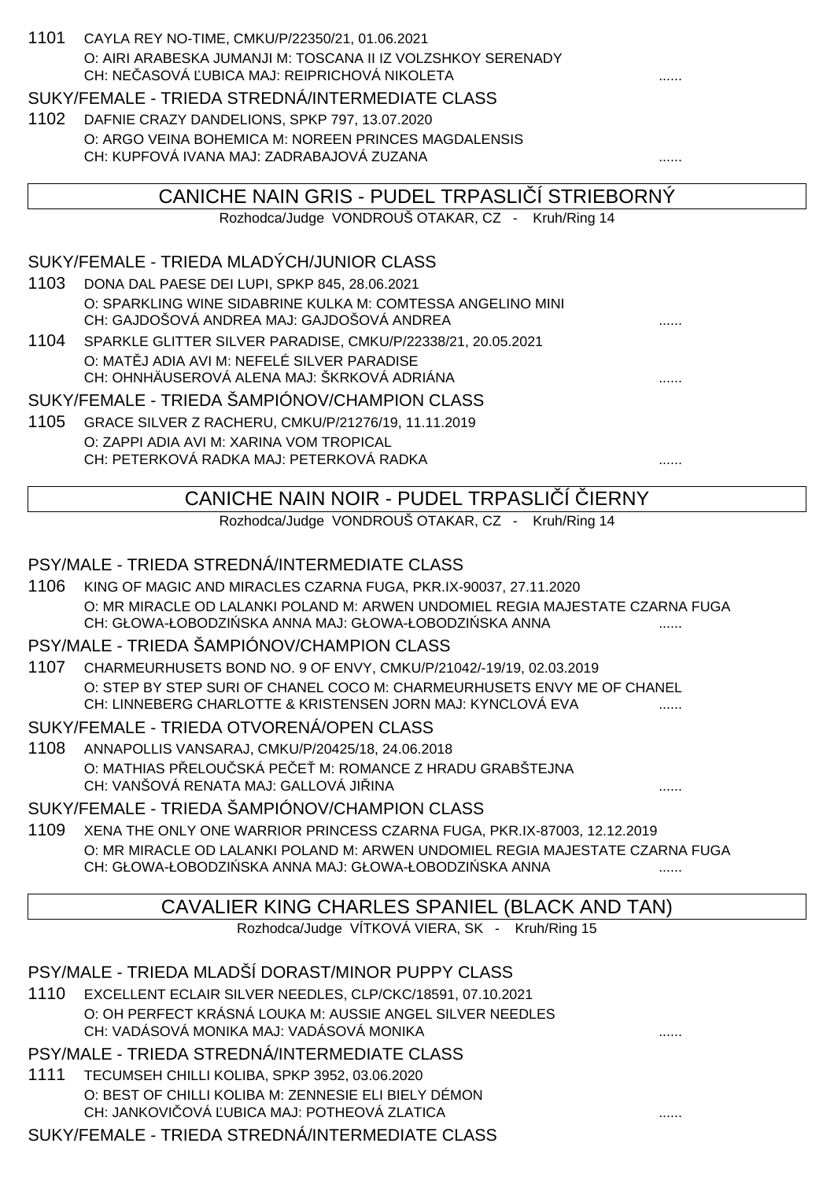| 1101 | CAYLA REY NO-TIME, CMKU/P/22350/21, 01.06.2021<br>O: AIRI ARABESKA JUMANJI M: TOSCANA II IZ VOLZSHKOY SERENADY<br>CH: NE ASOVÁ UBICA MAJ: REIPRICHOVÁ NIKOLETA |
|------|----------------------------------------------------------------------------------------------------------------------------------------------------------------|
|      | SUKY/FEMALE - TRIEDA STREDNÁ/INTERMEDIATE CLASS                                                                                                                |
| 1102 | DAFNIE CRAZY DANDELIONS, SPKP 797, 13.07.2020                                                                                                                  |
|      | O: ARGO VEINA BOHEMICA M: NOREEN PRINCES MAGDALENSIS<br>CH: KUPFOVÁ IVANA MAJ: ZADRABAJOVÁ ZUZANA                                                              |
|      | CANICHE NAIN GRIS - PUDEL TRPASLI I STRIEBORNY                                                                                                                 |
|      | Rozhodca/Judge VONDROUŠ OTAKAR, CZ - Kruh/Ring 14                                                                                                              |
|      | SUKY/FEMALE - TRIEDA MLADÝCH/JUNIOR CLASS                                                                                                                      |
| 1103 | DONA DAL PAESE DEI LUPI, SPKP 845, 28.06.2021                                                                                                                  |
|      | O: SPARKLING WINE SIDABRINE KULKA M: COMTESSA ANGELINO MINI<br>CH: GAJDOŠOVÁ ANDREA MAJ: GAJDOŠOVÁ ANDREA                                                      |
| 1104 | SPARKLE GLITTER SILVER PARADISE, CMKU/P/22338/21, 20.05.2021                                                                                                   |
|      | O: MAT J ADIA AVI M: NEFELÉ SILVER PARADISE<br>CH: OHNHÄUSEROVÁ ALENA MAJ: ŠKRKOVÁ ADRIÁNA                                                                     |
|      | SUKY/FEMALE - TRIEDA ŠAMPIÓNOV/CHAMPION CLASS                                                                                                                  |
| 1105 | GRACE SILVER Z RACHERU, CMKU/P/21276/19, 11.11.2019                                                                                                            |
|      | O: ZAPPI ADIA AVI M: XARINA VOM TROPICAL                                                                                                                       |
|      | CH: PETERKOVÁ RADKA MAJ: PETERKOVÁ RADKA                                                                                                                       |
|      | CANICHE NAIN NOIR - PUDEL TRPASLI I<br><b>IERNY</b>                                                                                                            |
|      | Rozhodca/Judge VONDROUŠ OTAKAR, CZ - Kruh/Ring 14                                                                                                              |
|      |                                                                                                                                                                |
|      | PSY/MALE - TRIEDA STREDNÁ/INTERMEDIATE CLASS                                                                                                                   |
| 1106 | KING OF MAGIC AND MIRACLES CZARNA FUGA, PKR.IX-90037, 27.11.2020                                                                                               |
|      | O: MR MIRACLE OD LALANKI POLAND M: ARWEN UNDOMIEL REGIA MAJESTATE CZARNA FUGA<br>CH: GŁOWA-ŁOBODZI SKA ANNA MAJ: GŁOWA-ŁOBODZI SKA ANNA                        |
|      | PSY/MALE - TRIEDA ŠAMPIÓNOV/CHAMPION CLASS                                                                                                                     |
| 1107 | CHARMEURHUSETS BOND NO. 9 OF ENVY, CMKU/P/21042/-19/19, 02.03.2019                                                                                             |
|      | O: STEP BY STEP SURI OF CHANEL COCO M: CHARMEURHUSETS ENVY ME OF CHANEL<br>CH: LINNEBERG CHARLOTTE & KRISTENSEN JORN MAJ: KYNCLOVÁ EVA                         |
|      | SUKY/FEMALE - TRIEDA OTVORENÁ/OPEN CLASS                                                                                                                       |
| 1108 | ANNAPOLLIS VANSARAJ, CMKU/P/20425/18, 24.06.2018                                                                                                               |
|      | O: MATHIAS P ELOU SKÁ PE E M: ROMANCE Z HRADU GRABŠTEJNA<br>CH: VANŠOVÁ RENATA MAJ: GALLOVÁ JI INA                                                             |
|      | SUKY/FEMALE - TRIEDA ŠAMPIÓNOV/CHAMPION CLASS                                                                                                                  |
| 1109 | XENA THE ONLY ONE WARRIOR PRINCESS CZARNA FUGA, PKR.IX-87003, 12.12.2019                                                                                       |
|      | O: MR MIRACLE OD LALANKI POLAND M: ARWEN UNDOMIEL REGIA MAJESTATE CZARNA FUGA<br>CH: GŁOWA-ŁOBODZI SKA ANNA MAJ: GŁOWA-ŁOBODZI SKA ANNA                        |
|      | CAVALIER KING CHARLES SPANIEL (BLACK AND TAN)                                                                                                                  |
|      | Rozhodca/Judge VÍTKOVÁ VIERA, SK - Kruh/Ring 15                                                                                                                |
|      |                                                                                                                                                                |
|      | PSY/MALE - TRIEDA MLADŠÍ DORAST/MINOR PUPPY CLASS                                                                                                              |
| 1110 | EXCELLENT ECLAIR SILVER NEEDLES, CLP/CKC/18591, 07.10.2021                                                                                                     |
|      | O: OH PERFECT KRÁSNÁ LOUKA M: AUSSIE ANGEL SILVER NEEDLES<br>CH: VADÁSOVÁ MONIKA MAJ: VADÁSOVÁ MONIKA                                                          |
|      | PSY/MALE - TRIEDA STREDNÁ/INTERMEDIATE CLASS                                                                                                                   |
| 1111 | TECUMSEH CHILLI KOLIBA, SPKP 3952, 03.06.2020                                                                                                                  |
|      | O: BEST OF CHILLI KOLIBA M: ZENNESIE ELI BIELY DÉMON                                                                                                           |
|      | CH: JANKOVI OVÁ UBICA MAJ: POTHEOVÁ ZLATICA                                                                                                                    |

SUKY/FEMALE - TRIEDA STREDNÁ/INTERMEDIATE CLASS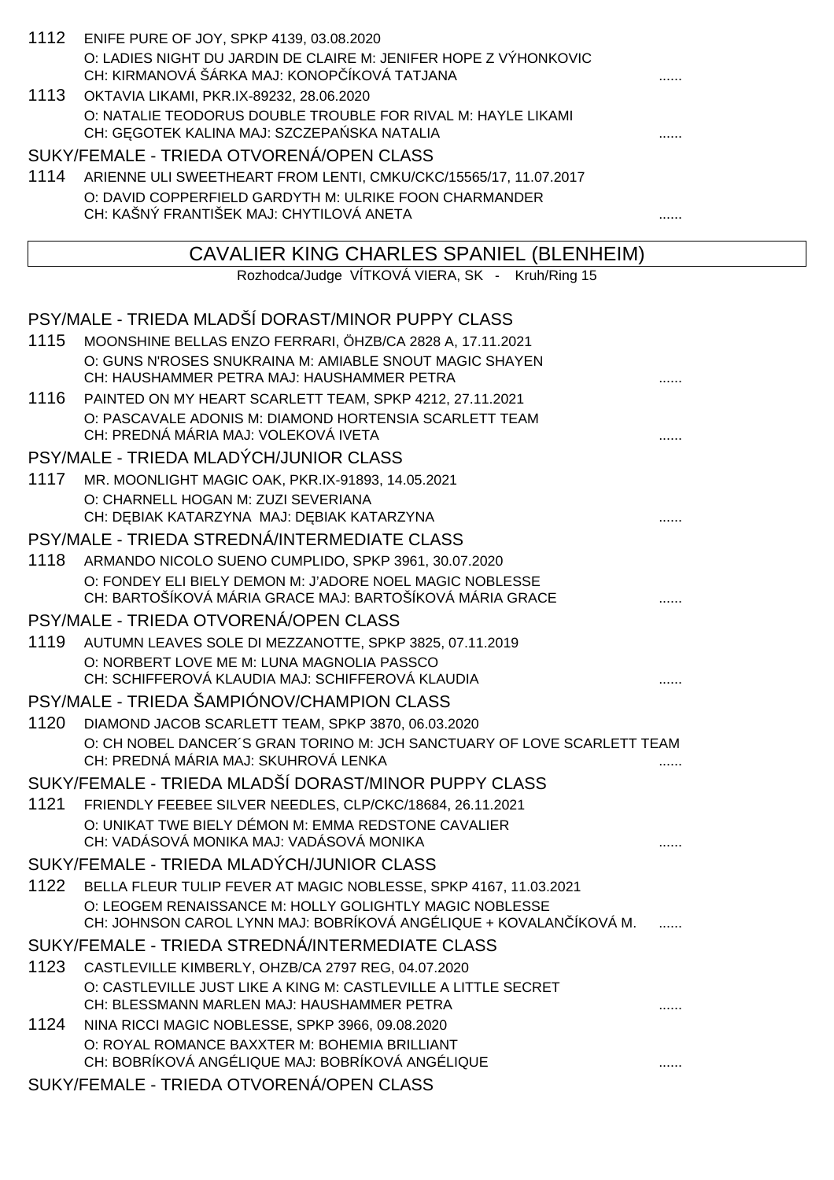|      | 1112 ENIFE PURE OF JOY, SPKP 4139, 03.08.2020                                                                                 |   |
|------|-------------------------------------------------------------------------------------------------------------------------------|---|
|      | O: LADIES NIGHT DU JARDIN DE CLAIRE M: JENIFER HOPE Z VÝHONKOVIC<br>CH: KIRMANOVÁ ŠÁRKA MAJ: KONOP ÍKOVÁ TATJANA              |   |
| 1113 | OKTAVIA LIKAMI, PKR.IX-89232, 28.06.2020                                                                                      |   |
|      | O: NATALIE TEODORUS DOUBLE TROUBLE FOR RIVAL M: HAYLE LIKAMI<br>CH: G GOTEK KALINA MAJ: SZCZEPA SKA NATALIA                   |   |
|      | SUKY/FEMALE - TRIEDA OTVORENÁ/OPEN CLASS                                                                                      |   |
|      | 1114 ARIENNE ULI SWEETHEART FROM LENTI, CMKU/CKC/15565/17, 11.07.2017                                                         |   |
|      | O: DAVID COPPERFIELD GARDYTH M: ULRIKE FOON CHARMANDER                                                                        |   |
|      | CH: KAŠNÝ FRANTIŠEK MAJ: CHYTILOVÁ ANETA                                                                                      | . |
|      | CAVALIER KING CHARLES SPANIEL (BLENHEIM)                                                                                      |   |
|      | Rozhodca/Judge VÍTKOVÁ VIERA, SK - Kruh/Ring 15                                                                               |   |
|      |                                                                                                                               |   |
|      | PSY/MALE - TRIEDA MLADŠÍ DORAST/MINOR PUPPY CLASS                                                                             |   |
| 1115 | MOONSHINE BELLAS ENZO FERRARI, ÖHZB/CA 2828 A, 17.11.2021                                                                     |   |
|      | O: GUNS N'ROSES SNUKRAINA M: AMIABLE SNOUT MAGIC SHAYEN                                                                       |   |
|      | CH: HAUSHAMMER PETRA MAJ: HAUSHAMMER PETRA                                                                                    |   |
|      | 1116 PAINTED ON MY HEART SCARLETT TEAM, SPKP 4212, 27.11.2021<br>O: PASCAVALE ADONIS M: DIAMOND HORTENSIA SCARLETT TEAM       |   |
|      | CH: PREDNÁ MÁRIA MAJ: VOLEKOVÁ IVETA                                                                                          |   |
|      | PSY/MALE - TRIEDA MLADÝCH/JUNIOR CLASS                                                                                        |   |
| 1117 | MR. MOONLIGHT MAGIC OAK, PKR.IX-91893, 14.05.2021                                                                             |   |
|      | O: CHARNELL HOGAN M: ZUZI SEVERIANA                                                                                           |   |
|      | CH: D BIAK KATARZYNA MAJ: D BIAK KATARZYNA                                                                                    |   |
|      | PSY/MALE - TRIEDA STREDNÁ/INTERMEDIATE CLASS                                                                                  |   |
| 1118 | ARMANDO NICOLO SUENO CUMPLIDO, SPKP 3961, 30.07.2020                                                                          |   |
|      | O: FONDEY ELI BIELY DEMON M: J'ADORE NOEL MAGIC NOBLESSE<br>CH: BARTOŠÍKOVÁ MÁRIA GRACE MAJ: BARTOŠÍKOVÁ MÁRIA GRACE          |   |
|      | PSY/MALE - TRIEDA OTVORENÁ/OPEN CLASS                                                                                         |   |
|      | 1119 AUTUMN LEAVES SOLE DI MEZZANOTTE, SPKP 3825, 07.11.2019                                                                  |   |
|      | O: NORBERT LOVE ME M: LUNA MAGNOLIA PASSCO                                                                                    |   |
|      | CH: SCHIFFEROVÁ KLAUDIA MAJ: SCHIFFEROVÁ KLAUDIA                                                                              |   |
|      | PSY/MALE - TRIEDA ŠAMPIÓNOV/CHAMPION CLASS                                                                                    |   |
| 1120 | DIAMOND JACOB SCARLETT TEAM, SPKP 3870, 06.03.2020                                                                            |   |
|      | O: CH NOBEL DANCER'S GRAN TORINO M: JCH SANCTUARY OF LOVE SCARLETT TEAM<br>CH: PREDNÁ MÁRIA MAJ: SKUHROVÁ LENKA               |   |
|      | SUKY/FEMALE - TRIEDA MLADŠÍ DORAST/MINOR PUPPY CLASS                                                                          |   |
| 1121 | FRIENDLY FEEBEE SILVER NEEDLES, CLP/CKC/18684, 26.11.2021                                                                     |   |
|      | O: UNIKAT TWE BIELY DÉMON M: EMMA REDSTONE CAVALIER                                                                           |   |
|      | CH: VADÁSOVÁ MONIKA MAJ: VADÁSOVÁ MONIKA                                                                                      |   |
|      | SUKY/FEMALE - TRIEDA MLADÝCH/JUNIOR CLASS                                                                                     |   |
| 1122 | BELLA FLEUR TULIP FEVER AT MAGIC NOBLESSE, SPKP 4167, 11.03.2021                                                              |   |
|      | O: LEOGEM RENAISSANCE M: HOLLY GOLIGHTLY MAGIC NOBLESSE<br>CH: JOHNSON CAROL LYNN MAJ: BOBRÍKOVÁ ANGÉLIQUE + KOVALAN ÍKOVÁ M. |   |
|      | SUKY/FEMALE - TRIEDA STREDNÁ/INTERMEDIATE CLASS                                                                               |   |
|      | 1123 CASTLEVILLE KIMBERLY, OHZB/CA 2797 REG, 04.07.2020                                                                       |   |
|      | O: CASTLEVILLE JUST LIKE A KING M: CASTLEVILLE A LITTLE SECRET<br>CH: BLESSMANN MARLEN MAJ: HAUSHAMMER PETRA                  |   |
| 1124 | NINA RICCI MAGIC NOBLESSE, SPKP 3966, 09.08.2020                                                                              |   |
|      | O: ROYAL ROMANCE BAXXTER M: BOHEMIA BRILLIANT                                                                                 |   |
|      | CH: BOBRÍKOVÁ ANGÉLIQUE MAJ: BOBRÍKOVÁ ANGÉLIQUE                                                                              | . |
|      | SUKY/FEMALE - TRIEDA OTVORENÁ/OPEN CLASS                                                                                      |   |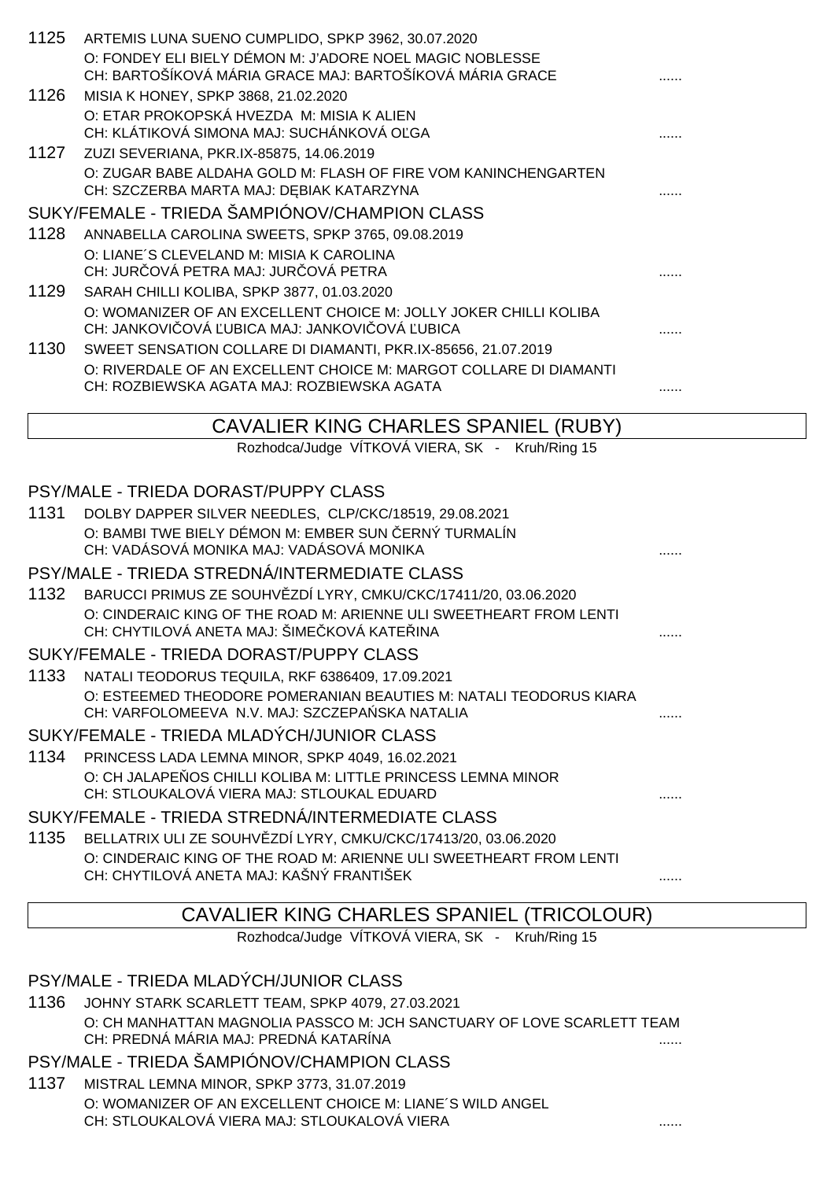| 1125 | ARTEMIS LUNA SUENO CUMPLIDO, SPKP 3962, 30.07.2020                                                                  |   |
|------|---------------------------------------------------------------------------------------------------------------------|---|
|      | O: FONDEY ELI BIELY DÉMON M: J'ADORE NOEL MAGIC NOBLESSE                                                            |   |
|      | CH: BARTOŠÍKOVÁ MÁRIA GRACE MAJ: BARTOŠÍKOVÁ MÁRIA GRACE                                                            |   |
| 1126 | MISIA K HONEY, SPKP 3868, 21.02.2020                                                                                |   |
|      | O: ETAR PROKOPSKÁ HVEZDA M: MISIA K ALIEN<br>CH: KLÁTIKOVÁ SIMONA MAJ: SUCHÁNKOVÁ O GA                              |   |
| 1127 | ZUZI SEVERIANA, PKR.IX-85875, 14.06.2019                                                                            |   |
|      | O: ZUGAR BABE ALDAHA GOLD M: FLASH OF FIRE VOM KANINCHENGARTEN                                                      |   |
|      | CH: SZCZERBA MARTA MAJ: D BIAK KATARZYNA                                                                            |   |
|      | SUKY/FEMALE - TRIEDA ŠAMPIÓNOV/CHAMPION CLASS                                                                       |   |
| 1128 | ANNABELLA CAROLINA SWEETS, SPKP 3765, 09.08.2019                                                                    |   |
|      | O: LIANE'S CLEVELAND M: MISIA K CAROLINA                                                                            |   |
|      | CH: JUR OVÁ PETRA MAJ: JUR OVÁ PETRA                                                                                |   |
| 1129 | SARAH CHILLI KOLIBA, SPKP 3877, 01.03.2020                                                                          |   |
|      | O: WOMANIZER OF AN EXCELLENT CHOICE M: JOLLY JOKER CHILLI KOLIBA<br>CH: JANKOVI OVÁ UBICA MAJ: JANKOVI OVÁ UBICA    |   |
| 1130 | SWEET SENSATION COLLARE DI DIAMANTI, PKR.IX-85656, 21.07.2019                                                       |   |
|      | O: RIVERDALE OF AN EXCELLENT CHOICE M: MARGOT COLLARE DI DIAMANTI                                                   |   |
|      | CH: ROZBIEWSKA AGATA MAJ: ROZBIEWSKA AGATA                                                                          |   |
|      |                                                                                                                     |   |
|      | CAVALIER KING CHARLES SPANIEL (RUBY)                                                                                |   |
|      | Rozhodca/Judge VÍTKOVÁ VIERA, SK - Kruh/Ring 15                                                                     |   |
|      | PSY/MALE - TRIEDA DORAST/PUPPY CLASS                                                                                |   |
| 1131 | DOLBY DAPPER SILVER NEEDLES, CLP/CKC/18519, 29.08.2021                                                              |   |
|      | O: BAMBI TWE BIELY DÉMON M: EMBER SUN ERNÝ TURMALÍN                                                                 |   |
|      | CH: VADÁSOVÁ MONIKA MAJ: VADÁSOVÁ MONIKA                                                                            |   |
|      | PSY/MALE - TRIEDA STREDNÁ/INTERMEDIATE CLASS                                                                        |   |
| 1132 | BARUCCI PRIMUS ZE SOUHV ZDÍ LYRY, CMKU/CKC/17411/20, 03.06.2020                                                     |   |
|      | O: CINDERAIC KING OF THE ROAD M: ARIENNE ULI SWEETHEART FROM LENTI                                                  |   |
|      | CH: CHYTILOVÁ ANETA MAJ: ŠIME KOVÁ KATE INA                                                                         | . |
|      | SUKY/FEMALE - TRIEDA DORAST/PUPPY CLASS                                                                             |   |
| 1133 | NATALI TEODORUS TEQUILA, RKF 6386409, 17.09.2021                                                                    |   |
|      | O: ESTEEMED THEODORE POMERANIAN BEAUTIES M: NATALI TEODORUS KIARA<br>CH: VARFOLOMEEVA N.V. MAJ: SZCZEPA SKA NATALIA | . |
|      | SUKY/FEMALE - TRIEDA MLADÝCH/JUNIOR CLASS                                                                           |   |
| 1134 | PRINCESS LADA LEMNA MINOR, SPKP 4049, 16.02.2021                                                                    |   |
|      | O: CH JALAPE OS CHILLI KOLIBA M: LITTLE PRINCESS LEMNA MINOR                                                        |   |
|      | CH: STLOUKALOVÁ VIERA MAJ: STLOUKAL EDUARD                                                                          |   |
|      | SUKY/FEMALE - TRIEDA STREDNÁ/INTERMEDIATE CLASS                                                                     |   |
|      | 1135 BELLATRIX ULI ZE SOUHV ZDÍ LYRY, CMKU/CKC/17413/20, 03.06.2020                                                 |   |

# CH: CHYTILOVÁ ANETA MAJ: KAŠNÝ FRANTIŠEK ......

O: CINDERAIC KING OF THE ROAD M: ARIENNE ULI SWEETHEART FROM LENTI

### CAVALIER KING CHARLES SPANIEL (TRICOLOUR)

Rozhodca/Judge VÍTKOVÁ VIERA, SK - Kruh/Ring 15

PSY/MALE - TRIEDA MLADÝCH/JUNIOR CLASS

1136 JOHNY STARK SCARLETT TEAM, SPKP 4079, 27.03.2021 O: CH MANHATTAN MAGNOLIA PASSCO M: JCH SANCTUARY OF LOVE SCARLETT TEAM CH: PREDNÁ MÁRIA MAJ: PREDNÁ KATARÍNA ......

PSY/MALE - TRIEDA ŠAMPIÓNOV/CHAMPION CLASS

1137 MISTRAL LEMNA MINOR, SPKP 3773, 31.07.2019 O: WOMANIZER OF AN EXCELLENT CHOICE M: LIANE´S WILD ANGEL CH: STLOUKALOVÁ VIERA MAJ: STLOUKALOVÁ VIERA ......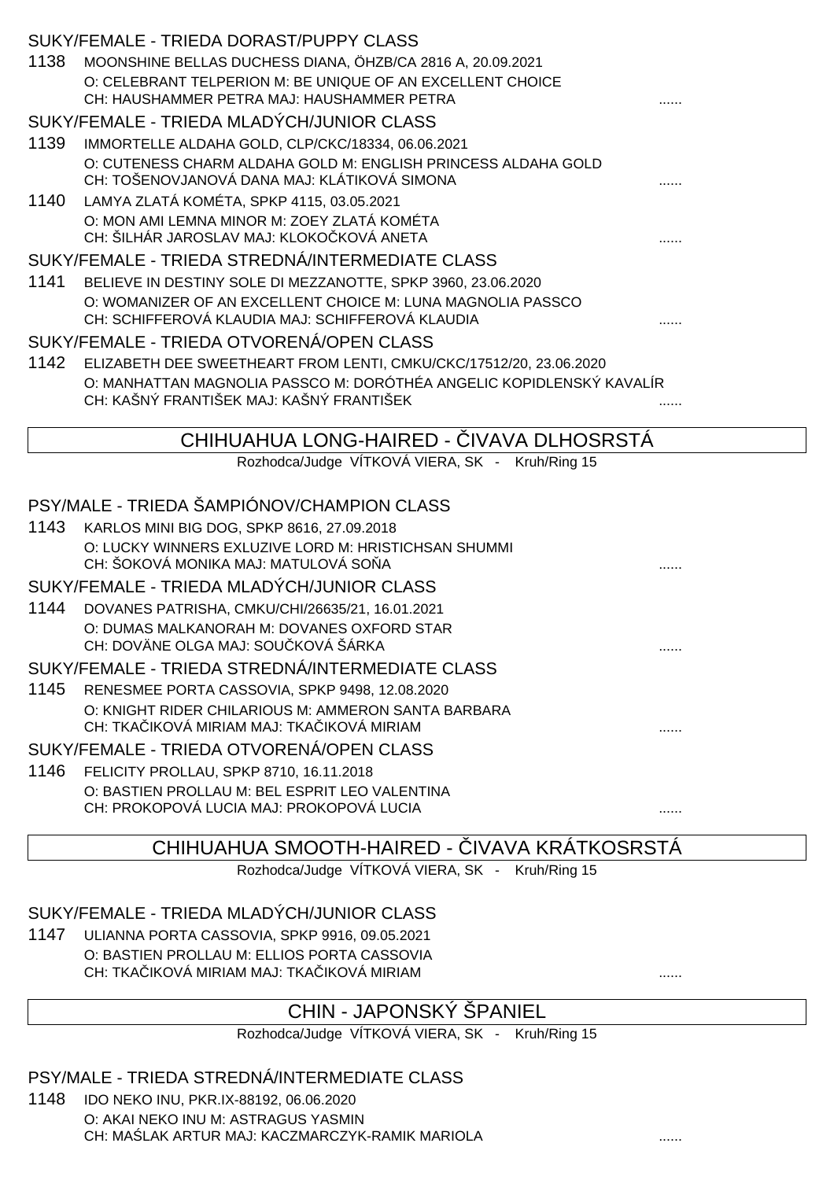|      | SUKY/FEMALE - TRIEDA DORAST/PUPPY CLASS                                                                         |   |
|------|-----------------------------------------------------------------------------------------------------------------|---|
| 1138 | MOONSHINE BELLAS DUCHESS DIANA, ÖHZB/CA 2816 A, 20.09.2021                                                      |   |
|      | O: CELEBRANT TELPERION M: BE UNIQUE OF AN EXCELLENT CHOICE                                                      |   |
|      | CH: HAUSHAMMER PETRA MAJ: HAUSHAMMER PETRA                                                                      |   |
|      | SUKY/FEMALE - TRIEDA MLADÝCH/JUNIOR CLASS                                                                       |   |
| 1139 | IMMORTELLE ALDAHA GOLD, CLP/CKC/18334, 06.06.2021                                                               |   |
|      | O: CUTENESS CHARM ALDAHA GOLD M: ENGLISH PRINCESS ALDAHA GOLD                                                   |   |
|      | CH: TOŠENOVJANOVÁ DANA MAJ: KLÁTIKOVÁ SIMONA                                                                    |   |
| 1140 | LAMYA ZLATÁ KOMÉTA, SPKP 4115, 03.05.2021                                                                       |   |
|      | O: MON AMI LEMNA MINOR M: ZOEY ZLATÁ KOMÉTA<br>CH: ŠILHÁR JAROSLAV MAJ: KLOKO KOVÁ ANETA                        |   |
|      | SUKY/FEMALE - TRIEDA STREDNÁ/INTERMEDIATE CLASS                                                                 |   |
| 1141 | BELIEVE IN DESTINY SOLE DI MEZZANOTTE, SPKP 3960, 23.06.2020                                                    |   |
|      | O: WOMANIZER OF AN EXCELLENT CHOICE M: LUNA MAGNOLIA PASSCO<br>CH: SCHIFFEROVÁ KLAUDIA MAJ: SCHIFFEROVÁ KLAUDIA |   |
|      | SUKY/FEMALE - TRIEDA OTVORENÁ/OPEN CLASS                                                                        |   |
| 1142 | ELIZABETH DEE SWEETHEART FROM LENTI, CMKU/CKC/17512/20, 23.06.2020                                              |   |
|      | O: MANHATTAN MAGNOLIA PASSCO M: DORÓTHÉA ANGELIC KOPIDLENSKÝ KAVALÍR                                            |   |
|      | CH: KAŠNÝ FRANTIŠEK MAJ: KAŠNÝ FRANTIŠEK                                                                        |   |
|      |                                                                                                                 |   |
|      | CHIHUAHUA LONG-HAIRED - IVAVA DLHOSRSTA                                                                         |   |
|      | Rozhodca/Judge VÍTKOVÁ VIERA, SK - Kruh/Ring 15                                                                 |   |
|      | PSY/MALE - TRIEDA ŠAMPIÓNOV/CHAMPION CLASS                                                                      |   |
| 1143 | KARLOS MINI BIG DOG, SPKP 8616, 27.09.2018                                                                      |   |
|      | O: LUCKY WINNERS EXLUZIVE LORD M: HRISTICHSAN SHUMMI                                                            |   |
|      | CH: ŠOKOVÁ MONIKA MAJ: MATULOVÁ SO A                                                                            |   |
|      | SUKY/FEMALE - TRIEDA MLADÝCH/JUNIOR CLASS                                                                       |   |
| 1144 | DOVANES PATRISHA, CMKU/CHI/26635/21, 16.01.2021                                                                 |   |
|      | O: DUMAS MALKANORAH M: DOVANES OXFORD STAR                                                                      |   |
|      | CH: DOVÄNE OLGA MAJ: SOU KOVÁ ŠÁRKA                                                                             |   |
|      | SUKY/FEMALE - TRIEDA STREDNÁ/INTERMEDIATE CLASS                                                                 |   |
| 1145 | RENESMEE PORTA CASSOVIA, SPKP 9498, 12.08.2020                                                                  |   |
|      | O: KNIGHT RIDER CHILARIOUS M: AMMERON SANTA BARBARA                                                             |   |
|      | CH: TKA IKOVÁ MIRIAM MAJ: TKA IKOVÁ MIRIAM                                                                      | . |
|      | SUKY/FEMALE - TRIEDA OTVORENÁ/OPEN CLASS                                                                        |   |
| 1146 | FELICITY PROLLAU, SPKP 8710, 16.11.2018                                                                         |   |
|      | O: BASTIEN PROLLAU M: BEL ESPRIT LEO VALENTINA                                                                  |   |
|      |                                                                                                                 |   |
|      | CH: PROKOPOVÁ LUCIA MAJ: PROKOPOVÁ LUCIA                                                                        |   |
|      | <b>IVAVA KRÁTKOSRSTÁ</b><br>CHIHUAHUA SMOOTH-HAIRED -                                                           |   |

Rozhodca/Judge VÍTKOVÁ VIERA, SK - Kruh/Ring 15

SUKY/FEMALE - TRIEDA MLADÝCH/JUNIOR CLASS

1147 ULIANNA PORTA CASSOVIA, SPKP 9916, 09.05.2021 O: BASTIEN PROLLAU M: ELLIOS PORTA CASSOVIA CH: TKA IKOVÁ MIRIAM MAJ: TKA IKOVÁ MIRIAM **Andrea Magneticková miriam andrea magnetick** ......

# CHIN - JAPONSKÝ ŠPANIEL

Rozhodca/Judge VÍTKOVÁ VIERA, SK - Kruh/Ring 15

### PSY/MALE - TRIEDA STREDNÁ/INTERMEDIATE CLASS

1148 IDO NEKO INU, PKR.IX-88192, 06.06.2020 O: AKAI NEKO INU M: ASTRAGUS YASMIN CH: MA LAK ARTUR MAJ: KACZMARCZYK-RAMIK MARIOLA **.......** .......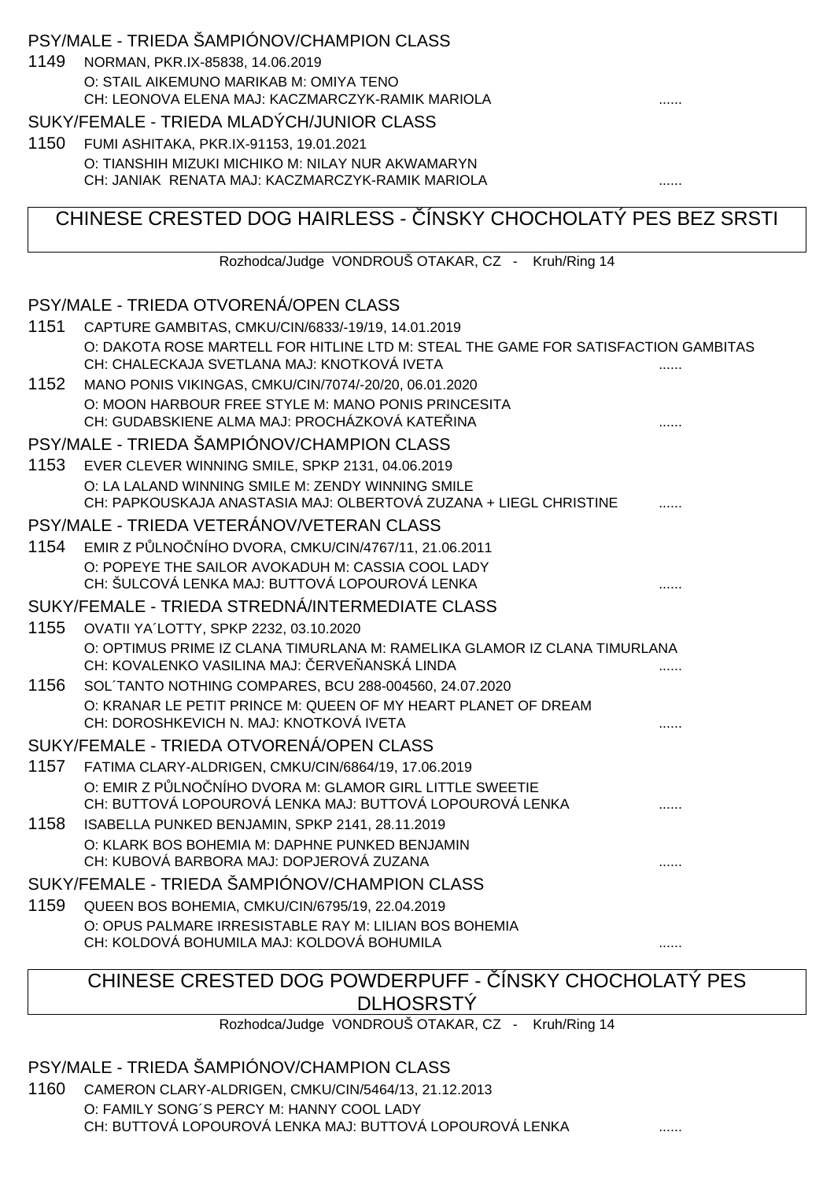### PSY/MALE - TRIEDA ŠAMPIÓNOV/CHAMPION CLASS

1149 NORMAN, PKR.IX-85838, 14.06.2019 O: STAIL AIKEMUNO MARIKAB M: OMIYA TENO CH: LEONOVA ELENA MAJ: KACZMARCZYK-RAMIK MARIOLA

#### SUKY/FEMALE - TRIEDA MLADÝCH/JUNIOR CLASS

1150 FUMI ASHITAKA, PKR.IX-91153, 19.01.2021 O: TIANSHIH MIZUKI MICHIKO M: NILAY NUR AKWAMARYN CH: JANIAK RENATA MAJ: KACZMARCZYK-RAMIK MARIOLA ......

# CHINESE CRESTED DOG HAIRLESS - ÍNSKY CHOCHOLATÝ PES BEZ SRSTI

Rozhodca/Judge VONDROUŠ OTAKAR, CZ - Kruh/Ring 14

#### PSY/MALE - TRIEDA OTVORENÁ/OPEN CLASS

| 1151 | CAPTURE GAMBITAS, CMKU/CIN/6833/-19/19, 14.01.2019                                                                                |  |
|------|-----------------------------------------------------------------------------------------------------------------------------------|--|
|      | O: DAKOTA ROSE MARTELL FOR HITLINE LTD M: STEAL THE GAME FOR SATISFACTION GAMBITAS<br>CH: CHALECKAJA SVETLANA MAJ: KNOTKOVÁ IVETA |  |
| 1152 | MANO PONIS VIKINGAS, CMKU/CIN/7074/-20/20, 06.01.2020                                                                             |  |
|      | O: MOON HARBOUR FREE STYLE M: MANO PONIS PRINCESITA<br>CH: GUDABSKIENE ALMA MAJ: PROCHÁZKOVÁ KATE INA                             |  |
|      | PSY/MALE - TRIEDA ŠAMPIÓNOV/CHAMPION CLASS                                                                                        |  |
| 1153 | EVER CLEVER WINNING SMILE, SPKP 2131, 04.06.2019                                                                                  |  |
|      | O: LA LALAND WINNING SMILE M: ZENDY WINNING SMILE<br>CH: PAPKOUSKAJA ANASTASIA MAJ: OLBERTOVÁ ZUZANA + LIEGL CHRISTINE            |  |
|      | PSY/MALE - TRIEDA VETERÁNOV/VETERAN CLASS                                                                                         |  |
| 1154 | EMIR Z P LNO NÍHO DVORA, CMKU/CIN/4767/11, 21.06.2011                                                                             |  |
|      | O: POPEYE THE SAILOR AVOKADUH M: CASSIA COOL LADY<br>CH: ŠULCOVÁ LENKA MAJ: BUTTOVÁ LOPOUROVÁ LENKA                               |  |
|      | SUKY/FEMALE - TRIEDA STREDNÁ/INTERMEDIATE CLASS                                                                                   |  |
| 1155 | OVATII YA'LOTTY, SPKP 2232, 03.10.2020                                                                                            |  |
|      | O: OPTIMUS PRIME IZ CLANA TIMURLANA M: RAMELIKA GLAMOR IZ CLANA TIMURLANA<br>CH: KOVALENKO VASILINA MAJ: ERVE ANSKÁ LINDA         |  |
| 1156 | SOL TANTO NOTHING COMPARES, BCU 288-004560, 24.07.2020                                                                            |  |
|      | O: KRANAR LE PETIT PRINCE M: QUEEN OF MY HEART PLANET OF DREAM<br>CH: DOROSHKEVICH N. MAJ: KNOTKOVÁ IVETA                         |  |
|      | SUKY/FEMALE - TRIEDA OTVORENÁ/OPEN CLASS                                                                                          |  |
| 1157 | FATIMA CLARY-ALDRIGEN, CMKU/CIN/6864/19, 17.06.2019                                                                               |  |
|      | O: EMIR Z P LNO NÍHO DVORA M: GLAMOR GIRL LITTLE SWEETIE<br>CH: BUTTOVÁ LOPOUROVÁ LENKA MAJ: BUTTOVÁ LOPOUROVÁ LENKA              |  |
| 1158 | ISABELLA PUNKED BENJAMIN, SPKP 2141, 28.11.2019                                                                                   |  |
|      | O: KLARK BOS BOHEMIA M: DAPHNE PUNKED BENJAMIN                                                                                    |  |
|      | CH: KUBOVÁ BARBORA MAJ: DOPJEROVÁ ZUZANA                                                                                          |  |
|      | SUKY/FEMALE - TRIEDA ŠAMPIÓNOV/CHAMPION CLASS                                                                                     |  |
| 1159 | QUEEN BOS BOHEMIA, CMKU/CIN/6795/19, 22.04.2019                                                                                   |  |
|      | O: OPUS PALMARE IRRESISTABLE RAY M: LILIAN BOS BOHEMIA<br>CH: KOLDOVÁ BOHUMILA MAJ: KOLDOVÁ BOHUMILA                              |  |
|      |                                                                                                                                   |  |

#### CHINESE CRESTED DOG POWDERPUFF - INSKY CHOCHOLATY PES **DLHOSRSTY**

Rozhodca/Judge VONDROUŠ OTAKAR, CZ - Kruh/Ring 14

#### PSY/MALE - TRIEDA ŠAMPIÓNOV/CHAMPION CLASS

1160 CAMERON CLARY-ALDRIGEN, CMKU/CIN/5464/13, 21.12.2013 O: FAMILY SONG´S PERCY M: HANNY COOL LADY CH: BUTTOVÁ LOPOUROVÁ LENKA MAJ: BUTTOVÁ LOPOUROVÁ LENKA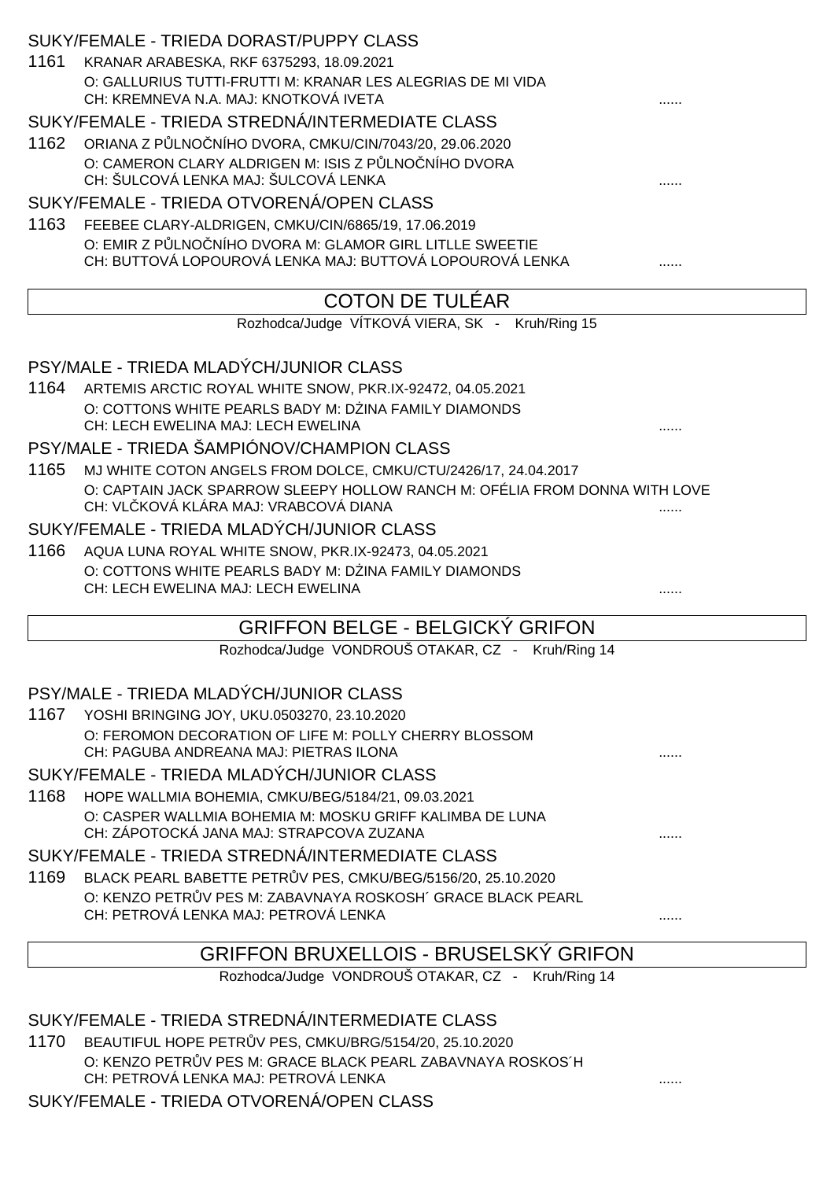|      | SUKY/FEMALE - TRIEDA DORAST/PUPPY CLASS                                                                              |   |
|------|----------------------------------------------------------------------------------------------------------------------|---|
| 1161 | KRANAR ARABESKA, RKF 6375293, 18.09.2021                                                                             |   |
|      | O: GALLURIUS TUTTI-FRUTTI M: KRANAR LES ALEGRIAS DE MI VIDA<br>CH: KREMNEVA N.A. MAJ: KNOTKOVÁ IVETA                 |   |
|      | SUKY/FEMALE - TRIEDA STREDNÁ/INTERMEDIATE CLASS                                                                      |   |
| 1162 | ORIANA Z P LNO NÍHO DVORA, CMKU/CIN/7043/20, 29.06.2020                                                              |   |
|      | O: CAMERON CLARY ALDRIGEN M: ISIS Z P LNO NÍHO DVORA<br>CH: ŠULCOVÁ LENKA MAJ: ŠULCOVÁ LENKA                         |   |
|      | SUKY/FEMALE - TRIEDA OTVORENÁ/OPEN CLASS                                                                             |   |
| 1163 | FEEBEE CLARY-ALDRIGEN, CMKU/CIN/6865/19, 17.06.2019                                                                  |   |
|      | O: EMIR Z P LNO NÍHO DVORA M: GLAMOR GIRL LITLLE SWEETIE<br>CH: BUTTOVÁ LOPOUROVÁ LENKA MAJ: BUTTOVÁ LOPOUROVÁ LENKA |   |
|      | <b>COTON DE TULÉAR</b>                                                                                               |   |
|      | Rozhodca/Judge VÍTKOVÁ VIERA, SK - Kruh/Ring 15                                                                      |   |
|      | PSY/MALE - TRIEDA MLADÝCH/JUNIOR CLASS                                                                               |   |
|      | 1164 ARTEMIS ARCTIC ROYAL WHITE SNOW, PKR.IX-92472, 04.05.2021                                                       |   |
|      | O: COTTONS WHITE PEARLS BADY M: D INA FAMILY DIAMONDS                                                                |   |
|      | CH: LECH EWELINA MAJ: LECH EWELINA                                                                                   |   |
|      | PSY/MALE - TRIEDA ŠAMPIÓNOV/CHAMPION CLASS                                                                           |   |
| 1165 | MJ WHITE COTON ANGELS FROM DOLCE, CMKU/CTU/2426/17, 24.04.2017                                                       |   |
|      | O: CAPTAIN JACK SPARROW SLEEPY HOLLOW RANCH M: OFÉLIA FROM DONNA WITH LOVE<br>CH: VL KOVÁ KLÁRA MAJ: VRABCOVÁ DIANA  |   |
|      | SUKY/FEMALE - TRIEDA MLADÝCH/JUNIOR CLASS                                                                            |   |
| 1166 | AQUA LUNA ROYAL WHITE SNOW, PKR.IX-92473, 04.05.2021                                                                 |   |
|      | O: COTTONS WHITE PEARLS BADY M: D INA FAMILY DIAMONDS<br>CH: LECH EWELINA MAJ: LECH EWELINA                          |   |
|      | <b>GRIFFON BELGE - BELGICKÝ GRIFON</b>                                                                               |   |
|      | Rozhodca/Judge VONDROUŠ OTAKAR, CZ - Kruh/Ring 14                                                                    |   |
|      | PSY/MALE - TRIEDA MLADÝCH/JUNIOR CLASS                                                                               |   |
|      | 1167 YOSHI BRINGING JOY, UKU.0503270, 23.10.2020                                                                     |   |
|      | O: FEROMON DECORATION OF LIFE M: POLLY CHERRY BLOSSOM                                                                |   |
|      | CH: PAGUBA ANDREANA MAJ: PIETRAS ILONA<br>SUKY/FEMALE - TRIEDA MLADÝCH/JUNIOR CLASS                                  |   |
| 1168 |                                                                                                                      |   |
|      | HOPE WALLMIA BOHEMIA, CMKU/BEG/5184/21, 09.03.2021<br>O: CASPER WALLMIA BOHEMIA M: MOSKU GRIFF KALIMBA DE LUNA       |   |
|      | CH: ZÁPOTOCKÁ JANA MAJ: STRAPCOVA ZUZANA                                                                             |   |
|      | SUKY/FEMALE - TRIEDA STREDNÁ/INTERMEDIATE CLASS                                                                      |   |
| 1169 | BLACK PEARL BABETTE PETR V PES, CMKU/BEG/5156/20, 25.10.2020                                                         |   |
|      | O: KENZO PETR V PES M: ZABAVNAYA ROSKOSH' GRACE BLACK PEARL<br>CH: PETROVÁ LENKA MAJ: PETROVÁ LENKA                  |   |
|      |                                                                                                                      | . |
|      | <b>GRIFFON BRUXELLOIS - BRUSELSKÝ GRIFON</b>                                                                         |   |
|      | Rozhodca/Judge VONDROUŠ OTAKAR, CZ - Kruh/Ring 14                                                                    |   |
|      |                                                                                                                      |   |

SUKY/FEMALE - TRIEDA STREDNÁ/INTERMEDIATE CLASS

1170 BEAUTIFUL HOPE PETR V PES, CMKU/BRG/5154/20, 25.10.2020 O: KENZO PETR V PES M: GRACE BLACK PEARL ZABAVNAYA ROSKOS´H CH: PETROVÁ LENKA MAJ: PETROVÁ LENKA ......

SUKY/FEMALE - TRIEDA OTVORENÁ/OPEN CLASS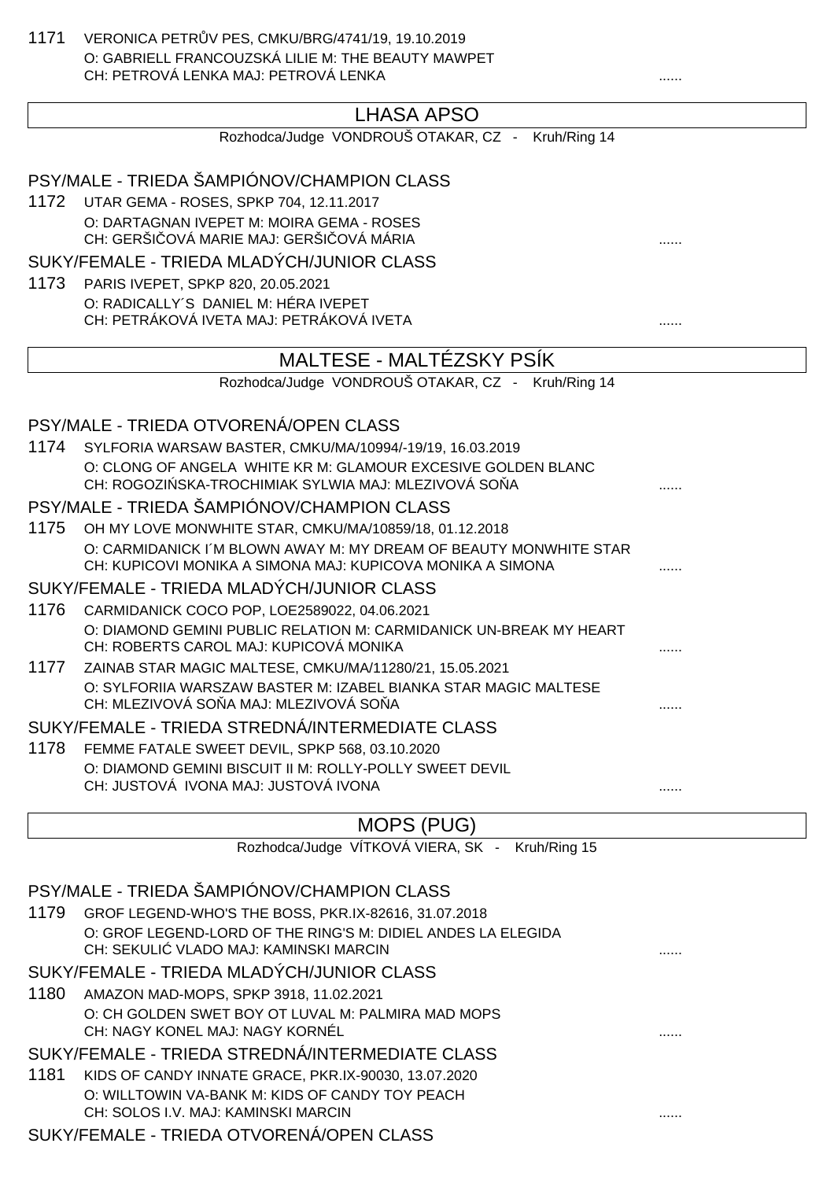1171 VERONICA PETR V PES, CMKU/BRG/4741/19, 19.10.2019 O: GABRIELL FRANCOUZSKÁ LILIE M: THE BEAUTY MAWPET CH: PETROVÁ LENKA MAJ: PETROVÁ LENKA ......

### LHASA APSO

|      | Rozhodca/Judge VONDROUŠ OTAKAR, CZ - Kruh/Ring 14                                                                          |   |
|------|----------------------------------------------------------------------------------------------------------------------------|---|
|      | PSY/MALE - TRIEDA ŠAMPIÓNOV/CHAMPION CLASS                                                                                 |   |
| 1172 | UTAR GEMA - ROSES, SPKP 704, 12.11.2017                                                                                    |   |
|      | O: DARTAGNAN IVEPET M: MOIRA GEMA - ROSES                                                                                  |   |
|      | CH: GERŠI OVÁ MARIE MAJ: GERŠI OVÁ MÁRIA                                                                                   |   |
|      | SUKY/FEMALE - TRIEDA MLADÝCH/JUNIOR CLASS                                                                                  |   |
| 1173 | PARIS IVEPET, SPKP 820, 20.05.2021                                                                                         |   |
|      | O: RADICALLY'S DANIEL M: HÉRA IVEPET                                                                                       |   |
|      | CH: PETRÁKOVÁ IVETA MAJ: PETRÁKOVÁ IVETA                                                                                   | . |
|      | MALTESE - MALTÉZSKY PSÍK                                                                                                   |   |
|      | Rozhodca/Judge VONDROUŠ OTAKAR, CZ - Kruh/Ring 14                                                                          |   |
|      | PSY/MALE - TRIEDA OTVORENÁ/OPEN CLASS                                                                                      |   |
| 1174 | SYLFORIA WARSAW BASTER, CMKU/MA/10994/-19/19, 16.03.2019                                                                   |   |
|      | O: CLONG OF ANGELA WHITE KR M: GLAMOUR EXCESIVE GOLDEN BLANC                                                               |   |
|      | CH: ROGOZI SKA-TROCHIMIAK SYLWIA MAJ: MLEZIVOVÁ SO A                                                                       |   |
|      | PSY/MALE - TRIEDA ŠAMPIÓNOV/CHAMPION CLASS                                                                                 |   |
| 1175 | OH MY LOVE MONWHITE STAR, CMKU/MA/10859/18, 01.12.2018                                                                     |   |
|      | O: CARMIDANICK I'M BLOWN AWAY M: MY DREAM OF BEAUTY MONWHITE STAR                                                          |   |
|      | CH: KUPICOVI MONIKA A SIMONA MAJ: KUPICOVA MONIKA A SIMONA                                                                 |   |
|      | SUKY/FEMALE - TRIEDA MLADÝCH/JUNIOR CLASS                                                                                  |   |
| 1176 | CARMIDANICK COCO POP, LOE2589022, 04.06.2021                                                                               |   |
|      | O: DIAMOND GEMINI PUBLIC RELATION M: CARMIDANICK UN-BREAK MY HEART                                                         |   |
|      | CH: ROBERTS CAROL MAJ: KUPICOVÁ MONIKA                                                                                     |   |
| 1177 | ZAINAB STAR MAGIC MALTESE, CMKU/MA/11280/21, 15.05.2021<br>O: SYLFORIIA WARSZAW BASTER M: IZABEL BIANKA STAR MAGIC MALTESE |   |
|      | CH: MLEZIVOVÁ SO A MAJ: MLEZIVOVÁ SO A                                                                                     |   |
|      | SUKY/FEMALE - TRIEDA STREDNÁ/INTERMEDIATE CLASS                                                                            |   |
| 1178 | FEMME FATALE SWEET DEVIL, SPKP 568, 03.10.2020                                                                             |   |
|      | O: DIAMOND GEMINI BISCUIT II M: ROLLY-POLLY SWEET DEVIL                                                                    |   |
|      | CH: JUSTOVÁ IVONA MAJ: JUSTOVÁ IVONA                                                                                       |   |
|      | <b>MOPS (PUG)</b>                                                                                                          |   |
|      | Rozhodca/Judge VÍTKOVÁ VIERA, SK - Kruh/Ring 15                                                                            |   |

PSY/MALE - TRIEDA ŠAMPIÓNOV/CHAMPION CLASS 1179 GROF LEGEND-WHO'S THE BOSS, PKR.IX-82616, 31.07.2018 O: GROF LEGEND-LORD OF THE RING'S M: DIDIEL ANDES LA ELEGIDA CH: SEKULIĆ VLADO MAJ: KAMINSKI MARCIN ...... SUKY/FEMALE - TRIEDA MLADÝCH/JUNIOR CLASS 1180 AMAZON MAD-MOPS, SPKP 3918, 11.02.2021 O: CH GOLDEN SWET BOY OT LUVAL M: PALMIRA MAD MOPS CH: NAGY KONEL MAJ: NAGY KORNÉL ...... SUKY/FEMALE - TRIEDA STREDNÁ/INTERMEDIATE CLASS 1181 KIDS OF CANDY INNATE GRACE, PKR.IX-90030, 13.07.2020 O: WILLTOWIN VA-BANK M: KIDS OF CANDY TOY PEACH CH: SOLOS I.V. MAJ: KAMINSKI MARCIN ...... SUKY/FEMALE - TRIEDA OTVORENÁ/OPEN CLASS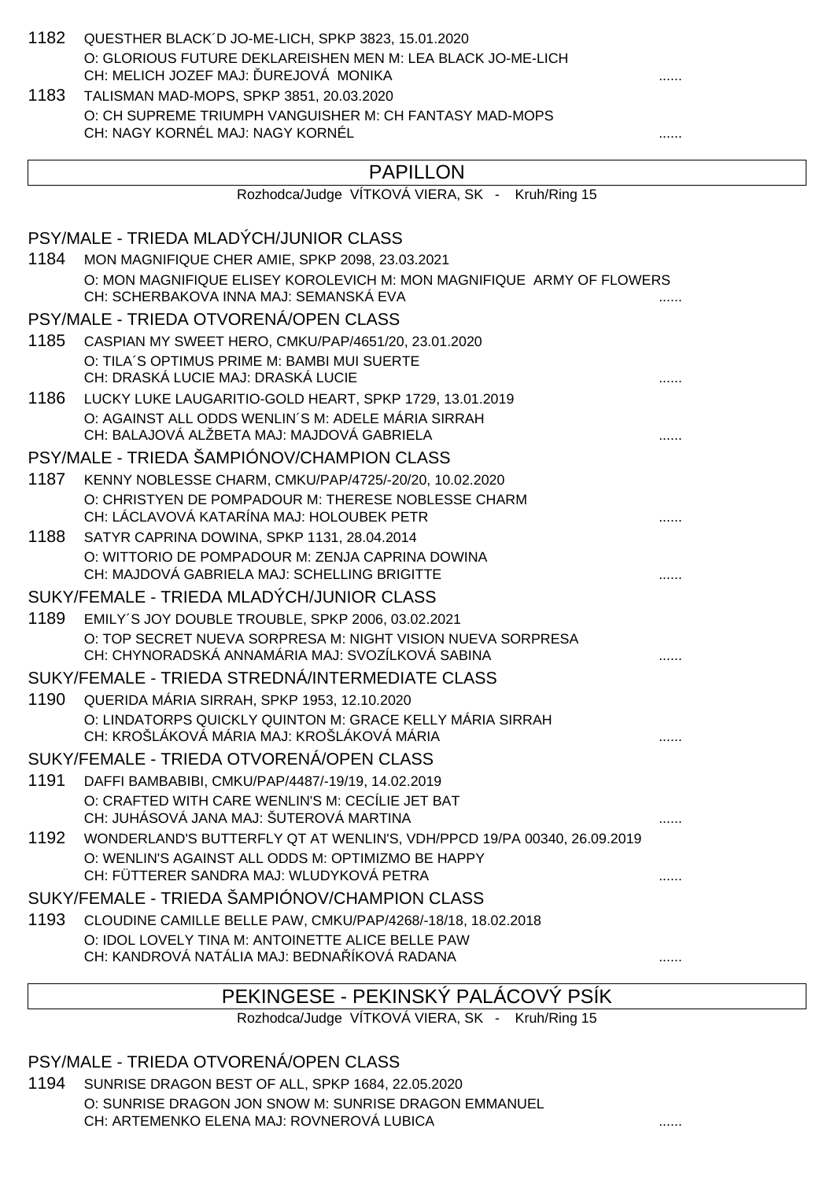| QUESTHER BLACK'D JO-ME-LICH, SPKP 3823, 15.01.2020                                                              |                                                                                                                                                                                                                                                                                                                                                                                                                                                                                                                                                                                                                                                                                                                                                                                                                                                                                                                                                                                                                                                                                                                                                                                                                                                                                                                                |
|-----------------------------------------------------------------------------------------------------------------|--------------------------------------------------------------------------------------------------------------------------------------------------------------------------------------------------------------------------------------------------------------------------------------------------------------------------------------------------------------------------------------------------------------------------------------------------------------------------------------------------------------------------------------------------------------------------------------------------------------------------------------------------------------------------------------------------------------------------------------------------------------------------------------------------------------------------------------------------------------------------------------------------------------------------------------------------------------------------------------------------------------------------------------------------------------------------------------------------------------------------------------------------------------------------------------------------------------------------------------------------------------------------------------------------------------------------------|
| O: GLORIOUS FUTURE DEKLAREISHEN MEN M: LEA BLACK JO-ME-LICH                                                     |                                                                                                                                                                                                                                                                                                                                                                                                                                                                                                                                                                                                                                                                                                                                                                                                                                                                                                                                                                                                                                                                                                                                                                                                                                                                                                                                |
|                                                                                                                 |                                                                                                                                                                                                                                                                                                                                                                                                                                                                                                                                                                                                                                                                                                                                                                                                                                                                                                                                                                                                                                                                                                                                                                                                                                                                                                                                |
|                                                                                                                 |                                                                                                                                                                                                                                                                                                                                                                                                                                                                                                                                                                                                                                                                                                                                                                                                                                                                                                                                                                                                                                                                                                                                                                                                                                                                                                                                |
| CH: NAGY KORNÉL MAJ: NAGY KORNÉL                                                                                |                                                                                                                                                                                                                                                                                                                                                                                                                                                                                                                                                                                                                                                                                                                                                                                                                                                                                                                                                                                                                                                                                                                                                                                                                                                                                                                                |
|                                                                                                                 |                                                                                                                                                                                                                                                                                                                                                                                                                                                                                                                                                                                                                                                                                                                                                                                                                                                                                                                                                                                                                                                                                                                                                                                                                                                                                                                                |
|                                                                                                                 |                                                                                                                                                                                                                                                                                                                                                                                                                                                                                                                                                                                                                                                                                                                                                                                                                                                                                                                                                                                                                                                                                                                                                                                                                                                                                                                                |
|                                                                                                                 |                                                                                                                                                                                                                                                                                                                                                                                                                                                                                                                                                                                                                                                                                                                                                                                                                                                                                                                                                                                                                                                                                                                                                                                                                                                                                                                                |
|                                                                                                                 |                                                                                                                                                                                                                                                                                                                                                                                                                                                                                                                                                                                                                                                                                                                                                                                                                                                                                                                                                                                                                                                                                                                                                                                                                                                                                                                                |
|                                                                                                                 |                                                                                                                                                                                                                                                                                                                                                                                                                                                                                                                                                                                                                                                                                                                                                                                                                                                                                                                                                                                                                                                                                                                                                                                                                                                                                                                                |
| CH: SCHERBAKOVA INNA MAJ: SEMANSKÁ EVA                                                                          |                                                                                                                                                                                                                                                                                                                                                                                                                                                                                                                                                                                                                                                                                                                                                                                                                                                                                                                                                                                                                                                                                                                                                                                                                                                                                                                                |
|                                                                                                                 |                                                                                                                                                                                                                                                                                                                                                                                                                                                                                                                                                                                                                                                                                                                                                                                                                                                                                                                                                                                                                                                                                                                                                                                                                                                                                                                                |
|                                                                                                                 |                                                                                                                                                                                                                                                                                                                                                                                                                                                                                                                                                                                                                                                                                                                                                                                                                                                                                                                                                                                                                                                                                                                                                                                                                                                                                                                                |
| CH: DRASKÁ LUCIE MAJ: DRASKÁ LUCIE                                                                              |                                                                                                                                                                                                                                                                                                                                                                                                                                                                                                                                                                                                                                                                                                                                                                                                                                                                                                                                                                                                                                                                                                                                                                                                                                                                                                                                |
|                                                                                                                 |                                                                                                                                                                                                                                                                                                                                                                                                                                                                                                                                                                                                                                                                                                                                                                                                                                                                                                                                                                                                                                                                                                                                                                                                                                                                                                                                |
| O: AGAINST ALL ODDS WENLIN'S M: ADELE MÁRIA SIRRAH<br>CH: BALAJOVÁ ALŽBETA MAJ: MAJDOVÁ GABRIELA                |                                                                                                                                                                                                                                                                                                                                                                                                                                                                                                                                                                                                                                                                                                                                                                                                                                                                                                                                                                                                                                                                                                                                                                                                                                                                                                                                |
|                                                                                                                 |                                                                                                                                                                                                                                                                                                                                                                                                                                                                                                                                                                                                                                                                                                                                                                                                                                                                                                                                                                                                                                                                                                                                                                                                                                                                                                                                |
|                                                                                                                 |                                                                                                                                                                                                                                                                                                                                                                                                                                                                                                                                                                                                                                                                                                                                                                                                                                                                                                                                                                                                                                                                                                                                                                                                                                                                                                                                |
| O: CHRISTYEN DE POMPADOUR M: THERESE NOBLESSE CHARM<br>CH: LÁCLAVOVÁ KATARÍNA MAJ: HOLOUBEK PETR                |                                                                                                                                                                                                                                                                                                                                                                                                                                                                                                                                                                                                                                                                                                                                                                                                                                                                                                                                                                                                                                                                                                                                                                                                                                                                                                                                |
|                                                                                                                 |                                                                                                                                                                                                                                                                                                                                                                                                                                                                                                                                                                                                                                                                                                                                                                                                                                                                                                                                                                                                                                                                                                                                                                                                                                                                                                                                |
| CH: MAJDOVÁ GABRIELA MAJ: SCHELLING BRIGITTE                                                                    |                                                                                                                                                                                                                                                                                                                                                                                                                                                                                                                                                                                                                                                                                                                                                                                                                                                                                                                                                                                                                                                                                                                                                                                                                                                                                                                                |
|                                                                                                                 |                                                                                                                                                                                                                                                                                                                                                                                                                                                                                                                                                                                                                                                                                                                                                                                                                                                                                                                                                                                                                                                                                                                                                                                                                                                                                                                                |
| EMILY'S JOY DOUBLE TROUBLE, SPKP 2006, 03.02.2021                                                               |                                                                                                                                                                                                                                                                                                                                                                                                                                                                                                                                                                                                                                                                                                                                                                                                                                                                                                                                                                                                                                                                                                                                                                                                                                                                                                                                |
| O: TOP SECRET NUEVA SORPRESA M: NIGHT VISION NUEVA SORPRESA<br>CH: CHYNORADSKÁ ANNAMÁRIA MAJ: SVOZÍLKOVÁ SABINA |                                                                                                                                                                                                                                                                                                                                                                                                                                                                                                                                                                                                                                                                                                                                                                                                                                                                                                                                                                                                                                                                                                                                                                                                                                                                                                                                |
|                                                                                                                 |                                                                                                                                                                                                                                                                                                                                                                                                                                                                                                                                                                                                                                                                                                                                                                                                                                                                                                                                                                                                                                                                                                                                                                                                                                                                                                                                |
|                                                                                                                 |                                                                                                                                                                                                                                                                                                                                                                                                                                                                                                                                                                                                                                                                                                                                                                                                                                                                                                                                                                                                                                                                                                                                                                                                                                                                                                                                |
| CH: KROŠLÁKOVÁ MÁRIA MAJ: KROŠLÁKOVÁ MÁRIA                                                                      |                                                                                                                                                                                                                                                                                                                                                                                                                                                                                                                                                                                                                                                                                                                                                                                                                                                                                                                                                                                                                                                                                                                                                                                                                                                                                                                                |
|                                                                                                                 |                                                                                                                                                                                                                                                                                                                                                                                                                                                                                                                                                                                                                                                                                                                                                                                                                                                                                                                                                                                                                                                                                                                                                                                                                                                                                                                                |
| DAFFI BAMBABIBI, CMKU/PAP/4487/-19/19, 14.02.2019                                                               |                                                                                                                                                                                                                                                                                                                                                                                                                                                                                                                                                                                                                                                                                                                                                                                                                                                                                                                                                                                                                                                                                                                                                                                                                                                                                                                                |
| CH: JUHÁSOVÁ JANA MAJ: ŠUTEROVÁ MARTINA                                                                         |                                                                                                                                                                                                                                                                                                                                                                                                                                                                                                                                                                                                                                                                                                                                                                                                                                                                                                                                                                                                                                                                                                                                                                                                                                                                                                                                |
|                                                                                                                 |                                                                                                                                                                                                                                                                                                                                                                                                                                                                                                                                                                                                                                                                                                                                                                                                                                                                                                                                                                                                                                                                                                                                                                                                                                                                                                                                |
| CH: FÜTTERER SANDRA MAJ: WLUDYKOVÁ PETRA                                                                        | .                                                                                                                                                                                                                                                                                                                                                                                                                                                                                                                                                                                                                                                                                                                                                                                                                                                                                                                                                                                                                                                                                                                                                                                                                                                                                                                              |
|                                                                                                                 |                                                                                                                                                                                                                                                                                                                                                                                                                                                                                                                                                                                                                                                                                                                                                                                                                                                                                                                                                                                                                                                                                                                                                                                                                                                                                                                                |
| CLOUDINE CAMILLE BELLE PAW, CMKU/PAP/4268/-18/18, 18.02.2018                                                    |                                                                                                                                                                                                                                                                                                                                                                                                                                                                                                                                                                                                                                                                                                                                                                                                                                                                                                                                                                                                                                                                                                                                                                                                                                                                                                                                |
| O: IDOL LOVELY TINA M: ANTOINETTE ALICE BELLE PAW<br>CH: KANDROVÁ NATÁLIA MAJ: BEDNA ÍKOVÁ RADANA               | .                                                                                                                                                                                                                                                                                                                                                                                                                                                                                                                                                                                                                                                                                                                                                                                                                                                                                                                                                                                                                                                                                                                                                                                                                                                                                                                              |
|                                                                                                                 | CH: MELICH JOZEF MAJ: UREJOVÁ MONIKA<br>TALISMAN MAD-MOPS, SPKP 3851, 20.03.2020<br>O: CH SUPREME TRIUMPH VANGUISHER M: CH FANTASY MAD-MOPS<br><b>PAPILLON</b><br>Rozhodca/Judge VÍTKOVÁ VIERA, SK - Kruh/Ring 15<br>PSY/MALE - TRIEDA MLADÝCH/JUNIOR CLASS<br>1184 MON MAGNIFIQUE CHER AMIE, SPKP 2098, 23.03.2021<br>O: MON MAGNIFIQUE ELISEY KOROLEVICH M: MON MAGNIFIQUE ARMY OF FLOWERS<br>PSY/MALE - TRIEDA OTVORENÁ/OPEN CLASS<br>CASPIAN MY SWEET HERO, CMKU/PAP/4651/20, 23.01.2020<br>O: TILA'S OPTIMUS PRIME M: BAMBI MUI SUERTE<br>1186 LUCKY LUKE LAUGARITIO-GOLD HEART, SPKP 1729, 13.01.2019<br>PSY/MALE - TRIEDA ŠAMPIÓNOV/CHAMPION CLASS<br>1187 KENNY NOBLESSE CHARM, CMKU/PAP/4725/-20/20, 10.02.2020<br>SATYR CAPRINA DOWINA, SPKP 1131, 28.04.2014<br>O: WITTORIO DE POMPADOUR M: ZENJA CAPRINA DOWINA<br>SUKY/FEMALE - TRIEDA MLADÝCH/JUNIOR CLASS<br>SUKY/FEMALE - TRIEDA STREDNÁ/INTERMEDIATE CLASS<br>1190 QUERIDA MÁRIA SIRRAH, SPKP 1953, 12.10.2020<br>O: LINDATORPS QUICKLY QUINTON M: GRACE KELLY MÁRIA SIRRAH<br>SUKY/FEMALE - TRIEDA OTVORENÁ/OPEN CLASS<br>O: CRAFTED WITH CARE WENLIN'S M: CECÍLIE JET BAT<br>WONDERLAND'S BUTTERFLY QT AT WENLIN'S, VDH/PPCD 19/PA 00340, 26.09.2019<br>O: WENLIN'S AGAINST ALL ODDS M: OPTIMIZMO BE HAPPY<br>SUKY/FEMALE - TRIEDA ŠAMPIÓNOV/CHAMPION CLASS |

# PEKINGESE - PEKINSKÝ PALÁCOVÝ PSÍK

Rozhodca/Judge VÍTKOVÁ VIERA, SK - Kruh/Ring 15

### PSY/MALE - TRIEDA OTVORENÁ/OPEN CLASS

1194 SUNRISE DRAGON BEST OF ALL, SPKP 1684, 22.05.2020 O: SUNRISE DRAGON JON SNOW M: SUNRISE DRAGON EMMANUEL CH: ARTEMENKO ELENA MAJ: ROVNEROVÁ LUBICA ......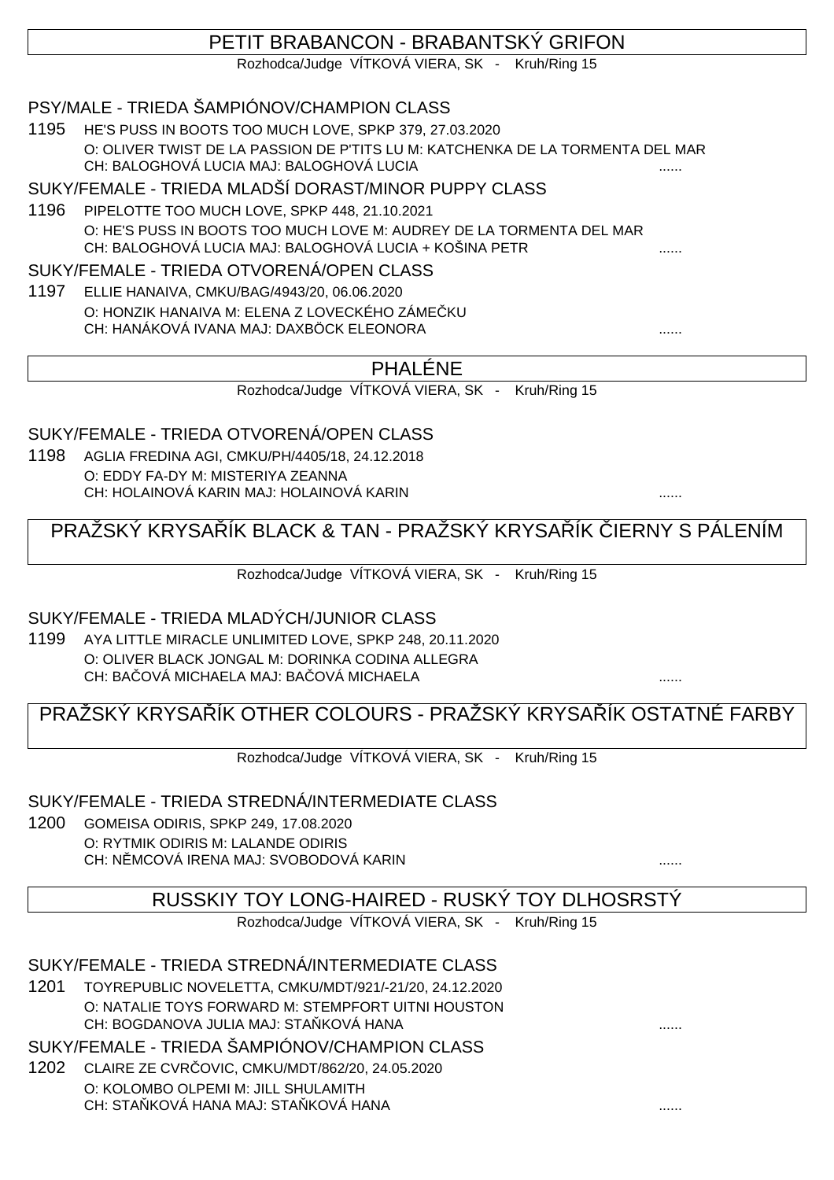### PETIT BRABANCON - BRABANTSKÝ GRIFON

Rozhodca/Judge VÍTKOVÁ VIERA, SK - Kruh/Ring 15

### PSY/MALE - TRIEDA ŠAMPIÓNOV/CHAMPION CLASS

1195 HE'S PUSS IN BOOTS TOO MUCH LOVE, SPKP 379, 27.03.2020 O: OLIVER TWIST DE LA PASSION DE P'TITS LU M: KATCHENKA DE LA TORMENTA DEL MAR CH: BALOGHOVÁ LUCIA MAJ: BALOGHOVÁ LUCIA

SUKY/FEMALE - TRIEDA MLADŠÍ DORAST/MINOR PUPPY CLASS

1196 PIPELOTTE TOO MUCH LOVE, SPKP 448, 21.10.2021 O: HE'S PUSS IN BOOTS TOO MUCH LOVE M: AUDREY DE LA TORMENTA DEL MAR CH: BALOGHOVÁ LUCIA MAJ: BALOGHOVÁ LUCIA + KOŠINA PETR

#### SUKY/FEMALE - TRIEDA OTVORENÁ/OPEN CLASS

1197 ELLIE HANAIVA, CMKU/BAG/4943/20, 06.06.2020 O: HONZIK HANAIVA M: ELENA Z LOVECKÉHO ZÁME KU CH: HANÁKOVÁ IVANA MAJ: DAXBÖCK ELEONORA ......

### PHALÉNE

Rozhodca/Judge VÍTKOVÁ VIERA, SK - Kruh/Ring 15

#### SUKY/FEMALE - TRIEDA OTVORENÁ/OPEN CLASS

1198 AGLIA FREDINA AGI, CMKU/PH/4405/18, 24.12.2018 O: EDDY FA-DY M: MISTERIYA ZEANNA CH: HOLAINOVÁ KARIN MAJ: HOLAINOVÁ KARIN ......

PRAŽSKÝ KRYSA ÍK BLACK & TAN - PRAŽSKÝ KRYSA ÍK LERNY S PÁLENÍM

Rozhodca/Judge VÍTKOVÁ VIERA, SK - Kruh/Ring 15

#### SUKY/FEMALE - TRIEDA MLADÝCH/JUNIOR CLASS

1199 AYA LITTLE MIRACLE UNLIMITED LOVE, SPKP 248, 20.11.2020 O: OLIVER BLACK JONGAL M: DORINKA CODINA ALLEGRA CH: BAČOVÁ MICHAELA MAJ: BAČOVÁ MICHAELA ......

### PRAŽSKÝ KRYSA, ÍK OTHER COLOURS - PRAŽSKÝ KRYSA, ÍK OSTATNÉ FARBY

Rozhodca/Judge VÍTKOVÁ VIERA, SK - Kruh/Ring 15

#### SUKY/FEMALE - TRIEDA STREDNÁ/INTERMEDIATE CLASS

1200 GOMEISA ODIRIS, SPKP 249, 17.08.2020 O: RYTMIK ODIRIS M: LALANDE ODIRIS CH: NĚMCOVÁ IRENA MAJ: SVOBODOVÁ KARIN ......

RUSSKIY TOY LONG-HAIRED - RUSKÝ TOY DLHOSRSTÝ

Rozhodca/Judge VÍTKOVÁ VIERA, SK - Kruh/Ring 15

### SUKY/FEMALE - TRIEDA STREDNÁ/INTERMEDIATE CLASS

1201 TOYREPUBLIC NOVELETTA, CMKU/MDT/921/-21/20, 24.12.2020 O: NATALIE TOYS FORWARD M: STEMPFORT UITNI HOUSTON CH: BOGDANOVA JULIA MAJ: STAŇKOVÁ HANA ......

SUKY/FEMALE - TRIEDA ŠAMPIÓNOV/CHAMPION CLASS

1202 CLAIRE ZE CVRČOVIC, CMKU/MDT/862/20, 24.05.2020 O: KOLOMBO OLPEMI M: JILL SHULAMITH CH: STAŇKOVÁ HANA MAJ: STAŇKOVÁ HANA ......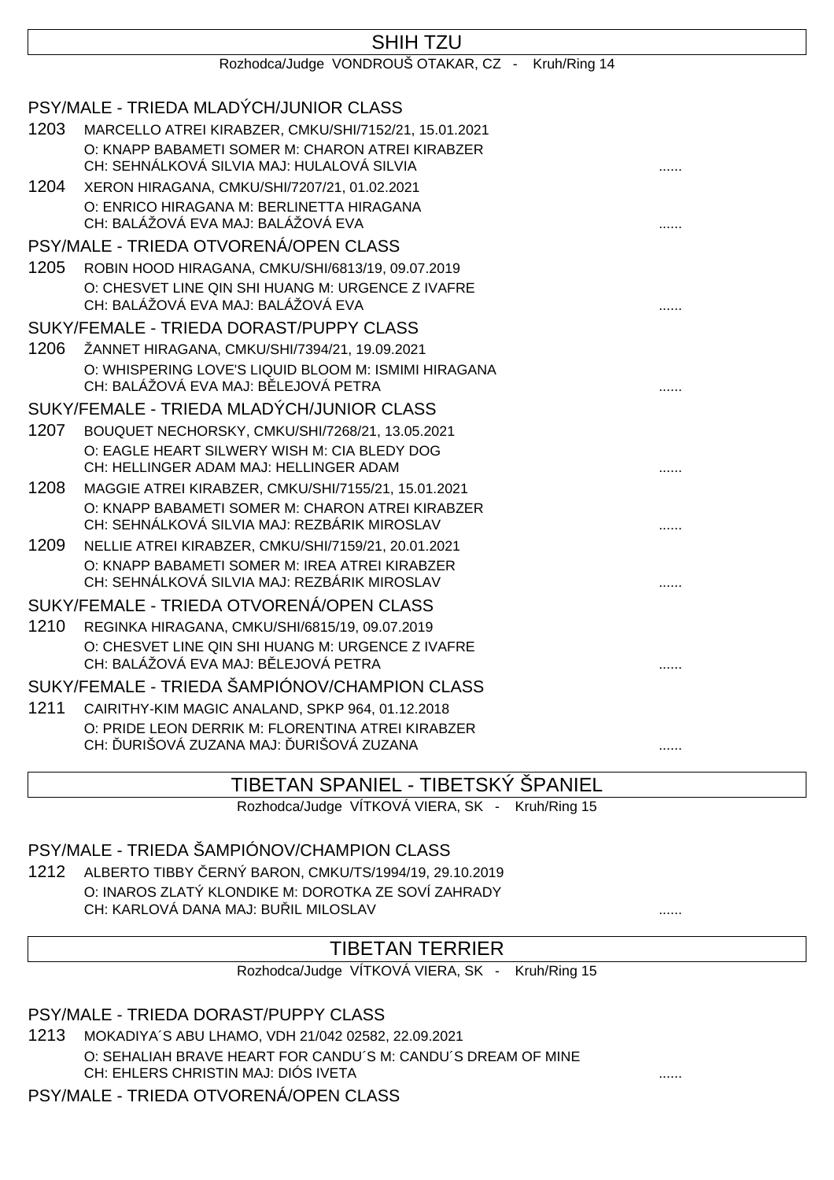|      | <b>SHIH TZU</b>                                                                                         |  |
|------|---------------------------------------------------------------------------------------------------------|--|
|      | Rozhodca/Judge VONDROUŠ OTAKAR, CZ - Kruh/Ring 14                                                       |  |
|      | PSY/MALE - TRIEDA MLADÝCH/JUNIOR CLASS                                                                  |  |
| 1203 | MARCELLO ATREI KIRABZER, CMKU/SHI/7152/21, 15.01.2021                                                   |  |
|      | O: KNAPP BABAMETI SOMER M: CHARON ATREI KIRABZER                                                        |  |
|      | CH: SEHNÁLKOVÁ SILVIA MAJ: HULALOVÁ SILVIA                                                              |  |
| 1204 | XERON HIRAGANA, CMKU/SHI/7207/21, 01.02.2021                                                            |  |
|      | O: ENRICO HIRAGANA M: BERLINETTA HIRAGANA<br>CH: BALÁŽOVÁ EVA MAJ: BALÁŽOVÁ EVA                         |  |
|      | PSY/MALE - TRIEDA OTVORENÁ/OPEN CLASS                                                                   |  |
| 1205 | ROBIN HOOD HIRAGANA, CMKU/SHI/6813/19, 09.07.2019                                                       |  |
|      | O: CHESVET LINE QIN SHI HUANG M: URGENCE Z IVAFRE<br>CH: BALÁŽOVÁ EVA MAJ: BALÁŽOVÁ EVA                 |  |
|      | SUKY/FEMALE - TRIEDA DORAST/PUPPY CLASS                                                                 |  |
| 1206 | ŽANNET HIRAGANA, CMKU/SHI/7394/21, 19.09.2021                                                           |  |
|      | O: WHISPERING LOVE'S LIQUID BLOOM M: ISMIMI HIRAGANA                                                    |  |
|      | CH: BALÁŽOVÁ EVA MAJ: B LEJOVÁ PETRA                                                                    |  |
|      | SUKY/FEMALE - TRIEDA MLADÝCH/JUNIOR CLASS                                                               |  |
| 1207 | BOUQUET NECHORSKY, CMKU/SHI/7268/21, 13.05.2021                                                         |  |
|      | O: EAGLE HEART SILWERY WISH M: CIA BLEDY DOG                                                            |  |
|      | CH: HELLINGER ADAM MAJ: HELLINGER ADAM                                                                  |  |
| 1208 | MAGGIE ATREI KIRABZER, CMKU/SHI/7155/21, 15.01.2021<br>O: KNAPP BABAMETI SOMER M: CHARON ATREI KIRABZER |  |
|      | CH: SEHNÁLKOVÁ SILVIA MAJ: REZBÁRIK MIROSLAV                                                            |  |
| 1209 | NELLIE ATREI KIRABZER, CMKU/SHI/7159/21, 20.01.2021                                                     |  |
|      | O: KNAPP BABAMETI SOMER M: IREA ATREI KIRABZER                                                          |  |
|      | CH: SEHNÁLKOVÁ SILVIA MAJ: REZBÁRIK MIROSLAV                                                            |  |
|      | SUKY/FEMALE - TRIEDA OTVORENÁ/OPEN CLASS                                                                |  |
| 1210 | REGINKA HIRAGANA, CMKU/SHI/6815/19, 09.07.2019                                                          |  |
|      | O: CHESVET LINE QIN SHI HUANG M: URGENCE Z IVAFRE                                                       |  |
|      | CH: BALÁŽOVÁ EVA MAJ: B LEJOVÁ PETRA                                                                    |  |
|      | SUKY/FEMALE - TRIEDA ŠAMPIÓNOV/CHAMPION CLASS                                                           |  |
| 1211 | CAIRITHY-KIM MAGIC ANALAND, SPKP 964, 01.12.2018                                                        |  |
|      | O: PRIDE LEON DERRIK M: FLORENTINA ATREI KIRABZER<br>CH: URIŠOVÁ ZUZANA MAJ: URIŠOVÁ ZUZANA             |  |
|      |                                                                                                         |  |

#### TIBETAN SPANIEL - TIBETSKÝ ŠPANIEL

Rozhodca/Judge VÍTKOVÁ VIERA, SK - Kruh/Ring 15

#### PSY/MALE - TRIEDA ŠAMPIÓNOV/CHAMPION CLASS

1212 ALBERTO TIBBY ČERNÝ BARON, CMKU/TS/1994/19, 29.10.2019 O: INAROS ZLATÝ KLONDIKE M: DOROTKA ZE SOVÍ ZAHRADY CH: KARLOVÁ DANA MAJ: BUŘIL MILOSLAV ......

### TIBETAN TERRIER

Rozhodca/Judge VÍTKOVÁ VIERA, SK - Kruh/Ring 15

PSY/MALE - TRIEDA DORAST/PUPPY CLASS

1213 MOKADIYA´S ABU LHAMO, VDH 21/042 02582, 22.09.2021 O: SEHALIAH BRAVE HEART FOR CANDU´S M: CANDU´S DREAM OF MINE CH: EHLERS CHRISTIN MAJ: DIÓS IVETA ......

PSY/MALE - TRIEDA OTVORENÁ/OPEN CLASS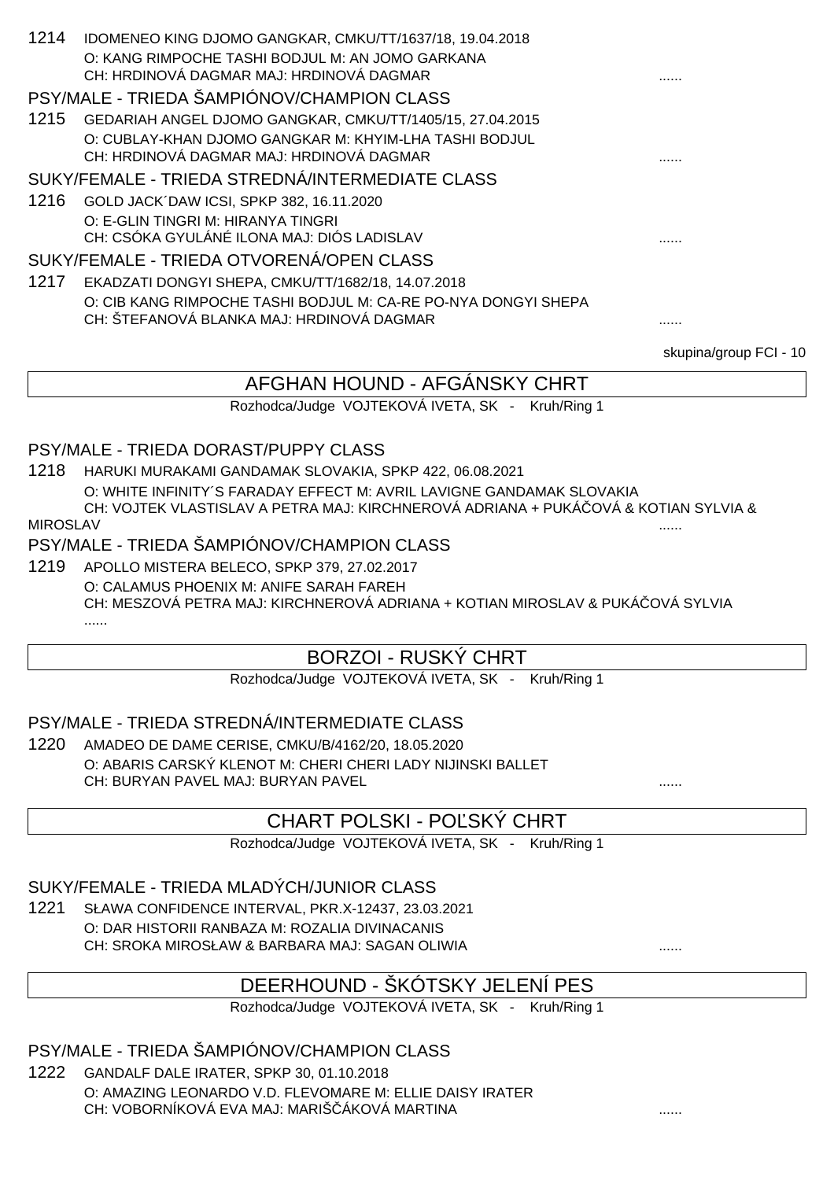| 1214 | IDOMENEO KING DJOMO GANGKAR, CMKU/TT/1637/18, 19.04.2018       |                        |  |  |
|------|----------------------------------------------------------------|------------------------|--|--|
|      | O: KANG RIMPOCHE TASHI BODJUL M: AN JOMO GARKANA               |                        |  |  |
|      | CH: HRDINOVÁ DAGMAR MAJ: HRDINOVÁ DAGMAR                       | .                      |  |  |
|      | PSY/MALE - TRIEDA ŠAMPIÓNOV/CHAMPION CLASS                     |                        |  |  |
| 1215 | GEDARIAH ANGEL DJOMO GANGKAR, CMKU/TT/1405/15, 27.04.2015      |                        |  |  |
|      | O: CUBLAY-KHAN DJOMO GANGKAR M: KHYIM-LHA TASHI BODJUL         |                        |  |  |
|      | CH: HRDINOVÁ DAGMAR MAJ: HRDINOVÁ DAGMAR                       |                        |  |  |
|      | SUKY/FEMALE - TRIEDA STREDNÁ/INTERMEDIATE CLASS                |                        |  |  |
| 1216 | GOLD JACK DAW ICSI, SPKP 382, 16.11.2020                       |                        |  |  |
|      | O: E-GLIN TINGRI M: HIRANYA TINGRI                             |                        |  |  |
|      | CH: CSÓKA GYULÁNÉ ILONA MAJ: DIÓS LADISLAV                     |                        |  |  |
|      | SUKY/FEMALE - TRIEDA OTVORENÁ/OPEN CLASS                       |                        |  |  |
| 1217 | EKADZATI DONGYI SHEPA, CMKU/TT/1682/18, 14.07.2018             |                        |  |  |
|      | O: CIB KANG RIMPOCHE TASHI BODJUL M: CA-RE PO-NYA DONGYI SHEPA |                        |  |  |
|      | CH: ŠTEFANOVÁ BLANKA MAJ: HRDINOVÁ DAGMAR                      | .                      |  |  |
|      |                                                                | skupina/group FCI - 10 |  |  |
|      | AFGHAN HOUND - AFGANSKY CHRT                                   |                        |  |  |

Rozhodca/Judge VOJTEKOVÁ IVETA, SK - Kruh/Ring 1

### PSY/MALE - TRIEDA DORAST/PUPPY CLASS

1218 HARUKI MURAKAMI GANDAMAK SLOVAKIA, SPKP 422, 06.08.2021 O: WHITE INFINITY´S FARADAY EFFECT M: AVRIL LAVIGNE GANDAMAK SLOVAKIA CH: VOJTEK VLASTISLAV A PETRA MAJ: KIRCHNEROVÁ ADRIANA + PUKÁČOVÁ & KOTIAN SYLVIA &

MIROSLAV ......

#### PSY/MALE - TRIEDA ŠAMPIÓNOV/CHAMPION CLASS

1219 APOLLO MISTERA BELECO, SPKP 379, 27.02.2017 O: CALAMUS PHOENIX M: ANIFE SARAH FAREH CH: MESZOVÁ PETRA MAJ: KIRCHNEROVÁ ADRIANA + KOTIAN MIROSLAV & PUKÁ OVÁ SYLVIA ......

### BORZOI - RUSKÝ CHRT

Rozhodca/Judge VOJTEKOVÁ IVETA, SK - Kruh/Ring 1

### PSY/MALE - TRIEDA STREDNÁ/INTERMEDIATE CLASS

1220 AMADEO DE DAME CERISE, CMKU/B/4162/20, 18.05.2020 O: ABARIS CARSKÝ KLENOT M: CHERI CHERI LADY NIJINSKI BALLET CH: BURYAN PAVEL MAJ: BURYAN PAVEL

### CHART POLSKI - PO SKÝ CHRT

Rozhodca/Judge VOJTEKOVÁ IVETA, SK - Kruh/Ring 1

### SUKY/FEMALE - TRIEDA MLADÝCH/JUNIOR CLASS

1221 SŁAWA CONFIDENCE INTERVAL, PKR.X-12437, 23.03.2021 O: DAR HISTORII RANBAZA M: ROZALIA DIVINACANIS CH: SROKA MIROSŁAW & BARBARA MAJ: SAGAN OLIWIA ......

# DEERHOUND - ŠKÓTSKY JELENÍ PES

Rozhodca/Judge VOJTEKOVÁ IVETA, SK - Kruh/Ring 1

### PSY/MALE - TRIEDA ŠAMPIÓNOV/CHAMPION CLASS

1222 GANDALF DALE IRATER, SPKP 30, 01.10.2018 O: AMAZING LEONARDO V.D. FLEVOMARE M: ELLIE DAISY IRATER CH: VOBORNÍKOVÁ EVA MAJ: MARIŠČÁKOVÁ MARTINA ......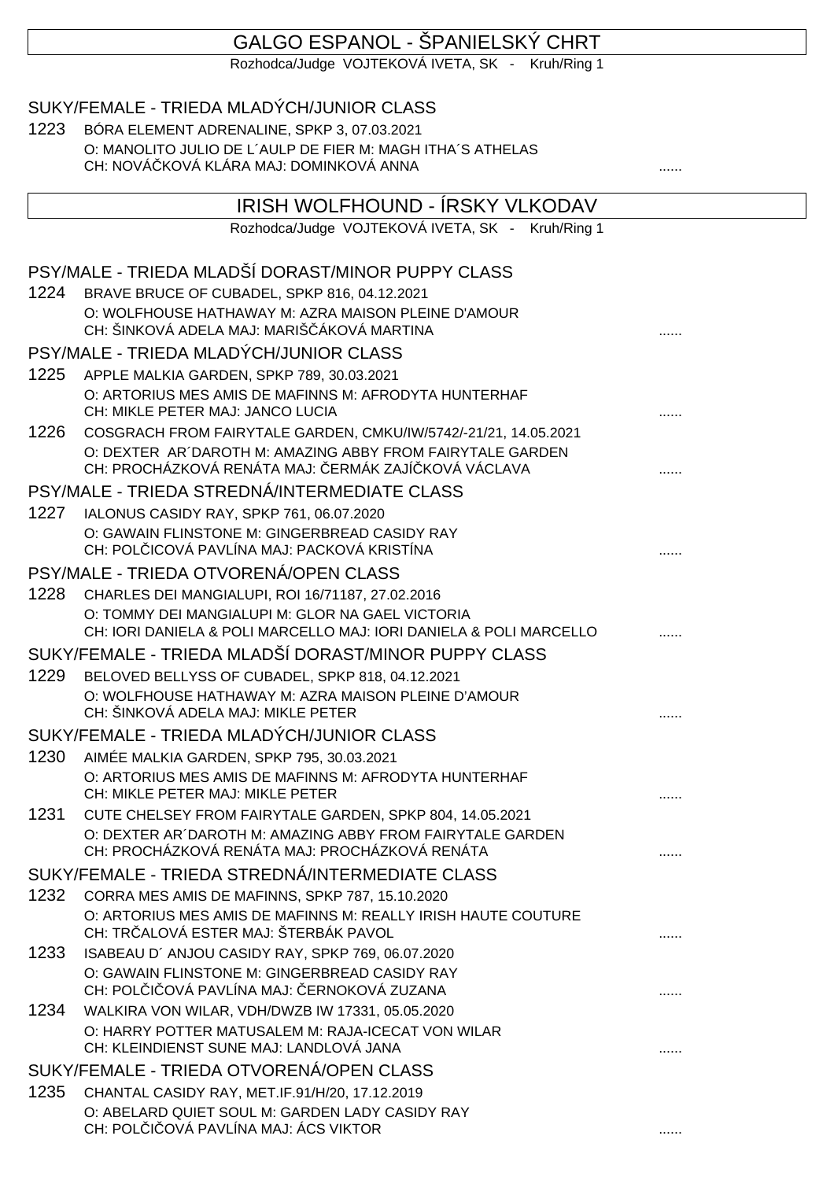### GALGO ESPANOL - ŠPANIELSKÝ CHRT

Rozhodca/Judge VOJTEKOVÁ IVETA, SK - Kruh/Ring 1

|      | SUKY/FEMALE - TRIEDA MLADÝCH/JUNIOR CLASS                                                              |   |  |
|------|--------------------------------------------------------------------------------------------------------|---|--|
| 1223 | BÓRA ELEMENT ADRENALINE, SPKP 3, 07.03.2021                                                            |   |  |
|      | O: MANOLITO JULIO DE L'AULP DE FIER M: MAGH ITHA'S ATHELAS<br>CH: NOVÁ KOVÁ KLÁRA MAJ: DOMINKOVÁ ANNA  |   |  |
|      | IRISH WOLFHOUND - ÍRSKY VLKODAV                                                                        |   |  |
|      | Rozhodca/Judge VOJTEKOVÁ IVETA, SK -<br>Kruh/Ring 1                                                    |   |  |
|      |                                                                                                        |   |  |
|      | PSY/MALE - TRIEDA MLADŠÍ DORAST/MINOR PUPPY CLASS                                                      |   |  |
| 1224 | BRAVE BRUCE OF CUBADEL, SPKP 816, 04.12.2021                                                           |   |  |
|      | O: WOLFHOUSE HATHAWAY M: AZRA MAISON PLEINE D'AMOUR                                                    |   |  |
|      | CH: ŠINKOVÁ ADELA MAJ: MARIŠ ÁKOVÁ MARTINA                                                             |   |  |
|      | PSY/MALE - TRIEDA MLADÝCH/JUNIOR CLASS                                                                 |   |  |
| 1225 | APPLE MALKIA GARDEN, SPKP 789, 30.03.2021                                                              |   |  |
|      | O: ARTORIUS MES AMIS DE MAFINNS M: AFRODYTA HUNTERHAF<br>CH: MIKLE PETER MAJ: JANCO LUCIA              |   |  |
| 1226 | COSGRACH FROM FAIRYTALE GARDEN, CMKU/IW/5742/-21/21, 14.05.2021                                        |   |  |
|      | O: DEXTER AR DAROTH M: AMAZING ABBY FROM FAIRYTALE GARDEN                                              |   |  |
|      | CH: PROCHÁZKOVÁ RENÁTA MAJ: ERMÁK ZAJÍ KOVÁ VÁCLAVA                                                    |   |  |
|      | PSY/MALE - TRIEDA STREDNÁ/INTERMEDIATE CLASS                                                           |   |  |
| 1227 | IALONUS CASIDY RAY, SPKP 761, 06.07.2020                                                               |   |  |
|      | O: GAWAIN FLINSTONE M: GINGERBREAD CASIDY RAY<br>CH: POL ICOVÁ PAVLÍNA MAJ: PACKOVÁ KRISTÍNA           |   |  |
|      | PSY/MALE - TRIEDA OTVORENÁ/OPEN CLASS                                                                  |   |  |
| 1228 | CHARLES DEI MANGIALUPI, ROI 16/71187, 27.02.2016                                                       |   |  |
|      | O: TOMMY DEI MANGIALUPI M: GLOR NA GAEL VICTORIA                                                       |   |  |
|      | CH: IORI DANIELA & POLI MARCELLO MAJ: IORI DANIELA & POLI MARCELLO                                     |   |  |
|      | SUKY/FEMALE - TRIEDA MLADŠÍ DORAST/MINOR PUPPY CLASS                                                   |   |  |
| 1229 | BELOVED BELLYSS OF CUBADEL, SPKP 818, 04.12.2021                                                       |   |  |
|      | O: WOLFHOUSE HATHAWAY M: AZRA MAISON PLEINE D'AMOUR                                                    |   |  |
|      | CH: ŠINKOVÁ ADELA MAJ: MIKLE PETER                                                                     | . |  |
|      | SUKY/FEMALE - TRIEDA MLADÝCH/JUNIOR CLASS                                                              |   |  |
|      | 1230 AIMÉE MALKIA GARDEN, SPKP 795, 30.03.2021                                                         |   |  |
|      | O: ARTORIUS MES AMIS DE MAFINNS M: AFRODYTA HUNTERHAF<br>CH: MIKLE PETER MAJ: MIKLE PETER              |   |  |
| 1231 | CUTE CHELSEY FROM FAIRYTALE GARDEN, SPKP 804, 14.05.2021                                               |   |  |
|      | O: DEXTER AR DAROTH M: AMAZING ABBY FROM FAIRYTALE GARDEN                                              |   |  |
|      | CH: PROCHÁZKOVÁ RENÁTA MAJ: PROCHÁZKOVÁ RENÁTA                                                         |   |  |
|      | SUKY/FEMALE - TRIEDA STREDNÁ/INTERMEDIATE CLASS                                                        |   |  |
|      | 1232 CORRA MES AMIS DE MAFINNS, SPKP 787, 15.10.2020                                                   |   |  |
|      | O: ARTORIUS MES AMIS DE MAFINNS M: REALLY IRISH HAUTE COUTURE<br>CH: TR ALOVÁ ESTER MAJ: ŠTERBÁK PAVOL |   |  |
| 1233 | ISABEAU D'ANJOU CASIDY RAY, SPKP 769, 06.07.2020                                                       |   |  |
|      | O: GAWAIN FLINSTONE M: GINGERBREAD CASIDY RAY<br>CH: POL I OVÁ PAVLÍNA MAJ: ERNOKOVÁ ZUZANA            | . |  |
|      | 1234 WALKIRA VON WILAR, VDH/DWZB IW 17331, 05.05.2020                                                  |   |  |
|      | O: HARRY POTTER MATUSALEM M: RAJA-ICECAT VON WILAR<br>CH: KLEINDIENST SUNE MAJ: LANDLOVÁ JANA          | . |  |
|      | SUKY/FEMALE - TRIEDA OTVORENÁ/OPEN CLASS                                                               |   |  |
| 1235 | CHANTAL CASIDY RAY, MET.IF.91/H/20, 17.12.2019                                                         |   |  |
|      | O: ABELARD QUIET SOUL M: GARDEN LADY CASIDY RAY                                                        |   |  |
|      | CH: POL I OVÁ PAVLÍNA MAJ: ÁCS VIKTOR                                                                  | . |  |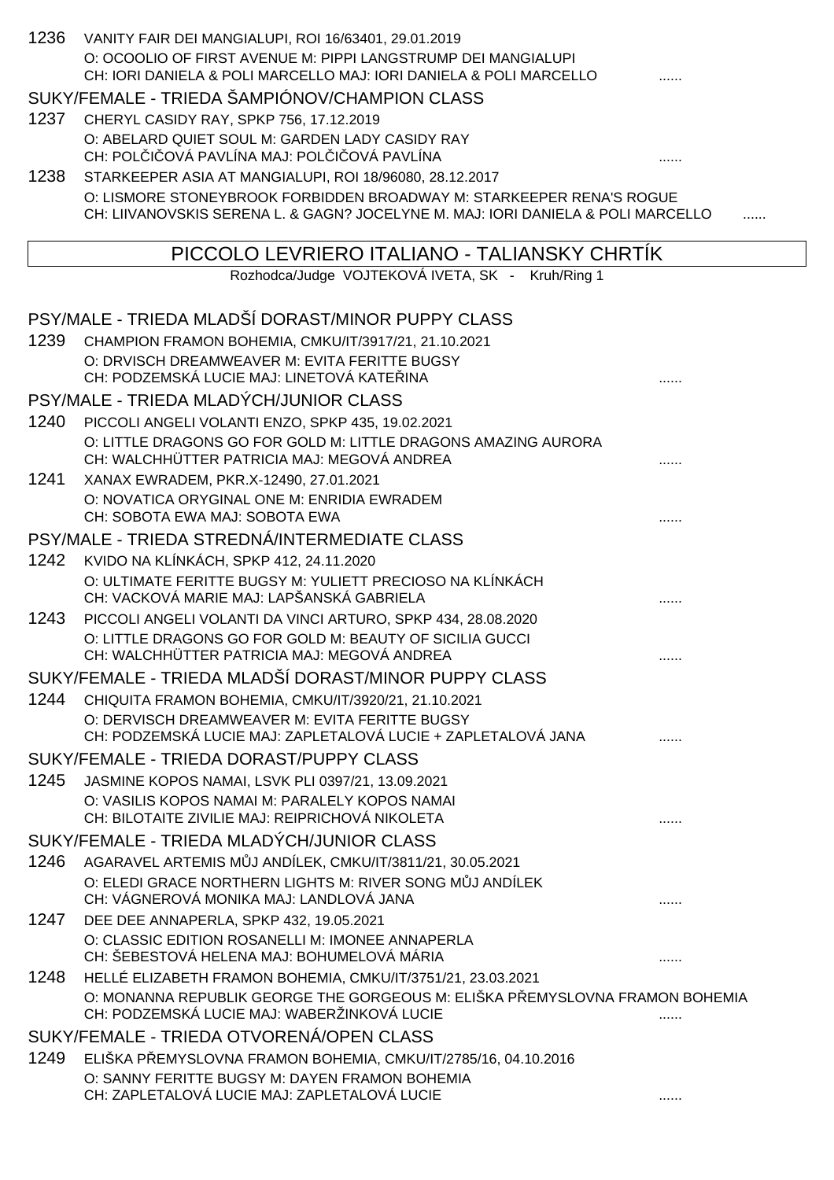| 1236 | VANITY FAIR DEI MANGIALUPI, ROI 16/63401, 29.01.2019<br>O: OCOOLIO OF FIRST AVENUE M: PIPPI LANGSTRUMP DEI MANGIALUPI<br>CH: IORI DANIELA & POLI MARCELLO MAJ: IORI DANIELA & POLI MARCELLO |   |
|------|---------------------------------------------------------------------------------------------------------------------------------------------------------------------------------------------|---|
|      | SUKY/FEMALE - TRIEDA ŠAMPIÓNOV/CHAMPION CLASS                                                                                                                                               |   |
| 1237 | CHERYL CASIDY RAY, SPKP 756, 17.12.2019                                                                                                                                                     |   |
|      | O: ABELARD QUIET SOUL M: GARDEN LADY CASIDY RAY<br>CH: POL I OVÁ PAVLÍNA MAJ: POL I OVÁ PAVLÍNA                                                                                             |   |
| 1238 | STARKEEPER ASIA AT MANGIALUPI, ROI 18/96080, 28.12.2017                                                                                                                                     |   |
|      | O: LISMORE STONEYBROOK FORBIDDEN BROADWAY M: STARKEEPER RENA'S ROGUE<br>CH: LIIVANOVSKIS SERENA L. & GAGN? JOCELYNE M. MAJ: IORI DANIELA & POLI MARCELLO                                    |   |
|      | PICCOLO LEVRIERO ITALIANO - TALIANSKY CHRTIK                                                                                                                                                |   |
|      | Rozhodca/Judge VOJTEKOVÁ IVETA, SK - Kruh/Ring 1                                                                                                                                            |   |
|      | PSY/MALE - TRIEDA MLADŠÍ DORAST/MINOR PUPPY CLASS                                                                                                                                           |   |
| 1239 | CHAMPION FRAMON BOHEMIA, CMKU/IT/3917/21, 21.10.2021                                                                                                                                        |   |
|      | O: DRVISCH DREAMWEAVER M: EVITA FERITTE BUGSY                                                                                                                                               |   |
|      | CH: PODZEMSKÁ LUCIE MAJ: LINETOVÁ KATE INA                                                                                                                                                  |   |
|      | PSY/MALE - TRIEDA MLADÝCH/JUNIOR CLASS                                                                                                                                                      |   |
| 1240 | PICCOLI ANGELI VOLANTI ENZO, SPKP 435, 19.02.2021                                                                                                                                           |   |
|      | O: LITTLE DRAGONS GO FOR GOLD M: LITTLE DRAGONS AMAZING AURORA<br>CH: WALCHHÜTTER PATRICIA MAJ: MEGOVÁ ANDREA                                                                               |   |
| 1241 | XANAX EWRADEM, PKR.X-12490, 27.01.2021<br>O: NOVATICA ORYGINAL ONE M: ENRIDIA EWRADEM                                                                                                       |   |
|      | CH: SOBOTA EWA MAJ: SOBOTA EWA                                                                                                                                                              |   |
|      | PSY/MALE - TRIEDA STREDNÁ/INTERMEDIATE CLASS                                                                                                                                                |   |
| 1242 | KVIDO NA KLÍNKÁCH, SPKP 412, 24.11.2020                                                                                                                                                     |   |
|      | O: ULTIMATE FERITTE BUGSY M: YULIETT PRECIOSO NA KLÍNKÁCH<br>CH: VACKOVÁ MARIE MAJ: LAPŠANSKÁ GABRIELA                                                                                      |   |
| 1243 | PICCOLI ANGELI VOLANTI DA VINCI ARTURO, SPKP 434, 28.08.2020                                                                                                                                |   |
|      | O: LITTLE DRAGONS GO FOR GOLD M: BEAUTY OF SICILIA GUCCI<br>CH: WALCHHÜTTER PATRICIA MAJ: MEGOVÁ ANDREA                                                                                     | . |
|      | SUKY/FEMALE - TRIEDA MLADŠÍ DORAST/MINOR PUPPY CLASS                                                                                                                                        |   |
| 1244 | CHIQUITA FRAMON BOHEMIA, CMKU/IT/3920/21, 21.10.2021                                                                                                                                        |   |
|      | O: DERVISCH DREAMWEAVER M: EVITA FERITTE BUGSY<br>CH: PODZEMSKÁ LUCIE MAJ: ZAPLETALOVÁ LUCIE + ZAPLETALOVÁ JANA                                                                             |   |
|      | SUKY/FEMALE - TRIEDA DORAST/PUPPY CLASS                                                                                                                                                     |   |
| 1245 | JASMINE KOPOS NAMAI, LSVK PLI 0397/21, 13.09.2021<br>O: VASILIS KOPOS NAMAI M: PARALELY KOPOS NAMAI<br>CH: BILOTAITE ZIVILIE MAJ: REIPRICHOVÁ NIKOLETA                                      |   |
|      | SUKY/FEMALE - TRIEDA MLADÝCH/JUNIOR CLASS                                                                                                                                                   |   |
| 1246 | AGARAVEL ARTEMIS M J ANDÍLEK, CMKU/IT/3811/21, 30.05.2021                                                                                                                                   |   |
|      | O: ELEDI GRACE NORTHERN LIGHTS M: RIVER SONG M J ANDÍLEK<br>CH: VÁGNEROVÁ MONIKA MAJ: LANDLOVÁ JANA                                                                                         |   |
| 1247 | DEE DEE ANNAPERLA, SPKP 432, 19.05.2021                                                                                                                                                     |   |
|      | O: CLASSIC EDITION ROSANELLI M: IMONEE ANNAPERLA<br>CH: ŠEBESTOVÁ HELENA MAJ: BOHUMELOVÁ MÁRIA                                                                                              |   |
| 1248 | HELLÉ ELIZABETH FRAMON BOHEMIA, CMKU/IT/3751/21, 23.03.2021                                                                                                                                 |   |
|      | O: MONANNA REPUBLIK GEORGE THE GORGEOUS M: ELIŠKA P EMYSLOVNA FRAMON BOHEMIA<br>CH: PODZEMSKÁ LUCIE MAJ: WABERŽINKOVÁ LUCIE                                                                 |   |
|      | SUKY/FEMALE - TRIEDA OTVORENÁ/OPEN CLASS                                                                                                                                                    |   |
| 1249 | ELIŠKA PEMYSLOVNA FRAMON BOHEMIA, CMKU/IT/2785/16, 04.10.2016                                                                                                                               |   |
|      | O: SANNY FERITTE BUGSY M: DAYEN FRAMON BOHEMIA<br>CH: ZAPLETALOVÁ LUCIE MAJ: ZAPLETALOVÁ LUCIE                                                                                              |   |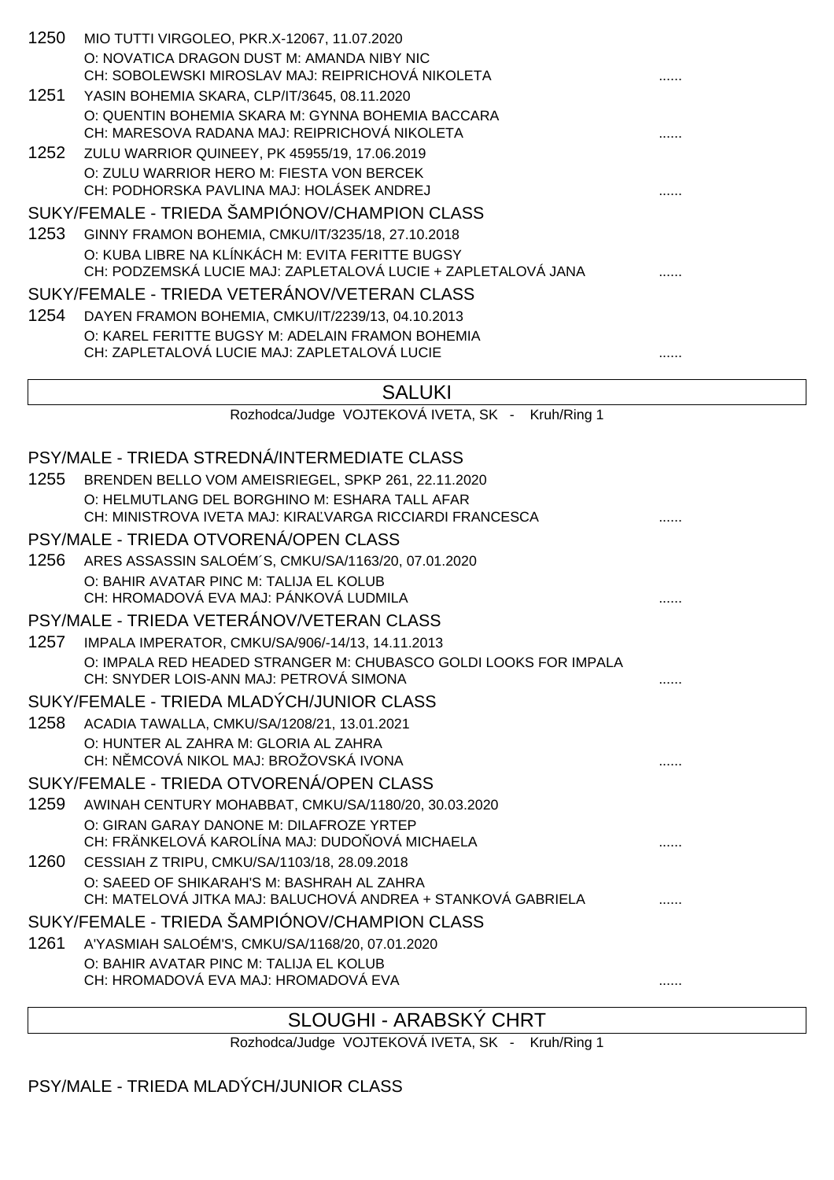| 1250 | MIO TUTTI VIRGOLEO, PKR.X-12067, 11.07.2020<br>O: NOVATICA DRAGON DUST M: AMANDA NIBY NIC                         |   |
|------|-------------------------------------------------------------------------------------------------------------------|---|
|      | CH: SOBOLEWSKI MIROSLAV MAJ: REIPRICHOVÁ NIKOLETA                                                                 |   |
| 1251 | YASIN BOHEMIA SKARA, CLP/IT/3645, 08.11.2020                                                                      |   |
|      | O: QUENTIN BOHEMIA SKARA M: GYNNA BOHEMIA BACCARA<br>CH: MARESOVA RADANA MAJ: REIPRICHOVÁ NIKOLETA                |   |
| 1252 | ZULU WARRIOR QUINEEY, PK 45955/19, 17.06.2019                                                                     |   |
|      | O: ZULU WARRIOR HERO M: FIESTA VON BERCEK<br>CH: PODHORSKA PAVLINA MAJ: HOLÁSEK ANDREJ                            |   |
|      | SUKY/FEMALE - TRIEDA ŠAMPIÓNOV/CHAMPION CLASS                                                                     |   |
| 1253 | GINNY FRAMON BOHEMIA, CMKU/IT/3235/18, 27.10.2018                                                                 |   |
|      | O: KUBA LIBRE NA KLÍNKÁCH M: EVITA FERITTE BUGSY<br>CH: PODZEMSKÁ LUCIE MAJ: ZAPLETALOVÁ LUCIE + ZAPLETALOVÁ JANA |   |
|      | SUKY/FEMALE - TRIEDA VETERÁNOV/VETERAN CLASS                                                                      |   |
| 1254 | DAYEN FRAMON BOHEMIA, CMKU/IT/2239/13, 04.10.2013                                                                 |   |
|      | O: KAREL FERITTE BUGSY M: ADELAIN FRAMON BOHEMIA<br>CH: ZAPLETALOVÁ LUCIE MAJ: ZAPLETALOVÁ LUCIE                  |   |
|      |                                                                                                                   |   |
|      | <b>SALUKI</b>                                                                                                     |   |
|      | Rozhodca/Judge VOJTEKOVÁ IVETA, SK - Kruh/Ring 1                                                                  |   |
|      |                                                                                                                   |   |
|      | PSY/MALE - TRIEDA STREDNÁ/INTERMEDIATE CLASS                                                                      |   |
| 1255 | BRENDEN BELLO VOM AMEISRIEGEL, SPKP 261, 22.11.2020                                                               |   |
|      | O: HELMUTLANG DEL BORGHINO M: ESHARA TALL AFAR<br>CH: MINISTROVA IVETA MAJ: KIRA VARGA RICCIARDI FRANCESCA        |   |
|      | PSY/MALE - TRIEDA OTVORENÁ/OPEN CLASS                                                                             |   |
| 1256 | ARES ASSASSIN SALOÉM'S, CMKU/SA/1163/20, 07.01.2020                                                               |   |
|      | O: BAHIR AVATAR PINC M: TALIJA EL KOLUB<br>CH: HROMADOVÁ EVA MAJ: PÁNKOVÁ LUDMILA                                 |   |
|      | PSY/MALE - TRIEDA VETERÁNOV/VETERAN CLASS                                                                         |   |
| 1257 | IMPALA IMPERATOR, CMKU/SA/906/-14/13, 14.11.2013                                                                  |   |
|      | O: IMPALA RED HEADED STRANGER M: CHUBASCO GOLDI LOOKS FOR IMPALA<br>CH: SNYDER LOIS-ANN MAJ: PETROVÁ SIMONA       |   |
|      | SUKY/FEMALE - TRIEDA MLADÝCH/JUNIOR CLASS                                                                         |   |
| 1258 | ACADIA TAWALLA, CMKU/SA/1208/21, 13.01.2021                                                                       |   |
|      | O: HUNTER AL ZAHRA M: GLORIA AL ZAHRA<br>CH: N MCOVÁ NIKOL MAJ: BROŽOVSKÁ IVONA                                   | . |
|      | SUKY/FEMALE - TRIEDA OTVORENÁ/OPEN CLASS                                                                          |   |
| 1259 | AWINAH CENTURY MOHABBAT, CMKU/SA/1180/20, 30.03.2020                                                              |   |
|      | O: GIRAN GARAY DANONE M: DILAFROZE YRTEP<br>CH: FRÄNKELOVÁ KAROLÍNA MAJ: DUDO OVÁ MICHAELA                        |   |
| 1260 | CESSIAH Z TRIPU, CMKU/SA/1103/18, 28.09.2018                                                                      |   |
|      | O: SAEED OF SHIKARAH'S M: BASHRAH AL ZAHRA<br>CH: MATELOVÁ JITKA MAJ: BALUCHOVÁ ANDREA + STANKOVÁ GABRIELA        |   |
|      | SUKY/FEMALE - TRIEDA ŠAMPIÓNOV/CHAMPION CLASS                                                                     |   |
| 1261 | A'YASMIAH SALOÉM'S, CMKU/SA/1168/20, 07.01.2020                                                                   |   |
|      | O: BAHIR AVATAR PINC M: TALIJA EL KOLUB                                                                           |   |
|      | CH: HROMADOVÁ EVA MAJ: HROMADOVÁ EVA                                                                              | . |
|      |                                                                                                                   |   |

### SLOUGHI - ARABSKÝ CHRT

Rozhodca/Judge VOJTEKOVÁ IVETA, SK - Kruh/Ring 1

PSY/MALE - TRIEDA MLADÝCH/JUNIOR CLASS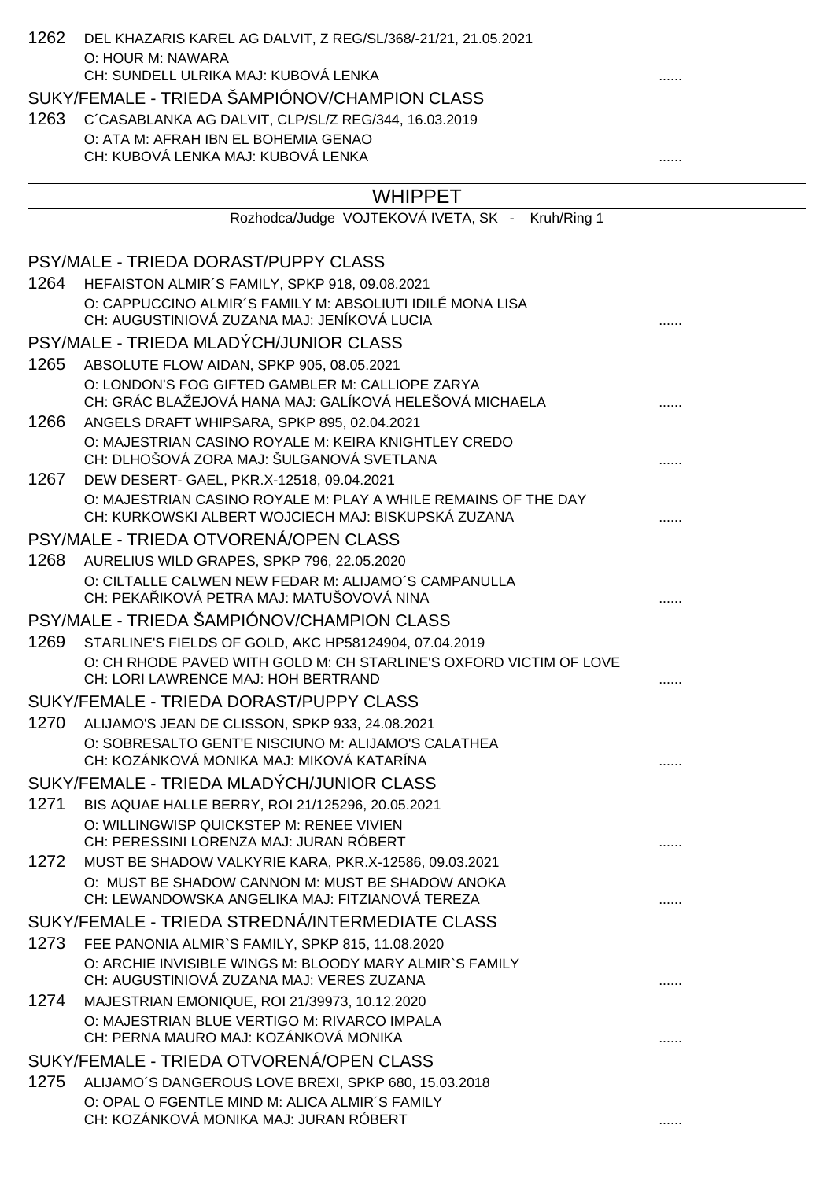| 1262 | DEL KHAZARIS KAREL AG DALVIT, Z REG/SL/368/-21/21, 21.05.2021                                                         |   |
|------|-----------------------------------------------------------------------------------------------------------------------|---|
|      | O: HOUR M: NAWARA                                                                                                     |   |
|      | CH: SUNDELL ULRIKA MAJ: KUBOVÁ LENKA                                                                                  |   |
|      | SUKY/FEMALE - TRIEDA ŠAMPIÓNOV/CHAMPION CLASS                                                                         |   |
| 1263 | C'CASABLANKA AG DALVIT, CLP/SL/Z REG/344, 16.03.2019                                                                  |   |
|      | O: ATA M: AFRAH IBN EL BOHEMIA GENAO<br>CH: KUBOVÁ LENKA MAJ: KUBOVÁ LENKA                                            |   |
|      |                                                                                                                       |   |
|      | <b>WHIPPET</b>                                                                                                        |   |
|      | Rozhodca/Judge VOJTEKOVÁ IVETA, SK - Kruh/Ring 1                                                                      |   |
|      | PSY/MALE - TRIEDA DORAST/PUPPY CLASS                                                                                  |   |
| 1264 | HEFAISTON ALMIR'S FAMILY, SPKP 918, 09.08.2021                                                                        |   |
|      | O: CAPPUCCINO ALMIR'S FAMILY M: ABSOLIUTI IDILÉ MONA LISA<br>CH: AUGUSTINIOVÁ ZUZANA MAJ: JENÍKOVÁ LUCIA              |   |
|      | PSY/MALE - TRIEDA MLADÝCH/JUNIOR CLASS                                                                                |   |
| 1265 | ABSOLUTE FLOW AIDAN, SPKP 905, 08.05.2021                                                                             |   |
|      | O: LONDON'S FOG GIFTED GAMBLER M: CALLIOPE ZARYA<br>CH: GRÁC BLAŽEJOVÁ HANA MAJ: GALÍKOVÁ HELEŠOVÁ MICHAELA           |   |
| 1266 | ANGELS DRAFT WHIPSARA, SPKP 895, 02.04.2021                                                                           |   |
|      | O: MAJESTRIAN CASINO ROYALE M: KEIRA KNIGHTLEY CREDO<br>CH: DLHOŠOVÁ ZORA MAJ: ŠULGANOVÁ SVETLANA                     |   |
| 1267 | DEW DESERT- GAEL, PKR.X-12518, 09.04.2021                                                                             |   |
|      | O: MAJESTRIAN CASINO ROYALE M: PLAY A WHILE REMAINS OF THE DAY<br>CH: KURKOWSKI ALBERT WOJCIECH MAJ: BISKUPSKÁ ZUZANA |   |
|      | PSY/MALE - TRIEDA OTVORENÁ/OPEN CLASS                                                                                 |   |
| 1268 | AURELIUS WILD GRAPES, SPKP 796, 22.05.2020                                                                            |   |
|      | O: CILTALLE CALWEN NEW FEDAR M: ALIJAMO'S CAMPANULLA<br>CH: PEKA IKOVÁ PETRA MAJ: MATUŠOVOVÁ NINA                     |   |
|      | PSY/MALE - TRIEDA ŠAMPIÓNOV/CHAMPION CLASS                                                                            |   |
| 1269 | STARLINE'S FIELDS OF GOLD, AKC HP58124904, 07.04.2019                                                                 |   |
|      | O: CH RHODE PAVED WITH GOLD M: CH STARLINE'S OXFORD VICTIM OF LOVE<br>CH: LORI LAWRENCE MAJ: HOH BERTRAND             | . |
|      | SUKY/FEMALE - TRIEDA DORAST/PUPPY CLASS                                                                               |   |
| 1270 | ALIJAMO'S JEAN DE CLISSON, SPKP 933, 24.08.2021                                                                       |   |
|      | O: SOBRESALTO GENT'E NISCIUNO M: ALIJAMO'S CALATHEA<br>CH: KOZÁNKOVÁ MONIKA MAJ: MIKOVÁ KATARÍNA                      | . |
|      | SUKY/FEMALE - TRIEDA MLADÝCH/JUNIOR CLASS                                                                             |   |
| 1271 | BIS AQUAE HALLE BERRY, ROI 21/125296, 20.05.2021                                                                      |   |
|      | O: WILLINGWISP QUICKSTEP M: RENEE VIVIEN<br>CH: PERESSINI LORENZA MAJ: JURAN RÓBERT                                   |   |
| 1272 | MUST BE SHADOW VALKYRIE KARA, PKR.X-12586, 09.03.2021                                                                 |   |
|      | O: MUST BE SHADOW CANNON M: MUST BE SHADOW ANOKA<br>CH: LEWANDOWSKA ANGELIKA MAJ: FITZIANOVÁ TEREZA                   |   |
|      | SUKY/FEMALE - TRIEDA STREDNÁ/INTERMEDIATE CLASS                                                                       |   |
| 1273 | FEE PANONIA ALMIR'S FAMILY, SPKP 815, 11.08.2020                                                                      |   |
|      | O: ARCHIE INVISIBLE WINGS M: BLOODY MARY ALMIR'S FAMILY<br>CH: AUGUSTINIOVÁ ZUZANA MAJ: VERES ZUZANA                  | . |
| 1274 | MAJESTRIAN EMONIQUE, ROI 21/39973, 10.12.2020                                                                         |   |
|      | O: MAJESTRIAN BLUE VERTIGO M: RIVARCO IMPALA<br>CH: PERNA MAURO MAJ: KOZÁNKOVÁ MONIKA                                 | . |
|      | SUKY/FEMALE - TRIEDA OTVORENÁ/OPEN CLASS                                                                              |   |
| 1275 | ALIJAMO'S DANGEROUS LOVE BREXI, SPKP 680, 15.03.2018                                                                  |   |
|      | O: OPAL O FGENTLE MIND M: ALICA ALMIR'S FAMILY                                                                        |   |
|      | CH: KOZÁNKOVÁ MONIKA MAJ: JURAN RÓBERT                                                                                | . |
|      |                                                                                                                       |   |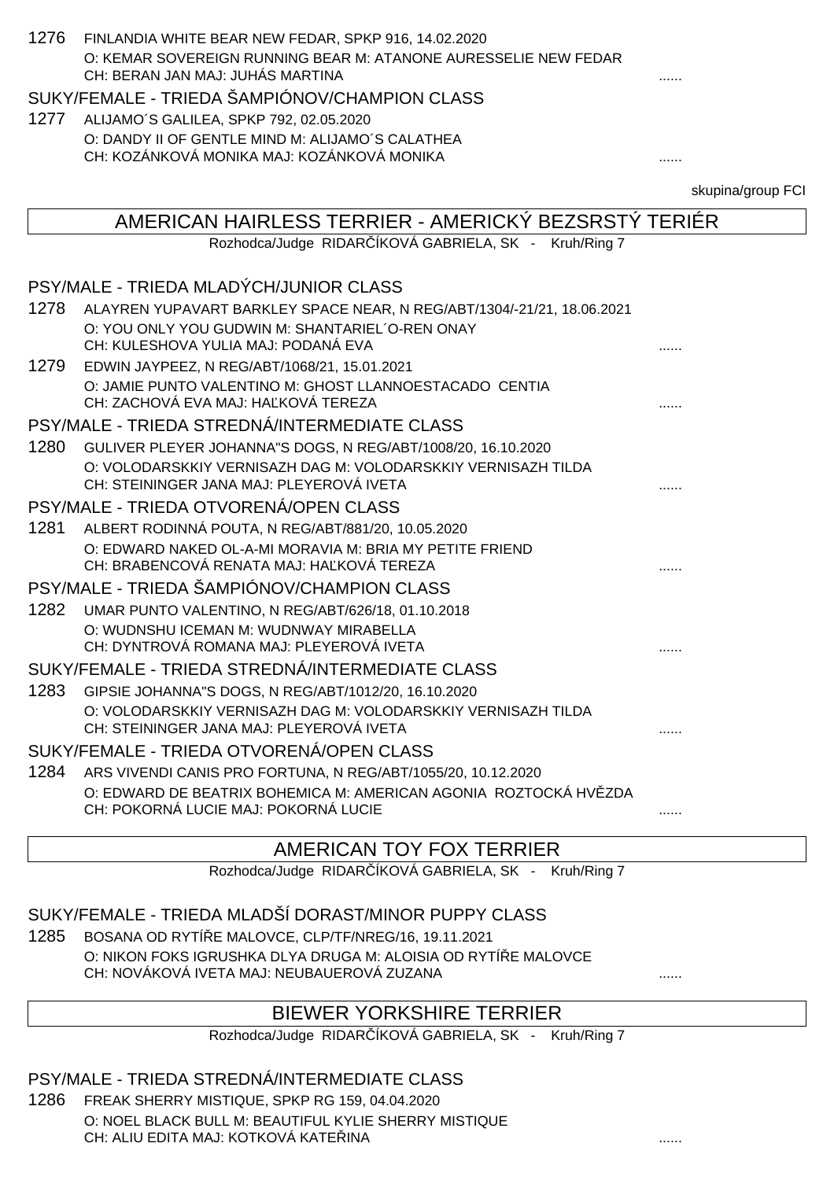| 1276 | FINLANDIA WHITE BEAR NEW FEDAR, SPKP 916, 14.02.2020                                           |                   |
|------|------------------------------------------------------------------------------------------------|-------------------|
|      | O: KEMAR SOVEREIGN RUNNING BEAR M: ATANONE AURESSELIE NEW FEDAR                                |                   |
|      | CH: BERAN JAN MAJ: JUHÁS MARTINA                                                               |                   |
|      | SUKY/FEMALE - TRIEDA ŠAMPIÓNOV/CHAMPION CLASS                                                  |                   |
| 1277 | ALIJAMO'S GALILEA, SPKP 792, 02.05.2020                                                        |                   |
|      | O: DANDY II OF GENTLE MIND M: ALIJAMO'S CALATHEA                                               |                   |
|      | CH: KOZÁNKOVÁ MONIKA MAJ: KOZÁNKOVÁ MONIKA                                                     | .                 |
|      |                                                                                                | skupina/group FCI |
|      | AMERICAN HAIRLESS TERRIER - AMERICKÝ BEZSRSTÝ TERIÉR                                           |                   |
|      | Rozhodca/Judge RIDAR ÍKOVÁ GABRIELA, SK - Kruh/Ring 7                                          |                   |
|      |                                                                                                |                   |
|      | PSY/MALE - TRIEDA MLADÝCH/JUNIOR CLASS                                                         |                   |
| 1278 | ALAYREN YUPAVART BARKLEY SPACE NEAR, N REG/ABT/1304/-21/21, 18.06.2021                         |                   |
|      | O: YOU ONLY YOU GUDWIN M: SHANTARIEL O-REN ONAY                                                |                   |
|      | CH: KULESHOVA YULIA MAJ: PODANÁ EVA                                                            |                   |
| 1279 | EDWIN JAYPEEZ, N REG/ABT/1068/21, 15.01.2021                                                   |                   |
|      | O: JAMIE PUNTO VALENTINO M: GHOST LLANNOESTACADO CENTIA<br>CH: ZACHOVÁ EVA MAJ: HA KOVÁ TEREZA |                   |
|      | PSY/MALE - TRIEDA STREDNÁ/INTERMEDIATE CLASS                                                   |                   |
| 1280 | GULIVER PLEYER JOHANNA"S DOGS, N REG/ABT/1008/20, 16.10.2020                                   |                   |
|      | O: VOLODARSKKIY VERNISAZH DAG M: VOLODARSKKIY VERNISAZH TILDA                                  |                   |
|      | CH: STEININGER JANA MAJ: PLEYEROVÁ IVETA                                                       |                   |
|      | PSY/MALE - TRIEDA OTVORENÁ/OPEN CLASS                                                          |                   |
| 1281 | ALBERT RODINNÁ POUTA, N REG/ABT/881/20, 10.05.2020                                             |                   |
|      | O: EDWARD NAKED OL-A-MI MORAVIA M: BRIA MY PETITE FRIEND                                       |                   |
|      | CH: BRABENCOVÁ RENATA MAJ: HA KOVÁ TEREZA                                                      |                   |
|      | PSY/MALE - TRIEDA ŠAMPIÓNOV/CHAMPION CLASS                                                     |                   |
| 1282 | UMAR PUNTO VALENTINO, N REG/ABT/626/18, 01.10.2018                                             |                   |
|      | O: WUDNSHU ICEMAN M: WUDNWAY MIRABELLA<br>CH: DYNTROVA ROMANA MAJ: PLEYEROVA IVETA             |                   |
|      | SUKY/FEMALE - TRIEDA STREDNÁ/INTERMEDIATE CLASS                                                | .                 |
| 1283 | GIPSIE JOHANNA"S DOGS, N REG/ABT/1012/20, 16.10.2020                                           |                   |
|      | O: VOLODARSKKIY VERNISAZH DAG M: VOLODARSKKIY VERNISAZH TILDA                                  |                   |
|      | CH: STEININGER JANA MAJ: PLEYEROVÁ IVETA                                                       | .                 |
|      | SUKY/FEMALE - TRIEDA OTVORENÁ/OPEN CLASS                                                       |                   |
| 1284 | ARS VIVENDI CANIS PRO FORTUNA, N REG/ABT/1055/20, 10.12.2020                                   |                   |
|      | O: EDWARD DE BEATRIX BOHEMICA M: AMERICAN AGONIA ROZTOCKÁ HV ZDA                               |                   |
|      | CH: POKORNÁ LUCIE MAJ: POKORNÁ LUCIE                                                           |                   |
|      |                                                                                                |                   |

### AMERICAN TOY FOX TERRIER

Rozhodca/Judge RIDAR ÍKOVÁ GABRIELA, SK - Kruh/Ring 7

SUKY/FEMALE - TRIEDA MLADŠÍ DORAST/MINOR PUPPY CLASS

1285 BOSANA OD RYTÍ E MALOVCE, CLP/TF/NREG/16, 19.11.2021 O: NIKON FOKS IGRUSHKA DLYA DRUGA M: ALOISIA OD RYTÍ E MALOVCE CH: NOVÁKOVÁ IVETA MAJ: NEUBAUEROVÁ ZUZANA ......

### BIEWER YORKSHIRE TERRIER

Rozhodca/Judge RIDAR ÍKOVÁ GABRIELA, SK - Kruh/Ring 7

### PSY/MALE - TRIEDA STREDNÁ/INTERMEDIATE CLASS

1286 FREAK SHERRY MISTIQUE, SPKP RG 159, 04.04.2020 O: NOEL BLACK BULL M: BEAUTIFUL KYLIE SHERRY MISTIQUE CH: ALIU EDITA MAJ: KOTKOVÁ KATEŘINA ......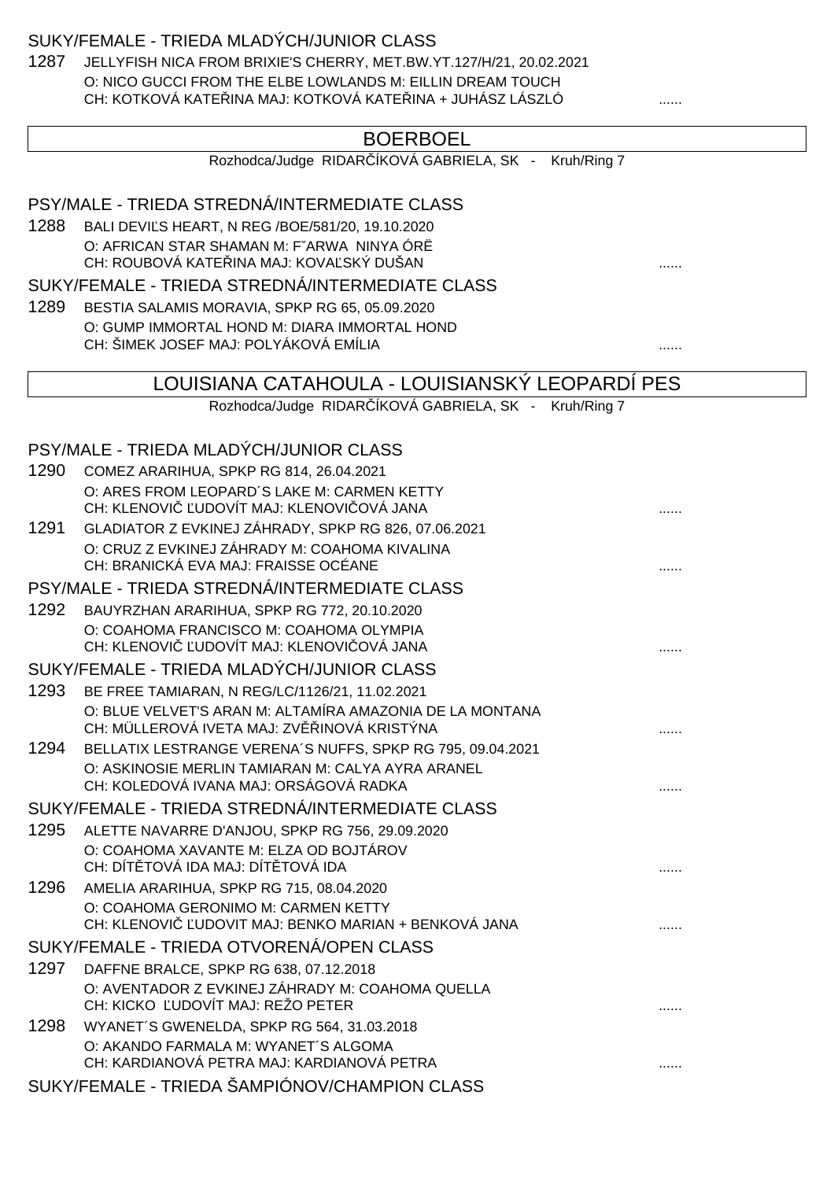#### SUKY/FEMALE - TRIEDA MLADÝCH/JUNIOR CLASS

1287 JELLYFISH NICA FROM BRIXIE'S CHERRY, MET.BW.YT.127/H/21, 20.02.2021 O: NICO GUCCI FROM THE ELBE LOWLANDS M: EILLIN DREAM TOUCH CH: KOTKOVÁ KATE INA MAJ: KOTKOVÁ KATE INA + JUHÁSZ LÁSZLÓ .......

| <b>BOERBOEL</b> |
|-----------------|
|-----------------|

|  |  |  | Rozhodca/Judge RIDAR İKOVA GABRIELA, SK |  | Kruh/Ring 7 |
|--|--|--|-----------------------------------------|--|-------------|
|--|--|--|-----------------------------------------|--|-------------|

### PSY/MALE - TRIEDA STREDNÁ/INTERMEDIATE CLASS 1288 BALI DEVI S HEART, N REG /BOE/581/20, 19.10.2020 O: AFRICAN STAR SHAMAN M: FˇARWA NINYA ÓRË CH: ROUBOVÁ KATEŘINA MAJ: KOVAĽSKÝ DUŠAN ...... SUKY/FEMALE - TRIEDA STREDNÁ/INTERMEDIATE CLASS 1289 BESTIA SALAMIS MORAVIA, SPKP RG 65, 05.09.2020 O: GUMP IMMORTAL HOND M: DIARA IMMORTAL HOND CH: ŠIMEK JOSEF MAJ: POLYÁKOVÁ EMÍLIA ...... LOUISIANA CATAHOULA - LOUISIANSKÝ LEOPARDÍ PES Rozhodca/Judge RIDAR ÍKOVÁ GABRIELA, SK - Kruh/Ring 7 PSY/MALE - TRIEDA MLADÝCH/JUNIOR CLASS 1290 COMEZ ARARIHUA, SPKP RG 814, 26.04.2021 O: ARES FROM LEOPARD´S LAKE M: CARMEN KETTY CH: KLENOVIČ ĽUDOVÍT MAJ: KLENOVIČOVÁ JANA ...... 1291 GLADIATOR Z EVKINEJ ZÁHRADY, SPKP RG 826, 07.06.2021 O: CRUZ Z EVKINEJ ZÁHRADY M: COAHOMA KIVALINA CH: BRANICKÁ EVA MAJ: FRAISSE OCÉANE ...... PSY/MALE - TRIEDA STREDNÁ/INTERMEDIATE CLASS 1292 BAUYRZHAN ARARIHUA, SPKP RG 772, 20.10.2020 O: COAHOMA FRANCISCO M: COAHOMA OLYMPIA CH: KLENOVIČ ĽUDOVÍT MAJ: KLENOVIČOVÁ JANA ...... SUKY/FEMALE - TRIEDA MLADÝCH/JUNIOR CLASS 1293 BE FREE TAMIARAN, N REG/LC/1126/21, 11.02.2021 O: BLUE VELVET'S ARAN M: ALTAMÍRA AMAZONIA DE LA MONTANA CH: MÜLLEROVÁ IVETA MAJ: ZV INOVÁ KRISTÝNA 1294 BELLATIX LESTRANGE VERENA´S NUFFS, SPKP RG 795, 09.04.2021 O: ASKINOSIE MERLIN TAMIARAN M: CALYA AYRA ARANEL CH: KOLEDOVÁ IVANA MAJ: ORSÁGOVÁ RADKA ...... SUKY/FEMALE - TRIEDA STREDNÁ/INTERMEDIATE CLASS 1295 ALETTE NAVARRE D'ANJOU, SPKP RG 756, 29.09.2020 O: COAHOMA XAVANTE M: ELZA OD BOJTÁROV CH: DÍTĚTOVÁ IDA MAJ: DÍTĚTOVÁ IDA ...... 1296 AMELIA ARARIHUA, SPKP RG 715, 08.04.2020 O: COAHOMA GERONIMO M: CARMEN KETTY CH: KLENOVIČ ĽUDOVIT MAJ: BENKO MARIAN + BENKOVÁ JANA ...... SUKY/FEMALE - TRIEDA OTVORENÁ/OPEN CLASS 1297 DAFFNE BRALCE, SPKP RG 638, 07.12.2018 O: AVENTADOR Z EVKINEJ ZÁHRADY M: COAHOMA QUELLA CH: KICKO ĽUDOVÍT MAJ: REŽO PETER ...... 1298 WYANET´S GWENELDA, SPKP RG 564, 31.03.2018 O: AKANDO FARMALA M: WYANET´S ALGOMA CH: KARDIANOVÁ PETRA MAJ: KARDIANOVÁ PETRA ......

SUKY/FEMALE - TRIEDA ŠAMPIÓNOV/CHAMPION CLASS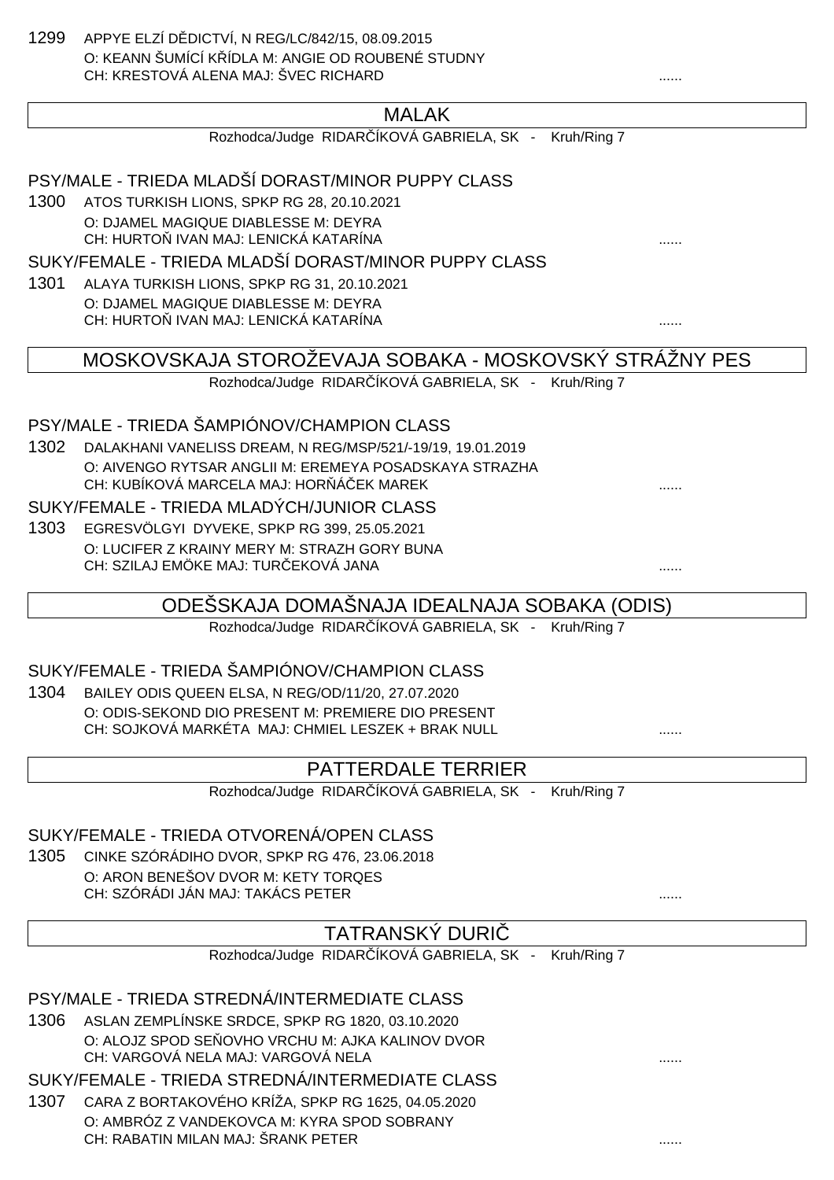1299 APPYE ELZÍ D DICTVÍ, N REG/LC/842/15, 08.09.2015 O: KEANN ŠUMÍCÍ KŘÍDLA M: ANGIE OD ROUBENÉ STUDNY CH: KRESTOVÁ ALENA MAJ: ŠVEC RICHARD ......

### MALAK

### PSY/MALE - TRIEDA MLADŠÍ DORAST/MINOR PUPPY CLASS

1300 ATOS TURKISH LIONS, SPKP RG 28, 20.10.2021 O: DJAMEL MAGIQUE DIABLESSE M: DEYRA CH: HURTOŇ IVAN MAJ: LENICKÁ KATARÍNA ......

#### SUKY/FEMALE - TRIEDA MLADŠÍ DORAST/MINOR PUPPY CLASS

1301 ALAYA TURKISH LIONS, SPKP RG 31, 20.10.2021 O: DJAMEL MAGIQUE DIABLESSE M: DEYRA CH: HURTOŇ IVAN MAJ: LENICKÁ KATARÍNA ......

### MOSKOVSKAJA STOROŽEVAJA SOBAKA - MOSKOVSKÝ STRÁŽNY PES

Rozhodca/Judge RIDAR ÍKOVÁ GABRIELA, SK - Kruh/Ring 7

#### PSY/MALE - TRIEDA ŠAMPIÓNOV/CHAMPION CLASS

1302 DALAKHANI VANELISS DREAM, N REG/MSP/521/-19/19, 19.01.2019 O: AIVENGO RYTSAR ANGLII M: EREMEYA POSADSKAYA STRAZHA CH: KUBÍKOVÁ MARCELA MAJ: HOR Á EK MAREK

#### SUKY/FEMALE - TRIEDA MLADÝCH/JUNIOR CLASS

1303 EGRESVÖLGYI DYVEKE, SPKP RG 399, 25.05.2021 O: LUCIFER Z KRAINY MERY M: STRAZH GORY BUNA CH: SZILAJ EMÖKE MAJ: TURČEKOVÁ JANA ......

### ODEŠSKAJA DOMAŠNAJA IDEALNAJA SOBAKA (ODIS)

Rozhodca/Judge RIDAR ÍKOVÁ GABRIELA, SK - Kruh/Ring 7

### SUKY/FEMALE - TRIEDA ŠAMPIÓNOV/CHAMPION CLASS

1304 BAILEY ODIS QUEEN ELSA, N REG/OD/11/20, 27.07.2020 O: ODIS-SEKOND DIO PRESENT M: PREMIERE DIO PRESENT CH: SOJKOVÁ MARKÉTA MAJ: CHMIEL LESZEK + BRAK NULL **WARCH SOJKOVÁ MARKÉTA MAJ:** CHMIEL LESZEK + BRAK NULL

### PATTERDALE TERRIER

Rozhodca/Judge RIDAR ÍKOVÁ GABRIELA, SK - Kruh/Ring 7

#### SUKY/FEMALE - TRIEDA OTVORENÁ/OPEN CLASS

1305 CINKE SZÓRÁDIHO DVOR, SPKP RG 476, 23.06.2018 O: ARON BENEŠOV DVOR M: KETY TORQES CH: SZÓRÁDI JÁN MAJ: TAKÁCS PETER ......

### TATRANSKÝ DURIČ

Rozhodca/Judge RIDAR ÍKOVÁ GABRIELA, SK - Kruh/Ring 7

### PSY/MALE - TRIEDA STREDNÁ/INTERMEDIATE CLASS

- 1306 ASLAN ZEMPLÍNSKE SRDCE, SPKP RG 1820, 03.10.2020 O: ALOJZ SPOD SE OVHO VRCHU M: AJKA KALINOV DVOR CH: VARGOVÁ NELA MAJ: VARGOVÁ NELA ......
- SUKY/FEMALE TRIEDA STREDNÁ/INTERMEDIATE CLASS
- 1307 CARA Z BORTAKOVÉHO KRÍŽA, SPKP RG 1625, 04.05.2020 O: AMBRÓZ Z VANDEKOVCA M: KYRA SPOD SOBRANY CH: RABATIN MILAN MAJ: ŠRANK PETER ......